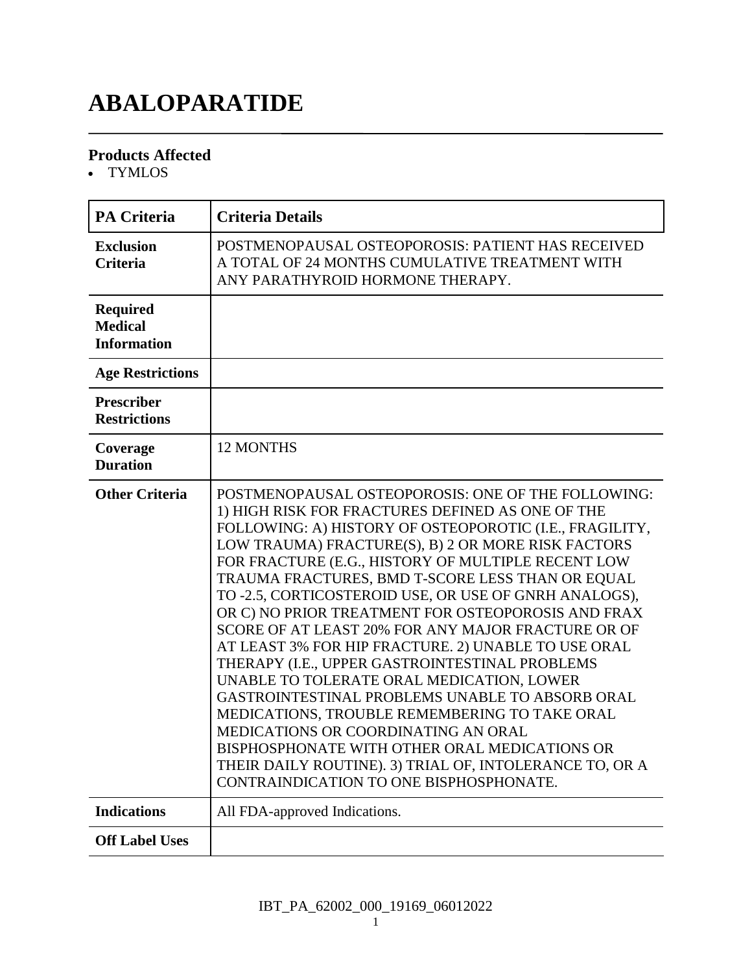# **ABALOPARATIDE**

#### **Products Affected**

TYMLOS

| <b>PA Criteria</b>                                      | <b>Criteria Details</b>                                                                                                                                                                                                                                                                                                                                                                                                                                                                                                                                                                                                                                                                                                                                                                                                                                                                                                                                        |
|---------------------------------------------------------|----------------------------------------------------------------------------------------------------------------------------------------------------------------------------------------------------------------------------------------------------------------------------------------------------------------------------------------------------------------------------------------------------------------------------------------------------------------------------------------------------------------------------------------------------------------------------------------------------------------------------------------------------------------------------------------------------------------------------------------------------------------------------------------------------------------------------------------------------------------------------------------------------------------------------------------------------------------|
| <b>Exclusion</b><br><b>Criteria</b>                     | POSTMENOPAUSAL OSTEOPOROSIS: PATIENT HAS RECEIVED<br>A TOTAL OF 24 MONTHS CUMULATIVE TREATMENT WITH<br>ANY PARATHYROID HORMONE THERAPY.                                                                                                                                                                                                                                                                                                                                                                                                                                                                                                                                                                                                                                                                                                                                                                                                                        |
| <b>Required</b><br><b>Medical</b><br><b>Information</b> |                                                                                                                                                                                                                                                                                                                                                                                                                                                                                                                                                                                                                                                                                                                                                                                                                                                                                                                                                                |
| <b>Age Restrictions</b>                                 |                                                                                                                                                                                                                                                                                                                                                                                                                                                                                                                                                                                                                                                                                                                                                                                                                                                                                                                                                                |
| Prescriber<br><b>Restrictions</b>                       |                                                                                                                                                                                                                                                                                                                                                                                                                                                                                                                                                                                                                                                                                                                                                                                                                                                                                                                                                                |
| Coverage<br><b>Duration</b>                             | <b>12 MONTHS</b>                                                                                                                                                                                                                                                                                                                                                                                                                                                                                                                                                                                                                                                                                                                                                                                                                                                                                                                                               |
| <b>Other Criteria</b>                                   | POSTMENOPAUSAL OSTEOPOROSIS: ONE OF THE FOLLOWING:<br>1) HIGH RISK FOR FRACTURES DEFINED AS ONE OF THE<br>FOLLOWING: A) HISTORY OF OSTEOPOROTIC (I.E., FRAGILITY,<br>LOW TRAUMA) FRACTURE(S), B) 2 OR MORE RISK FACTORS<br>FOR FRACTURE (E.G., HISTORY OF MULTIPLE RECENT LOW<br>TRAUMA FRACTURES, BMD T-SCORE LESS THAN OR EQUAL<br>TO -2.5, CORTICOSTEROID USE, OR USE OF GNRH ANALOGS),<br>OR C) NO PRIOR TREATMENT FOR OSTEOPOROSIS AND FRAX<br>SCORE OF AT LEAST 20% FOR ANY MAJOR FRACTURE OR OF<br>AT LEAST 3% FOR HIP FRACTURE. 2) UNABLE TO USE ORAL<br>THERAPY (I.E., UPPER GASTROINTESTINAL PROBLEMS<br>UNABLE TO TOLERATE ORAL MEDICATION, LOWER<br>GASTROINTESTINAL PROBLEMS UNABLE TO ABSORB ORAL<br>MEDICATIONS, TROUBLE REMEMBERING TO TAKE ORAL<br>MEDICATIONS OR COORDINATING AN ORAL<br>BISPHOSPHONATE WITH OTHER ORAL MEDICATIONS OR<br>THEIR DAILY ROUTINE). 3) TRIAL OF, INTOLERANCE TO, OR A<br>CONTRAINDICATION TO ONE BISPHOSPHONATE. |
| <b>Indications</b>                                      | All FDA-approved Indications.                                                                                                                                                                                                                                                                                                                                                                                                                                                                                                                                                                                                                                                                                                                                                                                                                                                                                                                                  |
| <b>Off Label Uses</b>                                   |                                                                                                                                                                                                                                                                                                                                                                                                                                                                                                                                                                                                                                                                                                                                                                                                                                                                                                                                                                |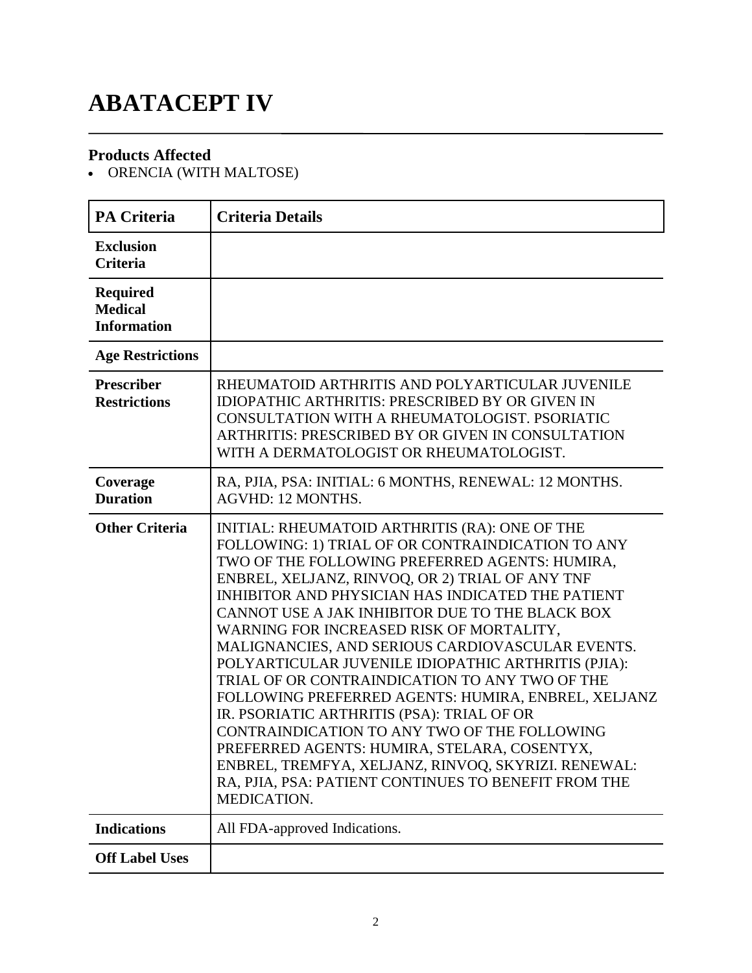# **ABATACEPT IV**

### **Products Affected**

• ORENCIA (WITH MALTOSE)

| <b>PA Criteria</b>                                      | <b>Criteria Details</b>                                                                                                                                                                                                                                                                                                                                                                                                                                                                                                                                                                                                                                                                                                                                                                                                                                             |
|---------------------------------------------------------|---------------------------------------------------------------------------------------------------------------------------------------------------------------------------------------------------------------------------------------------------------------------------------------------------------------------------------------------------------------------------------------------------------------------------------------------------------------------------------------------------------------------------------------------------------------------------------------------------------------------------------------------------------------------------------------------------------------------------------------------------------------------------------------------------------------------------------------------------------------------|
| <b>Exclusion</b><br><b>Criteria</b>                     |                                                                                                                                                                                                                                                                                                                                                                                                                                                                                                                                                                                                                                                                                                                                                                                                                                                                     |
| <b>Required</b><br><b>Medical</b><br><b>Information</b> |                                                                                                                                                                                                                                                                                                                                                                                                                                                                                                                                                                                                                                                                                                                                                                                                                                                                     |
| <b>Age Restrictions</b>                                 |                                                                                                                                                                                                                                                                                                                                                                                                                                                                                                                                                                                                                                                                                                                                                                                                                                                                     |
| <b>Prescriber</b><br><b>Restrictions</b>                | RHEUMATOID ARTHRITIS AND POLYARTICULAR JUVENILE<br><b>IDIOPATHIC ARTHRITIS: PRESCRIBED BY OR GIVEN IN</b><br>CONSULTATION WITH A RHEUMATOLOGIST. PSORIATIC<br>ARTHRITIS: PRESCRIBED BY OR GIVEN IN CONSULTATION<br>WITH A DERMATOLOGIST OR RHEUMATOLOGIST.                                                                                                                                                                                                                                                                                                                                                                                                                                                                                                                                                                                                          |
| Coverage<br><b>Duration</b>                             | RA, PJIA, PSA: INITIAL: 6 MONTHS, RENEWAL: 12 MONTHS.<br>AGVHD: 12 MONTHS.                                                                                                                                                                                                                                                                                                                                                                                                                                                                                                                                                                                                                                                                                                                                                                                          |
| <b>Other Criteria</b>                                   | INITIAL: RHEUMATOID ARTHRITIS (RA): ONE OF THE<br>FOLLOWING: 1) TRIAL OF OR CONTRAINDICATION TO ANY<br>TWO OF THE FOLLOWING PREFERRED AGENTS: HUMIRA,<br>ENBREL, XELJANZ, RINVOQ, OR 2) TRIAL OF ANY TNF<br><b>INHIBITOR AND PHYSICIAN HAS INDICATED THE PATIENT</b><br>CANNOT USE A JAK INHIBITOR DUE TO THE BLACK BOX<br>WARNING FOR INCREASED RISK OF MORTALITY,<br>MALIGNANCIES, AND SERIOUS CARDIOVASCULAR EVENTS.<br>POLYARTICULAR JUVENILE IDIOPATHIC ARTHRITIS (PJIA):<br>TRIAL OF OR CONTRAINDICATION TO ANY TWO OF THE<br>FOLLOWING PREFERRED AGENTS: HUMIRA, ENBREL, XELJANZ<br>IR. PSORIATIC ARTHRITIS (PSA): TRIAL OF OR<br>CONTRAINDICATION TO ANY TWO OF THE FOLLOWING<br>PREFERRED AGENTS: HUMIRA, STELARA, COSENTYX,<br>ENBREL, TREMFYA, XELJANZ, RINVOQ, SKYRIZI. RENEWAL:<br>RA, PJIA, PSA: PATIENT CONTINUES TO BENEFIT FROM THE<br>MEDICATION. |
| <b>Indications</b>                                      | All FDA-approved Indications.                                                                                                                                                                                                                                                                                                                                                                                                                                                                                                                                                                                                                                                                                                                                                                                                                                       |
| <b>Off Label Uses</b>                                   |                                                                                                                                                                                                                                                                                                                                                                                                                                                                                                                                                                                                                                                                                                                                                                                                                                                                     |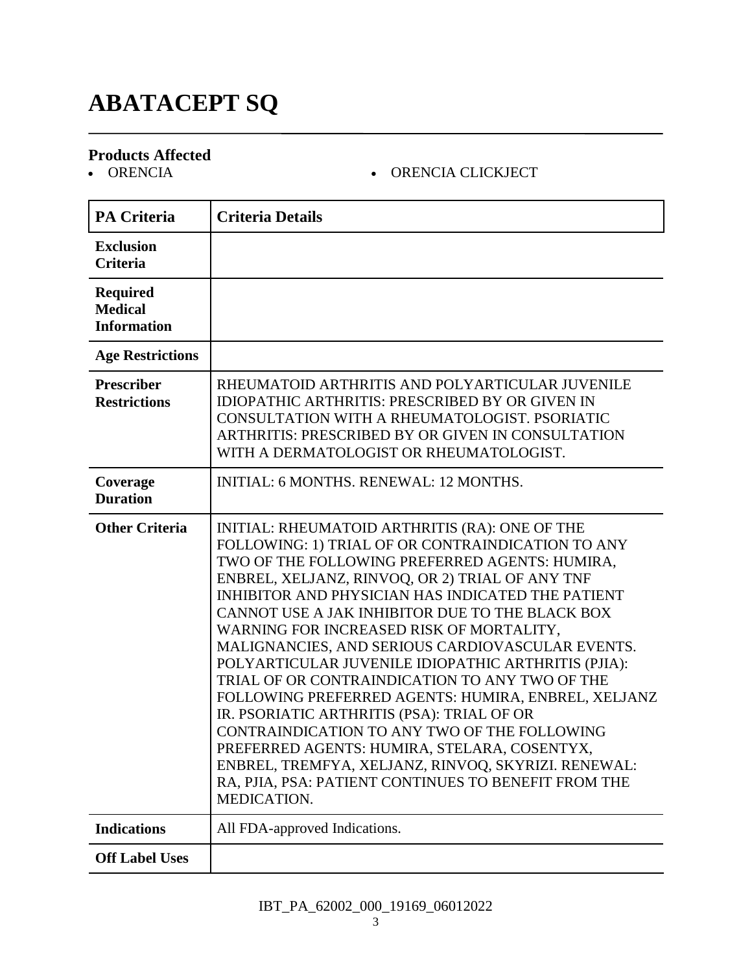# **ABATACEPT SQ**

#### **Products Affected**

#### ORENCIA ORENCIA CLICKJECT

| <b>PA Criteria</b>                                      | <b>Criteria Details</b>                                                                                                                                                                                                                                                                                                                                                                                                                                                                                                                                                                                                                                                                                                                                                                                                                                      |
|---------------------------------------------------------|--------------------------------------------------------------------------------------------------------------------------------------------------------------------------------------------------------------------------------------------------------------------------------------------------------------------------------------------------------------------------------------------------------------------------------------------------------------------------------------------------------------------------------------------------------------------------------------------------------------------------------------------------------------------------------------------------------------------------------------------------------------------------------------------------------------------------------------------------------------|
| <b>Exclusion</b><br><b>Criteria</b>                     |                                                                                                                                                                                                                                                                                                                                                                                                                                                                                                                                                                                                                                                                                                                                                                                                                                                              |
| <b>Required</b><br><b>Medical</b><br><b>Information</b> |                                                                                                                                                                                                                                                                                                                                                                                                                                                                                                                                                                                                                                                                                                                                                                                                                                                              |
| <b>Age Restrictions</b>                                 |                                                                                                                                                                                                                                                                                                                                                                                                                                                                                                                                                                                                                                                                                                                                                                                                                                                              |
| <b>Prescriber</b><br><b>Restrictions</b>                | RHEUMATOID ARTHRITIS AND POLYARTICULAR JUVENILE<br><b>IDIOPATHIC ARTHRITIS: PRESCRIBED BY OR GIVEN IN</b><br>CONSULTATION WITH A RHEUMATOLOGIST. PSORIATIC<br>ARTHRITIS: PRESCRIBED BY OR GIVEN IN CONSULTATION<br>WITH A DERMATOLOGIST OR RHEUMATOLOGIST.                                                                                                                                                                                                                                                                                                                                                                                                                                                                                                                                                                                                   |
| Coverage<br><b>Duration</b>                             | <b>INITIAL: 6 MONTHS, RENEWAL: 12 MONTHS.</b>                                                                                                                                                                                                                                                                                                                                                                                                                                                                                                                                                                                                                                                                                                                                                                                                                |
| <b>Other Criteria</b>                                   | INITIAL: RHEUMATOID ARTHRITIS (RA): ONE OF THE<br>FOLLOWING: 1) TRIAL OF OR CONTRAINDICATION TO ANY<br>TWO OF THE FOLLOWING PREFERRED AGENTS: HUMIRA,<br>ENBREL, XELJANZ, RINVOQ, OR 2) TRIAL OF ANY TNF<br>INHIBITOR AND PHYSICIAN HAS INDICATED THE PATIENT<br>CANNOT USE A JAK INHIBITOR DUE TO THE BLACK BOX<br>WARNING FOR INCREASED RISK OF MORTALITY,<br>MALIGNANCIES, AND SERIOUS CARDIOVASCULAR EVENTS.<br>POLYARTICULAR JUVENILE IDIOPATHIC ARTHRITIS (PJIA):<br>TRIAL OF OR CONTRAINDICATION TO ANY TWO OF THE<br>FOLLOWING PREFERRED AGENTS: HUMIRA, ENBREL, XELJANZ<br>IR. PSORIATIC ARTHRITIS (PSA): TRIAL OF OR<br>CONTRAINDICATION TO ANY TWO OF THE FOLLOWING<br>PREFERRED AGENTS: HUMIRA, STELARA, COSENTYX,<br>ENBREL, TREMFYA, XELJANZ, RINVOQ, SKYRIZI. RENEWAL:<br>RA, PJIA, PSA: PATIENT CONTINUES TO BENEFIT FROM THE<br>MEDICATION. |
| <b>Indications</b>                                      | All FDA-approved Indications.                                                                                                                                                                                                                                                                                                                                                                                                                                                                                                                                                                                                                                                                                                                                                                                                                                |
| <b>Off Label Uses</b>                                   |                                                                                                                                                                                                                                                                                                                                                                                                                                                                                                                                                                                                                                                                                                                                                                                                                                                              |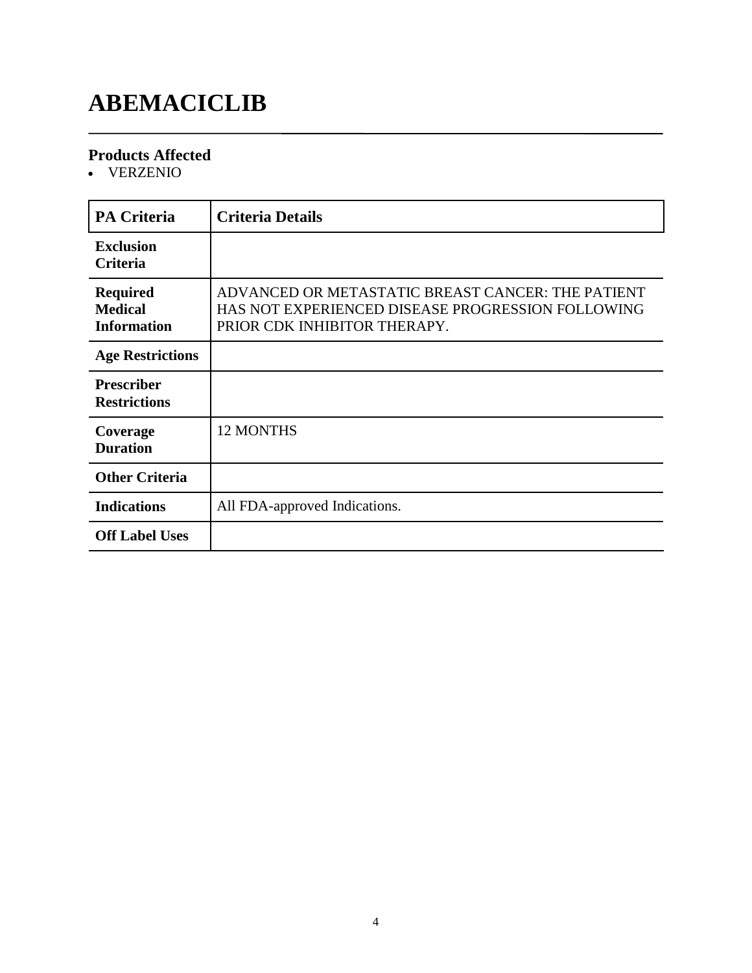# **ABEMACICLIB**

### **Products Affected**

VERZENIO

| <b>PA Criteria</b>                                      | <b>Criteria Details</b>                                                                                                                |
|---------------------------------------------------------|----------------------------------------------------------------------------------------------------------------------------------------|
| <b>Exclusion</b><br><b>Criteria</b>                     |                                                                                                                                        |
| <b>Required</b><br><b>Medical</b><br><b>Information</b> | ADVANCED OR METASTATIC BREAST CANCER: THE PATIENT<br>HAS NOT EXPERIENCED DISEASE PROGRESSION FOLLOWING<br>PRIOR CDK INHIBITOR THERAPY. |
| <b>Age Restrictions</b>                                 |                                                                                                                                        |
| <b>Prescriber</b><br><b>Restrictions</b>                |                                                                                                                                        |
| Coverage<br><b>Duration</b>                             | <b>12 MONTHS</b>                                                                                                                       |
| <b>Other Criteria</b>                                   |                                                                                                                                        |
| <b>Indications</b>                                      | All FDA-approved Indications.                                                                                                          |
| <b>Off Label Uses</b>                                   |                                                                                                                                        |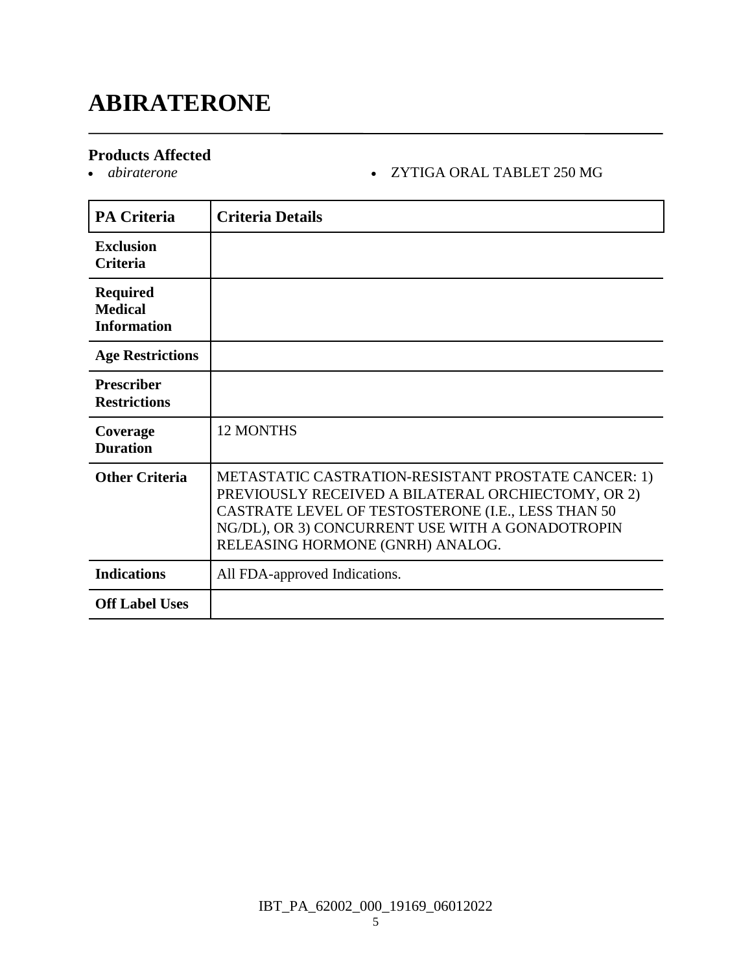### **ABIRATERONE**

#### **Products Affected**

#### *abiraterone* ZYTIGA ORAL TABLET 250 MG

| <b>PA Criteria</b>                                      | <b>Criteria Details</b>                                                                                                                                                                                                                                 |
|---------------------------------------------------------|---------------------------------------------------------------------------------------------------------------------------------------------------------------------------------------------------------------------------------------------------------|
| <b>Exclusion</b><br><b>Criteria</b>                     |                                                                                                                                                                                                                                                         |
| <b>Required</b><br><b>Medical</b><br><b>Information</b> |                                                                                                                                                                                                                                                         |
| <b>Age Restrictions</b>                                 |                                                                                                                                                                                                                                                         |
| <b>Prescriber</b><br><b>Restrictions</b>                |                                                                                                                                                                                                                                                         |
| Coverage<br><b>Duration</b>                             | <b>12 MONTHS</b>                                                                                                                                                                                                                                        |
| <b>Other Criteria</b>                                   | METASTATIC CASTRATION-RESISTANT PROSTATE CANCER: 1)<br>PREVIOUSLY RECEIVED A BILATERAL ORCHIECTOMY, OR 2)<br>CASTRATE LEVEL OF TESTOSTERONE (I.E., LESS THAN 50<br>NG/DL), OR 3) CONCURRENT USE WITH A GONADOTROPIN<br>RELEASING HORMONE (GNRH) ANALOG. |
| <b>Indications</b>                                      | All FDA-approved Indications.                                                                                                                                                                                                                           |
| <b>Off Label Uses</b>                                   |                                                                                                                                                                                                                                                         |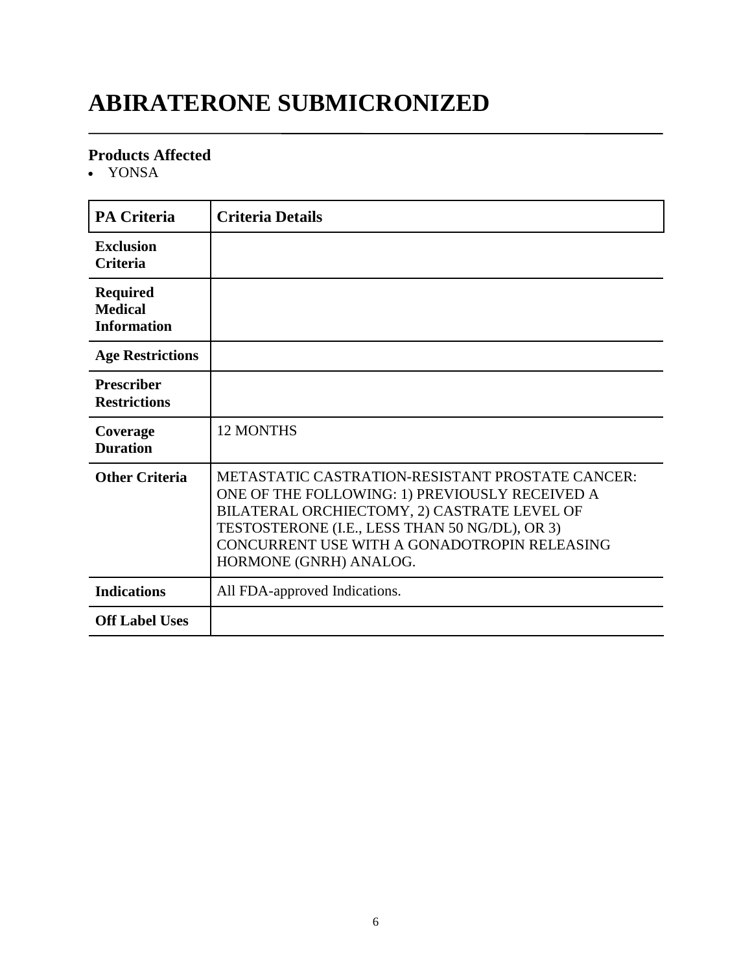# **ABIRATERONE SUBMICRONIZED**

#### **Products Affected**

YONSA

| <b>PA Criteria</b>                                      | <b>Criteria Details</b>                                                                                                                                                                                                                                                       |
|---------------------------------------------------------|-------------------------------------------------------------------------------------------------------------------------------------------------------------------------------------------------------------------------------------------------------------------------------|
| <b>Exclusion</b><br><b>Criteria</b>                     |                                                                                                                                                                                                                                                                               |
| <b>Required</b><br><b>Medical</b><br><b>Information</b> |                                                                                                                                                                                                                                                                               |
| <b>Age Restrictions</b>                                 |                                                                                                                                                                                                                                                                               |
| <b>Prescriber</b><br><b>Restrictions</b>                |                                                                                                                                                                                                                                                                               |
| Coverage<br><b>Duration</b>                             | <b>12 MONTHS</b>                                                                                                                                                                                                                                                              |
| <b>Other Criteria</b>                                   | METASTATIC CASTRATION-RESISTANT PROSTATE CANCER:<br>ONE OF THE FOLLOWING: 1) PREVIOUSLY RECEIVED A<br>BILATERAL ORCHIECTOMY, 2) CASTRATE LEVEL OF<br>TESTOSTERONE (I.E., LESS THAN 50 NG/DL), OR 3)<br>CONCURRENT USE WITH A GONADOTROPIN RELEASING<br>HORMONE (GNRH) ANALOG. |
| <b>Indications</b>                                      | All FDA-approved Indications.                                                                                                                                                                                                                                                 |
| <b>Off Label Uses</b>                                   |                                                                                                                                                                                                                                                                               |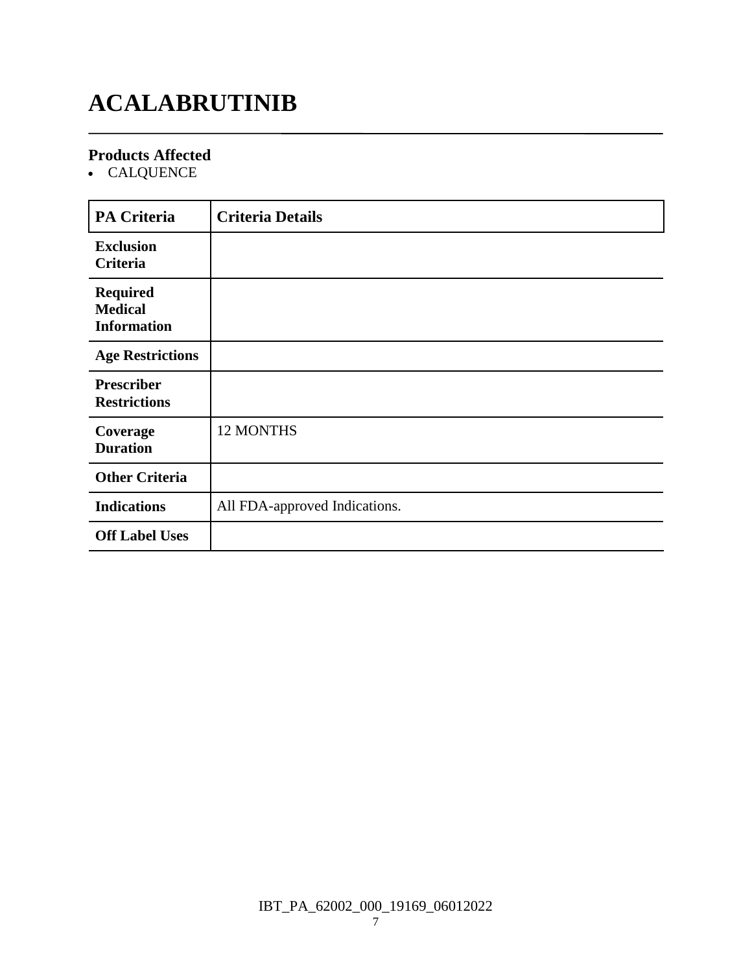# **ACALABRUTINIB**

#### **Products Affected**

CALQUENCE

| <b>PA Criteria</b>                                      | <b>Criteria Details</b>       |
|---------------------------------------------------------|-------------------------------|
| <b>Exclusion</b><br>Criteria                            |                               |
| <b>Required</b><br><b>Medical</b><br><b>Information</b> |                               |
| <b>Age Restrictions</b>                                 |                               |
| <b>Prescriber</b><br><b>Restrictions</b>                |                               |
| Coverage<br><b>Duration</b>                             | 12 MONTHS                     |
| <b>Other Criteria</b>                                   |                               |
| <b>Indications</b>                                      | All FDA-approved Indications. |
| <b>Off Label Uses</b>                                   |                               |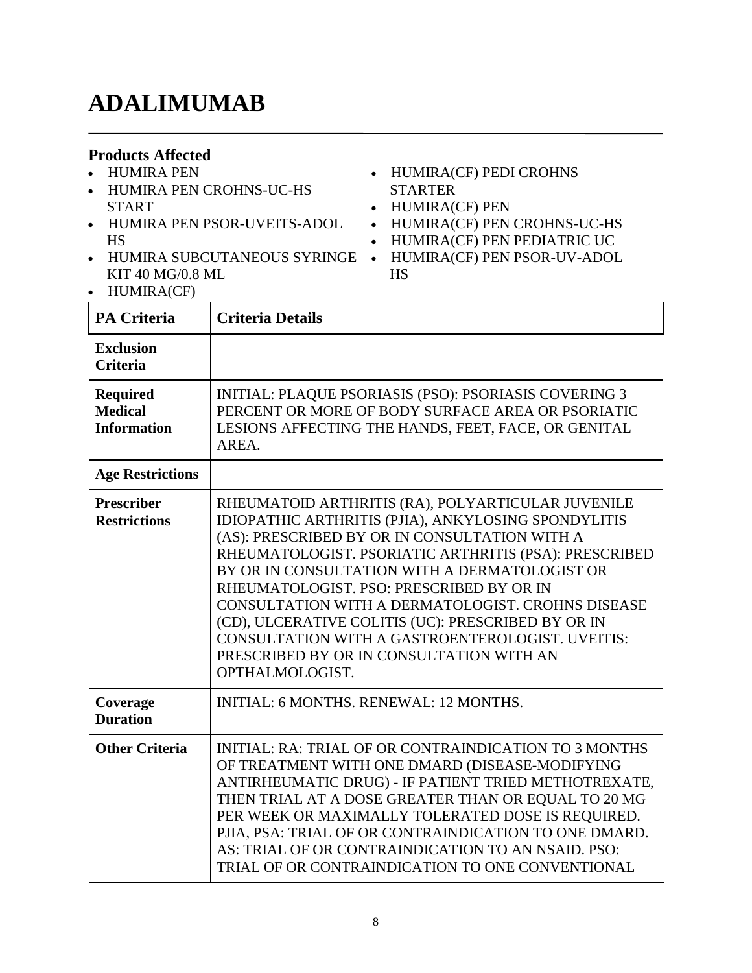### **ADALIMUMAB**

#### **Products Affected**

- HUMIRA PEN
- HUMIRA PEN CROHNS-UC-HS START
- HUMIRA PEN PSOR-UVEITS-ADOL HS
- HUMIRA SUBCUTANEOUS SYRINGE HUMIRA(CF) PEN PSOR-UV-ADOL KIT 40 MG/0.8 ML
- HUMIRA(CF)
- HUMIRA(CF) PEDI CROHNS **STARTER**
- HUMIRA(CF) PEN
- HUMIRA(CF) PEN CROHNS-UC-HS
- HUMIRA(CF) PEN PEDIATRIC UC
- HS

| <b>PA Criteria</b>                                      | <b>Criteria Details</b>                                                                                                                                                                                                                                                                                                                                                                                                                                                                                                                              |
|---------------------------------------------------------|------------------------------------------------------------------------------------------------------------------------------------------------------------------------------------------------------------------------------------------------------------------------------------------------------------------------------------------------------------------------------------------------------------------------------------------------------------------------------------------------------------------------------------------------------|
| <b>Exclusion</b><br><b>Criteria</b>                     |                                                                                                                                                                                                                                                                                                                                                                                                                                                                                                                                                      |
| <b>Required</b><br><b>Medical</b><br><b>Information</b> | INITIAL: PLAQUE PSORIASIS (PSO): PSORIASIS COVERING 3<br>PERCENT OR MORE OF BODY SURFACE AREA OR PSORIATIC<br>LESIONS AFFECTING THE HANDS, FEET, FACE, OR GENITAL<br>AREA.                                                                                                                                                                                                                                                                                                                                                                           |
| <b>Age Restrictions</b>                                 |                                                                                                                                                                                                                                                                                                                                                                                                                                                                                                                                                      |
| <b>Prescriber</b><br><b>Restrictions</b>                | RHEUMATOID ARTHRITIS (RA), POLYARTICULAR JUVENILE<br>IDIOPATHIC ARTHRITIS (PJIA), ANKYLOSING SPONDYLITIS<br>(AS): PRESCRIBED BY OR IN CONSULTATION WITH A<br>RHEUMATOLOGIST. PSORIATIC ARTHRITIS (PSA): PRESCRIBED<br>BY OR IN CONSULTATION WITH A DERMATOLOGIST OR<br>RHEUMATOLOGIST. PSO: PRESCRIBED BY OR IN<br><b>CONSULTATION WITH A DERMATOLOGIST. CROHNS DISEASE</b><br>(CD), ULCERATIVE COLITIS (UC): PRESCRIBED BY OR IN<br>CONSULTATION WITH A GASTROENTEROLOGIST. UVEITIS:<br>PRESCRIBED BY OR IN CONSULTATION WITH AN<br>OPTHALMOLOGIST. |
| Coverage<br><b>Duration</b>                             | <b>INITIAL: 6 MONTHS, RENEWAL: 12 MONTHS.</b>                                                                                                                                                                                                                                                                                                                                                                                                                                                                                                        |
| <b>Other Criteria</b>                                   | <b>INITIAL: RA: TRIAL OF OR CONTRAINDICATION TO 3 MONTHS</b><br>OF TREATMENT WITH ONE DMARD (DISEASE-MODIFYING<br>ANTIRHEUMATIC DRUG) - IF PATIENT TRIED METHOTREXATE,<br>THEN TRIAL AT A DOSE GREATER THAN OR EQUAL TO 20 MG<br>PER WEEK OR MAXIMALLY TOLERATED DOSE IS REQUIRED.<br>PJIA, PSA: TRIAL OF OR CONTRAINDICATION TO ONE DMARD.<br>AS: TRIAL OF OR CONTRAINDICATION TO AN NSAID. PSO:<br>TRIAL OF OR CONTRAINDICATION TO ONE CONVENTIONAL                                                                                                |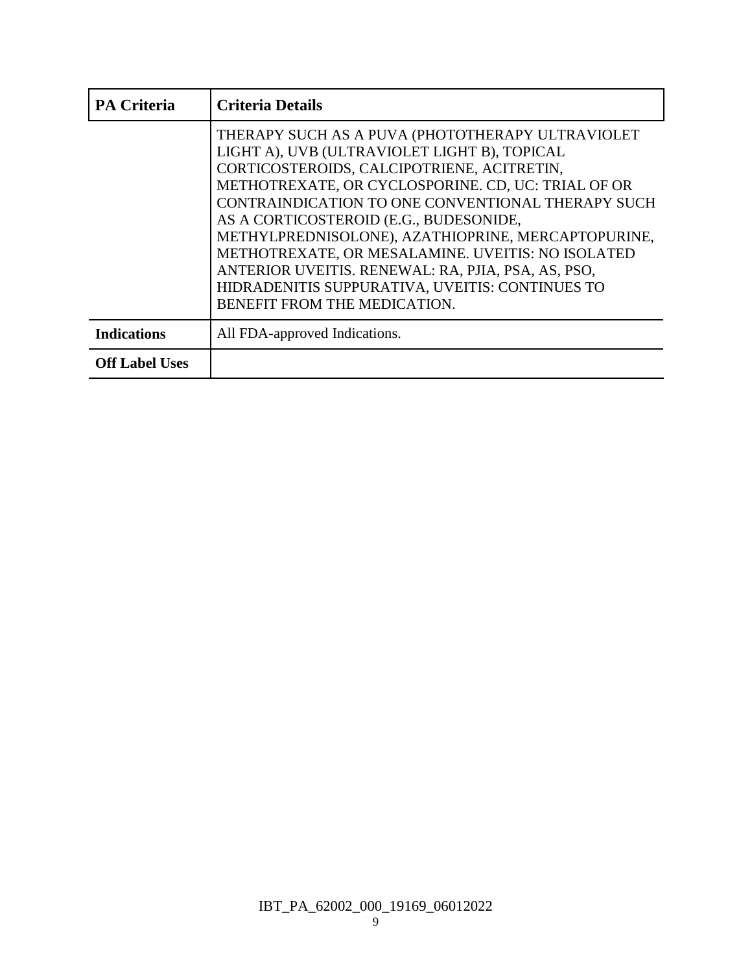| <b>PA Criteria</b>    | <b>Criteria Details</b>                                                                                                                                                                                                                                                                                                                                                                                                                                                                                                                                 |
|-----------------------|---------------------------------------------------------------------------------------------------------------------------------------------------------------------------------------------------------------------------------------------------------------------------------------------------------------------------------------------------------------------------------------------------------------------------------------------------------------------------------------------------------------------------------------------------------|
|                       | THERAPY SUCH AS A PUVA (PHOTOTHERAPY ULTRAVIOLET<br>LIGHT A), UVB (ULTRAVIOLET LIGHT B), TOPICAL<br>CORTICOSTEROIDS, CALCIPOTRIENE, ACITRETIN,<br>METHOTREXATE, OR CYCLOSPORINE. CD, UC: TRIAL OF OR<br>CONTRAINDICATION TO ONE CONVENTIONAL THERAPY SUCH<br>AS A CORTICOSTEROID (E.G., BUDESONIDE,<br>METHYLPREDNISOLONE), AZATHIOPRINE, MERCAPTOPURINE,<br>METHOTREXATE, OR MESALAMINE. UVEITIS: NO ISOLATED<br>ANTERIOR UVEITIS. RENEWAL: RA, PJIA, PSA, AS, PSO,<br>HIDRADENITIS SUPPURATIVA, UVEITIS: CONTINUES TO<br>BENEFIT FROM THE MEDICATION. |
| <b>Indications</b>    | All FDA-approved Indications.                                                                                                                                                                                                                                                                                                                                                                                                                                                                                                                           |
| <b>Off Label Uses</b> |                                                                                                                                                                                                                                                                                                                                                                                                                                                                                                                                                         |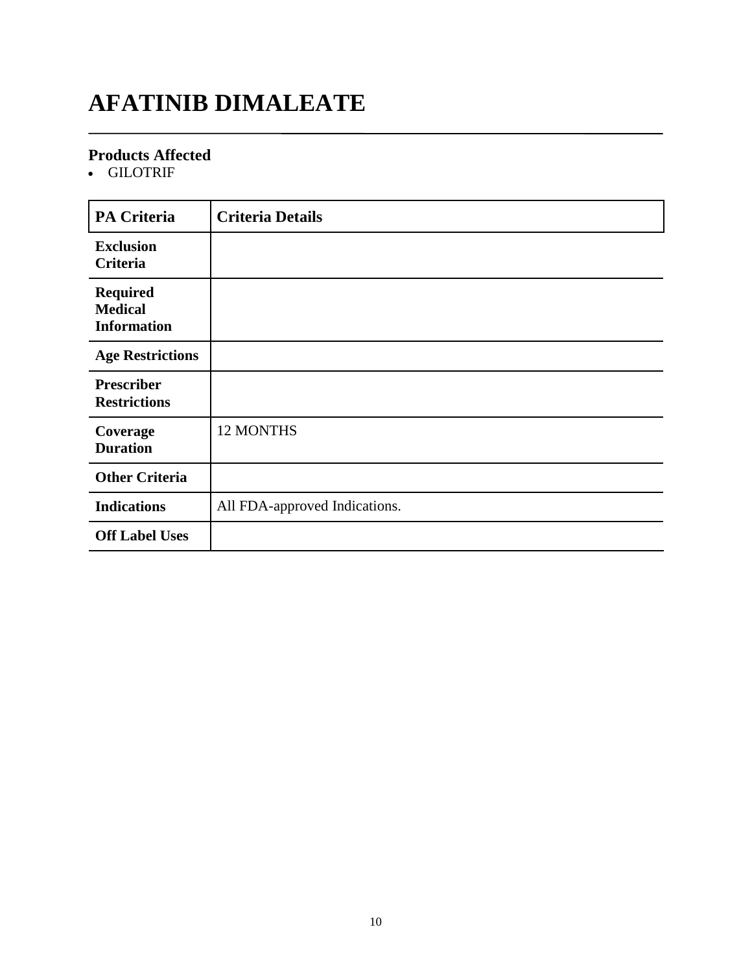### **AFATINIB DIMALEATE**

#### **Products Affected**

GILOTRIF

| <b>PA Criteria</b>                                      | <b>Criteria Details</b>       |
|---------------------------------------------------------|-------------------------------|
| <b>Exclusion</b><br>Criteria                            |                               |
| <b>Required</b><br><b>Medical</b><br><b>Information</b> |                               |
| <b>Age Restrictions</b>                                 |                               |
| <b>Prescriber</b><br><b>Restrictions</b>                |                               |
| Coverage<br><b>Duration</b>                             | 12 MONTHS                     |
| <b>Other Criteria</b>                                   |                               |
| <b>Indications</b>                                      | All FDA-approved Indications. |
| <b>Off Label Uses</b>                                   |                               |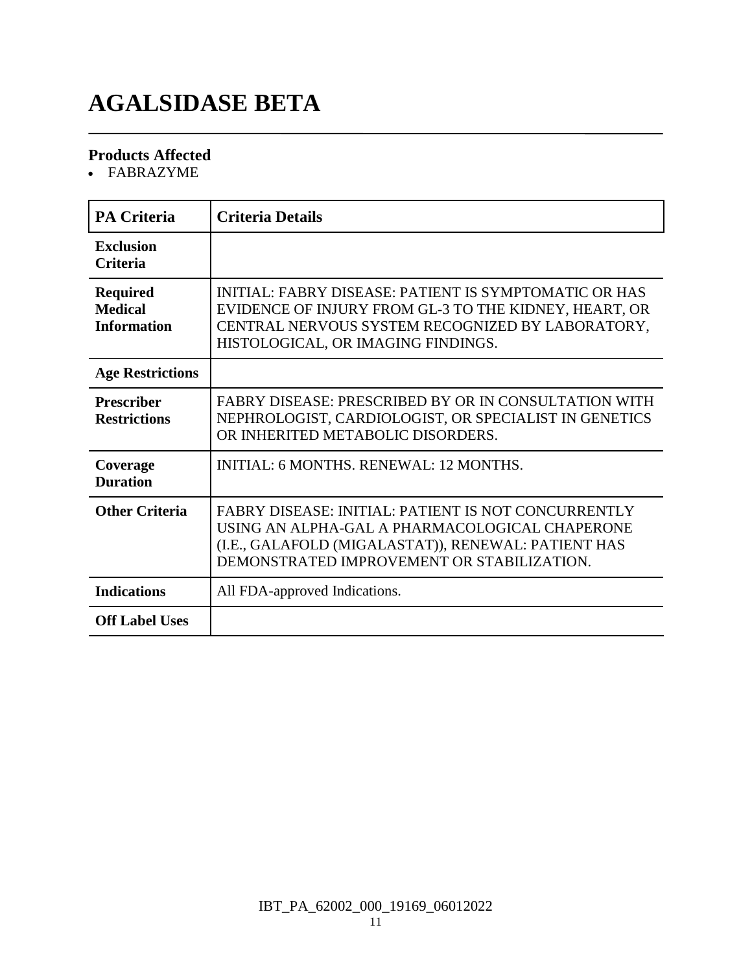# **AGALSIDASE BETA**

#### **Products Affected**

FABRAZYME

| <b>PA Criteria</b>                                      | <b>Criteria Details</b>                                                                                                                                                                                           |
|---------------------------------------------------------|-------------------------------------------------------------------------------------------------------------------------------------------------------------------------------------------------------------------|
| Exclusion<br><b>Criteria</b>                            |                                                                                                                                                                                                                   |
| <b>Required</b><br><b>Medical</b><br><b>Information</b> | INITIAL: FABRY DISEASE: PATIENT IS SYMPTOMATIC OR HAS<br>EVIDENCE OF INJURY FROM GL-3 TO THE KIDNEY, HEART, OR<br>CENTRAL NERVOUS SYSTEM RECOGNIZED BY LABORATORY,<br>HISTOLOGICAL, OR IMAGING FINDINGS.          |
| <b>Age Restrictions</b>                                 |                                                                                                                                                                                                                   |
| <b>Prescriber</b><br><b>Restrictions</b>                | <b>FABRY DISEASE: PRESCRIBED BY OR IN CONSULTATION WITH</b><br>NEPHROLOGIST, CARDIOLOGIST, OR SPECIALIST IN GENETICS<br>OR INHERITED METABOLIC DISORDERS.                                                         |
| Coverage<br><b>Duration</b>                             | <b>INITIAL: 6 MONTHS, RENEWAL: 12 MONTHS.</b>                                                                                                                                                                     |
| <b>Other Criteria</b>                                   | <b>FABRY DISEASE: INITIAL: PATIENT IS NOT CONCURRENTLY</b><br>USING AN ALPHA-GAL A PHARMACOLOGICAL CHAPERONE<br>(I.E., GALAFOLD (MIGALASTAT)), RENEWAL: PATIENT HAS<br>DEMONSTRATED IMPROVEMENT OR STABILIZATION. |
| <b>Indications</b>                                      | All FDA-approved Indications.                                                                                                                                                                                     |
| <b>Off Label Uses</b>                                   |                                                                                                                                                                                                                   |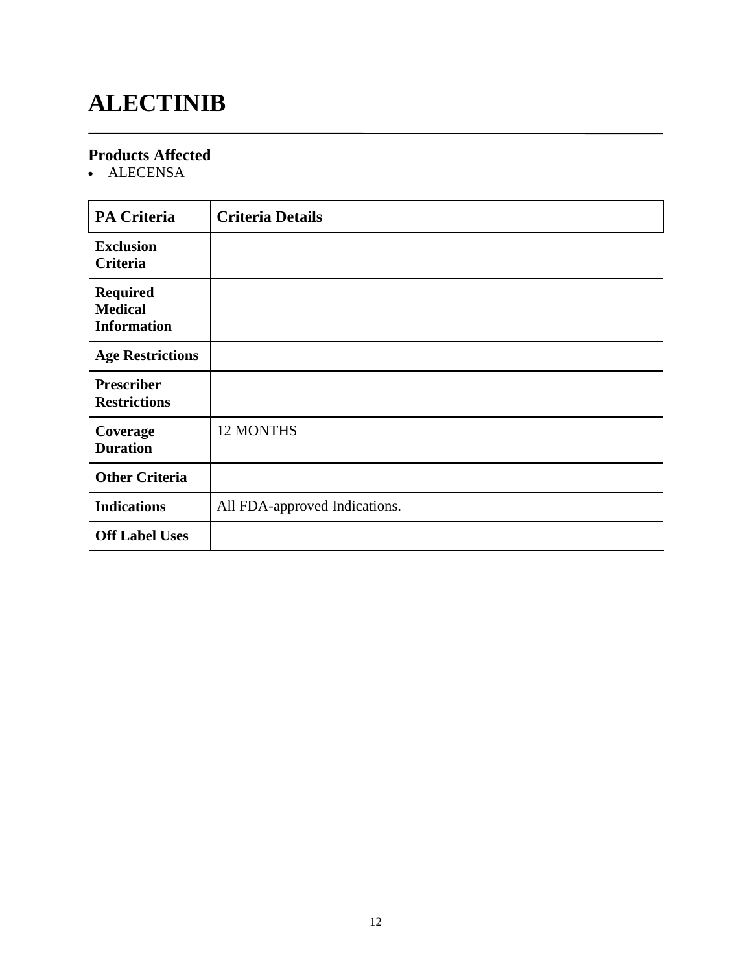# **ALECTINIB**

### **Products Affected**

ALECENSA

| <b>PA Criteria</b>                                      | <b>Criteria Details</b>       |
|---------------------------------------------------------|-------------------------------|
| <b>Exclusion</b><br><b>Criteria</b>                     |                               |
| <b>Required</b><br><b>Medical</b><br><b>Information</b> |                               |
| <b>Age Restrictions</b>                                 |                               |
| <b>Prescriber</b><br><b>Restrictions</b>                |                               |
| Coverage<br><b>Duration</b>                             | 12 MONTHS                     |
| <b>Other Criteria</b>                                   |                               |
| <b>Indications</b>                                      | All FDA-approved Indications. |
| <b>Off Label Uses</b>                                   |                               |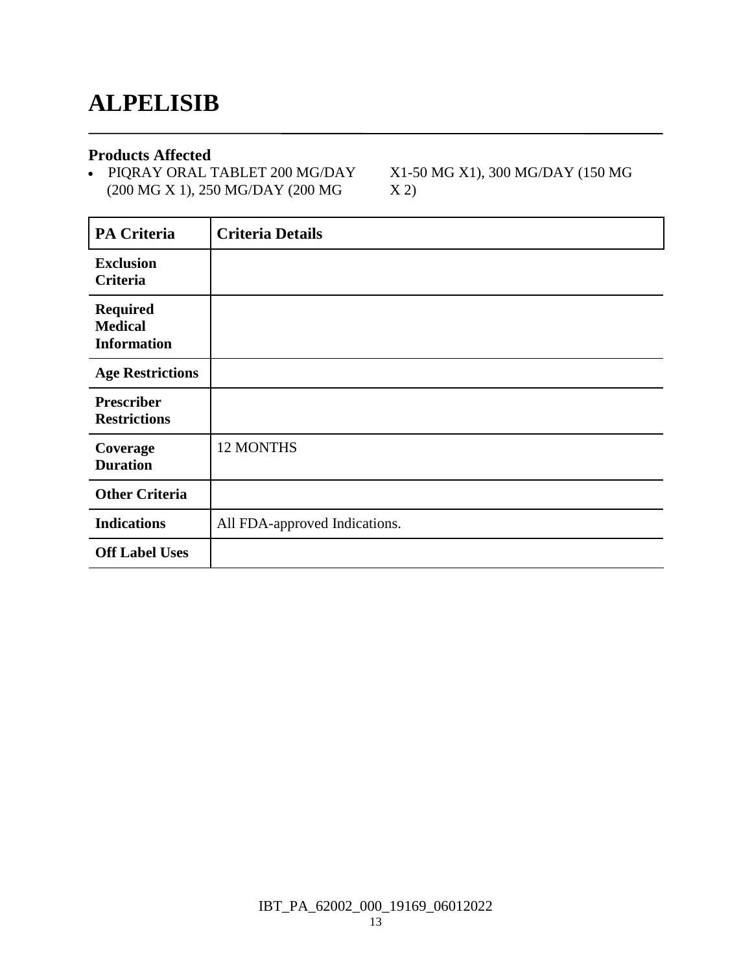### **ALPELISIB**

#### **Products Affected**

 PIQRAY ORAL TABLET 200 MG/DAY (200 MG X 1), 250 MG/DAY (200 MG

X1-50 MG X1), 300 MG/DAY (150 MG X 2)

| <b>PA Criteria</b>                                      | <b>Criteria Details</b>       |
|---------------------------------------------------------|-------------------------------|
| <b>Exclusion</b><br>Criteria                            |                               |
| <b>Required</b><br><b>Medical</b><br><b>Information</b> |                               |
| <b>Age Restrictions</b>                                 |                               |
| <b>Prescriber</b><br><b>Restrictions</b>                |                               |
| Coverage<br><b>Duration</b>                             | 12 MONTHS                     |
| <b>Other Criteria</b>                                   |                               |
| <b>Indications</b>                                      | All FDA-approved Indications. |
| <b>Off Label Uses</b>                                   |                               |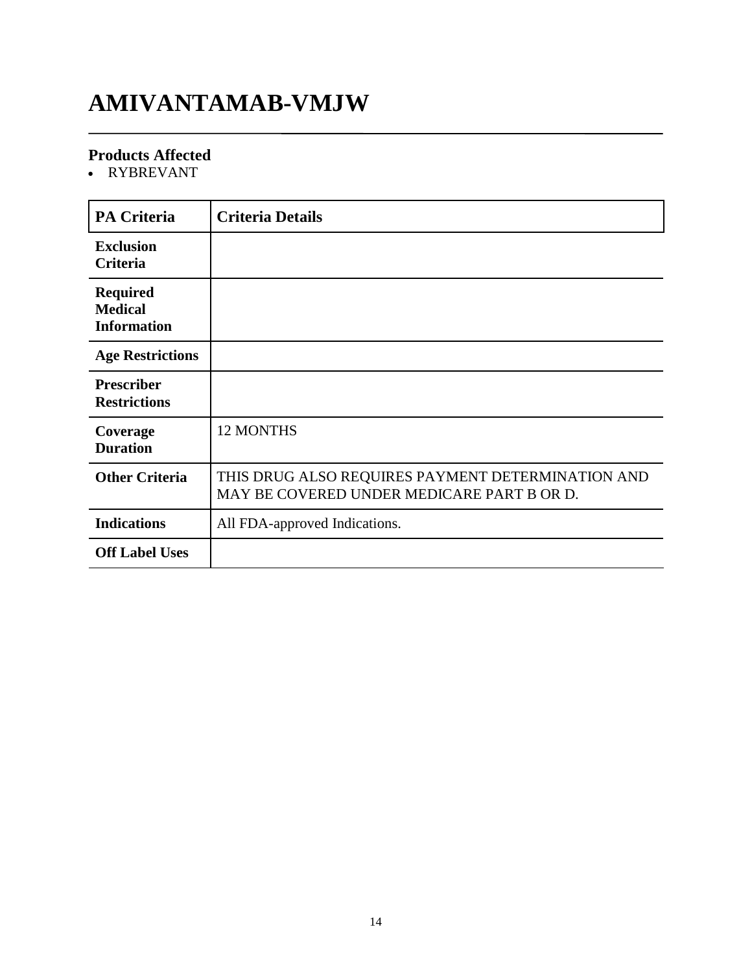### **AMIVANTAMAB-VMJW**

### **Products Affected**

RYBREVANT

| <b>PA Criteria</b>                                      | <b>Criteria Details</b>                                                                         |
|---------------------------------------------------------|-------------------------------------------------------------------------------------------------|
| <b>Exclusion</b><br>Criteria                            |                                                                                                 |
| <b>Required</b><br><b>Medical</b><br><b>Information</b> |                                                                                                 |
| <b>Age Restrictions</b>                                 |                                                                                                 |
| <b>Prescriber</b><br><b>Restrictions</b>                |                                                                                                 |
| Coverage<br><b>Duration</b>                             | <b>12 MONTHS</b>                                                                                |
| <b>Other Criteria</b>                                   | THIS DRUG ALSO REQUIRES PAYMENT DETERMINATION AND<br>MAY BE COVERED UNDER MEDICARE PART B OR D. |
| <b>Indications</b>                                      | All FDA-approved Indications.                                                                   |
| <b>Off Label Uses</b>                                   |                                                                                                 |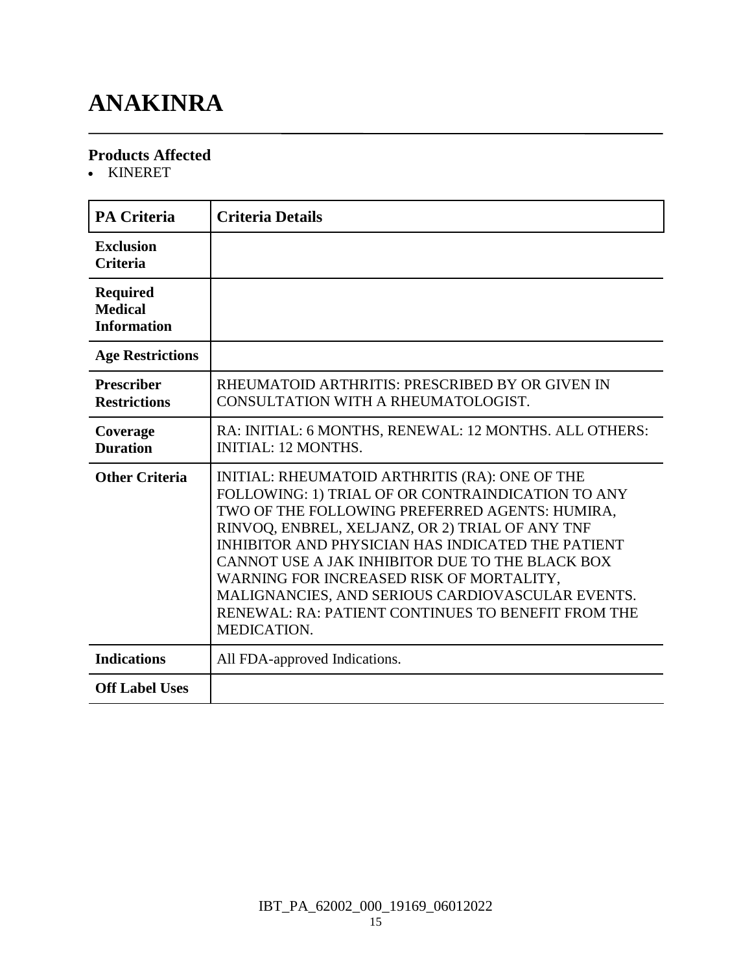# **ANAKINRA**

#### **Products Affected**

KINERET

| <b>PA Criteria</b>                                      | <b>Criteria Details</b>                                                                                                                                                                                                                                                                                                                                                                                                                                                               |
|---------------------------------------------------------|---------------------------------------------------------------------------------------------------------------------------------------------------------------------------------------------------------------------------------------------------------------------------------------------------------------------------------------------------------------------------------------------------------------------------------------------------------------------------------------|
| <b>Exclusion</b><br><b>Criteria</b>                     |                                                                                                                                                                                                                                                                                                                                                                                                                                                                                       |
| <b>Required</b><br><b>Medical</b><br><b>Information</b> |                                                                                                                                                                                                                                                                                                                                                                                                                                                                                       |
| <b>Age Restrictions</b>                                 |                                                                                                                                                                                                                                                                                                                                                                                                                                                                                       |
| <b>Prescriber</b><br><b>Restrictions</b>                | RHEUMATOID ARTHRITIS: PRESCRIBED BY OR GIVEN IN<br>CONSULTATION WITH A RHEUMATOLOGIST.                                                                                                                                                                                                                                                                                                                                                                                                |
| Coverage<br><b>Duration</b>                             | RA: INITIAL: 6 MONTHS, RENEWAL: 12 MONTHS. ALL OTHERS:<br><b>INITIAL: 12 MONTHS.</b>                                                                                                                                                                                                                                                                                                                                                                                                  |
| <b>Other Criteria</b>                                   | INITIAL: RHEUMATOID ARTHRITIS (RA): ONE OF THE<br>FOLLOWING: 1) TRIAL OF OR CONTRAINDICATION TO ANY<br>TWO OF THE FOLLOWING PREFERRED AGENTS: HUMIRA,<br>RINVOQ, ENBREL, XELJANZ, OR 2) TRIAL OF ANY TNF<br>INHIBITOR AND PHYSICIAN HAS INDICATED THE PATIENT<br>CANNOT USE A JAK INHIBITOR DUE TO THE BLACK BOX<br>WARNING FOR INCREASED RISK OF MORTALITY,<br>MALIGNANCIES, AND SERIOUS CARDIOVASCULAR EVENTS.<br>RENEWAL: RA: PATIENT CONTINUES TO BENEFIT FROM THE<br>MEDICATION. |
| <b>Indications</b>                                      | All FDA-approved Indications.                                                                                                                                                                                                                                                                                                                                                                                                                                                         |
| <b>Off Label Uses</b>                                   |                                                                                                                                                                                                                                                                                                                                                                                                                                                                                       |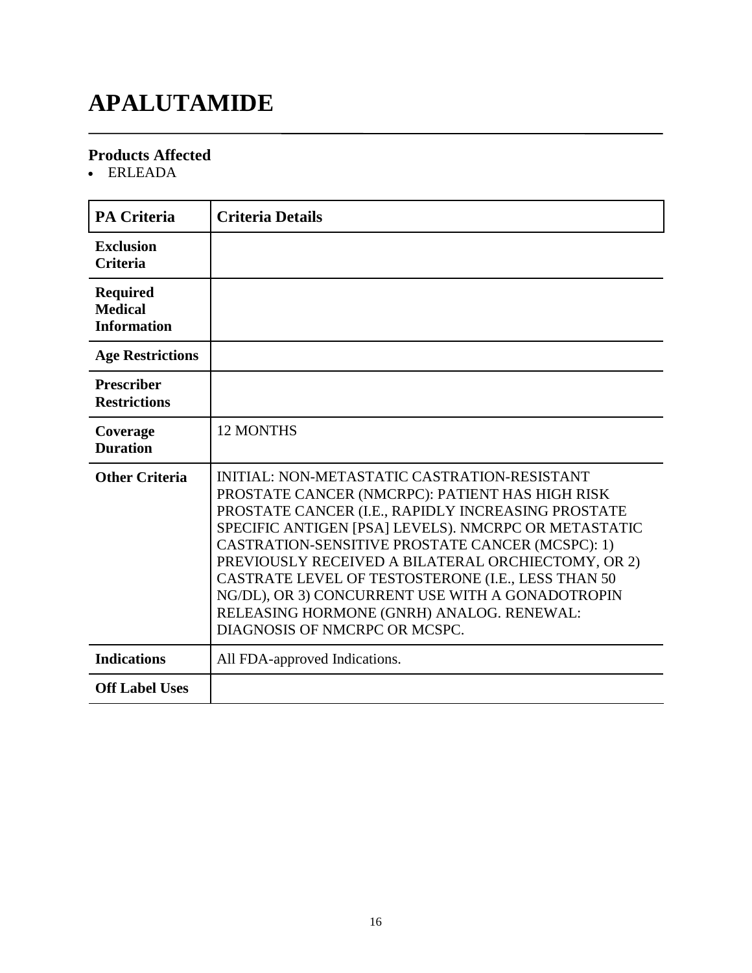# **APALUTAMIDE**

#### **Products Affected**

ERLEADA

| <b>PA Criteria</b>                                      | <b>Criteria Details</b>                                                                                                                                                                                                                                                                                                                                                                                                                                                                                         |
|---------------------------------------------------------|-----------------------------------------------------------------------------------------------------------------------------------------------------------------------------------------------------------------------------------------------------------------------------------------------------------------------------------------------------------------------------------------------------------------------------------------------------------------------------------------------------------------|
| <b>Exclusion</b><br><b>Criteria</b>                     |                                                                                                                                                                                                                                                                                                                                                                                                                                                                                                                 |
| <b>Required</b><br><b>Medical</b><br><b>Information</b> |                                                                                                                                                                                                                                                                                                                                                                                                                                                                                                                 |
| <b>Age Restrictions</b>                                 |                                                                                                                                                                                                                                                                                                                                                                                                                                                                                                                 |
| <b>Prescriber</b><br><b>Restrictions</b>                |                                                                                                                                                                                                                                                                                                                                                                                                                                                                                                                 |
| Coverage<br><b>Duration</b>                             | <b>12 MONTHS</b>                                                                                                                                                                                                                                                                                                                                                                                                                                                                                                |
| <b>Other Criteria</b>                                   | INITIAL: NON-METASTATIC CASTRATION-RESISTANT<br>PROSTATE CANCER (NMCRPC): PATIENT HAS HIGH RISK<br>PROSTATE CANCER (I.E., RAPIDLY INCREASING PROSTATE<br>SPECIFIC ANTIGEN [PSA] LEVELS). NMCRPC OR METASTATIC<br>CASTRATION-SENSITIVE PROSTATE CANCER (MCSPC): 1)<br>PREVIOUSLY RECEIVED A BILATERAL ORCHIECTOMY, OR 2)<br>CASTRATE LEVEL OF TESTOSTERONE (I.E., LESS THAN 50<br>NG/DL), OR 3) CONCURRENT USE WITH A GONADOTROPIN<br>RELEASING HORMONE (GNRH) ANALOG. RENEWAL:<br>DIAGNOSIS OF NMCRPC OR MCSPC. |
| <b>Indications</b>                                      | All FDA-approved Indications.                                                                                                                                                                                                                                                                                                                                                                                                                                                                                   |
| <b>Off Label Uses</b>                                   |                                                                                                                                                                                                                                                                                                                                                                                                                                                                                                                 |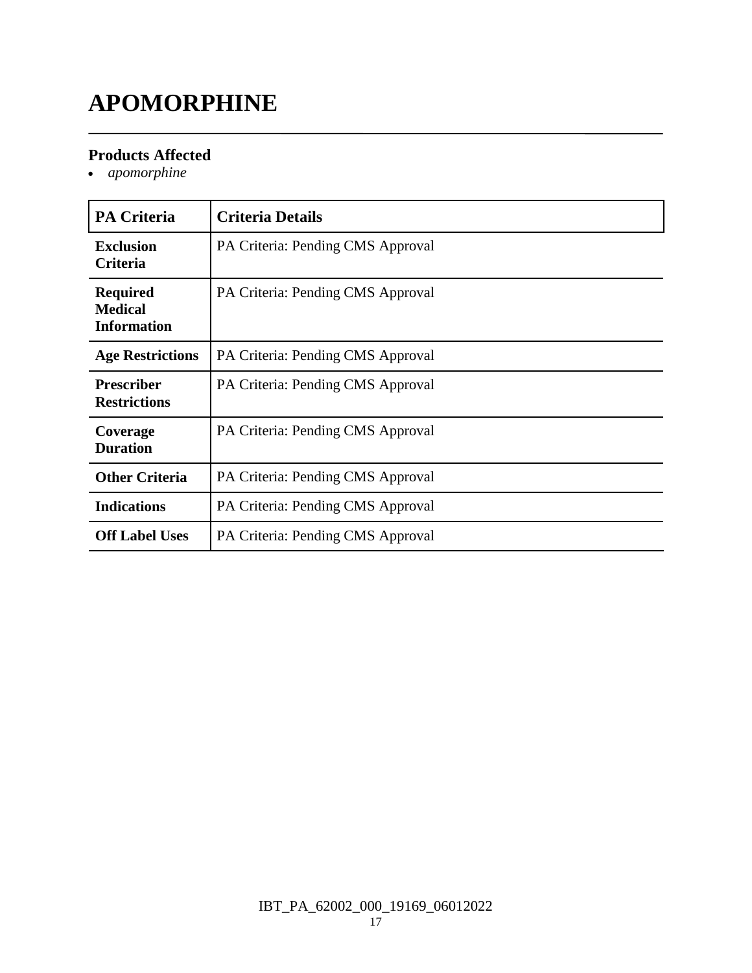# **APOMORPHINE**

#### **Products Affected**

*apomorphine*

| <b>PA Criteria</b>                                      | <b>Criteria Details</b>           |
|---------------------------------------------------------|-----------------------------------|
| <b>Exclusion</b><br>Criteria                            | PA Criteria: Pending CMS Approval |
| <b>Required</b><br><b>Medical</b><br><b>Information</b> | PA Criteria: Pending CMS Approval |
| <b>Age Restrictions</b>                                 | PA Criteria: Pending CMS Approval |
| <b>Prescriber</b><br><b>Restrictions</b>                | PA Criteria: Pending CMS Approval |
| Coverage<br><b>Duration</b>                             | PA Criteria: Pending CMS Approval |
| <b>Other Criteria</b>                                   | PA Criteria: Pending CMS Approval |
| <b>Indications</b>                                      | PA Criteria: Pending CMS Approval |
| <b>Off Label Uses</b>                                   | PA Criteria: Pending CMS Approval |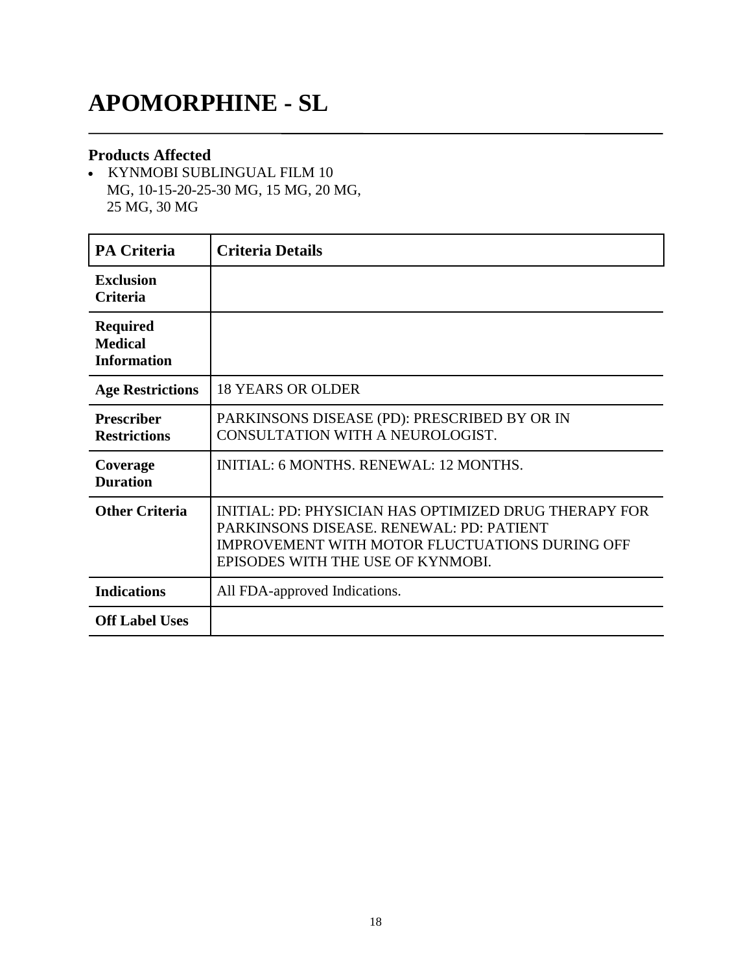### **APOMORPHINE - SL**

#### **Products Affected**

- KYNMOBI SUBLINGUAL FILM 10 MG, 10-15-20-25-30 MG, 15 MG, 20 MG, 25 MG, 30 MG

| <b>PA Criteria</b>                                      | <b>Criteria Details</b>                                                                                                                                                                         |
|---------------------------------------------------------|-------------------------------------------------------------------------------------------------------------------------------------------------------------------------------------------------|
| <b>Exclusion</b><br><b>Criteria</b>                     |                                                                                                                                                                                                 |
| <b>Required</b><br><b>Medical</b><br><b>Information</b> |                                                                                                                                                                                                 |
| <b>Age Restrictions</b>                                 | <b>18 YEARS OR OLDER</b>                                                                                                                                                                        |
| <b>Prescriber</b><br><b>Restrictions</b>                | PARKINSONS DISEASE (PD): PRESCRIBED BY OR IN<br>CONSULTATION WITH A NEUROLOGIST.                                                                                                                |
| Coverage<br><b>Duration</b>                             | <b>INITIAL: 6 MONTHS, RENEWAL: 12 MONTHS.</b>                                                                                                                                                   |
| <b>Other Criteria</b>                                   | INITIAL: PD: PHYSICIAN HAS OPTIMIZED DRUG THERAPY FOR<br>PARKINSONS DISEASE, RENEWAL: PD: PATIENT<br><b>IMPROVEMENT WITH MOTOR FLUCTUATIONS DURING OFF</b><br>EPISODES WITH THE USE OF KYNMOBI. |
| <b>Indications</b>                                      | All FDA-approved Indications.                                                                                                                                                                   |
| <b>Off Label Uses</b>                                   |                                                                                                                                                                                                 |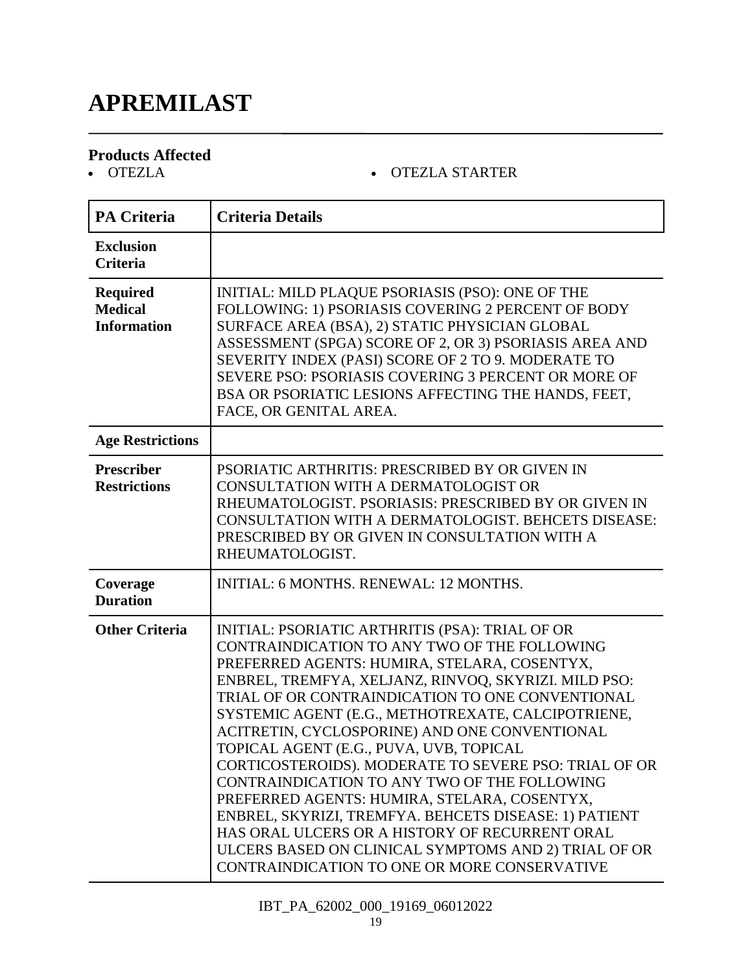# **APREMILAST**

# **Products Affected**

#### OTEZLA OTEZLA STARTER

| <b>PA Criteria</b>                                      | <b>Criteria Details</b>                                                                                                                                                                                                                                                                                                                                                                                                                                                                                                                                                                                                                                                                                                                                                                   |
|---------------------------------------------------------|-------------------------------------------------------------------------------------------------------------------------------------------------------------------------------------------------------------------------------------------------------------------------------------------------------------------------------------------------------------------------------------------------------------------------------------------------------------------------------------------------------------------------------------------------------------------------------------------------------------------------------------------------------------------------------------------------------------------------------------------------------------------------------------------|
| <b>Exclusion</b><br><b>Criteria</b>                     |                                                                                                                                                                                                                                                                                                                                                                                                                                                                                                                                                                                                                                                                                                                                                                                           |
| <b>Required</b><br><b>Medical</b><br><b>Information</b> | INITIAL: MILD PLAQUE PSORIASIS (PSO): ONE OF THE<br>FOLLOWING: 1) PSORIASIS COVERING 2 PERCENT OF BODY<br>SURFACE AREA (BSA), 2) STATIC PHYSICIAN GLOBAL<br>ASSESSMENT (SPGA) SCORE OF 2, OR 3) PSORIASIS AREA AND<br>SEVERITY INDEX (PASI) SCORE OF 2 TO 9. MODERATE TO<br>SEVERE PSO: PSORIASIS COVERING 3 PERCENT OR MORE OF<br>BSA OR PSORIATIC LESIONS AFFECTING THE HANDS, FEET,<br>FACE, OR GENITAL AREA.                                                                                                                                                                                                                                                                                                                                                                          |
| <b>Age Restrictions</b>                                 |                                                                                                                                                                                                                                                                                                                                                                                                                                                                                                                                                                                                                                                                                                                                                                                           |
| <b>Prescriber</b><br><b>Restrictions</b>                | PSORIATIC ARTHRITIS: PRESCRIBED BY OR GIVEN IN<br>CONSULTATION WITH A DERMATOLOGIST OR<br>RHEUMATOLOGIST. PSORIASIS: PRESCRIBED BY OR GIVEN IN<br>CONSULTATION WITH A DERMATOLOGIST. BEHCETS DISEASE:<br>PRESCRIBED BY OR GIVEN IN CONSULTATION WITH A<br>RHEUMATOLOGIST.                                                                                                                                                                                                                                                                                                                                                                                                                                                                                                                 |
| Coverage<br><b>Duration</b>                             | INITIAL: 6 MONTHS. RENEWAL: 12 MONTHS.                                                                                                                                                                                                                                                                                                                                                                                                                                                                                                                                                                                                                                                                                                                                                    |
| <b>Other Criteria</b>                                   | INITIAL: PSORIATIC ARTHRITIS (PSA): TRIAL OF OR<br>CONTRAINDICATION TO ANY TWO OF THE FOLLOWING<br>PREFERRED AGENTS: HUMIRA, STELARA, COSENTYX,<br>ENBREL, TREMFYA, XELJANZ, RINVOQ, SKYRIZI. MILD PSO:<br>TRIAL OF OR CONTRAINDICATION TO ONE CONVENTIONAL<br>SYSTEMIC AGENT (E.G., METHOTREXATE, CALCIPOTRIENE,<br>ACITRETIN, CYCLOSPORINE) AND ONE CONVENTIONAL<br>TOPICAL AGENT (E.G., PUVA, UVB, TOPICAL<br>CORTICOSTEROIDS). MODERATE TO SEVERE PSO: TRIAL OF OR<br>CONTRAINDICATION TO ANY TWO OF THE FOLLOWING<br>PREFERRED AGENTS: HUMIRA, STELARA, COSENTYX,<br>ENBREL, SKYRIZI, TREMFYA. BEHCETS DISEASE: 1) PATIENT<br>HAS ORAL ULCERS OR A HISTORY OF RECURRENT ORAL<br>ULCERS BASED ON CLINICAL SYMPTOMS AND 2) TRIAL OF OR<br>CONTRAINDICATION TO ONE OR MORE CONSERVATIVE |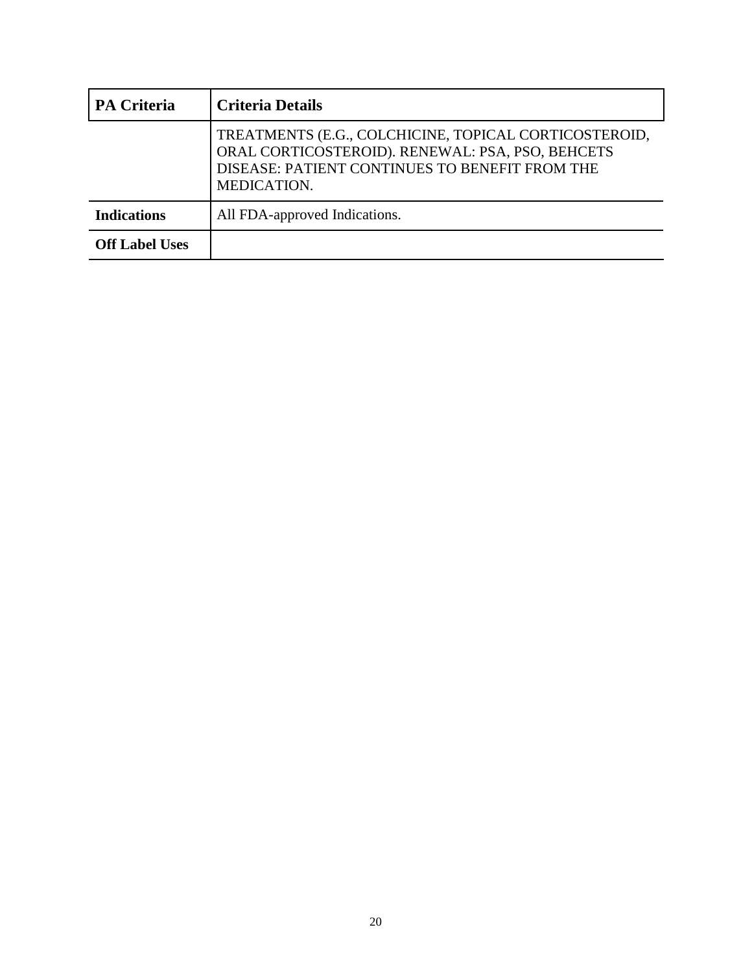| <b>PA Criteria</b>    | <b>Criteria Details</b>                                                                                                                                                    |
|-----------------------|----------------------------------------------------------------------------------------------------------------------------------------------------------------------------|
|                       | TREATMENTS (E.G., COLCHICINE, TOPICAL CORTICOSTEROID,<br>ORAL CORTICOSTEROID). RENEWAL: PSA, PSO, BEHCETS<br>DISEASE: PATIENT CONTINUES TO BENEFIT FROM THE<br>MEDICATION. |
| <b>Indications</b>    | All FDA-approved Indications.                                                                                                                                              |
| <b>Off Label Uses</b> |                                                                                                                                                                            |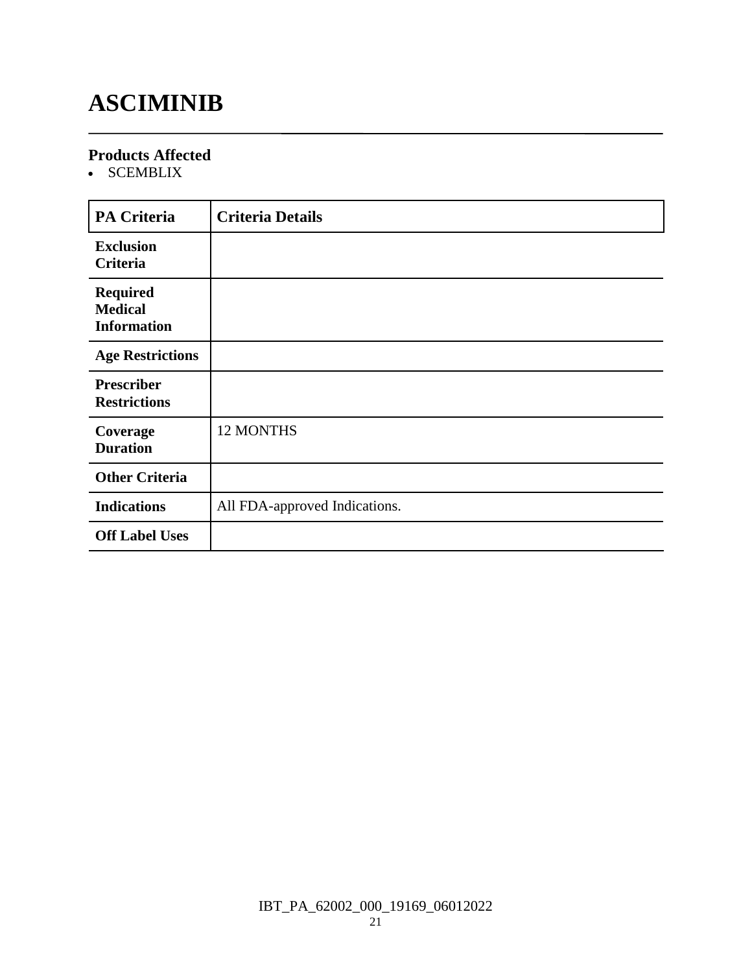# **ASCIMINIB**

#### **Products Affected**

• SCEMBLIX

| <b>PA Criteria</b>                                      | <b>Criteria Details</b>       |
|---------------------------------------------------------|-------------------------------|
| <b>Exclusion</b><br>Criteria                            |                               |
| <b>Required</b><br><b>Medical</b><br><b>Information</b> |                               |
| <b>Age Restrictions</b>                                 |                               |
| <b>Prescriber</b><br><b>Restrictions</b>                |                               |
| Coverage<br><b>Duration</b>                             | <b>12 MONTHS</b>              |
| <b>Other Criteria</b>                                   |                               |
| <b>Indications</b>                                      | All FDA-approved Indications. |
| <b>Off Label Uses</b>                                   |                               |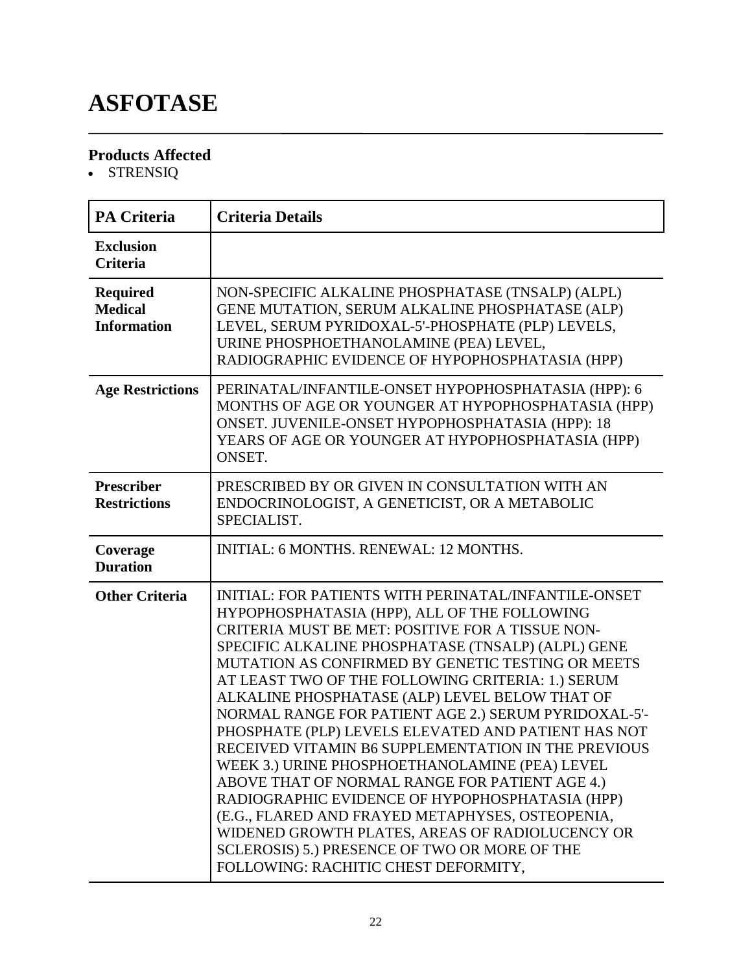# **ASFOTASE**

### **Products Affected**

• STRENSIQ

| <b>PA Criteria</b>                                      | <b>Criteria Details</b>                                                                                                                                                                                                                                                                                                                                                                                                                                                                                                                                                                                                                                                                                                                                                                                                                                                                                        |
|---------------------------------------------------------|----------------------------------------------------------------------------------------------------------------------------------------------------------------------------------------------------------------------------------------------------------------------------------------------------------------------------------------------------------------------------------------------------------------------------------------------------------------------------------------------------------------------------------------------------------------------------------------------------------------------------------------------------------------------------------------------------------------------------------------------------------------------------------------------------------------------------------------------------------------------------------------------------------------|
| <b>Exclusion</b><br><b>Criteria</b>                     |                                                                                                                                                                                                                                                                                                                                                                                                                                                                                                                                                                                                                                                                                                                                                                                                                                                                                                                |
| <b>Required</b><br><b>Medical</b><br><b>Information</b> | NON-SPECIFIC ALKALINE PHOSPHATASE (TNSALP) (ALPL)<br>GENE MUTATION, SERUM ALKALINE PHOSPHATASE (ALP)<br>LEVEL, SERUM PYRIDOXAL-5'-PHOSPHATE (PLP) LEVELS,<br>URINE PHOSPHOETHANOLAMINE (PEA) LEVEL,<br>RADIOGRAPHIC EVIDENCE OF HYPOPHOSPHATASIA (HPP)                                                                                                                                                                                                                                                                                                                                                                                                                                                                                                                                                                                                                                                         |
| <b>Age Restrictions</b>                                 | PERINATAL/INFANTILE-ONSET HYPOPHOSPHATASIA (HPP): 6<br>MONTHS OF AGE OR YOUNGER AT HYPOPHOSPHATASIA (HPP)<br>ONSET. JUVENILE-ONSET HYPOPHOSPHATASIA (HPP): 18<br>YEARS OF AGE OR YOUNGER AT HYPOPHOSPHATASIA (HPP)<br>ONSET.                                                                                                                                                                                                                                                                                                                                                                                                                                                                                                                                                                                                                                                                                   |
| <b>Prescriber</b><br><b>Restrictions</b>                | PRESCRIBED BY OR GIVEN IN CONSULTATION WITH AN<br>ENDOCRINOLOGIST, A GENETICIST, OR A METABOLIC<br>SPECIALIST.                                                                                                                                                                                                                                                                                                                                                                                                                                                                                                                                                                                                                                                                                                                                                                                                 |
| Coverage<br><b>Duration</b>                             | <b>INITIAL: 6 MONTHS. RENEWAL: 12 MONTHS.</b>                                                                                                                                                                                                                                                                                                                                                                                                                                                                                                                                                                                                                                                                                                                                                                                                                                                                  |
| <b>Other Criteria</b>                                   | <b>INITIAL: FOR PATIENTS WITH PERINATAL/INFANTILE-ONSET</b><br>HYPOPHOSPHATASIA (HPP), ALL OF THE FOLLOWING<br>CRITERIA MUST BE MET: POSITIVE FOR A TISSUE NON-<br>SPECIFIC ALKALINE PHOSPHATASE (TNSALP) (ALPL) GENE<br>MUTATION AS CONFIRMED BY GENETIC TESTING OR MEETS<br>AT LEAST TWO OF THE FOLLOWING CRITERIA: 1.) SERUM<br>ALKALINE PHOSPHATASE (ALP) LEVEL BELOW THAT OF<br>NORMAL RANGE FOR PATIENT AGE 2.) SERUM PYRIDOXAL-5'-<br>PHOSPHATE (PLP) LEVELS ELEVATED AND PATIENT HAS NOT<br>RECEIVED VITAMIN B6 SUPPLEMENTATION IN THE PREVIOUS<br>WEEK 3.) URINE PHOSPHOETHANOLAMINE (PEA) LEVEL<br>ABOVE THAT OF NORMAL RANGE FOR PATIENT AGE 4.)<br>RADIOGRAPHIC EVIDENCE OF HYPOPHOSPHATASIA (HPP)<br>(E.G., FLARED AND FRAYED METAPHYSES, OSTEOPENIA,<br>WIDENED GROWTH PLATES, AREAS OF RADIOLUCENCY OR<br>SCLEROSIS) 5.) PRESENCE OF TWO OR MORE OF THE<br>FOLLOWING: RACHITIC CHEST DEFORMITY, |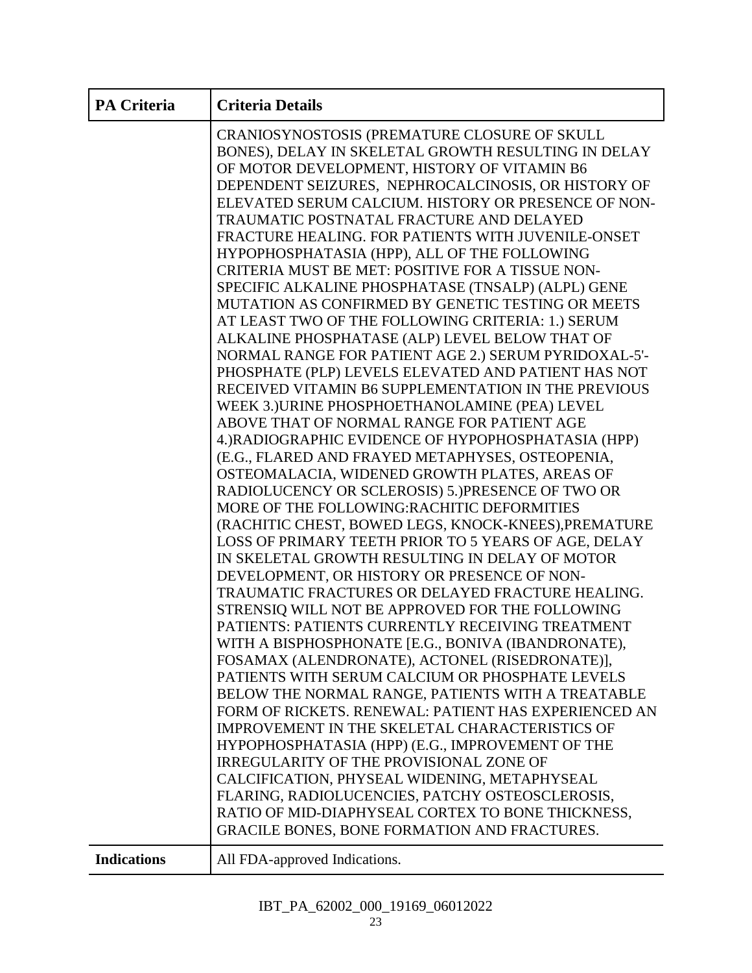| <b>PA Criteria</b> | <b>Criteria Details</b>                                                                                                                                                                                                                                                                                                                                                                                                                                                                                                                                                                                                                                                                                                                                                                                                                                                                                                                                                                                                                                                                                                                                                                                                                                                                                                                                                                                                                        |
|--------------------|------------------------------------------------------------------------------------------------------------------------------------------------------------------------------------------------------------------------------------------------------------------------------------------------------------------------------------------------------------------------------------------------------------------------------------------------------------------------------------------------------------------------------------------------------------------------------------------------------------------------------------------------------------------------------------------------------------------------------------------------------------------------------------------------------------------------------------------------------------------------------------------------------------------------------------------------------------------------------------------------------------------------------------------------------------------------------------------------------------------------------------------------------------------------------------------------------------------------------------------------------------------------------------------------------------------------------------------------------------------------------------------------------------------------------------------------|
|                    | CRANIOSYNOSTOSIS (PREMATURE CLOSURE OF SKULL<br>BONES), DELAY IN SKELETAL GROWTH RESULTING IN DELAY<br>OF MOTOR DEVELOPMENT, HISTORY OF VITAMIN B6<br>DEPENDENT SEIZURES, NEPHROCALCINOSIS, OR HISTORY OF<br>ELEVATED SERUM CALCIUM. HISTORY OR PRESENCE OF NON-<br>TRAUMATIC POSTNATAL FRACTURE AND DELAYED<br>FRACTURE HEALING. FOR PATIENTS WITH JUVENILE-ONSET<br>HYPOPHOSPHATASIA (HPP), ALL OF THE FOLLOWING<br>CRITERIA MUST BE MET: POSITIVE FOR A TISSUE NON-<br>SPECIFIC ALKALINE PHOSPHATASE (TNSALP) (ALPL) GENE<br>MUTATION AS CONFIRMED BY GENETIC TESTING OR MEETS<br>AT LEAST TWO OF THE FOLLOWING CRITERIA: 1.) SERUM<br>ALKALINE PHOSPHATASE (ALP) LEVEL BELOW THAT OF<br>NORMAL RANGE FOR PATIENT AGE 2.) SERUM PYRIDOXAL-5'-<br>PHOSPHATE (PLP) LEVELS ELEVATED AND PATIENT HAS NOT<br>RECEIVED VITAMIN B6 SUPPLEMENTATION IN THE PREVIOUS<br>WEEK 3.) URINE PHOSPHOETHANOLAMINE (PEA) LEVEL<br>ABOVE THAT OF NORMAL RANGE FOR PATIENT AGE<br>4.) RADIOGRAPHIC EVIDENCE OF HYPOPHOSPHATASIA (HPP)<br>(E.G., FLARED AND FRAYED METAPHYSES, OSTEOPENIA,<br>OSTEOMALACIA, WIDENED GROWTH PLATES, AREAS OF<br>RADIOLUCENCY OR SCLEROSIS) 5.) PRESENCE OF TWO OR<br>MORE OF THE FOLLOWING:RACHITIC DEFORMITIES<br>(RACHITIC CHEST, BOWED LEGS, KNOCK-KNEES), PREMATURE<br>LOSS OF PRIMARY TEETH PRIOR TO 5 YEARS OF AGE, DELAY<br>IN SKELETAL GROWTH RESULTING IN DELAY OF MOTOR<br>DEVELOPMENT, OR HISTORY OR PRESENCE OF NON- |
|                    | TRAUMATIC FRACTURES OR DELAYED FRACTURE HEALING.<br>STRENSIQ WILL NOT BE APPROVED FOR THE FOLLOWING                                                                                                                                                                                                                                                                                                                                                                                                                                                                                                                                                                                                                                                                                                                                                                                                                                                                                                                                                                                                                                                                                                                                                                                                                                                                                                                                            |
|                    | PATIENTS: PATIENTS CURRENTLY RECEIVING TREATMENT<br>WITH A BISPHOSPHONATE [E.G., BONIVA (IBANDRONATE),<br>FOSAMAX (ALENDRONATE), ACTONEL (RISEDRONATE)],<br>PATIENTS WITH SERUM CALCIUM OR PHOSPHATE LEVELS<br>BELOW THE NORMAL RANGE, PATIENTS WITH A TREATABLE<br>FORM OF RICKETS. RENEWAL: PATIENT HAS EXPERIENCED AN<br>IMPROVEMENT IN THE SKELETAL CHARACTERISTICS OF<br>HYPOPHOSPHATASIA (HPP) (E.G., IMPROVEMENT OF THE<br><b>IRREGULARITY OF THE PROVISIONAL ZONE OF</b><br>CALCIFICATION, PHYSEAL WIDENING, METAPHYSEAL<br>FLARING, RADIOLUCENCIES, PATCHY OSTEOSCLEROSIS,<br>RATIO OF MID-DIAPHYSEAL CORTEX TO BONE THICKNESS,                                                                                                                                                                                                                                                                                                                                                                                                                                                                                                                                                                                                                                                                                                                                                                                                       |
| <b>Indications</b> | GRACILE BONES, BONE FORMATION AND FRACTURES.<br>All FDA-approved Indications.                                                                                                                                                                                                                                                                                                                                                                                                                                                                                                                                                                                                                                                                                                                                                                                                                                                                                                                                                                                                                                                                                                                                                                                                                                                                                                                                                                  |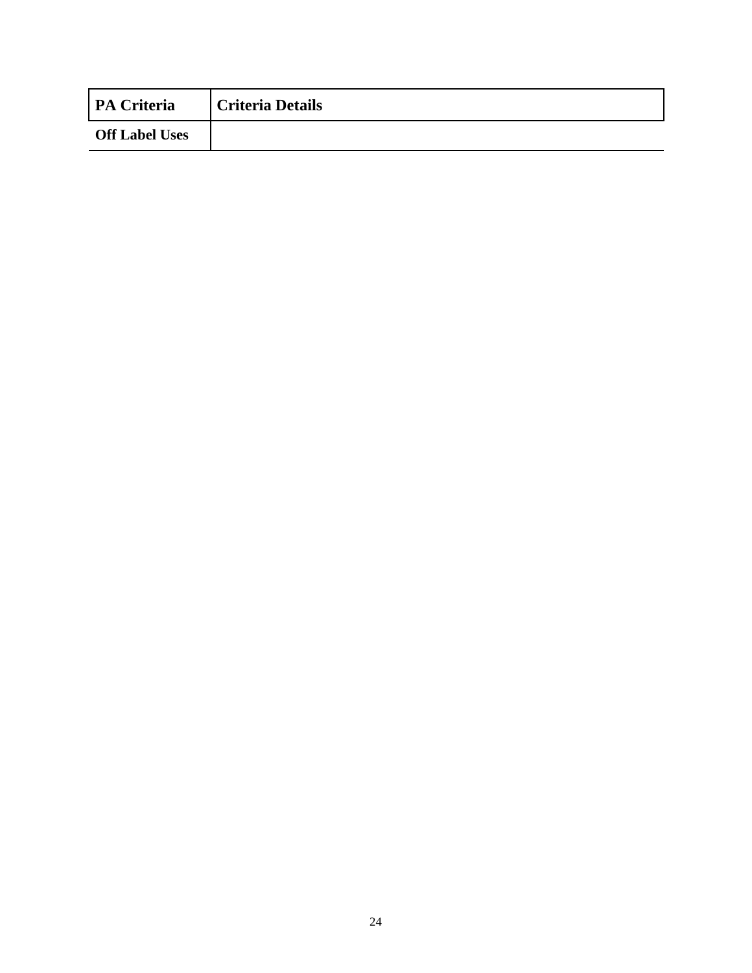| <b>PA Criteria</b>    | <b>Criteria Details</b> |
|-----------------------|-------------------------|
| <b>Off Label Uses</b> |                         |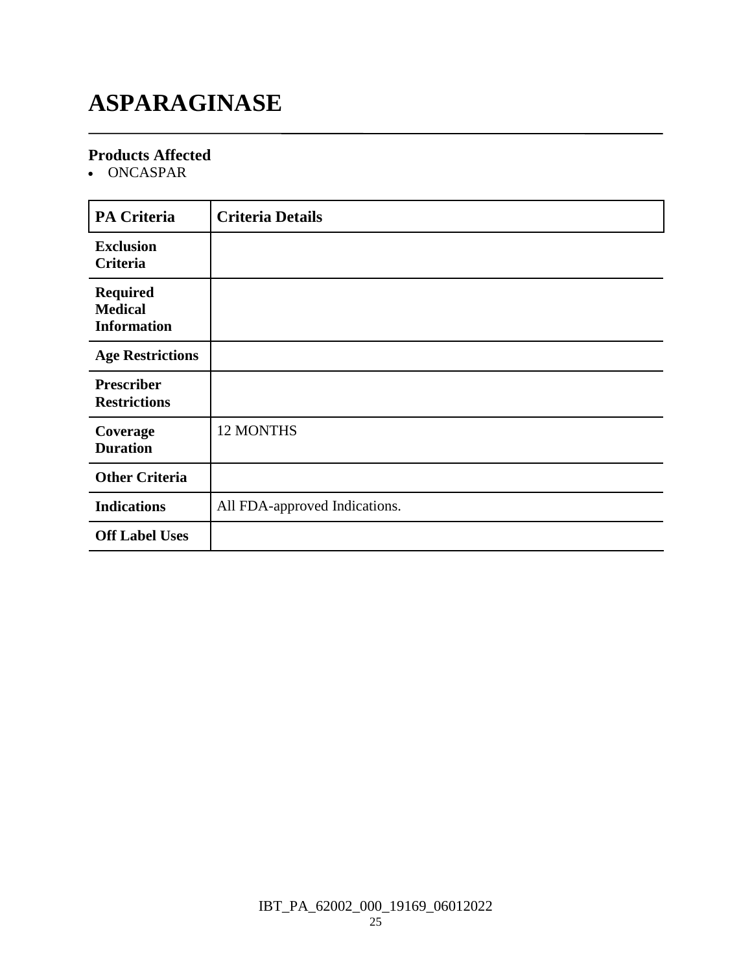# **ASPARAGINASE**

#### **Products Affected**

ONCASPAR

| <b>PA Criteria</b>                                      | <b>Criteria Details</b>       |
|---------------------------------------------------------|-------------------------------|
| <b>Exclusion</b><br>Criteria                            |                               |
| <b>Required</b><br><b>Medical</b><br><b>Information</b> |                               |
| <b>Age Restrictions</b>                                 |                               |
| <b>Prescriber</b><br><b>Restrictions</b>                |                               |
| Coverage<br><b>Duration</b>                             | 12 MONTHS                     |
| <b>Other Criteria</b>                                   |                               |
| <b>Indications</b>                                      | All FDA-approved Indications. |
| <b>Off Label Uses</b>                                   |                               |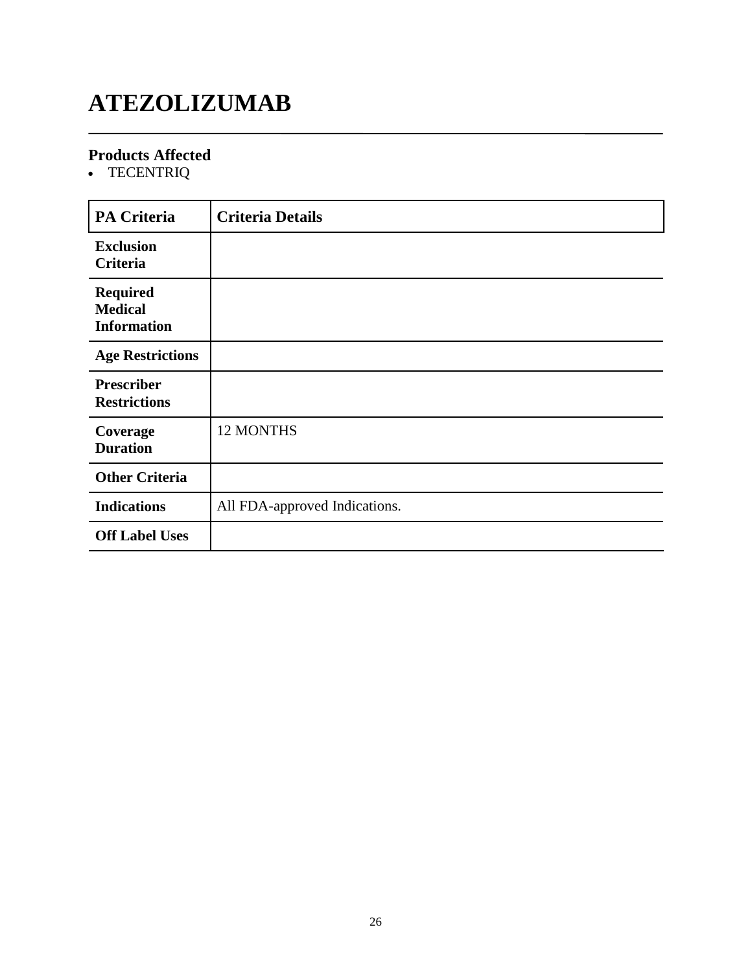# **ATEZOLIZUMAB**

### **Products Affected**

TECENTRIQ

| <b>PA Criteria</b>                                      | <b>Criteria Details</b>       |
|---------------------------------------------------------|-------------------------------|
| <b>Exclusion</b><br>Criteria                            |                               |
| <b>Required</b><br><b>Medical</b><br><b>Information</b> |                               |
| <b>Age Restrictions</b>                                 |                               |
| <b>Prescriber</b><br><b>Restrictions</b>                |                               |
| Coverage<br><b>Duration</b>                             | 12 MONTHS                     |
| <b>Other Criteria</b>                                   |                               |
| <b>Indications</b>                                      | All FDA-approved Indications. |
| <b>Off Label Uses</b>                                   |                               |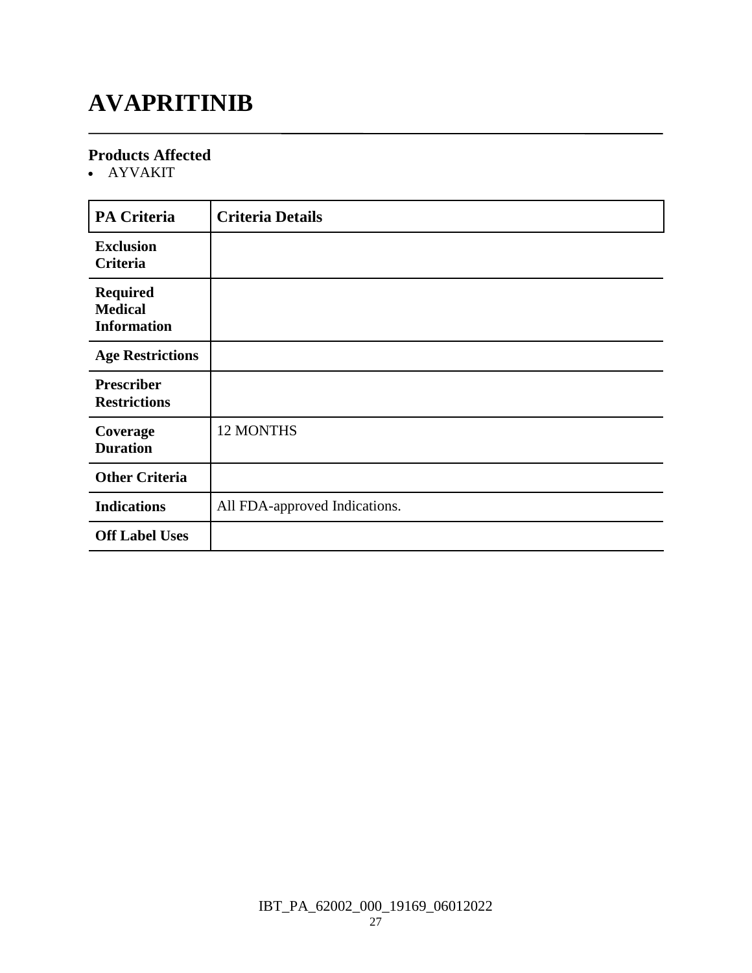### **AVAPRITINIB**

#### **Products Affected**

AYVAKIT

| <b>PA Criteria</b>                                      | <b>Criteria Details</b>       |
|---------------------------------------------------------|-------------------------------|
| <b>Exclusion</b><br>Criteria                            |                               |
| <b>Required</b><br><b>Medical</b><br><b>Information</b> |                               |
| <b>Age Restrictions</b>                                 |                               |
| <b>Prescriber</b><br><b>Restrictions</b>                |                               |
| Coverage<br><b>Duration</b>                             | 12 MONTHS                     |
| <b>Other Criteria</b>                                   |                               |
| <b>Indications</b>                                      | All FDA-approved Indications. |
| <b>Off Label Uses</b>                                   |                               |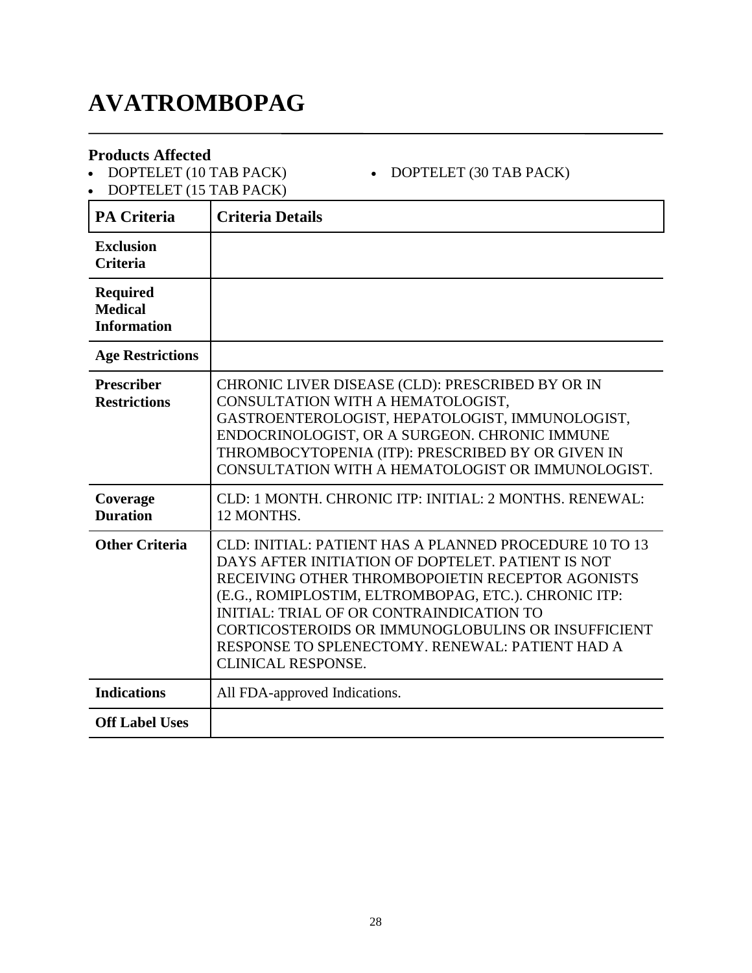# **AVATROMBOPAG**

#### **Products Affected**

• DOPTELET (10 TAB PACK)

• DOPTELET (30 TAB PACK)

• DOPTELET (15 TAB PACK)

| <b>PA Criteria</b>                                      | <b>Criteria Details</b>                                                                                                                                                                                                                                                                                                                                                                                          |
|---------------------------------------------------------|------------------------------------------------------------------------------------------------------------------------------------------------------------------------------------------------------------------------------------------------------------------------------------------------------------------------------------------------------------------------------------------------------------------|
| <b>Exclusion</b><br><b>Criteria</b>                     |                                                                                                                                                                                                                                                                                                                                                                                                                  |
| <b>Required</b><br><b>Medical</b><br><b>Information</b> |                                                                                                                                                                                                                                                                                                                                                                                                                  |
| <b>Age Restrictions</b>                                 |                                                                                                                                                                                                                                                                                                                                                                                                                  |
| <b>Prescriber</b><br><b>Restrictions</b>                | CHRONIC LIVER DISEASE (CLD): PRESCRIBED BY OR IN<br>CONSULTATION WITH A HEMATOLOGIST,<br>GASTROENTEROLOGIST, HEPATOLOGIST, IMMUNOLOGIST,<br>ENDOCRINOLOGIST, OR A SURGEON. CHRONIC IMMUNE<br>THROMBOCYTOPENIA (ITP): PRESCRIBED BY OR GIVEN IN<br>CONSULTATION WITH A HEMATOLOGIST OR IMMUNOLOGIST.                                                                                                              |
| Coverage<br><b>Duration</b>                             | CLD: 1 MONTH. CHRONIC ITP: INITIAL: 2 MONTHS. RENEWAL:<br>12 MONTHS.                                                                                                                                                                                                                                                                                                                                             |
| <b>Other Criteria</b>                                   | CLD: INITIAL: PATIENT HAS A PLANNED PROCEDURE 10 TO 13<br>DAYS AFTER INITIATION OF DOPTELET. PATIENT IS NOT<br>RECEIVING OTHER THROMBOPOIETIN RECEPTOR AGONISTS<br>(E.G., ROMIPLOSTIM, ELTROMBOPAG, ETC.). CHRONIC ITP:<br><b>INITIAL: TRIAL OF OR CONTRAINDICATION TO</b><br>CORTICOSTEROIDS OR IMMUNOGLOBULINS OR INSUFFICIENT<br>RESPONSE TO SPLENECTOMY. RENEWAL: PATIENT HAD A<br><b>CLINICAL RESPONSE.</b> |
| <b>Indications</b>                                      | All FDA-approved Indications.                                                                                                                                                                                                                                                                                                                                                                                    |
| <b>Off Label Uses</b>                                   |                                                                                                                                                                                                                                                                                                                                                                                                                  |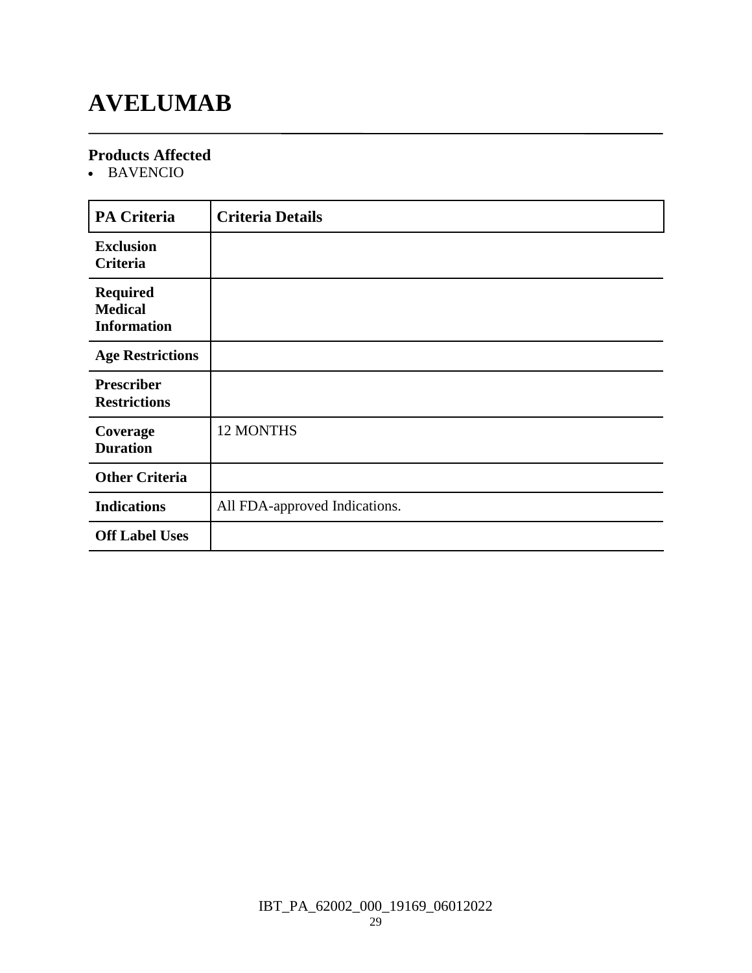### **AVELUMAB**

#### **Products Affected**

BAVENCIO

| <b>PA Criteria</b>                                      | <b>Criteria Details</b>       |
|---------------------------------------------------------|-------------------------------|
| <b>Exclusion</b><br>Criteria                            |                               |
| <b>Required</b><br><b>Medical</b><br><b>Information</b> |                               |
| <b>Age Restrictions</b>                                 |                               |
| <b>Prescriber</b><br><b>Restrictions</b>                |                               |
| Coverage<br><b>Duration</b>                             | 12 MONTHS                     |
| <b>Other Criteria</b>                                   |                               |
| <b>Indications</b>                                      | All FDA-approved Indications. |
| <b>Off Label Uses</b>                                   |                               |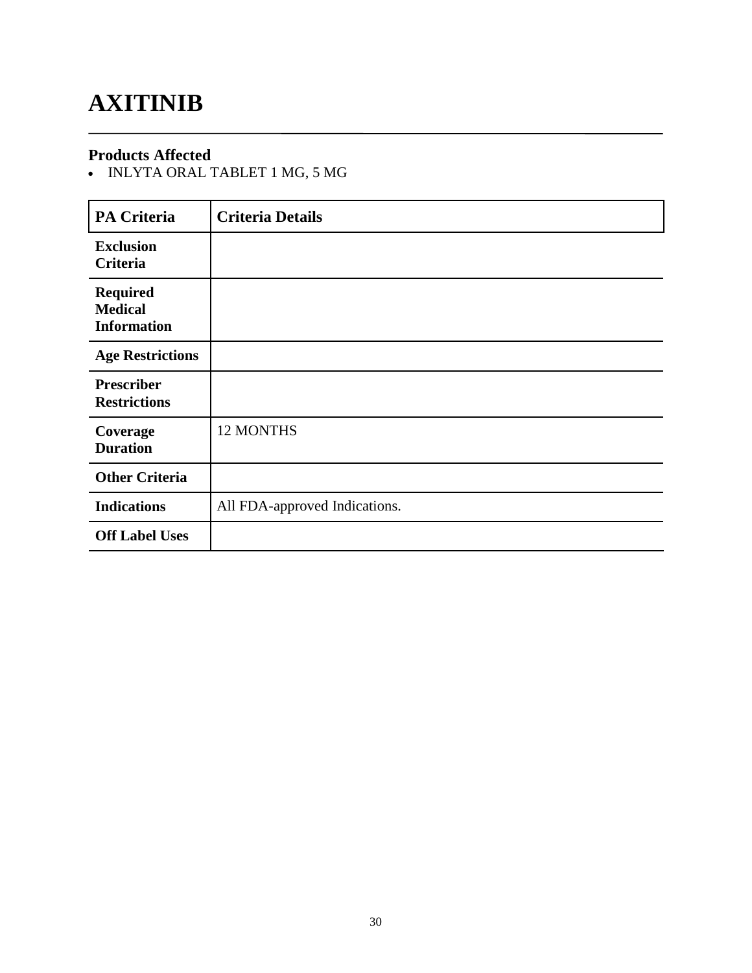### **AXITINIB**

#### **Products Affected**

• INLYTA ORAL TABLET 1 MG, 5 MG

| <b>PA Criteria</b>                                      | <b>Criteria Details</b>       |
|---------------------------------------------------------|-------------------------------|
| <b>Exclusion</b><br>Criteria                            |                               |
| <b>Required</b><br><b>Medical</b><br><b>Information</b> |                               |
| <b>Age Restrictions</b>                                 |                               |
| <b>Prescriber</b><br><b>Restrictions</b>                |                               |
| Coverage<br><b>Duration</b>                             | 12 MONTHS                     |
| <b>Other Criteria</b>                                   |                               |
| <b>Indications</b>                                      | All FDA-approved Indications. |
| <b>Off Label Uses</b>                                   |                               |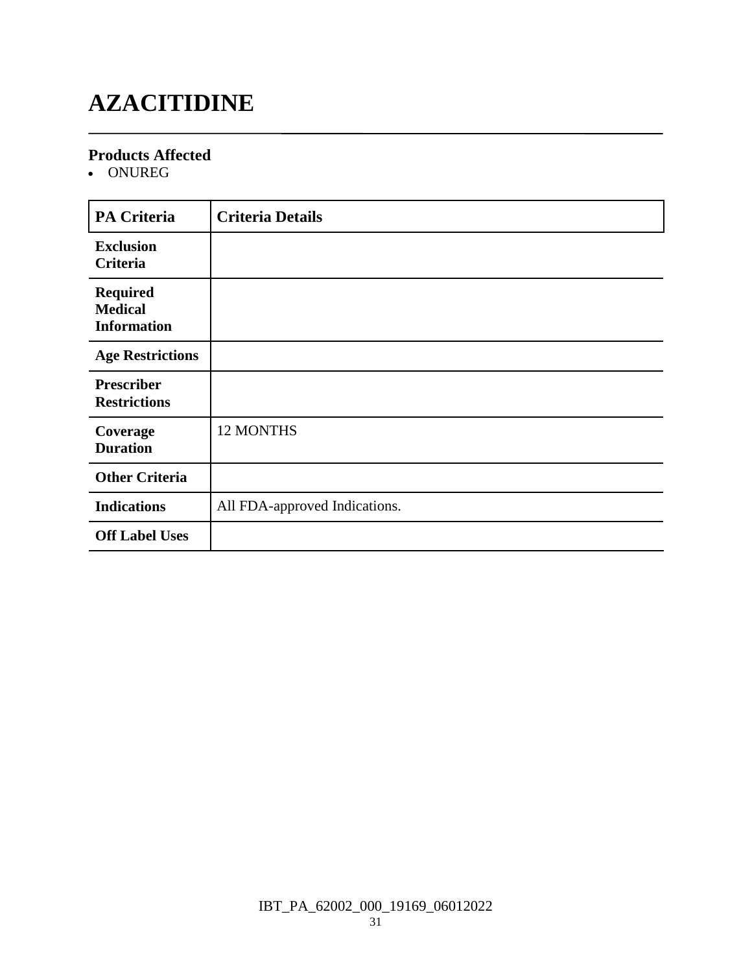# **AZACITIDINE**

#### **Products Affected**

ONUREG

| <b>PA Criteria</b>                                      | <b>Criteria Details</b>       |
|---------------------------------------------------------|-------------------------------|
| <b>Exclusion</b><br>Criteria                            |                               |
| <b>Required</b><br><b>Medical</b><br><b>Information</b> |                               |
| <b>Age Restrictions</b>                                 |                               |
| <b>Prescriber</b><br><b>Restrictions</b>                |                               |
| Coverage<br><b>Duration</b>                             | 12 MONTHS                     |
| <b>Other Criteria</b>                                   |                               |
| <b>Indications</b>                                      | All FDA-approved Indications. |
| <b>Off Label Uses</b>                                   |                               |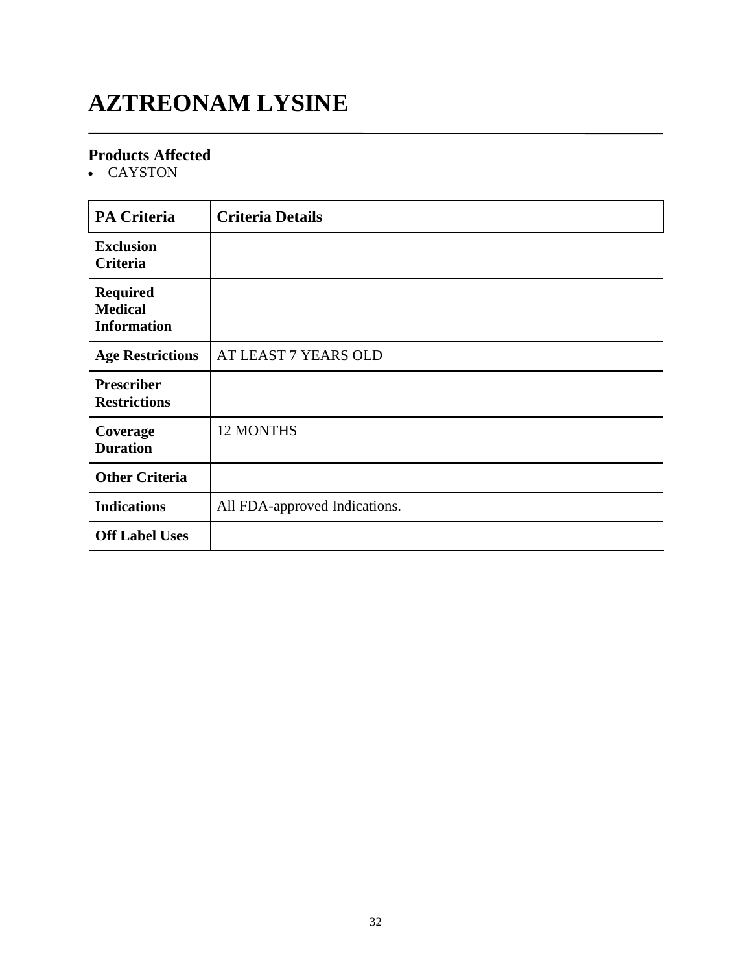# **AZTREONAM LYSINE**

### **Products Affected**

CAYSTON

| <b>PA Criteria</b>                                      | <b>Criteria Details</b>       |
|---------------------------------------------------------|-------------------------------|
| <b>Exclusion</b><br>Criteria                            |                               |
| <b>Required</b><br><b>Medical</b><br><b>Information</b> |                               |
| <b>Age Restrictions</b>                                 | AT LEAST 7 YEARS OLD          |
| <b>Prescriber</b><br><b>Restrictions</b>                |                               |
| Coverage<br><b>Duration</b>                             | 12 MONTHS                     |
| <b>Other Criteria</b>                                   |                               |
| <b>Indications</b>                                      | All FDA-approved Indications. |
| <b>Off Label Uses</b>                                   |                               |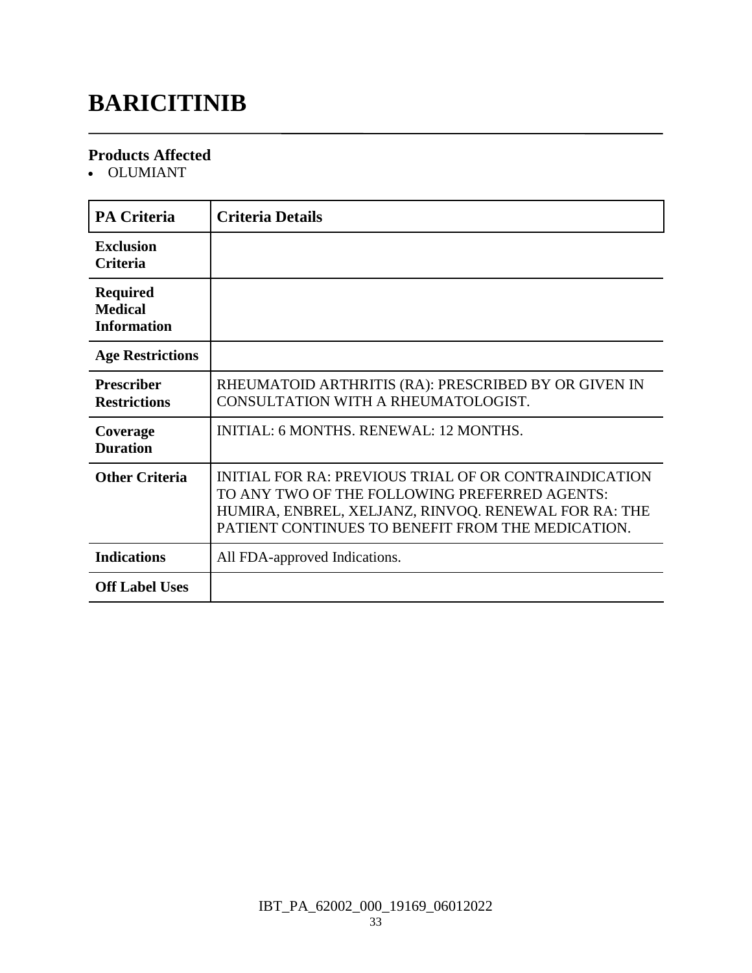# **BARICITINIB**

#### **Products Affected**

OLUMIANT

| <b>PA Criteria</b>                                      | <b>Criteria Details</b>                                                                                                                                                                                             |
|---------------------------------------------------------|---------------------------------------------------------------------------------------------------------------------------------------------------------------------------------------------------------------------|
| <b>Exclusion</b><br>Criteria                            |                                                                                                                                                                                                                     |
| <b>Required</b><br><b>Medical</b><br><b>Information</b> |                                                                                                                                                                                                                     |
| <b>Age Restrictions</b>                                 |                                                                                                                                                                                                                     |
| <b>Prescriber</b><br><b>Restrictions</b>                | RHEUMATOID ARTHRITIS (RA): PRESCRIBED BY OR GIVEN IN<br>CONSULTATION WITH A RHEUMATOLOGIST.                                                                                                                         |
| Coverage<br><b>Duration</b>                             | <b>INITIAL: 6 MONTHS, RENEWAL: 12 MONTHS.</b>                                                                                                                                                                       |
| <b>Other Criteria</b>                                   | INITIAL FOR RA: PREVIOUS TRIAL OF OR CONTRAINDICATION<br>TO ANY TWO OF THE FOLLOWING PREFERRED AGENTS:<br>HUMIRA, ENBREL, XELJANZ, RINVOQ. RENEWAL FOR RA: THE<br>PATIENT CONTINUES TO BENEFIT FROM THE MEDICATION. |
| <b>Indications</b>                                      | All FDA-approved Indications.                                                                                                                                                                                       |
| <b>Off Label Uses</b>                                   |                                                                                                                                                                                                                     |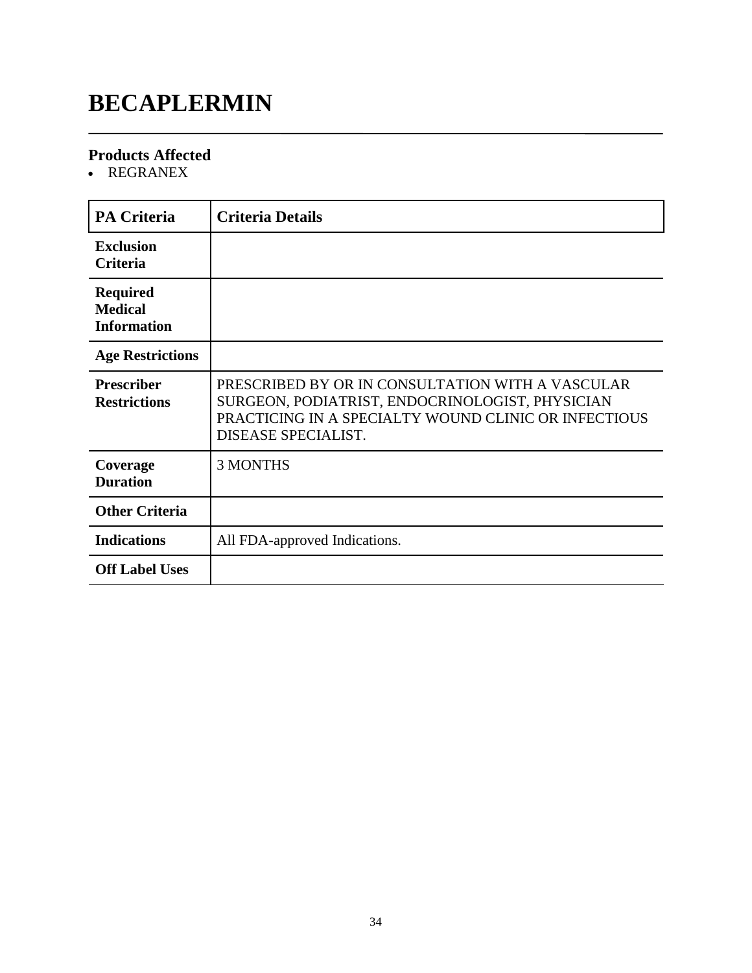### **BECAPLERMIN**

### **Products Affected**

• REGRANEX

| <b>PA Criteria</b>                                      | <b>Criteria Details</b>                                                                                                                                                            |
|---------------------------------------------------------|------------------------------------------------------------------------------------------------------------------------------------------------------------------------------------|
| <b>Exclusion</b><br><b>Criteria</b>                     |                                                                                                                                                                                    |
| <b>Required</b><br><b>Medical</b><br><b>Information</b> |                                                                                                                                                                                    |
| <b>Age Restrictions</b>                                 |                                                                                                                                                                                    |
| <b>Prescriber</b><br><b>Restrictions</b>                | PRESCRIBED BY OR IN CONSULTATION WITH A VASCULAR<br>SURGEON, PODIATRIST, ENDOCRINOLOGIST, PHYSICIAN<br>PRACTICING IN A SPECIALTY WOUND CLINIC OR INFECTIOUS<br>DISEASE SPECIALIST. |
| Coverage<br><b>Duration</b>                             | <b>3 MONTHS</b>                                                                                                                                                                    |
| <b>Other Criteria</b>                                   |                                                                                                                                                                                    |
| <b>Indications</b>                                      | All FDA-approved Indications.                                                                                                                                                      |
| <b>Off Label Uses</b>                                   |                                                                                                                                                                                    |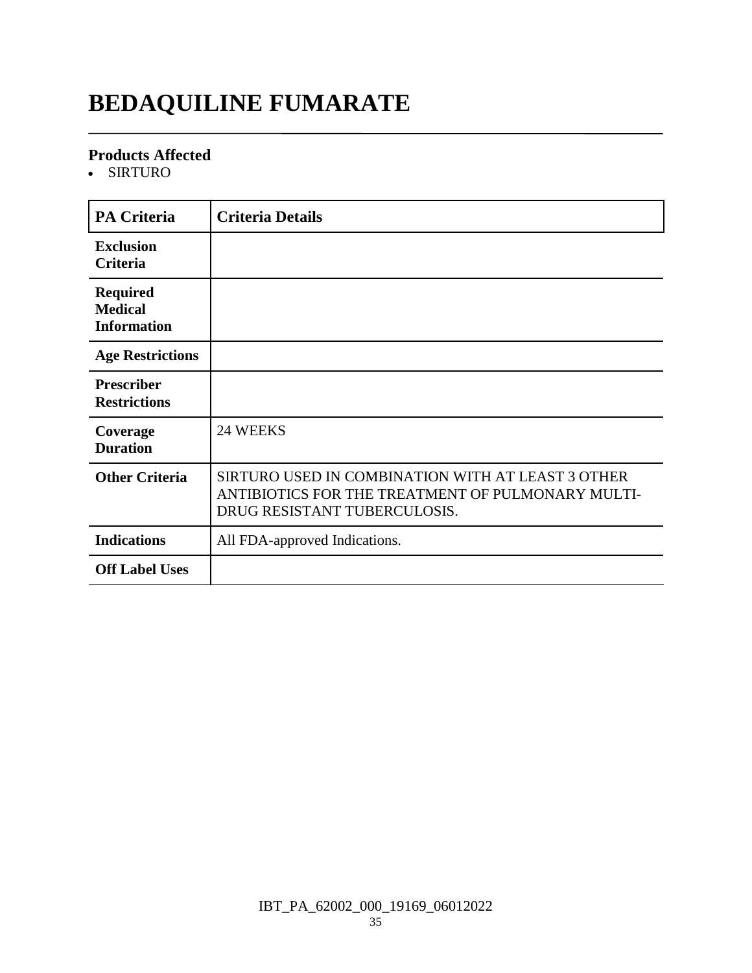# **BEDAQUILINE FUMARATE**

#### **Products Affected**

SIRTURO

| <b>PA Criteria</b>                                      | <b>Criteria Details</b>                                                                                                                |
|---------------------------------------------------------|----------------------------------------------------------------------------------------------------------------------------------------|
| <b>Exclusion</b><br><b>Criteria</b>                     |                                                                                                                                        |
| <b>Required</b><br><b>Medical</b><br><b>Information</b> |                                                                                                                                        |
| <b>Age Restrictions</b>                                 |                                                                                                                                        |
| <b>Prescriber</b><br><b>Restrictions</b>                |                                                                                                                                        |
| Coverage<br><b>Duration</b>                             | 24 WEEKS                                                                                                                               |
| <b>Other Criteria</b>                                   | SIRTURO USED IN COMBINATION WITH AT LEAST 3 OTHER<br>ANTIBIOTICS FOR THE TREATMENT OF PULMONARY MULTI-<br>DRUG RESISTANT TUBERCULOSIS. |
| <b>Indications</b>                                      | All FDA-approved Indications.                                                                                                          |
| <b>Off Label Uses</b>                                   |                                                                                                                                        |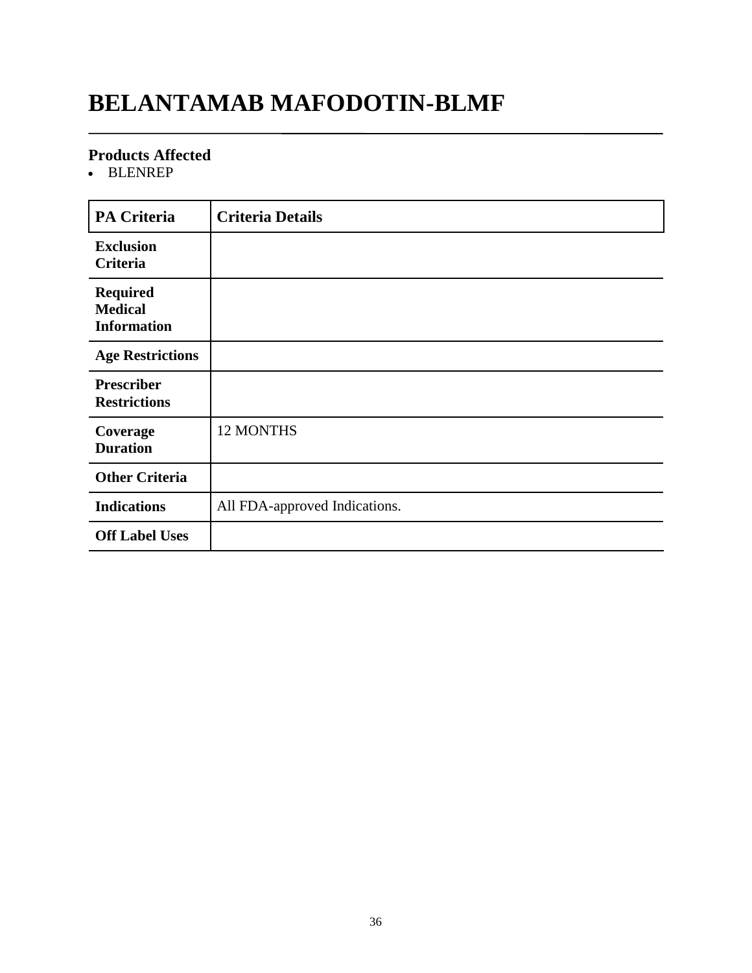### **BELANTAMAB MAFODOTIN-BLMF**

#### **Products Affected**

BLENREP

| <b>PA Criteria</b>                                      | <b>Criteria Details</b>       |
|---------------------------------------------------------|-------------------------------|
| <b>Exclusion</b><br>Criteria                            |                               |
| <b>Required</b><br><b>Medical</b><br><b>Information</b> |                               |
| <b>Age Restrictions</b>                                 |                               |
| <b>Prescriber</b><br><b>Restrictions</b>                |                               |
| Coverage<br><b>Duration</b>                             | 12 MONTHS                     |
| <b>Other Criteria</b>                                   |                               |
| <b>Indications</b>                                      | All FDA-approved Indications. |
| <b>Off Label Uses</b>                                   |                               |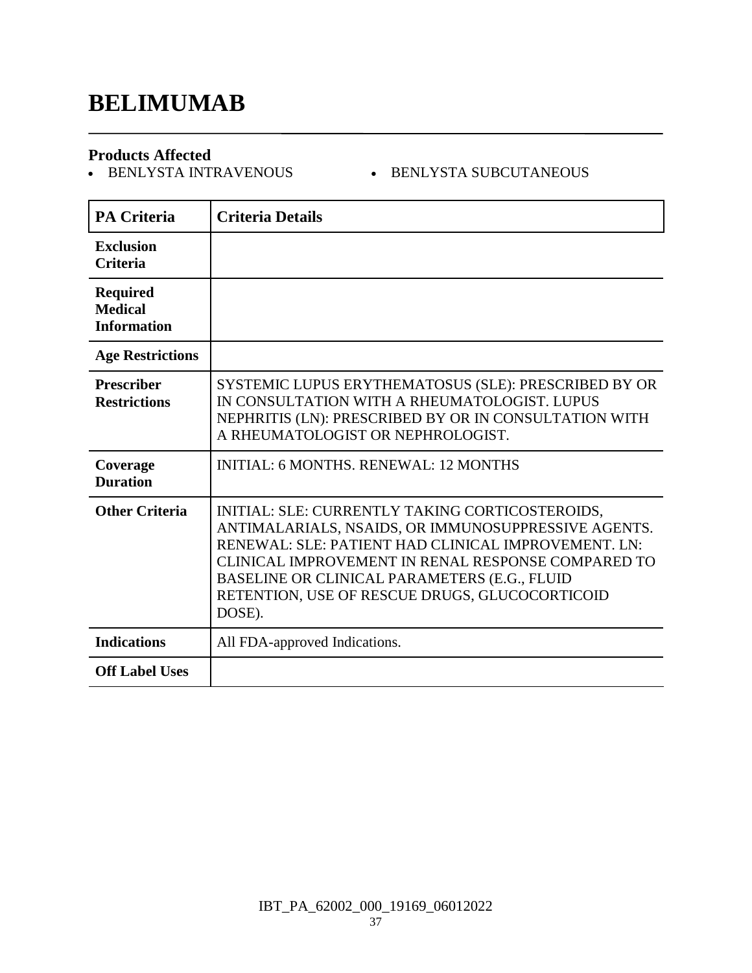# **BELIMUMAB**

**Products Affected**

### $\bullet$  BENLYSTA SUBCUTANEOUS

| <b>PA Criteria</b>                                      | <b>Criteria Details</b>                                                                                                                                                                                                                                                                                                         |
|---------------------------------------------------------|---------------------------------------------------------------------------------------------------------------------------------------------------------------------------------------------------------------------------------------------------------------------------------------------------------------------------------|
| <b>Exclusion</b><br><b>Criteria</b>                     |                                                                                                                                                                                                                                                                                                                                 |
| <b>Required</b><br><b>Medical</b><br><b>Information</b> |                                                                                                                                                                                                                                                                                                                                 |
| <b>Age Restrictions</b>                                 |                                                                                                                                                                                                                                                                                                                                 |
| <b>Prescriber</b><br><b>Restrictions</b>                | SYSTEMIC LUPUS ERYTHEMATOSUS (SLE): PRESCRIBED BY OR<br>IN CONSULTATION WITH A RHEUMATOLOGIST. LUPUS<br>NEPHRITIS (LN): PRESCRIBED BY OR IN CONSULTATION WITH<br>A RHEUMATOLOGIST OR NEPHROLOGIST.                                                                                                                              |
| Coverage<br><b>Duration</b>                             | <b>INITIAL: 6 MONTHS, RENEWAL: 12 MONTHS</b>                                                                                                                                                                                                                                                                                    |
| <b>Other Criteria</b>                                   | INITIAL: SLE: CURRENTLY TAKING CORTICOSTEROIDS,<br>ANTIMALARIALS, NSAIDS, OR IMMUNOSUPPRESSIVE AGENTS.<br>RENEWAL: SLE: PATIENT HAD CLINICAL IMPROVEMENT. LN:<br>CLINICAL IMPROVEMENT IN RENAL RESPONSE COMPARED TO<br>BASELINE OR CLINICAL PARAMETERS (E.G., FLUID<br>RETENTION, USE OF RESCUE DRUGS, GLUCOCORTICOID<br>DOSE). |
| <b>Indications</b>                                      | All FDA-approved Indications.                                                                                                                                                                                                                                                                                                   |
| <b>Off Label Uses</b>                                   |                                                                                                                                                                                                                                                                                                                                 |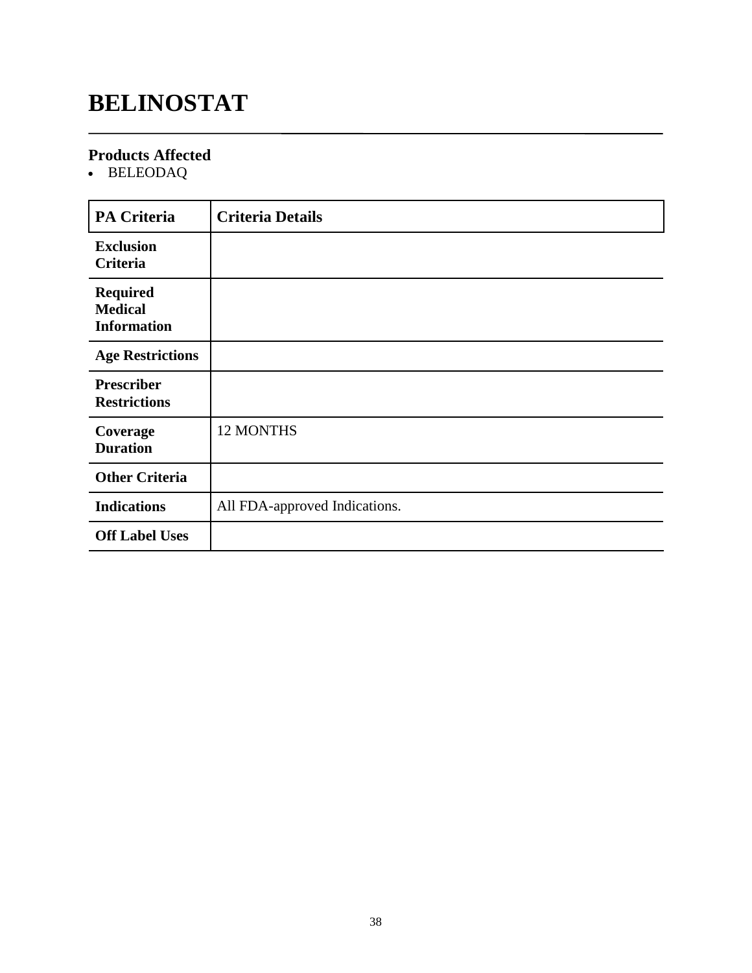# **BELINOSTAT**

### **Products Affected**

BELEODAQ

| <b>PA Criteria</b>                                      | <b>Criteria Details</b>       |
|---------------------------------------------------------|-------------------------------|
| <b>Exclusion</b><br>Criteria                            |                               |
| <b>Required</b><br><b>Medical</b><br><b>Information</b> |                               |
| <b>Age Restrictions</b>                                 |                               |
| <b>Prescriber</b><br><b>Restrictions</b>                |                               |
| Coverage<br><b>Duration</b>                             | 12 MONTHS                     |
| <b>Other Criteria</b>                                   |                               |
| <b>Indications</b>                                      | All FDA-approved Indications. |
| <b>Off Label Uses</b>                                   |                               |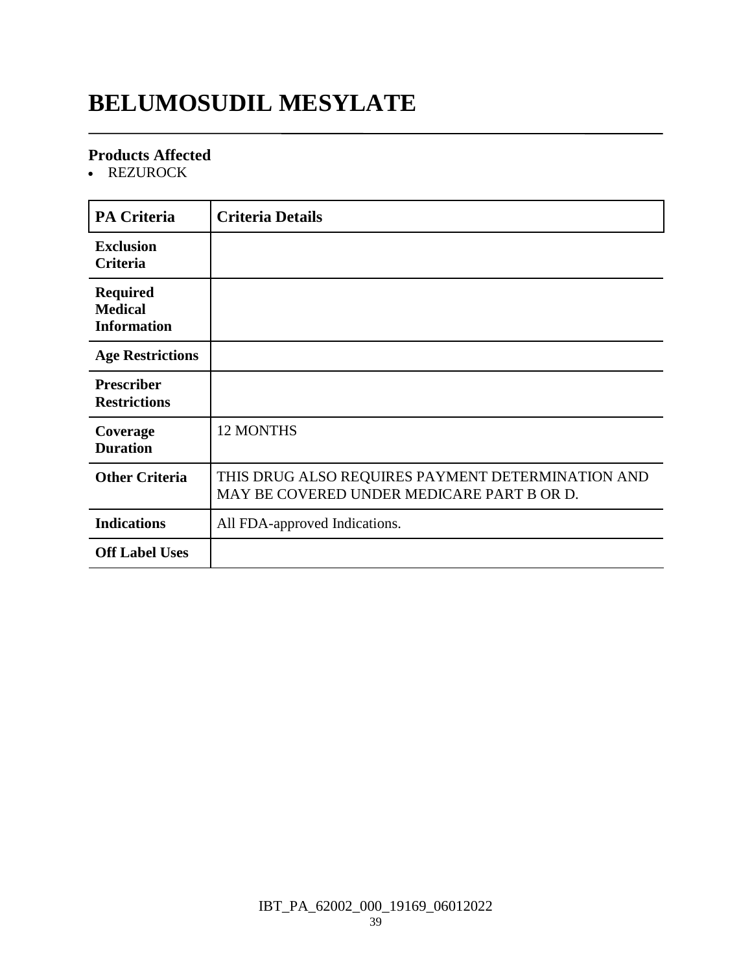# **BELUMOSUDIL MESYLATE**

### **Products Affected**

• REZUROCK

| <b>PA Criteria</b>                                      | <b>Criteria Details</b>                                                                         |
|---------------------------------------------------------|-------------------------------------------------------------------------------------------------|
| <b>Exclusion</b><br>Criteria                            |                                                                                                 |
| <b>Required</b><br><b>Medical</b><br><b>Information</b> |                                                                                                 |
| <b>Age Restrictions</b>                                 |                                                                                                 |
| <b>Prescriber</b><br><b>Restrictions</b>                |                                                                                                 |
| Coverage<br><b>Duration</b>                             | 12 MONTHS                                                                                       |
| <b>Other Criteria</b>                                   | THIS DRUG ALSO REQUIRES PAYMENT DETERMINATION AND<br>MAY BE COVERED UNDER MEDICARE PART B OR D. |
| <b>Indications</b>                                      | All FDA-approved Indications.                                                                   |
| <b>Off Label Uses</b>                                   |                                                                                                 |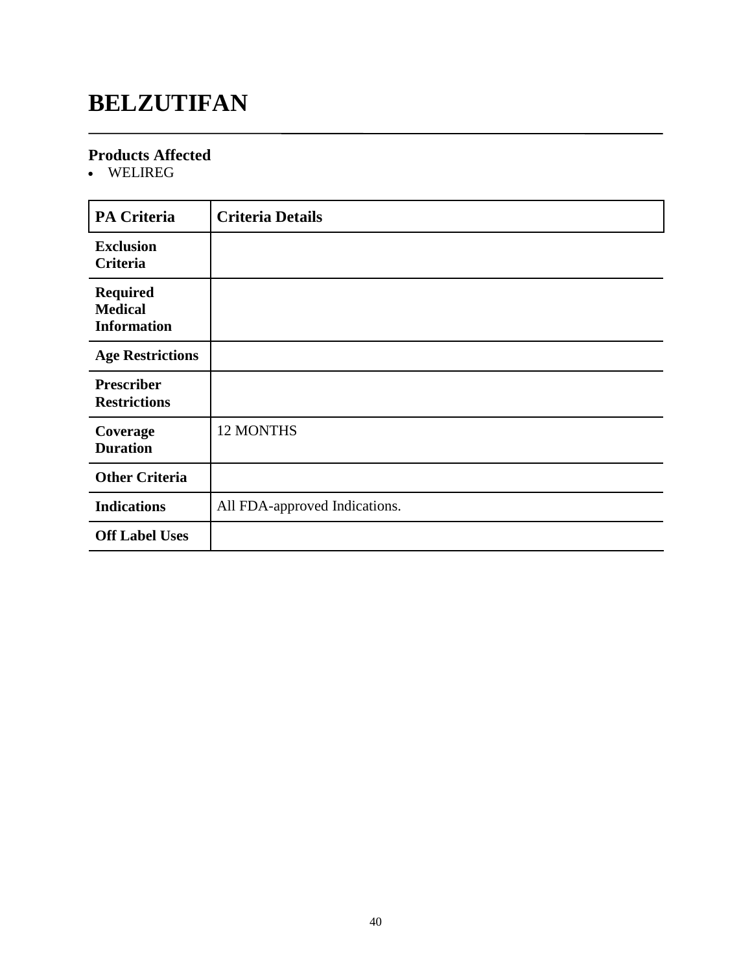# **BELZUTIFAN**

### **Products Affected**

WELIREG

| <b>PA Criteria</b>                                      | <b>Criteria Details</b>       |
|---------------------------------------------------------|-------------------------------|
| <b>Exclusion</b><br>Criteria                            |                               |
| <b>Required</b><br><b>Medical</b><br><b>Information</b> |                               |
| <b>Age Restrictions</b>                                 |                               |
| <b>Prescriber</b><br><b>Restrictions</b>                |                               |
| Coverage<br><b>Duration</b>                             | 12 MONTHS                     |
| <b>Other Criteria</b>                                   |                               |
| <b>Indications</b>                                      | All FDA-approved Indications. |
| <b>Off Label Uses</b>                                   |                               |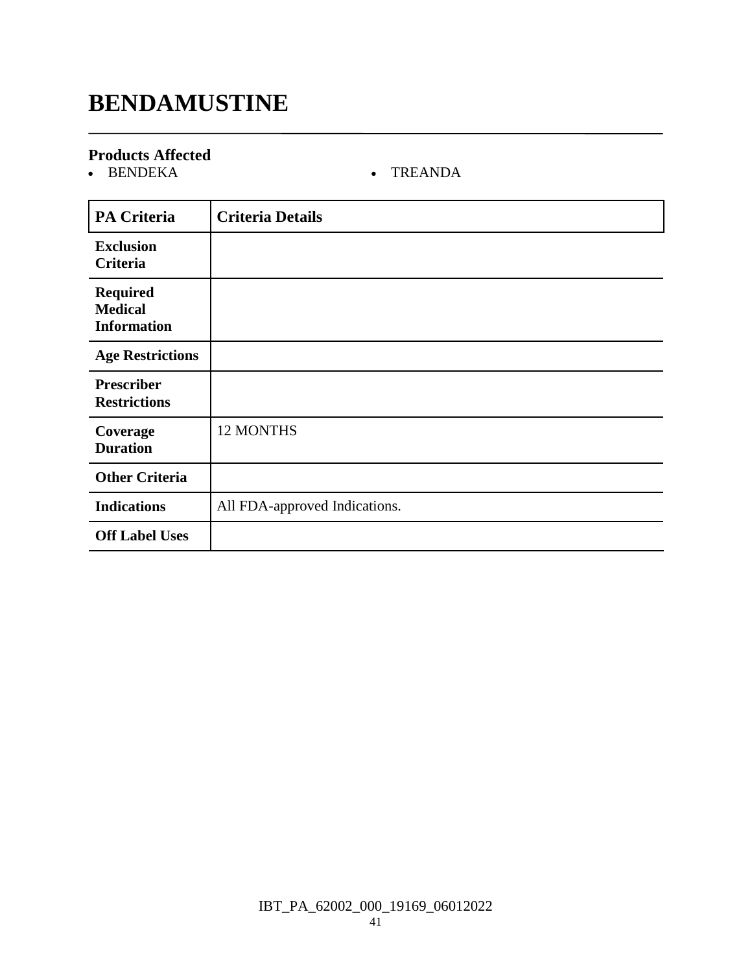# **BENDAMUSTINE**

# **Products Affected**

### • TREANDA

| <b>PA Criteria</b>                                      | <b>Criteria Details</b>       |
|---------------------------------------------------------|-------------------------------|
| <b>Exclusion</b><br>Criteria                            |                               |
| <b>Required</b><br><b>Medical</b><br><b>Information</b> |                               |
| <b>Age Restrictions</b>                                 |                               |
| <b>Prescriber</b><br><b>Restrictions</b>                |                               |
| Coverage<br><b>Duration</b>                             | 12 MONTHS                     |
| <b>Other Criteria</b>                                   |                               |
| <b>Indications</b>                                      | All FDA-approved Indications. |
| <b>Off Label Uses</b>                                   |                               |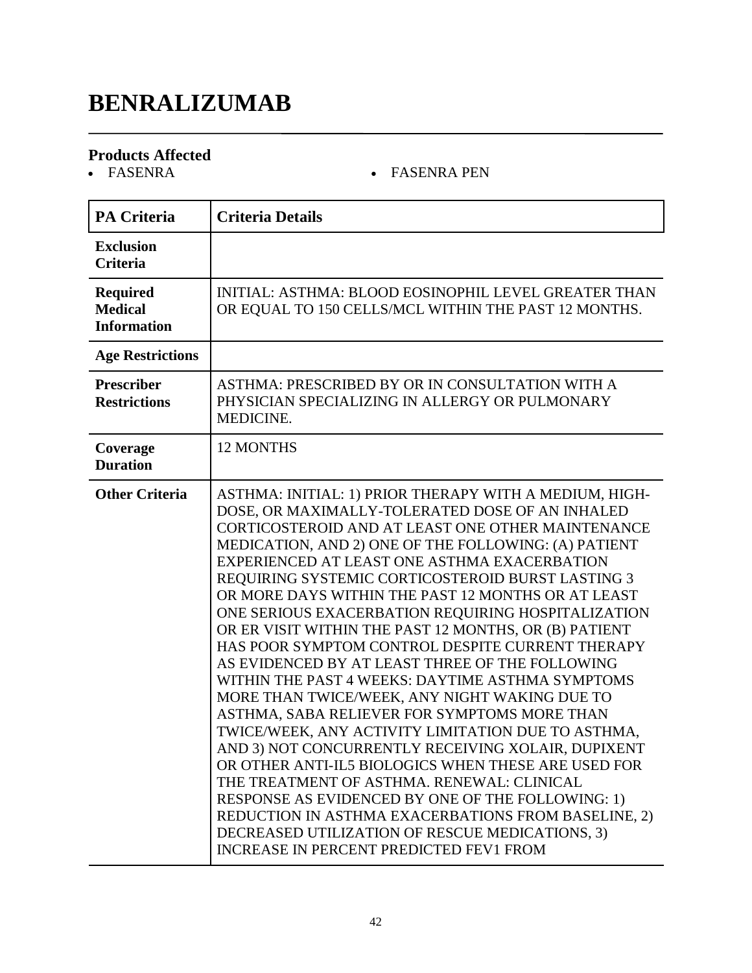# **BENRALIZUMAB**

# **Products Affected**

### • FASENRA PEN

| <b>PA Criteria</b>                                      | <b>Criteria Details</b>                                                                                                                                                                                                                                                                                                                                                                                                                                                                                                                                                                                                                                                                                                                                                                                                                                                                                                                                                                                                                                                                                                                                                                        |
|---------------------------------------------------------|------------------------------------------------------------------------------------------------------------------------------------------------------------------------------------------------------------------------------------------------------------------------------------------------------------------------------------------------------------------------------------------------------------------------------------------------------------------------------------------------------------------------------------------------------------------------------------------------------------------------------------------------------------------------------------------------------------------------------------------------------------------------------------------------------------------------------------------------------------------------------------------------------------------------------------------------------------------------------------------------------------------------------------------------------------------------------------------------------------------------------------------------------------------------------------------------|
| <b>Exclusion</b><br><b>Criteria</b>                     |                                                                                                                                                                                                                                                                                                                                                                                                                                                                                                                                                                                                                                                                                                                                                                                                                                                                                                                                                                                                                                                                                                                                                                                                |
| <b>Required</b><br><b>Medical</b><br><b>Information</b> | INITIAL: ASTHMA: BLOOD EOSINOPHIL LEVEL GREATER THAN<br>OR EQUAL TO 150 CELLS/MCL WITHIN THE PAST 12 MONTHS.                                                                                                                                                                                                                                                                                                                                                                                                                                                                                                                                                                                                                                                                                                                                                                                                                                                                                                                                                                                                                                                                                   |
| <b>Age Restrictions</b>                                 |                                                                                                                                                                                                                                                                                                                                                                                                                                                                                                                                                                                                                                                                                                                                                                                                                                                                                                                                                                                                                                                                                                                                                                                                |
| <b>Prescriber</b><br><b>Restrictions</b>                | ASTHMA: PRESCRIBED BY OR IN CONSULTATION WITH A<br>PHYSICIAN SPECIALIZING IN ALLERGY OR PULMONARY<br>MEDICINE.                                                                                                                                                                                                                                                                                                                                                                                                                                                                                                                                                                                                                                                                                                                                                                                                                                                                                                                                                                                                                                                                                 |
| Coverage<br><b>Duration</b>                             | 12 MONTHS                                                                                                                                                                                                                                                                                                                                                                                                                                                                                                                                                                                                                                                                                                                                                                                                                                                                                                                                                                                                                                                                                                                                                                                      |
| <b>Other Criteria</b>                                   | ASTHMA: INITIAL: 1) PRIOR THERAPY WITH A MEDIUM, HIGH-<br>DOSE, OR MAXIMALLY-TOLERATED DOSE OF AN INHALED<br>CORTICOSTEROID AND AT LEAST ONE OTHER MAINTENANCE<br>MEDICATION, AND 2) ONE OF THE FOLLOWING: (A) PATIENT<br>EXPERIENCED AT LEAST ONE ASTHMA EXACERBATION<br>REQUIRING SYSTEMIC CORTICOSTEROID BURST LASTING 3<br>OR MORE DAYS WITHIN THE PAST 12 MONTHS OR AT LEAST<br>ONE SERIOUS EXACERBATION REQUIRING HOSPITALIZATION<br>OR ER VISIT WITHIN THE PAST 12 MONTHS, OR (B) PATIENT<br>HAS POOR SYMPTOM CONTROL DESPITE CURRENT THERAPY<br>AS EVIDENCED BY AT LEAST THREE OF THE FOLLOWING<br>WITHIN THE PAST 4 WEEKS: DAYTIME ASTHMA SYMPTOMS<br>MORE THAN TWICE/WEEK, ANY NIGHT WAKING DUE TO<br>ASTHMA, SABA RELIEVER FOR SYMPTOMS MORE THAN<br>TWICE/WEEK, ANY ACTIVITY LIMITATION DUE TO ASTHMA,<br>AND 3) NOT CONCURRENTLY RECEIVING XOLAIR, DUPIXENT<br>OR OTHER ANTI-IL5 BIOLOGICS WHEN THESE ARE USED FOR<br>THE TREATMENT OF ASTHMA. RENEWAL: CLINICAL<br>RESPONSE AS EVIDENCED BY ONE OF THE FOLLOWING: 1)<br>REDUCTION IN ASTHMA EXACERBATIONS FROM BASELINE, 2)<br>DECREASED UTILIZATION OF RESCUE MEDICATIONS, 3)<br><b>INCREASE IN PERCENT PREDICTED FEV1 FROM</b> |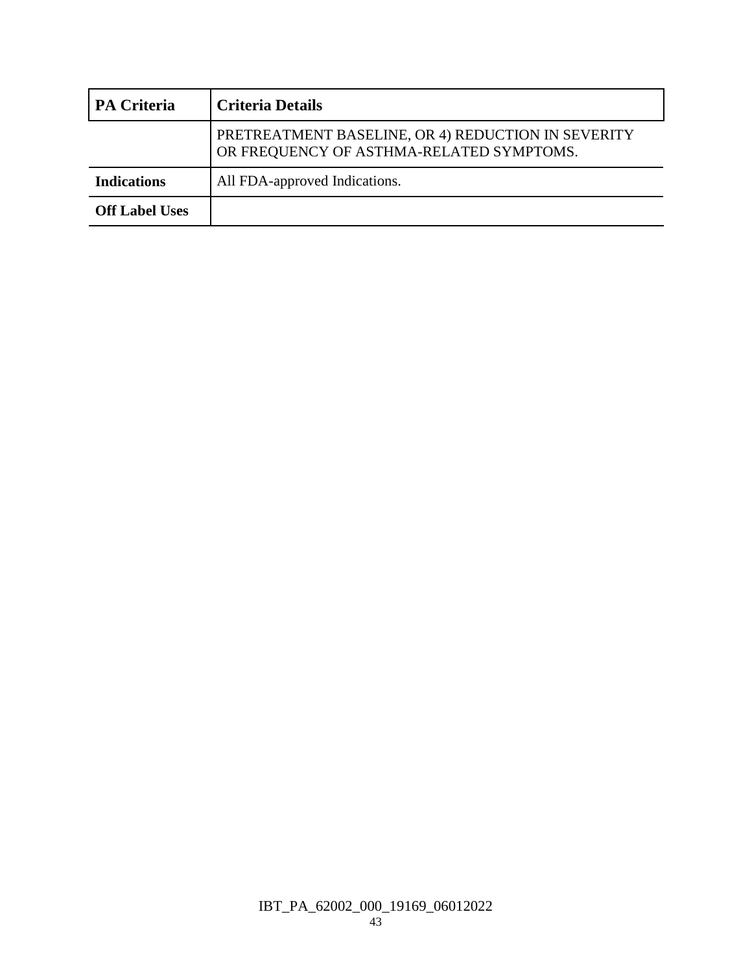| <b>PA Criteria</b>    | <b>Criteria Details</b>                                                                        |
|-----------------------|------------------------------------------------------------------------------------------------|
|                       | PRETREATMENT BASELINE, OR 4) REDUCTION IN SEVERITY<br>OR FREQUENCY OF ASTHMA-RELATED SYMPTOMS. |
| <b>Indications</b>    | All FDA-approved Indications.                                                                  |
| <b>Off Label Uses</b> |                                                                                                |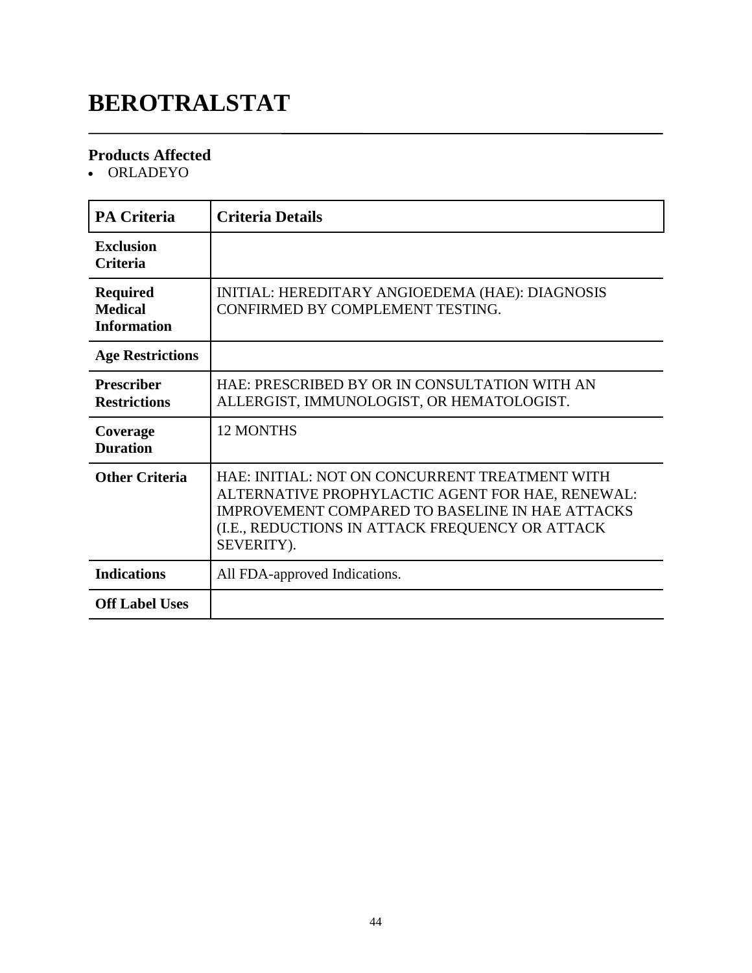# **BEROTRALSTAT**

### **Products Affected**

ORLADEYO

| <b>PA Criteria</b>                                      | <b>Criteria Details</b>                                                                                                                                                                                                       |
|---------------------------------------------------------|-------------------------------------------------------------------------------------------------------------------------------------------------------------------------------------------------------------------------------|
| <b>Exclusion</b><br><b>Criteria</b>                     |                                                                                                                                                                                                                               |
| <b>Required</b><br><b>Medical</b><br><b>Information</b> | INITIAL: HEREDITARY ANGIOEDEMA (HAE): DIAGNOSIS<br>CONFIRMED BY COMPLEMENT TESTING.                                                                                                                                           |
| <b>Age Restrictions</b>                                 |                                                                                                                                                                                                                               |
| <b>Prescriber</b><br><b>Restrictions</b>                | HAE: PRESCRIBED BY OR IN CONSULTATION WITH AN<br>ALLERGIST, IMMUNOLOGIST, OR HEMATOLOGIST.                                                                                                                                    |
| Coverage<br><b>Duration</b>                             | <b>12 MONTHS</b>                                                                                                                                                                                                              |
| <b>Other Criteria</b>                                   | HAE: INITIAL: NOT ON CONCURRENT TREATMENT WITH<br>ALTERNATIVE PROPHYLACTIC AGENT FOR HAE, RENEWAL:<br><b>IMPROVEMENT COMPARED TO BASELINE IN HAE ATTACKS</b><br>(I.E., REDUCTIONS IN ATTACK FREQUENCY OR ATTACK<br>SEVERITY). |
| <b>Indications</b>                                      | All FDA-approved Indications.                                                                                                                                                                                                 |
| <b>Off Label Uses</b>                                   |                                                                                                                                                                                                                               |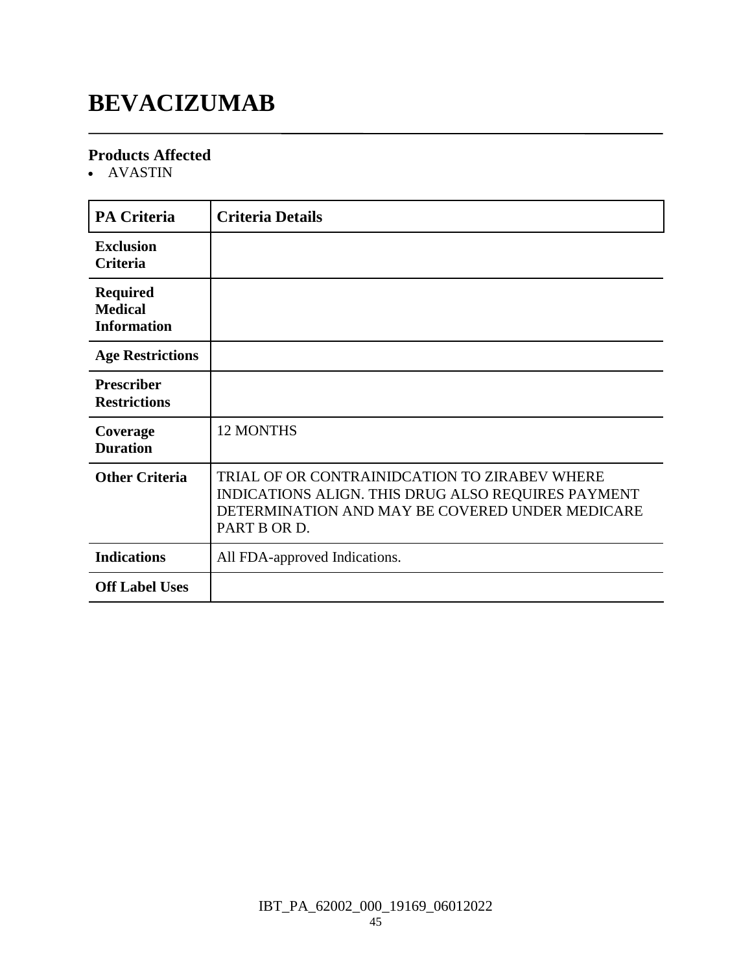# **BEVACIZUMAB**

### **Products Affected**

AVASTIN

| <b>PA Criteria</b>                                      | <b>Criteria Details</b>                                                                                                                                                |
|---------------------------------------------------------|------------------------------------------------------------------------------------------------------------------------------------------------------------------------|
| <b>Exclusion</b><br><b>Criteria</b>                     |                                                                                                                                                                        |
| <b>Required</b><br><b>Medical</b><br><b>Information</b> |                                                                                                                                                                        |
| <b>Age Restrictions</b>                                 |                                                                                                                                                                        |
| <b>Prescriber</b><br><b>Restrictions</b>                |                                                                                                                                                                        |
| Coverage<br><b>Duration</b>                             | <b>12 MONTHS</b>                                                                                                                                                       |
| <b>Other Criteria</b>                                   | TRIAL OF OR CONTRAINIDCATION TO ZIRABEV WHERE<br>INDICATIONS ALIGN. THIS DRUG ALSO REQUIRES PAYMENT<br>DETERMINATION AND MAY BE COVERED UNDER MEDICARE<br>PART B OR D. |
| <b>Indications</b>                                      | All FDA-approved Indications.                                                                                                                                          |
| <b>Off Label Uses</b>                                   |                                                                                                                                                                        |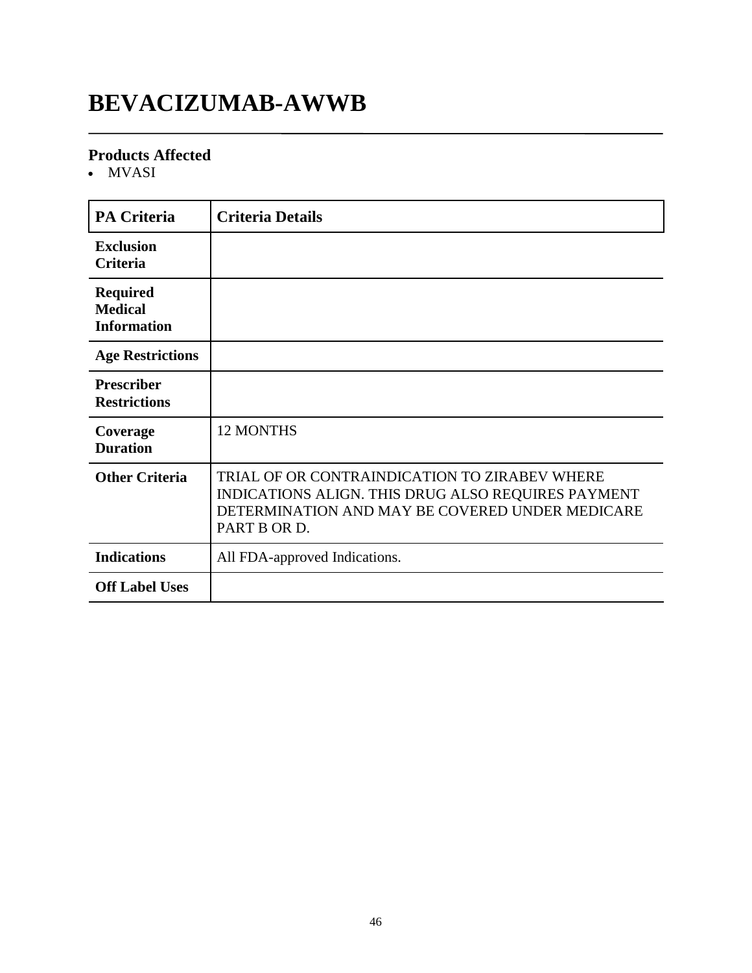# **BEVACIZUMAB-AWWB**

### **Products Affected**

• MVASI

| <b>PA Criteria</b>                                      | <b>Criteria Details</b>                                                                                                                                                |
|---------------------------------------------------------|------------------------------------------------------------------------------------------------------------------------------------------------------------------------|
| <b>Exclusion</b><br><b>Criteria</b>                     |                                                                                                                                                                        |
| <b>Required</b><br><b>Medical</b><br><b>Information</b> |                                                                                                                                                                        |
| <b>Age Restrictions</b>                                 |                                                                                                                                                                        |
| <b>Prescriber</b><br><b>Restrictions</b>                |                                                                                                                                                                        |
| Coverage<br><b>Duration</b>                             | <b>12 MONTHS</b>                                                                                                                                                       |
| <b>Other Criteria</b>                                   | TRIAL OF OR CONTRAINDICATION TO ZIRABEV WHERE<br>INDICATIONS ALIGN. THIS DRUG ALSO REQUIRES PAYMENT<br>DETERMINATION AND MAY BE COVERED UNDER MEDICARE<br>PART B OR D. |
| <b>Indications</b>                                      | All FDA-approved Indications.                                                                                                                                          |
| <b>Off Label Uses</b>                                   |                                                                                                                                                                        |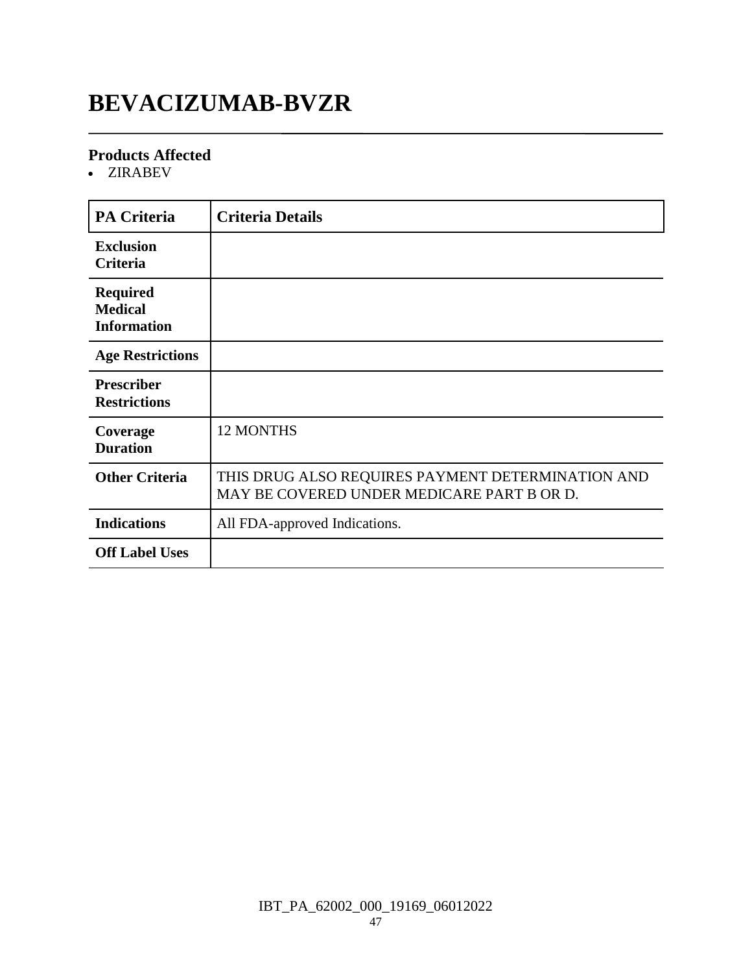# **BEVACIZUMAB-BVZR**

### **Products Affected**

ZIRABEV

| <b>PA Criteria</b>                                      | <b>Criteria Details</b>                                                                         |
|---------------------------------------------------------|-------------------------------------------------------------------------------------------------|
| <b>Exclusion</b><br>Criteria                            |                                                                                                 |
| <b>Required</b><br><b>Medical</b><br><b>Information</b> |                                                                                                 |
| <b>Age Restrictions</b>                                 |                                                                                                 |
| <b>Prescriber</b><br><b>Restrictions</b>                |                                                                                                 |
| Coverage<br><b>Duration</b>                             | 12 MONTHS                                                                                       |
| <b>Other Criteria</b>                                   | THIS DRUG ALSO REQUIRES PAYMENT DETERMINATION AND<br>MAY BE COVERED UNDER MEDICARE PART B OR D. |
| <b>Indications</b>                                      | All FDA-approved Indications.                                                                   |
| <b>Off Label Uses</b>                                   |                                                                                                 |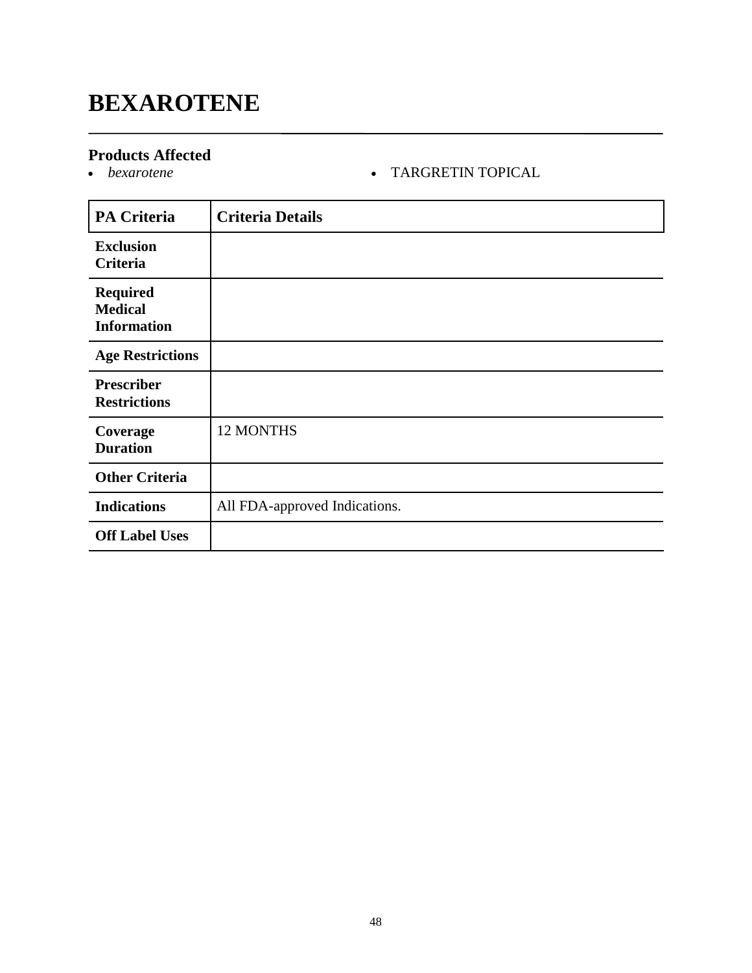# **BEXAROTENE**

### **Products Affected**

### *bexarotene* TARGRETIN TOPICAL

| <b>PA Criteria</b>                                      | <b>Criteria Details</b>       |
|---------------------------------------------------------|-------------------------------|
| <b>Exclusion</b><br><b>Criteria</b>                     |                               |
| <b>Required</b><br><b>Medical</b><br><b>Information</b> |                               |
| <b>Age Restrictions</b>                                 |                               |
| <b>Prescriber</b><br><b>Restrictions</b>                |                               |
| Coverage<br><b>Duration</b>                             | 12 MONTHS                     |
| <b>Other Criteria</b>                                   |                               |
| <b>Indications</b>                                      | All FDA-approved Indications. |
| <b>Off Label Uses</b>                                   |                               |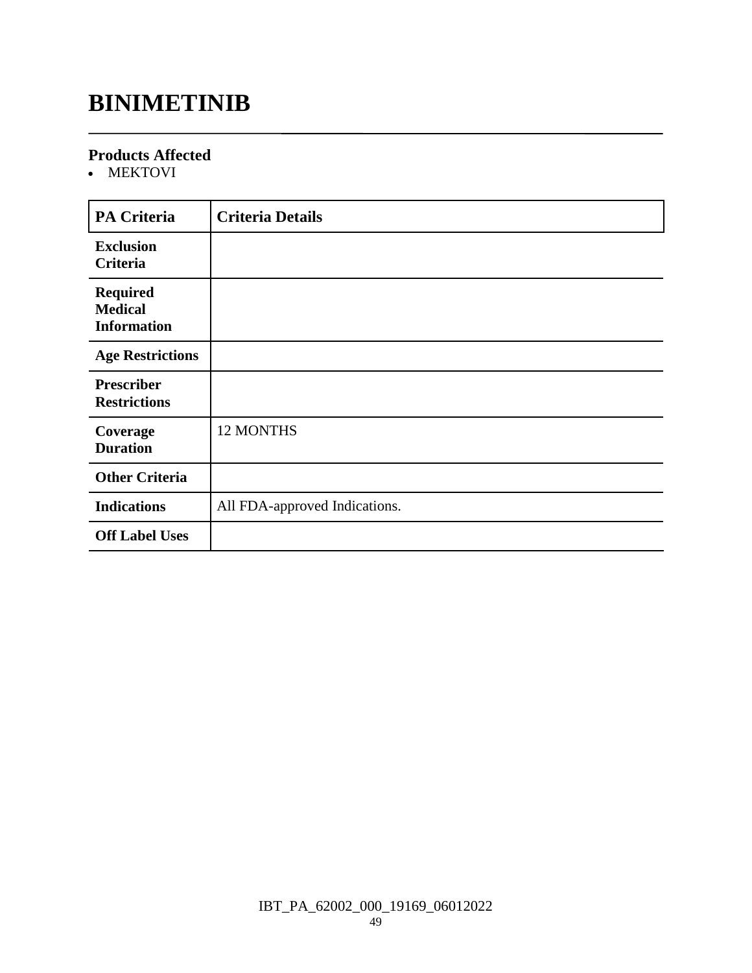# **BINIMETINIB**

### **Products Affected**

MEKTOVI

| <b>PA Criteria</b>                                      | <b>Criteria Details</b>       |
|---------------------------------------------------------|-------------------------------|
| <b>Exclusion</b><br>Criteria                            |                               |
| <b>Required</b><br><b>Medical</b><br><b>Information</b> |                               |
| <b>Age Restrictions</b>                                 |                               |
| <b>Prescriber</b><br><b>Restrictions</b>                |                               |
| Coverage<br><b>Duration</b>                             | 12 MONTHS                     |
| <b>Other Criteria</b>                                   |                               |
| <b>Indications</b>                                      | All FDA-approved Indications. |
| <b>Off Label Uses</b>                                   |                               |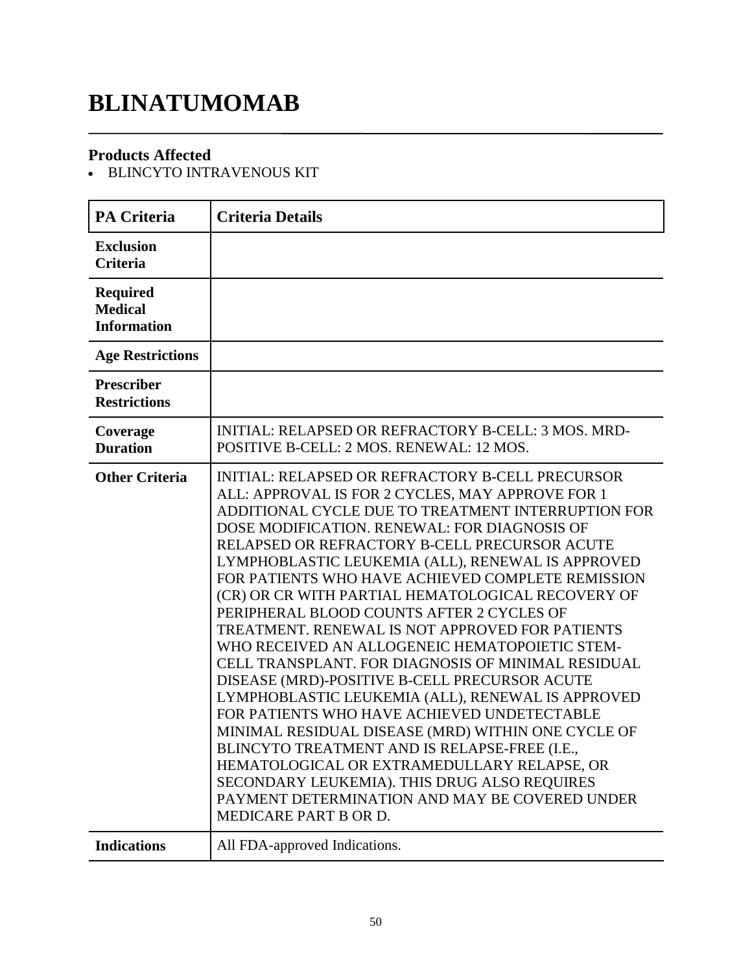# **BLINATUMOMAB**

### **Products Affected**

BLINCYTO INTRAVENOUS KIT

| <b>PA Criteria</b>                                      | <b>Criteria Details</b>                                                                                                                                                                                                                                                                                                                                                                                                                                                                                                                                                                                                                                                                                                                                                                                                                                                                                                                                                                                                                                                         |
|---------------------------------------------------------|---------------------------------------------------------------------------------------------------------------------------------------------------------------------------------------------------------------------------------------------------------------------------------------------------------------------------------------------------------------------------------------------------------------------------------------------------------------------------------------------------------------------------------------------------------------------------------------------------------------------------------------------------------------------------------------------------------------------------------------------------------------------------------------------------------------------------------------------------------------------------------------------------------------------------------------------------------------------------------------------------------------------------------------------------------------------------------|
| <b>Exclusion</b><br><b>Criteria</b>                     |                                                                                                                                                                                                                                                                                                                                                                                                                                                                                                                                                                                                                                                                                                                                                                                                                                                                                                                                                                                                                                                                                 |
| <b>Required</b><br><b>Medical</b><br><b>Information</b> |                                                                                                                                                                                                                                                                                                                                                                                                                                                                                                                                                                                                                                                                                                                                                                                                                                                                                                                                                                                                                                                                                 |
| <b>Age Restrictions</b>                                 |                                                                                                                                                                                                                                                                                                                                                                                                                                                                                                                                                                                                                                                                                                                                                                                                                                                                                                                                                                                                                                                                                 |
| Prescriber<br><b>Restrictions</b>                       |                                                                                                                                                                                                                                                                                                                                                                                                                                                                                                                                                                                                                                                                                                                                                                                                                                                                                                                                                                                                                                                                                 |
| Coverage<br><b>Duration</b>                             | INITIAL: RELAPSED OR REFRACTORY B-CELL: 3 MOS. MRD-<br>POSITIVE B-CELL: 2 MOS. RENEWAL: 12 MOS.                                                                                                                                                                                                                                                                                                                                                                                                                                                                                                                                                                                                                                                                                                                                                                                                                                                                                                                                                                                 |
| <b>Other Criteria</b>                                   | <b>INITIAL: RELAPSED OR REFRACTORY B-CELL PRECURSOR</b><br>ALL: APPROVAL IS FOR 2 CYCLES, MAY APPROVE FOR 1<br>ADDITIONAL CYCLE DUE TO TREATMENT INTERRUPTION FOR<br>DOSE MODIFICATION. RENEWAL: FOR DIAGNOSIS OF<br>RELAPSED OR REFRACTORY B-CELL PRECURSOR ACUTE<br>LYMPHOBLASTIC LEUKEMIA (ALL), RENEWAL IS APPROVED<br>FOR PATIENTS WHO HAVE ACHIEVED COMPLETE REMISSION<br>(CR) OR CR WITH PARTIAL HEMATOLOGICAL RECOVERY OF<br>PERIPHERAL BLOOD COUNTS AFTER 2 CYCLES OF<br>TREATMENT. RENEWAL IS NOT APPROVED FOR PATIENTS<br>WHO RECEIVED AN ALLOGENEIC HEMATOPOIETIC STEM-<br>CELL TRANSPLANT. FOR DIAGNOSIS OF MINIMAL RESIDUAL<br>DISEASE (MRD)-POSITIVE B-CELL PRECURSOR ACUTE<br>LYMPHOBLASTIC LEUKEMIA (ALL), RENEWAL IS APPROVED<br>FOR PATIENTS WHO HAVE ACHIEVED UNDETECTABLE<br>MINIMAL RESIDUAL DISEASE (MRD) WITHIN ONE CYCLE OF<br>BLINCYTO TREATMENT AND IS RELAPSE-FREE (I.E.,<br>HEMATOLOGICAL OR EXTRAMEDULLARY RELAPSE, OR<br>SECONDARY LEUKEMIA). THIS DRUG ALSO REQUIRES<br>PAYMENT DETERMINATION AND MAY BE COVERED UNDER<br>MEDICARE PART B OR D. |
| <b>Indications</b>                                      | All FDA-approved Indications.                                                                                                                                                                                                                                                                                                                                                                                                                                                                                                                                                                                                                                                                                                                                                                                                                                                                                                                                                                                                                                                   |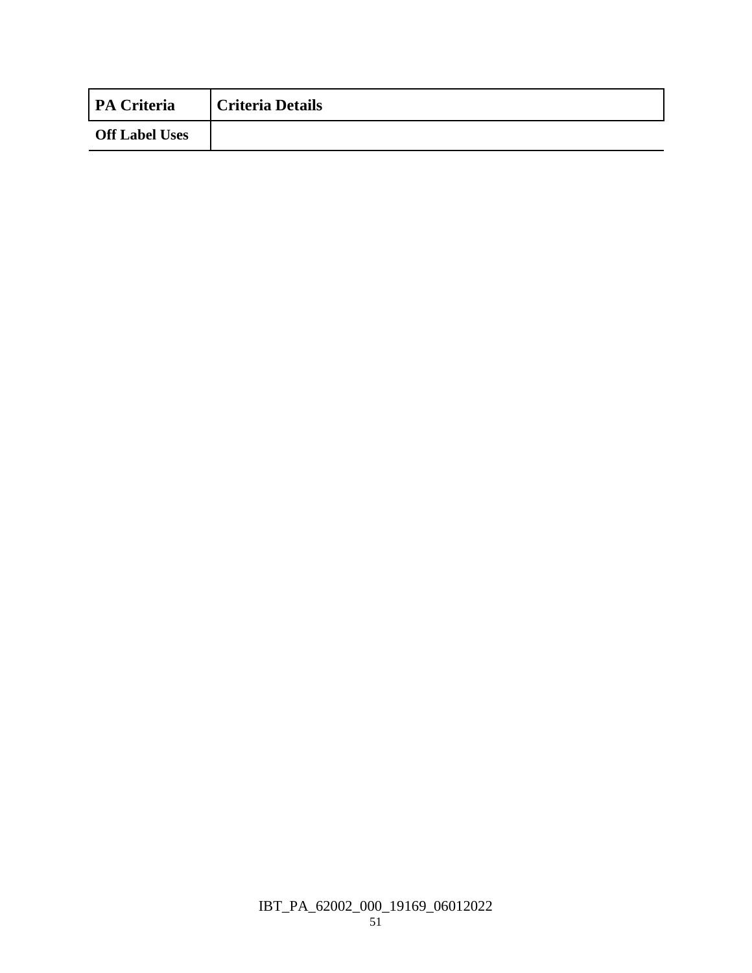| <b>PA Criteria</b>    | <b>Criteria Details</b> |
|-----------------------|-------------------------|
| <b>Off Label Uses</b> |                         |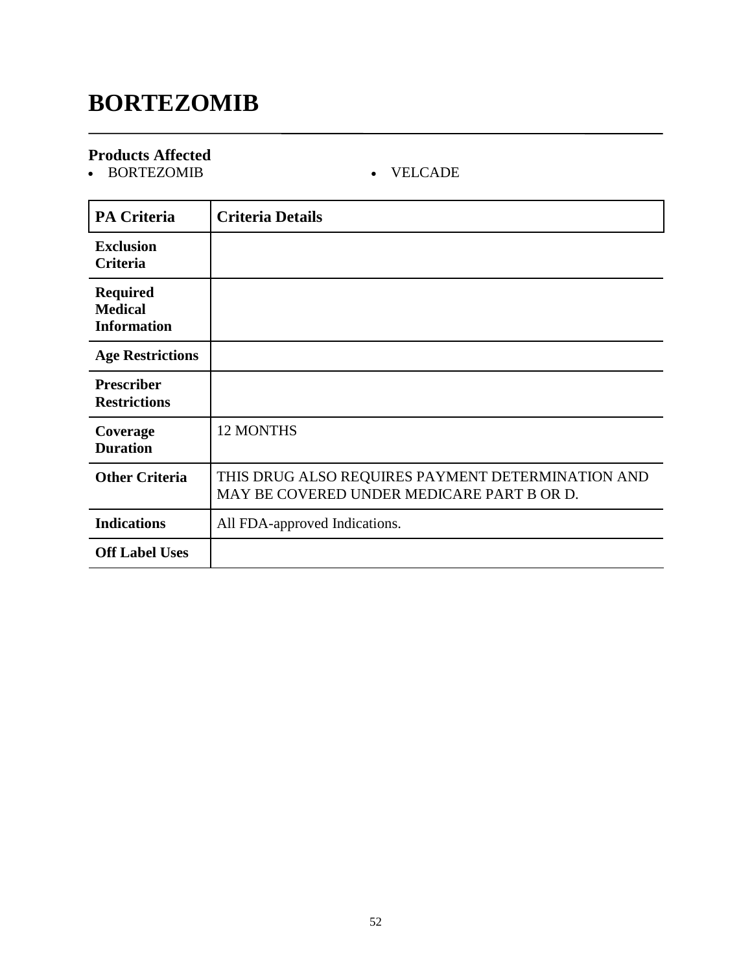# **BORTEZOMIB**

### **Products Affected**

BORTEZOMIB VELCADE

| <b>PA Criteria</b>                                      | <b>Criteria Details</b>                                                                         |
|---------------------------------------------------------|-------------------------------------------------------------------------------------------------|
| <b>Exclusion</b><br><b>Criteria</b>                     |                                                                                                 |
| <b>Required</b><br><b>Medical</b><br><b>Information</b> |                                                                                                 |
| <b>Age Restrictions</b>                                 |                                                                                                 |
| <b>Prescriber</b><br><b>Restrictions</b>                |                                                                                                 |
| Coverage<br><b>Duration</b>                             | <b>12 MONTHS</b>                                                                                |
| <b>Other Criteria</b>                                   | THIS DRUG ALSO REQUIRES PAYMENT DETERMINATION AND<br>MAY BE COVERED UNDER MEDICARE PART B OR D. |
| <b>Indications</b>                                      | All FDA-approved Indications.                                                                   |
| <b>Off Label Uses</b>                                   |                                                                                                 |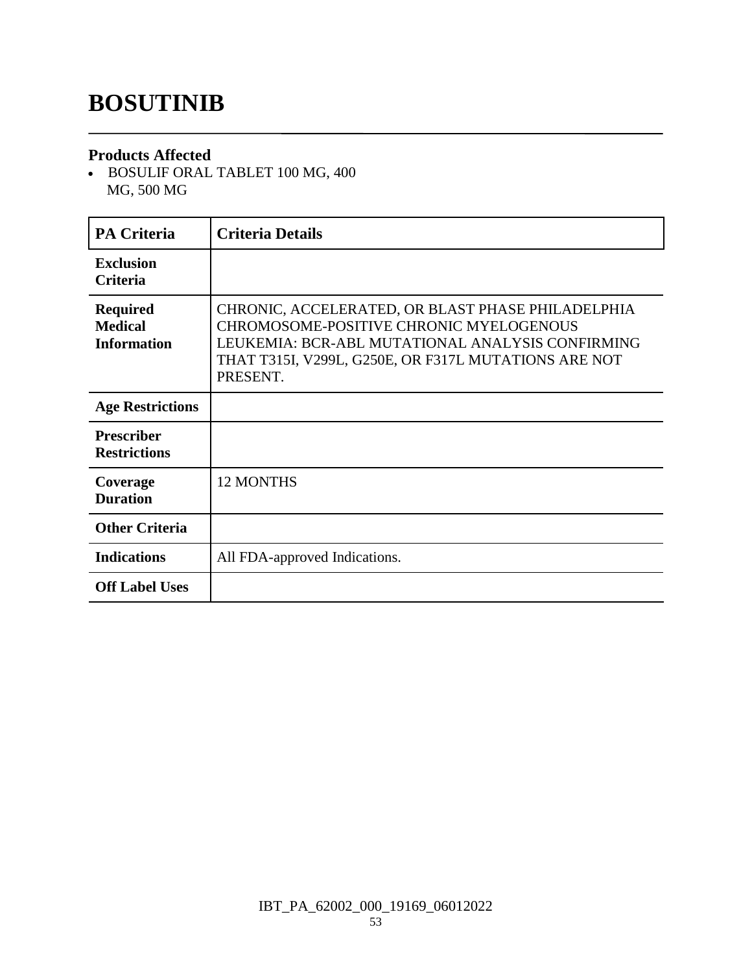# **BOSUTINIB**

### **Products Affected**

 BOSULIF ORAL TABLET 100 MG, 400 MG, 500 MG

| <b>PA Criteria</b>                                      | <b>Criteria Details</b>                                                                                                                                                                                              |
|---------------------------------------------------------|----------------------------------------------------------------------------------------------------------------------------------------------------------------------------------------------------------------------|
| <b>Exclusion</b><br><b>Criteria</b>                     |                                                                                                                                                                                                                      |
| <b>Required</b><br><b>Medical</b><br><b>Information</b> | CHRONIC, ACCELERATED, OR BLAST PHASE PHILADELPHIA<br>CHROMOSOME-POSITIVE CHRONIC MYELOGENOUS<br>LEUKEMIA: BCR-ABL MUTATIONAL ANALYSIS CONFIRMING<br>THAT T315I, V299L, G250E, OR F317L MUTATIONS ARE NOT<br>PRESENT. |
| <b>Age Restrictions</b>                                 |                                                                                                                                                                                                                      |
| <b>Prescriber</b><br><b>Restrictions</b>                |                                                                                                                                                                                                                      |
| Coverage<br><b>Duration</b>                             | <b>12 MONTHS</b>                                                                                                                                                                                                     |
| <b>Other Criteria</b>                                   |                                                                                                                                                                                                                      |
| <b>Indications</b>                                      | All FDA-approved Indications.                                                                                                                                                                                        |
| <b>Off Label Uses</b>                                   |                                                                                                                                                                                                                      |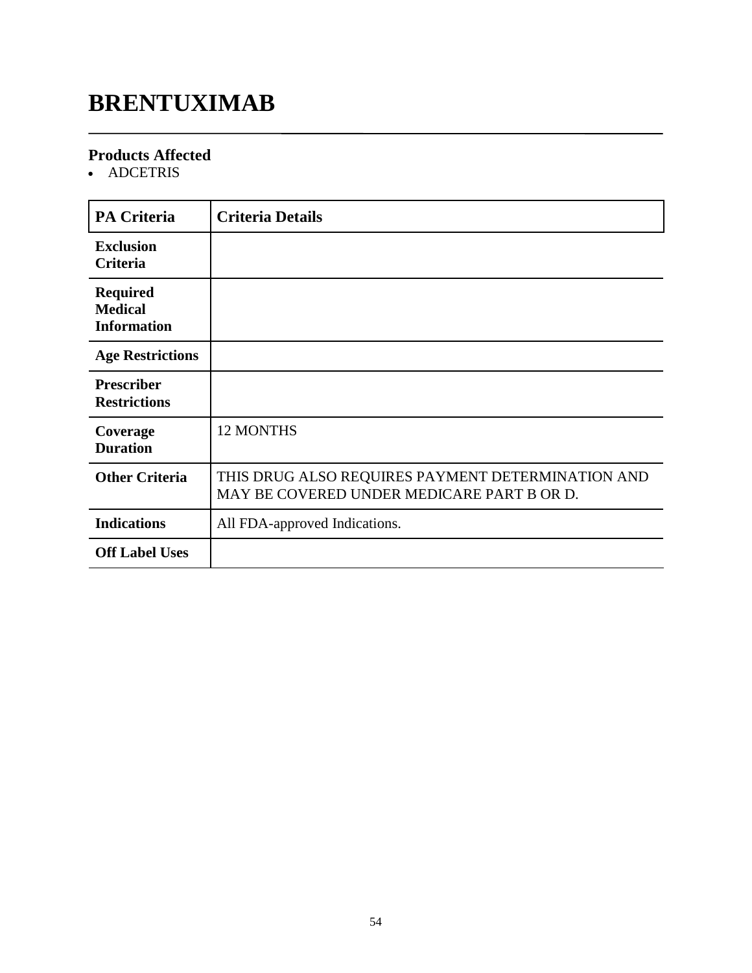# **BRENTUXIMAB**

### **Products Affected**

• ADCETRIS

| <b>PA Criteria</b>                                      | <b>Criteria Details</b>                                                                         |
|---------------------------------------------------------|-------------------------------------------------------------------------------------------------|
| <b>Exclusion</b><br><b>Criteria</b>                     |                                                                                                 |
| <b>Required</b><br><b>Medical</b><br><b>Information</b> |                                                                                                 |
| <b>Age Restrictions</b>                                 |                                                                                                 |
| <b>Prescriber</b><br><b>Restrictions</b>                |                                                                                                 |
| Coverage<br><b>Duration</b>                             | <b>12 MONTHS</b>                                                                                |
| <b>Other Criteria</b>                                   | THIS DRUG ALSO REQUIRES PAYMENT DETERMINATION AND<br>MAY BE COVERED UNDER MEDICARE PART B OR D. |
| <b>Indications</b>                                      | All FDA-approved Indications.                                                                   |
| <b>Off Label Uses</b>                                   |                                                                                                 |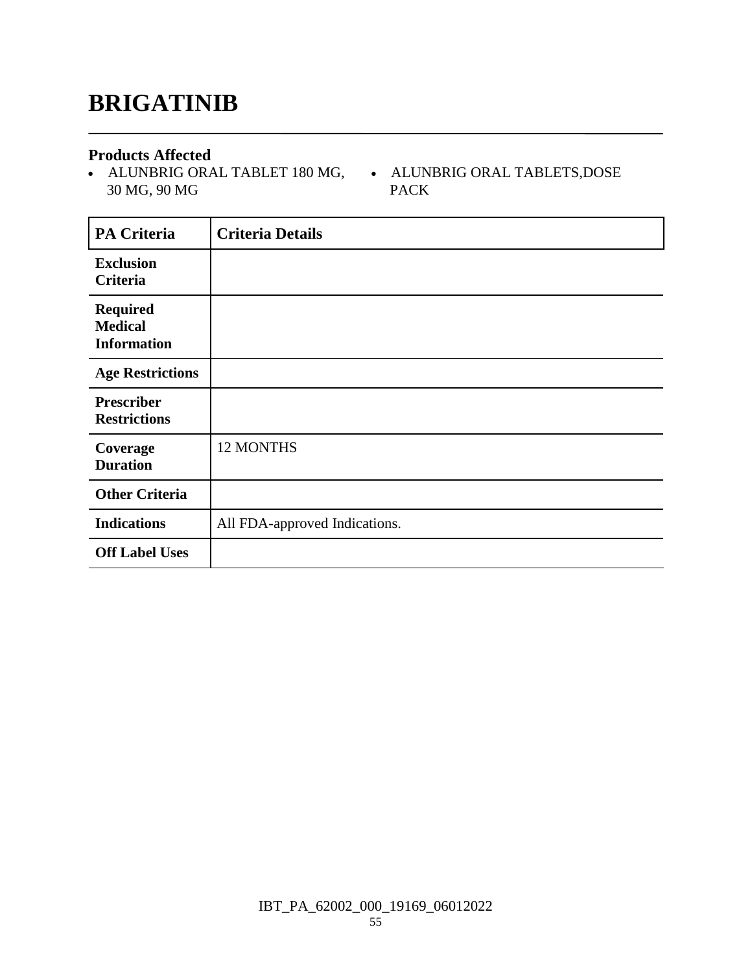## **BRIGATINIB**

### **Products Affected**

 ALUNBRIG ORAL TABLET 180 MG, 30 MG, 90 MG

 ALUNBRIG ORAL TABLETS,DOSE PACK

| <b>PA Criteria</b>                                      | <b>Criteria Details</b>       |
|---------------------------------------------------------|-------------------------------|
| <b>Exclusion</b><br>Criteria                            |                               |
| <b>Required</b><br><b>Medical</b><br><b>Information</b> |                               |
| <b>Age Restrictions</b>                                 |                               |
| <b>Prescriber</b><br><b>Restrictions</b>                |                               |
| Coverage<br><b>Duration</b>                             | 12 MONTHS                     |
| <b>Other Criteria</b>                                   |                               |
| <b>Indications</b>                                      | All FDA-approved Indications. |
| <b>Off Label Uses</b>                                   |                               |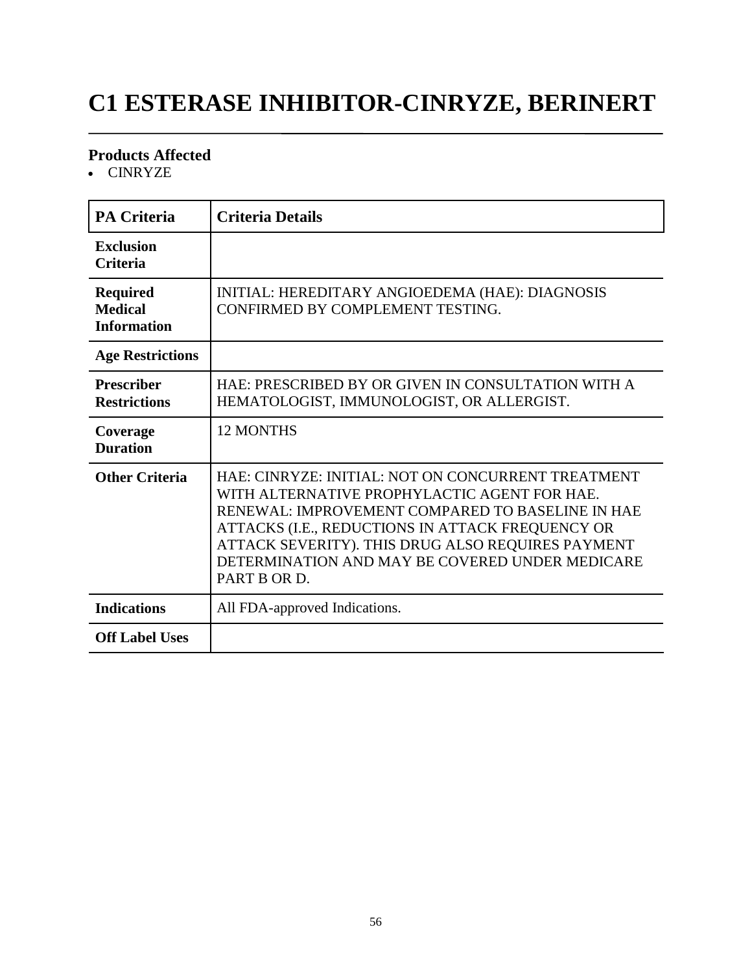# **C1 ESTERASE INHIBITOR-CINRYZE, BERINERT**

### **Products Affected**

CINRYZE

| <b>PA Criteria</b>                                      | <b>Criteria Details</b>                                                                                                                                                                                                                                                                                                            |
|---------------------------------------------------------|------------------------------------------------------------------------------------------------------------------------------------------------------------------------------------------------------------------------------------------------------------------------------------------------------------------------------------|
| <b>Exclusion</b><br><b>Criteria</b>                     |                                                                                                                                                                                                                                                                                                                                    |
| <b>Required</b><br><b>Medical</b><br><b>Information</b> | INITIAL: HEREDITARY ANGIOEDEMA (HAE): DIAGNOSIS<br>CONFIRMED BY COMPLEMENT TESTING.                                                                                                                                                                                                                                                |
| <b>Age Restrictions</b>                                 |                                                                                                                                                                                                                                                                                                                                    |
| <b>Prescriber</b><br><b>Restrictions</b>                | HAE: PRESCRIBED BY OR GIVEN IN CONSULTATION WITH A<br>HEMATOLOGIST, IMMUNOLOGIST, OR ALLERGIST.                                                                                                                                                                                                                                    |
| Coverage<br><b>Duration</b>                             | 12 MONTHS                                                                                                                                                                                                                                                                                                                          |
| <b>Other Criteria</b>                                   | HAE: CINRYZE: INITIAL: NOT ON CONCURRENT TREATMENT<br>WITH ALTERNATIVE PROPHYLACTIC AGENT FOR HAE.<br>RENEWAL: IMPROVEMENT COMPARED TO BASELINE IN HAE<br>ATTACKS (I.E., REDUCTIONS IN ATTACK FREQUENCY OR<br>ATTACK SEVERITY). THIS DRUG ALSO REQUIRES PAYMENT<br>DETERMINATION AND MAY BE COVERED UNDER MEDICARE<br>PART B OR D. |
| <b>Indications</b>                                      | All FDA-approved Indications.                                                                                                                                                                                                                                                                                                      |
| <b>Off Label Uses</b>                                   |                                                                                                                                                                                                                                                                                                                                    |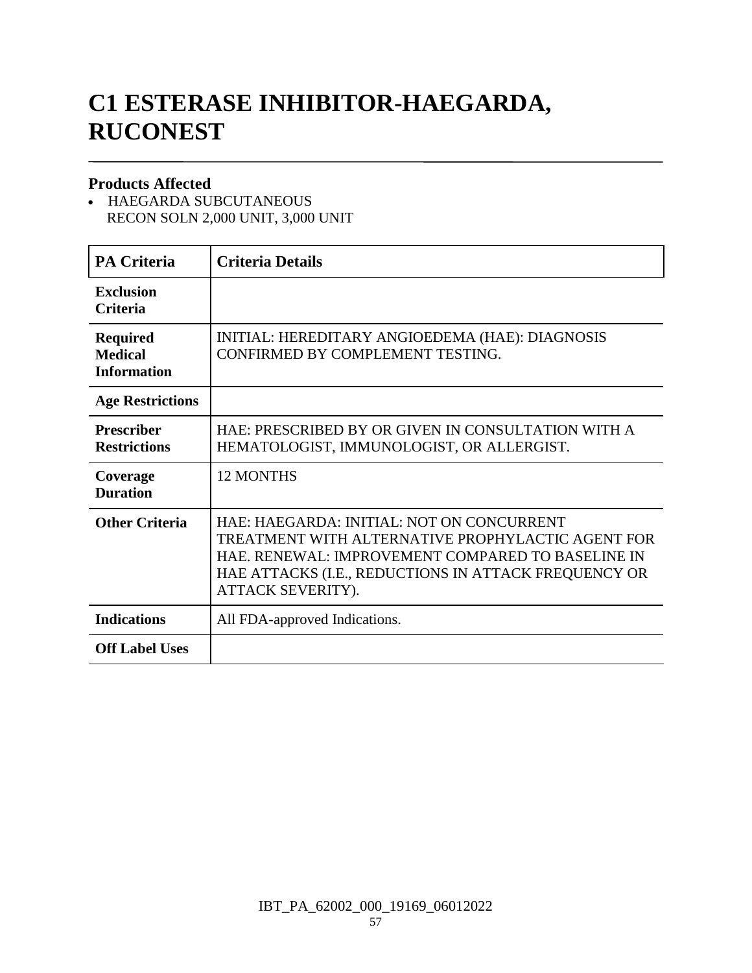# **C1 ESTERASE INHIBITOR-HAEGARDA, RUCONEST**

### **Products Affected**

 HAEGARDA SUBCUTANEOUS RECON SOLN 2,000 UNIT, 3,000 UNIT

| <b>PA Criteria</b>                                      | <b>Criteria Details</b>                                                                                                                                                                                                          |
|---------------------------------------------------------|----------------------------------------------------------------------------------------------------------------------------------------------------------------------------------------------------------------------------------|
| <b>Exclusion</b><br><b>Criteria</b>                     |                                                                                                                                                                                                                                  |
| <b>Required</b><br><b>Medical</b><br><b>Information</b> | INITIAL: HEREDITARY ANGIOEDEMA (HAE): DIAGNOSIS<br>CONFIRMED BY COMPLEMENT TESTING.                                                                                                                                              |
| <b>Age Restrictions</b>                                 |                                                                                                                                                                                                                                  |
| <b>Prescriber</b><br><b>Restrictions</b>                | HAE: PRESCRIBED BY OR GIVEN IN CONSULTATION WITH A<br>HEMATOLOGIST, IMMUNOLOGIST, OR ALLERGIST.                                                                                                                                  |
| Coverage<br><b>Duration</b>                             | <b>12 MONTHS</b>                                                                                                                                                                                                                 |
| <b>Other Criteria</b>                                   | HAE: HAEGARDA: INITIAL: NOT ON CONCURRENT<br>TREATMENT WITH ALTERNATIVE PROPHYLACTIC AGENT FOR<br>HAE. RENEWAL: IMPROVEMENT COMPARED TO BASELINE IN<br>HAE ATTACKS (I.E., REDUCTIONS IN ATTACK FREQUENCY OR<br>ATTACK SEVERITY). |
| <b>Indications</b>                                      | All FDA-approved Indications.                                                                                                                                                                                                    |
| <b>Off Label Uses</b>                                   |                                                                                                                                                                                                                                  |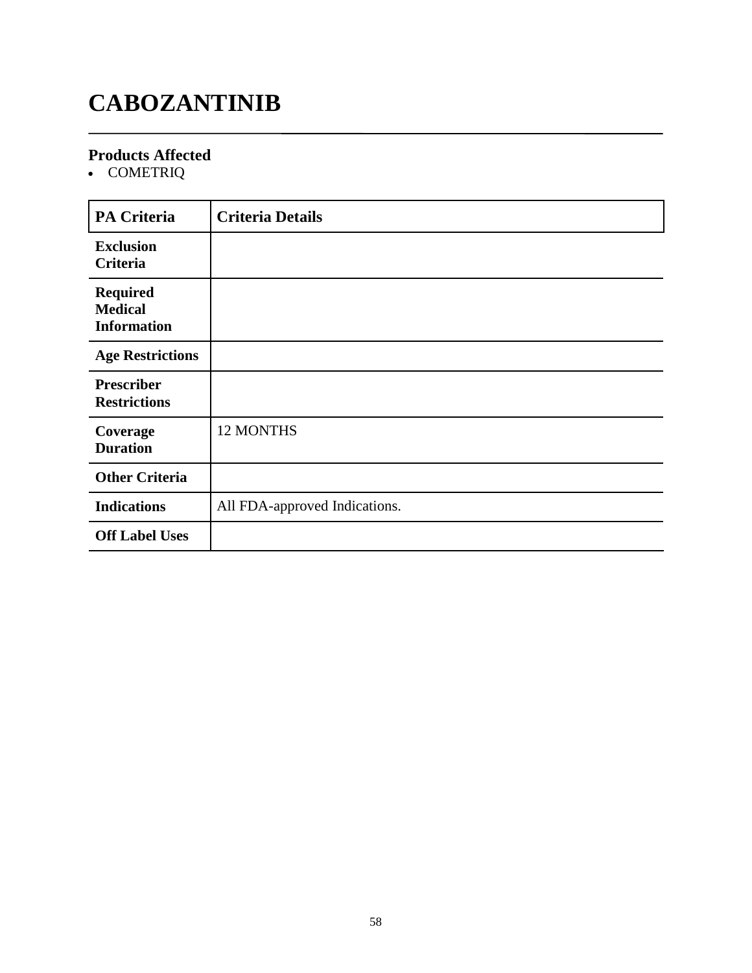# **CABOZANTINIB**

### **Products Affected**

• COMETRIQ

| <b>PA Criteria</b>                                      | <b>Criteria Details</b>       |
|---------------------------------------------------------|-------------------------------|
| <b>Exclusion</b><br>Criteria                            |                               |
| <b>Required</b><br><b>Medical</b><br><b>Information</b> |                               |
| <b>Age Restrictions</b>                                 |                               |
| <b>Prescriber</b><br><b>Restrictions</b>                |                               |
| Coverage<br><b>Duration</b>                             | 12 MONTHS                     |
| <b>Other Criteria</b>                                   |                               |
| <b>Indications</b>                                      | All FDA-approved Indications. |
| <b>Off Label Uses</b>                                   |                               |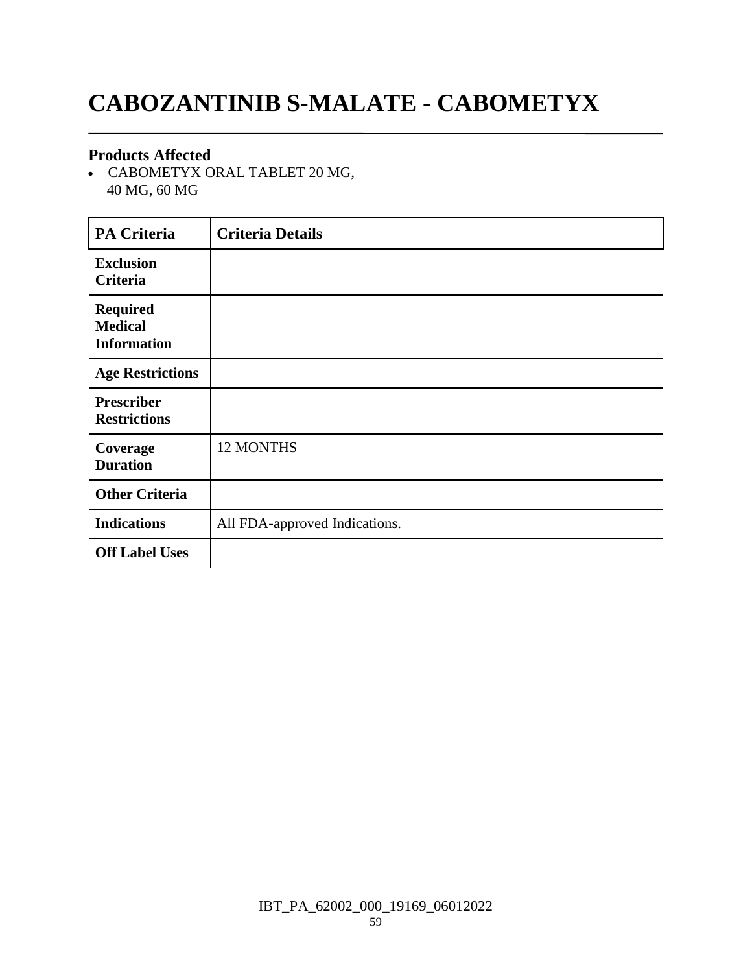# **CABOZANTINIB S-MALATE - CABOMETYX**

### **Products Affected**

 CABOMETYX ORAL TABLET 20 MG, 40 MG, 60 MG

| <b>PA Criteria</b>                                      | <b>Criteria Details</b>       |
|---------------------------------------------------------|-------------------------------|
| <b>Exclusion</b><br>Criteria                            |                               |
| <b>Required</b><br><b>Medical</b><br><b>Information</b> |                               |
| <b>Age Restrictions</b>                                 |                               |
| <b>Prescriber</b><br><b>Restrictions</b>                |                               |
| Coverage<br><b>Duration</b>                             | 12 MONTHS                     |
| <b>Other Criteria</b>                                   |                               |
| <b>Indications</b>                                      | All FDA-approved Indications. |
| <b>Off Label Uses</b>                                   |                               |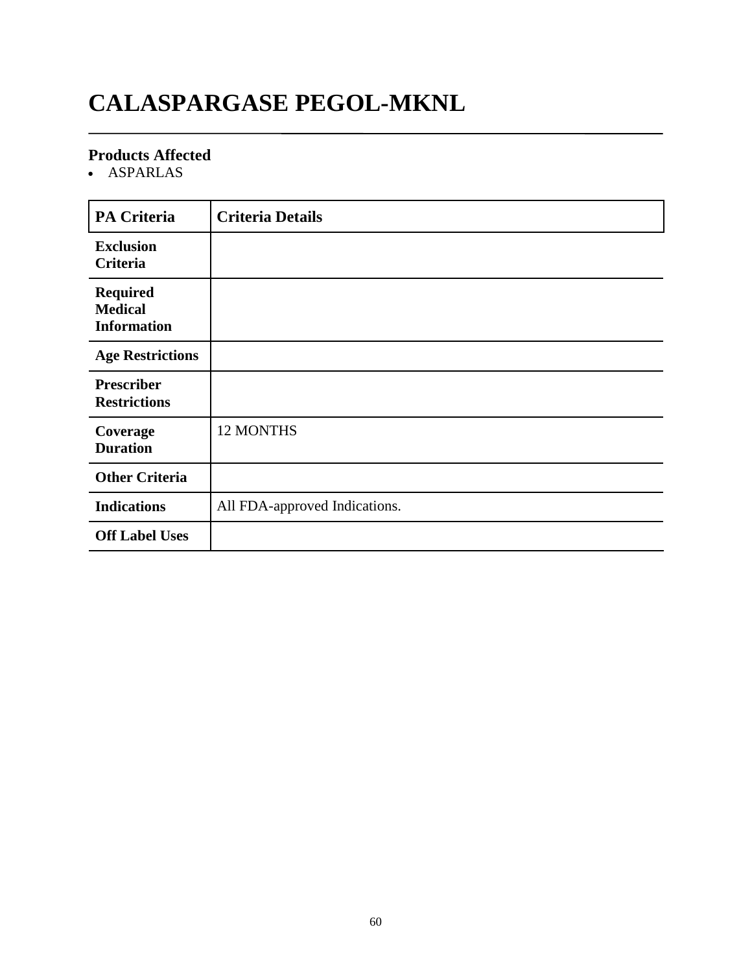# **CALASPARGASE PEGOL-MKNL**

### **Products Affected**

ASPARLAS

| <b>PA Criteria</b>                                      | <b>Criteria Details</b>       |
|---------------------------------------------------------|-------------------------------|
| <b>Exclusion</b><br>Criteria                            |                               |
| <b>Required</b><br><b>Medical</b><br><b>Information</b> |                               |
| <b>Age Restrictions</b>                                 |                               |
| <b>Prescriber</b><br><b>Restrictions</b>                |                               |
| Coverage<br><b>Duration</b>                             | 12 MONTHS                     |
| <b>Other Criteria</b>                                   |                               |
| <b>Indications</b>                                      | All FDA-approved Indications. |
| <b>Off Label Uses</b>                                   |                               |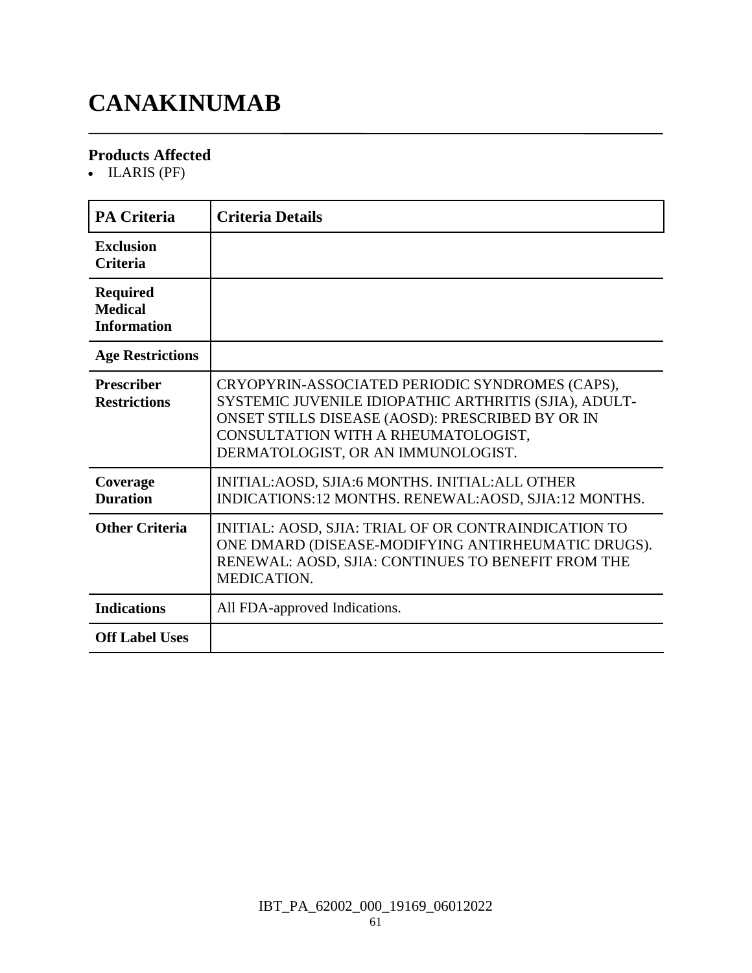# **CANAKINUMAB**

### **Products Affected**

• ILARIS (PF)

| <b>PA Criteria</b>                                      | <b>Criteria Details</b>                                                                                                                                                                                                                   |
|---------------------------------------------------------|-------------------------------------------------------------------------------------------------------------------------------------------------------------------------------------------------------------------------------------------|
| <b>Exclusion</b><br><b>Criteria</b>                     |                                                                                                                                                                                                                                           |
| <b>Required</b><br><b>Medical</b><br><b>Information</b> |                                                                                                                                                                                                                                           |
| <b>Age Restrictions</b>                                 |                                                                                                                                                                                                                                           |
| <b>Prescriber</b><br><b>Restrictions</b>                | CRYOPYRIN-ASSOCIATED PERIODIC SYNDROMES (CAPS),<br>SYSTEMIC JUVENILE IDIOPATHIC ARTHRITIS (SJIA), ADULT-<br>ONSET STILLS DISEASE (AOSD): PRESCRIBED BY OR IN<br>CONSULTATION WITH A RHEUMATOLOGIST,<br>DERMATOLOGIST, OR AN IMMUNOLOGIST. |
| Coverage<br><b>Duration</b>                             | INITIAL: AOSD, SJIA: 6 MONTHS. INITIAL: ALL OTHER<br>INDICATIONS:12 MONTHS. RENEWAL:AOSD, SJIA:12 MONTHS.                                                                                                                                 |
| <b>Other Criteria</b>                                   | INITIAL: AOSD, SJIA: TRIAL OF OR CONTRAINDICATION TO<br>ONE DMARD (DISEASE-MODIFYING ANTIRHEUMATIC DRUGS).<br>RENEWAL: AOSD, SJIA: CONTINUES TO BENEFIT FROM THE<br>MEDICATION.                                                           |
| <b>Indications</b>                                      | All FDA-approved Indications.                                                                                                                                                                                                             |
| <b>Off Label Uses</b>                                   |                                                                                                                                                                                                                                           |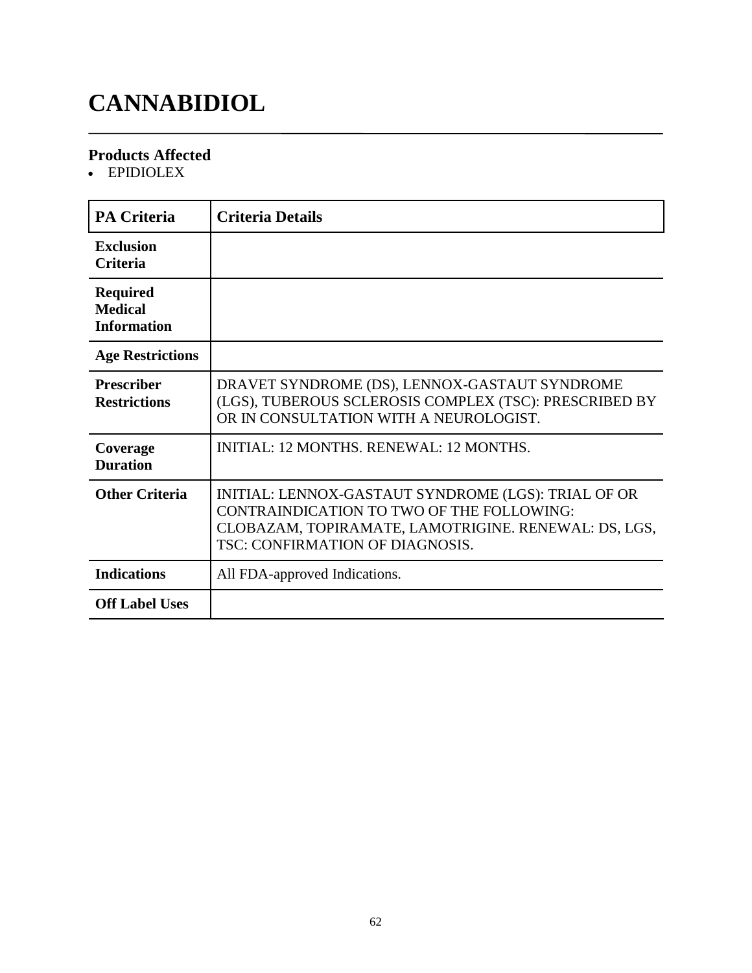# **CANNABIDIOL**

### **Products Affected**

EPIDIOLEX

| <b>PA Criteria</b>                                      | <b>Criteria Details</b>                                                                                                                                                                     |
|---------------------------------------------------------|---------------------------------------------------------------------------------------------------------------------------------------------------------------------------------------------|
| <b>Exclusion</b><br><b>Criteria</b>                     |                                                                                                                                                                                             |
| <b>Required</b><br><b>Medical</b><br><b>Information</b> |                                                                                                                                                                                             |
| <b>Age Restrictions</b>                                 |                                                                                                                                                                                             |
| <b>Prescriber</b><br><b>Restrictions</b>                | DRAVET SYNDROME (DS), LENNOX-GASTAUT SYNDROME<br>(LGS), TUBEROUS SCLEROSIS COMPLEX (TSC): PRESCRIBED BY<br>OR IN CONSULTATION WITH A NEUROLOGIST.                                           |
| Coverage<br><b>Duration</b>                             | INITIAL: 12 MONTHS, RENEWAL: 12 MONTHS.                                                                                                                                                     |
| <b>Other Criteria</b>                                   | INITIAL: LENNOX-GASTAUT SYNDROME (LGS): TRIAL OF OR<br>CONTRAINDICATION TO TWO OF THE FOLLOWING:<br>CLOBAZAM, TOPIRAMATE, LAMOTRIGINE. RENEWAL: DS, LGS,<br>TSC: CONFIRMATION OF DIAGNOSIS. |
| <b>Indications</b>                                      | All FDA-approved Indications.                                                                                                                                                               |
| <b>Off Label Uses</b>                                   |                                                                                                                                                                                             |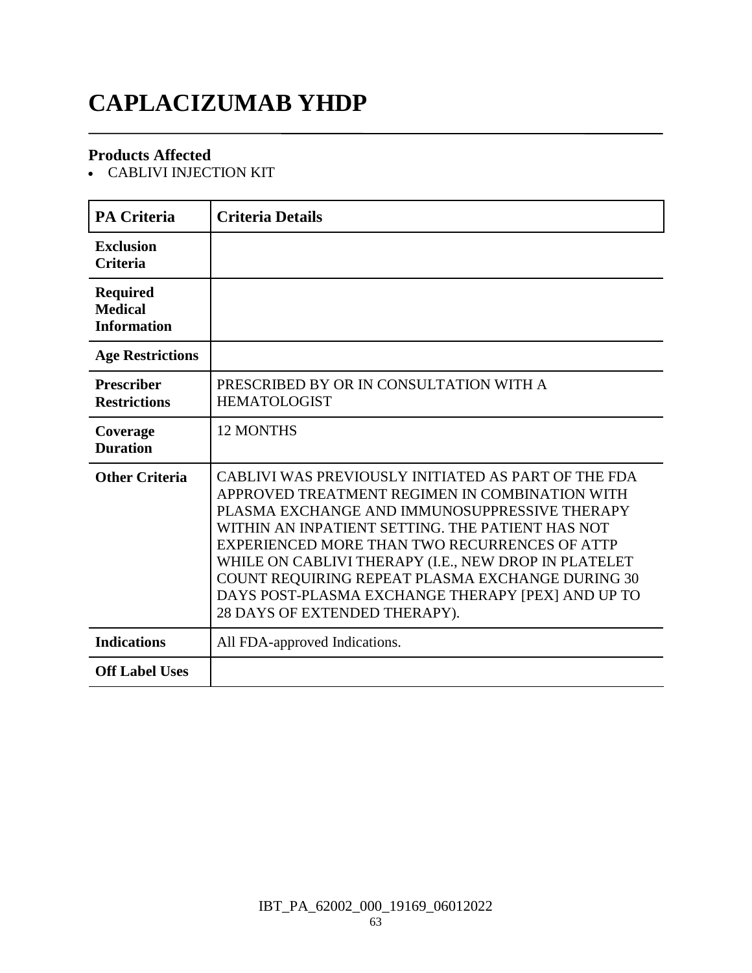# **CAPLACIZUMAB YHDP**

### **Products Affected**

CABLIVI INJECTION KIT

| <b>PA Criteria</b>                                      | <b>Criteria Details</b>                                                                                                                                                                                                                                                                                                                                                                                                                                       |
|---------------------------------------------------------|---------------------------------------------------------------------------------------------------------------------------------------------------------------------------------------------------------------------------------------------------------------------------------------------------------------------------------------------------------------------------------------------------------------------------------------------------------------|
| <b>Exclusion</b><br><b>Criteria</b>                     |                                                                                                                                                                                                                                                                                                                                                                                                                                                               |
| <b>Required</b><br><b>Medical</b><br><b>Information</b> |                                                                                                                                                                                                                                                                                                                                                                                                                                                               |
| <b>Age Restrictions</b>                                 |                                                                                                                                                                                                                                                                                                                                                                                                                                                               |
| <b>Prescriber</b><br><b>Restrictions</b>                | PRESCRIBED BY OR IN CONSULTATION WITH A<br><b>HEMATOLOGIST</b>                                                                                                                                                                                                                                                                                                                                                                                                |
| Coverage<br><b>Duration</b>                             | <b>12 MONTHS</b>                                                                                                                                                                                                                                                                                                                                                                                                                                              |
| <b>Other Criteria</b>                                   | CABLIVI WAS PREVIOUSLY INITIATED AS PART OF THE FDA<br>APPROVED TREATMENT REGIMEN IN COMBINATION WITH<br>PLASMA EXCHANGE AND IMMUNOSUPPRESSIVE THERAPY<br>WITHIN AN INPATIENT SETTING. THE PATIENT HAS NOT<br>EXPERIENCED MORE THAN TWO RECURRENCES OF ATTP<br>WHILE ON CABLIVI THERAPY (I.E., NEW DROP IN PLATELET<br>COUNT REQUIRING REPEAT PLASMA EXCHANGE DURING 30<br>DAYS POST-PLASMA EXCHANGE THERAPY [PEX] AND UP TO<br>28 DAYS OF EXTENDED THERAPY). |
| <b>Indications</b>                                      | All FDA-approved Indications.                                                                                                                                                                                                                                                                                                                                                                                                                                 |
| <b>Off Label Uses</b>                                   |                                                                                                                                                                                                                                                                                                                                                                                                                                                               |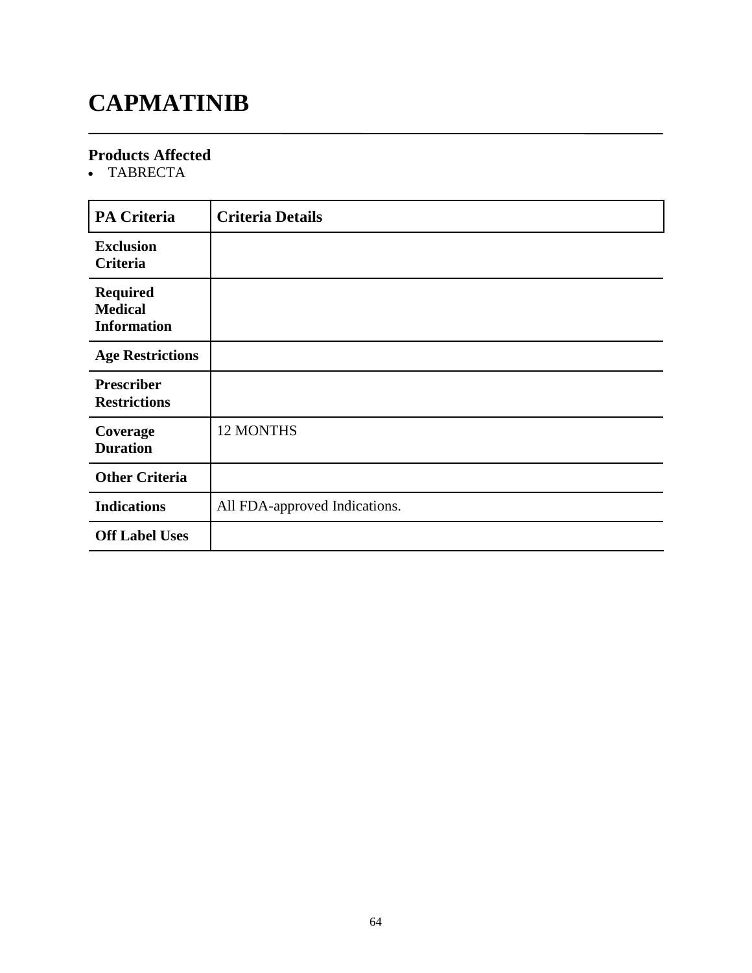# **CAPMATINIB**

### **Products Affected**

TABRECTA

| <b>PA Criteria</b>                                      | <b>Criteria Details</b>       |
|---------------------------------------------------------|-------------------------------|
| <b>Exclusion</b><br>Criteria                            |                               |
| <b>Required</b><br><b>Medical</b><br><b>Information</b> |                               |
| <b>Age Restrictions</b>                                 |                               |
| <b>Prescriber</b><br><b>Restrictions</b>                |                               |
| Coverage<br><b>Duration</b>                             | 12 MONTHS                     |
| <b>Other Criteria</b>                                   |                               |
| <b>Indications</b>                                      | All FDA-approved Indications. |
| <b>Off Label Uses</b>                                   |                               |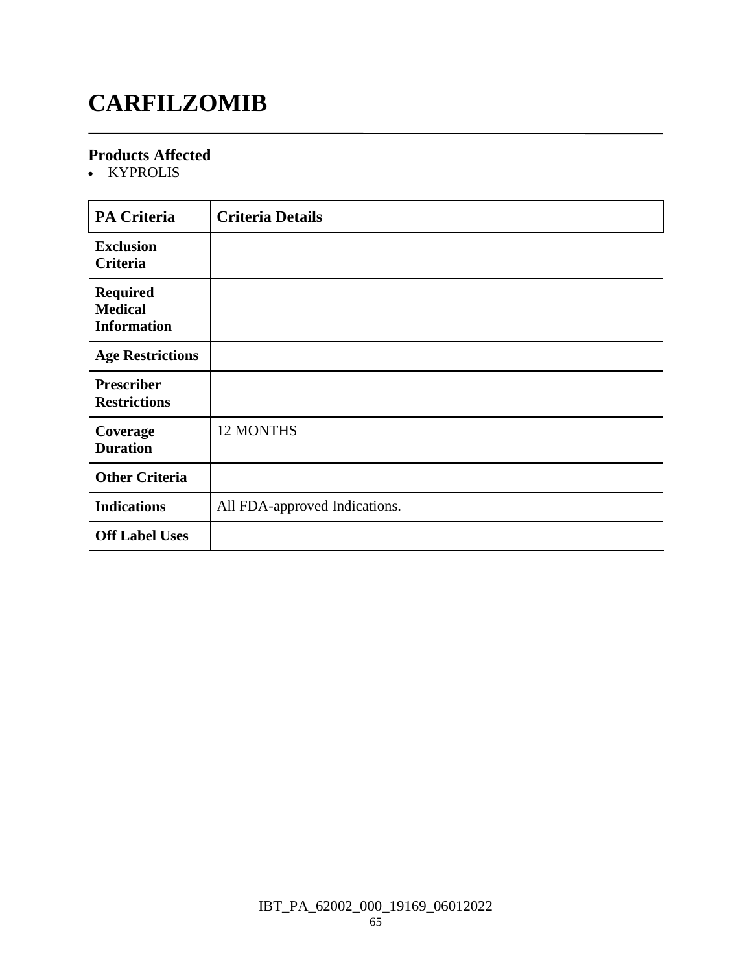# **CARFILZOMIB**

### **Products Affected**

• KYPROLIS

| <b>PA Criteria</b>                                      | <b>Criteria Details</b>       |
|---------------------------------------------------------|-------------------------------|
| <b>Exclusion</b><br><b>Criteria</b>                     |                               |
| <b>Required</b><br><b>Medical</b><br><b>Information</b> |                               |
| <b>Age Restrictions</b>                                 |                               |
| <b>Prescriber</b><br><b>Restrictions</b>                |                               |
| Coverage<br><b>Duration</b>                             | 12 MONTHS                     |
| <b>Other Criteria</b>                                   |                               |
| <b>Indications</b>                                      | All FDA-approved Indications. |
| <b>Off Label Uses</b>                                   |                               |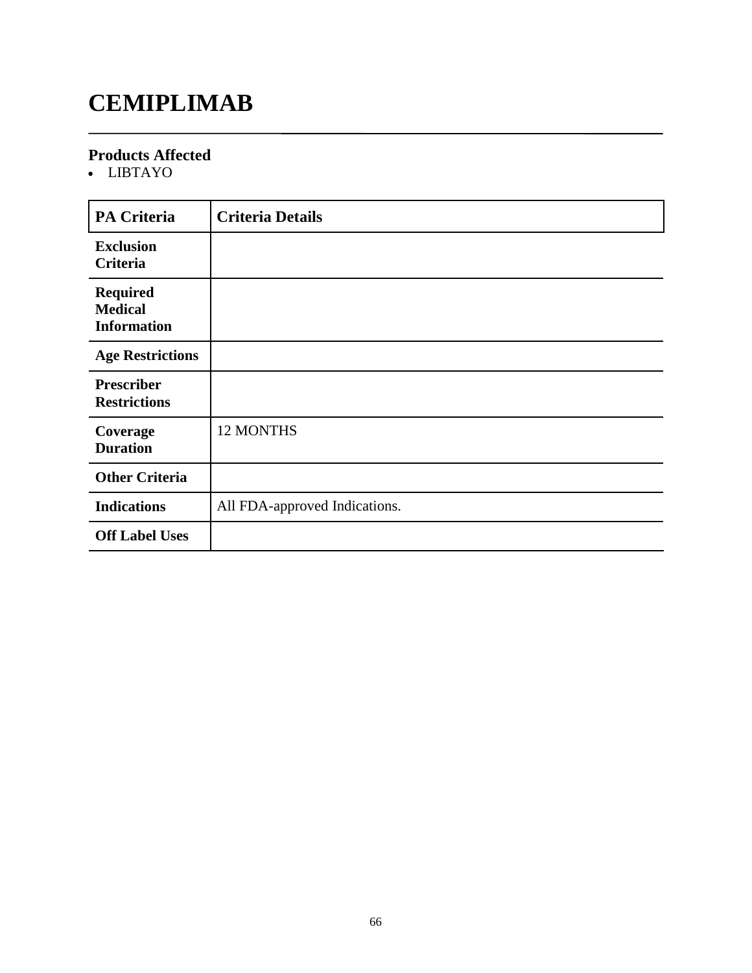# **CEMIPLIMAB**

### **Products Affected**

LIBTAYO

| <b>PA Criteria</b>                                      | <b>Criteria Details</b>       |
|---------------------------------------------------------|-------------------------------|
| <b>Exclusion</b><br>Criteria                            |                               |
| <b>Required</b><br><b>Medical</b><br><b>Information</b> |                               |
| <b>Age Restrictions</b>                                 |                               |
| <b>Prescriber</b><br><b>Restrictions</b>                |                               |
| Coverage<br><b>Duration</b>                             | 12 MONTHS                     |
| <b>Other Criteria</b>                                   |                               |
| <b>Indications</b>                                      | All FDA-approved Indications. |
| <b>Off Label Uses</b>                                   |                               |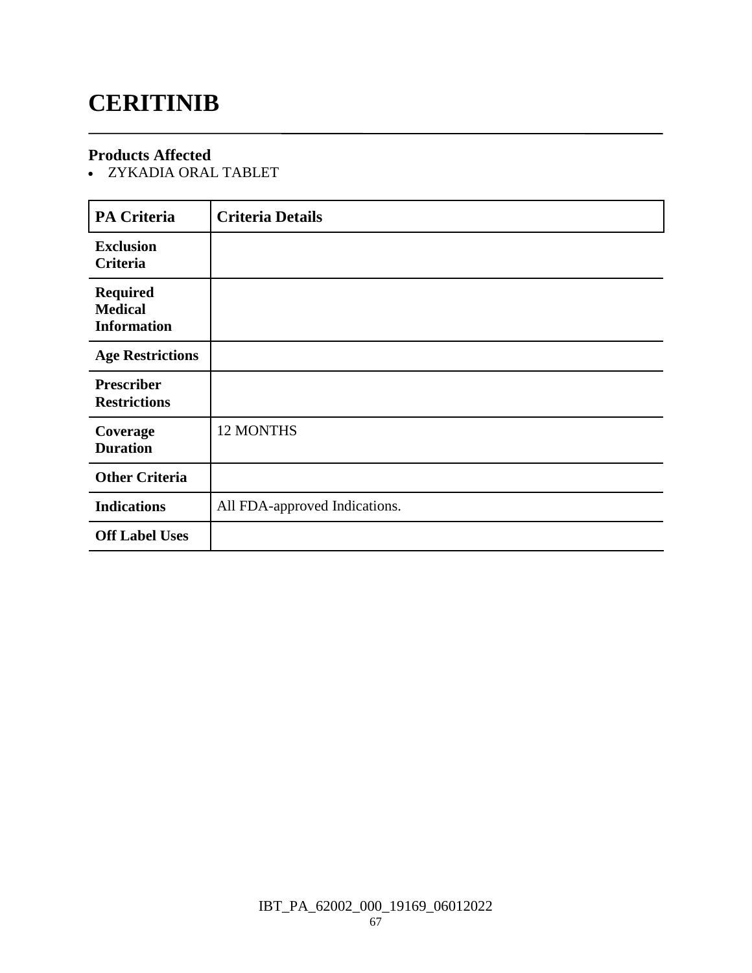# **CERITINIB**

### **Products Affected**

ZYKADIA ORAL TABLET

| <b>PA Criteria</b>                                      | <b>Criteria Details</b>       |
|---------------------------------------------------------|-------------------------------|
| <b>Exclusion</b><br><b>Criteria</b>                     |                               |
| <b>Required</b><br><b>Medical</b><br><b>Information</b> |                               |
| <b>Age Restrictions</b>                                 |                               |
| <b>Prescriber</b><br><b>Restrictions</b>                |                               |
| Coverage<br><b>Duration</b>                             | 12 MONTHS                     |
| <b>Other Criteria</b>                                   |                               |
| <b>Indications</b>                                      | All FDA-approved Indications. |
| <b>Off Label Uses</b>                                   |                               |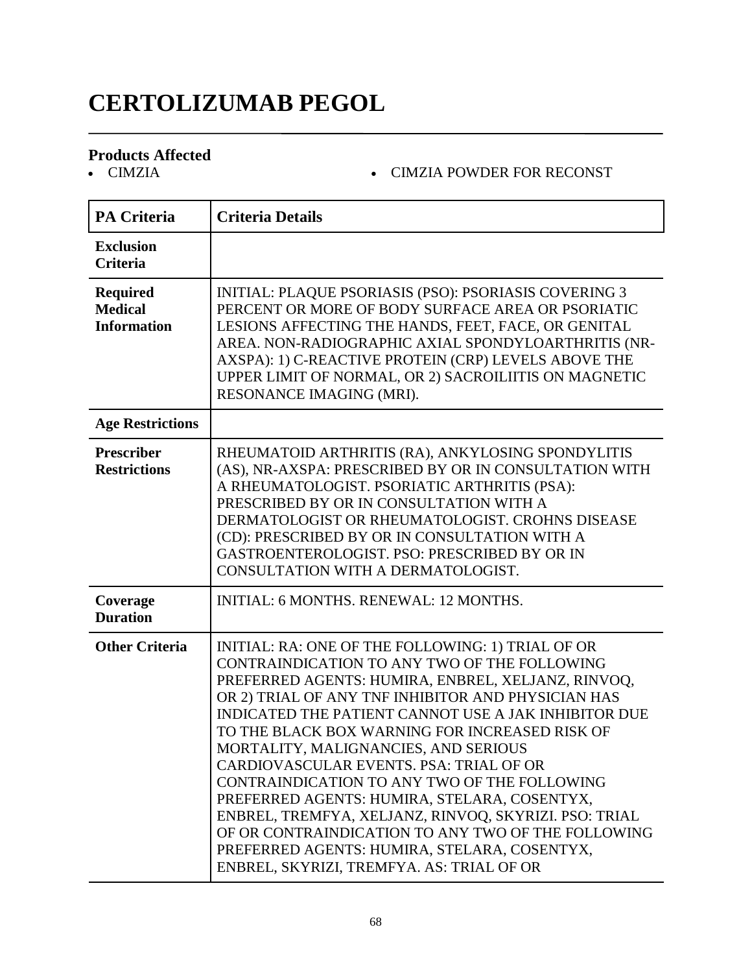# **CERTOLIZUMAB PEGOL**

# **Products Affected**

#### CIMZIA CIMZIA POWDER FOR RECONST

| <b>PA Criteria</b>                                      | <b>Criteria Details</b>                                                                                                                                                                                                                                                                                                                                                                                                                                                                                                                                                                                                                                                                                                |
|---------------------------------------------------------|------------------------------------------------------------------------------------------------------------------------------------------------------------------------------------------------------------------------------------------------------------------------------------------------------------------------------------------------------------------------------------------------------------------------------------------------------------------------------------------------------------------------------------------------------------------------------------------------------------------------------------------------------------------------------------------------------------------------|
| <b>Exclusion</b><br><b>Criteria</b>                     |                                                                                                                                                                                                                                                                                                                                                                                                                                                                                                                                                                                                                                                                                                                        |
| <b>Required</b><br><b>Medical</b><br><b>Information</b> | <b>INITIAL: PLAQUE PSORIASIS (PSO): PSORIASIS COVERING 3</b><br>PERCENT OR MORE OF BODY SURFACE AREA OR PSORIATIC<br>LESIONS AFFECTING THE HANDS, FEET, FACE, OR GENITAL<br>AREA. NON-RADIOGRAPHIC AXIAL SPONDYLOARTHRITIS (NR-<br>AXSPA): 1) C-REACTIVE PROTEIN (CRP) LEVELS ABOVE THE<br>UPPER LIMIT OF NORMAL, OR 2) SACROILIITIS ON MAGNETIC<br>RESONANCE IMAGING (MRI).                                                                                                                                                                                                                                                                                                                                           |
| <b>Age Restrictions</b>                                 |                                                                                                                                                                                                                                                                                                                                                                                                                                                                                                                                                                                                                                                                                                                        |
| Prescriber<br><b>Restrictions</b>                       | RHEUMATOID ARTHRITIS (RA), ANKYLOSING SPONDYLITIS<br>(AS), NR-AXSPA: PRESCRIBED BY OR IN CONSULTATION WITH<br>A RHEUMATOLOGIST. PSORIATIC ARTHRITIS (PSA):<br>PRESCRIBED BY OR IN CONSULTATION WITH A<br>DERMATOLOGIST OR RHEUMATOLOGIST. CROHNS DISEASE<br>(CD): PRESCRIBED BY OR IN CONSULTATION WITH A<br>GASTROENTEROLOGIST. PSO: PRESCRIBED BY OR IN<br>CONSULTATION WITH A DERMATOLOGIST.                                                                                                                                                                                                                                                                                                                        |
| Coverage<br><b>Duration</b>                             | INITIAL: 6 MONTHS. RENEWAL: 12 MONTHS.                                                                                                                                                                                                                                                                                                                                                                                                                                                                                                                                                                                                                                                                                 |
| <b>Other Criteria</b>                                   | INITIAL: RA: ONE OF THE FOLLOWING: 1) TRIAL OF OR<br>CONTRAINDICATION TO ANY TWO OF THE FOLLOWING<br>PREFERRED AGENTS: HUMIRA, ENBREL, XELJANZ, RINVOQ,<br>OR 2) TRIAL OF ANY TNF INHIBITOR AND PHYSICIAN HAS<br>INDICATED THE PATIENT CANNOT USE A JAK INHIBITOR DUE<br>TO THE BLACK BOX WARNING FOR INCREASED RISK OF<br>MORTALITY, MALIGNANCIES, AND SERIOUS<br>CARDIOVASCULAR EVENTS. PSA: TRIAL OF OR<br>CONTRAINDICATION TO ANY TWO OF THE FOLLOWING<br>PREFERRED AGENTS: HUMIRA, STELARA, COSENTYX,<br>ENBREL, TREMFYA, XELJANZ, RINVOQ, SKYRIZI. PSO: TRIAL<br>OF OR CONTRAINDICATION TO ANY TWO OF THE FOLLOWING<br>PREFERRED AGENTS: HUMIRA, STELARA, COSENTYX,<br>ENBREL, SKYRIZI, TREMFYA. AS: TRIAL OF OR |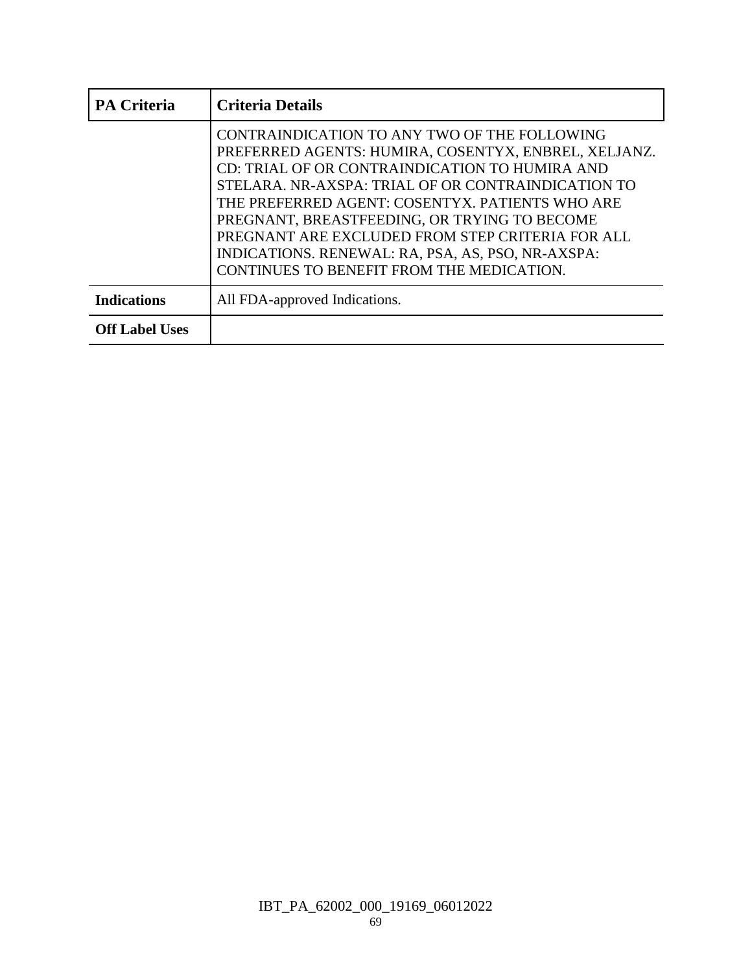| <b>PA Criteria</b>    | <b>Criteria Details</b>                                                                                                                                                                                                                                                                                                                                                                                                                                               |
|-----------------------|-----------------------------------------------------------------------------------------------------------------------------------------------------------------------------------------------------------------------------------------------------------------------------------------------------------------------------------------------------------------------------------------------------------------------------------------------------------------------|
|                       | CONTRAINDICATION TO ANY TWO OF THE FOLLOWING<br>PREFERRED AGENTS: HUMIRA, COSENTYX, ENBREL, XELJANZ.<br>CD: TRIAL OF OR CONTRAINDICATION TO HUMIRA AND<br>STELARA. NR-AXSPA: TRIAL OF OR CONTRAINDICATION TO<br>THE PREFERRED AGENT: COSENTYX. PATIENTS WHO ARE<br>PREGNANT, BREASTFEEDING, OR TRYING TO BECOME<br>PREGNANT ARE EXCLUDED FROM STEP CRITERIA FOR ALL<br>INDICATIONS. RENEWAL: RA, PSA, AS, PSO, NR-AXSPA:<br>CONTINUES TO BENEFIT FROM THE MEDICATION. |
| <b>Indications</b>    | All FDA-approved Indications.                                                                                                                                                                                                                                                                                                                                                                                                                                         |
| <b>Off Label Uses</b> |                                                                                                                                                                                                                                                                                                                                                                                                                                                                       |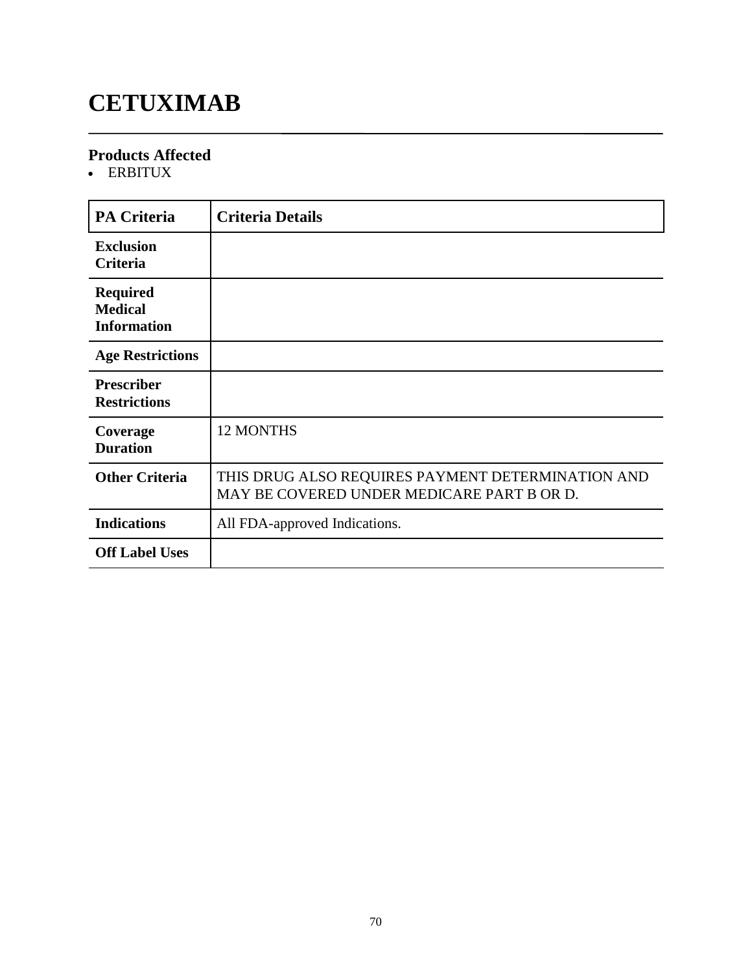# **CETUXIMAB**

### **Products Affected**

ERBITUX

| <b>PA Criteria</b>                                      | <b>Criteria Details</b>                                                                         |
|---------------------------------------------------------|-------------------------------------------------------------------------------------------------|
| <b>Exclusion</b><br>Criteria                            |                                                                                                 |
| <b>Required</b><br><b>Medical</b><br><b>Information</b> |                                                                                                 |
| <b>Age Restrictions</b>                                 |                                                                                                 |
| <b>Prescriber</b><br><b>Restrictions</b>                |                                                                                                 |
| Coverage<br><b>Duration</b>                             | <b>12 MONTHS</b>                                                                                |
| <b>Other Criteria</b>                                   | THIS DRUG ALSO REQUIRES PAYMENT DETERMINATION AND<br>MAY BE COVERED UNDER MEDICARE PART B OR D. |
| <b>Indications</b>                                      | All FDA-approved Indications.                                                                   |
| <b>Off Label Uses</b>                                   |                                                                                                 |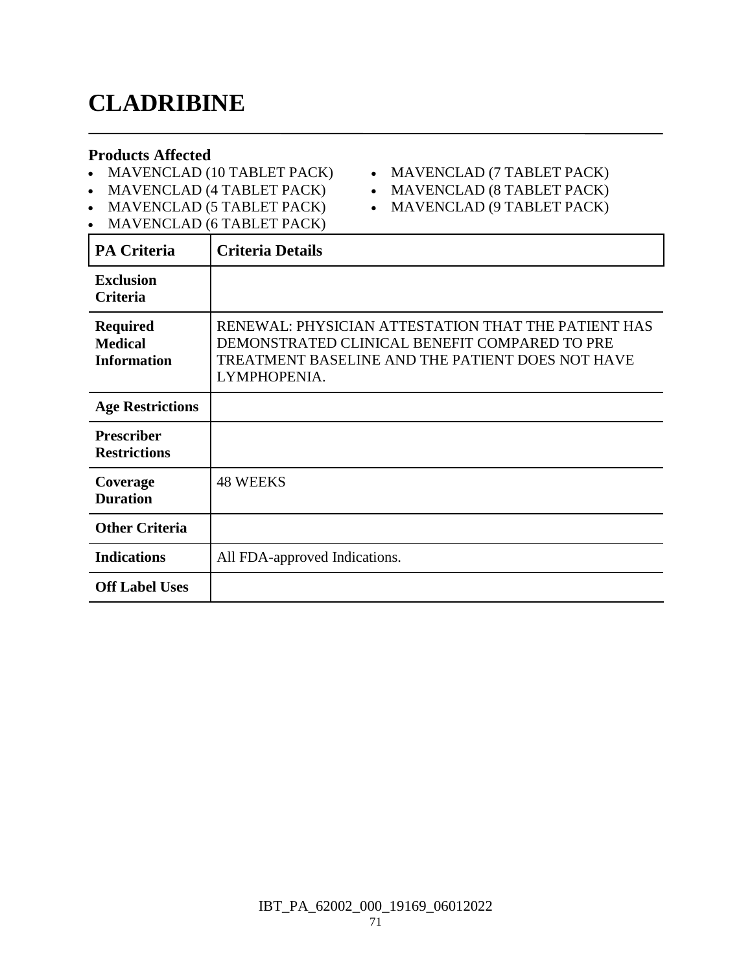# **CLADRIBINE**

#### **Products Affected**

- MAVENCLAD (10 TABLET PACK)
- MAVENCLAD (7 TABLET PACK)
- MAVENCLAD (4 TABLET PACK)
- MAVENCLAD (8 TABLET PACK)
- MAVENCLAD (5 TABLET PACK) • MAVENCLAD (6 TABLET PACK)
- MAVENCLAD (9 TABLET PACK)

| <b>PA Criteria</b>                                      | <b>Criteria Details</b>                                                                                                                                                  |
|---------------------------------------------------------|--------------------------------------------------------------------------------------------------------------------------------------------------------------------------|
| <b>Exclusion</b><br><b>Criteria</b>                     |                                                                                                                                                                          |
| <b>Required</b><br><b>Medical</b><br><b>Information</b> | RENEWAL: PHYSICIAN ATTESTATION THAT THE PATIENT HAS<br>DEMONSTRATED CLINICAL BENEFIT COMPARED TO PRE<br>TREATMENT BASELINE AND THE PATIENT DOES NOT HAVE<br>LYMPHOPENIA. |
| <b>Age Restrictions</b>                                 |                                                                                                                                                                          |
| <b>Prescriber</b><br><b>Restrictions</b>                |                                                                                                                                                                          |
| Coverage<br><b>Duration</b>                             | <b>48 WEEKS</b>                                                                                                                                                          |
| <b>Other Criteria</b>                                   |                                                                                                                                                                          |
| <b>Indications</b>                                      | All FDA-approved Indications.                                                                                                                                            |
| <b>Off Label Uses</b>                                   |                                                                                                                                                                          |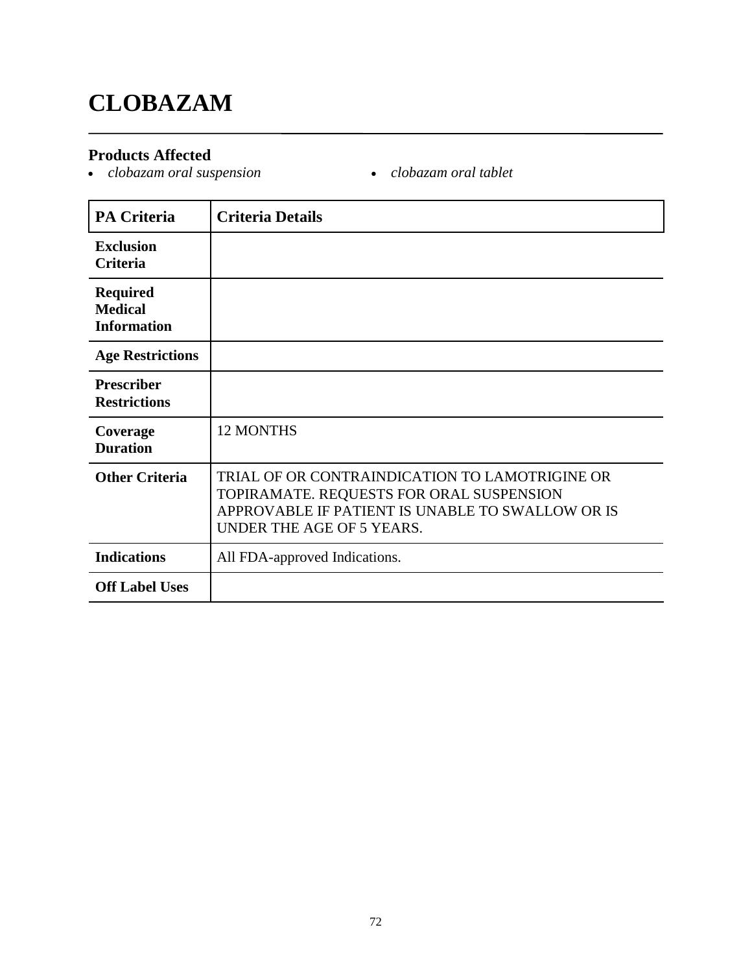# **CLOBAZAM**

### **Products Affected**

- *clobazam oral suspension clobazam oral tablet*
	-

| <b>PA Criteria</b>                                      | <b>Criteria Details</b>                                                                                                                                                     |
|---------------------------------------------------------|-----------------------------------------------------------------------------------------------------------------------------------------------------------------------------|
| <b>Exclusion</b><br><b>Criteria</b>                     |                                                                                                                                                                             |
| <b>Required</b><br><b>Medical</b><br><b>Information</b> |                                                                                                                                                                             |
| <b>Age Restrictions</b>                                 |                                                                                                                                                                             |
| <b>Prescriber</b><br><b>Restrictions</b>                |                                                                                                                                                                             |
| Coverage<br><b>Duration</b>                             | <b>12 MONTHS</b>                                                                                                                                                            |
| <b>Other Criteria</b>                                   | TRIAL OF OR CONTRAINDICATION TO LAMOTRIGINE OR<br>TOPIRAMATE. REQUESTS FOR ORAL SUSPENSION<br>APPROVABLE IF PATIENT IS UNABLE TO SWALLOW OR IS<br>UNDER THE AGE OF 5 YEARS. |
| <b>Indications</b>                                      | All FDA-approved Indications.                                                                                                                                               |
| <b>Off Label Uses</b>                                   |                                                                                                                                                                             |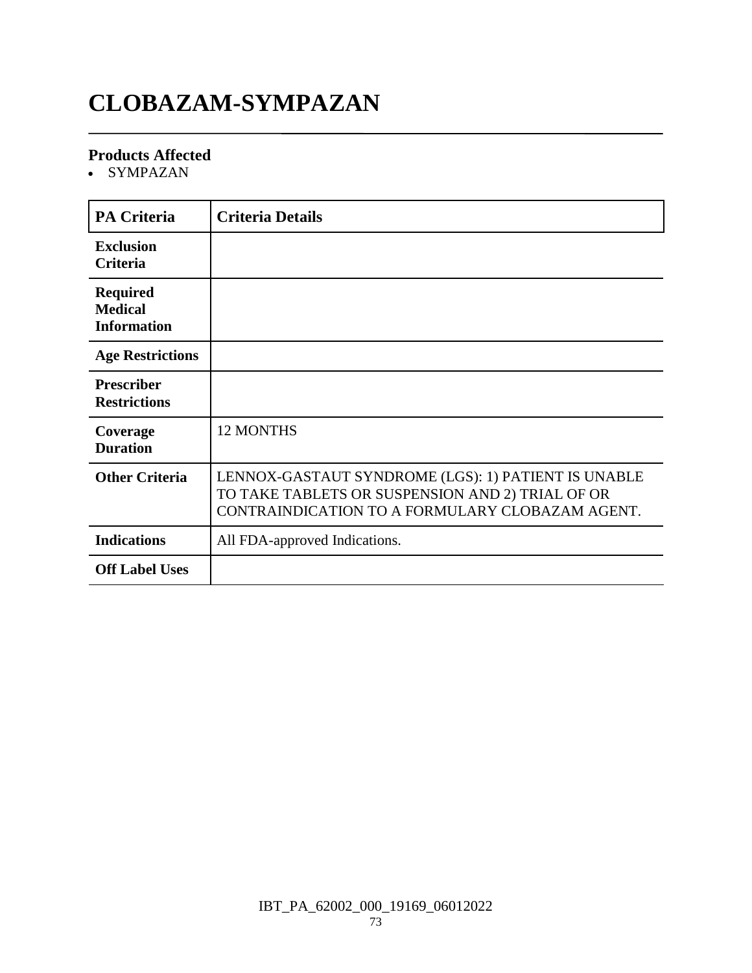## **CLOBAZAM-SYMPAZAN**

#### **Products Affected**

• SYMPAZAN

| <b>PA Criteria</b>                                      | <b>Criteria Details</b>                                                                                                                                    |
|---------------------------------------------------------|------------------------------------------------------------------------------------------------------------------------------------------------------------|
| <b>Exclusion</b><br><b>Criteria</b>                     |                                                                                                                                                            |
| <b>Required</b><br><b>Medical</b><br><b>Information</b> |                                                                                                                                                            |
| <b>Age Restrictions</b>                                 |                                                                                                                                                            |
| <b>Prescriber</b><br><b>Restrictions</b>                |                                                                                                                                                            |
| Coverage<br><b>Duration</b>                             | <b>12 MONTHS</b>                                                                                                                                           |
| <b>Other Criteria</b>                                   | LENNOX-GASTAUT SYNDROME (LGS): 1) PATIENT IS UNABLE<br>TO TAKE TABLETS OR SUSPENSION AND 2) TRIAL OF OR<br>CONTRAINDICATION TO A FORMULARY CLOBAZAM AGENT. |
| <b>Indications</b>                                      | All FDA-approved Indications.                                                                                                                              |
| <b>Off Label Uses</b>                                   |                                                                                                                                                            |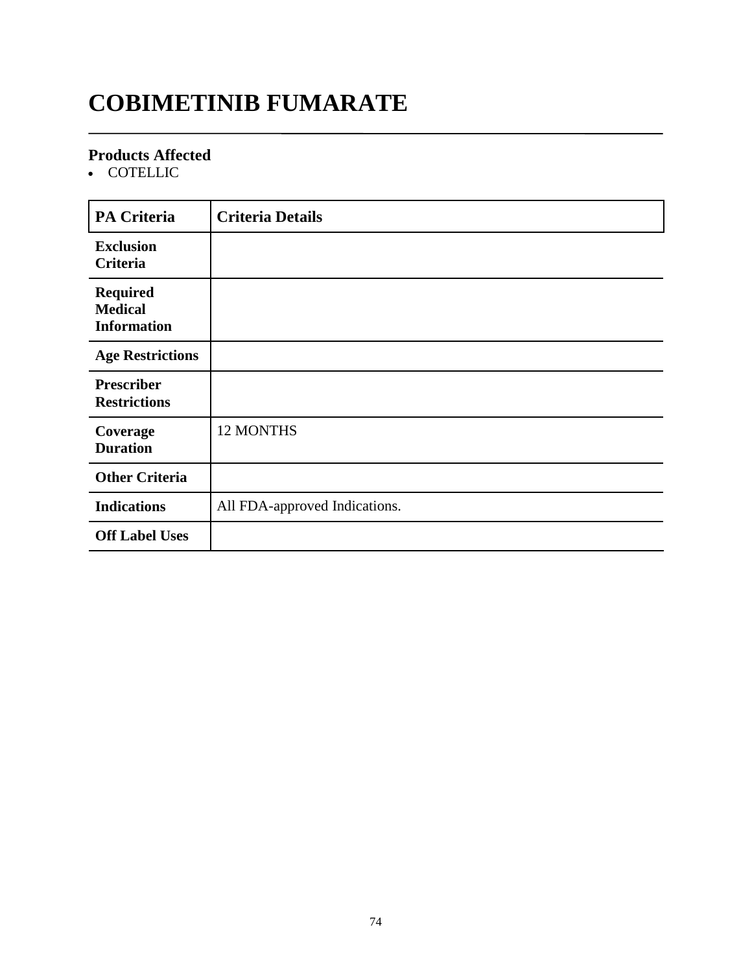## **COBIMETINIB FUMARATE**

#### **Products Affected**

• COTELLIC

| <b>PA Criteria</b>                                      | <b>Criteria Details</b>       |
|---------------------------------------------------------|-------------------------------|
| <b>Exclusion</b><br>Criteria                            |                               |
| <b>Required</b><br><b>Medical</b><br><b>Information</b> |                               |
| <b>Age Restrictions</b>                                 |                               |
| <b>Prescriber</b><br><b>Restrictions</b>                |                               |
| Coverage<br><b>Duration</b>                             | 12 MONTHS                     |
| <b>Other Criteria</b>                                   |                               |
| <b>Indications</b>                                      | All FDA-approved Indications. |
| <b>Off Label Uses</b>                                   |                               |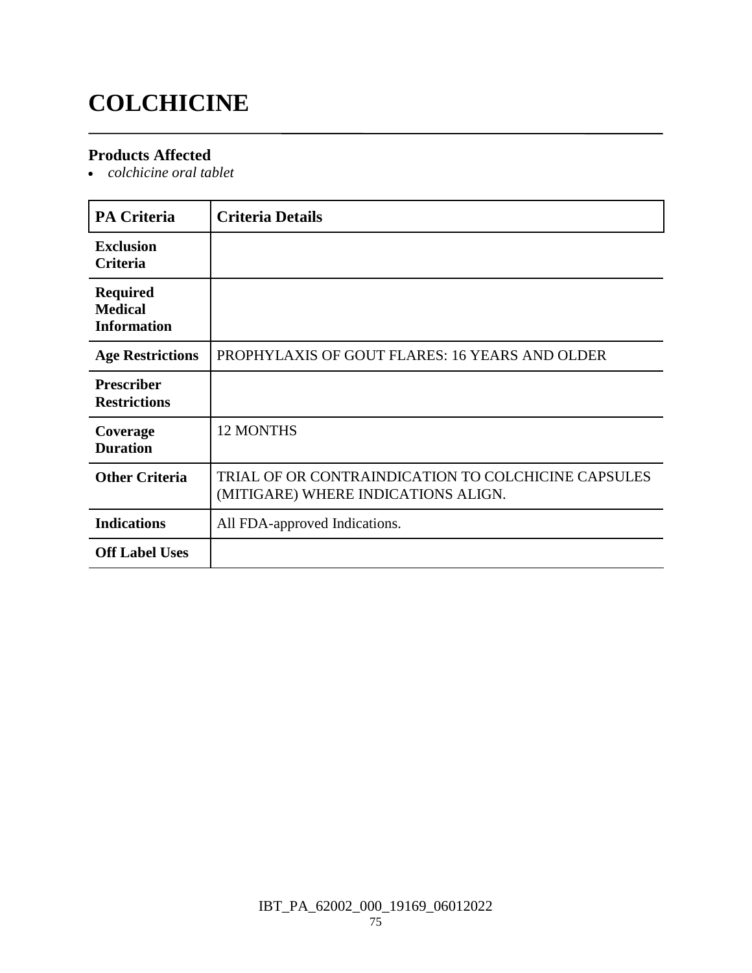## **COLCHICINE**

#### **Products Affected**

*colchicine oral tablet*

| <b>PA Criteria</b>                                      | <b>Criteria Details</b>                                                                    |
|---------------------------------------------------------|--------------------------------------------------------------------------------------------|
| <b>Exclusion</b><br><b>Criteria</b>                     |                                                                                            |
| <b>Required</b><br><b>Medical</b><br><b>Information</b> |                                                                                            |
| <b>Age Restrictions</b>                                 | PROPHYLAXIS OF GOUT FLARES: 16 YEARS AND OLDER                                             |
| <b>Prescriber</b><br><b>Restrictions</b>                |                                                                                            |
| Coverage<br><b>Duration</b>                             | 12 MONTHS                                                                                  |
| <b>Other Criteria</b>                                   | TRIAL OF OR CONTRAINDICATION TO COLCHICINE CAPSULES<br>(MITIGARE) WHERE INDICATIONS ALIGN. |
| <b>Indications</b>                                      | All FDA-approved Indications.                                                              |
| <b>Off Label Uses</b>                                   |                                                                                            |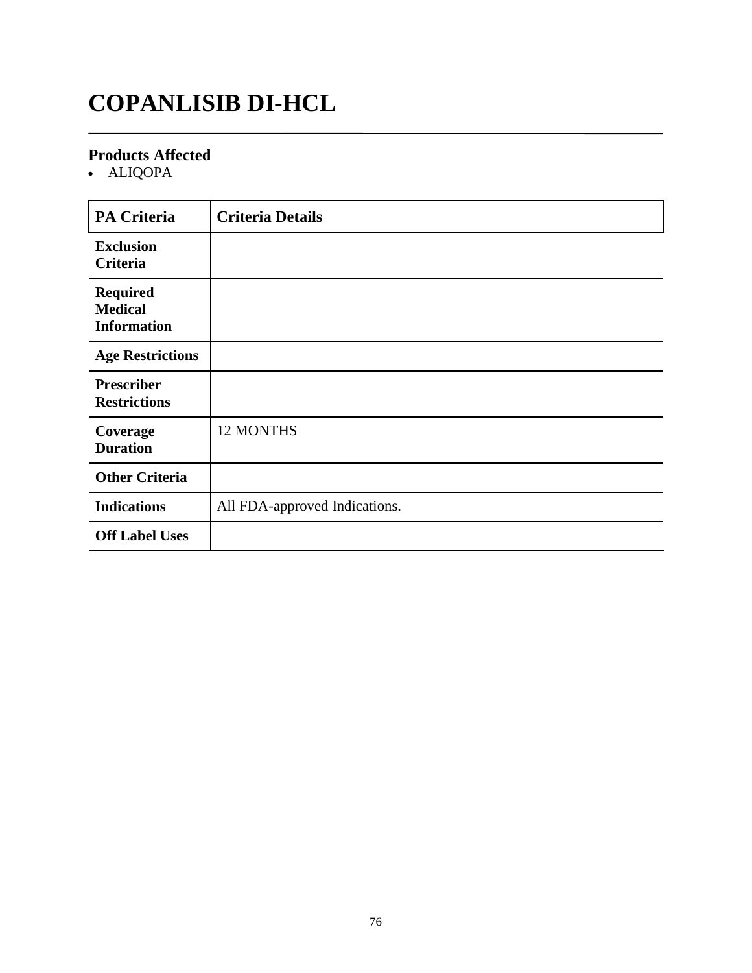## **COPANLISIB DI-HCL**

#### **Products Affected**

• ALIQOPA

| <b>PA Criteria</b>                                      | <b>Criteria Details</b>       |
|---------------------------------------------------------|-------------------------------|
| <b>Exclusion</b><br>Criteria                            |                               |
| <b>Required</b><br><b>Medical</b><br><b>Information</b> |                               |
| <b>Age Restrictions</b>                                 |                               |
| <b>Prescriber</b><br><b>Restrictions</b>                |                               |
| Coverage<br><b>Duration</b>                             | 12 MONTHS                     |
| <b>Other Criteria</b>                                   |                               |
| <b>Indications</b>                                      | All FDA-approved Indications. |
| <b>Off Label Uses</b>                                   |                               |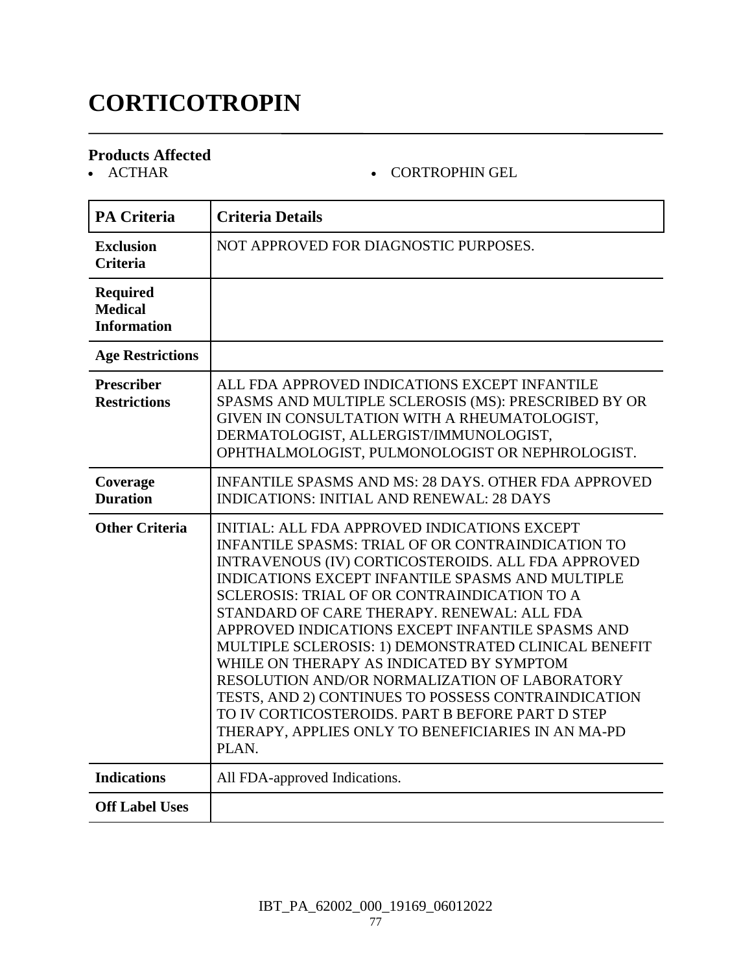## **CORTICOTROPIN**

# **Products Affected**

#### - CORTROPHIN GEL

| <b>PA Criteria</b>                                      | <b>Criteria Details</b>                                                                                                                                                                                                                                                                                                                                                                                                                                                                                                                                                                                                                                                                                           |
|---------------------------------------------------------|-------------------------------------------------------------------------------------------------------------------------------------------------------------------------------------------------------------------------------------------------------------------------------------------------------------------------------------------------------------------------------------------------------------------------------------------------------------------------------------------------------------------------------------------------------------------------------------------------------------------------------------------------------------------------------------------------------------------|
| <b>Exclusion</b><br><b>Criteria</b>                     | NOT APPROVED FOR DIAGNOSTIC PURPOSES.                                                                                                                                                                                                                                                                                                                                                                                                                                                                                                                                                                                                                                                                             |
| <b>Required</b><br><b>Medical</b><br><b>Information</b> |                                                                                                                                                                                                                                                                                                                                                                                                                                                                                                                                                                                                                                                                                                                   |
| <b>Age Restrictions</b>                                 |                                                                                                                                                                                                                                                                                                                                                                                                                                                                                                                                                                                                                                                                                                                   |
| <b>Prescriber</b><br><b>Restrictions</b>                | ALL FDA APPROVED INDICATIONS EXCEPT INFANTILE<br>SPASMS AND MULTIPLE SCLEROSIS (MS): PRESCRIBED BY OR<br>GIVEN IN CONSULTATION WITH A RHEUMATOLOGIST,<br>DERMATOLOGIST, ALLERGIST/IMMUNOLOGIST,<br>OPHTHALMOLOGIST, PULMONOLOGIST OR NEPHROLOGIST.                                                                                                                                                                                                                                                                                                                                                                                                                                                                |
| Coverage<br><b>Duration</b>                             | <b>INFANTILE SPASMS AND MS: 28 DAYS. OTHER FDA APPROVED</b><br><b>INDICATIONS: INITIAL AND RENEWAL: 28 DAYS</b>                                                                                                                                                                                                                                                                                                                                                                                                                                                                                                                                                                                                   |
| <b>Other Criteria</b>                                   | <b>INITIAL: ALL FDA APPROVED INDICATIONS EXCEPT</b><br><b>INFANTILE SPASMS: TRIAL OF OR CONTRAINDICATION TO</b><br>INTRAVENOUS (IV) CORTICOSTEROIDS. ALL FDA APPROVED<br>INDICATIONS EXCEPT INFANTILE SPASMS AND MULTIPLE<br><b>SCLEROSIS: TRIAL OF OR CONTRAINDICATION TO A</b><br>STANDARD OF CARE THERAPY. RENEWAL: ALL FDA<br>APPROVED INDICATIONS EXCEPT INFANTILE SPASMS AND<br>MULTIPLE SCLEROSIS: 1) DEMONSTRATED CLINICAL BENEFIT<br>WHILE ON THERAPY AS INDICATED BY SYMPTOM<br>RESOLUTION AND/OR NORMALIZATION OF LABORATORY<br>TESTS, AND 2) CONTINUES TO POSSESS CONTRAINDICATION<br>TO IV CORTICOSTEROIDS. PART B BEFORE PART D STEP<br>THERAPY, APPLIES ONLY TO BENEFICIARIES IN AN MA-PD<br>PLAN. |
| <b>Indications</b>                                      | All FDA-approved Indications.                                                                                                                                                                                                                                                                                                                                                                                                                                                                                                                                                                                                                                                                                     |
| <b>Off Label Uses</b>                                   |                                                                                                                                                                                                                                                                                                                                                                                                                                                                                                                                                                                                                                                                                                                   |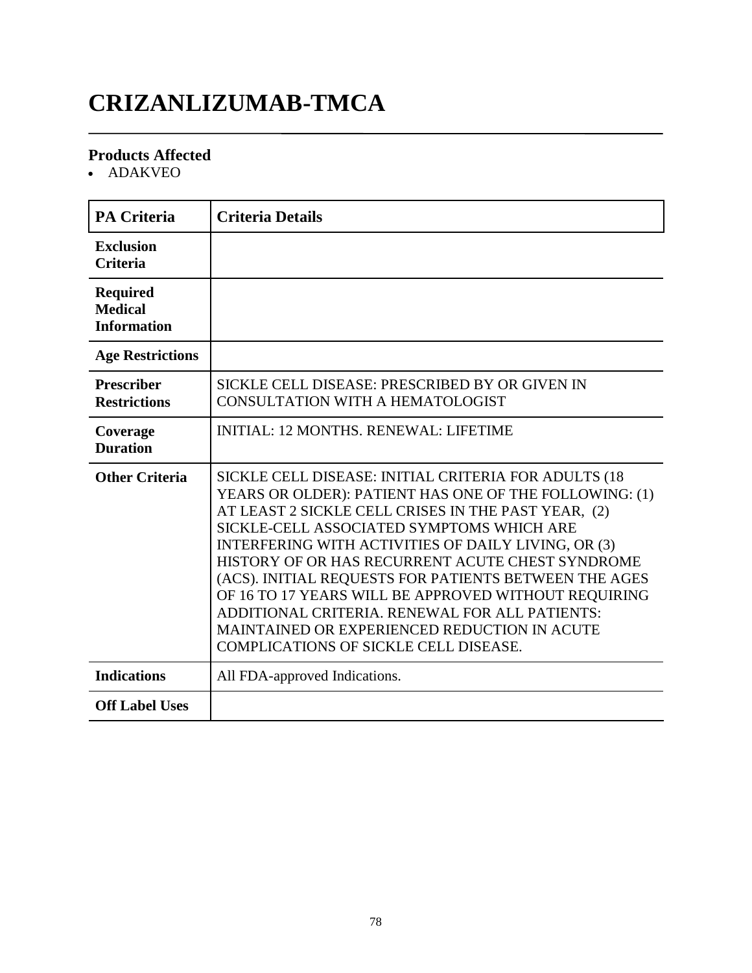## **CRIZANLIZUMAB-TMCA**

#### **Products Affected**

• ADAKVEO

| <b>PA Criteria</b>                                      | <b>Criteria Details</b>                                                                                                                                                                                                                                                                                                                                                                                                                                                                                                                                                                          |
|---------------------------------------------------------|--------------------------------------------------------------------------------------------------------------------------------------------------------------------------------------------------------------------------------------------------------------------------------------------------------------------------------------------------------------------------------------------------------------------------------------------------------------------------------------------------------------------------------------------------------------------------------------------------|
| <b>Exclusion</b><br><b>Criteria</b>                     |                                                                                                                                                                                                                                                                                                                                                                                                                                                                                                                                                                                                  |
| <b>Required</b><br><b>Medical</b><br><b>Information</b> |                                                                                                                                                                                                                                                                                                                                                                                                                                                                                                                                                                                                  |
| <b>Age Restrictions</b>                                 |                                                                                                                                                                                                                                                                                                                                                                                                                                                                                                                                                                                                  |
| <b>Prescriber</b><br><b>Restrictions</b>                | SICKLE CELL DISEASE: PRESCRIBED BY OR GIVEN IN<br><b>CONSULTATION WITH A HEMATOLOGIST</b>                                                                                                                                                                                                                                                                                                                                                                                                                                                                                                        |
| Coverage<br><b>Duration</b>                             | <b>INITIAL: 12 MONTHS, RENEWAL: LIFETIME</b>                                                                                                                                                                                                                                                                                                                                                                                                                                                                                                                                                     |
| <b>Other Criteria</b>                                   | SICKLE CELL DISEASE: INITIAL CRITERIA FOR ADULTS (18<br>YEARS OR OLDER): PATIENT HAS ONE OF THE FOLLOWING: (1)<br>AT LEAST 2 SICKLE CELL CRISES IN THE PAST YEAR, (2)<br>SICKLE-CELL ASSOCIATED SYMPTOMS WHICH ARE<br>INTERFERING WITH ACTIVITIES OF DAILY LIVING, OR (3)<br>HISTORY OF OR HAS RECURRENT ACUTE CHEST SYNDROME<br>(ACS). INITIAL REQUESTS FOR PATIENTS BETWEEN THE AGES<br>OF 16 TO 17 YEARS WILL BE APPROVED WITHOUT REQUIRING<br>ADDITIONAL CRITERIA. RENEWAL FOR ALL PATIENTS:<br>MAINTAINED OR EXPERIENCED REDUCTION IN ACUTE<br><b>COMPLICATIONS OF SICKLE CELL DISEASE.</b> |
| <b>Indications</b>                                      | All FDA-approved Indications.                                                                                                                                                                                                                                                                                                                                                                                                                                                                                                                                                                    |
| <b>Off Label Uses</b>                                   |                                                                                                                                                                                                                                                                                                                                                                                                                                                                                                                                                                                                  |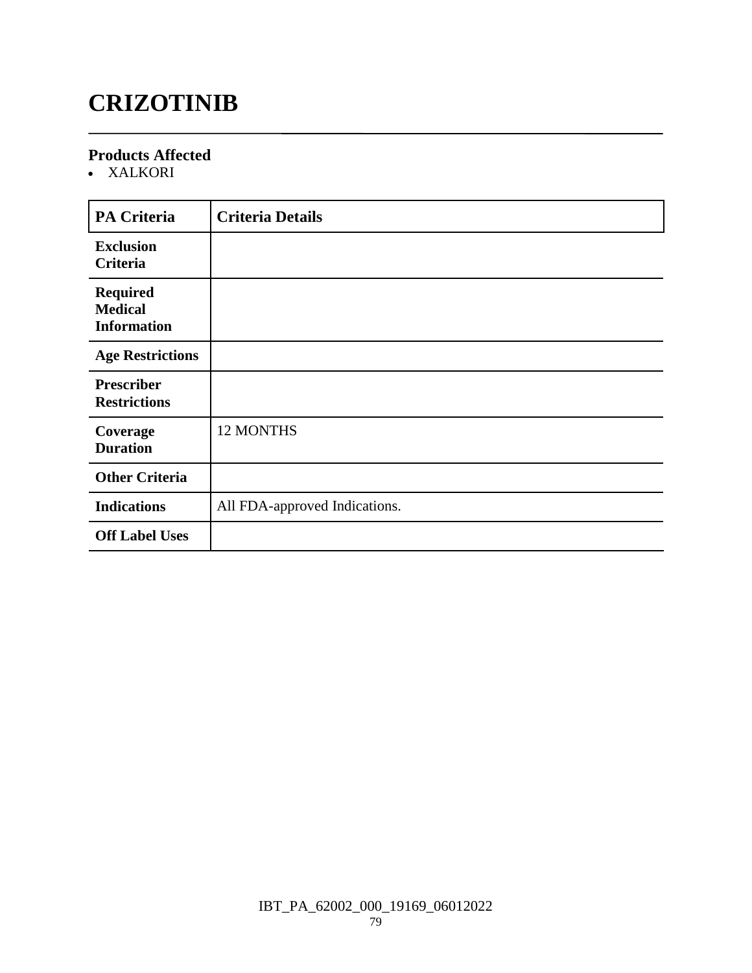## **CRIZOTINIB**

#### **Products Affected**

XALKORI

| <b>PA Criteria</b>                                      | <b>Criteria Details</b>       |
|---------------------------------------------------------|-------------------------------|
| <b>Exclusion</b><br>Criteria                            |                               |
| <b>Required</b><br><b>Medical</b><br><b>Information</b> |                               |
| <b>Age Restrictions</b>                                 |                               |
| <b>Prescriber</b><br><b>Restrictions</b>                |                               |
| Coverage<br><b>Duration</b>                             | <b>12 MONTHS</b>              |
| <b>Other Criteria</b>                                   |                               |
| <b>Indications</b>                                      | All FDA-approved Indications. |
| <b>Off Label Uses</b>                                   |                               |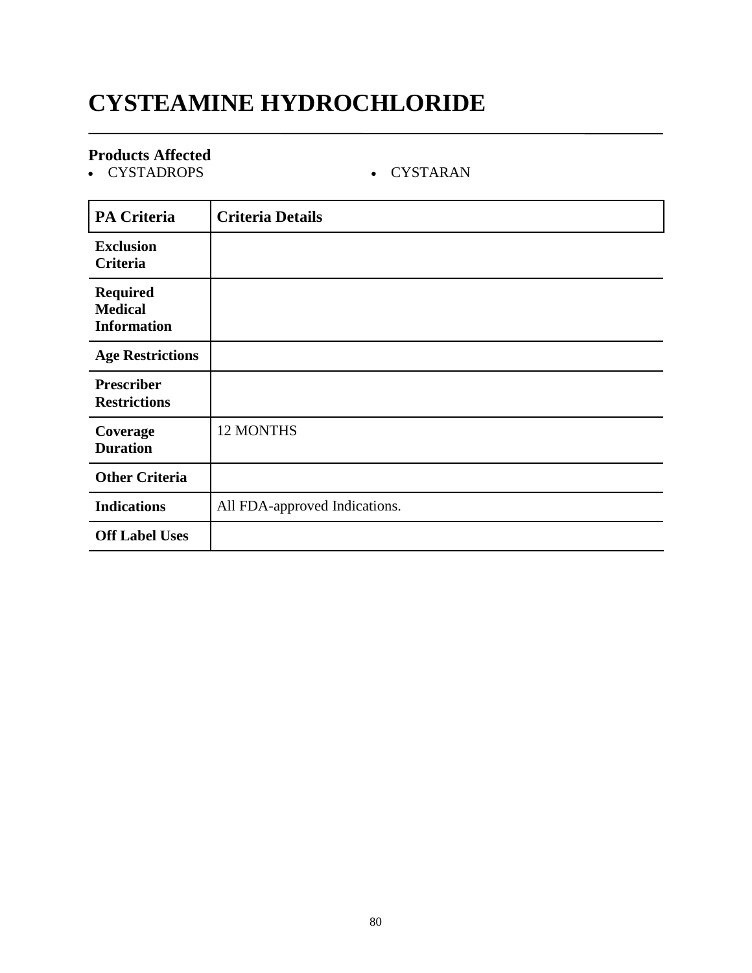## **CYSTEAMINE HYDROCHLORIDE**

#### **Products Affected**

CYSTADROPS CYSTARAN

| <b>PA Criteria</b>                                      | <b>Criteria Details</b>       |
|---------------------------------------------------------|-------------------------------|
| <b>Exclusion</b><br>Criteria                            |                               |
| <b>Required</b><br><b>Medical</b><br><b>Information</b> |                               |
| <b>Age Restrictions</b>                                 |                               |
| <b>Prescriber</b><br><b>Restrictions</b>                |                               |
| Coverage<br><b>Duration</b>                             | <b>12 MONTHS</b>              |
| <b>Other Criteria</b>                                   |                               |
| <b>Indications</b>                                      | All FDA-approved Indications. |
| <b>Off Label Uses</b>                                   |                               |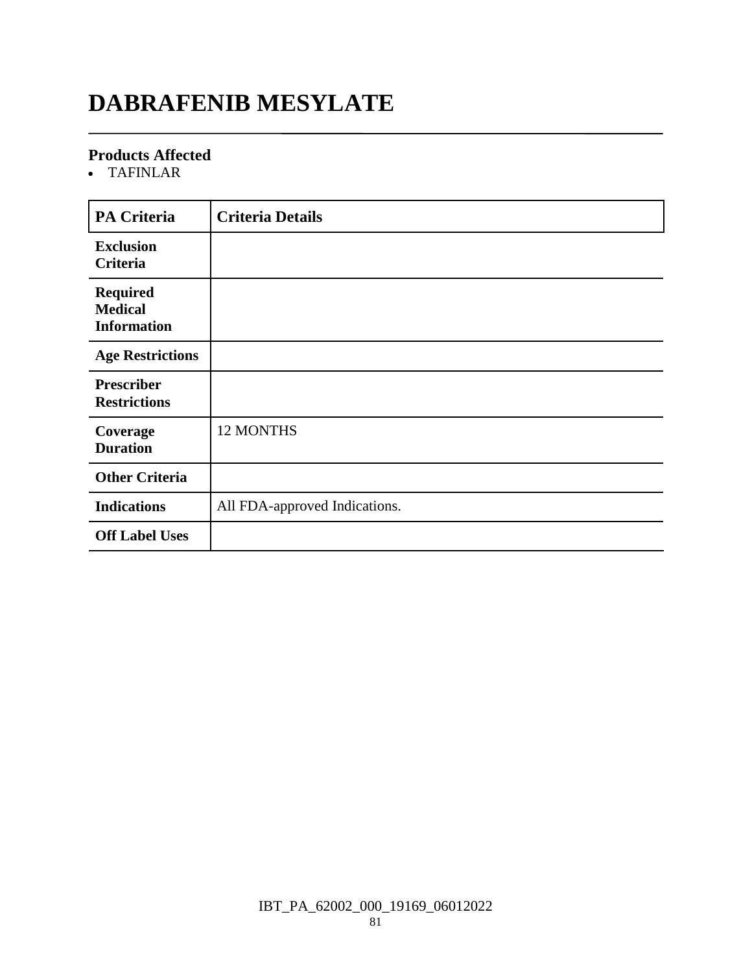## **DABRAFENIB MESYLATE**

#### **Products Affected**

TAFINLAR

| PA Criteria                                             | <b>Criteria Details</b>       |
|---------------------------------------------------------|-------------------------------|
| <b>Exclusion</b><br>Criteria                            |                               |
| <b>Required</b><br><b>Medical</b><br><b>Information</b> |                               |
| <b>Age Restrictions</b>                                 |                               |
| <b>Prescriber</b><br><b>Restrictions</b>                |                               |
| Coverage<br><b>Duration</b>                             | 12 MONTHS                     |
| <b>Other Criteria</b>                                   |                               |
| <b>Indications</b>                                      | All FDA-approved Indications. |
| <b>Off Label Uses</b>                                   |                               |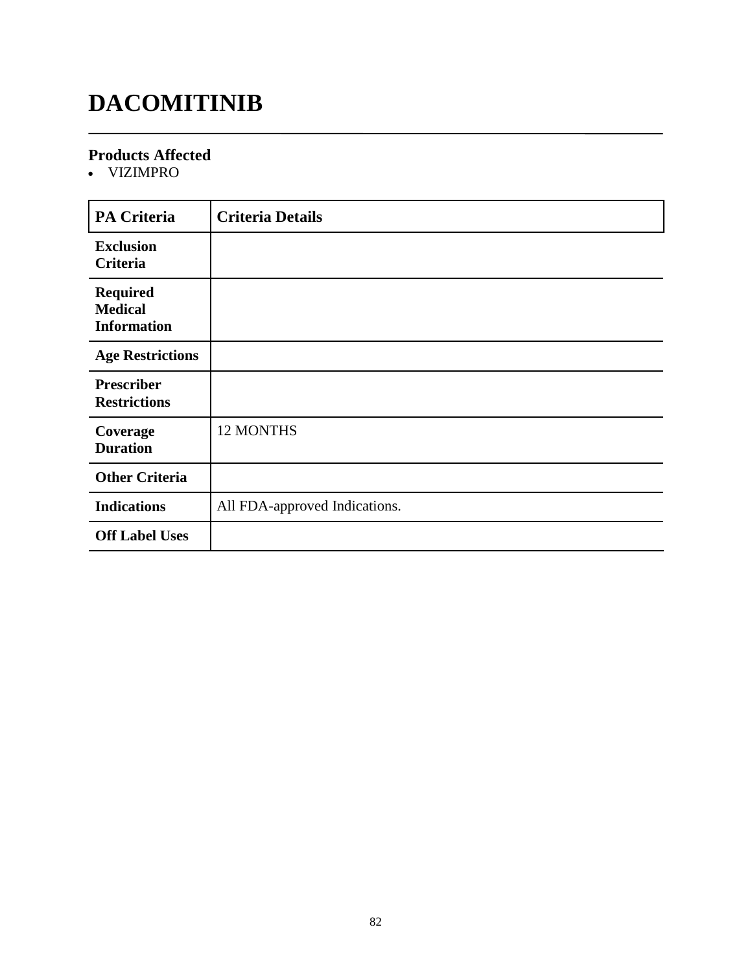## **DACOMITINIB**

#### **Products Affected**

VIZIMPRO

| <b>PA Criteria</b>                                      | <b>Criteria Details</b>       |
|---------------------------------------------------------|-------------------------------|
| <b>Exclusion</b><br>Criteria                            |                               |
| <b>Required</b><br><b>Medical</b><br><b>Information</b> |                               |
| <b>Age Restrictions</b>                                 |                               |
| <b>Prescriber</b><br><b>Restrictions</b>                |                               |
| Coverage<br><b>Duration</b>                             | 12 MONTHS                     |
| <b>Other Criteria</b>                                   |                               |
| <b>Indications</b>                                      | All FDA-approved Indications. |
| <b>Off Label Uses</b>                                   |                               |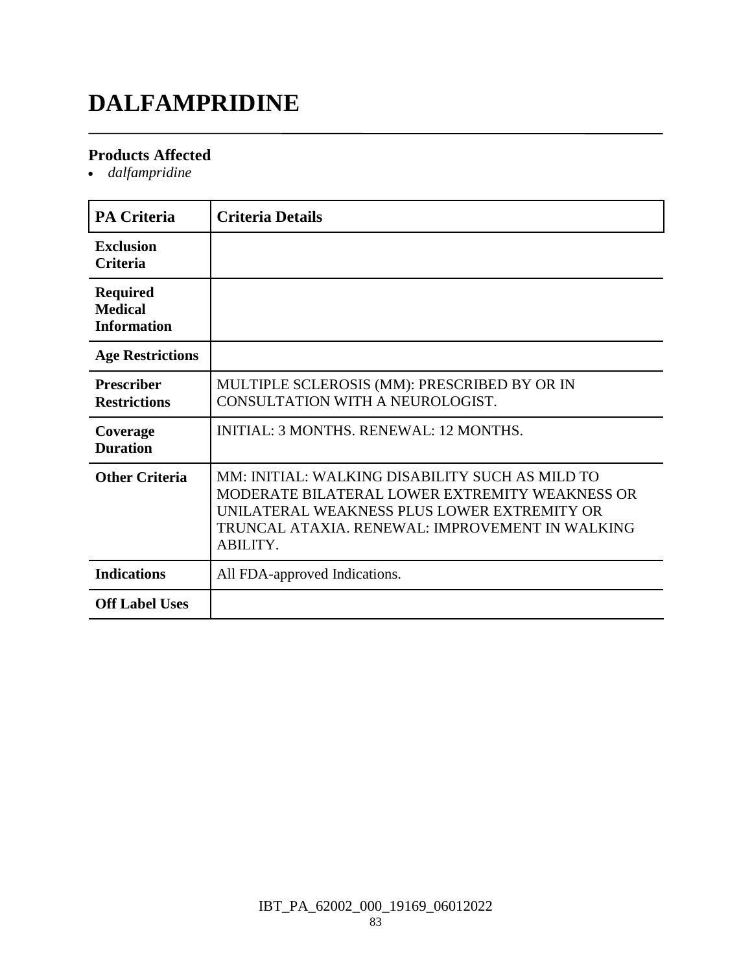## **DALFAMPRIDINE**

#### **Products Affected**

*dalfampridine*

| <b>PA Criteria</b>                                      | <b>Criteria Details</b>                                                                                                                                                                                         |
|---------------------------------------------------------|-----------------------------------------------------------------------------------------------------------------------------------------------------------------------------------------------------------------|
| <b>Exclusion</b><br><b>Criteria</b>                     |                                                                                                                                                                                                                 |
| <b>Required</b><br><b>Medical</b><br><b>Information</b> |                                                                                                                                                                                                                 |
| <b>Age Restrictions</b>                                 |                                                                                                                                                                                                                 |
| <b>Prescriber</b><br><b>Restrictions</b>                | MULTIPLE SCLEROSIS (MM): PRESCRIBED BY OR IN<br>CONSULTATION WITH A NEUROLOGIST.                                                                                                                                |
| Coverage<br><b>Duration</b>                             | <b>INITIAL: 3 MONTHS, RENEWAL: 12 MONTHS.</b>                                                                                                                                                                   |
| <b>Other Criteria</b>                                   | MM: INITIAL: WALKING DISABILITY SUCH AS MILD TO<br>MODERATE BILATERAL LOWER EXTREMITY WEAKNESS OR<br>UNILATERAL WEAKNESS PLUS LOWER EXTREMITY OR<br>TRUNCAL ATAXIA. RENEWAL: IMPROVEMENT IN WALKING<br>ABILITY. |
| <b>Indications</b>                                      | All FDA-approved Indications.                                                                                                                                                                                   |
| <b>Off Label Uses</b>                                   |                                                                                                                                                                                                                 |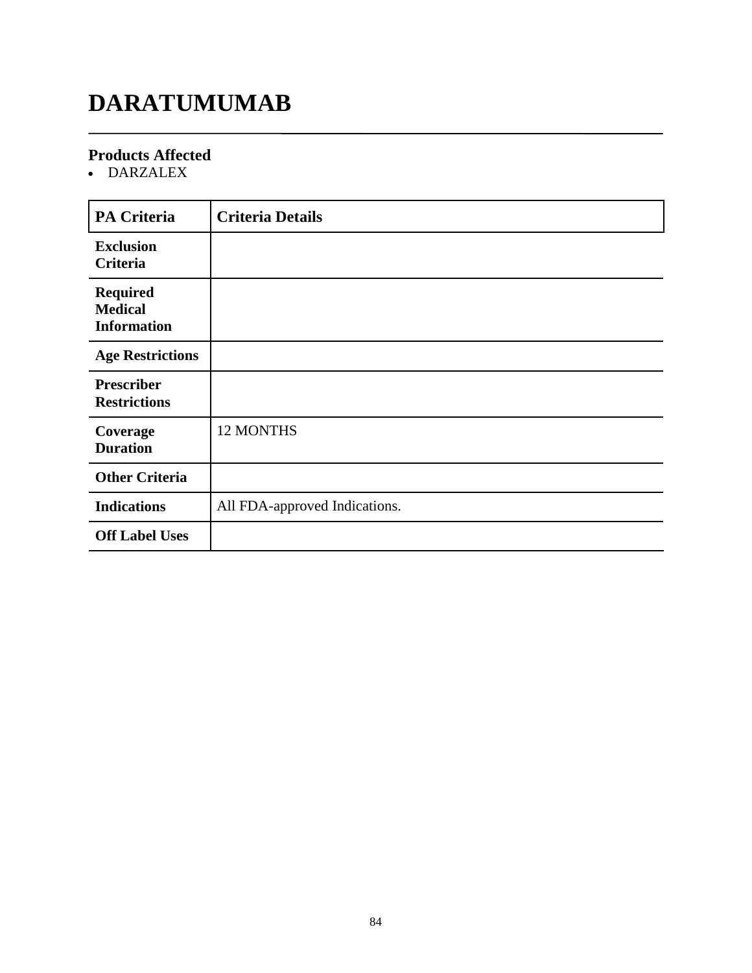## **DARATUMUMAB**

#### **Products Affected**

DARZALEX

| <b>PA Criteria</b>                                      | <b>Criteria Details</b>       |
|---------------------------------------------------------|-------------------------------|
| <b>Exclusion</b><br><b>Criteria</b>                     |                               |
| <b>Required</b><br><b>Medical</b><br><b>Information</b> |                               |
| <b>Age Restrictions</b>                                 |                               |
| <b>Prescriber</b><br><b>Restrictions</b>                |                               |
| Coverage<br><b>Duration</b>                             | <b>12 MONTHS</b>              |
| <b>Other Criteria</b>                                   |                               |
| <b>Indications</b>                                      | All FDA-approved Indications. |
| <b>Off Label Uses</b>                                   |                               |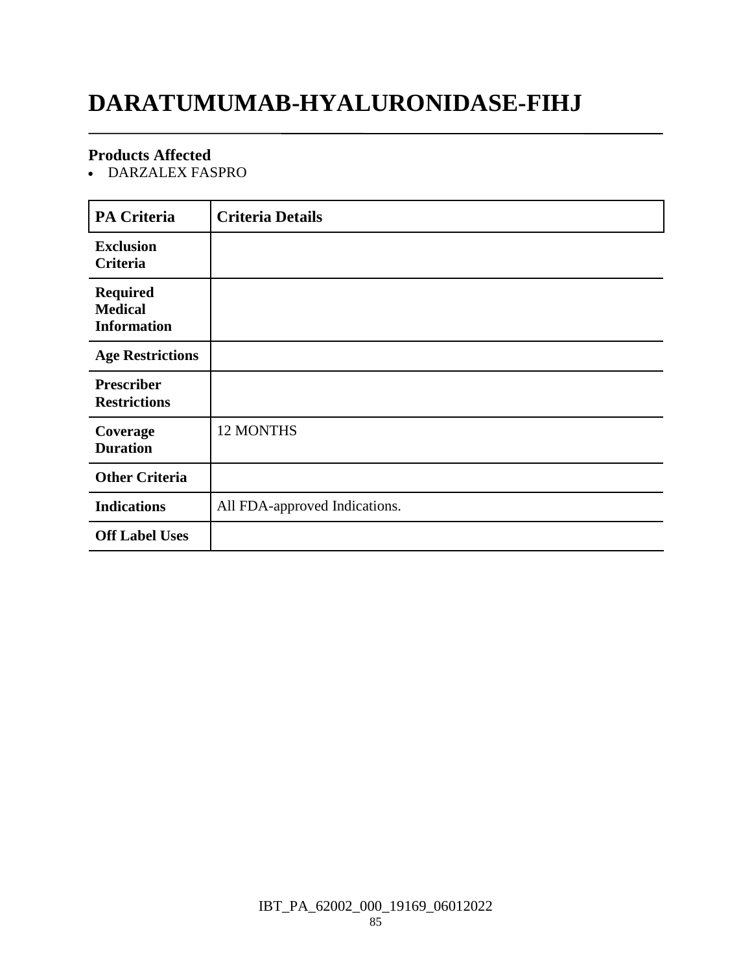## **DARATUMUMAB-HYALURONIDASE-FIHJ**

#### **Products Affected**

DARZALEX FASPRO

| <b>PA Criteria</b>                                      | <b>Criteria Details</b>       |
|---------------------------------------------------------|-------------------------------|
| <b>Exclusion</b><br>Criteria                            |                               |
| <b>Required</b><br><b>Medical</b><br><b>Information</b> |                               |
| <b>Age Restrictions</b>                                 |                               |
| <b>Prescriber</b><br><b>Restrictions</b>                |                               |
| Coverage<br><b>Duration</b>                             | 12 MONTHS                     |
| <b>Other Criteria</b>                                   |                               |
| <b>Indications</b>                                      | All FDA-approved Indications. |
| <b>Off Label Uses</b>                                   |                               |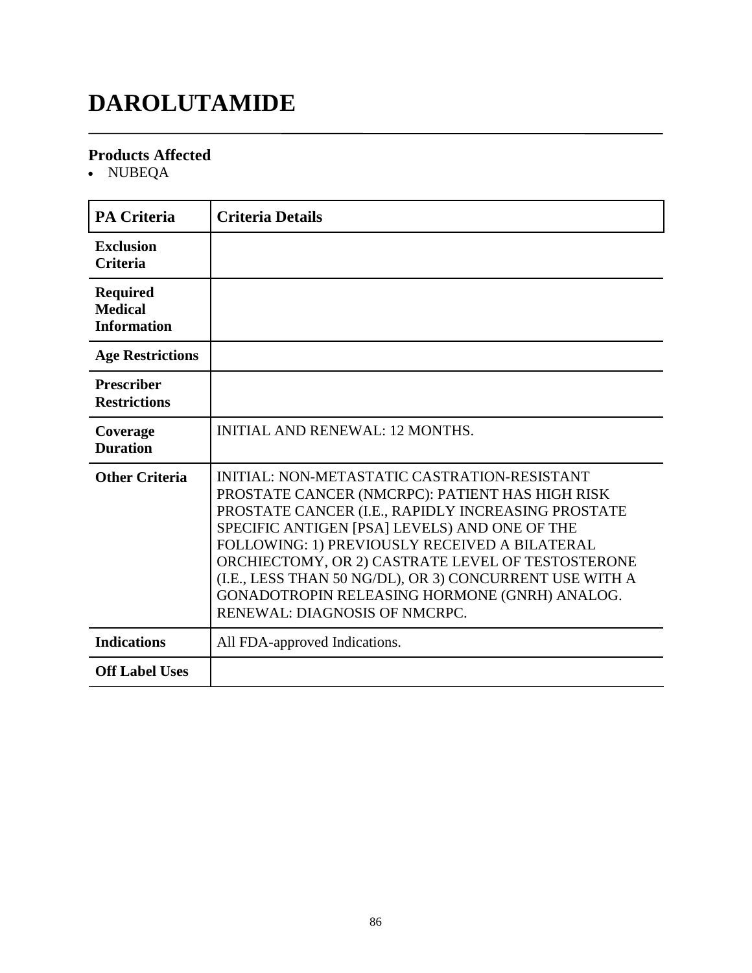## **DAROLUTAMIDE**

#### **Products Affected**

• NUBEQA

| PA Criteria                                             | <b>Criteria Details</b>                                                                                                                                                                                                                                                                                                                                                                                                                                   |
|---------------------------------------------------------|-----------------------------------------------------------------------------------------------------------------------------------------------------------------------------------------------------------------------------------------------------------------------------------------------------------------------------------------------------------------------------------------------------------------------------------------------------------|
| <b>Exclusion</b><br><b>Criteria</b>                     |                                                                                                                                                                                                                                                                                                                                                                                                                                                           |
| <b>Required</b><br><b>Medical</b><br><b>Information</b> |                                                                                                                                                                                                                                                                                                                                                                                                                                                           |
| <b>Age Restrictions</b>                                 |                                                                                                                                                                                                                                                                                                                                                                                                                                                           |
| <b>Prescriber</b><br><b>Restrictions</b>                |                                                                                                                                                                                                                                                                                                                                                                                                                                                           |
| Coverage<br><b>Duration</b>                             | <b>INITIAL AND RENEWAL: 12 MONTHS.</b>                                                                                                                                                                                                                                                                                                                                                                                                                    |
| <b>Other Criteria</b>                                   | INITIAL: NON-METASTATIC CASTRATION-RESISTANT<br>PROSTATE CANCER (NMCRPC): PATIENT HAS HIGH RISK<br>PROSTATE CANCER (I.E., RAPIDLY INCREASING PROSTATE<br>SPECIFIC ANTIGEN [PSA] LEVELS) AND ONE OF THE<br>FOLLOWING: 1) PREVIOUSLY RECEIVED A BILATERAL<br>ORCHIECTOMY, OR 2) CASTRATE LEVEL OF TESTOSTERONE<br>(I.E., LESS THAN 50 NG/DL), OR 3) CONCURRENT USE WITH A<br>GONADOTROPIN RELEASING HORMONE (GNRH) ANALOG.<br>RENEWAL: DIAGNOSIS OF NMCRPC. |
| <b>Indications</b>                                      | All FDA-approved Indications.                                                                                                                                                                                                                                                                                                                                                                                                                             |
| <b>Off Label Uses</b>                                   |                                                                                                                                                                                                                                                                                                                                                                                                                                                           |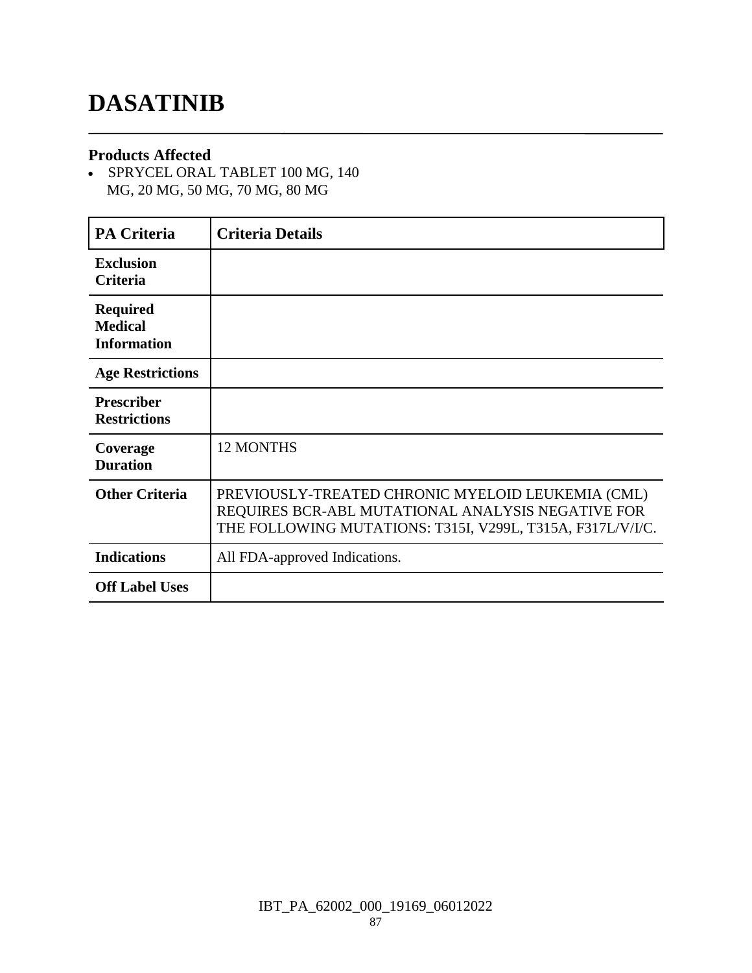## **DASATINIB**

#### **Products Affected**

 SPRYCEL ORAL TABLET 100 MG, 140 MG, 20 MG, 50 MG, 70 MG, 80 MG

| <b>PA Criteria</b>                                      | <b>Criteria Details</b>                                                                                                                                              |
|---------------------------------------------------------|----------------------------------------------------------------------------------------------------------------------------------------------------------------------|
| <b>Exclusion</b><br>Criteria                            |                                                                                                                                                                      |
| <b>Required</b><br><b>Medical</b><br><b>Information</b> |                                                                                                                                                                      |
| <b>Age Restrictions</b>                                 |                                                                                                                                                                      |
| <b>Prescriber</b><br><b>Restrictions</b>                |                                                                                                                                                                      |
| Coverage<br><b>Duration</b>                             | <b>12 MONTHS</b>                                                                                                                                                     |
| <b>Other Criteria</b>                                   | PREVIOUSLY-TREATED CHRONIC MYELOID LEUKEMIA (CML)<br>REQUIRES BCR-ABL MUTATIONAL ANALYSIS NEGATIVE FOR<br>THE FOLLOWING MUTATIONS: T315I, V299L, T315A, F317L/V/I/C. |
| <b>Indications</b>                                      | All FDA-approved Indications.                                                                                                                                        |
| <b>Off Label Uses</b>                                   |                                                                                                                                                                      |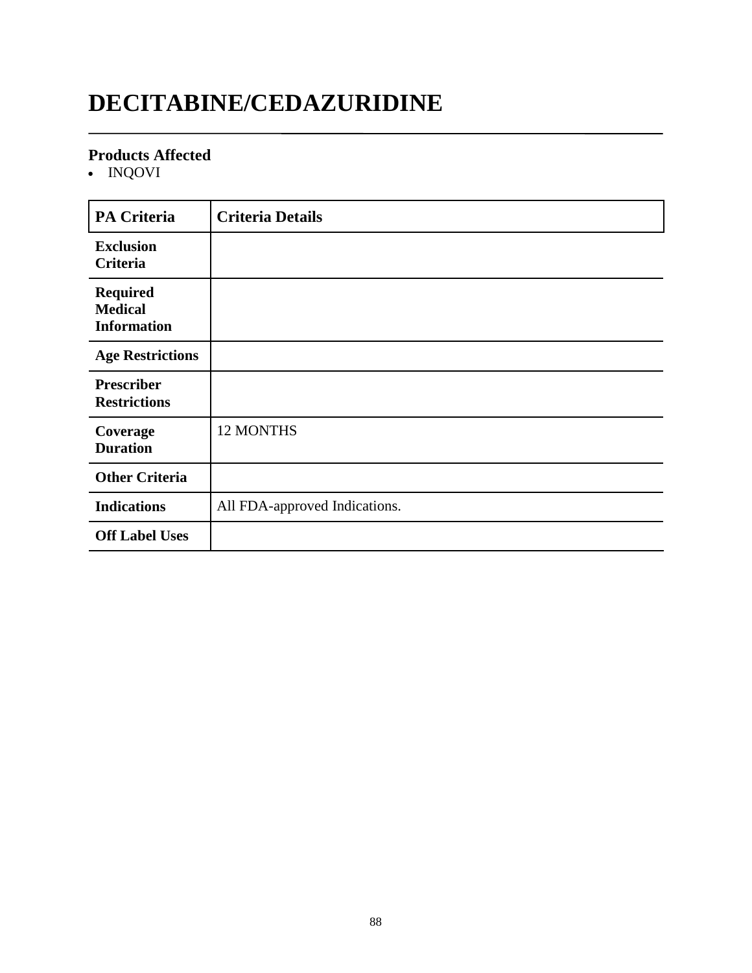## **DECITABINE/CEDAZURIDINE**

#### **Products Affected**

INQOVI

| <b>PA Criteria</b>                                      | <b>Criteria Details</b>       |
|---------------------------------------------------------|-------------------------------|
| <b>Exclusion</b><br>Criteria                            |                               |
| <b>Required</b><br><b>Medical</b><br><b>Information</b> |                               |
| <b>Age Restrictions</b>                                 |                               |
| <b>Prescriber</b><br><b>Restrictions</b>                |                               |
| Coverage<br><b>Duration</b>                             | 12 MONTHS                     |
| <b>Other Criteria</b>                                   |                               |
| <b>Indications</b>                                      | All FDA-approved Indications. |
| <b>Off Label Uses</b>                                   |                               |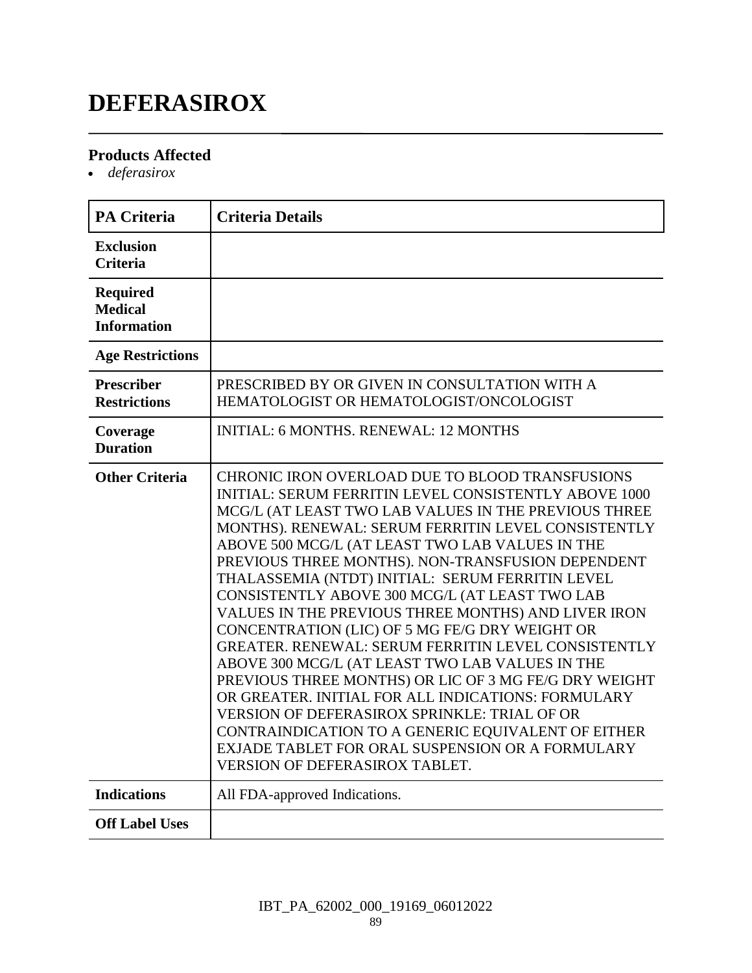## **DEFERASIROX**

#### **Products Affected**

*deferasirox*

| <b>PA Criteria</b>                                      | <b>Criteria Details</b>                                                                                                                                                                                                                                                                                                                                                                                                                                                                                                                                                                                                                                                                                                                                                                                                                                                                                                                                                                  |
|---------------------------------------------------------|------------------------------------------------------------------------------------------------------------------------------------------------------------------------------------------------------------------------------------------------------------------------------------------------------------------------------------------------------------------------------------------------------------------------------------------------------------------------------------------------------------------------------------------------------------------------------------------------------------------------------------------------------------------------------------------------------------------------------------------------------------------------------------------------------------------------------------------------------------------------------------------------------------------------------------------------------------------------------------------|
| <b>Exclusion</b><br><b>Criteria</b>                     |                                                                                                                                                                                                                                                                                                                                                                                                                                                                                                                                                                                                                                                                                                                                                                                                                                                                                                                                                                                          |
| <b>Required</b><br><b>Medical</b><br><b>Information</b> |                                                                                                                                                                                                                                                                                                                                                                                                                                                                                                                                                                                                                                                                                                                                                                                                                                                                                                                                                                                          |
| <b>Age Restrictions</b>                                 |                                                                                                                                                                                                                                                                                                                                                                                                                                                                                                                                                                                                                                                                                                                                                                                                                                                                                                                                                                                          |
| <b>Prescriber</b><br><b>Restrictions</b>                | PRESCRIBED BY OR GIVEN IN CONSULTATION WITH A<br>HEMATOLOGIST OR HEMATOLOGIST/ONCOLOGIST                                                                                                                                                                                                                                                                                                                                                                                                                                                                                                                                                                                                                                                                                                                                                                                                                                                                                                 |
| Coverage<br><b>Duration</b>                             | <b>INITIAL: 6 MONTHS. RENEWAL: 12 MONTHS</b>                                                                                                                                                                                                                                                                                                                                                                                                                                                                                                                                                                                                                                                                                                                                                                                                                                                                                                                                             |
| <b>Other Criteria</b>                                   | CHRONIC IRON OVERLOAD DUE TO BLOOD TRANSFUSIONS<br><b>INITIAL: SERUM FERRITIN LEVEL CONSISTENTLY ABOVE 1000</b><br>MCG/L (AT LEAST TWO LAB VALUES IN THE PREVIOUS THREE<br>MONTHS). RENEWAL: SERUM FERRITIN LEVEL CONSISTENTLY<br>ABOVE 500 MCG/L (AT LEAST TWO LAB VALUES IN THE<br>PREVIOUS THREE MONTHS). NON-TRANSFUSION DEPENDENT<br>THALASSEMIA (NTDT) INITIAL: SERUM FERRITIN LEVEL<br>CONSISTENTLY ABOVE 300 MCG/L (AT LEAST TWO LAB<br>VALUES IN THE PREVIOUS THREE MONTHS) AND LIVER IRON<br>CONCENTRATION (LIC) OF 5 MG FE/G DRY WEIGHT OR<br>GREATER. RENEWAL: SERUM FERRITIN LEVEL CONSISTENTLY<br>ABOVE 300 MCG/L (AT LEAST TWO LAB VALUES IN THE<br>PREVIOUS THREE MONTHS) OR LIC OF 3 MG FE/G DRY WEIGHT<br>OR GREATER. INITIAL FOR ALL INDICATIONS: FORMULARY<br><b>VERSION OF DEFERASIROX SPRINKLE: TRIAL OF OR</b><br>CONTRAINDICATION TO A GENERIC EQUIVALENT OF EITHER<br>EXJADE TABLET FOR ORAL SUSPENSION OR A FORMULARY<br><b>VERSION OF DEFERASIROX TABLET.</b> |
| <b>Indications</b>                                      | All FDA-approved Indications.                                                                                                                                                                                                                                                                                                                                                                                                                                                                                                                                                                                                                                                                                                                                                                                                                                                                                                                                                            |
| <b>Off Label Uses</b>                                   |                                                                                                                                                                                                                                                                                                                                                                                                                                                                                                                                                                                                                                                                                                                                                                                                                                                                                                                                                                                          |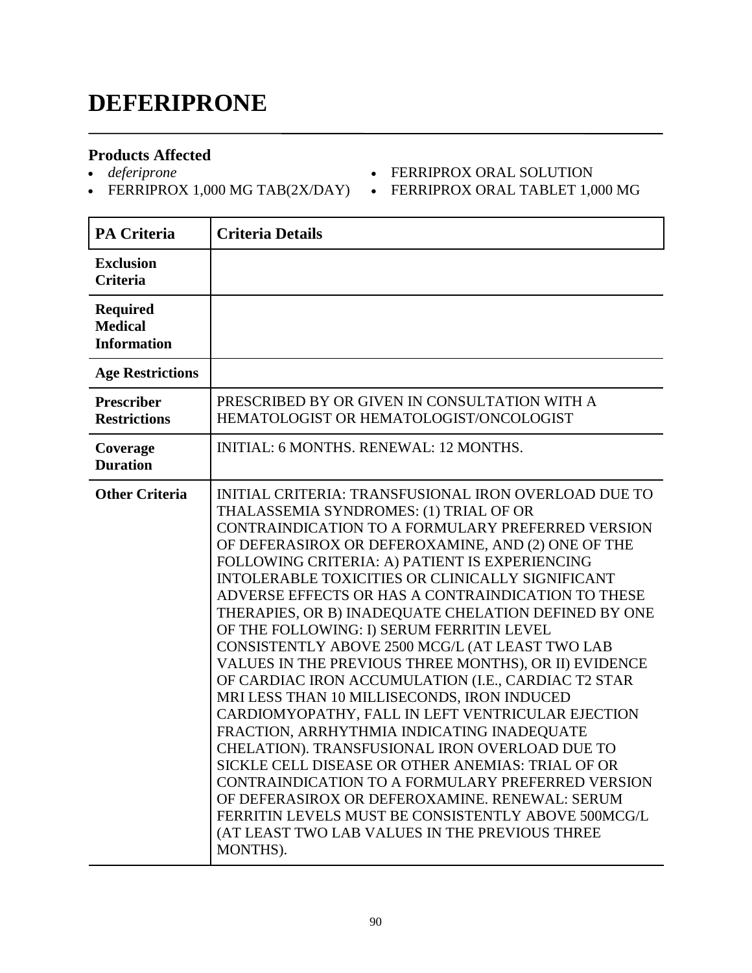## **DEFERIPRONE**

#### **Products Affected**

*deferiprone*

• FERRIPROX 1,000 MG TAB(2X/DAY) • FERRIPROX ORAL TABLET 1,000 MG

**FERRIPROX ORAL SOLUTION** 

٦

| <b>PA Criteria</b>                                      | <b>Criteria Details</b>                                                                                                                                                                                                                                                                                                                                                                                                                                                                                                                                                                                                                                                                                                                                                                                                                                                                                                                                                                                                                                                                                                            |
|---------------------------------------------------------|------------------------------------------------------------------------------------------------------------------------------------------------------------------------------------------------------------------------------------------------------------------------------------------------------------------------------------------------------------------------------------------------------------------------------------------------------------------------------------------------------------------------------------------------------------------------------------------------------------------------------------------------------------------------------------------------------------------------------------------------------------------------------------------------------------------------------------------------------------------------------------------------------------------------------------------------------------------------------------------------------------------------------------------------------------------------------------------------------------------------------------|
| <b>Exclusion</b><br>Criteria                            |                                                                                                                                                                                                                                                                                                                                                                                                                                                                                                                                                                                                                                                                                                                                                                                                                                                                                                                                                                                                                                                                                                                                    |
| <b>Required</b><br><b>Medical</b><br><b>Information</b> |                                                                                                                                                                                                                                                                                                                                                                                                                                                                                                                                                                                                                                                                                                                                                                                                                                                                                                                                                                                                                                                                                                                                    |
| <b>Age Restrictions</b>                                 |                                                                                                                                                                                                                                                                                                                                                                                                                                                                                                                                                                                                                                                                                                                                                                                                                                                                                                                                                                                                                                                                                                                                    |
| Prescriber<br><b>Restrictions</b>                       | PRESCRIBED BY OR GIVEN IN CONSULTATION WITH A<br>HEMATOLOGIST OR HEMATOLOGIST/ONCOLOGIST                                                                                                                                                                                                                                                                                                                                                                                                                                                                                                                                                                                                                                                                                                                                                                                                                                                                                                                                                                                                                                           |
| Coverage<br><b>Duration</b>                             | INITIAL: 6 MONTHS. RENEWAL: 12 MONTHS.                                                                                                                                                                                                                                                                                                                                                                                                                                                                                                                                                                                                                                                                                                                                                                                                                                                                                                                                                                                                                                                                                             |
| <b>Other Criteria</b>                                   | INITIAL CRITERIA: TRANSFUSIONAL IRON OVERLOAD DUE TO<br>THALASSEMIA SYNDROMES: (1) TRIAL OF OR<br>CONTRAINDICATION TO A FORMULARY PREFERRED VERSION<br>OF DEFERASIROX OR DEFEROXAMINE, AND (2) ONE OF THE<br>FOLLOWING CRITERIA: A) PATIENT IS EXPERIENCING<br>INTOLERABLE TOXICITIES OR CLINICALLY SIGNIFICANT<br>ADVERSE EFFECTS OR HAS A CONTRAINDICATION TO THESE<br>THERAPIES, OR B) INADEQUATE CHELATION DEFINED BY ONE<br>OF THE FOLLOWING: I) SERUM FERRITIN LEVEL<br>CONSISTENTLY ABOVE 2500 MCG/L (AT LEAST TWO LAB<br>VALUES IN THE PREVIOUS THREE MONTHS), OR II) EVIDENCE<br>OF CARDIAC IRON ACCUMULATION (I.E., CARDIAC T2 STAR<br>MRI LESS THAN 10 MILLISECONDS, IRON INDUCED<br>CARDIOMYOPATHY, FALL IN LEFT VENTRICULAR EJECTION<br>FRACTION, ARRHYTHMIA INDICATING INADEQUATE<br>CHELATION). TRANSFUSIONAL IRON OVERLOAD DUE TO<br>SICKLE CELL DISEASE OR OTHER ANEMIAS: TRIAL OF OR<br>CONTRAINDICATION TO A FORMULARY PREFERRED VERSION<br>OF DEFERASIROX OR DEFEROXAMINE. RENEWAL: SERUM<br>FERRITIN LEVELS MUST BE CONSISTENTLY ABOVE 500MCG/L<br>(AT LEAST TWO LAB VALUES IN THE PREVIOUS THREE<br>MONTHS). |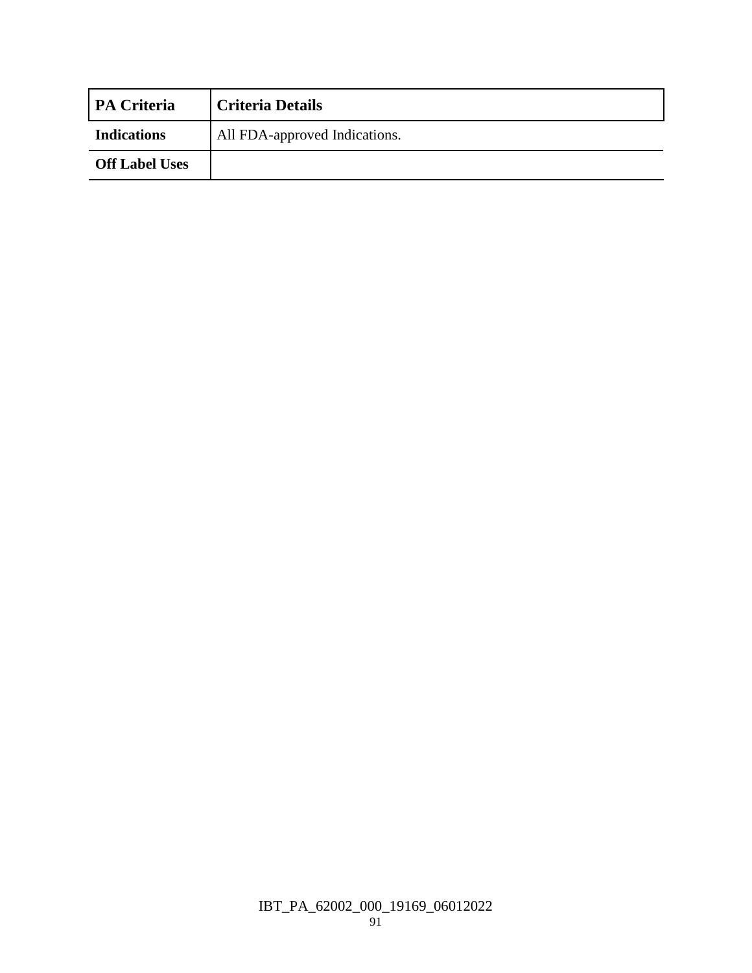| <b>PA Criteria</b>    | <b>Criteria Details</b>       |
|-----------------------|-------------------------------|
| <b>Indications</b>    | All FDA-approved Indications. |
| <b>Off Label Uses</b> |                               |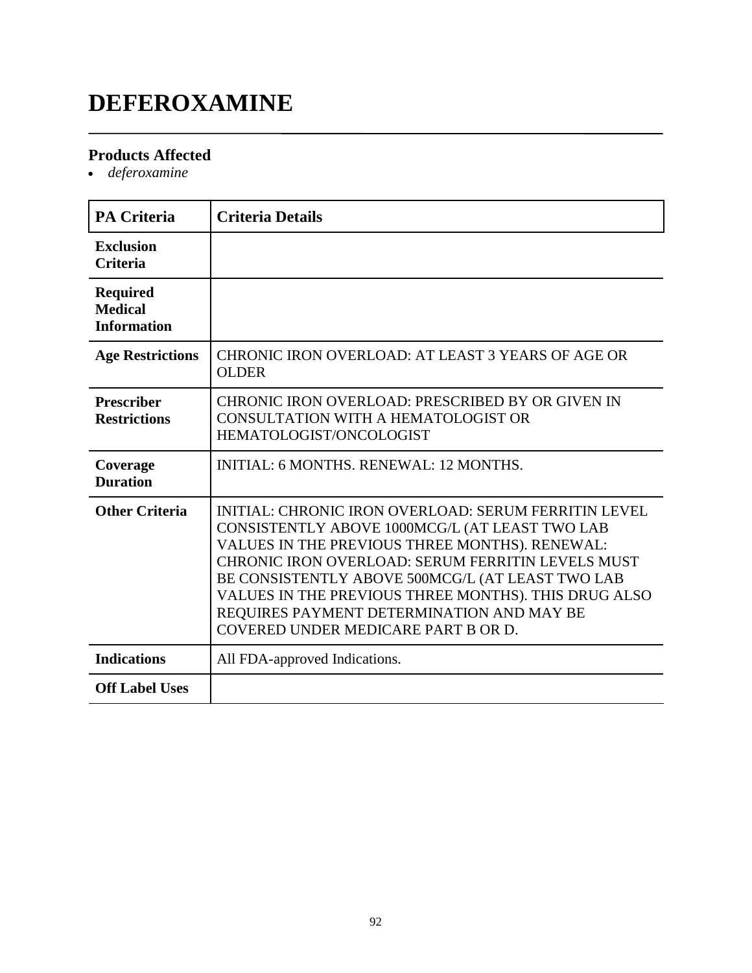## **DEFEROXAMINE**

#### **Products Affected**

*deferoxamine*

| <b>PA Criteria</b>                                      | <b>Criteria Details</b>                                                                                                                                                                                                                                                                                                                                                                                       |
|---------------------------------------------------------|---------------------------------------------------------------------------------------------------------------------------------------------------------------------------------------------------------------------------------------------------------------------------------------------------------------------------------------------------------------------------------------------------------------|
| <b>Exclusion</b><br><b>Criteria</b>                     |                                                                                                                                                                                                                                                                                                                                                                                                               |
| <b>Required</b><br><b>Medical</b><br><b>Information</b> |                                                                                                                                                                                                                                                                                                                                                                                                               |
| <b>Age Restrictions</b>                                 | CHRONIC IRON OVERLOAD: AT LEAST 3 YEARS OF AGE OR<br><b>OLDER</b>                                                                                                                                                                                                                                                                                                                                             |
| <b>Prescriber</b><br><b>Restrictions</b>                | CHRONIC IRON OVERLOAD: PRESCRIBED BY OR GIVEN IN<br>CONSULTATION WITH A HEMATOLOGIST OR<br>HEMATOLOGIST/ONCOLOGIST                                                                                                                                                                                                                                                                                            |
| Coverage<br><b>Duration</b>                             | <b>INITIAL: 6 MONTHS, RENEWAL: 12 MONTHS.</b>                                                                                                                                                                                                                                                                                                                                                                 |
| <b>Other Criteria</b>                                   | INITIAL: CHRONIC IRON OVERLOAD: SERUM FERRITIN LEVEL<br>CONSISTENTLY ABOVE 1000MCG/L (AT LEAST TWO LAB<br>VALUES IN THE PREVIOUS THREE MONTHS). RENEWAL:<br>CHRONIC IRON OVERLOAD: SERUM FERRITIN LEVELS MUST<br>BE CONSISTENTLY ABOVE 500MCG/L (AT LEAST TWO LAB<br>VALUES IN THE PREVIOUS THREE MONTHS). THIS DRUG ALSO<br>REQUIRES PAYMENT DETERMINATION AND MAY BE<br>COVERED UNDER MEDICARE PART B OR D. |
| <b>Indications</b>                                      | All FDA-approved Indications.                                                                                                                                                                                                                                                                                                                                                                                 |
| <b>Off Label Uses</b>                                   |                                                                                                                                                                                                                                                                                                                                                                                                               |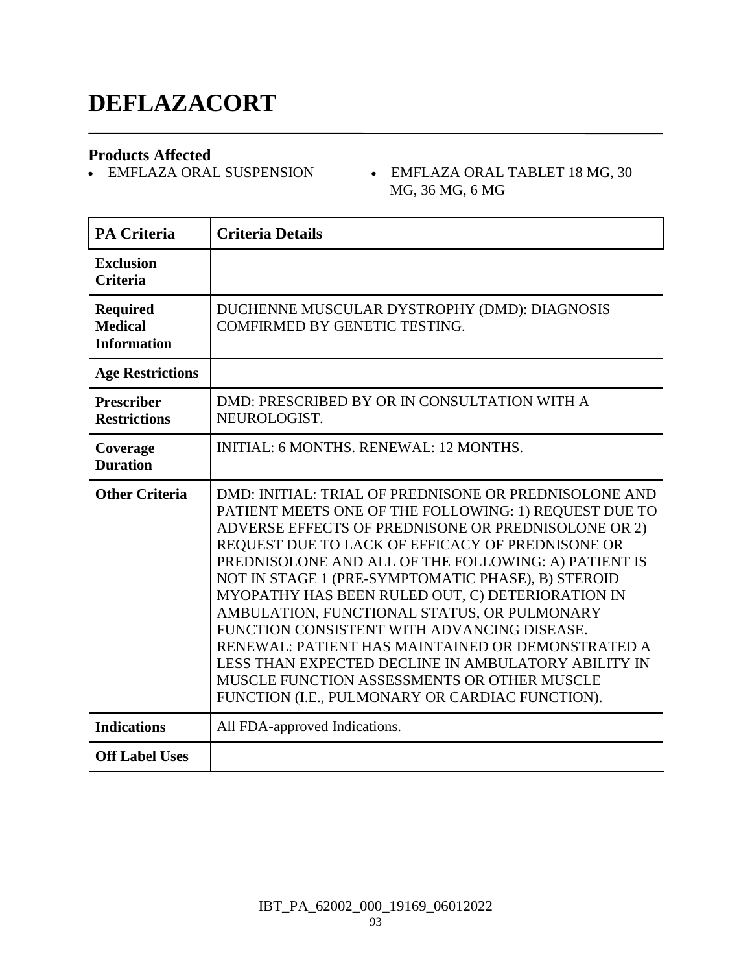## **DEFLAZACORT**

**Products Affected**

- EMFLAZA ORAL TABLET 18 MG, 30 MG, 36 MG, 6 MG

| <b>PA Criteria</b>                                      | <b>Criteria Details</b>                                                                                                                                                                                                                                                                                                                                                                                                                                                                                                                                                                                                                                                                                 |
|---------------------------------------------------------|---------------------------------------------------------------------------------------------------------------------------------------------------------------------------------------------------------------------------------------------------------------------------------------------------------------------------------------------------------------------------------------------------------------------------------------------------------------------------------------------------------------------------------------------------------------------------------------------------------------------------------------------------------------------------------------------------------|
| <b>Exclusion</b><br><b>Criteria</b>                     |                                                                                                                                                                                                                                                                                                                                                                                                                                                                                                                                                                                                                                                                                                         |
| <b>Required</b><br><b>Medical</b><br><b>Information</b> | DUCHENNE MUSCULAR DYSTROPHY (DMD): DIAGNOSIS<br>COMFIRMED BY GENETIC TESTING.                                                                                                                                                                                                                                                                                                                                                                                                                                                                                                                                                                                                                           |
| <b>Age Restrictions</b>                                 |                                                                                                                                                                                                                                                                                                                                                                                                                                                                                                                                                                                                                                                                                                         |
| <b>Prescriber</b><br><b>Restrictions</b>                | DMD: PRESCRIBED BY OR IN CONSULTATION WITH A<br>NEUROLOGIST.                                                                                                                                                                                                                                                                                                                                                                                                                                                                                                                                                                                                                                            |
| Coverage<br><b>Duration</b>                             | <b>INITIAL: 6 MONTHS, RENEWAL: 12 MONTHS.</b>                                                                                                                                                                                                                                                                                                                                                                                                                                                                                                                                                                                                                                                           |
| <b>Other Criteria</b>                                   | DMD: INITIAL: TRIAL OF PREDNISONE OR PREDNISOLONE AND<br>PATIENT MEETS ONE OF THE FOLLOWING: 1) REQUEST DUE TO<br>ADVERSE EFFECTS OF PREDNISONE OR PREDNISOLONE OR 2)<br>REQUEST DUE TO LACK OF EFFICACY OF PREDNISONE OR<br>PREDNISOLONE AND ALL OF THE FOLLOWING: A) PATIENT IS<br>NOT IN STAGE 1 (PRE-SYMPTOMATIC PHASE), B) STEROID<br>MYOPATHY HAS BEEN RULED OUT, C) DETERIORATION IN<br>AMBULATION, FUNCTIONAL STATUS, OR PULMONARY<br>FUNCTION CONSISTENT WITH ADVANCING DISEASE.<br>RENEWAL: PATIENT HAS MAINTAINED OR DEMONSTRATED A<br>LESS THAN EXPECTED DECLINE IN AMBULATORY ABILITY IN<br>MUSCLE FUNCTION ASSESSMENTS OR OTHER MUSCLE<br>FUNCTION (I.E., PULMONARY OR CARDIAC FUNCTION). |
| <b>Indications</b>                                      | All FDA-approved Indications.                                                                                                                                                                                                                                                                                                                                                                                                                                                                                                                                                                                                                                                                           |
| <b>Off Label Uses</b>                                   |                                                                                                                                                                                                                                                                                                                                                                                                                                                                                                                                                                                                                                                                                                         |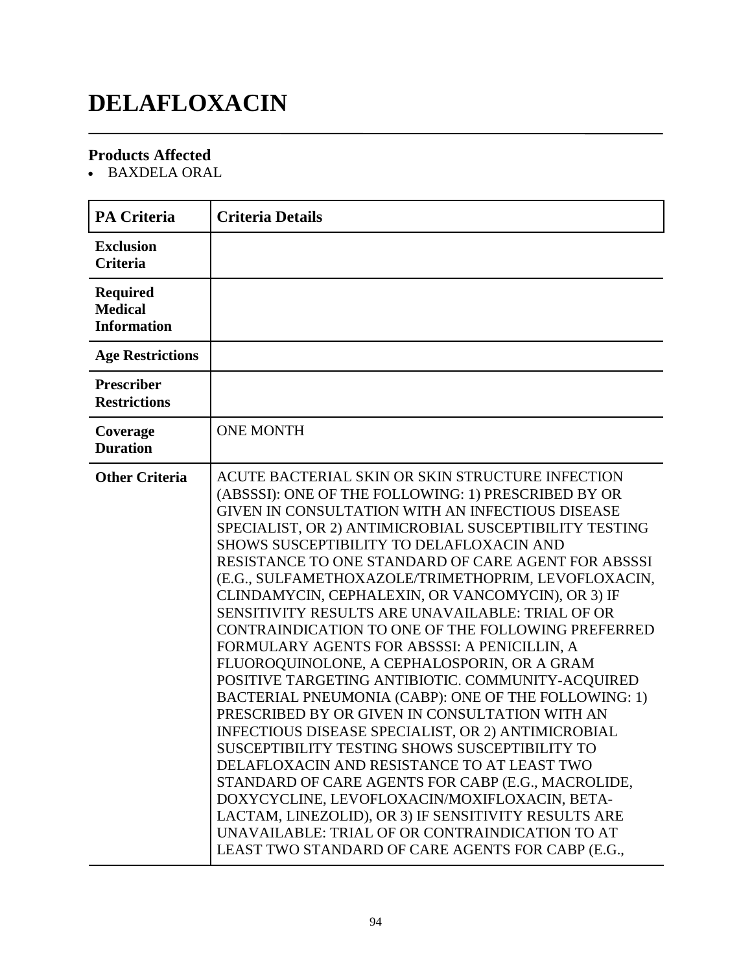## **DELAFLOXACIN**

### **Products Affected**

BAXDELA ORAL

| <b>PA Criteria</b>                                      | <b>Criteria Details</b>                                                                                                                                                                                                                                                                                                                                                                                                                                                                                                                                                                                                                                                                                                                                                                                                                                                                                                                                                                                                                                                                                                                                                                                                                    |
|---------------------------------------------------------|--------------------------------------------------------------------------------------------------------------------------------------------------------------------------------------------------------------------------------------------------------------------------------------------------------------------------------------------------------------------------------------------------------------------------------------------------------------------------------------------------------------------------------------------------------------------------------------------------------------------------------------------------------------------------------------------------------------------------------------------------------------------------------------------------------------------------------------------------------------------------------------------------------------------------------------------------------------------------------------------------------------------------------------------------------------------------------------------------------------------------------------------------------------------------------------------------------------------------------------------|
| <b>Exclusion</b><br><b>Criteria</b>                     |                                                                                                                                                                                                                                                                                                                                                                                                                                                                                                                                                                                                                                                                                                                                                                                                                                                                                                                                                                                                                                                                                                                                                                                                                                            |
| <b>Required</b><br><b>Medical</b><br><b>Information</b> |                                                                                                                                                                                                                                                                                                                                                                                                                                                                                                                                                                                                                                                                                                                                                                                                                                                                                                                                                                                                                                                                                                                                                                                                                                            |
| <b>Age Restrictions</b>                                 |                                                                                                                                                                                                                                                                                                                                                                                                                                                                                                                                                                                                                                                                                                                                                                                                                                                                                                                                                                                                                                                                                                                                                                                                                                            |
| <b>Prescriber</b><br><b>Restrictions</b>                |                                                                                                                                                                                                                                                                                                                                                                                                                                                                                                                                                                                                                                                                                                                                                                                                                                                                                                                                                                                                                                                                                                                                                                                                                                            |
| Coverage<br><b>Duration</b>                             | <b>ONE MONTH</b>                                                                                                                                                                                                                                                                                                                                                                                                                                                                                                                                                                                                                                                                                                                                                                                                                                                                                                                                                                                                                                                                                                                                                                                                                           |
| <b>Other Criteria</b>                                   | ACUTE BACTERIAL SKIN OR SKIN STRUCTURE INFECTION<br>(ABSSSI): ONE OF THE FOLLOWING: 1) PRESCRIBED BY OR<br>GIVEN IN CONSULTATION WITH AN INFECTIOUS DISEASE<br>SPECIALIST, OR 2) ANTIMICROBIAL SUSCEPTIBILITY TESTING<br>SHOWS SUSCEPTIBILITY TO DELAFLOXACIN AND<br>RESISTANCE TO ONE STANDARD OF CARE AGENT FOR ABSSSI<br>(E.G., SULFAMETHOXAZOLE/TRIMETHOPRIM, LEVOFLOXACIN,<br>CLINDAMYCIN, CEPHALEXIN, OR VANCOMYCIN), OR 3) IF<br>SENSITIVITY RESULTS ARE UNAVAILABLE: TRIAL OF OR<br>CONTRAINDICATION TO ONE OF THE FOLLOWING PREFERRED<br>FORMULARY AGENTS FOR ABSSSI: A PENICILLIN, A<br>FLUOROQUINOLONE, A CEPHALOSPORIN, OR A GRAM<br>POSITIVE TARGETING ANTIBIOTIC. COMMUNITY-ACQUIRED<br>BACTERIAL PNEUMONIA (CABP): ONE OF THE FOLLOWING: 1)<br>PRESCRIBED BY OR GIVEN IN CONSULTATION WITH AN<br>INFECTIOUS DISEASE SPECIALIST, OR 2) ANTIMICROBIAL<br>SUSCEPTIBILITY TESTING SHOWS SUSCEPTIBILITY TO<br>DELAFLOXACIN AND RESISTANCE TO AT LEAST TWO<br>STANDARD OF CARE AGENTS FOR CABP (E.G., MACROLIDE,<br>DOXYCYCLINE, LEVOFLOXACIN/MOXIFLOXACIN, BETA-<br>LACTAM, LINEZOLID), OR 3) IF SENSITIVITY RESULTS ARE<br>UNAVAILABLE: TRIAL OF OR CONTRAINDICATION TO AT<br>LEAST TWO STANDARD OF CARE AGENTS FOR CABP (E.G., |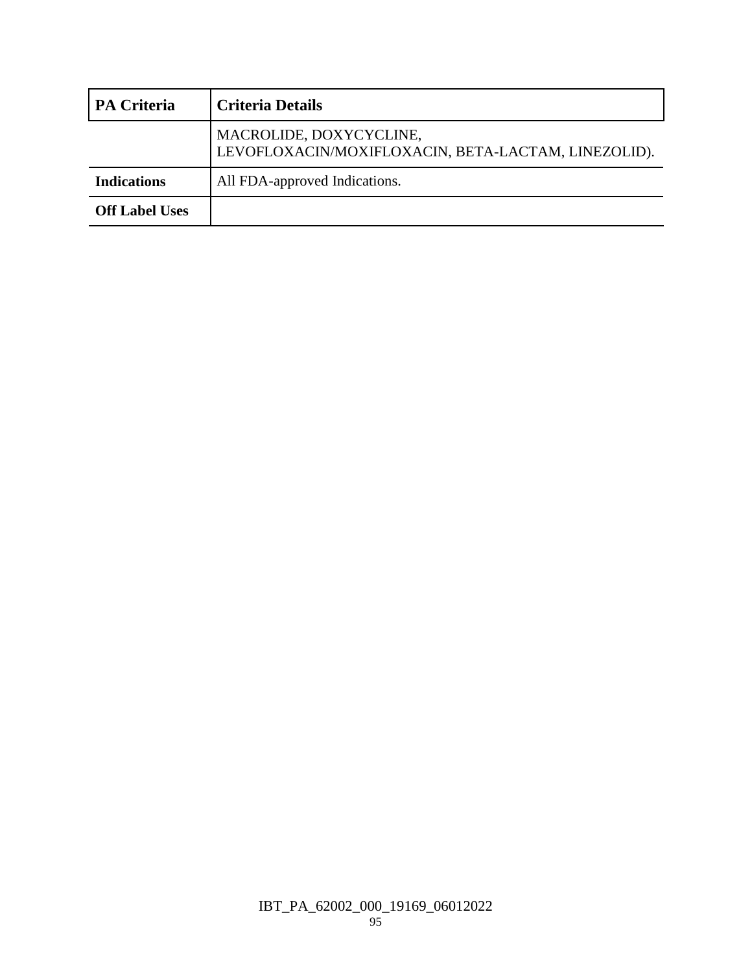| <b>PA Criteria</b>    | <b>Criteria Details</b>                                                        |
|-----------------------|--------------------------------------------------------------------------------|
|                       | MACROLIDE, DOXYCYCLINE,<br>LEVOFLOXACIN/MOXIFLOXACIN, BETA-LACTAM, LINEZOLID). |
| <b>Indications</b>    | All FDA-approved Indications.                                                  |
| <b>Off Label Uses</b> |                                                                                |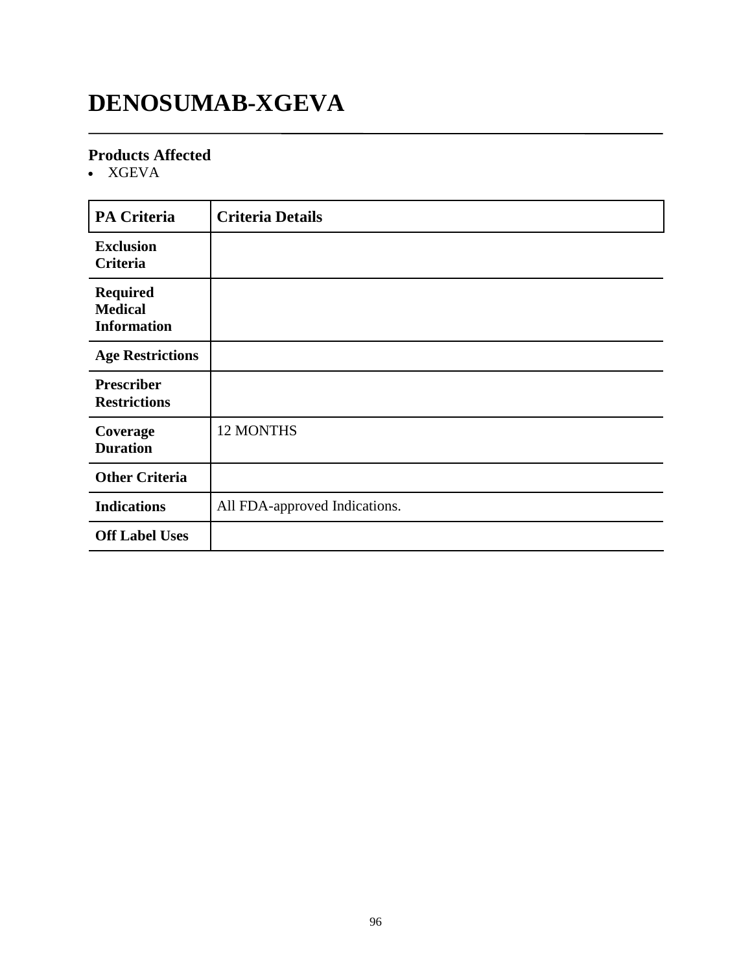## **DENOSUMAB-XGEVA**

#### **Products Affected**

XGEVA

| <b>PA Criteria</b>                                      | <b>Criteria Details</b>       |
|---------------------------------------------------------|-------------------------------|
| <b>Exclusion</b><br>Criteria                            |                               |
| <b>Required</b><br><b>Medical</b><br><b>Information</b> |                               |
| <b>Age Restrictions</b>                                 |                               |
| <b>Prescriber</b><br><b>Restrictions</b>                |                               |
| Coverage<br><b>Duration</b>                             | 12 MONTHS                     |
| <b>Other Criteria</b>                                   |                               |
| <b>Indications</b>                                      | All FDA-approved Indications. |
| <b>Off Label Uses</b>                                   |                               |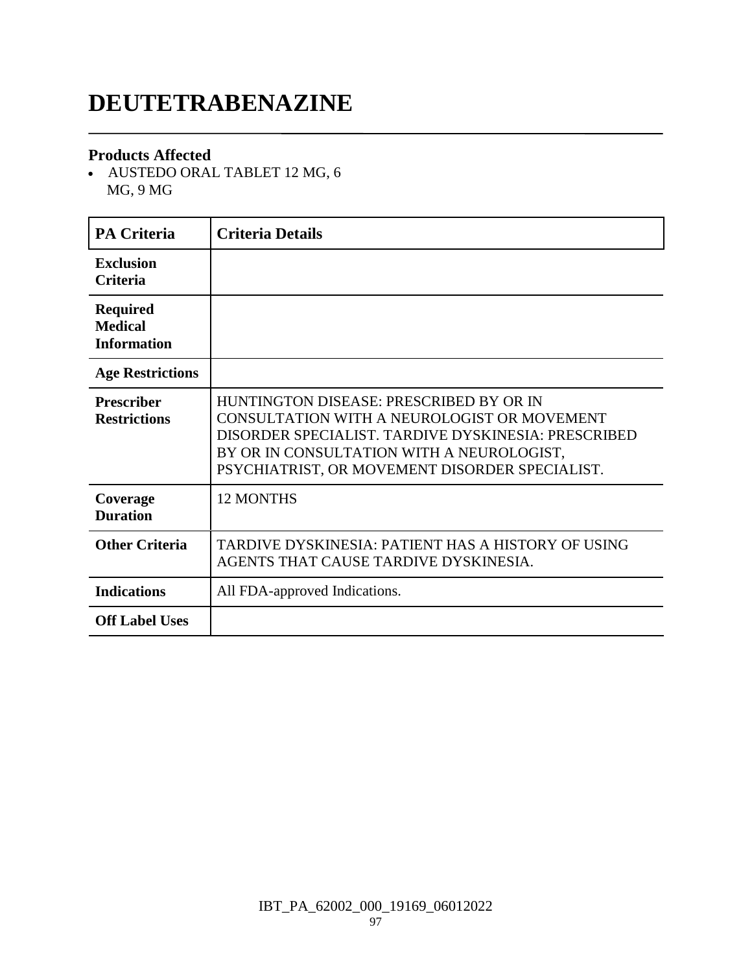## **DEUTETRABENAZINE**

#### **Products Affected**

 AUSTEDO ORAL TABLET 12 MG, 6 MG, 9 MG

| <b>PA Criteria</b>                                      | <b>Criteria Details</b>                                                                                                                                                                                                                      |
|---------------------------------------------------------|----------------------------------------------------------------------------------------------------------------------------------------------------------------------------------------------------------------------------------------------|
| <b>Exclusion</b><br><b>Criteria</b>                     |                                                                                                                                                                                                                                              |
| <b>Required</b><br><b>Medical</b><br><b>Information</b> |                                                                                                                                                                                                                                              |
| <b>Age Restrictions</b>                                 |                                                                                                                                                                                                                                              |
| <b>Prescriber</b><br><b>Restrictions</b>                | HUNTINGTON DISEASE: PRESCRIBED BY OR IN<br>CONSULTATION WITH A NEUROLOGIST OR MOVEMENT<br>DISORDER SPECIALIST. TARDIVE DYSKINESIA: PRESCRIBED<br>BY OR IN CONSULTATION WITH A NEUROLOGIST,<br>PSYCHIATRIST, OR MOVEMENT DISORDER SPECIALIST. |
| Coverage<br><b>Duration</b>                             | <b>12 MONTHS</b>                                                                                                                                                                                                                             |
| <b>Other Criteria</b>                                   | TARDIVE DYSKINESIA: PATIENT HAS A HISTORY OF USING<br>AGENTS THAT CAUSE TARDIVE DYSKINESIA.                                                                                                                                                  |
| <b>Indications</b>                                      | All FDA-approved Indications.                                                                                                                                                                                                                |
| <b>Off Label Uses</b>                                   |                                                                                                                                                                                                                                              |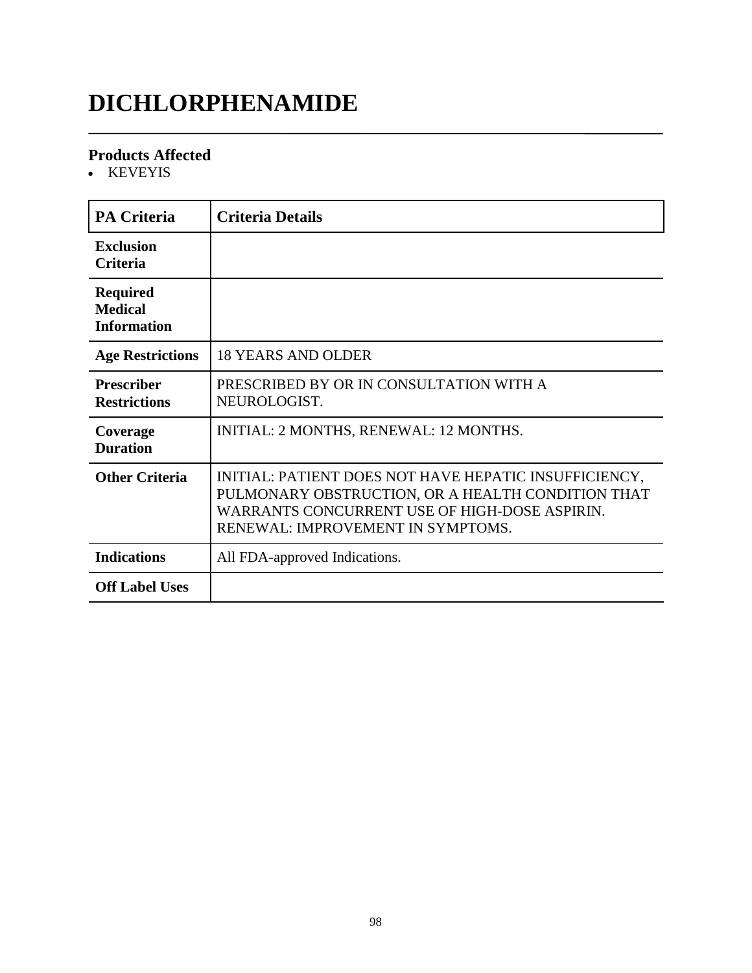## **DICHLORPHENAMIDE**

#### **Products Affected**

• KEVEYIS

| <b>PA Criteria</b>                                      | <b>Criteria Details</b>                                                                                                                                                                          |
|---------------------------------------------------------|--------------------------------------------------------------------------------------------------------------------------------------------------------------------------------------------------|
| <b>Exclusion</b><br>Criteria                            |                                                                                                                                                                                                  |
| <b>Required</b><br><b>Medical</b><br><b>Information</b> |                                                                                                                                                                                                  |
| <b>Age Restrictions</b>                                 | <b>18 YEARS AND OLDER</b>                                                                                                                                                                        |
| <b>Prescriber</b><br><b>Restrictions</b>                | PRESCRIBED BY OR IN CONSULTATION WITH A<br>NEUROLOGIST.                                                                                                                                          |
| Coverage<br><b>Duration</b>                             | INITIAL: 2 MONTHS, RENEWAL: 12 MONTHS.                                                                                                                                                           |
| <b>Other Criteria</b>                                   | INITIAL: PATIENT DOES NOT HAVE HEPATIC INSUFFICIENCY,<br>PULMONARY OBSTRUCTION, OR A HEALTH CONDITION THAT<br>WARRANTS CONCURRENT USE OF HIGH-DOSE ASPIRIN.<br>RENEWAL: IMPROVEMENT IN SYMPTOMS. |
| <b>Indications</b>                                      | All FDA-approved Indications.                                                                                                                                                                    |
| <b>Off Label Uses</b>                                   |                                                                                                                                                                                                  |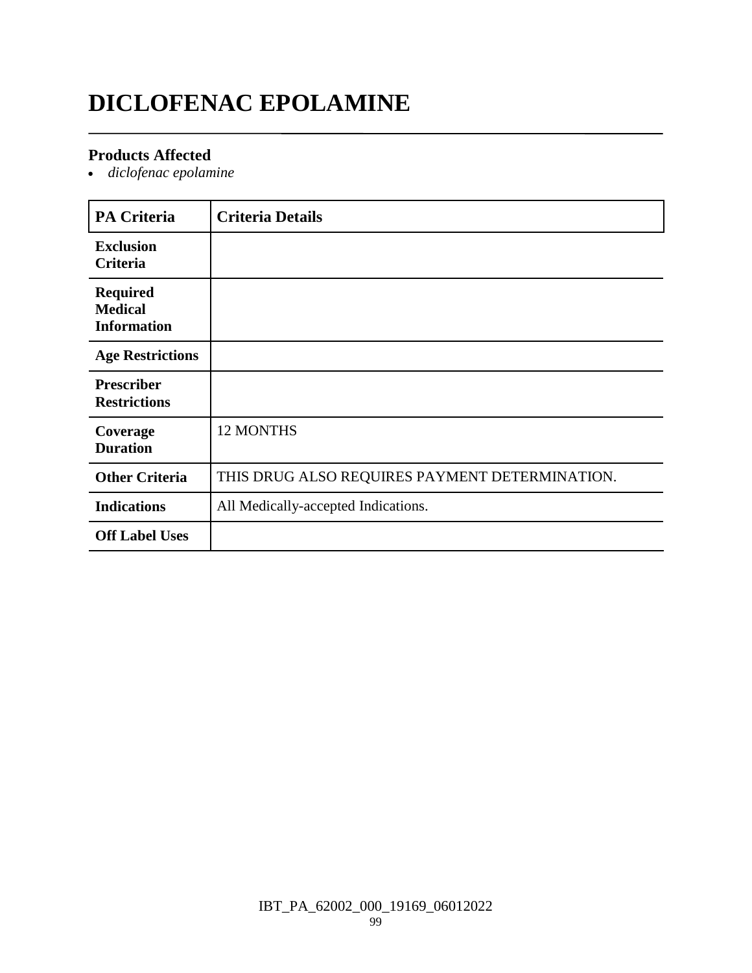## **DICLOFENAC EPOLAMINE**

#### **Products Affected**

*diclofenac epolamine*

| <b>PA Criteria</b>                                      | <b>Criteria Details</b>                        |
|---------------------------------------------------------|------------------------------------------------|
| <b>Exclusion</b><br>Criteria                            |                                                |
| <b>Required</b><br><b>Medical</b><br><b>Information</b> |                                                |
| <b>Age Restrictions</b>                                 |                                                |
| <b>Prescriber</b><br><b>Restrictions</b>                |                                                |
| Coverage<br><b>Duration</b>                             | <b>12 MONTHS</b>                               |
| <b>Other Criteria</b>                                   | THIS DRUG ALSO REQUIRES PAYMENT DETERMINATION. |
| <b>Indications</b>                                      | All Medically-accepted Indications.            |
| <b>Off Label Uses</b>                                   |                                                |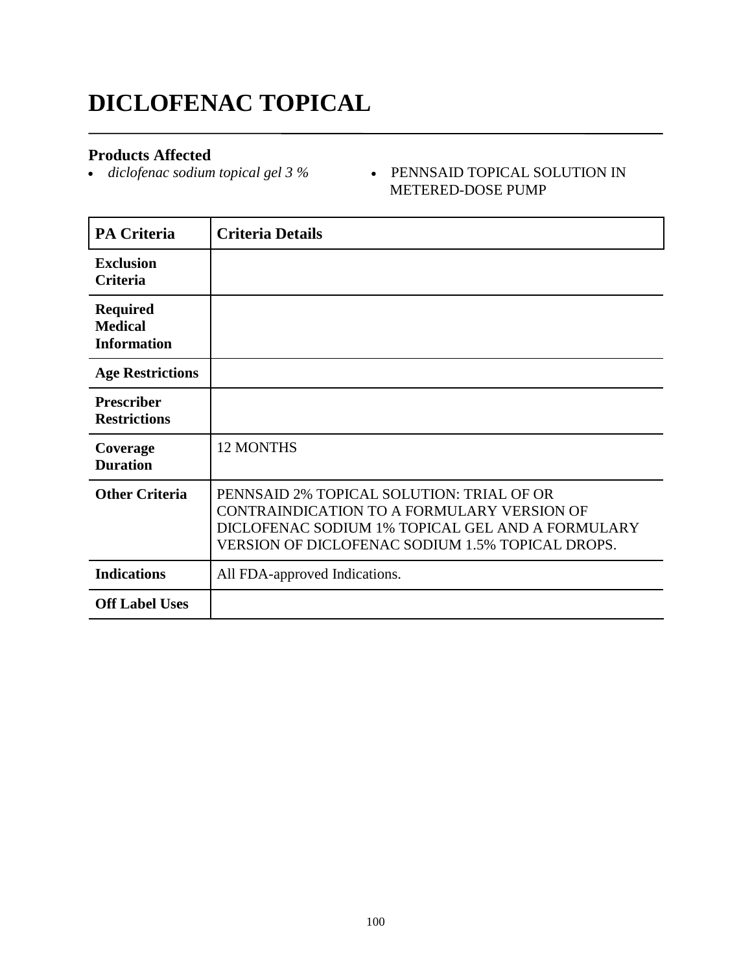## **DICLOFENAC TOPICAL**

**Products Affected**<br>• diclofenac sodium topical gel 3 %

 *diclofenac sodium topical gel 3 %* PENNSAID TOPICAL SOLUTION IN METERED-DOSE PUMP

| <b>PA Criteria</b>                                      | <b>Criteria Details</b>                                                                                                                                                                         |
|---------------------------------------------------------|-------------------------------------------------------------------------------------------------------------------------------------------------------------------------------------------------|
| <b>Exclusion</b><br>Criteria                            |                                                                                                                                                                                                 |
| <b>Required</b><br><b>Medical</b><br><b>Information</b> |                                                                                                                                                                                                 |
| <b>Age Restrictions</b>                                 |                                                                                                                                                                                                 |
| <b>Prescriber</b><br><b>Restrictions</b>                |                                                                                                                                                                                                 |
| Coverage<br><b>Duration</b>                             | <b>12 MONTHS</b>                                                                                                                                                                                |
| <b>Other Criteria</b>                                   | PENNSAID 2% TOPICAL SOLUTION: TRIAL OF OR<br>CONTRAINDICATION TO A FORMULARY VERSION OF<br>DICLOFENAC SODIUM 1% TOPICAL GEL AND A FORMULARY<br>VERSION OF DICLOFENAC SODIUM 1.5% TOPICAL DROPS. |
| <b>Indications</b>                                      | All FDA-approved Indications.                                                                                                                                                                   |
| <b>Off Label Uses</b>                                   |                                                                                                                                                                                                 |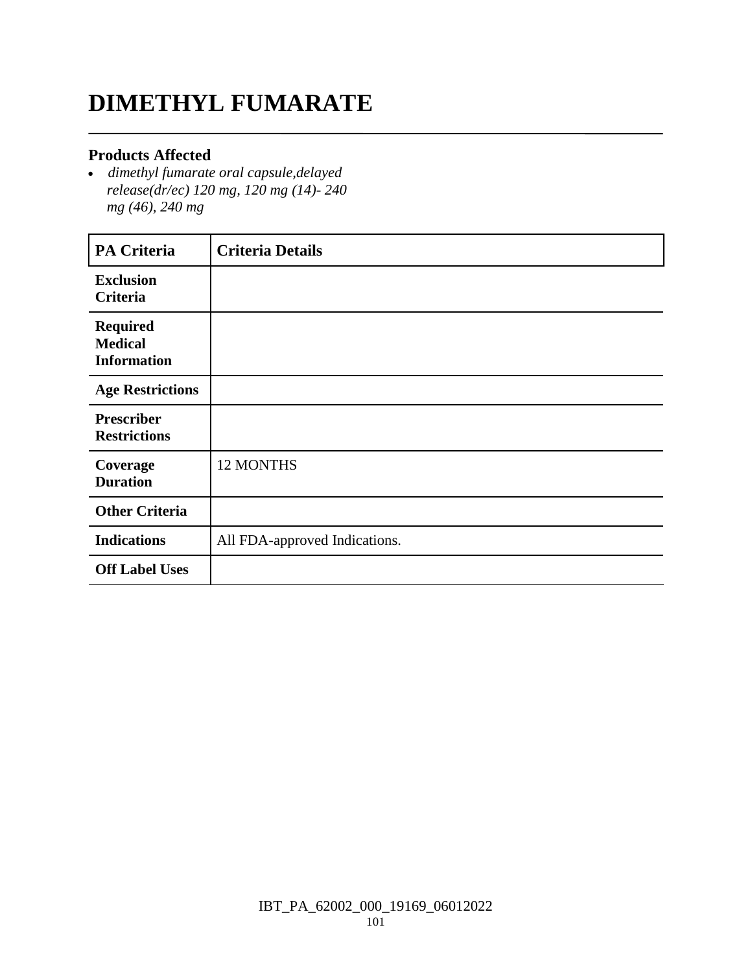## **DIMETHYL FUMARATE**

#### **Products Affected**

 *dimethyl fumarate oral capsule,delayed release(dr/ec) 120 mg, 120 mg (14)- 240 mg (46), 240 mg*

| <b>PA Criteria</b>                                      | <b>Criteria Details</b>       |
|---------------------------------------------------------|-------------------------------|
| <b>Exclusion</b><br><b>Criteria</b>                     |                               |
| <b>Required</b><br><b>Medical</b><br><b>Information</b> |                               |
| <b>Age Restrictions</b>                                 |                               |
| <b>Prescriber</b><br><b>Restrictions</b>                |                               |
| Coverage<br><b>Duration</b>                             | 12 MONTHS                     |
| <b>Other Criteria</b>                                   |                               |
| <b>Indications</b>                                      | All FDA-approved Indications. |
| <b>Off Label Uses</b>                                   |                               |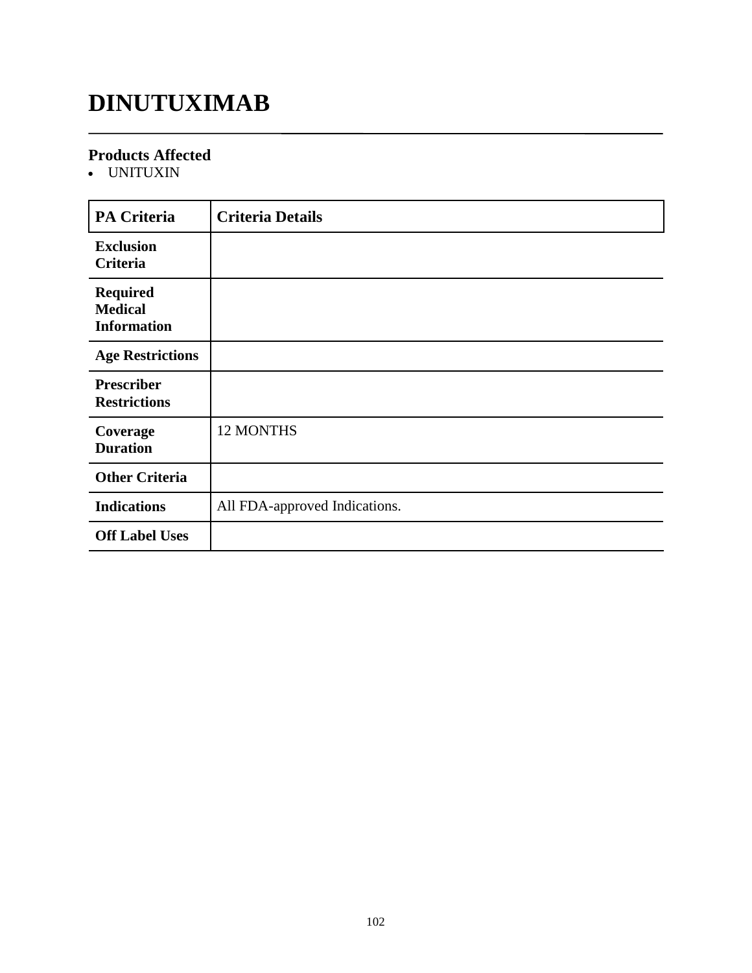## **DINUTUXIMAB**

#### **Products Affected**

UNITUXIN

| PA Criteria                                             | <b>Criteria Details</b>       |
|---------------------------------------------------------|-------------------------------|
| <b>Exclusion</b><br><b>Criteria</b>                     |                               |
| <b>Required</b><br><b>Medical</b><br><b>Information</b> |                               |
| <b>Age Restrictions</b>                                 |                               |
| <b>Prescriber</b><br><b>Restrictions</b>                |                               |
| Coverage<br><b>Duration</b>                             | 12 MONTHS                     |
| <b>Other Criteria</b>                                   |                               |
| <b>Indications</b>                                      | All FDA-approved Indications. |
| <b>Off Label Uses</b>                                   |                               |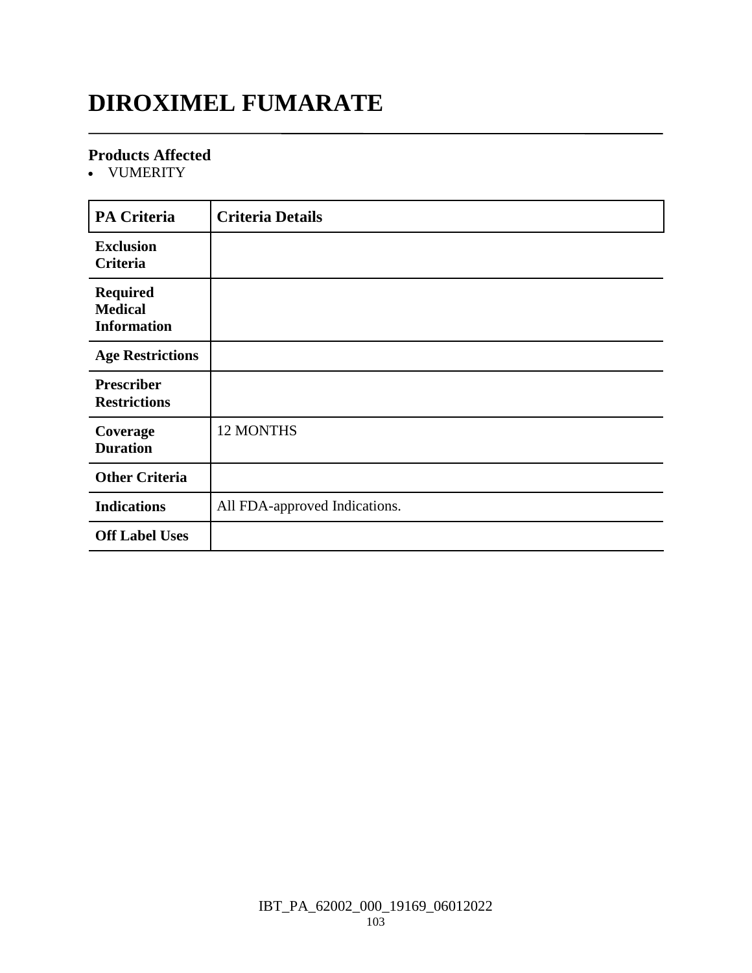## **DIROXIMEL FUMARATE**

#### **Products Affected**

VUMERITY

| <b>PA Criteria</b>                                      | <b>Criteria Details</b>       |
|---------------------------------------------------------|-------------------------------|
| <b>Exclusion</b><br>Criteria                            |                               |
| <b>Required</b><br><b>Medical</b><br><b>Information</b> |                               |
| <b>Age Restrictions</b>                                 |                               |
| <b>Prescriber</b><br><b>Restrictions</b>                |                               |
| Coverage<br><b>Duration</b>                             | <b>12 MONTHS</b>              |
| <b>Other Criteria</b>                                   |                               |
| <b>Indications</b>                                      | All FDA-approved Indications. |
| <b>Off Label Uses</b>                                   |                               |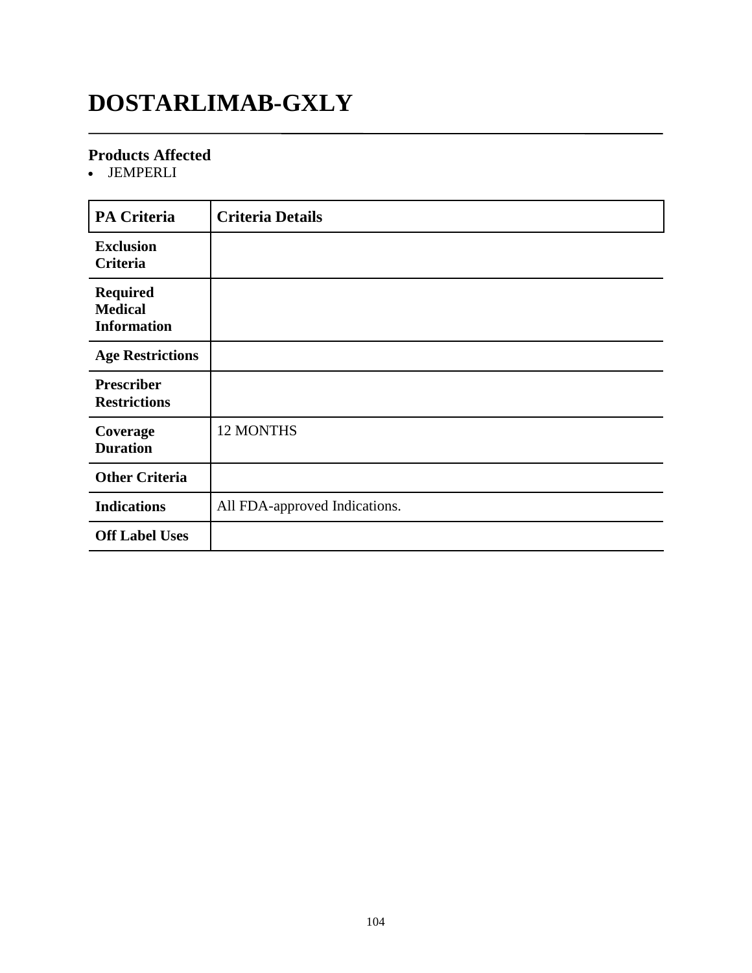## **DOSTARLIMAB-GXLY**

#### **Products Affected**

JEMPERLI

| <b>PA Criteria</b>                                      | <b>Criteria Details</b>       |
|---------------------------------------------------------|-------------------------------|
| <b>Exclusion</b><br>Criteria                            |                               |
| <b>Required</b><br><b>Medical</b><br><b>Information</b> |                               |
| <b>Age Restrictions</b>                                 |                               |
| <b>Prescriber</b><br><b>Restrictions</b>                |                               |
| Coverage<br><b>Duration</b>                             | 12 MONTHS                     |
| <b>Other Criteria</b>                                   |                               |
| <b>Indications</b>                                      | All FDA-approved Indications. |
| <b>Off Label Uses</b>                                   |                               |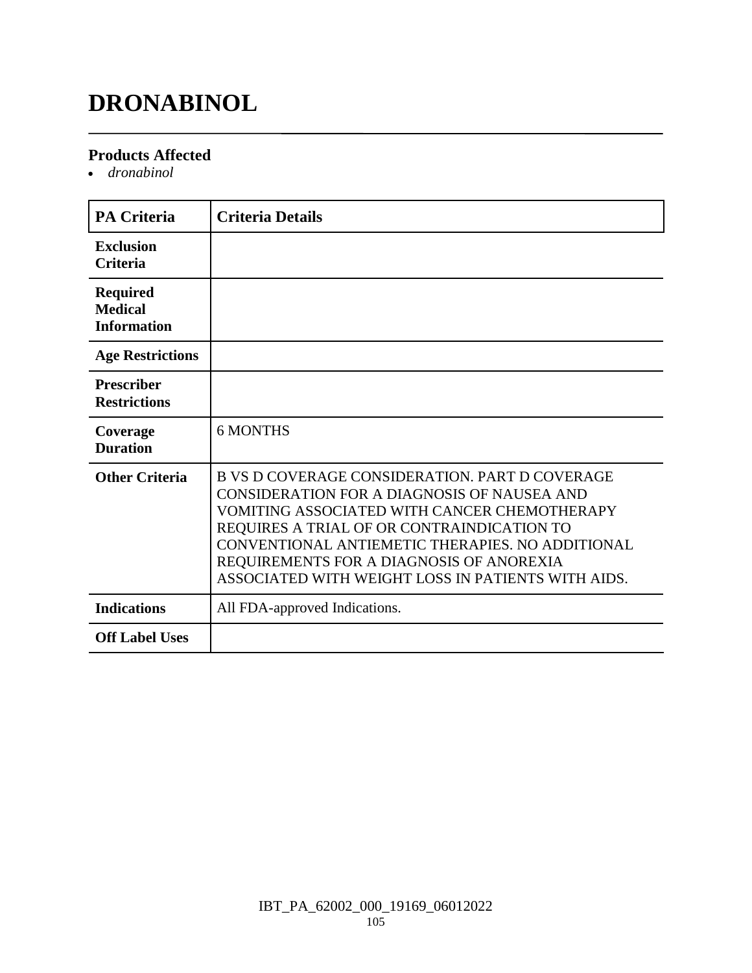## **DRONABINOL**

#### **Products Affected**

*dronabinol*

| <b>PA Criteria</b>                                      | <b>Criteria Details</b>                                                                                                                                                                                                                                                                                                                                  |
|---------------------------------------------------------|----------------------------------------------------------------------------------------------------------------------------------------------------------------------------------------------------------------------------------------------------------------------------------------------------------------------------------------------------------|
| <b>Exclusion</b><br><b>Criteria</b>                     |                                                                                                                                                                                                                                                                                                                                                          |
| <b>Required</b><br><b>Medical</b><br><b>Information</b> |                                                                                                                                                                                                                                                                                                                                                          |
| <b>Age Restrictions</b>                                 |                                                                                                                                                                                                                                                                                                                                                          |
| <b>Prescriber</b><br><b>Restrictions</b>                |                                                                                                                                                                                                                                                                                                                                                          |
| Coverage<br><b>Duration</b>                             | <b>6 MONTHS</b>                                                                                                                                                                                                                                                                                                                                          |
| <b>Other Criteria</b>                                   | <b>B VS D COVERAGE CONSIDERATION. PART D COVERAGE</b><br>CONSIDERATION FOR A DIAGNOSIS OF NAUSEA AND<br>VOMITING ASSOCIATED WITH CANCER CHEMOTHERAPY<br>REQUIRES A TRIAL OF OR CONTRAINDICATION TO<br>CONVENTIONAL ANTIEMETIC THERAPIES. NO ADDITIONAL<br>REQUIREMENTS FOR A DIAGNOSIS OF ANOREXIA<br>ASSOCIATED WITH WEIGHT LOSS IN PATIENTS WITH AIDS. |
| <b>Indications</b>                                      | All FDA-approved Indications.                                                                                                                                                                                                                                                                                                                            |
| <b>Off Label Uses</b>                                   |                                                                                                                                                                                                                                                                                                                                                          |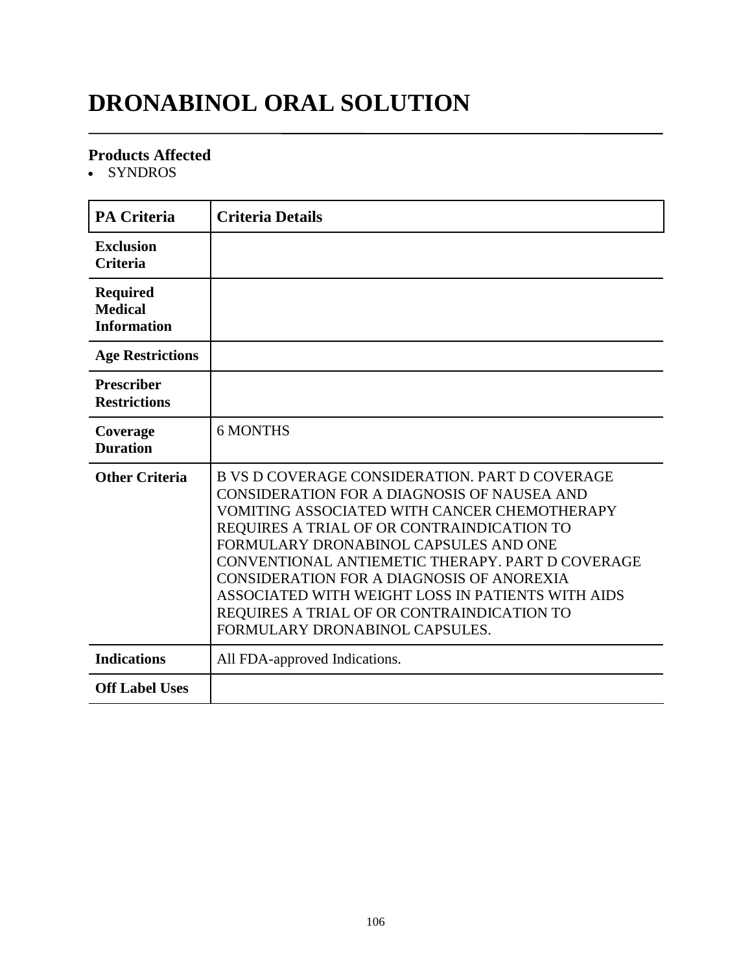## **DRONABINOL ORAL SOLUTION**

#### **Products Affected**

• SYNDROS

| <b>PA Criteria</b>                                      | <b>Criteria Details</b>                                                                                                                                                                                                                                                                                                                                                                                                                                                    |
|---------------------------------------------------------|----------------------------------------------------------------------------------------------------------------------------------------------------------------------------------------------------------------------------------------------------------------------------------------------------------------------------------------------------------------------------------------------------------------------------------------------------------------------------|
| <b>Exclusion</b><br><b>Criteria</b>                     |                                                                                                                                                                                                                                                                                                                                                                                                                                                                            |
| <b>Required</b><br><b>Medical</b><br><b>Information</b> |                                                                                                                                                                                                                                                                                                                                                                                                                                                                            |
| <b>Age Restrictions</b>                                 |                                                                                                                                                                                                                                                                                                                                                                                                                                                                            |
| <b>Prescriber</b><br><b>Restrictions</b>                |                                                                                                                                                                                                                                                                                                                                                                                                                                                                            |
| Coverage<br><b>Duration</b>                             | <b>6 MONTHS</b>                                                                                                                                                                                                                                                                                                                                                                                                                                                            |
| <b>Other Criteria</b>                                   | B VS D COVERAGE CONSIDERATION. PART D COVERAGE<br>CONSIDERATION FOR A DIAGNOSIS OF NAUSEA AND<br>VOMITING ASSOCIATED WITH CANCER CHEMOTHERAPY<br>REQUIRES A TRIAL OF OR CONTRAINDICATION TO<br>FORMULARY DRONABINOL CAPSULES AND ONE<br>CONVENTIONAL ANTIEMETIC THERAPY. PART D COVERAGE<br>CONSIDERATION FOR A DIAGNOSIS OF ANOREXIA<br>ASSOCIATED WITH WEIGHT LOSS IN PATIENTS WITH AIDS<br>REQUIRES A TRIAL OF OR CONTRAINDICATION TO<br>FORMULARY DRONABINOL CAPSULES. |
| <b>Indications</b>                                      | All FDA-approved Indications.                                                                                                                                                                                                                                                                                                                                                                                                                                              |
| <b>Off Label Uses</b>                                   |                                                                                                                                                                                                                                                                                                                                                                                                                                                                            |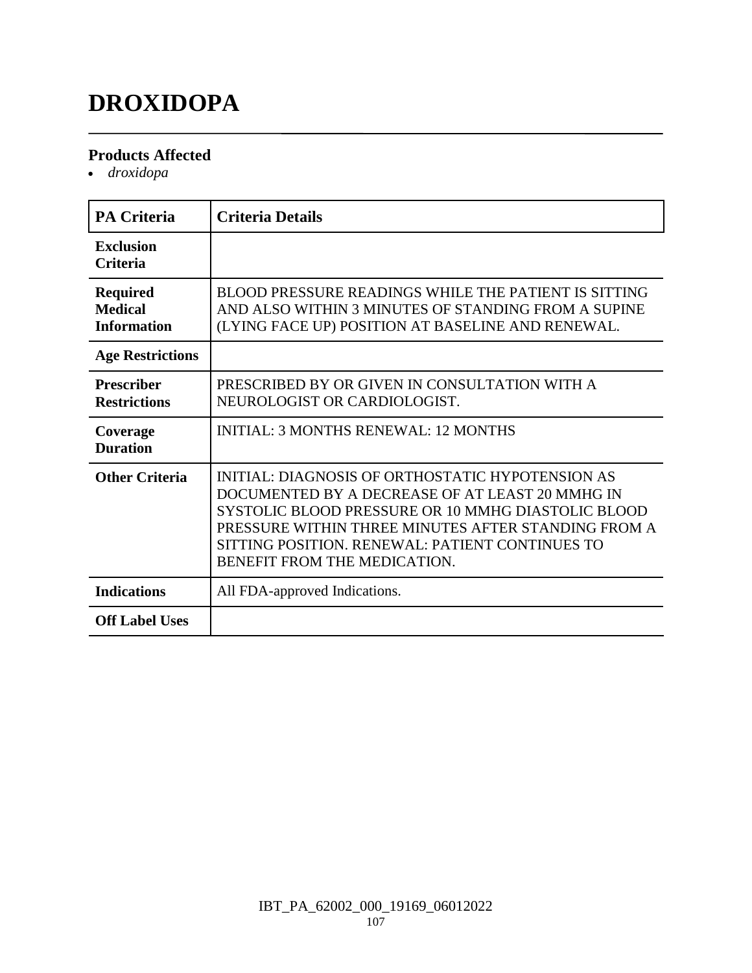## **DROXIDOPA**

#### **Products Affected**

*droxidopa*

| <b>PA Criteria</b>                                      | <b>Criteria Details</b>                                                                                                                                                                                                                                                                             |
|---------------------------------------------------------|-----------------------------------------------------------------------------------------------------------------------------------------------------------------------------------------------------------------------------------------------------------------------------------------------------|
| <b>Exclusion</b><br><b>Criteria</b>                     |                                                                                                                                                                                                                                                                                                     |
| <b>Required</b><br><b>Medical</b><br><b>Information</b> | BLOOD PRESSURE READINGS WHILE THE PATIENT IS SITTING<br>AND ALSO WITHIN 3 MINUTES OF STANDING FROM A SUPINE<br>(LYING FACE UP) POSITION AT BASELINE AND RENEWAL.                                                                                                                                    |
| <b>Age Restrictions</b>                                 |                                                                                                                                                                                                                                                                                                     |
| <b>Prescriber</b><br><b>Restrictions</b>                | PRESCRIBED BY OR GIVEN IN CONSULTATION WITH A<br>NEUROLOGIST OR CARDIOLOGIST.                                                                                                                                                                                                                       |
| Coverage<br><b>Duration</b>                             | <b>INITIAL: 3 MONTHS RENEWAL: 12 MONTHS</b>                                                                                                                                                                                                                                                         |
| <b>Other Criteria</b>                                   | INITIAL: DIAGNOSIS OF ORTHOSTATIC HYPOTENSION AS<br>DOCUMENTED BY A DECREASE OF AT LEAST 20 MMHG IN<br>SYSTOLIC BLOOD PRESSURE OR 10 MMHG DIASTOLIC BLOOD<br>PRESSURE WITHIN THREE MINUTES AFTER STANDING FROM A<br>SITTING POSITION. RENEWAL: PATIENT CONTINUES TO<br>BENEFIT FROM THE MEDICATION. |
| <b>Indications</b>                                      | All FDA-approved Indications.                                                                                                                                                                                                                                                                       |
| <b>Off Label Uses</b>                                   |                                                                                                                                                                                                                                                                                                     |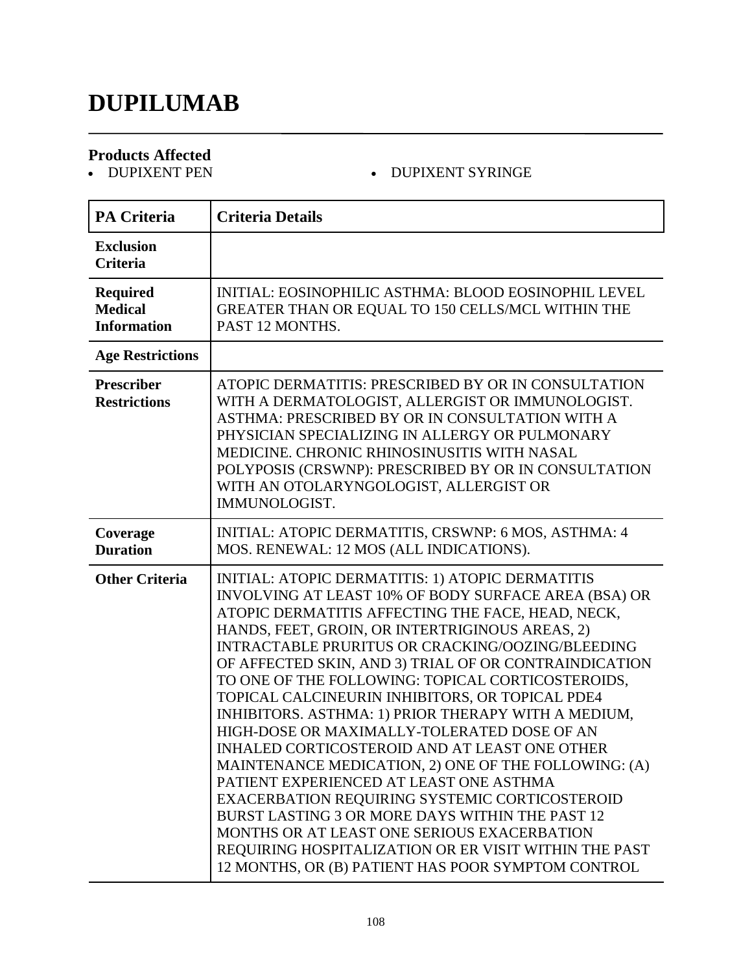## **DUPILUMAB**

# **Products Affected**

#### • DUPIXENT SYRINGE

| <b>PA Criteria</b>                                      | <b>Criteria Details</b>                                                                                                                                                                                                                                                                                                                                                                                                                                                                                                                                                                                                                                                                                                                                                                                                                                                                                                                                                   |
|---------------------------------------------------------|---------------------------------------------------------------------------------------------------------------------------------------------------------------------------------------------------------------------------------------------------------------------------------------------------------------------------------------------------------------------------------------------------------------------------------------------------------------------------------------------------------------------------------------------------------------------------------------------------------------------------------------------------------------------------------------------------------------------------------------------------------------------------------------------------------------------------------------------------------------------------------------------------------------------------------------------------------------------------|
| <b>Exclusion</b><br><b>Criteria</b>                     |                                                                                                                                                                                                                                                                                                                                                                                                                                                                                                                                                                                                                                                                                                                                                                                                                                                                                                                                                                           |
| <b>Required</b><br><b>Medical</b><br><b>Information</b> | INITIAL: EOSINOPHILIC ASTHMA: BLOOD EOSINOPHIL LEVEL<br>GREATER THAN OR EQUAL TO 150 CELLS/MCL WITHIN THE<br>PAST 12 MONTHS.                                                                                                                                                                                                                                                                                                                                                                                                                                                                                                                                                                                                                                                                                                                                                                                                                                              |
| <b>Age Restrictions</b>                                 |                                                                                                                                                                                                                                                                                                                                                                                                                                                                                                                                                                                                                                                                                                                                                                                                                                                                                                                                                                           |
| <b>Prescriber</b><br><b>Restrictions</b>                | ATOPIC DERMATITIS: PRESCRIBED BY OR IN CONSULTATION<br>WITH A DERMATOLOGIST, ALLERGIST OR IMMUNOLOGIST.<br>ASTHMA: PRESCRIBED BY OR IN CONSULTATION WITH A<br>PHYSICIAN SPECIALIZING IN ALLERGY OR PULMONARY<br>MEDICINE. CHRONIC RHINOSINUSITIS WITH NASAL<br>POLYPOSIS (CRSWNP): PRESCRIBED BY OR IN CONSULTATION<br>WITH AN OTOLARYNGOLOGIST, ALLERGIST OR<br>IMMUNOLOGIST.                                                                                                                                                                                                                                                                                                                                                                                                                                                                                                                                                                                            |
| Coverage<br><b>Duration</b>                             | INITIAL: ATOPIC DERMATITIS, CRSWNP: 6 MOS, ASTHMA: 4<br>MOS. RENEWAL: 12 MOS (ALL INDICATIONS).                                                                                                                                                                                                                                                                                                                                                                                                                                                                                                                                                                                                                                                                                                                                                                                                                                                                           |
| <b>Other Criteria</b>                                   | INITIAL: ATOPIC DERMATITIS: 1) ATOPIC DERMATITIS<br>INVOLVING AT LEAST 10% OF BODY SURFACE AREA (BSA) OR<br>ATOPIC DERMATITIS AFFECTING THE FACE, HEAD, NECK,<br>HANDS, FEET, GROIN, OR INTERTRIGINOUS AREAS, 2)<br><b>INTRACTABLE PRURITUS OR CRACKING/OOZING/BLEEDING</b><br>OF AFFECTED SKIN, AND 3) TRIAL OF OR CONTRAINDICATION<br>TO ONE OF THE FOLLOWING: TOPICAL CORTICOSTEROIDS,<br>TOPICAL CALCINEURIN INHIBITORS, OR TOPICAL PDE4<br>INHIBITORS. ASTHMA: 1) PRIOR THERAPY WITH A MEDIUM,<br>HIGH-DOSE OR MAXIMALLY-TOLERATED DOSE OF AN<br>INHALED CORTICOSTEROID AND AT LEAST ONE OTHER<br>MAINTENANCE MEDICATION, 2) ONE OF THE FOLLOWING: (A)<br>PATIENT EXPERIENCED AT LEAST ONE ASTHMA<br>EXACERBATION REQUIRING SYSTEMIC CORTICOSTEROID<br>BURST LASTING 3 OR MORE DAYS WITHIN THE PAST 12<br>MONTHS OR AT LEAST ONE SERIOUS EXACERBATION<br>REQUIRING HOSPITALIZATION OR ER VISIT WITHIN THE PAST<br>12 MONTHS, OR (B) PATIENT HAS POOR SYMPTOM CONTROL |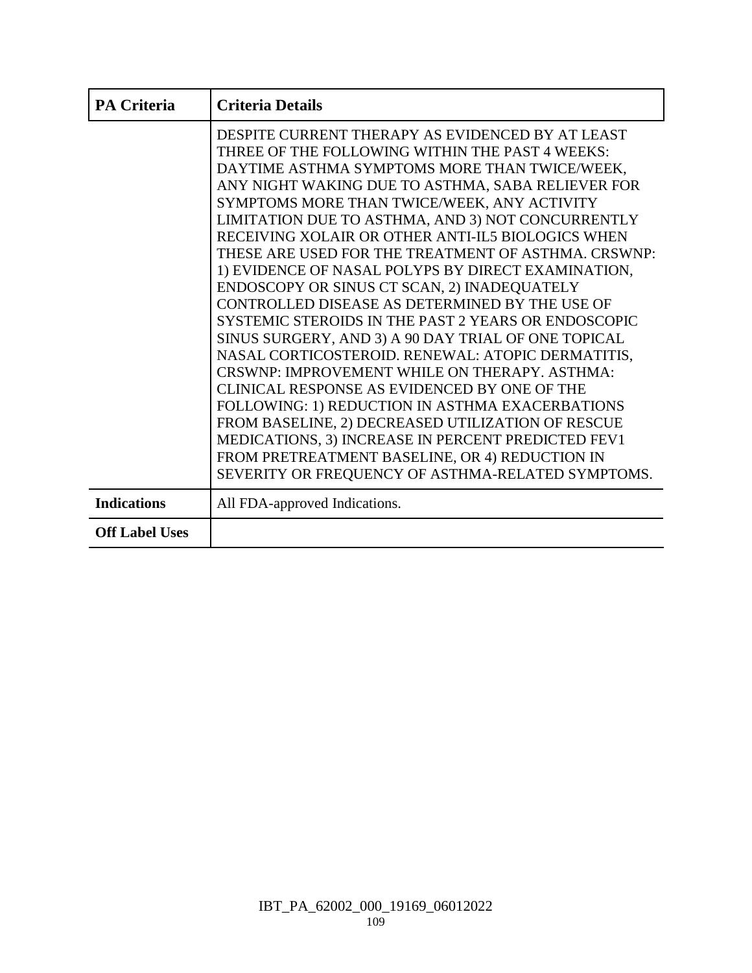| <b>PA Criteria</b>    | <b>Criteria Details</b>                                                                                                                                                                                                                                                                                                                                                                                                                                                                                                                                                                                                                                                                                                                                                                                                                                                                                                                                                                                                                                                                                                   |
|-----------------------|---------------------------------------------------------------------------------------------------------------------------------------------------------------------------------------------------------------------------------------------------------------------------------------------------------------------------------------------------------------------------------------------------------------------------------------------------------------------------------------------------------------------------------------------------------------------------------------------------------------------------------------------------------------------------------------------------------------------------------------------------------------------------------------------------------------------------------------------------------------------------------------------------------------------------------------------------------------------------------------------------------------------------------------------------------------------------------------------------------------------------|
|                       | DESPITE CURRENT THERAPY AS EVIDENCED BY AT LEAST<br>THREE OF THE FOLLOWING WITHIN THE PAST 4 WEEKS:<br>DAYTIME ASTHMA SYMPTOMS MORE THAN TWICE/WEEK,<br>ANY NIGHT WAKING DUE TO ASTHMA, SABA RELIEVER FOR<br>SYMPTOMS MORE THAN TWICE/WEEK, ANY ACTIVITY<br>LIMITATION DUE TO ASTHMA, AND 3) NOT CONCURRENTLY<br>RECEIVING XOLAIR OR OTHER ANTI-IL5 BIOLOGICS WHEN<br>THESE ARE USED FOR THE TREATMENT OF ASTHMA. CRSWNP:<br>1) EVIDENCE OF NASAL POLYPS BY DIRECT EXAMINATION,<br>ENDOSCOPY OR SINUS CT SCAN, 2) INADEQUATELY<br>CONTROLLED DISEASE AS DETERMINED BY THE USE OF<br>SYSTEMIC STEROIDS IN THE PAST 2 YEARS OR ENDOSCOPIC<br>SINUS SURGERY, AND 3) A 90 DAY TRIAL OF ONE TOPICAL<br>NASAL CORTICOSTEROID. RENEWAL: ATOPIC DERMATITIS,<br>CRSWNP: IMPROVEMENT WHILE ON THERAPY. ASTHMA:<br>CLINICAL RESPONSE AS EVIDENCED BY ONE OF THE<br>FOLLOWING: 1) REDUCTION IN ASTHMA EXACERBATIONS<br>FROM BASELINE, 2) DECREASED UTILIZATION OF RESCUE<br>MEDICATIONS, 3) INCREASE IN PERCENT PREDICTED FEV1<br>FROM PRETREATMENT BASELINE, OR 4) REDUCTION IN<br>SEVERITY OR FREQUENCY OF ASTHMA-RELATED SYMPTOMS. |
| <b>Indications</b>    | All FDA-approved Indications.                                                                                                                                                                                                                                                                                                                                                                                                                                                                                                                                                                                                                                                                                                                                                                                                                                                                                                                                                                                                                                                                                             |
| <b>Off Label Uses</b> |                                                                                                                                                                                                                                                                                                                                                                                                                                                                                                                                                                                                                                                                                                                                                                                                                                                                                                                                                                                                                                                                                                                           |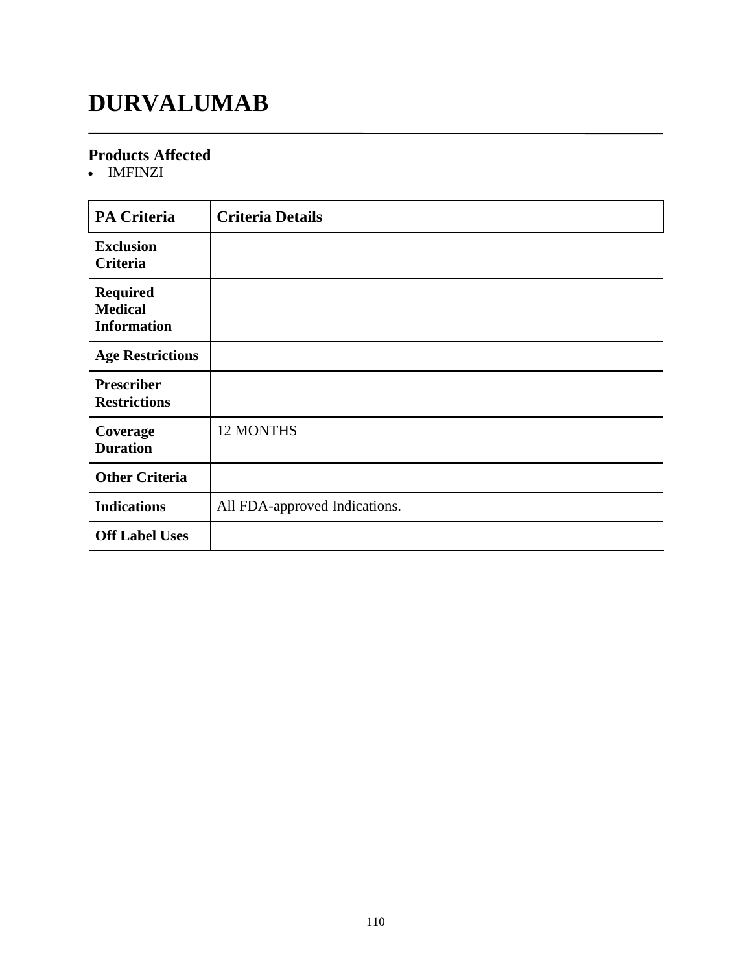# **DURVALUMAB**

### **Products Affected**

IMFINZI

| <b>PA Criteria</b>                                      | <b>Criteria Details</b>       |
|---------------------------------------------------------|-------------------------------|
| <b>Exclusion</b><br>Criteria                            |                               |
| <b>Required</b><br><b>Medical</b><br><b>Information</b> |                               |
| <b>Age Restrictions</b>                                 |                               |
| <b>Prescriber</b><br><b>Restrictions</b>                |                               |
| Coverage<br><b>Duration</b>                             | 12 MONTHS                     |
| <b>Other Criteria</b>                                   |                               |
| <b>Indications</b>                                      | All FDA-approved Indications. |
| <b>Off Label Uses</b>                                   |                               |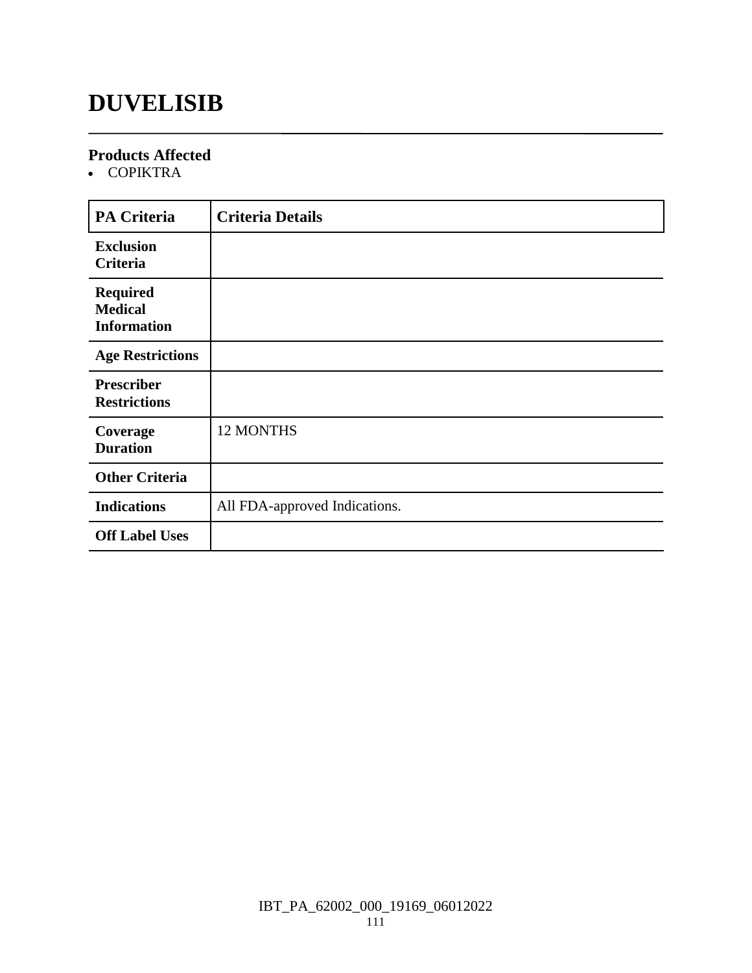### **DUVELISIB**

### **Products Affected**

COPIKTRA

| <b>PA Criteria</b>                                      | <b>Criteria Details</b>       |
|---------------------------------------------------------|-------------------------------|
| <b>Exclusion</b><br>Criteria                            |                               |
| <b>Required</b><br><b>Medical</b><br><b>Information</b> |                               |
| <b>Age Restrictions</b>                                 |                               |
| <b>Prescriber</b><br><b>Restrictions</b>                |                               |
| Coverage<br><b>Duration</b>                             | 12 MONTHS                     |
| <b>Other Criteria</b>                                   |                               |
| <b>Indications</b>                                      | All FDA-approved Indications. |
| <b>Off Label Uses</b>                                   |                               |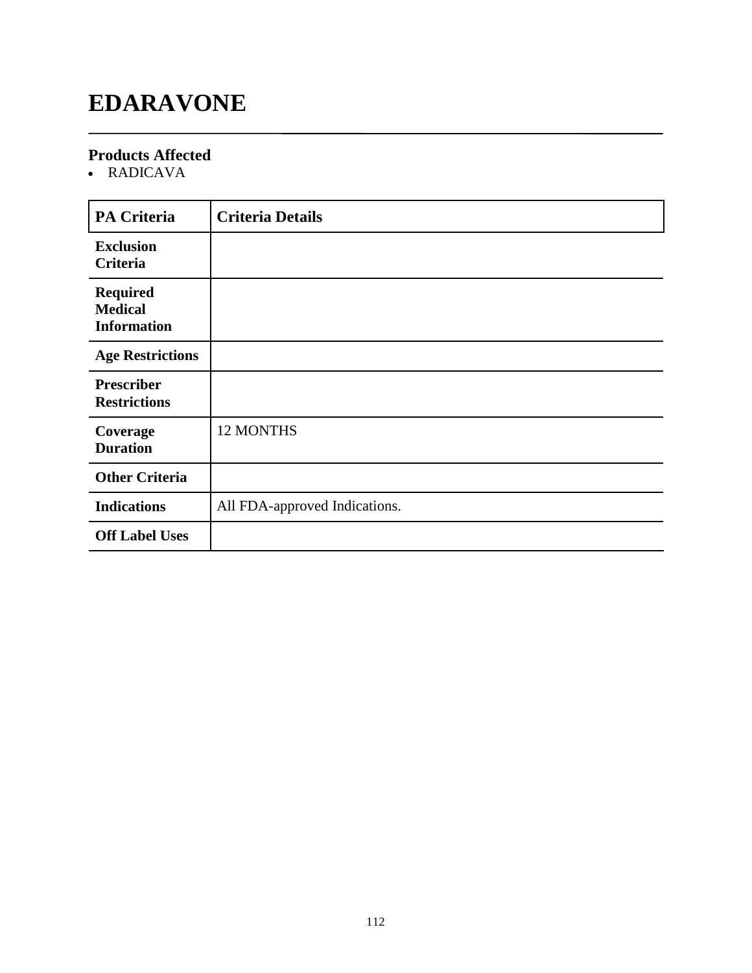# **EDARAVONE**

### **Products Affected**

RADICAVA

| <b>PA Criteria</b>                                      | <b>Criteria Details</b>       |
|---------------------------------------------------------|-------------------------------|
| <b>Exclusion</b><br><b>Criteria</b>                     |                               |
| <b>Required</b><br><b>Medical</b><br><b>Information</b> |                               |
| <b>Age Restrictions</b>                                 |                               |
| <b>Prescriber</b><br><b>Restrictions</b>                |                               |
| Coverage<br><b>Duration</b>                             | 12 MONTHS                     |
| <b>Other Criteria</b>                                   |                               |
| <b>Indications</b>                                      | All FDA-approved Indications. |
| <b>Off Label Uses</b>                                   |                               |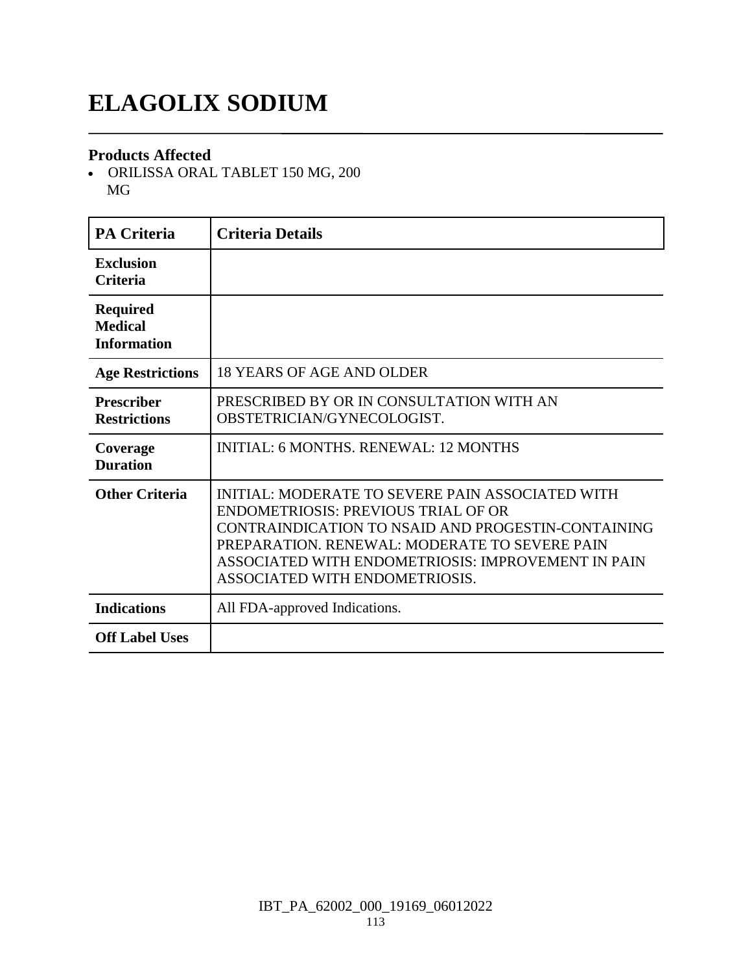# **ELAGOLIX SODIUM**

#### **Products Affected**

 ORILISSA ORAL TABLET 150 MG, 200 MG

| <b>PA Criteria</b>                                      | <b>Criteria Details</b>                                                                                                                                                                                                                                                                       |
|---------------------------------------------------------|-----------------------------------------------------------------------------------------------------------------------------------------------------------------------------------------------------------------------------------------------------------------------------------------------|
| <b>Exclusion</b><br><b>Criteria</b>                     |                                                                                                                                                                                                                                                                                               |
| <b>Required</b><br><b>Medical</b><br><b>Information</b> |                                                                                                                                                                                                                                                                                               |
| <b>Age Restrictions</b>                                 | 18 YEARS OF AGE AND OLDER                                                                                                                                                                                                                                                                     |
| <b>Prescriber</b><br><b>Restrictions</b>                | PRESCRIBED BY OR IN CONSULTATION WITH AN<br>OBSTETRICIAN/GYNECOLOGIST.                                                                                                                                                                                                                        |
| Coverage<br><b>Duration</b>                             | <b>INITIAL: 6 MONTHS, RENEWAL: 12 MONTHS</b>                                                                                                                                                                                                                                                  |
| <b>Other Criteria</b>                                   | INITIAL: MODERATE TO SEVERE PAIN ASSOCIATED WITH<br><b>ENDOMETRIOSIS: PREVIOUS TRIAL OF OR</b><br>CONTRAINDICATION TO NSAID AND PROGESTIN-CONTAINING<br>PREPARATION. RENEWAL: MODERATE TO SEVERE PAIN<br>ASSOCIATED WITH ENDOMETRIOSIS: IMPROVEMENT IN PAIN<br>ASSOCIATED WITH ENDOMETRIOSIS. |
| <b>Indications</b>                                      | All FDA-approved Indications.                                                                                                                                                                                                                                                                 |
| <b>Off Label Uses</b>                                   |                                                                                                                                                                                                                                                                                               |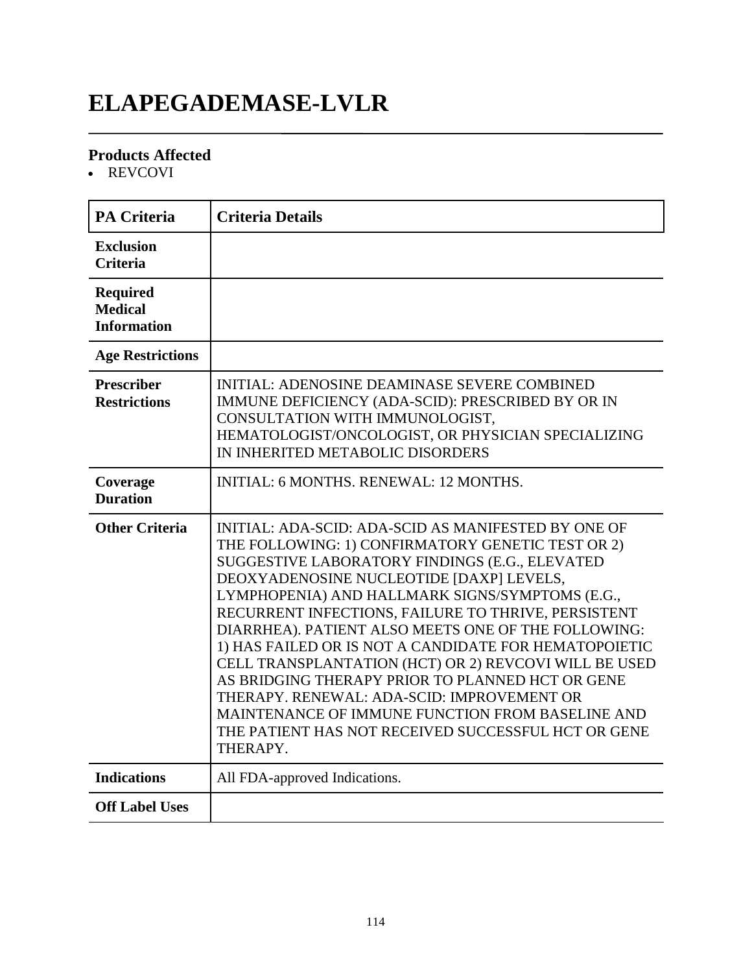# **ELAPEGADEMASE-LVLR**

### **Products Affected**

• REVCOVI

| <b>PA Criteria</b>                                      | <b>Criteria Details</b>                                                                                                                                                                                                                                                                                                                                                                                                                                                                                                                                                                                                                                                                                            |
|---------------------------------------------------------|--------------------------------------------------------------------------------------------------------------------------------------------------------------------------------------------------------------------------------------------------------------------------------------------------------------------------------------------------------------------------------------------------------------------------------------------------------------------------------------------------------------------------------------------------------------------------------------------------------------------------------------------------------------------------------------------------------------------|
| <b>Exclusion</b><br><b>Criteria</b>                     |                                                                                                                                                                                                                                                                                                                                                                                                                                                                                                                                                                                                                                                                                                                    |
| <b>Required</b><br><b>Medical</b><br><b>Information</b> |                                                                                                                                                                                                                                                                                                                                                                                                                                                                                                                                                                                                                                                                                                                    |
| <b>Age Restrictions</b>                                 |                                                                                                                                                                                                                                                                                                                                                                                                                                                                                                                                                                                                                                                                                                                    |
| <b>Prescriber</b><br><b>Restrictions</b>                | <b>INITIAL: ADENOSINE DEAMINASE SEVERE COMBINED</b><br>IMMUNE DEFICIENCY (ADA-SCID): PRESCRIBED BY OR IN<br>CONSULTATION WITH IMMUNOLOGIST,<br>HEMATOLOGIST/ONCOLOGIST, OR PHYSICIAN SPECIALIZING<br>IN INHERITED METABOLIC DISORDERS                                                                                                                                                                                                                                                                                                                                                                                                                                                                              |
| Coverage<br><b>Duration</b>                             | <b>INITIAL: 6 MONTHS, RENEWAL: 12 MONTHS.</b>                                                                                                                                                                                                                                                                                                                                                                                                                                                                                                                                                                                                                                                                      |
| <b>Other Criteria</b>                                   | INITIAL: ADA-SCID: ADA-SCID AS MANIFESTED BY ONE OF<br>THE FOLLOWING: 1) CONFIRMATORY GENETIC TEST OR 2)<br>SUGGESTIVE LABORATORY FINDINGS (E.G., ELEVATED<br>DEOXYADENOSINE NUCLEOTIDE [DAXP] LEVELS,<br>LYMPHOPENIA) AND HALLMARK SIGNS/SYMPTOMS (E.G.,<br>RECURRENT INFECTIONS, FAILURE TO THRIVE, PERSISTENT<br>DIARRHEA). PATIENT ALSO MEETS ONE OF THE FOLLOWING:<br>1) HAS FAILED OR IS NOT A CANDIDATE FOR HEMATOPOIETIC<br>CELL TRANSPLANTATION (HCT) OR 2) REVCOVI WILL BE USED<br>AS BRIDGING THERAPY PRIOR TO PLANNED HCT OR GENE<br>THERAPY. RENEWAL: ADA-SCID: IMPROVEMENT OR<br>MAINTENANCE OF IMMUNE FUNCTION FROM BASELINE AND<br>THE PATIENT HAS NOT RECEIVED SUCCESSFUL HCT OR GENE<br>THERAPY. |
| <b>Indications</b>                                      | All FDA-approved Indications.                                                                                                                                                                                                                                                                                                                                                                                                                                                                                                                                                                                                                                                                                      |
| <b>Off Label Uses</b>                                   |                                                                                                                                                                                                                                                                                                                                                                                                                                                                                                                                                                                                                                                                                                                    |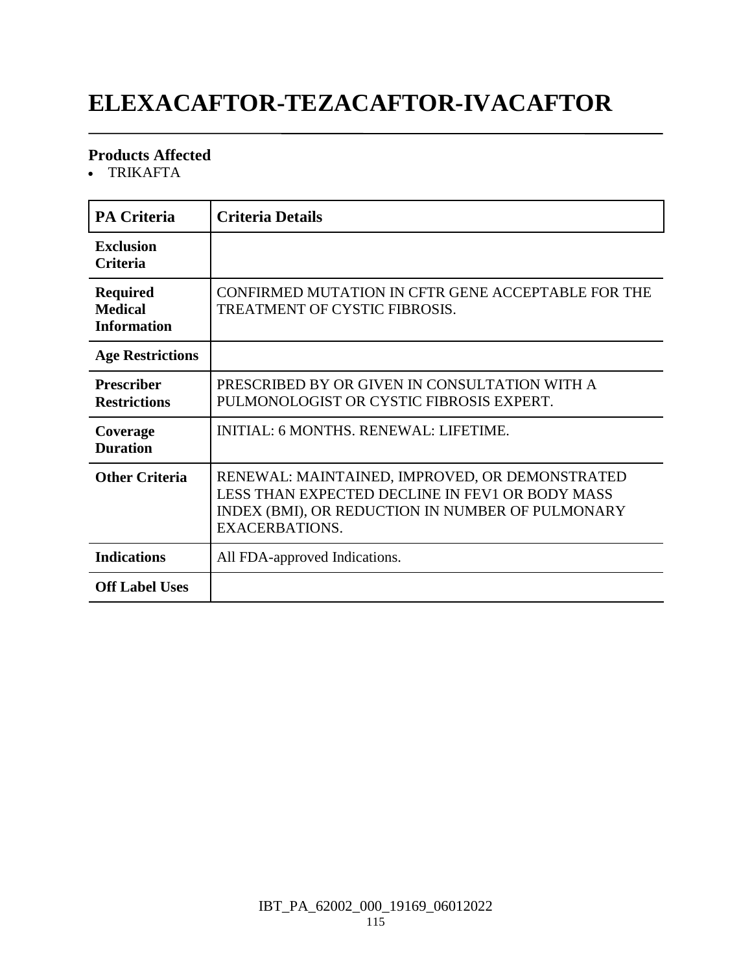# **ELEXACAFTOR-TEZACAFTOR-IVACAFTOR**

### **Products Affected**

TRIKAFTA

| <b>PA Criteria</b>                                      | <b>Criteria Details</b>                                                                                                                                                        |
|---------------------------------------------------------|--------------------------------------------------------------------------------------------------------------------------------------------------------------------------------|
| <b>Exclusion</b><br><b>Criteria</b>                     |                                                                                                                                                                                |
| <b>Required</b><br><b>Medical</b><br><b>Information</b> | CONFIRMED MUTATION IN CFTR GENE ACCEPTABLE FOR THE<br>TREATMENT OF CYSTIC FIBROSIS.                                                                                            |
| <b>Age Restrictions</b>                                 |                                                                                                                                                                                |
| <b>Prescriber</b><br><b>Restrictions</b>                | PRESCRIBED BY OR GIVEN IN CONSULTATION WITH A<br>PULMONOLOGIST OR CYSTIC FIBROSIS EXPERT.                                                                                      |
| Coverage<br><b>Duration</b>                             | INITIAL: 6 MONTHS. RENEWAL: LIFETIME.                                                                                                                                          |
| <b>Other Criteria</b>                                   | RENEWAL: MAINTAINED, IMPROVED, OR DEMONSTRATED<br>LESS THAN EXPECTED DECLINE IN FEV1 OR BODY MASS<br>INDEX (BMI), OR REDUCTION IN NUMBER OF PULMONARY<br><b>EXACERBATIONS.</b> |
| <b>Indications</b>                                      | All FDA-approved Indications.                                                                                                                                                  |
| <b>Off Label Uses</b>                                   |                                                                                                                                                                                |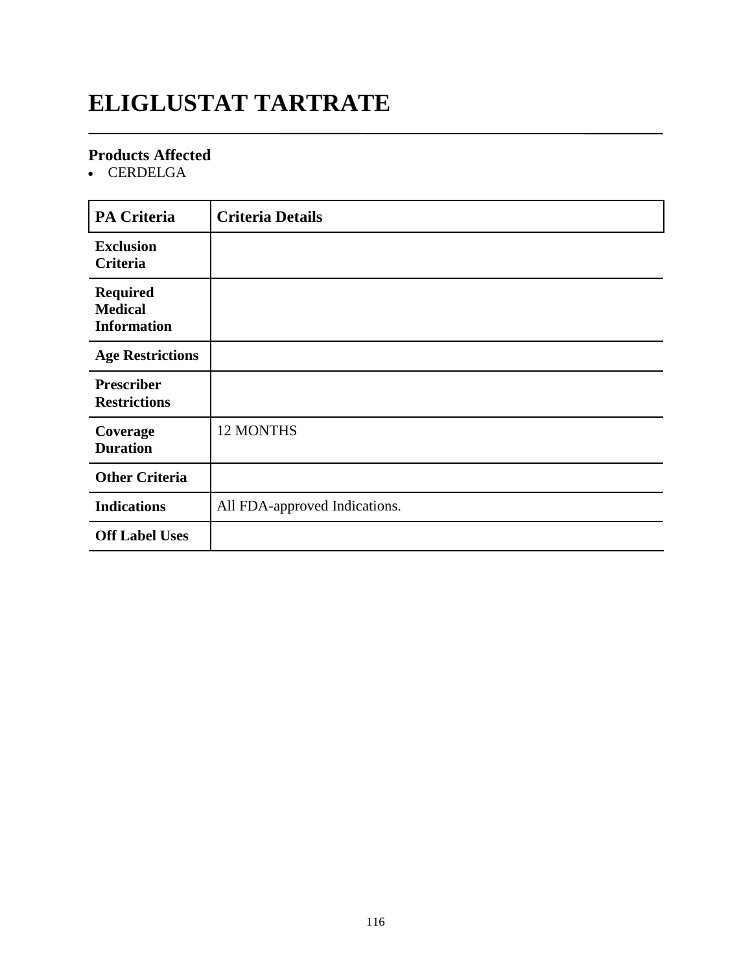# **ELIGLUSTAT TARTRATE**

### **Products Affected**

• CERDELGA

| <b>PA Criteria</b>                                      | <b>Criteria Details</b>       |
|---------------------------------------------------------|-------------------------------|
| <b>Exclusion</b><br>Criteria                            |                               |
| <b>Required</b><br><b>Medical</b><br><b>Information</b> |                               |
| <b>Age Restrictions</b>                                 |                               |
| <b>Prescriber</b><br><b>Restrictions</b>                |                               |
| Coverage<br><b>Duration</b>                             | 12 MONTHS                     |
| <b>Other Criteria</b>                                   |                               |
| <b>Indications</b>                                      | All FDA-approved Indications. |
| <b>Off Label Uses</b>                                   |                               |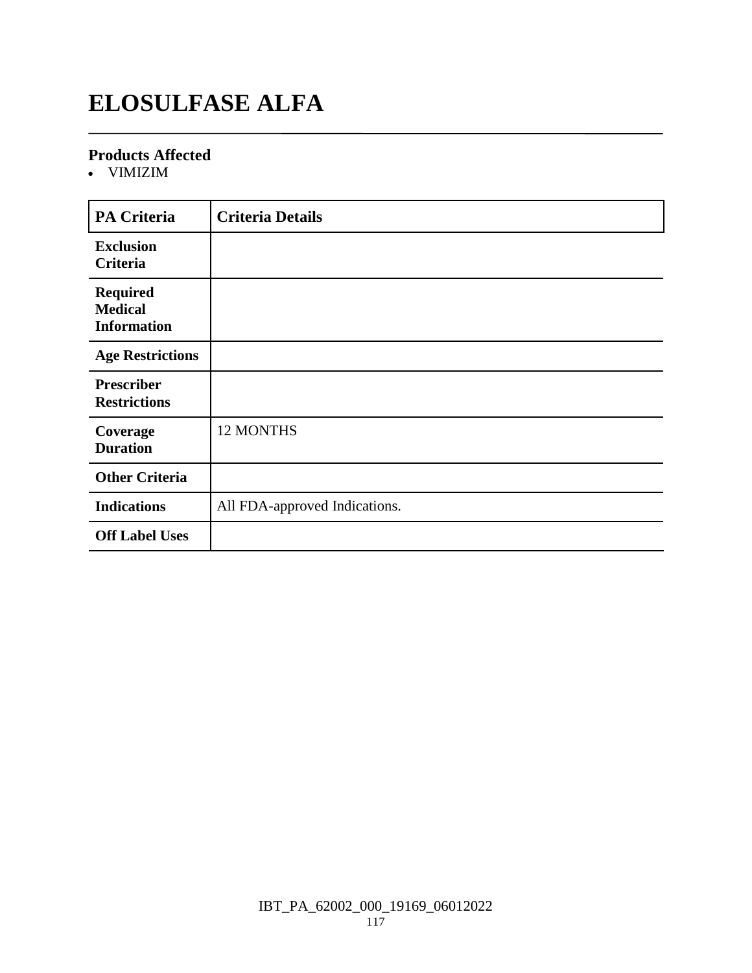# **ELOSULFASE ALFA**

### **Products Affected**

VIMIZIM

| <b>PA Criteria</b>                                      | <b>Criteria Details</b>       |
|---------------------------------------------------------|-------------------------------|
| <b>Exclusion</b><br>Criteria                            |                               |
| <b>Required</b><br><b>Medical</b><br><b>Information</b> |                               |
| <b>Age Restrictions</b>                                 |                               |
| <b>Prescriber</b><br><b>Restrictions</b>                |                               |
| Coverage<br><b>Duration</b>                             | 12 MONTHS                     |
| <b>Other Criteria</b>                                   |                               |
| <b>Indications</b>                                      | All FDA-approved Indications. |
| <b>Off Label Uses</b>                                   |                               |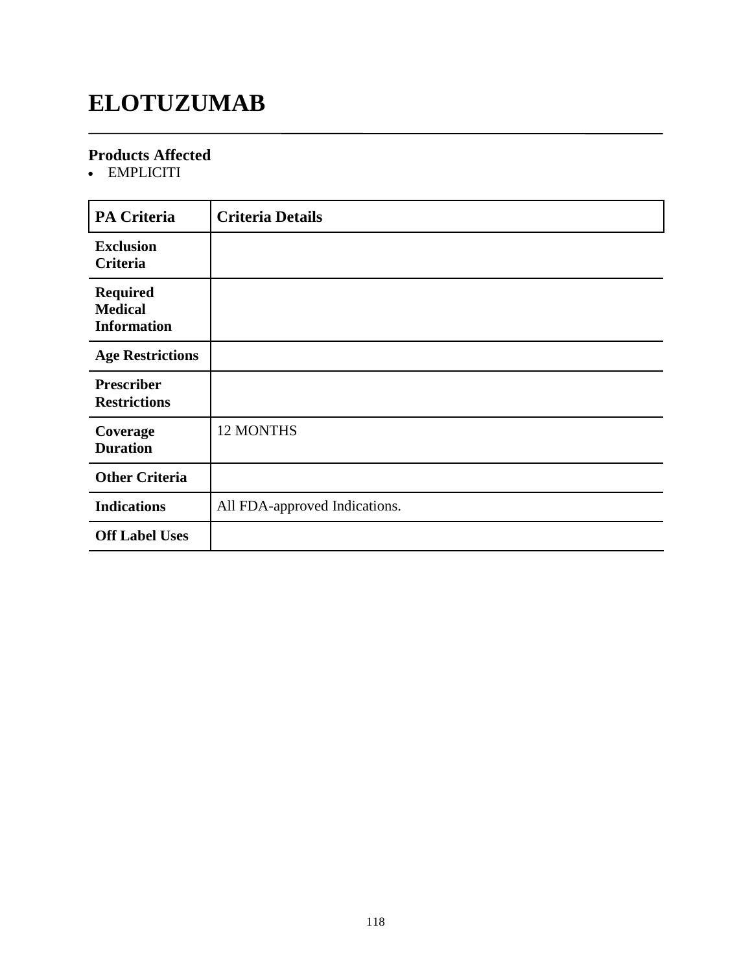# **ELOTUZUMAB**

### **Products Affected**

• EMPLICITI

| <b>PA Criteria</b>                                      | <b>Criteria Details</b>       |
|---------------------------------------------------------|-------------------------------|
| <b>Exclusion</b><br>Criteria                            |                               |
| <b>Required</b><br><b>Medical</b><br><b>Information</b> |                               |
| <b>Age Restrictions</b>                                 |                               |
| <b>Prescriber</b><br><b>Restrictions</b>                |                               |
| Coverage<br><b>Duration</b>                             | 12 MONTHS                     |
| <b>Other Criteria</b>                                   |                               |
| <b>Indications</b>                                      | All FDA-approved Indications. |
| <b>Off Label Uses</b>                                   |                               |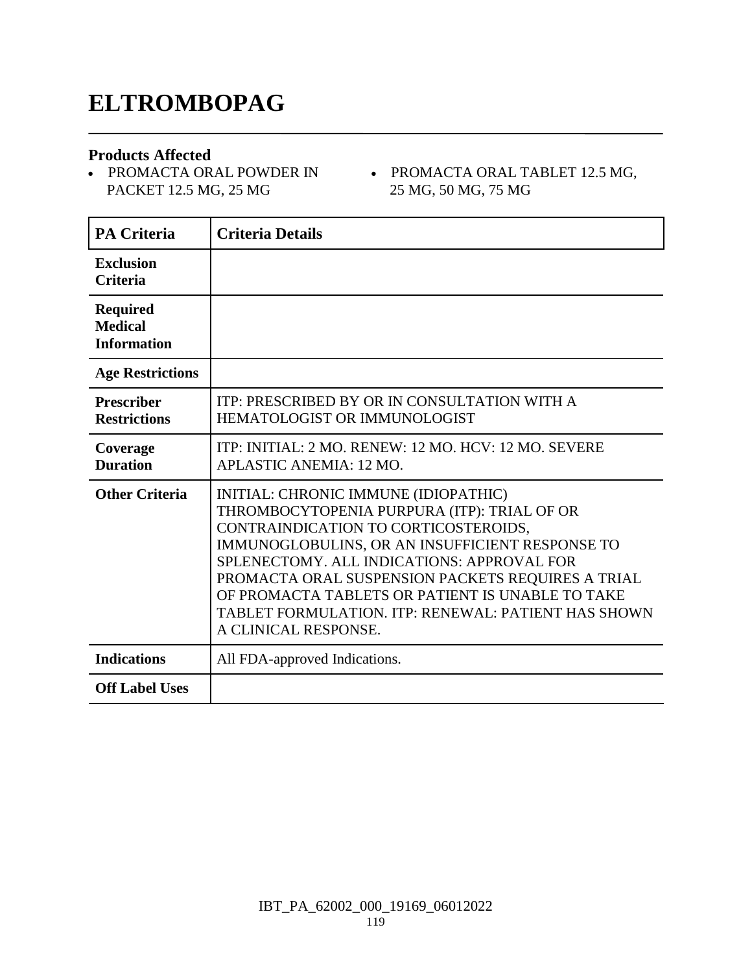### **ELTROMBOPAG**

#### **Products Affected**

- PROMACTA ORAL POWDER IN PACKET 12.5 MG, 25 MG
- PROMACTA ORAL TABLET 12.5 MG, 25 MG, 50 MG, 75 MG

| <b>PA Criteria</b>                                      | <b>Criteria Details</b>                                                                                                                                                                                                                                                                                                                                                                                              |
|---------------------------------------------------------|----------------------------------------------------------------------------------------------------------------------------------------------------------------------------------------------------------------------------------------------------------------------------------------------------------------------------------------------------------------------------------------------------------------------|
| <b>Exclusion</b><br><b>Criteria</b>                     |                                                                                                                                                                                                                                                                                                                                                                                                                      |
| <b>Required</b><br><b>Medical</b><br><b>Information</b> |                                                                                                                                                                                                                                                                                                                                                                                                                      |
| <b>Age Restrictions</b>                                 |                                                                                                                                                                                                                                                                                                                                                                                                                      |
| <b>Prescriber</b><br><b>Restrictions</b>                | ITP: PRESCRIBED BY OR IN CONSULTATION WITH A<br><b>HEMATOLOGIST OR IMMUNOLOGIST</b>                                                                                                                                                                                                                                                                                                                                  |
| Coverage<br><b>Duration</b>                             | ITP: INITIAL: 2 MO. RENEW: 12 MO. HCV: 12 MO. SEVERE<br>APLASTIC ANEMIA: 12 MO.                                                                                                                                                                                                                                                                                                                                      |
| <b>Other Criteria</b>                                   | INITIAL: CHRONIC IMMUNE (IDIOPATHIC)<br>THROMBOCYTOPENIA PURPURA (ITP): TRIAL OF OR<br>CONTRAINDICATION TO CORTICOSTEROIDS,<br>IMMUNOGLOBULINS, OR AN INSUFFICIENT RESPONSE TO<br>SPLENECTOMY. ALL INDICATIONS: APPROVAL FOR<br>PROMACTA ORAL SUSPENSION PACKETS REQUIRES A TRIAL<br>OF PROMACTA TABLETS OR PATIENT IS UNABLE TO TAKE<br>TABLET FORMULATION. ITP: RENEWAL: PATIENT HAS SHOWN<br>A CLINICAL RESPONSE. |
| <b>Indications</b>                                      | All FDA-approved Indications.                                                                                                                                                                                                                                                                                                                                                                                        |
| <b>Off Label Uses</b>                                   |                                                                                                                                                                                                                                                                                                                                                                                                                      |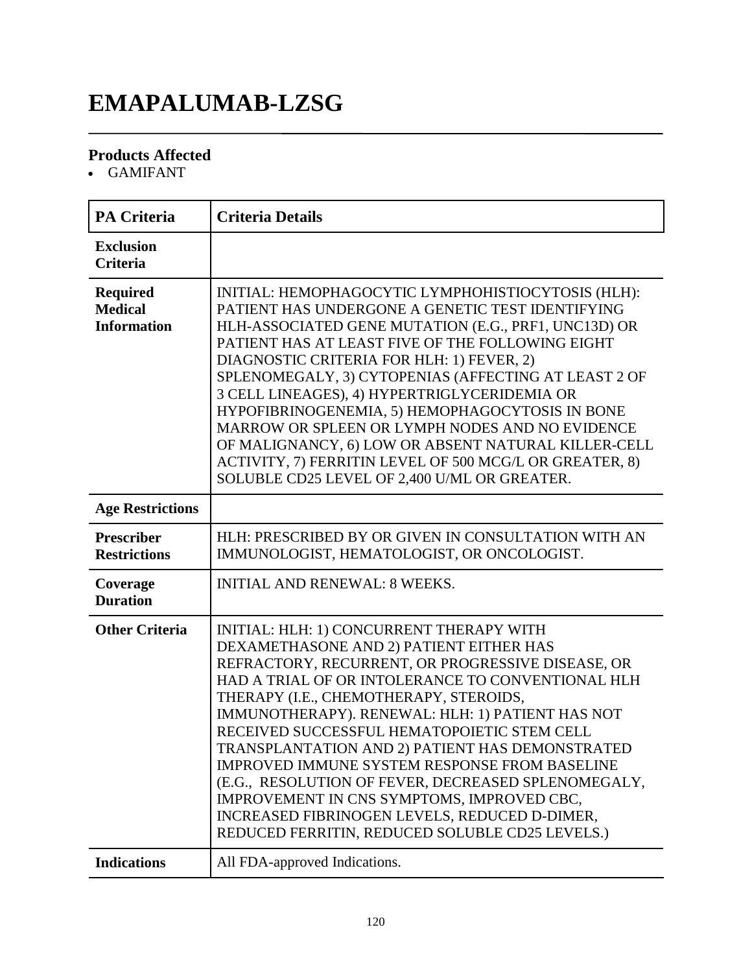# **EMAPALUMAB-LZSG**

### **Products Affected**

GAMIFANT

| <b>PA Criteria</b>                                      | <b>Criteria Details</b>                                                                                                                                                                                                                                                                                                                                                                                                                                                                                                                                                                                                                                        |
|---------------------------------------------------------|----------------------------------------------------------------------------------------------------------------------------------------------------------------------------------------------------------------------------------------------------------------------------------------------------------------------------------------------------------------------------------------------------------------------------------------------------------------------------------------------------------------------------------------------------------------------------------------------------------------------------------------------------------------|
| <b>Exclusion</b><br><b>Criteria</b>                     |                                                                                                                                                                                                                                                                                                                                                                                                                                                                                                                                                                                                                                                                |
| <b>Required</b><br><b>Medical</b><br><b>Information</b> | INITIAL: HEMOPHAGOCYTIC LYMPHOHISTIOCYTOSIS (HLH):<br>PATIENT HAS UNDERGONE A GENETIC TEST IDENTIFYING<br>HLH-ASSOCIATED GENE MUTATION (E.G., PRF1, UNC13D) OR<br>PATIENT HAS AT LEAST FIVE OF THE FOLLOWING EIGHT<br>DIAGNOSTIC CRITERIA FOR HLH: 1) FEVER, 2)<br>SPLENOMEGALY, 3) CYTOPENIAS (AFFECTING AT LEAST 2 OF<br>3 CELL LINEAGES), 4) HYPERTRIGLYCERIDEMIA OR<br>HYPOFIBRINOGENEMIA, 5) HEMOPHAGOCYTOSIS IN BONE<br>MARROW OR SPLEEN OR LYMPH NODES AND NO EVIDENCE<br>OF MALIGNANCY, 6) LOW OR ABSENT NATURAL KILLER-CELL<br>ACTIVITY, 7) FERRITIN LEVEL OF 500 MCG/L OR GREATER, 8)<br>SOLUBLE CD25 LEVEL OF 2,400 U/ML OR GREATER.                |
| <b>Age Restrictions</b>                                 |                                                                                                                                                                                                                                                                                                                                                                                                                                                                                                                                                                                                                                                                |
| <b>Prescriber</b><br><b>Restrictions</b>                | HLH: PRESCRIBED BY OR GIVEN IN CONSULTATION WITH AN<br>IMMUNOLOGIST, HEMATOLOGIST, OR ONCOLOGIST.                                                                                                                                                                                                                                                                                                                                                                                                                                                                                                                                                              |
| Coverage<br><b>Duration</b>                             | <b>INITIAL AND RENEWAL: 8 WEEKS.</b>                                                                                                                                                                                                                                                                                                                                                                                                                                                                                                                                                                                                                           |
| <b>Other Criteria</b>                                   | INITIAL: HLH: 1) CONCURRENT THERAPY WITH<br>DEXAMETHASONE AND 2) PATIENT EITHER HAS<br>REFRACTORY, RECURRENT, OR PROGRESSIVE DISEASE, OR<br>HAD A TRIAL OF OR INTOLERANCE TO CONVENTIONAL HLH<br>THERAPY (I.E., CHEMOTHERAPY, STEROIDS,<br>IMMUNOTHERAPY). RENEWAL: HLH: 1) PATIENT HAS NOT<br>RECEIVED SUCCESSFUL HEMATOPOIETIC STEM CELL<br>TRANSPLANTATION AND 2) PATIENT HAS DEMONSTRATED<br><b>IMPROVED IMMUNE SYSTEM RESPONSE FROM BASELINE</b><br>(E.G., RESOLUTION OF FEVER, DECREASED SPLENOMEGALY,<br>IMPROVEMENT IN CNS SYMPTOMS, IMPROVED CBC,<br>INCREASED FIBRINOGEN LEVELS, REDUCED D-DIMER,<br>REDUCED FERRITIN, REDUCED SOLUBLE CD25 LEVELS.) |
| <b>Indications</b>                                      | All FDA-approved Indications.                                                                                                                                                                                                                                                                                                                                                                                                                                                                                                                                                                                                                                  |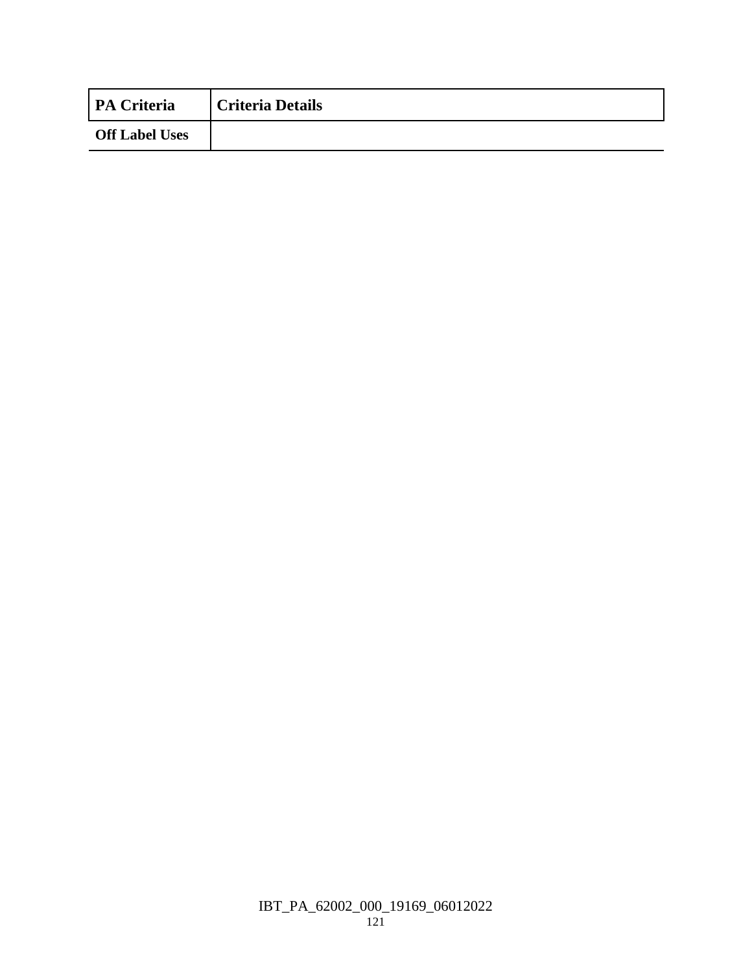| <b>PA Criteria</b>    | <b>Criteria Details</b> |
|-----------------------|-------------------------|
| <b>Off Label Uses</b> |                         |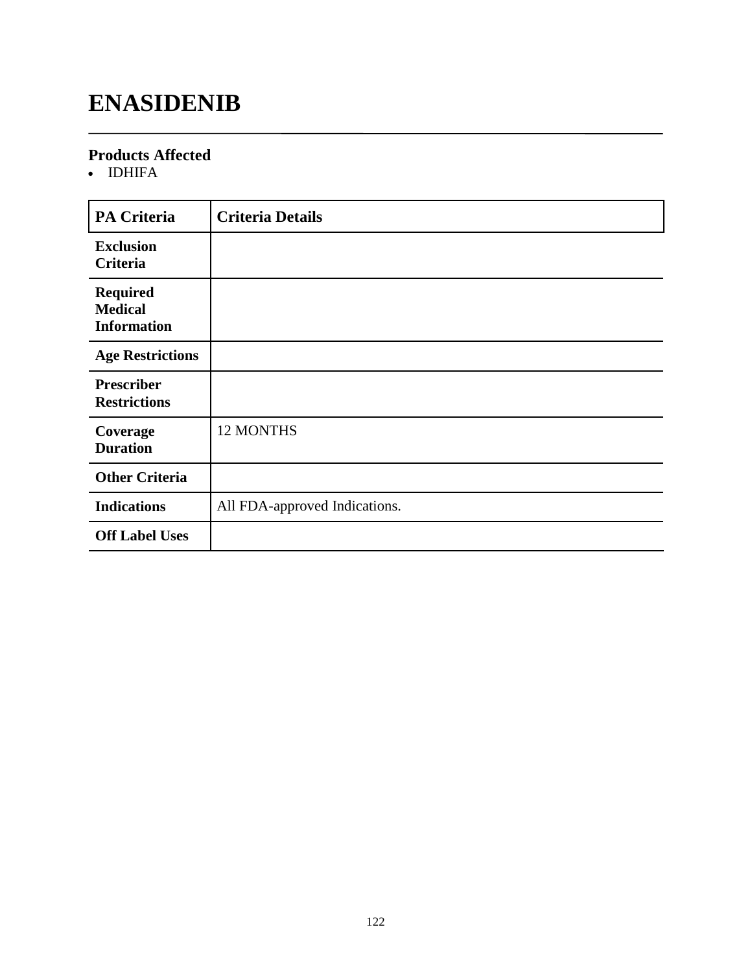# **ENASIDENIB**

### **Products Affected**

• IDHIFA

| <b>PA Criteria</b>                                      | <b>Criteria Details</b>       |
|---------------------------------------------------------|-------------------------------|
| <b>Exclusion</b><br>Criteria                            |                               |
| <b>Required</b><br><b>Medical</b><br><b>Information</b> |                               |
| <b>Age Restrictions</b>                                 |                               |
| <b>Prescriber</b><br><b>Restrictions</b>                |                               |
| Coverage<br><b>Duration</b>                             | 12 MONTHS                     |
| <b>Other Criteria</b>                                   |                               |
| <b>Indications</b>                                      | All FDA-approved Indications. |
| <b>Off Label Uses</b>                                   |                               |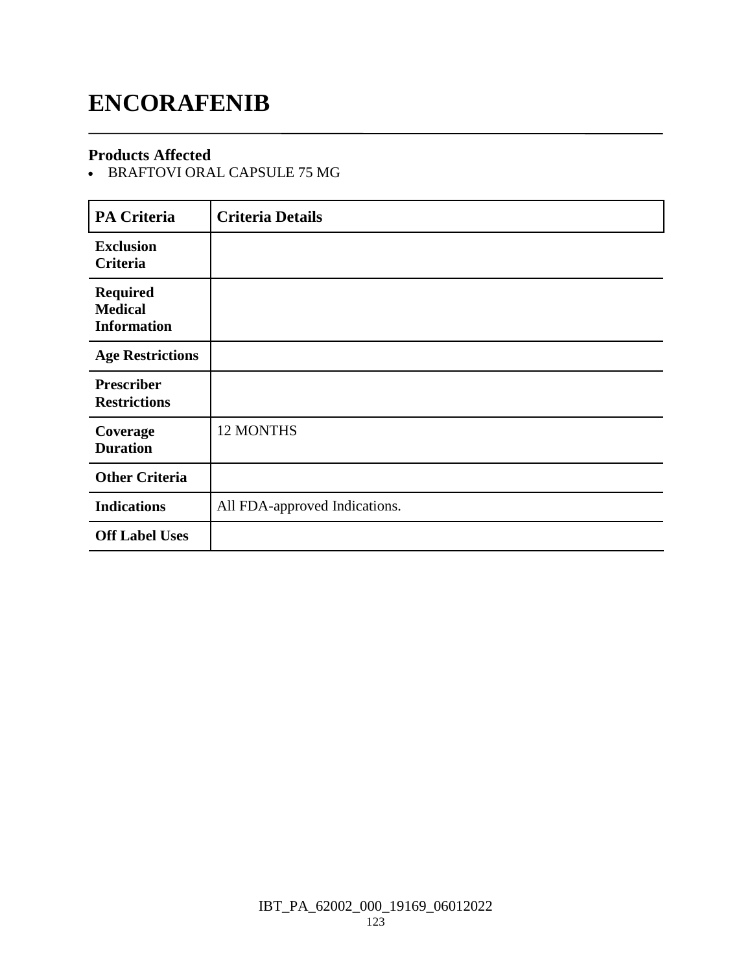### **ENCORAFENIB**

### **Products Affected**

BRAFTOVI ORAL CAPSULE 75 MG

| <b>PA Criteria</b>                                      | <b>Criteria Details</b>       |
|---------------------------------------------------------|-------------------------------|
| <b>Exclusion</b><br>Criteria                            |                               |
| <b>Required</b><br><b>Medical</b><br><b>Information</b> |                               |
| <b>Age Restrictions</b>                                 |                               |
| <b>Prescriber</b><br><b>Restrictions</b>                |                               |
| Coverage<br><b>Duration</b>                             | 12 MONTHS                     |
| <b>Other Criteria</b>                                   |                               |
| <b>Indications</b>                                      | All FDA-approved Indications. |
| <b>Off Label Uses</b>                                   |                               |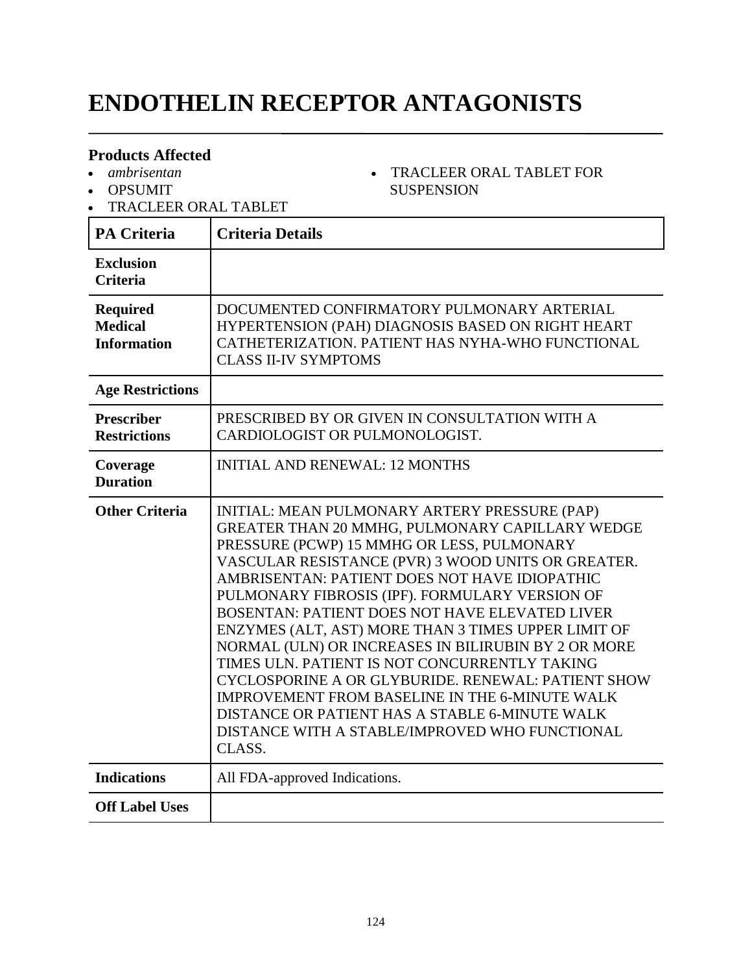# **ENDOTHELIN RECEPTOR ANTAGONISTS**

TRACLEER ORAL TABLET FOR

**SUSPENSION** 

#### **Products Affected**

- *ambrisentan*
- OPSUMIT
- TRACLEER ORAL TABLET

#### **PA Criteria Criteria Details Exclusion Criteria Required Medical Information** DOCUMENTED CONFIRMATORY PULMONARY ARTERIAL HYPERTENSION (PAH) DIAGNOSIS BASED ON RIGHT HEART CATHETERIZATION. PATIENT HAS NYHA-WHO FUNCTIONAL CLASS II-IV SYMPTOMS **Age Restrictions Prescriber Restrictions** PRESCRIBED BY OR GIVEN IN CONSULTATION WITH A CARDIOLOGIST OR PULMONOLOGIST. **Coverage Duration** INITIAL AND RENEWAL: 12 MONTHS **Other Criteria** | INITIAL: MEAN PULMONARY ARTERY PRESSURE (PAP) GREATER THAN 20 MMHG, PULMONARY CAPILLARY WEDGE PRESSURE (PCWP) 15 MMHG OR LESS, PULMONARY VASCULAR RESISTANCE (PVR) 3 WOOD UNITS OR GREATER. AMBRISENTAN: PATIENT DOES NOT HAVE IDIOPATHIC PULMONARY FIBROSIS (IPF). FORMULARY VERSION OF BOSENTAN: PATIENT DOES NOT HAVE ELEVATED LIVER ENZYMES (ALT, AST) MORE THAN 3 TIMES UPPER LIMIT OF NORMAL (ULN) OR INCREASES IN BILIRUBIN BY 2 OR MORE TIMES ULN. PATIENT IS NOT CONCURRENTLY TAKING CYCLOSPORINE A OR GLYBURIDE. RENEWAL: PATIENT SHOW IMPROVEMENT FROM BASELINE IN THE 6-MINUTE WALK DISTANCE OR PATIENT HAS A STABLE 6-MINUTE WALK DISTANCE WITH A STABLE/IMPROVED WHO FUNCTIONAL CLASS. **Indications** All FDA-approved Indications. **Off Label Uses**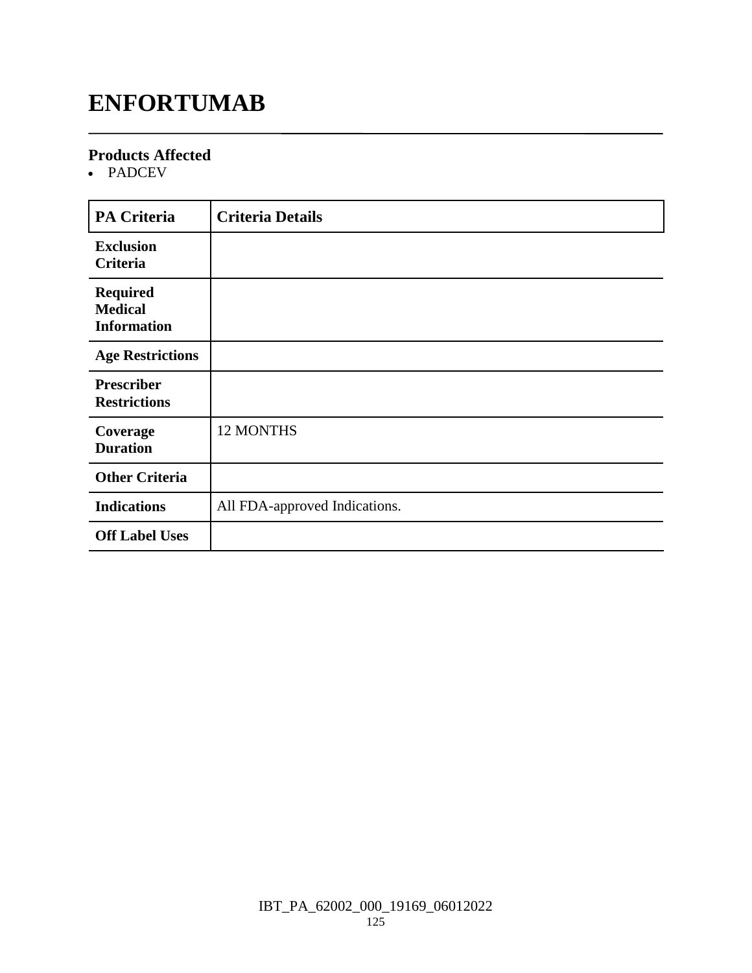### **ENFORTUMAB**

### **Products Affected**

• PADCEV

| <b>PA Criteria</b>                                      | <b>Criteria Details</b>       |
|---------------------------------------------------------|-------------------------------|
| <b>Exclusion</b><br>Criteria                            |                               |
| <b>Required</b><br><b>Medical</b><br><b>Information</b> |                               |
| <b>Age Restrictions</b>                                 |                               |
| <b>Prescriber</b><br><b>Restrictions</b>                |                               |
| Coverage<br><b>Duration</b>                             | 12 MONTHS                     |
| <b>Other Criteria</b>                                   |                               |
| <b>Indications</b>                                      | All FDA-approved Indications. |
| <b>Off Label Uses</b>                                   |                               |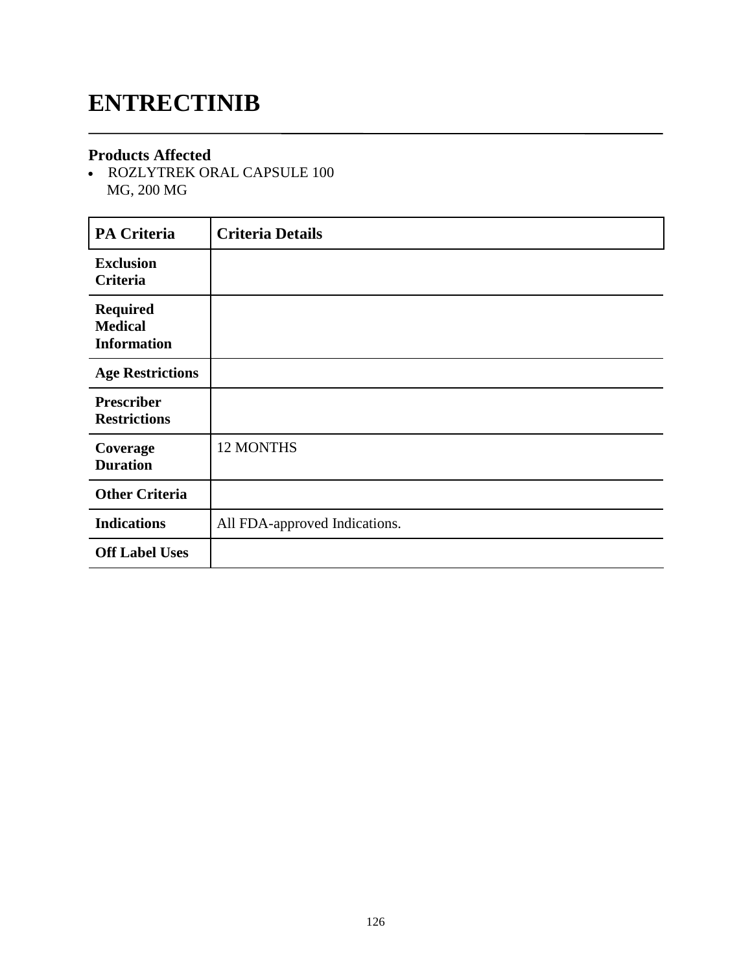## **ENTRECTINIB**

#### **Products Affected**

 ROZLYTREK ORAL CAPSULE 100 MG, 200 MG

| PA Criteria                                             | <b>Criteria Details</b>       |
|---------------------------------------------------------|-------------------------------|
| <b>Exclusion</b><br>Criteria                            |                               |
| <b>Required</b><br><b>Medical</b><br><b>Information</b> |                               |
| <b>Age Restrictions</b>                                 |                               |
| <b>Prescriber</b><br><b>Restrictions</b>                |                               |
| Coverage<br><b>Duration</b>                             | 12 MONTHS                     |
| <b>Other Criteria</b>                                   |                               |
| <b>Indications</b>                                      | All FDA-approved Indications. |
| <b>Off Label Uses</b>                                   |                               |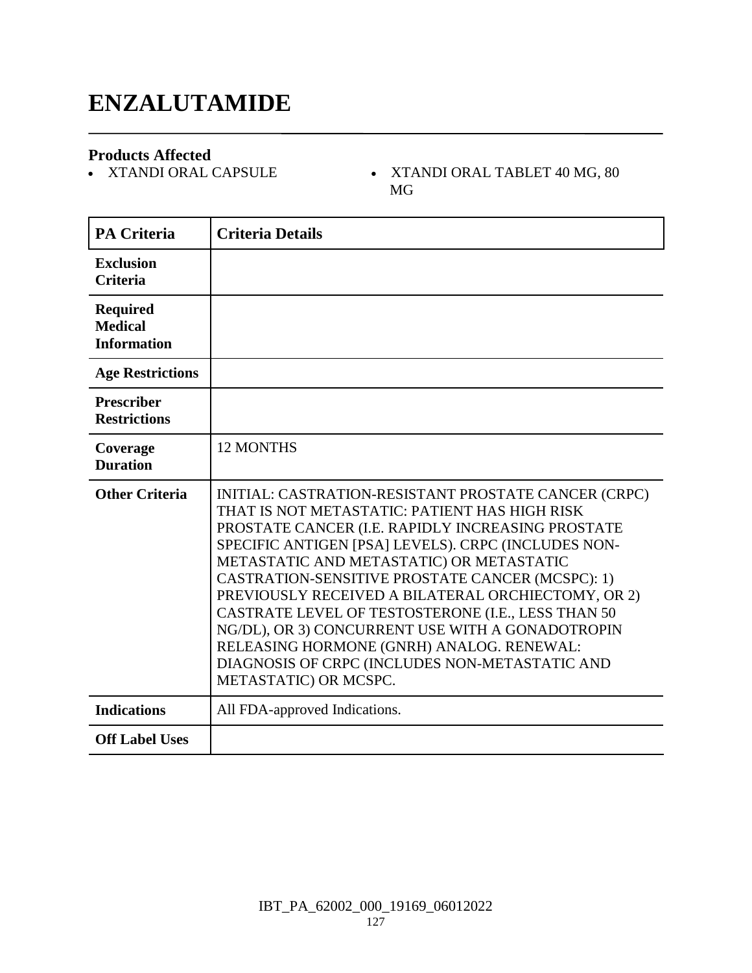### **ENZALUTAMIDE**

**Products Affected**

- XTANDI ORAL TABLET  $40$  MG,  $80$ MG

| <b>PA Criteria</b>                                      | <b>Criteria Details</b>                                                                                                                                                                                                                                                                                                                                                                                                                                                                                                                                                                                   |
|---------------------------------------------------------|-----------------------------------------------------------------------------------------------------------------------------------------------------------------------------------------------------------------------------------------------------------------------------------------------------------------------------------------------------------------------------------------------------------------------------------------------------------------------------------------------------------------------------------------------------------------------------------------------------------|
| <b>Exclusion</b><br><b>Criteria</b>                     |                                                                                                                                                                                                                                                                                                                                                                                                                                                                                                                                                                                                           |
| <b>Required</b><br><b>Medical</b><br><b>Information</b> |                                                                                                                                                                                                                                                                                                                                                                                                                                                                                                                                                                                                           |
| <b>Age Restrictions</b>                                 |                                                                                                                                                                                                                                                                                                                                                                                                                                                                                                                                                                                                           |
| <b>Prescriber</b><br><b>Restrictions</b>                |                                                                                                                                                                                                                                                                                                                                                                                                                                                                                                                                                                                                           |
| Coverage<br><b>Duration</b>                             | <b>12 MONTHS</b>                                                                                                                                                                                                                                                                                                                                                                                                                                                                                                                                                                                          |
| <b>Other Criteria</b>                                   | INITIAL: CASTRATION-RESISTANT PROSTATE CANCER (CRPC)<br>THAT IS NOT METASTATIC: PATIENT HAS HIGH RISK<br>PROSTATE CANCER (I.E. RAPIDLY INCREASING PROSTATE<br>SPECIFIC ANTIGEN [PSA] LEVELS). CRPC (INCLUDES NON-<br>METASTATIC AND METASTATIC) OR METASTATIC<br>CASTRATION-SENSITIVE PROSTATE CANCER (MCSPC): 1)<br>PREVIOUSLY RECEIVED A BILATERAL ORCHIECTOMY, OR 2)<br>CASTRATE LEVEL OF TESTOSTERONE (I.E., LESS THAN 50<br>NG/DL), OR 3) CONCURRENT USE WITH A GONADOTROPIN<br>RELEASING HORMONE (GNRH) ANALOG. RENEWAL:<br>DIAGNOSIS OF CRPC (INCLUDES NON-METASTATIC AND<br>METASTATIC) OR MCSPC. |
| <b>Indications</b>                                      | All FDA-approved Indications.                                                                                                                                                                                                                                                                                                                                                                                                                                                                                                                                                                             |
| <b>Off Label Uses</b>                                   |                                                                                                                                                                                                                                                                                                                                                                                                                                                                                                                                                                                                           |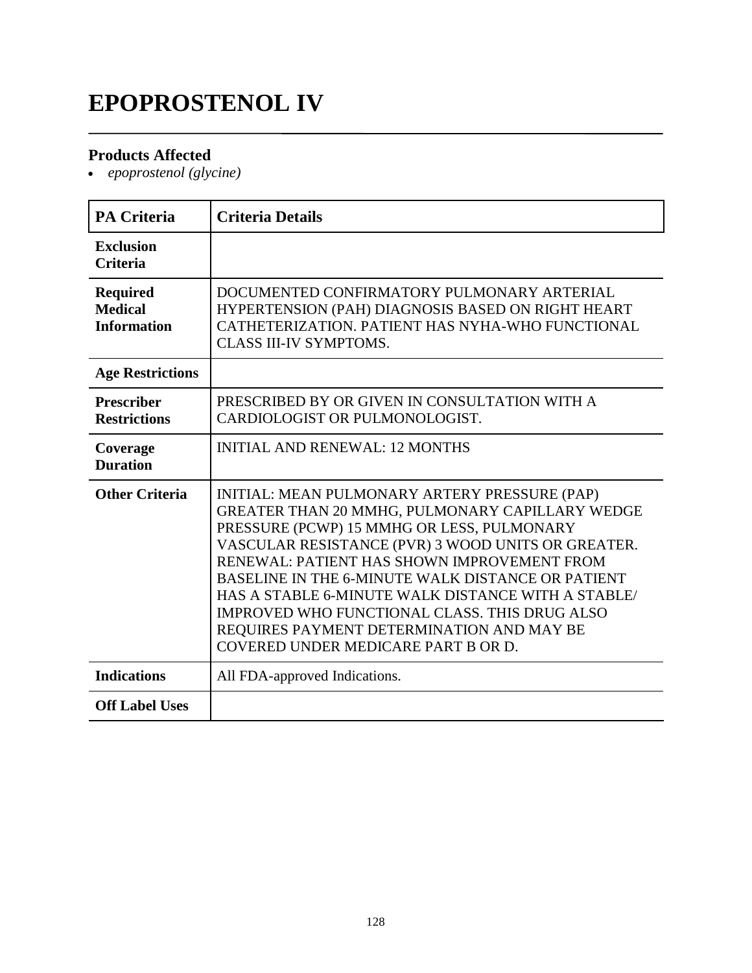# **EPOPROSTENOL IV**

### **Products Affected**

*epoprostenol (glycine)*

| <b>PA Criteria</b>                                      | <b>Criteria Details</b>                                                                                                                                                                                                                                                                                                                                                                                                                                                                             |
|---------------------------------------------------------|-----------------------------------------------------------------------------------------------------------------------------------------------------------------------------------------------------------------------------------------------------------------------------------------------------------------------------------------------------------------------------------------------------------------------------------------------------------------------------------------------------|
| <b>Exclusion</b><br><b>Criteria</b>                     |                                                                                                                                                                                                                                                                                                                                                                                                                                                                                                     |
| <b>Required</b><br><b>Medical</b><br><b>Information</b> | DOCUMENTED CONFIRMATORY PULMONARY ARTERIAL<br>HYPERTENSION (PAH) DIAGNOSIS BASED ON RIGHT HEART<br>CATHETERIZATION. PATIENT HAS NYHA-WHO FUNCTIONAL<br><b>CLASS III-IV SYMPTOMS.</b>                                                                                                                                                                                                                                                                                                                |
| <b>Age Restrictions</b>                                 |                                                                                                                                                                                                                                                                                                                                                                                                                                                                                                     |
| <b>Prescriber</b><br><b>Restrictions</b>                | PRESCRIBED BY OR GIVEN IN CONSULTATION WITH A<br>CARDIOLOGIST OR PULMONOLOGIST.                                                                                                                                                                                                                                                                                                                                                                                                                     |
| Coverage<br><b>Duration</b>                             | <b>INITIAL AND RENEWAL: 12 MONTHS</b>                                                                                                                                                                                                                                                                                                                                                                                                                                                               |
| <b>Other Criteria</b>                                   | INITIAL: MEAN PULMONARY ARTERY PRESSURE (PAP)<br>GREATER THAN 20 MMHG, PULMONARY CAPILLARY WEDGE<br>PRESSURE (PCWP) 15 MMHG OR LESS, PULMONARY<br>VASCULAR RESISTANCE (PVR) 3 WOOD UNITS OR GREATER.<br>RENEWAL: PATIENT HAS SHOWN IMPROVEMENT FROM<br>BASELINE IN THE 6-MINUTE WALK DISTANCE OR PATIENT<br>HAS A STABLE 6-MINUTE WALK DISTANCE WITH A STABLE/<br>IMPROVED WHO FUNCTIONAL CLASS. THIS DRUG ALSO<br>REQUIRES PAYMENT DETERMINATION AND MAY BE<br>COVERED UNDER MEDICARE PART B OR D. |
| <b>Indications</b>                                      | All FDA-approved Indications.                                                                                                                                                                                                                                                                                                                                                                                                                                                                       |
| <b>Off Label Uses</b>                                   |                                                                                                                                                                                                                                                                                                                                                                                                                                                                                                     |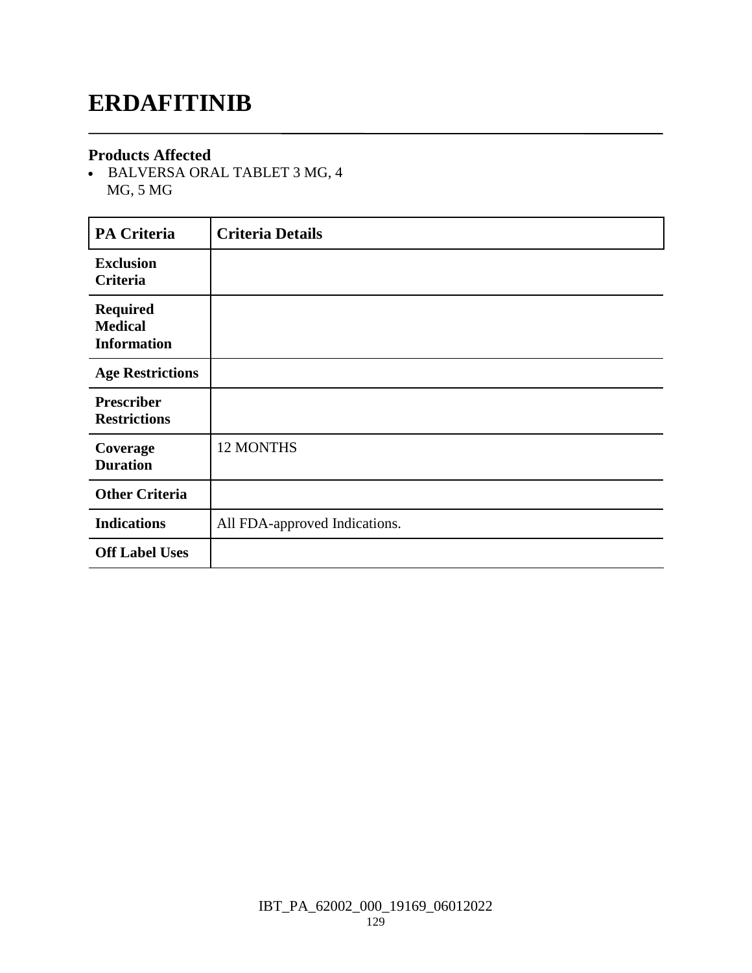### **ERDAFITINIB**

#### **Products Affected**

 BALVERSA ORAL TABLET 3 MG, 4 MG, 5 MG

| <b>PA Criteria</b>                                      | <b>Criteria Details</b>       |
|---------------------------------------------------------|-------------------------------|
| <b>Exclusion</b><br>Criteria                            |                               |
| <b>Required</b><br><b>Medical</b><br><b>Information</b> |                               |
| <b>Age Restrictions</b>                                 |                               |
| <b>Prescriber</b><br><b>Restrictions</b>                |                               |
| Coverage<br><b>Duration</b>                             | <b>12 MONTHS</b>              |
| <b>Other Criteria</b>                                   |                               |
| <b>Indications</b>                                      | All FDA-approved Indications. |
| <b>Off Label Uses</b>                                   |                               |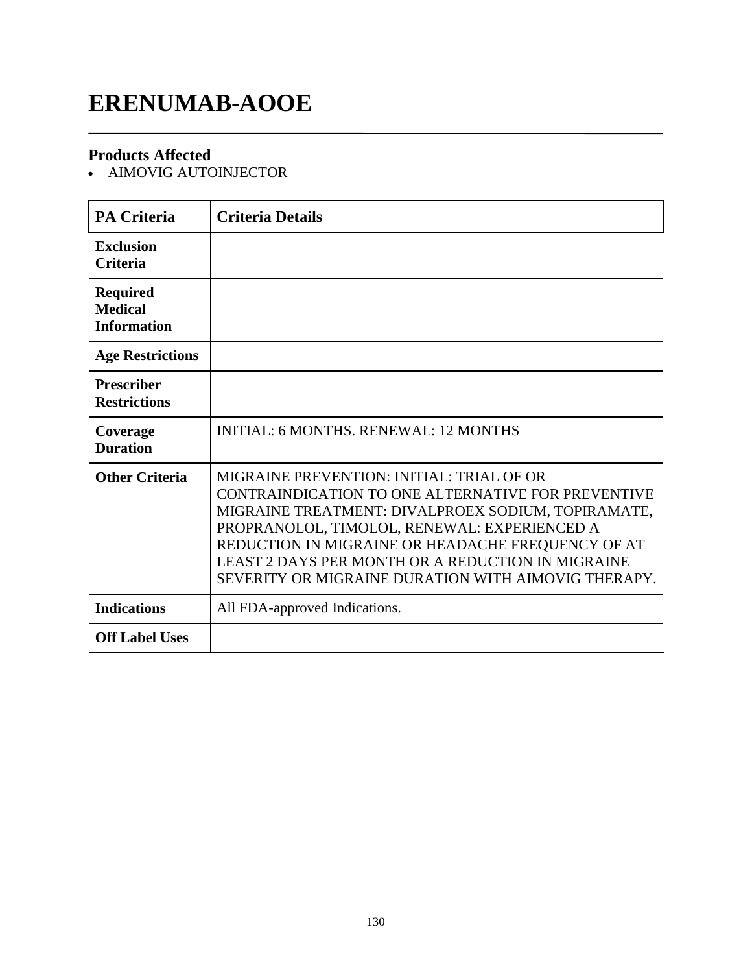# **ERENUMAB-AOOE**

### **Products Affected**

AIMOVIG AUTOINJECTOR

| <b>PA Criteria</b>                                      | <b>Criteria Details</b>                                                                                                                                                                                                                                                                                                                                                |
|---------------------------------------------------------|------------------------------------------------------------------------------------------------------------------------------------------------------------------------------------------------------------------------------------------------------------------------------------------------------------------------------------------------------------------------|
| <b>Exclusion</b><br><b>Criteria</b>                     |                                                                                                                                                                                                                                                                                                                                                                        |
| <b>Required</b><br><b>Medical</b><br><b>Information</b> |                                                                                                                                                                                                                                                                                                                                                                        |
| <b>Age Restrictions</b>                                 |                                                                                                                                                                                                                                                                                                                                                                        |
| <b>Prescriber</b><br><b>Restrictions</b>                |                                                                                                                                                                                                                                                                                                                                                                        |
| Coverage<br><b>Duration</b>                             | <b>INITIAL: 6 MONTHS, RENEWAL: 12 MONTHS</b>                                                                                                                                                                                                                                                                                                                           |
| <b>Other Criteria</b>                                   | MIGRAINE PREVENTION: INITIAL: TRIAL OF OR<br>CONTRAINDICATION TO ONE ALTERNATIVE FOR PREVENTIVE<br>MIGRAINE TREATMENT: DIVALPROEX SODIUM, TOPIRAMATE,<br>PROPRANOLOL, TIMOLOL, RENEWAL: EXPERIENCED A<br>REDUCTION IN MIGRAINE OR HEADACHE FREQUENCY OF AT<br>LEAST 2 DAYS PER MONTH OR A REDUCTION IN MIGRAINE<br>SEVERITY OR MIGRAINE DURATION WITH AIMOVIG THERAPY. |
| <b>Indications</b>                                      | All FDA-approved Indications.                                                                                                                                                                                                                                                                                                                                          |
| <b>Off Label Uses</b>                                   |                                                                                                                                                                                                                                                                                                                                                                        |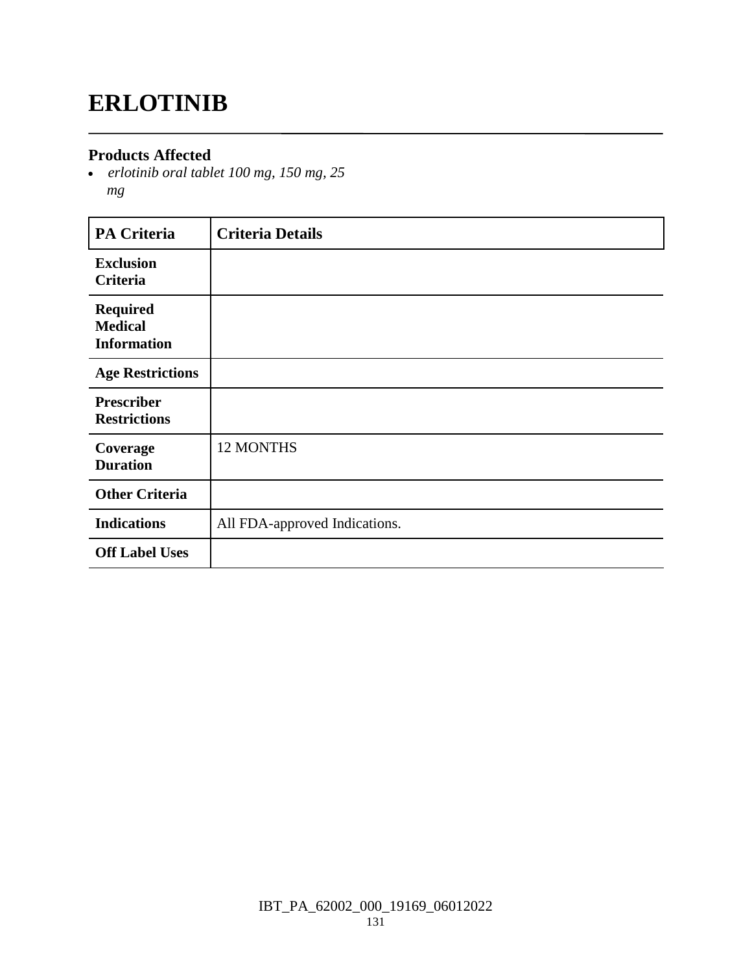# **ERLOTINIB**

### **Products Affected**

 *erlotinib oral tablet 100 mg, 150 mg, 25 mg*

| <b>PA Criteria</b>                                      | <b>Criteria Details</b>       |
|---------------------------------------------------------|-------------------------------|
| <b>Exclusion</b><br><b>Criteria</b>                     |                               |
| <b>Required</b><br><b>Medical</b><br><b>Information</b> |                               |
| <b>Age Restrictions</b>                                 |                               |
| <b>Prescriber</b><br><b>Restrictions</b>                |                               |
| Coverage<br><b>Duration</b>                             | 12 MONTHS                     |
| <b>Other Criteria</b>                                   |                               |
| <b>Indications</b>                                      | All FDA-approved Indications. |
| <b>Off Label Uses</b>                                   |                               |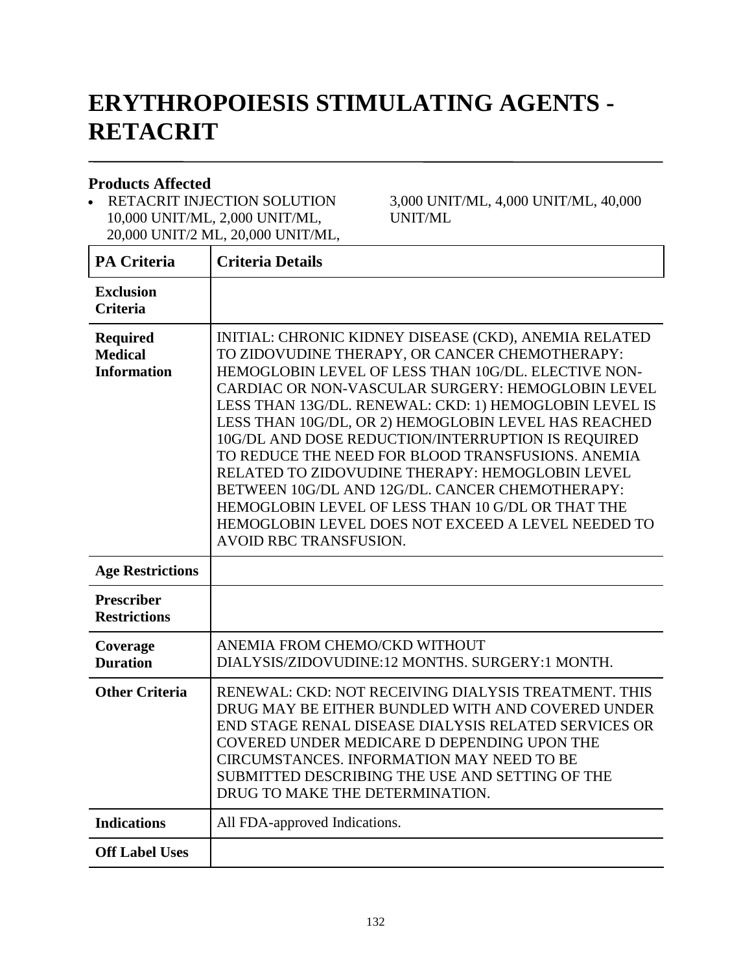# **ERYTHROPOIESIS STIMULATING AGENTS - RETACRIT**

#### **Products Affected**

• RETACRIT INJECTION SOLUTION 10,000 UNIT/ML, 2,000 UNIT/ML, 20,000 UNIT/2 ML, 20,000 UNIT/ML, 3,000 UNIT/ML, 4,000 UNIT/ML, 40,000 UNIT/ML

| <b>PA Criteria</b>                                      | <b>Criteria Details</b>                                                                                                                                                                                                                                                                                                                                                                                                                                                                                                                                                                                                                                                                            |
|---------------------------------------------------------|----------------------------------------------------------------------------------------------------------------------------------------------------------------------------------------------------------------------------------------------------------------------------------------------------------------------------------------------------------------------------------------------------------------------------------------------------------------------------------------------------------------------------------------------------------------------------------------------------------------------------------------------------------------------------------------------------|
| <b>Exclusion</b><br><b>Criteria</b>                     |                                                                                                                                                                                                                                                                                                                                                                                                                                                                                                                                                                                                                                                                                                    |
| <b>Required</b><br><b>Medical</b><br><b>Information</b> | INITIAL: CHRONIC KIDNEY DISEASE (CKD), ANEMIA RELATED<br>TO ZIDOVUDINE THERAPY, OR CANCER CHEMOTHERAPY:<br>HEMOGLOBIN LEVEL OF LESS THAN 10G/DL. ELECTIVE NON-<br>CARDIAC OR NON-VASCULAR SURGERY: HEMOGLOBIN LEVEL<br>LESS THAN 13G/DL. RENEWAL: CKD: 1) HEMOGLOBIN LEVEL IS<br>LESS THAN 10G/DL, OR 2) HEMOGLOBIN LEVEL HAS REACHED<br>10G/DL AND DOSE REDUCTION/INTERRUPTION IS REQUIRED<br>TO REDUCE THE NEED FOR BLOOD TRANSFUSIONS. ANEMIA<br>RELATED TO ZIDOVUDINE THERAPY: HEMOGLOBIN LEVEL<br>BETWEEN 10G/DL AND 12G/DL. CANCER CHEMOTHERAPY:<br>HEMOGLOBIN LEVEL OF LESS THAN 10 G/DL OR THAT THE<br>HEMOGLOBIN LEVEL DOES NOT EXCEED A LEVEL NEEDED TO<br><b>AVOID RBC TRANSFUSION.</b> |
| <b>Age Restrictions</b>                                 |                                                                                                                                                                                                                                                                                                                                                                                                                                                                                                                                                                                                                                                                                                    |
| <b>Prescriber</b><br><b>Restrictions</b>                |                                                                                                                                                                                                                                                                                                                                                                                                                                                                                                                                                                                                                                                                                                    |
| Coverage<br><b>Duration</b>                             | ANEMIA FROM CHEMO/CKD WITHOUT<br>DIALYSIS/ZIDOVUDINE:12 MONTHS, SURGERY:1 MONTH,                                                                                                                                                                                                                                                                                                                                                                                                                                                                                                                                                                                                                   |
| <b>Other Criteria</b>                                   | RENEWAL: CKD: NOT RECEIVING DIALYSIS TREATMENT. THIS<br>DRUG MAY BE EITHER BUNDLED WITH AND COVERED UNDER<br>END STAGE RENAL DISEASE DIALYSIS RELATED SERVICES OR<br>COVERED UNDER MEDICARE D DEPENDING UPON THE<br>CIRCUMSTANCES. INFORMATION MAY NEED TO BE<br>SUBMITTED DESCRIBING THE USE AND SETTING OF THE<br>DRUG TO MAKE THE DETERMINATION.                                                                                                                                                                                                                                                                                                                                                |
| <b>Indications</b>                                      | All FDA-approved Indications.                                                                                                                                                                                                                                                                                                                                                                                                                                                                                                                                                                                                                                                                      |
| <b>Off Label Uses</b>                                   |                                                                                                                                                                                                                                                                                                                                                                                                                                                                                                                                                                                                                                                                                                    |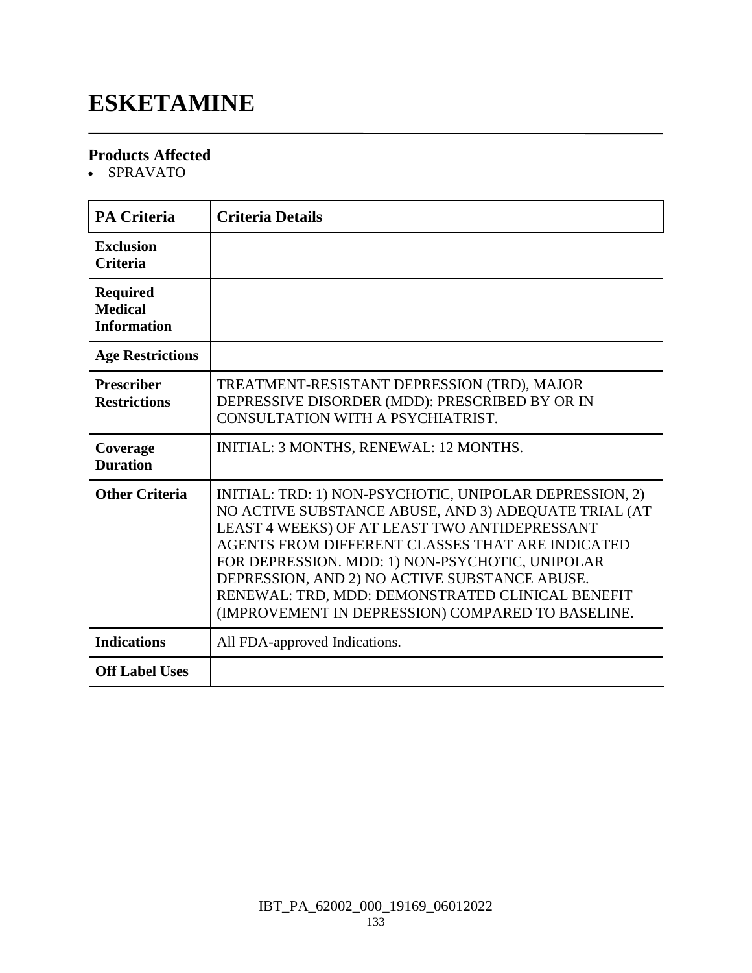### **ESKETAMINE**

### **Products Affected**

SPRAVATO

| <b>PA Criteria</b>                                      | <b>Criteria Details</b>                                                                                                                                                                                                                                                                                                                                                                                                           |
|---------------------------------------------------------|-----------------------------------------------------------------------------------------------------------------------------------------------------------------------------------------------------------------------------------------------------------------------------------------------------------------------------------------------------------------------------------------------------------------------------------|
| <b>Exclusion</b><br><b>Criteria</b>                     |                                                                                                                                                                                                                                                                                                                                                                                                                                   |
| <b>Required</b><br><b>Medical</b><br><b>Information</b> |                                                                                                                                                                                                                                                                                                                                                                                                                                   |
| <b>Age Restrictions</b>                                 |                                                                                                                                                                                                                                                                                                                                                                                                                                   |
| <b>Prescriber</b><br><b>Restrictions</b>                | TREATMENT-RESISTANT DEPRESSION (TRD), MAJOR<br>DEPRESSIVE DISORDER (MDD): PRESCRIBED BY OR IN<br>CONSULTATION WITH A PSYCHIATRIST.                                                                                                                                                                                                                                                                                                |
| Coverage<br><b>Duration</b>                             | INITIAL: 3 MONTHS, RENEWAL: 12 MONTHS.                                                                                                                                                                                                                                                                                                                                                                                            |
| <b>Other Criteria</b>                                   | INITIAL: TRD: 1) NON-PSYCHOTIC, UNIPOLAR DEPRESSION, 2)<br>NO ACTIVE SUBSTANCE ABUSE, AND 3) ADEQUATE TRIAL (AT<br>LEAST 4 WEEKS) OF AT LEAST TWO ANTIDEPRESSANT<br>AGENTS FROM DIFFERENT CLASSES THAT ARE INDICATED<br>FOR DEPRESSION. MDD: 1) NON-PSYCHOTIC, UNIPOLAR<br>DEPRESSION, AND 2) NO ACTIVE SUBSTANCE ABUSE.<br>RENEWAL: TRD, MDD: DEMONSTRATED CLINICAL BENEFIT<br>(IMPROVEMENT IN DEPRESSION) COMPARED TO BASELINE. |
| <b>Indications</b>                                      | All FDA-approved Indications.                                                                                                                                                                                                                                                                                                                                                                                                     |
| <b>Off Label Uses</b>                                   |                                                                                                                                                                                                                                                                                                                                                                                                                                   |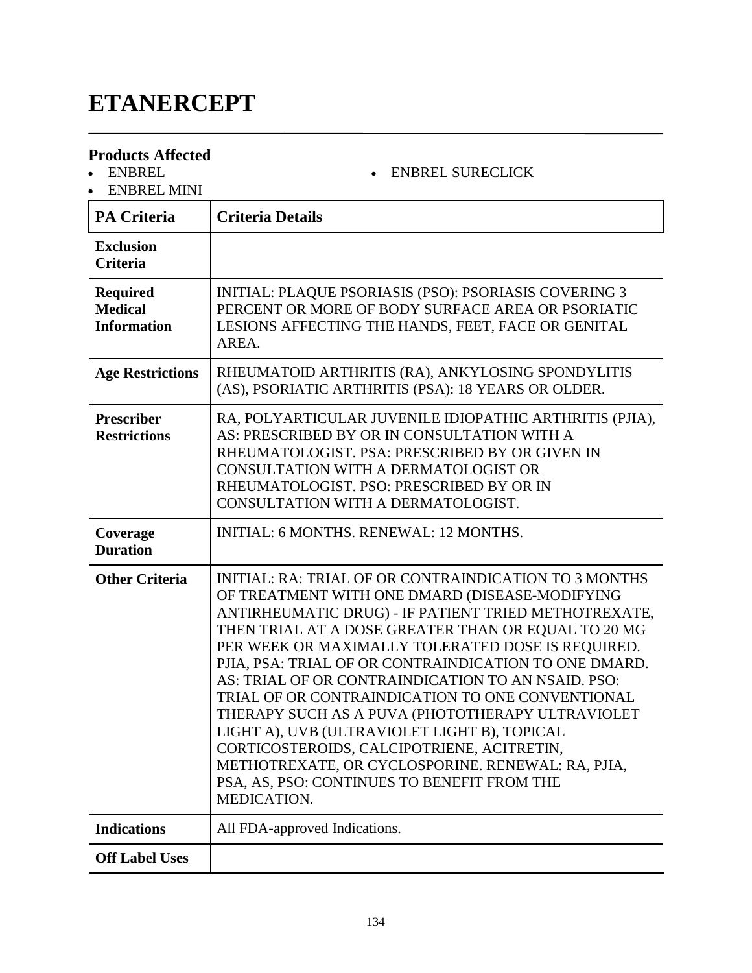# **ETANERCEPT**

### **Products Affected**

- ENBREL
- ENBREL MINI

| <b>PA Criteria</b>                                      | <b>Criteria Details</b>                                                                                                                                                                                                                                                                                                                                                                                                                                                                                                                                                                                                                                                                                            |
|---------------------------------------------------------|--------------------------------------------------------------------------------------------------------------------------------------------------------------------------------------------------------------------------------------------------------------------------------------------------------------------------------------------------------------------------------------------------------------------------------------------------------------------------------------------------------------------------------------------------------------------------------------------------------------------------------------------------------------------------------------------------------------------|
| <b>Exclusion</b><br><b>Criteria</b>                     |                                                                                                                                                                                                                                                                                                                                                                                                                                                                                                                                                                                                                                                                                                                    |
| <b>Required</b><br><b>Medical</b><br><b>Information</b> | <b>INITIAL: PLAQUE PSORIASIS (PSO): PSORIASIS COVERING 3</b><br>PERCENT OR MORE OF BODY SURFACE AREA OR PSORIATIC<br>LESIONS AFFECTING THE HANDS, FEET, FACE OR GENITAL<br>AREA.                                                                                                                                                                                                                                                                                                                                                                                                                                                                                                                                   |
| <b>Age Restrictions</b>                                 | RHEUMATOID ARTHRITIS (RA), ANKYLOSING SPONDYLITIS<br>(AS), PSORIATIC ARTHRITIS (PSA): 18 YEARS OR OLDER.                                                                                                                                                                                                                                                                                                                                                                                                                                                                                                                                                                                                           |
| <b>Prescriber</b><br><b>Restrictions</b>                | RA, POLYARTICULAR JUVENILE IDIOPATHIC ARTHRITIS (PJIA),<br>AS: PRESCRIBED BY OR IN CONSULTATION WITH A<br>RHEUMATOLOGIST. PSA: PRESCRIBED BY OR GIVEN IN<br>CONSULTATION WITH A DERMATOLOGIST OR<br>RHEUMATOLOGIST. PSO: PRESCRIBED BY OR IN<br>CONSULTATION WITH A DERMATOLOGIST.                                                                                                                                                                                                                                                                                                                                                                                                                                 |
| Coverage<br><b>Duration</b>                             | <b>INITIAL: 6 MONTHS, RENEWAL: 12 MONTHS.</b>                                                                                                                                                                                                                                                                                                                                                                                                                                                                                                                                                                                                                                                                      |
| <b>Other Criteria</b>                                   | INITIAL: RA: TRIAL OF OR CONTRAINDICATION TO 3 MONTHS<br>OF TREATMENT WITH ONE DMARD (DISEASE-MODIFYING<br>ANTIRHEUMATIC DRUG) - IF PATIENT TRIED METHOTREXATE,<br>THEN TRIAL AT A DOSE GREATER THAN OR EQUAL TO 20 MG<br>PER WEEK OR MAXIMALLY TOLERATED DOSE IS REQUIRED.<br>PJIA, PSA: TRIAL OF OR CONTRAINDICATION TO ONE DMARD.<br>AS: TRIAL OF OR CONTRAINDICATION TO AN NSAID. PSO:<br>TRIAL OF OR CONTRAINDICATION TO ONE CONVENTIONAL<br>THERAPY SUCH AS A PUVA (PHOTOTHERAPY ULTRAVIOLET<br>LIGHT A), UVB (ULTRAVIOLET LIGHT B), TOPICAL<br>CORTICOSTEROIDS, CALCIPOTRIENE, ACITRETIN<br>METHOTREXATE, OR CYCLOSPORINE. RENEWAL: RA, PJIA,<br>PSA, AS, PSO: CONTINUES TO BENEFIT FROM THE<br>MEDICATION. |
| <b>Indications</b>                                      | All FDA-approved Indications.                                                                                                                                                                                                                                                                                                                                                                                                                                                                                                                                                                                                                                                                                      |
| <b>Off Label Uses</b>                                   |                                                                                                                                                                                                                                                                                                                                                                                                                                                                                                                                                                                                                                                                                                                    |

ENBREL SURECLICK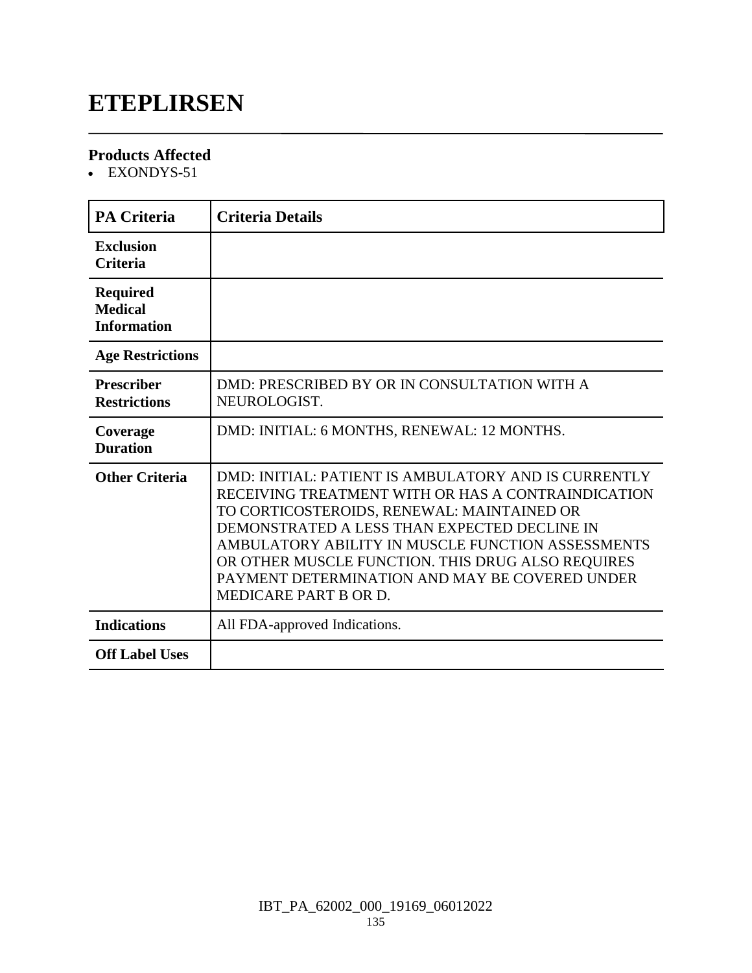### **ETEPLIRSEN**

### **Products Affected**

• EXONDYS-51

| <b>PA Criteria</b>                                      | <b>Criteria Details</b>                                                                                                                                                                                                                                                                                                                                                                       |
|---------------------------------------------------------|-----------------------------------------------------------------------------------------------------------------------------------------------------------------------------------------------------------------------------------------------------------------------------------------------------------------------------------------------------------------------------------------------|
| <b>Exclusion</b><br><b>Criteria</b>                     |                                                                                                                                                                                                                                                                                                                                                                                               |
| <b>Required</b><br><b>Medical</b><br><b>Information</b> |                                                                                                                                                                                                                                                                                                                                                                                               |
| <b>Age Restrictions</b>                                 |                                                                                                                                                                                                                                                                                                                                                                                               |
| <b>Prescriber</b><br><b>Restrictions</b>                | DMD: PRESCRIBED BY OR IN CONSULTATION WITH A<br>NEUROLOGIST.                                                                                                                                                                                                                                                                                                                                  |
| Coverage<br><b>Duration</b>                             | DMD: INITIAL: 6 MONTHS, RENEWAL: 12 MONTHS.                                                                                                                                                                                                                                                                                                                                                   |
| <b>Other Criteria</b>                                   | DMD: INITIAL: PATIENT IS AMBULATORY AND IS CURRENTLY<br>RECEIVING TREATMENT WITH OR HAS A CONTRAINDICATION<br>TO CORTICOSTEROIDS, RENEWAL: MAINTAINED OR<br>DEMONSTRATED A LESS THAN EXPECTED DECLINE IN<br>AMBULATORY ABILITY IN MUSCLE FUNCTION ASSESSMENTS<br>OR OTHER MUSCLE FUNCTION. THIS DRUG ALSO REQUIRES<br>PAYMENT DETERMINATION AND MAY BE COVERED UNDER<br>MEDICARE PART B OR D. |
| <b>Indications</b>                                      | All FDA-approved Indications.                                                                                                                                                                                                                                                                                                                                                                 |
| <b>Off Label Uses</b>                                   |                                                                                                                                                                                                                                                                                                                                                                                               |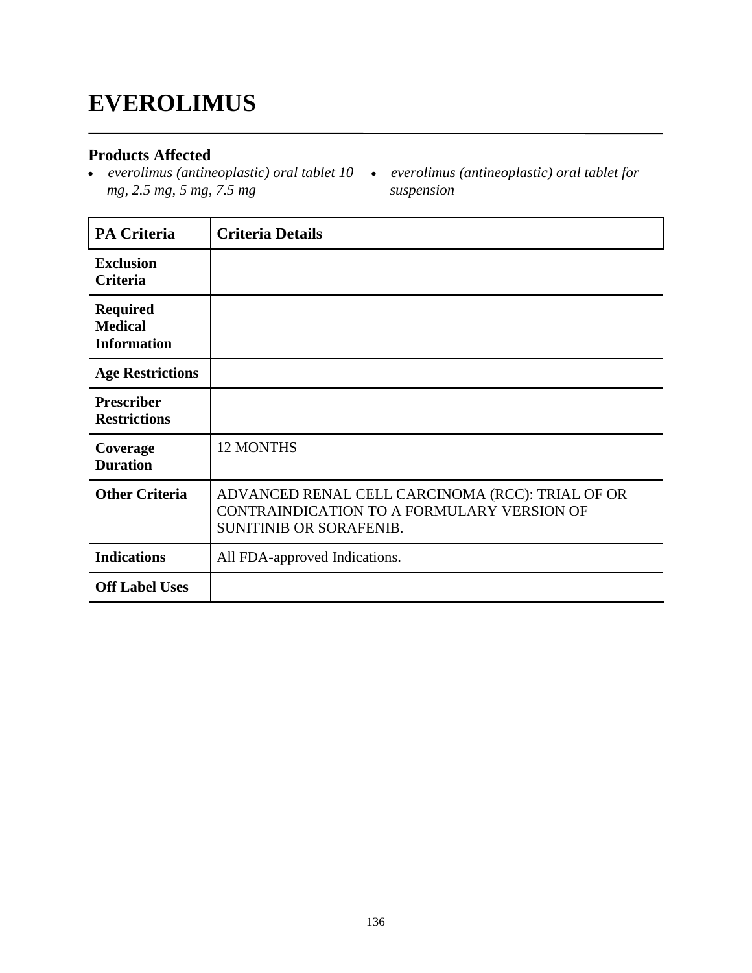### **EVEROLIMUS**

### **Products Affected**

- *mg, 2.5 mg, 5 mg, 7.5 mg*
- *everolimus (antineoplastic) oral tablet 10 everolimus (antineoplastic) oral tablet for suspension*

| <b>PA Criteria</b>                                      | <b>Criteria Details</b>                                                                                                   |
|---------------------------------------------------------|---------------------------------------------------------------------------------------------------------------------------|
| <b>Exclusion</b><br>Criteria                            |                                                                                                                           |
| <b>Required</b><br><b>Medical</b><br><b>Information</b> |                                                                                                                           |
| <b>Age Restrictions</b>                                 |                                                                                                                           |
| <b>Prescriber</b><br><b>Restrictions</b>                |                                                                                                                           |
| Coverage<br><b>Duration</b>                             | <b>12 MONTHS</b>                                                                                                          |
| <b>Other Criteria</b>                                   | ADVANCED RENAL CELL CARCINOMA (RCC): TRIAL OF OR<br>CONTRAINDICATION TO A FORMULARY VERSION OF<br>SUNITINIB OR SORAFENIB. |
| <b>Indications</b>                                      | All FDA-approved Indications.                                                                                             |
| <b>Off Label Uses</b>                                   |                                                                                                                           |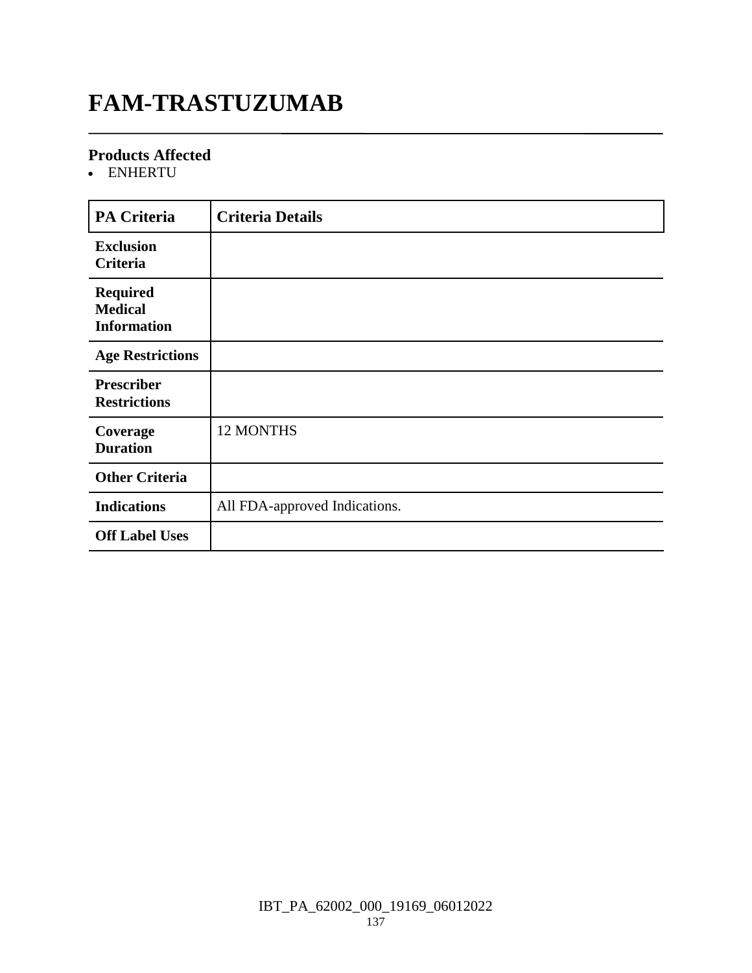# **FAM-TRASTUZUMAB**

### **Products Affected**

ENHERTU

| <b>PA Criteria</b>                                      | <b>Criteria Details</b>       |
|---------------------------------------------------------|-------------------------------|
| <b>Exclusion</b><br>Criteria                            |                               |
| <b>Required</b><br><b>Medical</b><br><b>Information</b> |                               |
| <b>Age Restrictions</b>                                 |                               |
| <b>Prescriber</b><br><b>Restrictions</b>                |                               |
| Coverage<br><b>Duration</b>                             | 12 MONTHS                     |
| <b>Other Criteria</b>                                   |                               |
| <b>Indications</b>                                      | All FDA-approved Indications. |
| <b>Off Label Uses</b>                                   |                               |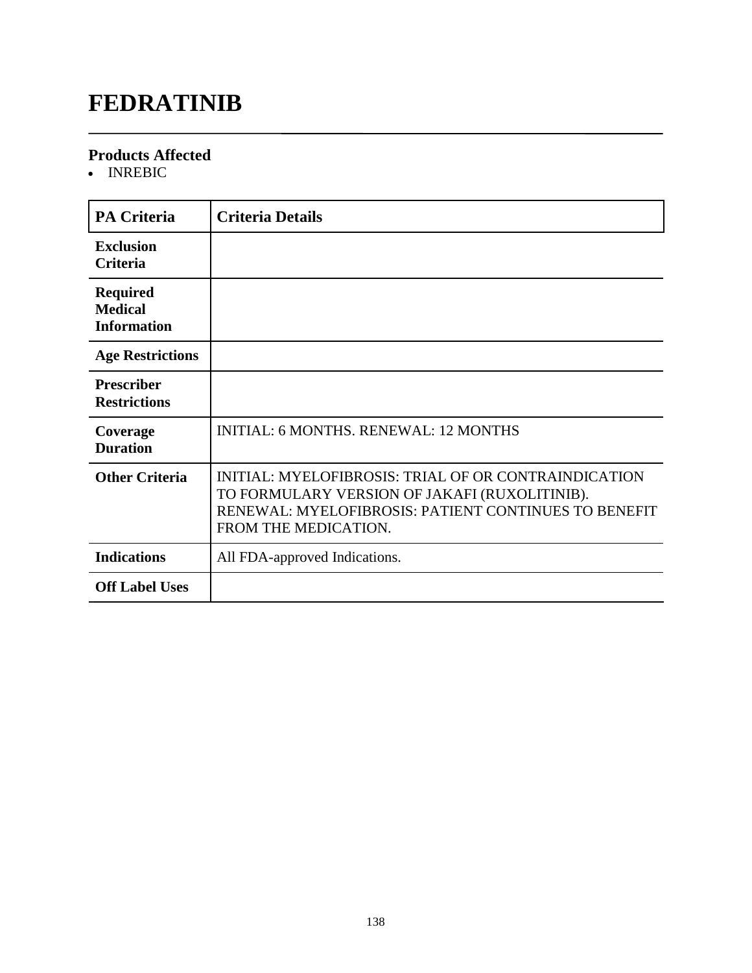# **FEDRATINIB**

### **Products Affected**

• INREBIC

| <b>PA Criteria</b>                                      | <b>Criteria Details</b>                                                                                                                                                               |
|---------------------------------------------------------|---------------------------------------------------------------------------------------------------------------------------------------------------------------------------------------|
| <b>Exclusion</b><br><b>Criteria</b>                     |                                                                                                                                                                                       |
| <b>Required</b><br><b>Medical</b><br><b>Information</b> |                                                                                                                                                                                       |
| <b>Age Restrictions</b>                                 |                                                                                                                                                                                       |
| <b>Prescriber</b><br><b>Restrictions</b>                |                                                                                                                                                                                       |
| Coverage<br><b>Duration</b>                             | <b>INITIAL: 6 MONTHS, RENEWAL: 12 MONTHS</b>                                                                                                                                          |
| <b>Other Criteria</b>                                   | INITIAL: MYELOFIBROSIS: TRIAL OF OR CONTRAINDICATION<br>TO FORMULARY VERSION OF JAKAFI (RUXOLITINIB).<br>RENEWAL: MYELOFIBROSIS: PATIENT CONTINUES TO BENEFIT<br>FROM THE MEDICATION. |
| <b>Indications</b>                                      | All FDA-approved Indications.                                                                                                                                                         |
| <b>Off Label Uses</b>                                   |                                                                                                                                                                                       |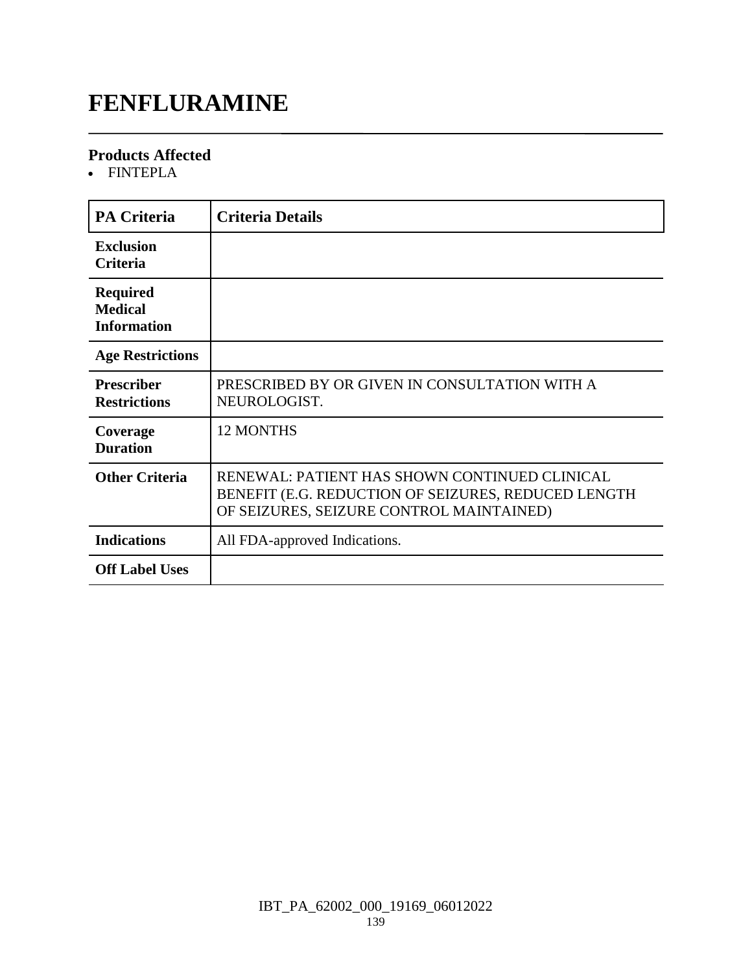## **FENFLURAMINE**

### **Products Affected**

FINTEPLA

| <b>PA Criteria</b>                                      | <b>Criteria Details</b>                                                                                                                          |
|---------------------------------------------------------|--------------------------------------------------------------------------------------------------------------------------------------------------|
| <b>Exclusion</b><br><b>Criteria</b>                     |                                                                                                                                                  |
| <b>Required</b><br><b>Medical</b><br><b>Information</b> |                                                                                                                                                  |
| <b>Age Restrictions</b>                                 |                                                                                                                                                  |
| <b>Prescriber</b><br><b>Restrictions</b>                | PRESCRIBED BY OR GIVEN IN CONSULTATION WITH A<br>NEUROLOGIST.                                                                                    |
| Coverage<br><b>Duration</b>                             | <b>12 MONTHS</b>                                                                                                                                 |
| <b>Other Criteria</b>                                   | RENEWAL: PATIENT HAS SHOWN CONTINUED CLINICAL<br>BENEFIT (E.G. REDUCTION OF SEIZURES, REDUCED LENGTH<br>OF SEIZURES, SEIZURE CONTROL MAINTAINED) |
| <b>Indications</b>                                      | All FDA-approved Indications.                                                                                                                    |
| <b>Off Label Uses</b>                                   |                                                                                                                                                  |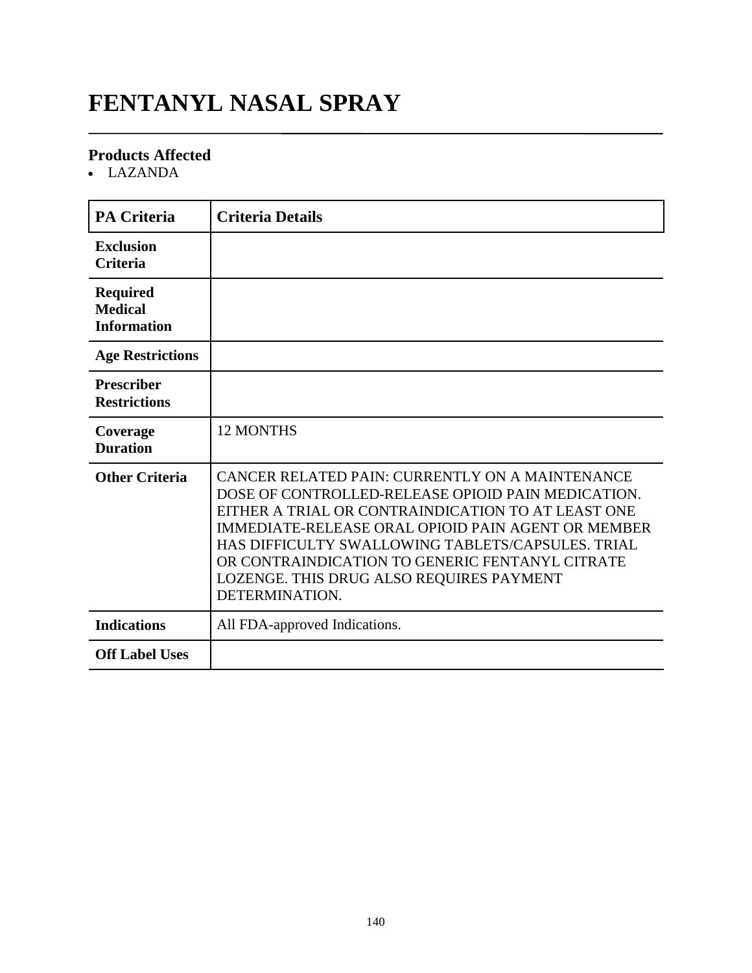# **FENTANYL NASAL SPRAY**

### **Products Affected**

LAZANDA

| <b>PA Criteria</b>                                      | <b>Criteria Details</b>                                                                                                                                                                                                                                                                                                                                                                 |
|---------------------------------------------------------|-----------------------------------------------------------------------------------------------------------------------------------------------------------------------------------------------------------------------------------------------------------------------------------------------------------------------------------------------------------------------------------------|
| <b>Exclusion</b><br><b>Criteria</b>                     |                                                                                                                                                                                                                                                                                                                                                                                         |
| <b>Required</b><br><b>Medical</b><br><b>Information</b> |                                                                                                                                                                                                                                                                                                                                                                                         |
| <b>Age Restrictions</b>                                 |                                                                                                                                                                                                                                                                                                                                                                                         |
| <b>Prescriber</b><br><b>Restrictions</b>                |                                                                                                                                                                                                                                                                                                                                                                                         |
| Coverage<br><b>Duration</b>                             | <b>12 MONTHS</b>                                                                                                                                                                                                                                                                                                                                                                        |
| <b>Other Criteria</b>                                   | CANCER RELATED PAIN: CURRENTLY ON A MAINTENANCE<br>DOSE OF CONTROLLED-RELEASE OPIOID PAIN MEDICATION.<br>EITHER A TRIAL OR CONTRAINDICATION TO AT LEAST ONE<br>IMMEDIATE-RELEASE ORAL OPIOID PAIN AGENT OR MEMBER<br>HAS DIFFICULTY SWALLOWING TABLETS/CAPSULES. TRIAL<br>OR CONTRAINDICATION TO GENERIC FENTANYL CITRATE<br>LOZENGE. THIS DRUG ALSO REQUIRES PAYMENT<br>DETERMINATION. |
| <b>Indications</b>                                      | All FDA-approved Indications.                                                                                                                                                                                                                                                                                                                                                           |
| <b>Off Label Uses</b>                                   |                                                                                                                                                                                                                                                                                                                                                                                         |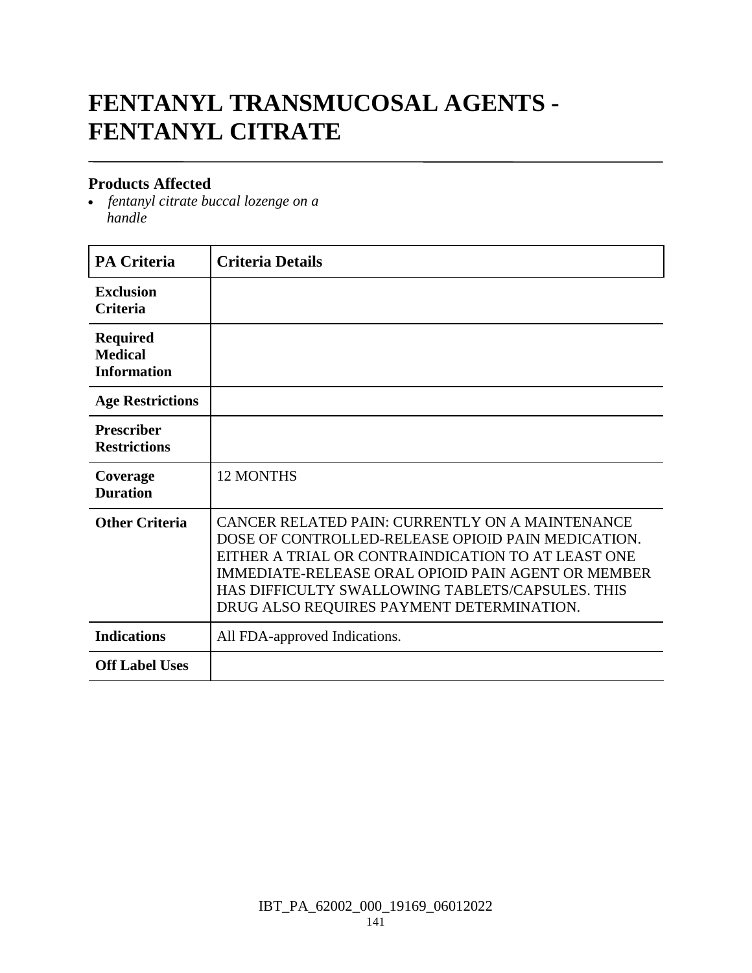# **FENTANYL TRANSMUCOSAL AGENTS - FENTANYL CITRATE**

### **Products Affected**

 *fentanyl citrate buccal lozenge on a handle*

| <b>PA Criteria</b>                                      | <b>Criteria Details</b>                                                                                                                                                                                                                                                                                            |
|---------------------------------------------------------|--------------------------------------------------------------------------------------------------------------------------------------------------------------------------------------------------------------------------------------------------------------------------------------------------------------------|
| <b>Exclusion</b><br><b>Criteria</b>                     |                                                                                                                                                                                                                                                                                                                    |
| <b>Required</b><br><b>Medical</b><br><b>Information</b> |                                                                                                                                                                                                                                                                                                                    |
| <b>Age Restrictions</b>                                 |                                                                                                                                                                                                                                                                                                                    |
| <b>Prescriber</b><br><b>Restrictions</b>                |                                                                                                                                                                                                                                                                                                                    |
| Coverage<br><b>Duration</b>                             | <b>12 MONTHS</b>                                                                                                                                                                                                                                                                                                   |
| <b>Other Criteria</b>                                   | CANCER RELATED PAIN: CURRENTLY ON A MAINTENANCE<br>DOSE OF CONTROLLED-RELEASE OPIOID PAIN MEDICATION.<br>EITHER A TRIAL OR CONTRAINDICATION TO AT LEAST ONE<br>IMMEDIATE-RELEASE ORAL OPIOID PAIN AGENT OR MEMBER<br>HAS DIFFICULTY SWALLOWING TABLETS/CAPSULES. THIS<br>DRUG ALSO REQUIRES PAYMENT DETERMINATION. |
| <b>Indications</b>                                      | All FDA-approved Indications.                                                                                                                                                                                                                                                                                      |
| <b>Off Label Uses</b>                                   |                                                                                                                                                                                                                                                                                                                    |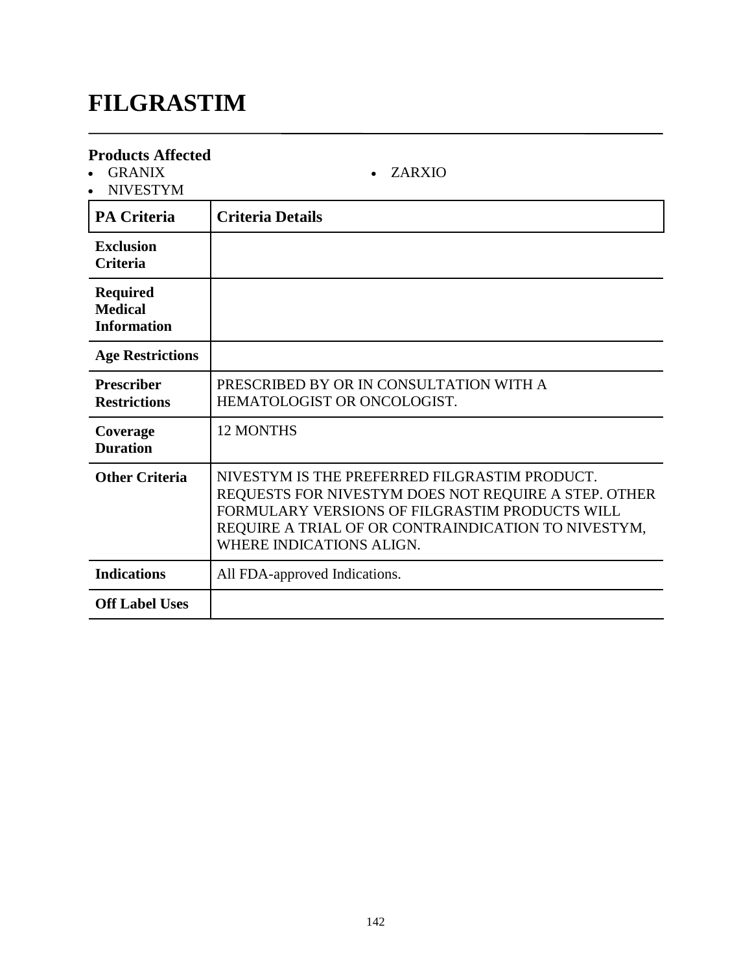# **FILGRASTIM**

| <b>Products Affected</b><br><b>GRANIX</b><br><b>NIVESTYM</b> | <b>ZARXIO</b>                                                                                                                                                                                                                              |
|--------------------------------------------------------------|--------------------------------------------------------------------------------------------------------------------------------------------------------------------------------------------------------------------------------------------|
| <b>PA Criteria</b>                                           | <b>Criteria Details</b>                                                                                                                                                                                                                    |
| <b>Exclusion</b><br><b>Criteria</b>                          |                                                                                                                                                                                                                                            |
| <b>Required</b><br><b>Medical</b><br><b>Information</b>      |                                                                                                                                                                                                                                            |
| <b>Age Restrictions</b>                                      |                                                                                                                                                                                                                                            |
| <b>Prescriber</b><br><b>Restrictions</b>                     | PRESCRIBED BY OR IN CONSULTATION WITH A<br>HEMATOLOGIST OR ONCOLOGIST.                                                                                                                                                                     |
| Coverage<br><b>Duration</b>                                  | <b>12 MONTHS</b>                                                                                                                                                                                                                           |
| <b>Other Criteria</b>                                        | NIVESTYM IS THE PREFERRED FILGRASTIM PRODUCT.<br>REQUESTS FOR NIVESTYM DOES NOT REQUIRE A STEP. OTHER<br>FORMULARY VERSIONS OF FILGRASTIM PRODUCTS WILL<br>REQUIRE A TRIAL OF OR CONTRAINDICATION TO NIVESTYM,<br>WHERE INDICATIONS ALIGN. |
| <b>Indications</b>                                           | All FDA-approved Indications.                                                                                                                                                                                                              |
| <b>Off Label Uses</b>                                        |                                                                                                                                                                                                                                            |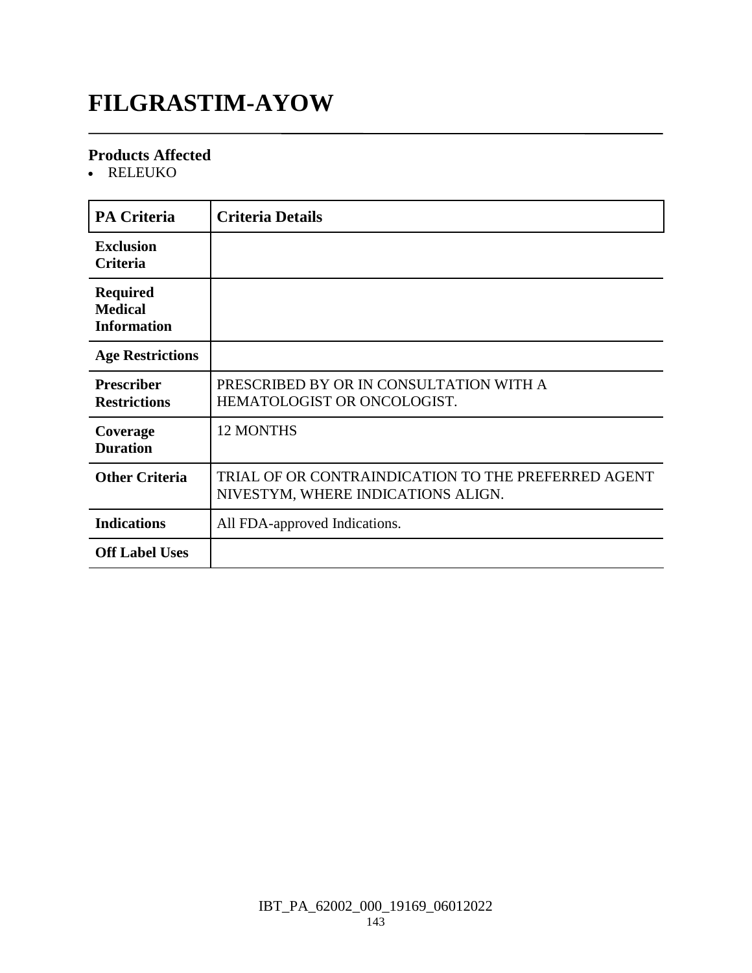# **FILGRASTIM-AYOW**

### **Products Affected**

RELEUKO

| <b>PA Criteria</b>                                      | <b>Criteria Details</b>                                                                   |
|---------------------------------------------------------|-------------------------------------------------------------------------------------------|
| <b>Exclusion</b><br><b>Criteria</b>                     |                                                                                           |
| <b>Required</b><br><b>Medical</b><br><b>Information</b> |                                                                                           |
| <b>Age Restrictions</b>                                 |                                                                                           |
| <b>Prescriber</b><br><b>Restrictions</b>                | PRESCRIBED BY OR IN CONSULTATION WITH A<br>HEMATOLOGIST OR ONCOLOGIST.                    |
| Coverage<br><b>Duration</b>                             | <b>12 MONTHS</b>                                                                          |
| <b>Other Criteria</b>                                   | TRIAL OF OR CONTRAINDICATION TO THE PREFERRED AGENT<br>NIVESTYM, WHERE INDICATIONS ALIGN. |
| <b>Indications</b>                                      | All FDA-approved Indications.                                                             |
| <b>Off Label Uses</b>                                   |                                                                                           |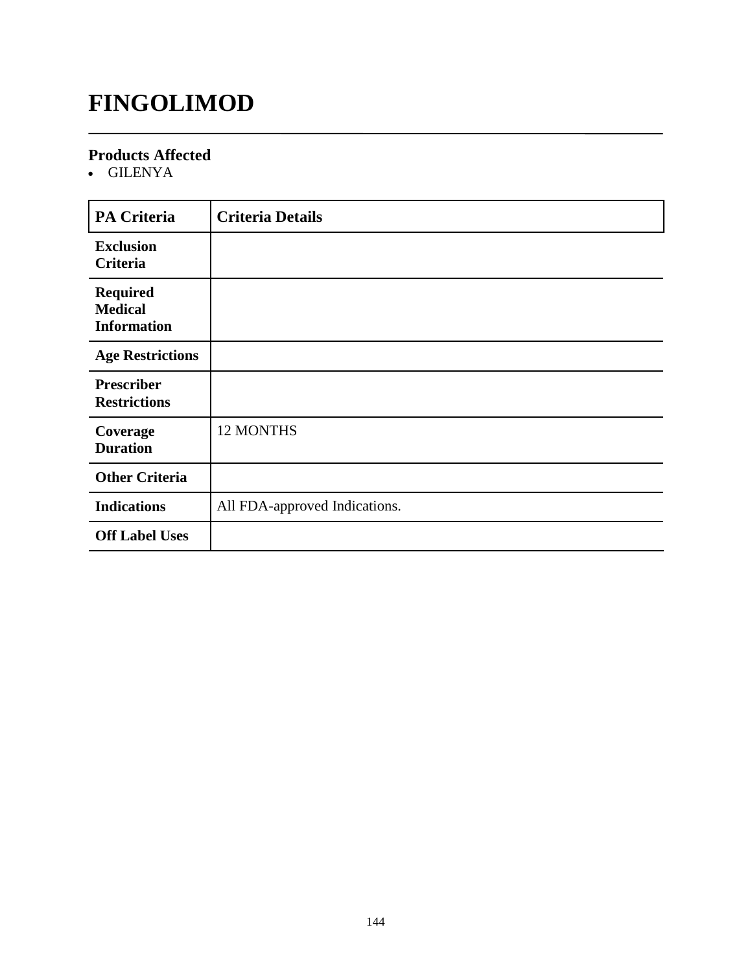# **FINGOLIMOD**

### **Products Affected**

GILENYA

| <b>PA Criteria</b>                                      | <b>Criteria Details</b>       |
|---------------------------------------------------------|-------------------------------|
| <b>Exclusion</b><br><b>Criteria</b>                     |                               |
| <b>Required</b><br><b>Medical</b><br><b>Information</b> |                               |
| <b>Age Restrictions</b>                                 |                               |
| <b>Prescriber</b><br><b>Restrictions</b>                |                               |
| Coverage<br><b>Duration</b>                             | 12 MONTHS                     |
| <b>Other Criteria</b>                                   |                               |
| <b>Indications</b>                                      | All FDA-approved Indications. |
| <b>Off Label Uses</b>                                   |                               |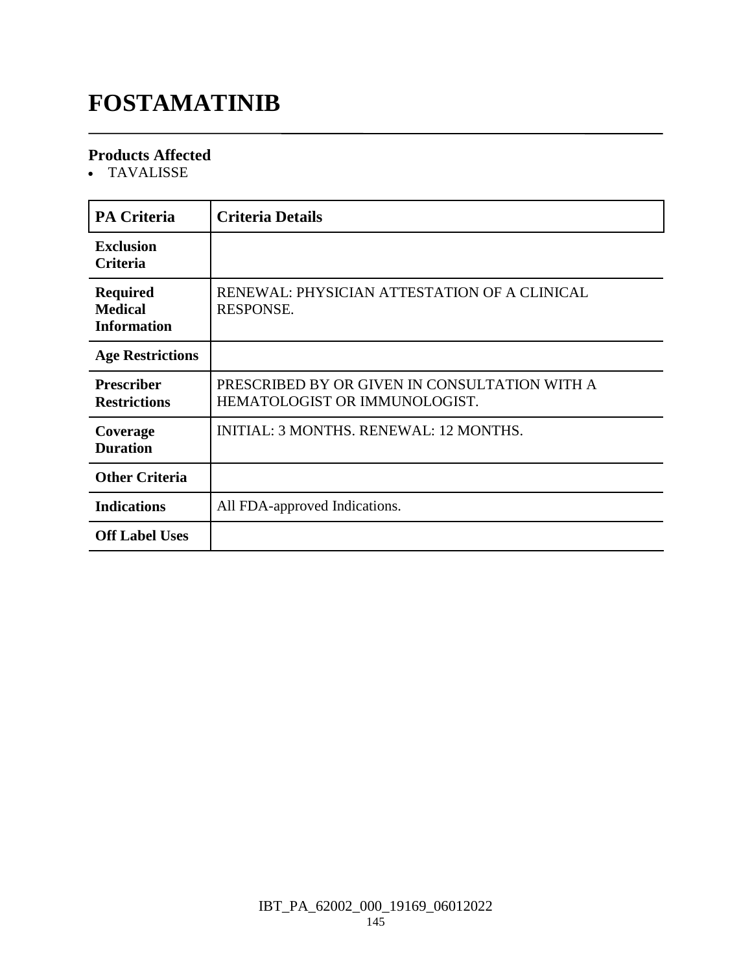# **FOSTAMATINIB**

#### **Products Affected**

TAVALISSE

| <b>PA Criteria</b>                                      | <b>Criteria Details</b>                                                        |
|---------------------------------------------------------|--------------------------------------------------------------------------------|
| <b>Exclusion</b><br><b>Criteria</b>                     |                                                                                |
| <b>Required</b><br><b>Medical</b><br><b>Information</b> | RENEWAL: PHYSICIAN ATTESTATION OF A CLINICAL<br><b>RESPONSE.</b>               |
| <b>Age Restrictions</b>                                 |                                                                                |
| <b>Prescriber</b><br><b>Restrictions</b>                | PRESCRIBED BY OR GIVEN IN CONSULTATION WITH A<br>HEMATOLOGIST OR IMMUNOLOGIST. |
| Coverage<br><b>Duration</b>                             | <b>INITIAL: 3 MONTHS, RENEWAL: 12 MONTHS.</b>                                  |
| <b>Other Criteria</b>                                   |                                                                                |
| <b>Indications</b>                                      | All FDA-approved Indications.                                                  |
| <b>Off Label Uses</b>                                   |                                                                                |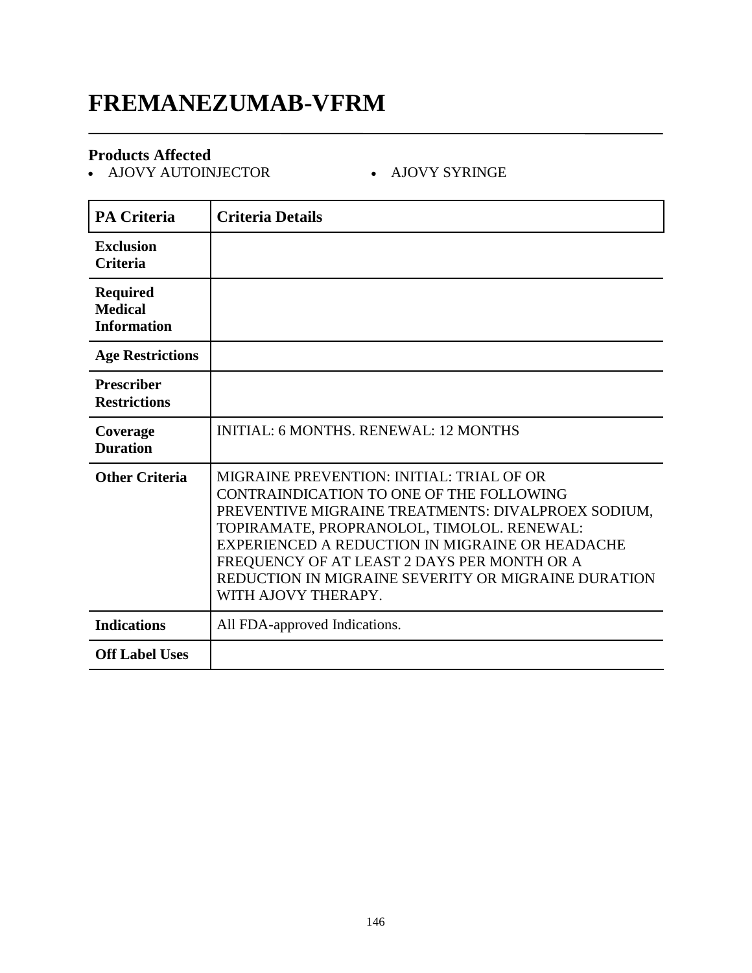### **FREMANEZUMAB-VFRM**

#### **Products Affected**

- AJOVY AUTOINJECTOR - AJOVY SYRINGE

| <b>PA Criteria</b>                                      | <b>Criteria Details</b>                                                                                                                                                                                                                                                                                                                                                          |
|---------------------------------------------------------|----------------------------------------------------------------------------------------------------------------------------------------------------------------------------------------------------------------------------------------------------------------------------------------------------------------------------------------------------------------------------------|
| <b>Exclusion</b><br><b>Criteria</b>                     |                                                                                                                                                                                                                                                                                                                                                                                  |
| <b>Required</b><br><b>Medical</b><br><b>Information</b> |                                                                                                                                                                                                                                                                                                                                                                                  |
| <b>Age Restrictions</b>                                 |                                                                                                                                                                                                                                                                                                                                                                                  |
| <b>Prescriber</b><br><b>Restrictions</b>                |                                                                                                                                                                                                                                                                                                                                                                                  |
| Coverage<br><b>Duration</b>                             | <b>INITIAL: 6 MONTHS, RENEWAL: 12 MONTHS</b>                                                                                                                                                                                                                                                                                                                                     |
| <b>Other Criteria</b>                                   | <b>MIGRAINE PREVENTION: INITIAL: TRIAL OF OR</b><br>CONTRAINDICATION TO ONE OF THE FOLLOWING<br>PREVENTIVE MIGRAINE TREATMENTS: DIVALPROEX SODIUM,<br>TOPIRAMATE, PROPRANOLOL, TIMOLOL. RENEWAL:<br>EXPERIENCED A REDUCTION IN MIGRAINE OR HEADACHE<br>FREQUENCY OF AT LEAST 2 DAYS PER MONTH OR A<br>REDUCTION IN MIGRAINE SEVERITY OR MIGRAINE DURATION<br>WITH AJOVY THERAPY. |
| <b>Indications</b>                                      | All FDA-approved Indications.                                                                                                                                                                                                                                                                                                                                                    |
| <b>Off Label Uses</b>                                   |                                                                                                                                                                                                                                                                                                                                                                                  |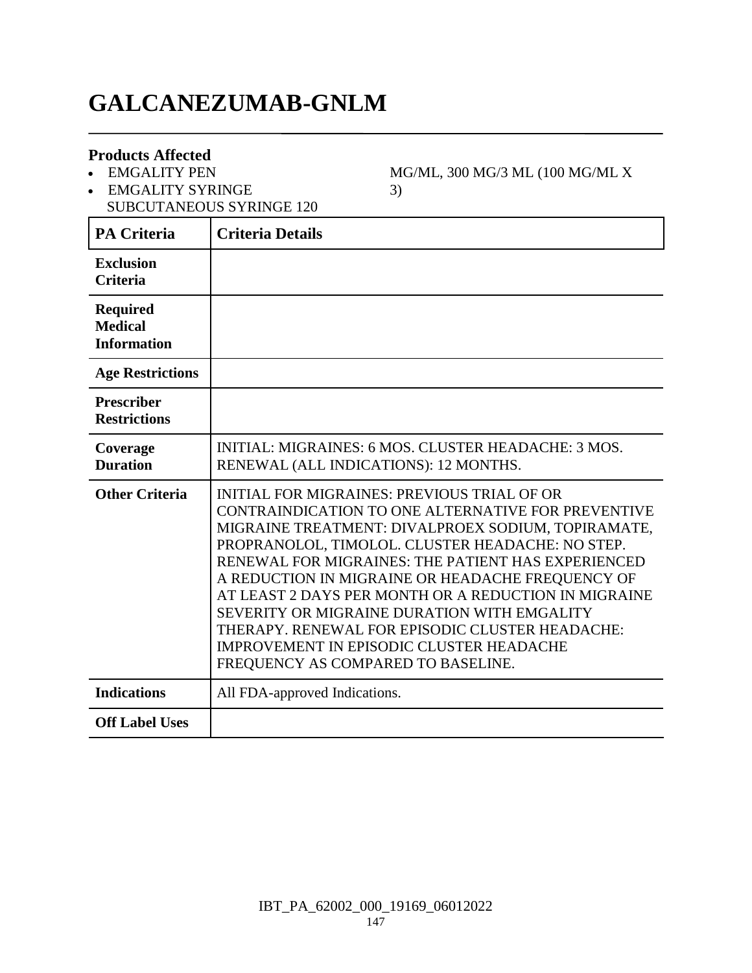## **GALCANEZUMAB-GNLM**

#### **Products Affected**

EMGALITY PEN

EMGALITY SYRINGE

MG/ML, 300 MG/3 ML (100 MG/ML X 3)

SUBCUTANEOUS SYRINGE 120 **PA Criteria Criteria Details**

| PA Criteria                                             | Criteria Details                                                                                                                                                                                                                                                                                                                                                                                                                                                                                                                                                         |
|---------------------------------------------------------|--------------------------------------------------------------------------------------------------------------------------------------------------------------------------------------------------------------------------------------------------------------------------------------------------------------------------------------------------------------------------------------------------------------------------------------------------------------------------------------------------------------------------------------------------------------------------|
| <b>Exclusion</b><br><b>Criteria</b>                     |                                                                                                                                                                                                                                                                                                                                                                                                                                                                                                                                                                          |
| <b>Required</b><br><b>Medical</b><br><b>Information</b> |                                                                                                                                                                                                                                                                                                                                                                                                                                                                                                                                                                          |
| <b>Age Restrictions</b>                                 |                                                                                                                                                                                                                                                                                                                                                                                                                                                                                                                                                                          |
| <b>Prescriber</b><br><b>Restrictions</b>                |                                                                                                                                                                                                                                                                                                                                                                                                                                                                                                                                                                          |
| Coverage<br><b>Duration</b>                             | INITIAL: MIGRAINES: 6 MOS. CLUSTER HEADACHE: 3 MOS.<br>RENEWAL (ALL INDICATIONS): 12 MONTHS.                                                                                                                                                                                                                                                                                                                                                                                                                                                                             |
| <b>Other Criteria</b>                                   | <b>INITIAL FOR MIGRAINES: PREVIOUS TRIAL OF OR</b><br>CONTRAINDICATION TO ONE ALTERNATIVE FOR PREVENTIVE<br>MIGRAINE TREATMENT: DIVALPROEX SODIUM, TOPIRAMATE,<br>PROPRANOLOL, TIMOLOL. CLUSTER HEADACHE: NO STEP.<br>RENEWAL FOR MIGRAINES: THE PATIENT HAS EXPERIENCED<br>A REDUCTION IN MIGRAINE OR HEADACHE FREQUENCY OF<br>AT LEAST 2 DAYS PER MONTH OR A REDUCTION IN MIGRAINE<br>SEVERITY OR MIGRAINE DURATION WITH EMGALITY<br>THERAPY. RENEWAL FOR EPISODIC CLUSTER HEADACHE:<br>IMPROVEMENT IN EPISODIC CLUSTER HEADACHE<br>FREQUENCY AS COMPARED TO BASELINE. |
| <b>Indications</b>                                      | All FDA-approved Indications.                                                                                                                                                                                                                                                                                                                                                                                                                                                                                                                                            |
| <b>Off Label Uses</b>                                   |                                                                                                                                                                                                                                                                                                                                                                                                                                                                                                                                                                          |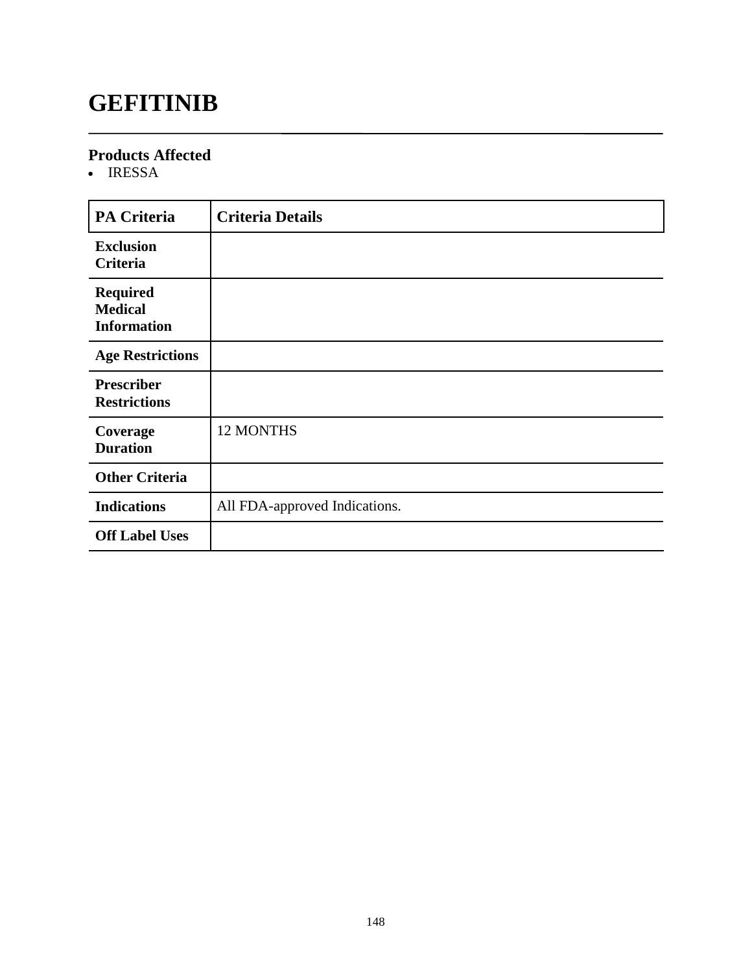### **GEFITINIB**

#### **Products Affected**

• IRESSA

| PA Criteria                                             | <b>Criteria Details</b>       |
|---------------------------------------------------------|-------------------------------|
| <b>Exclusion</b><br><b>Criteria</b>                     |                               |
| <b>Required</b><br><b>Medical</b><br><b>Information</b> |                               |
| <b>Age Restrictions</b>                                 |                               |
| <b>Prescriber</b><br><b>Restrictions</b>                |                               |
| Coverage<br><b>Duration</b>                             | 12 MONTHS                     |
| <b>Other Criteria</b>                                   |                               |
| <b>Indications</b>                                      | All FDA-approved Indications. |
| <b>Off Label Uses</b>                                   |                               |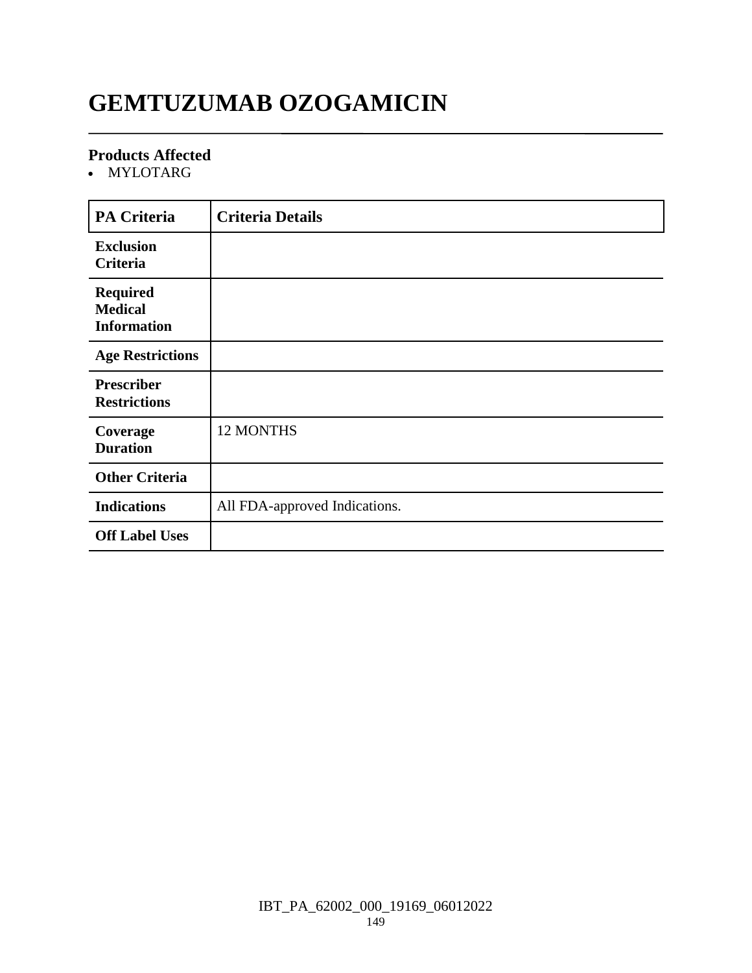# **GEMTUZUMAB OZOGAMICIN**

#### **Products Affected**

MYLOTARG

| <b>PA Criteria</b>                                      | <b>Criteria Details</b>       |
|---------------------------------------------------------|-------------------------------|
| <b>Exclusion</b><br>Criteria                            |                               |
| <b>Required</b><br><b>Medical</b><br><b>Information</b> |                               |
| <b>Age Restrictions</b>                                 |                               |
| <b>Prescriber</b><br><b>Restrictions</b>                |                               |
| Coverage<br><b>Duration</b>                             | 12 MONTHS                     |
| <b>Other Criteria</b>                                   |                               |
| <b>Indications</b>                                      | All FDA-approved Indications. |
| <b>Off Label Uses</b>                                   |                               |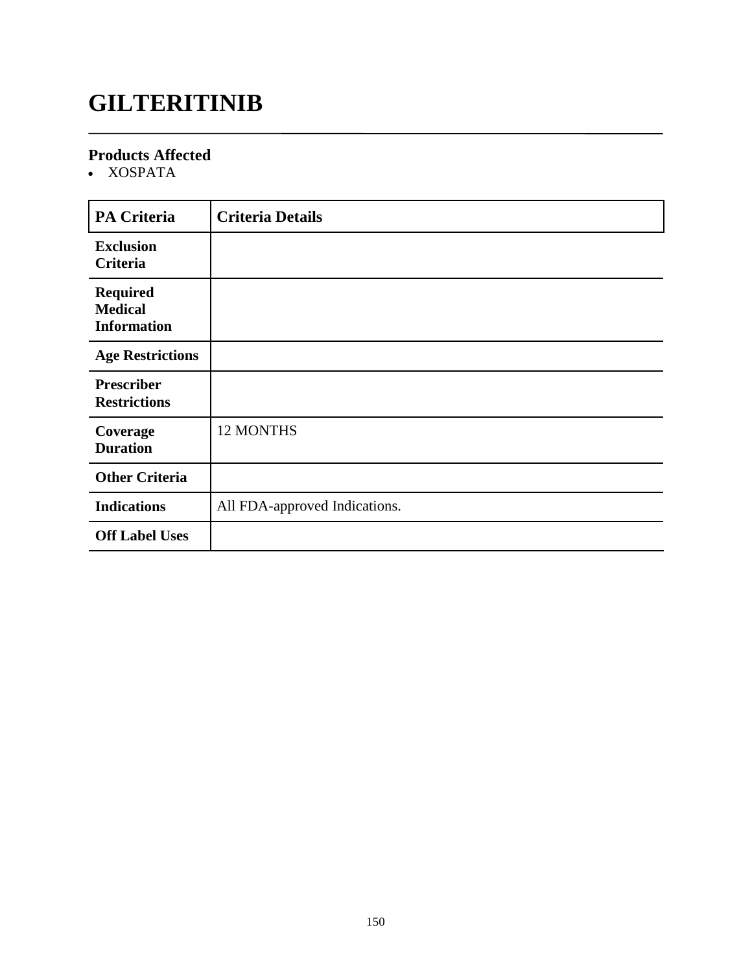# **GILTERITINIB**

#### **Products Affected**

XOSPATA

| <b>PA Criteria</b>                                      | <b>Criteria Details</b>       |
|---------------------------------------------------------|-------------------------------|
| <b>Exclusion</b><br>Criteria                            |                               |
| <b>Required</b><br><b>Medical</b><br><b>Information</b> |                               |
| <b>Age Restrictions</b>                                 |                               |
| <b>Prescriber</b><br><b>Restrictions</b>                |                               |
| Coverage<br><b>Duration</b>                             | 12 MONTHS                     |
| <b>Other Criteria</b>                                   |                               |
| <b>Indications</b>                                      | All FDA-approved Indications. |
| <b>Off Label Uses</b>                                   |                               |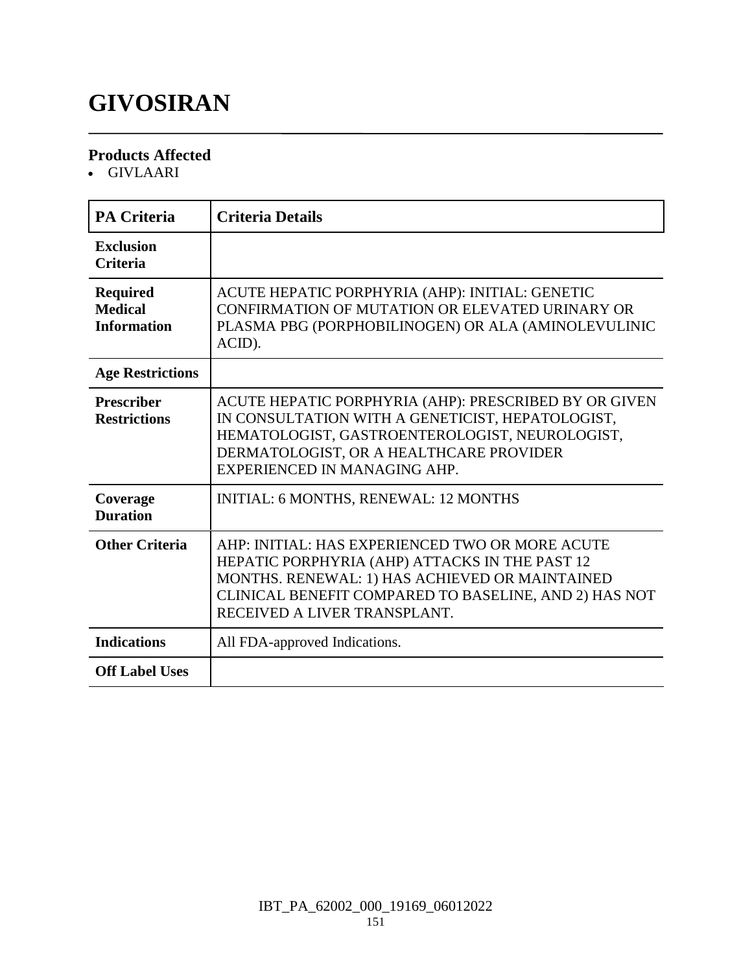# **GIVOSIRAN**

#### **Products Affected**

GIVLAARI

| PA Criteria                                             | <b>Criteria Details</b>                                                                                                                                                                                                                      |
|---------------------------------------------------------|----------------------------------------------------------------------------------------------------------------------------------------------------------------------------------------------------------------------------------------------|
| <b>Exclusion</b><br><b>Criteria</b>                     |                                                                                                                                                                                                                                              |
| <b>Required</b><br><b>Medical</b><br><b>Information</b> | ACUTE HEPATIC PORPHYRIA (AHP): INITIAL: GENETIC<br>CONFIRMATION OF MUTATION OR ELEVATED URINARY OR<br>PLASMA PBG (PORPHOBILINOGEN) OR ALA (AMINOLEVULINIC<br>ACID).                                                                          |
| <b>Age Restrictions</b>                                 |                                                                                                                                                                                                                                              |
| <b>Prescriber</b><br><b>Restrictions</b>                | ACUTE HEPATIC PORPHYRIA (AHP): PRESCRIBED BY OR GIVEN<br>IN CONSULTATION WITH A GENETICIST, HEPATOLOGIST,<br>HEMATOLOGIST, GASTROENTEROLOGIST, NEUROLOGIST,<br>DERMATOLOGIST, OR A HEALTHCARE PROVIDER<br>EXPERIENCED IN MANAGING AHP.       |
| Coverage<br><b>Duration</b>                             | INITIAL: 6 MONTHS, RENEWAL: 12 MONTHS                                                                                                                                                                                                        |
| <b>Other Criteria</b>                                   | AHP: INITIAL: HAS EXPERIENCED TWO OR MORE ACUTE<br>HEPATIC PORPHYRIA (AHP) ATTACKS IN THE PAST 12<br>MONTHS. RENEWAL: 1) HAS ACHIEVED OR MAINTAINED<br>CLINICAL BENEFIT COMPARED TO BASELINE, AND 2) HAS NOT<br>RECEIVED A LIVER TRANSPLANT. |
| <b>Indications</b>                                      | All FDA-approved Indications.                                                                                                                                                                                                                |
| <b>Off Label Uses</b>                                   |                                                                                                                                                                                                                                              |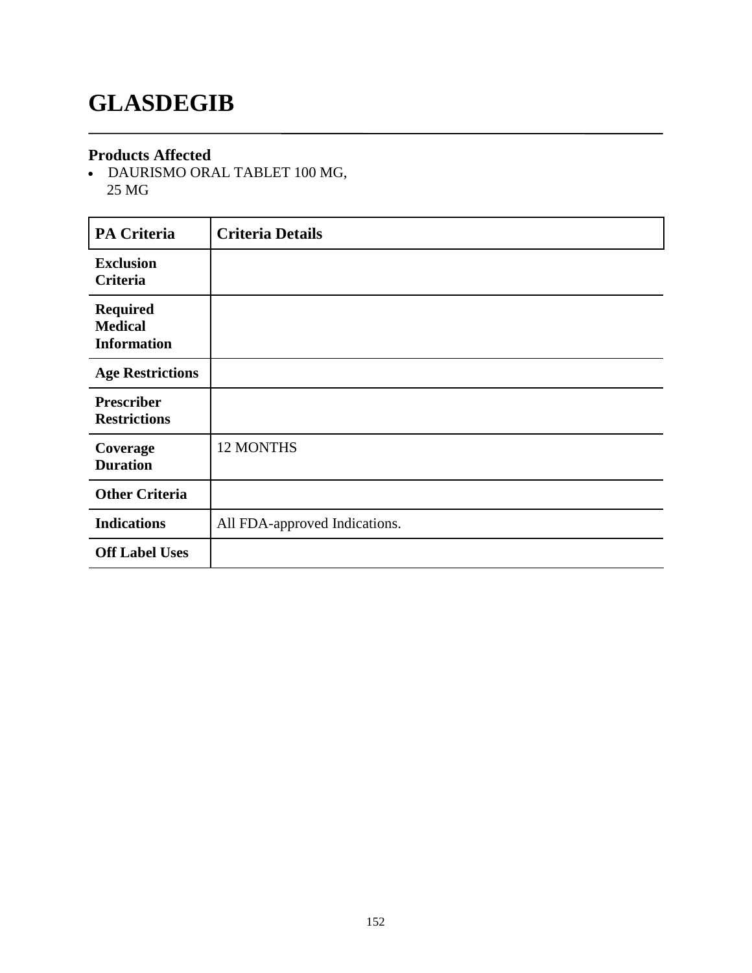### **GLASDEGIB**

#### **Products Affected**

 DAURISMO ORAL TABLET 100 MG, 25 MG

| <b>PA Criteria</b>                                      | <b>Criteria Details</b>       |
|---------------------------------------------------------|-------------------------------|
| <b>Exclusion</b><br>Criteria                            |                               |
| <b>Required</b><br><b>Medical</b><br><b>Information</b> |                               |
| <b>Age Restrictions</b>                                 |                               |
| <b>Prescriber</b><br><b>Restrictions</b>                |                               |
| Coverage<br><b>Duration</b>                             | 12 MONTHS                     |
| <b>Other Criteria</b>                                   |                               |
| <b>Indications</b>                                      | All FDA-approved Indications. |
| <b>Off Label Uses</b>                                   |                               |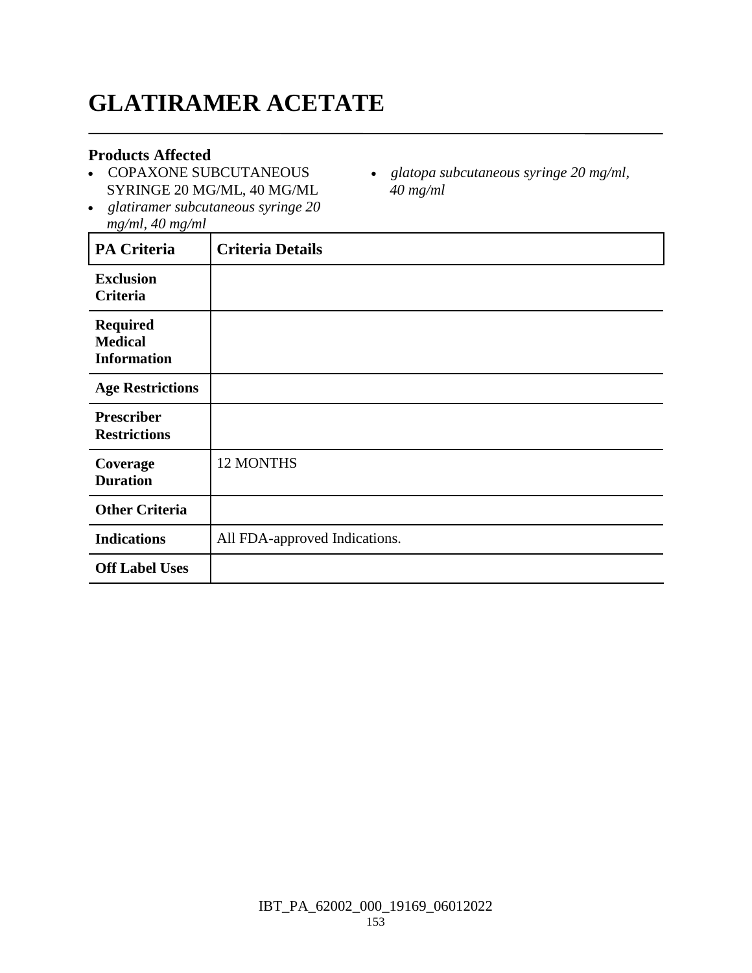# **GLATIRAMER ACETATE**

#### **Products Affected**

- COPAXONE SUBCUTANEOUS SYRINGE 20 MG/ML, 40 MG/ML
- *glatopa subcutaneous syringe 20 mg/ml, 40 mg/ml*
- *glatiramer subcutaneous syringe 20 mg/ml, 40 mg/ml*

| PA Criteria                                             | <b>Criteria Details</b>       |
|---------------------------------------------------------|-------------------------------|
| <b>Exclusion</b><br>Criteria                            |                               |
| <b>Required</b><br><b>Medical</b><br><b>Information</b> |                               |
| <b>Age Restrictions</b>                                 |                               |
| <b>Prescriber</b><br><b>Restrictions</b>                |                               |
| Coverage<br><b>Duration</b>                             | 12 MONTHS                     |
| <b>Other Criteria</b>                                   |                               |
| <b>Indications</b>                                      | All FDA-approved Indications. |
| <b>Off Label Uses</b>                                   |                               |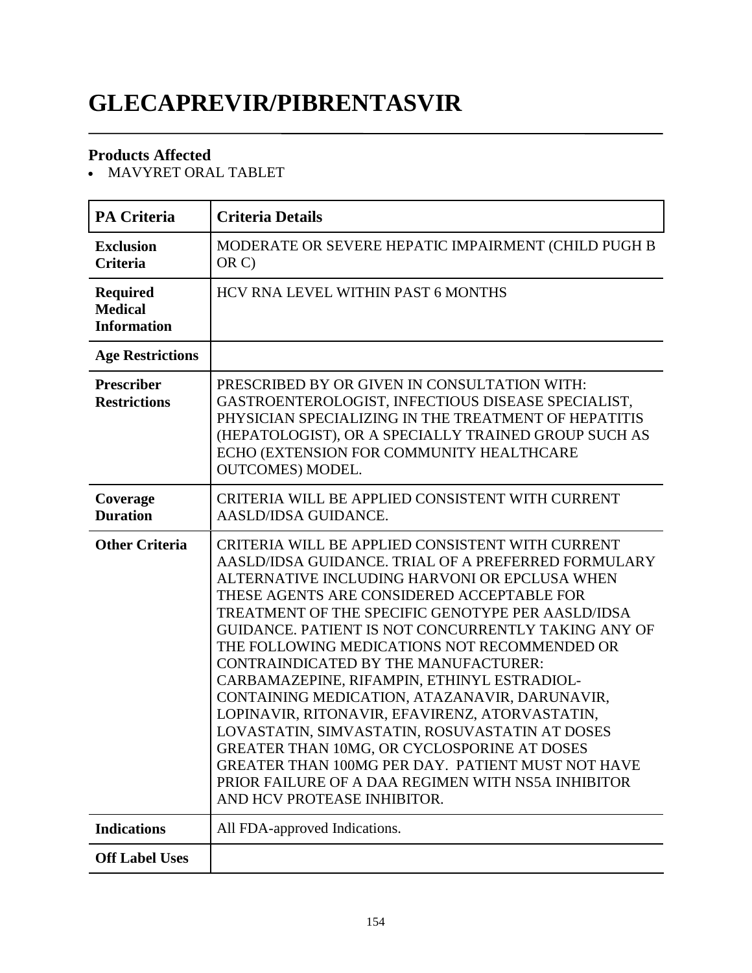# **GLECAPREVIR/PIBRENTASVIR**

#### **Products Affected**

MAVYRET ORAL TABLET

| <b>PA Criteria</b>                                      | <b>Criteria Details</b>                                                                                                                                                                                                                                                                                                                                                                                                                                                                                                                                                                                                                                                                                                                                                                                 |
|---------------------------------------------------------|---------------------------------------------------------------------------------------------------------------------------------------------------------------------------------------------------------------------------------------------------------------------------------------------------------------------------------------------------------------------------------------------------------------------------------------------------------------------------------------------------------------------------------------------------------------------------------------------------------------------------------------------------------------------------------------------------------------------------------------------------------------------------------------------------------|
| <b>Exclusion</b><br><b>Criteria</b>                     | MODERATE OR SEVERE HEPATIC IMPAIRMENT (CHILD PUGH B<br>OR C)                                                                                                                                                                                                                                                                                                                                                                                                                                                                                                                                                                                                                                                                                                                                            |
| <b>Required</b><br><b>Medical</b><br><b>Information</b> | HCV RNA LEVEL WITHIN PAST 6 MONTHS                                                                                                                                                                                                                                                                                                                                                                                                                                                                                                                                                                                                                                                                                                                                                                      |
| <b>Age Restrictions</b>                                 |                                                                                                                                                                                                                                                                                                                                                                                                                                                                                                                                                                                                                                                                                                                                                                                                         |
| <b>Prescriber</b><br><b>Restrictions</b>                | PRESCRIBED BY OR GIVEN IN CONSULTATION WITH:<br>GASTROENTEROLOGIST, INFECTIOUS DISEASE SPECIALIST,<br>PHYSICIAN SPECIALIZING IN THE TREATMENT OF HEPATITIS<br>(HEPATOLOGIST), OR A SPECIALLY TRAINED GROUP SUCH AS<br>ECHO (EXTENSION FOR COMMUNITY HEALTHCARE<br><b>OUTCOMES) MODEL.</b>                                                                                                                                                                                                                                                                                                                                                                                                                                                                                                               |
| Coverage<br><b>Duration</b>                             | CRITERIA WILL BE APPLIED CONSISTENT WITH CURRENT<br>AASLD/IDSA GUIDANCE.                                                                                                                                                                                                                                                                                                                                                                                                                                                                                                                                                                                                                                                                                                                                |
| <b>Other Criteria</b>                                   | CRITERIA WILL BE APPLIED CONSISTENT WITH CURRENT<br>AASLD/IDSA GUIDANCE. TRIAL OF A PREFERRED FORMULARY<br>ALTERNATIVE INCLUDING HARVONI OR EPCLUSA WHEN<br>THESE AGENTS ARE CONSIDERED ACCEPTABLE FOR<br>TREATMENT OF THE SPECIFIC GENOTYPE PER AASLD/IDSA<br>GUIDANCE. PATIENT IS NOT CONCURRENTLY TAKING ANY OF<br>THE FOLLOWING MEDICATIONS NOT RECOMMENDED OR<br>CONTRAINDICATED BY THE MANUFACTURER:<br>CARBAMAZEPINE, RIFAMPIN, ETHINYL ESTRADIOL-<br>CONTAINING MEDICATION, ATAZANAVIR, DARUNAVIR,<br>LOPINAVIR, RITONAVIR, EFAVIRENZ, ATORVASTATIN,<br>LOVASTATIN, SIMVASTATIN, ROSUVASTATIN AT DOSES<br>GREATER THAN 10MG, OR CYCLOSPORINE AT DOSES<br>GREATER THAN 100MG PER DAY. PATIENT MUST NOT HAVE<br>PRIOR FAILURE OF A DAA REGIMEN WITH NS5A INHIBITOR<br>AND HCV PROTEASE INHIBITOR. |
| <b>Indications</b>                                      | All FDA-approved Indications.                                                                                                                                                                                                                                                                                                                                                                                                                                                                                                                                                                                                                                                                                                                                                                           |
| <b>Off Label Uses</b>                                   |                                                                                                                                                                                                                                                                                                                                                                                                                                                                                                                                                                                                                                                                                                                                                                                                         |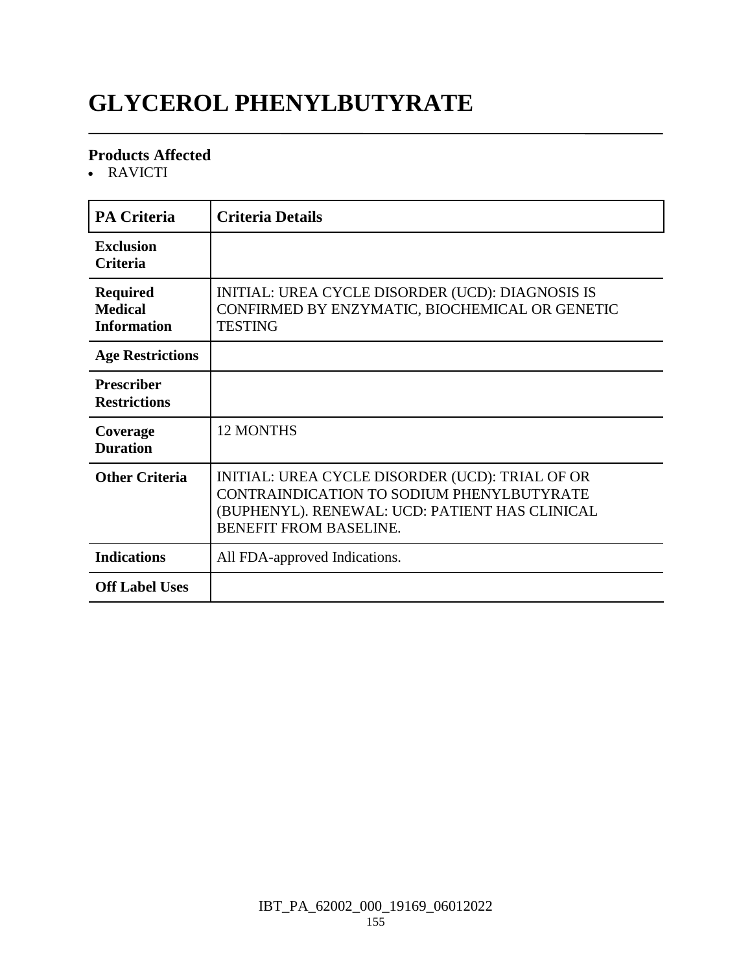# **GLYCEROL PHENYLBUTYRATE**

#### **Products Affected**

RAVICTI

| <b>PA Criteria</b>                                      | <b>Criteria Details</b>                                                                                                                                                         |
|---------------------------------------------------------|---------------------------------------------------------------------------------------------------------------------------------------------------------------------------------|
| <b>Exclusion</b><br><b>Criteria</b>                     |                                                                                                                                                                                 |
| <b>Required</b><br><b>Medical</b><br><b>Information</b> | INITIAL: UREA CYCLE DISORDER (UCD): DIAGNOSIS IS<br>CONFIRMED BY ENZYMATIC, BIOCHEMICAL OR GENETIC<br>TESTING                                                                   |
| <b>Age Restrictions</b>                                 |                                                                                                                                                                                 |
| <b>Prescriber</b><br><b>Restrictions</b>                |                                                                                                                                                                                 |
| Coverage<br><b>Duration</b>                             | <b>12 MONTHS</b>                                                                                                                                                                |
| <b>Other Criteria</b>                                   | INITIAL: UREA CYCLE DISORDER (UCD): TRIAL OF OR<br>CONTRAINDICATION TO SODIUM PHENYLBUTYRATE<br>(BUPHENYL). RENEWAL: UCD: PATIENT HAS CLINICAL<br><b>BENEFIT FROM BASELINE.</b> |
| <b>Indications</b>                                      | All FDA-approved Indications.                                                                                                                                                   |
| <b>Off Label Uses</b>                                   |                                                                                                                                                                                 |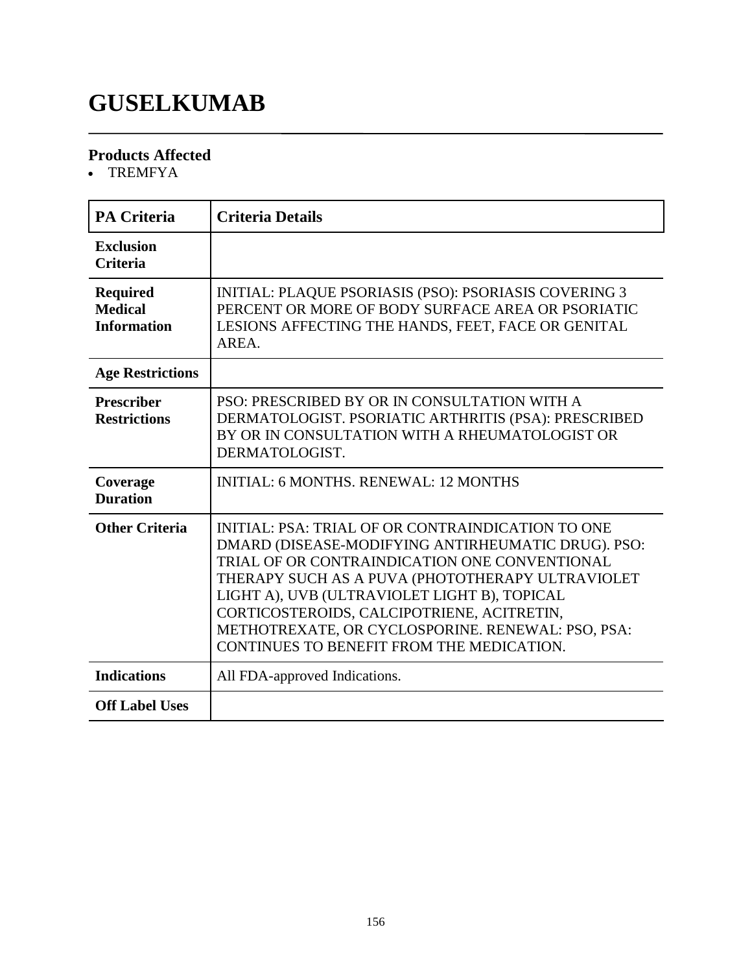### **GUSELKUMAB**

#### **Products Affected**

TREMFYA

| <b>PA Criteria</b>                                      | <b>Criteria Details</b>                                                                                                                                                                                                                                                                                                                                                                                      |
|---------------------------------------------------------|--------------------------------------------------------------------------------------------------------------------------------------------------------------------------------------------------------------------------------------------------------------------------------------------------------------------------------------------------------------------------------------------------------------|
| <b>Exclusion</b><br><b>Criteria</b>                     |                                                                                                                                                                                                                                                                                                                                                                                                              |
| <b>Required</b><br><b>Medical</b><br><b>Information</b> | <b>INITIAL: PLAQUE PSORIASIS (PSO): PSORIASIS COVERING 3</b><br>PERCENT OR MORE OF BODY SURFACE AREA OR PSORIATIC<br>LESIONS AFFECTING THE HANDS, FEET, FACE OR GENITAL<br>AREA.                                                                                                                                                                                                                             |
| <b>Age Restrictions</b>                                 |                                                                                                                                                                                                                                                                                                                                                                                                              |
| <b>Prescriber</b><br><b>Restrictions</b>                | PSO: PRESCRIBED BY OR IN CONSULTATION WITH A<br>DERMATOLOGIST. PSORIATIC ARTHRITIS (PSA): PRESCRIBED<br>BY OR IN CONSULTATION WITH A RHEUMATOLOGIST OR<br>DERMATOLOGIST.                                                                                                                                                                                                                                     |
| Coverage<br><b>Duration</b>                             | <b>INITIAL: 6 MONTHS, RENEWAL: 12 MONTHS</b>                                                                                                                                                                                                                                                                                                                                                                 |
| <b>Other Criteria</b>                                   | INITIAL: PSA: TRIAL OF OR CONTRAINDICATION TO ONE<br>DMARD (DISEASE-MODIFYING ANTIRHEUMATIC DRUG). PSO:<br>TRIAL OF OR CONTRAINDICATION ONE CONVENTIONAL<br>THERAPY SUCH AS A PUVA (PHOTOTHERAPY ULTRAVIOLET<br>LIGHT A), UVB (ULTRAVIOLET LIGHT B), TOPICAL<br>CORTICOSTEROIDS, CALCIPOTRIENE, ACITRETIN,<br>METHOTREXATE, OR CYCLOSPORINE. RENEWAL: PSO, PSA:<br>CONTINUES TO BENEFIT FROM THE MEDICATION. |
| <b>Indications</b>                                      | All FDA-approved Indications.                                                                                                                                                                                                                                                                                                                                                                                |
| <b>Off Label Uses</b>                                   |                                                                                                                                                                                                                                                                                                                                                                                                              |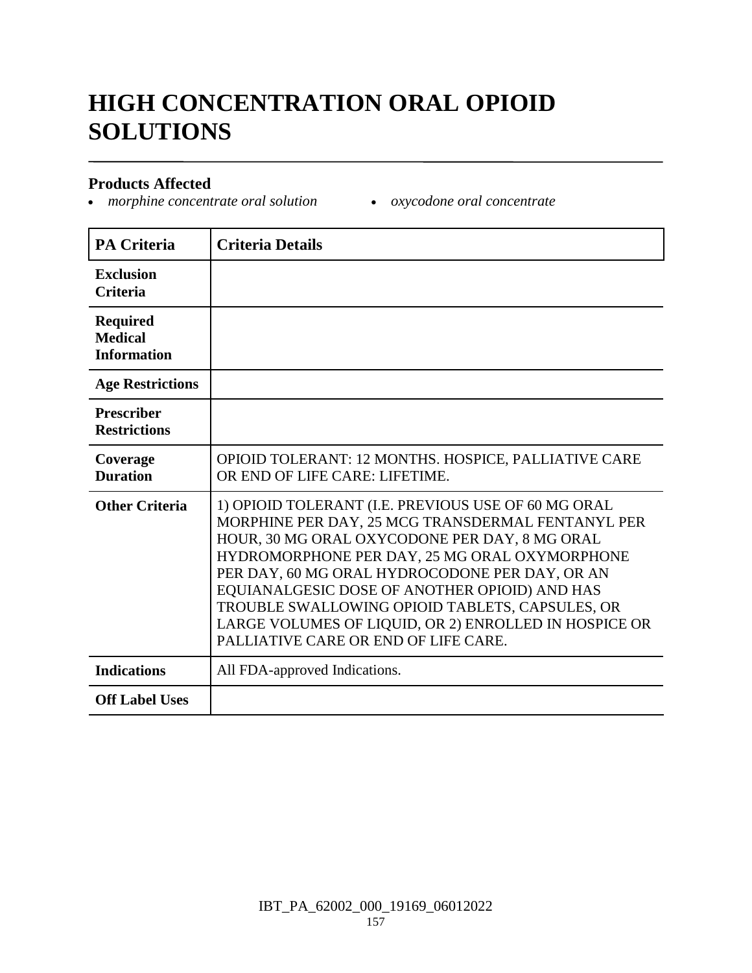# **HIGH CONCENTRATION ORAL OPIOID SOLUTIONS**

#### **Products Affected**

*morphine concentrate oral solution oxycodone oral concentrate*

| <b>PA Criteria</b>                                      | <b>Criteria Details</b>                                                                                                                                                                                                                                                                                                                                                                                                                                           |
|---------------------------------------------------------|-------------------------------------------------------------------------------------------------------------------------------------------------------------------------------------------------------------------------------------------------------------------------------------------------------------------------------------------------------------------------------------------------------------------------------------------------------------------|
| <b>Exclusion</b><br><b>Criteria</b>                     |                                                                                                                                                                                                                                                                                                                                                                                                                                                                   |
| <b>Required</b><br><b>Medical</b><br><b>Information</b> |                                                                                                                                                                                                                                                                                                                                                                                                                                                                   |
| <b>Age Restrictions</b>                                 |                                                                                                                                                                                                                                                                                                                                                                                                                                                                   |
| <b>Prescriber</b><br><b>Restrictions</b>                |                                                                                                                                                                                                                                                                                                                                                                                                                                                                   |
| Coverage<br><b>Duration</b>                             | OPIOID TOLERANT: 12 MONTHS. HOSPICE, PALLIATIVE CARE<br>OR END OF LIFE CARE: LIFETIME.                                                                                                                                                                                                                                                                                                                                                                            |
| <b>Other Criteria</b>                                   | 1) OPIOID TOLERANT (I.E. PREVIOUS USE OF 60 MG ORAL<br>MORPHINE PER DAY, 25 MCG TRANSDERMAL FENTANYL PER<br>HOUR, 30 MG ORAL OXYCODONE PER DAY, 8 MG ORAL<br>HYDROMORPHONE PER DAY, 25 MG ORAL OXYMORPHONE<br>PER DAY, 60 MG ORAL HYDROCODONE PER DAY, OR AN<br>EQUIANALGESIC DOSE OF ANOTHER OPIOID) AND HAS<br>TROUBLE SWALLOWING OPIOID TABLETS, CAPSULES, OR<br>LARGE VOLUMES OF LIQUID, OR 2) ENROLLED IN HOSPICE OR<br>PALLIATIVE CARE OR END OF LIFE CARE. |
| <b>Indications</b>                                      | All FDA-approved Indications.                                                                                                                                                                                                                                                                                                                                                                                                                                     |
| <b>Off Label Uses</b>                                   |                                                                                                                                                                                                                                                                                                                                                                                                                                                                   |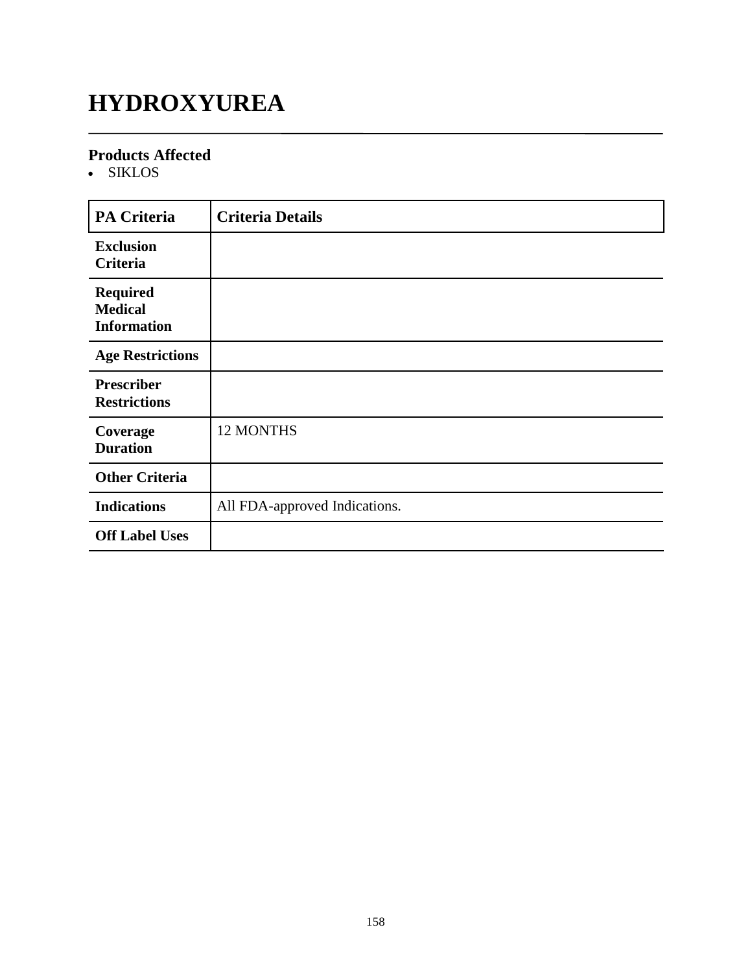# **HYDROXYUREA**

#### **Products Affected**

SIKLOS

| <b>PA Criteria</b>                                      | <b>Criteria Details</b>       |
|---------------------------------------------------------|-------------------------------|
| <b>Exclusion</b><br>Criteria                            |                               |
| <b>Required</b><br><b>Medical</b><br><b>Information</b> |                               |
| <b>Age Restrictions</b>                                 |                               |
| <b>Prescriber</b><br><b>Restrictions</b>                |                               |
| Coverage<br><b>Duration</b>                             | 12 MONTHS                     |
| <b>Other Criteria</b>                                   |                               |
| <b>Indications</b>                                      | All FDA-approved Indications. |
| <b>Off Label Uses</b>                                   |                               |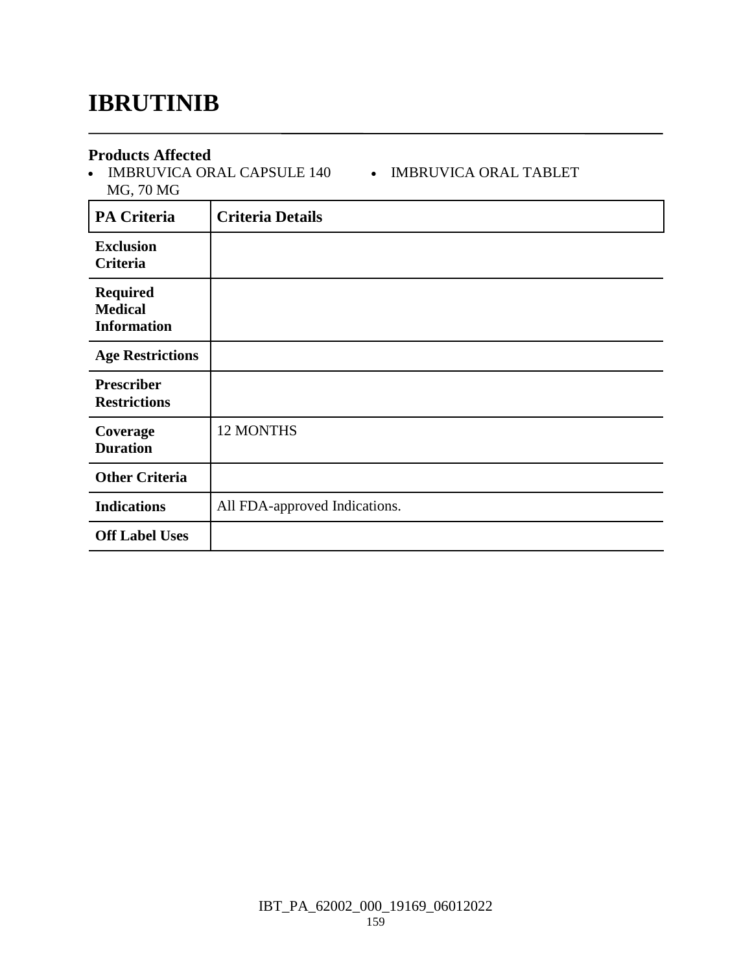### **IBRUTINIB**

#### **Products Affected**

• IMBRUVICA ORAL CAPSULE 140 • IMBRUVICA ORAL TABLET MG, 70 MG

| <b>PA Criteria</b>                                      | <b>Criteria Details</b>       |
|---------------------------------------------------------|-------------------------------|
| <b>Exclusion</b><br>Criteria                            |                               |
| <b>Required</b><br><b>Medical</b><br><b>Information</b> |                               |
| <b>Age Restrictions</b>                                 |                               |
| <b>Prescriber</b><br><b>Restrictions</b>                |                               |
| Coverage<br><b>Duration</b>                             | 12 MONTHS                     |
| <b>Other Criteria</b>                                   |                               |
| <b>Indications</b>                                      | All FDA-approved Indications. |
| <b>Off Label Uses</b>                                   |                               |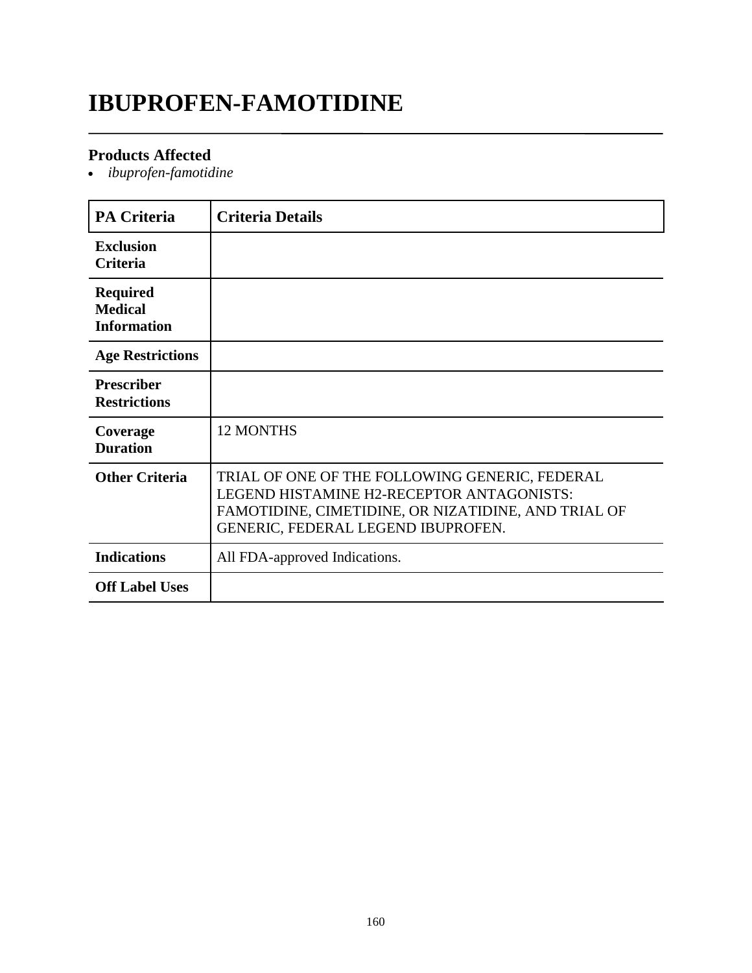## **IBUPROFEN-FAMOTIDINE**

#### **Products Affected**

*ibuprofen-famotidine*

| <b>PA Criteria</b>                                      | <b>Criteria Details</b>                                                                                                                                                                  |
|---------------------------------------------------------|------------------------------------------------------------------------------------------------------------------------------------------------------------------------------------------|
| <b>Exclusion</b><br>Criteria                            |                                                                                                                                                                                          |
| <b>Required</b><br><b>Medical</b><br><b>Information</b> |                                                                                                                                                                                          |
| <b>Age Restrictions</b>                                 |                                                                                                                                                                                          |
| <b>Prescriber</b><br><b>Restrictions</b>                |                                                                                                                                                                                          |
| Coverage<br><b>Duration</b>                             | <b>12 MONTHS</b>                                                                                                                                                                         |
| <b>Other Criteria</b>                                   | TRIAL OF ONE OF THE FOLLOWING GENERIC, FEDERAL<br>LEGEND HISTAMINE H2-RECEPTOR ANTAGONISTS:<br>FAMOTIDINE, CIMETIDINE, OR NIZATIDINE, AND TRIAL OF<br>GENERIC, FEDERAL LEGEND IBUPROFEN. |
| <b>Indications</b>                                      | All FDA-approved Indications.                                                                                                                                                            |
| <b>Off Label Uses</b>                                   |                                                                                                                                                                                          |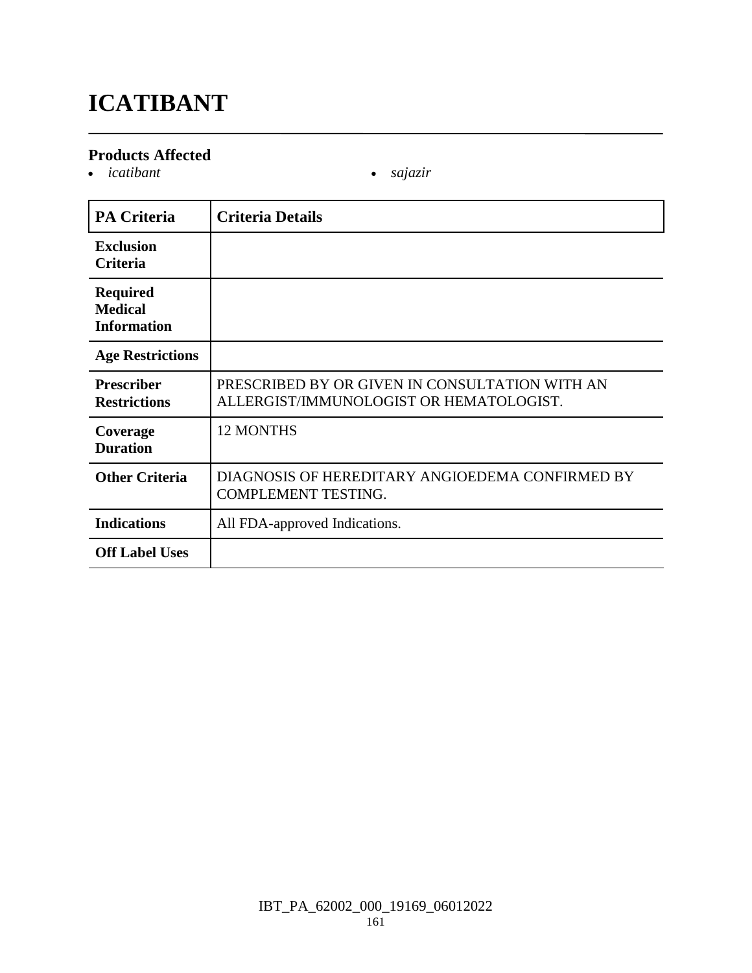# **ICATIBANT**

#### **Products Affected**

*icatibant sajazir*

| <b>PA Criteria</b>                                      | <b>Criteria Details</b>                                                                   |
|---------------------------------------------------------|-------------------------------------------------------------------------------------------|
| <b>Exclusion</b><br><b>Criteria</b>                     |                                                                                           |
| <b>Required</b><br><b>Medical</b><br><b>Information</b> |                                                                                           |
| <b>Age Restrictions</b>                                 |                                                                                           |
| <b>Prescriber</b><br><b>Restrictions</b>                | PRESCRIBED BY OR GIVEN IN CONSULTATION WITH AN<br>ALLERGIST/IMMUNOLOGIST OR HEMATOLOGIST. |
| Coverage<br><b>Duration</b>                             | <b>12 MONTHS</b>                                                                          |
| <b>Other Criteria</b>                                   | DIAGNOSIS OF HEREDITARY ANGIOEDEMA CONFIRMED BY<br><b>COMPLEMENT TESTING.</b>             |
| <b>Indications</b>                                      | All FDA-approved Indications.                                                             |
| <b>Off Label Uses</b>                                   |                                                                                           |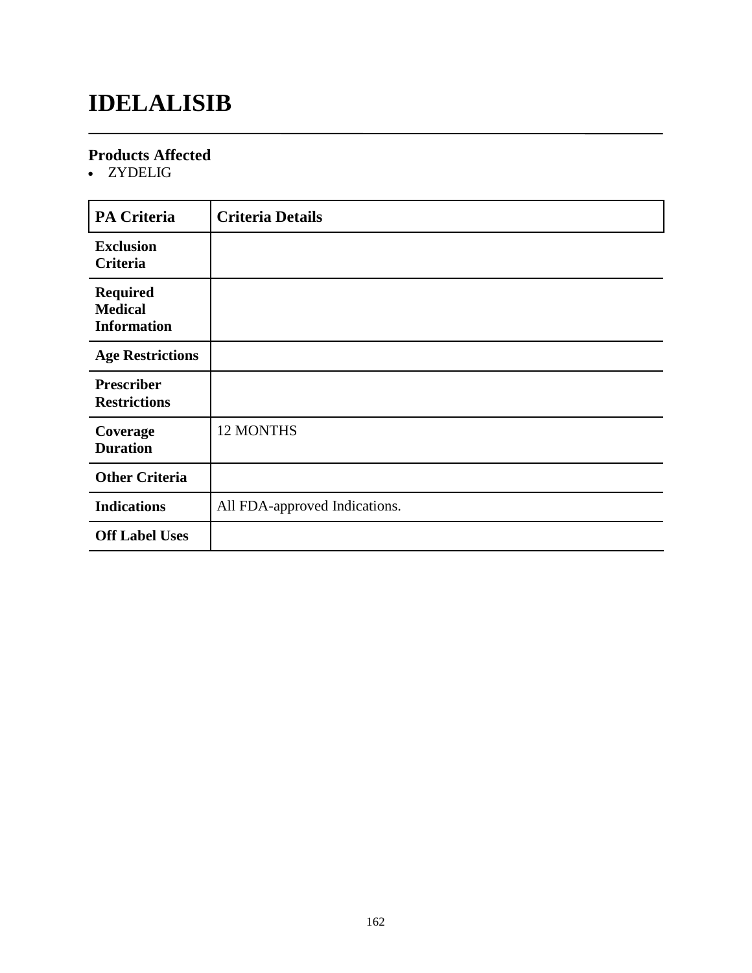## **IDELALISIB**

#### **Products Affected**

• ZYDELIG

| <b>PA Criteria</b>                                      | <b>Criteria Details</b>       |
|---------------------------------------------------------|-------------------------------|
| <b>Exclusion</b><br>Criteria                            |                               |
| <b>Required</b><br><b>Medical</b><br><b>Information</b> |                               |
| <b>Age Restrictions</b>                                 |                               |
| <b>Prescriber</b><br><b>Restrictions</b>                |                               |
| Coverage<br><b>Duration</b>                             | 12 MONTHS                     |
| <b>Other Criteria</b>                                   |                               |
| <b>Indications</b>                                      | All FDA-approved Indications. |
| <b>Off Label Uses</b>                                   |                               |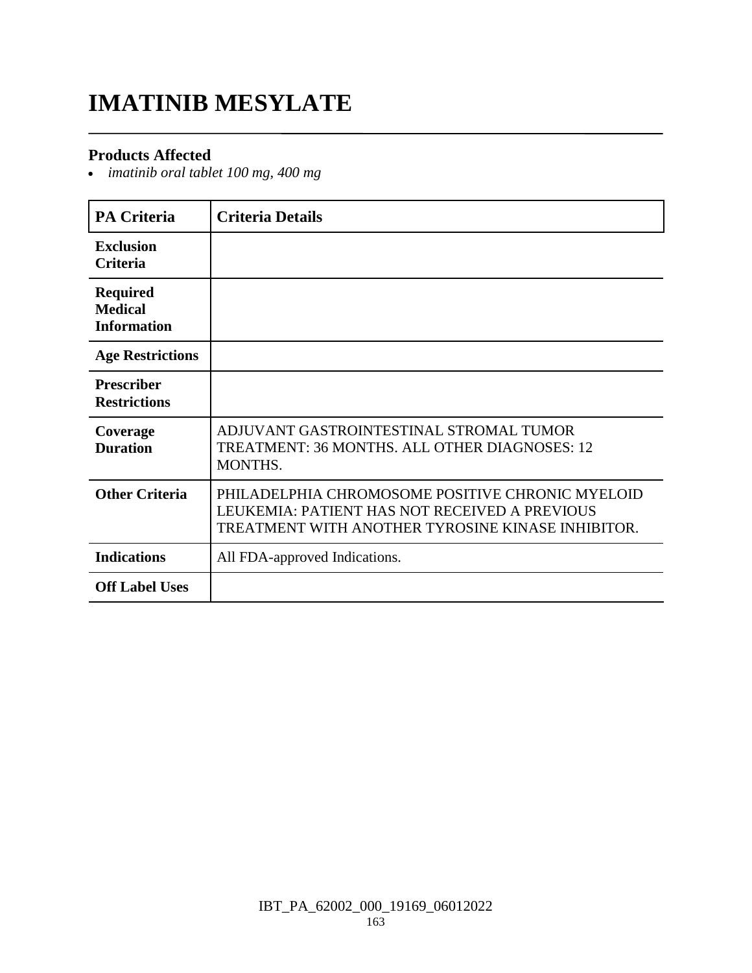### **IMATINIB MESYLATE**

#### **Products Affected**

*imatinib oral tablet 100 mg, 400 mg*

| <b>PA Criteria</b>                                      | <b>Criteria Details</b>                                                                                                                                |
|---------------------------------------------------------|--------------------------------------------------------------------------------------------------------------------------------------------------------|
| <b>Exclusion</b><br><b>Criteria</b>                     |                                                                                                                                                        |
| <b>Required</b><br><b>Medical</b><br><b>Information</b> |                                                                                                                                                        |
| <b>Age Restrictions</b>                                 |                                                                                                                                                        |
| <b>Prescriber</b><br><b>Restrictions</b>                |                                                                                                                                                        |
| Coverage<br><b>Duration</b>                             | ADJUVANT GASTROINTESTINAL STROMAL TUMOR<br>TREATMENT: 36 MONTHS, ALL OTHER DIAGNOSES: 12<br>MONTHS.                                                    |
| <b>Other Criteria</b>                                   | PHILADELPHIA CHROMOSOME POSITIVE CHRONIC MYELOID<br>LEUKEMIA: PATIENT HAS NOT RECEIVED A PREVIOUS<br>TREATMENT WITH ANOTHER TYROSINE KINASE INHIBITOR. |
| <b>Indications</b>                                      | All FDA-approved Indications.                                                                                                                          |
| <b>Off Label Uses</b>                                   |                                                                                                                                                        |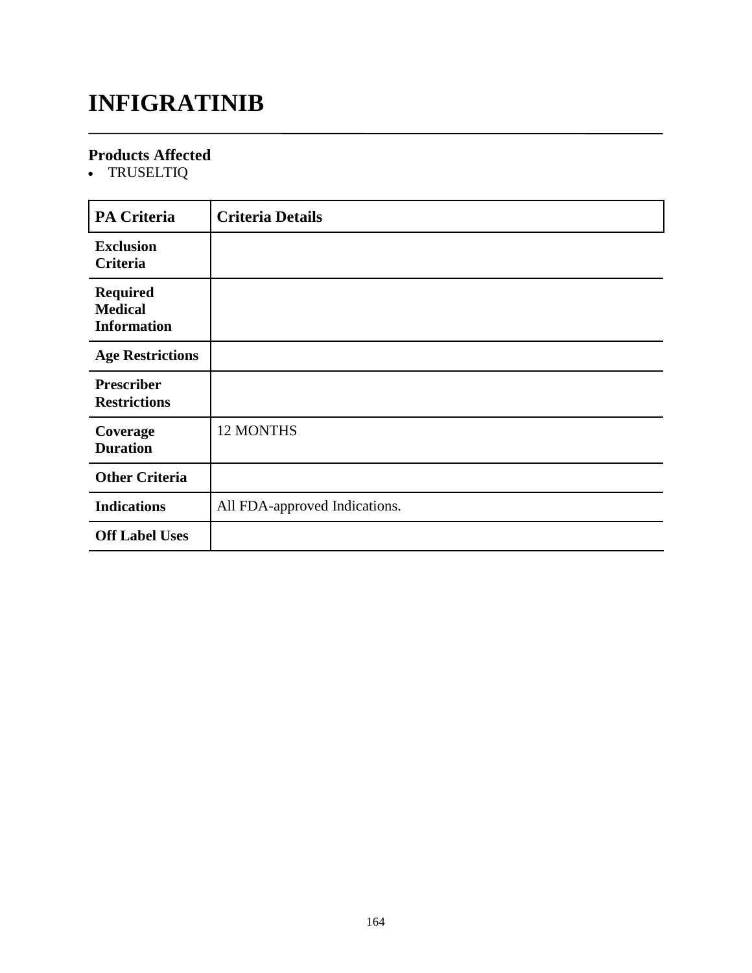# **INFIGRATINIB**

#### **Products Affected**

TRUSELTIQ

| <b>PA Criteria</b>                                      | <b>Criteria Details</b>       |
|---------------------------------------------------------|-------------------------------|
| <b>Exclusion</b><br>Criteria                            |                               |
| <b>Required</b><br><b>Medical</b><br><b>Information</b> |                               |
| <b>Age Restrictions</b>                                 |                               |
| <b>Prescriber</b><br><b>Restrictions</b>                |                               |
| Coverage<br><b>Duration</b>                             | 12 MONTHS                     |
| <b>Other Criteria</b>                                   |                               |
| <b>Indications</b>                                      | All FDA-approved Indications. |
| <b>Off Label Uses</b>                                   |                               |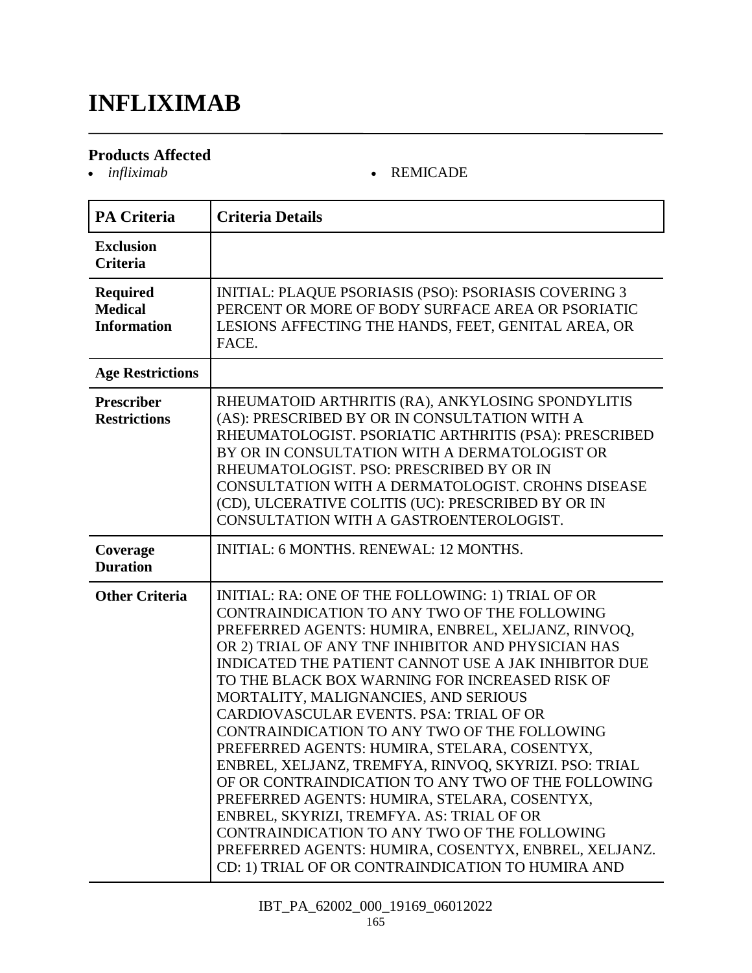### **INFLIXIMAB**

# **Products Affected**

#### *infliximab* REMICADE

| <b>PA Criteria</b>                                      | <b>Criteria Details</b>                                                                                                                                                                                                                                                                                                                                                                                                                                                                                                                                                                                                                                                                                                                                                                                                                                                                   |
|---------------------------------------------------------|-------------------------------------------------------------------------------------------------------------------------------------------------------------------------------------------------------------------------------------------------------------------------------------------------------------------------------------------------------------------------------------------------------------------------------------------------------------------------------------------------------------------------------------------------------------------------------------------------------------------------------------------------------------------------------------------------------------------------------------------------------------------------------------------------------------------------------------------------------------------------------------------|
| <b>Exclusion</b><br><b>Criteria</b>                     |                                                                                                                                                                                                                                                                                                                                                                                                                                                                                                                                                                                                                                                                                                                                                                                                                                                                                           |
| <b>Required</b><br><b>Medical</b><br><b>Information</b> | <b>INITIAL: PLAQUE PSORIASIS (PSO): PSORIASIS COVERING 3</b><br>PERCENT OR MORE OF BODY SURFACE AREA OR PSORIATIC<br>LESIONS AFFECTING THE HANDS, FEET, GENITAL AREA, OR<br>FACE.                                                                                                                                                                                                                                                                                                                                                                                                                                                                                                                                                                                                                                                                                                         |
| <b>Age Restrictions</b>                                 |                                                                                                                                                                                                                                                                                                                                                                                                                                                                                                                                                                                                                                                                                                                                                                                                                                                                                           |
| Prescriber<br><b>Restrictions</b>                       | RHEUMATOID ARTHRITIS (RA), ANKYLOSING SPONDYLITIS<br>(AS): PRESCRIBED BY OR IN CONSULTATION WITH A<br>RHEUMATOLOGIST. PSORIATIC ARTHRITIS (PSA): PRESCRIBED<br>BY OR IN CONSULTATION WITH A DERMATOLOGIST OR<br>RHEUMATOLOGIST. PSO: PRESCRIBED BY OR IN<br>CONSULTATION WITH A DERMATOLOGIST. CROHNS DISEASE<br>(CD), ULCERATIVE COLITIS (UC): PRESCRIBED BY OR IN<br>CONSULTATION WITH A GASTROENTEROLOGIST.                                                                                                                                                                                                                                                                                                                                                                                                                                                                            |
| Coverage<br><b>Duration</b>                             | <b>INITIAL: 6 MONTHS, RENEWAL: 12 MONTHS.</b>                                                                                                                                                                                                                                                                                                                                                                                                                                                                                                                                                                                                                                                                                                                                                                                                                                             |
| <b>Other Criteria</b>                                   | INITIAL: RA: ONE OF THE FOLLOWING: 1) TRIAL OF OR<br>CONTRAINDICATION TO ANY TWO OF THE FOLLOWING<br>PREFERRED AGENTS: HUMIRA, ENBREL, XELJANZ, RINVOQ,<br>OR 2) TRIAL OF ANY TNF INHIBITOR AND PHYSICIAN HAS<br><b>INDICATED THE PATIENT CANNOT USE A JAK INHIBITOR DUE</b><br>TO THE BLACK BOX WARNING FOR INCREASED RISK OF<br>MORTALITY, MALIGNANCIES, AND SERIOUS<br>CARDIOVASCULAR EVENTS. PSA: TRIAL OF OR<br>CONTRAINDICATION TO ANY TWO OF THE FOLLOWING<br>PREFERRED AGENTS: HUMIRA, STELARA, COSENTYX<br>ENBREL, XELJANZ, TREMFYA, RINVOQ, SKYRIZI. PSO: TRIAL<br>OF OR CONTRAINDICATION TO ANY TWO OF THE FOLLOWING<br>PREFERRED AGENTS: HUMIRA, STELARA, COSENTYX,<br>ENBREL, SKYRIZI, TREMFYA. AS: TRIAL OF OR<br>CONTRAINDICATION TO ANY TWO OF THE FOLLOWING<br>PREFERRED AGENTS: HUMIRA, COSENTYX, ENBREL, XELJANZ.<br>CD: 1) TRIAL OF OR CONTRAINDICATION TO HUMIRA AND |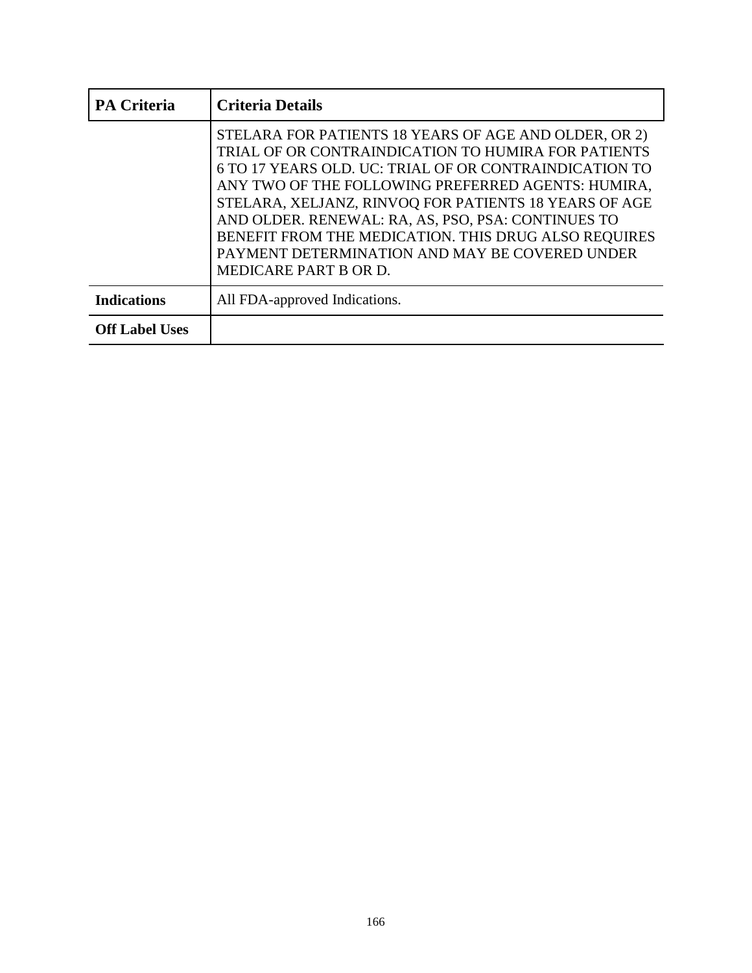| <b>PA Criteria</b>    | <b>Criteria Details</b>                                                                                                                                                                                                                                                                                                                                                                                                                                                        |
|-----------------------|--------------------------------------------------------------------------------------------------------------------------------------------------------------------------------------------------------------------------------------------------------------------------------------------------------------------------------------------------------------------------------------------------------------------------------------------------------------------------------|
|                       | STELARA FOR PATIENTS 18 YEARS OF AGE AND OLDER, OR 2)<br>TRIAL OF OR CONTRAINDICATION TO HUMIRA FOR PATIENTS<br>6 TO 17 YEARS OLD. UC: TRIAL OF OR CONTRAINDICATION TO<br>ANY TWO OF THE FOLLOWING PREFERRED AGENTS: HUMIRA,<br>STELARA, XELJANZ, RINVOQ FOR PATIENTS 18 YEARS OF AGE<br>AND OLDER. RENEWAL: RA, AS, PSO, PSA: CONTINUES TO<br>BENEFIT FROM THE MEDICATION. THIS DRUG ALSO REQUIRES<br>PAYMENT DETERMINATION AND MAY BE COVERED UNDER<br>MEDICARE PART B OR D. |
| <b>Indications</b>    | All FDA-approved Indications.                                                                                                                                                                                                                                                                                                                                                                                                                                                  |
| <b>Off Label Uses</b> |                                                                                                                                                                                                                                                                                                                                                                                                                                                                                |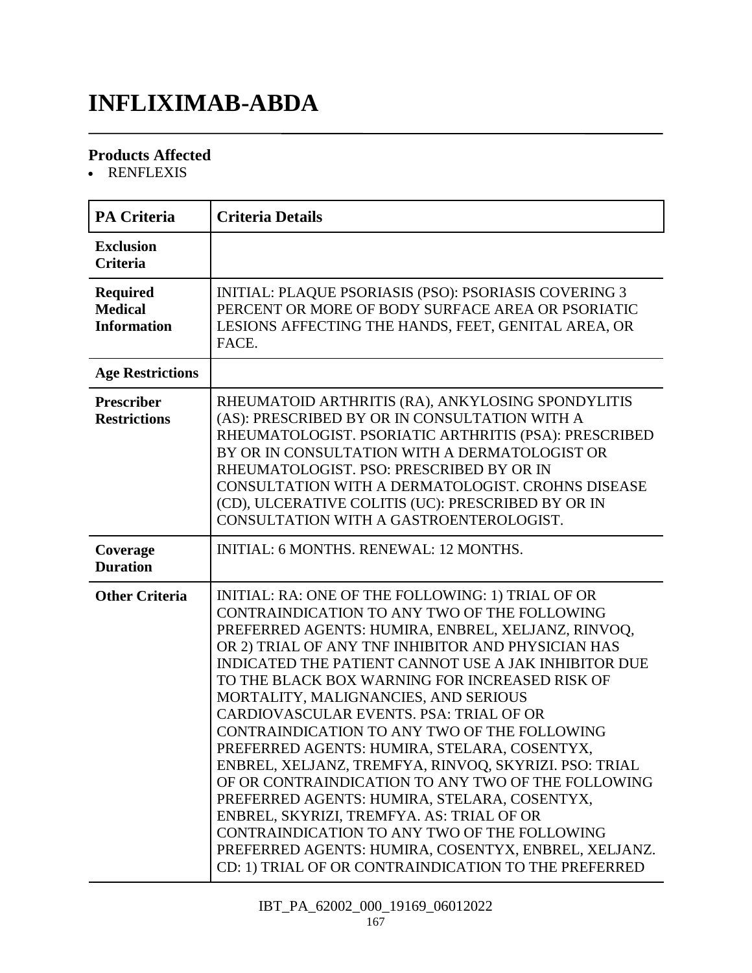### **INFLIXIMAB-ABDA**

#### **Products Affected**

• RENFLEXIS

| <b>PA Criteria</b>                                      | <b>Criteria Details</b>                                                                                                                                                                                                                                                                                                                                                                                                                                                                                                                                                                                                                                                                                                                                                                                                                                                                       |
|---------------------------------------------------------|-----------------------------------------------------------------------------------------------------------------------------------------------------------------------------------------------------------------------------------------------------------------------------------------------------------------------------------------------------------------------------------------------------------------------------------------------------------------------------------------------------------------------------------------------------------------------------------------------------------------------------------------------------------------------------------------------------------------------------------------------------------------------------------------------------------------------------------------------------------------------------------------------|
| <b>Exclusion</b><br><b>Criteria</b>                     |                                                                                                                                                                                                                                                                                                                                                                                                                                                                                                                                                                                                                                                                                                                                                                                                                                                                                               |
| <b>Required</b><br><b>Medical</b><br><b>Information</b> | INITIAL: PLAQUE PSORIASIS (PSO): PSORIASIS COVERING 3<br>PERCENT OR MORE OF BODY SURFACE AREA OR PSORIATIC<br>LESIONS AFFECTING THE HANDS, FEET, GENITAL AREA, OR<br>FACE.                                                                                                                                                                                                                                                                                                                                                                                                                                                                                                                                                                                                                                                                                                                    |
| <b>Age Restrictions</b>                                 |                                                                                                                                                                                                                                                                                                                                                                                                                                                                                                                                                                                                                                                                                                                                                                                                                                                                                               |
| <b>Prescriber</b><br><b>Restrictions</b>                | RHEUMATOID ARTHRITIS (RA), ANKYLOSING SPONDYLITIS<br>(AS): PRESCRIBED BY OR IN CONSULTATION WITH A<br>RHEUMATOLOGIST. PSORIATIC ARTHRITIS (PSA): PRESCRIBED<br>BY OR IN CONSULTATION WITH A DERMATOLOGIST OR<br>RHEUMATOLOGIST. PSO: PRESCRIBED BY OR IN<br>CONSULTATION WITH A DERMATOLOGIST. CROHNS DISEASE<br>(CD), ULCERATIVE COLITIS (UC): PRESCRIBED BY OR IN<br>CONSULTATION WITH A GASTROENTEROLOGIST.                                                                                                                                                                                                                                                                                                                                                                                                                                                                                |
| Coverage<br><b>Duration</b>                             | INITIAL: 6 MONTHS. RENEWAL: 12 MONTHS.                                                                                                                                                                                                                                                                                                                                                                                                                                                                                                                                                                                                                                                                                                                                                                                                                                                        |
| <b>Other Criteria</b>                                   | INITIAL: RA: ONE OF THE FOLLOWING: 1) TRIAL OF OR<br>CONTRAINDICATION TO ANY TWO OF THE FOLLOWING<br>PREFERRED AGENTS: HUMIRA, ENBREL, XELJANZ, RINVOQ,<br>OR 2) TRIAL OF ANY TNF INHIBITOR AND PHYSICIAN HAS<br><b>INDICATED THE PATIENT CANNOT USE A JAK INHIBITOR DUE</b><br>TO THE BLACK BOX WARNING FOR INCREASED RISK OF<br>MORTALITY, MALIGNANCIES, AND SERIOUS<br>CARDIOVASCULAR EVENTS. PSA: TRIAL OF OR<br>CONTRAINDICATION TO ANY TWO OF THE FOLLOWING<br>PREFERRED AGENTS: HUMIRA, STELARA, COSENTYX,<br>ENBREL, XELJANZ, TREMFYA, RINVOQ, SKYRIZI. PSO: TRIAL<br>OF OR CONTRAINDICATION TO ANY TWO OF THE FOLLOWING<br>PREFERRED AGENTS: HUMIRA, STELARA, COSENTYX,<br>ENBREL, SKYRIZI, TREMFYA. AS: TRIAL OF OR<br>CONTRAINDICATION TO ANY TWO OF THE FOLLOWING<br>PREFERRED AGENTS: HUMIRA, COSENTYX, ENBREL, XELJANZ.<br>CD: 1) TRIAL OF OR CONTRAINDICATION TO THE PREFERRED |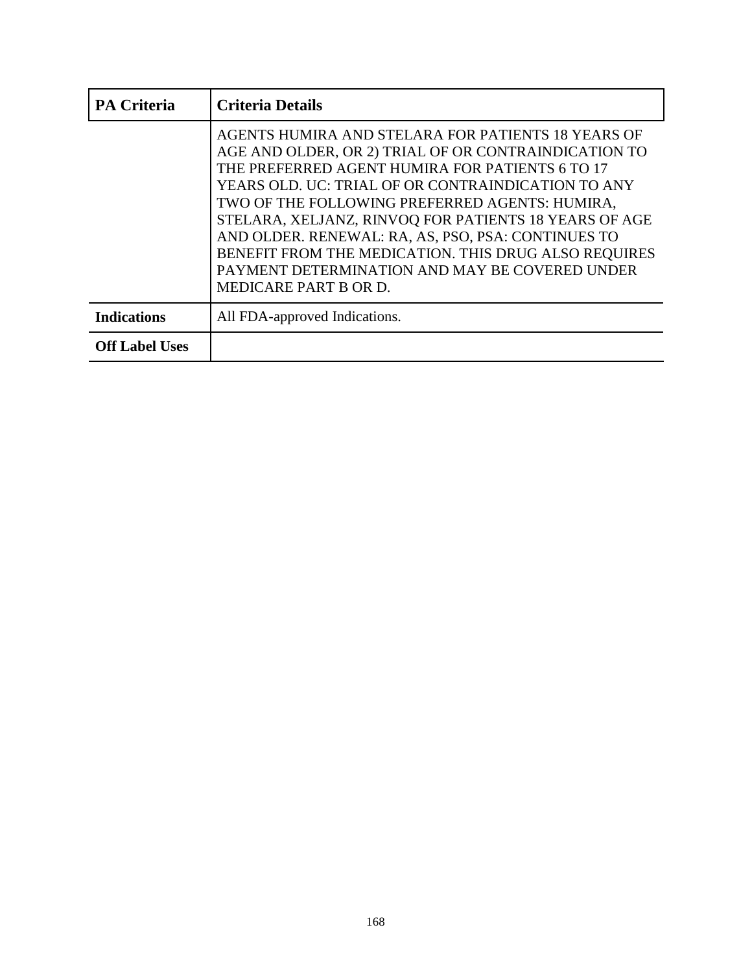| <b>PA Criteria</b>    | <b>Criteria Details</b>                                                                                                                                                                                                                                                                                                                                                                                                                                                                                                 |
|-----------------------|-------------------------------------------------------------------------------------------------------------------------------------------------------------------------------------------------------------------------------------------------------------------------------------------------------------------------------------------------------------------------------------------------------------------------------------------------------------------------------------------------------------------------|
|                       | AGENTS HUMIRA AND STELARA FOR PATIENTS 18 YEARS OF<br>AGE AND OLDER, OR 2) TRIAL OF OR CONTRAINDICATION TO<br>THE PREFERRED AGENT HUMIRA FOR PATIENTS 6 TO 17<br>YEARS OLD. UC: TRIAL OF OR CONTRAINDICATION TO ANY<br>TWO OF THE FOLLOWING PREFERRED AGENTS: HUMIRA,<br>STELARA, XELJANZ, RINVOQ FOR PATIENTS 18 YEARS OF AGE<br>AND OLDER. RENEWAL: RA, AS, PSO, PSA: CONTINUES TO<br>BENEFIT FROM THE MEDICATION. THIS DRUG ALSO REQUIRES<br>PAYMENT DETERMINATION AND MAY BE COVERED UNDER<br>MEDICARE PART B OR D. |
| <b>Indications</b>    | All FDA-approved Indications.                                                                                                                                                                                                                                                                                                                                                                                                                                                                                           |
| <b>Off Label Uses</b> |                                                                                                                                                                                                                                                                                                                                                                                                                                                                                                                         |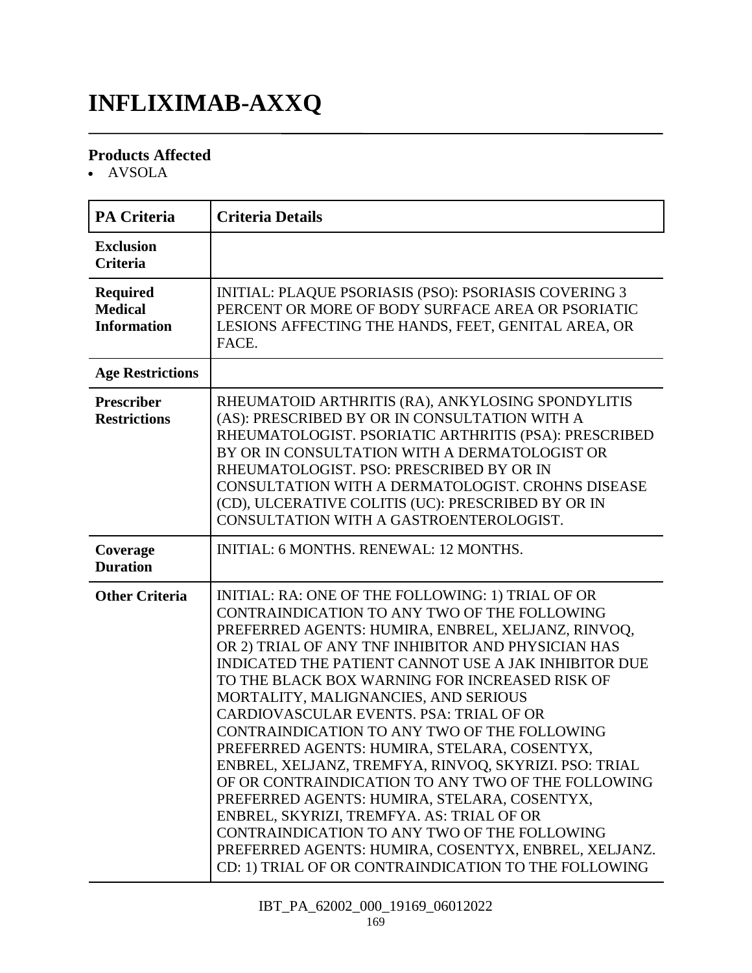# **INFLIXIMAB-AXXQ**

#### **Products Affected**

AVSOLA

| <b>PA Criteria</b>                                      | <b>Criteria Details</b>                                                                                                                                                                                                                                                                                                                                                                                                                                                                                                                                                                                                                                                                                                                                                                                                                                                                       |
|---------------------------------------------------------|-----------------------------------------------------------------------------------------------------------------------------------------------------------------------------------------------------------------------------------------------------------------------------------------------------------------------------------------------------------------------------------------------------------------------------------------------------------------------------------------------------------------------------------------------------------------------------------------------------------------------------------------------------------------------------------------------------------------------------------------------------------------------------------------------------------------------------------------------------------------------------------------------|
| <b>Exclusion</b><br><b>Criteria</b>                     |                                                                                                                                                                                                                                                                                                                                                                                                                                                                                                                                                                                                                                                                                                                                                                                                                                                                                               |
| <b>Required</b><br><b>Medical</b><br><b>Information</b> | INITIAL: PLAQUE PSORIASIS (PSO): PSORIASIS COVERING 3<br>PERCENT OR MORE OF BODY SURFACE AREA OR PSORIATIC<br>LESIONS AFFECTING THE HANDS, FEET, GENITAL AREA, OR<br>FACE.                                                                                                                                                                                                                                                                                                                                                                                                                                                                                                                                                                                                                                                                                                                    |
| <b>Age Restrictions</b>                                 |                                                                                                                                                                                                                                                                                                                                                                                                                                                                                                                                                                                                                                                                                                                                                                                                                                                                                               |
| Prescriber<br><b>Restrictions</b>                       | RHEUMATOID ARTHRITIS (RA), ANKYLOSING SPONDYLITIS<br>(AS): PRESCRIBED BY OR IN CONSULTATION WITH A<br>RHEUMATOLOGIST. PSORIATIC ARTHRITIS (PSA): PRESCRIBED<br>BY OR IN CONSULTATION WITH A DERMATOLOGIST OR<br>RHEUMATOLOGIST. PSO: PRESCRIBED BY OR IN<br><b>CONSULTATION WITH A DERMATOLOGIST. CROHNS DISEASE</b><br>(CD), ULCERATIVE COLITIS (UC): PRESCRIBED BY OR IN<br>CONSULTATION WITH A GASTROENTEROLOGIST.                                                                                                                                                                                                                                                                                                                                                                                                                                                                         |
| Coverage<br><b>Duration</b>                             | <b>INITIAL: 6 MONTHS. RENEWAL: 12 MONTHS.</b>                                                                                                                                                                                                                                                                                                                                                                                                                                                                                                                                                                                                                                                                                                                                                                                                                                                 |
| <b>Other Criteria</b>                                   | INITIAL: RA: ONE OF THE FOLLOWING: 1) TRIAL OF OR<br>CONTRAINDICATION TO ANY TWO OF THE FOLLOWING<br>PREFERRED AGENTS: HUMIRA, ENBREL, XELJANZ, RINVOQ,<br>OR 2) TRIAL OF ANY TNF INHIBITOR AND PHYSICIAN HAS<br><b>INDICATED THE PATIENT CANNOT USE A JAK INHIBITOR DUE</b><br>TO THE BLACK BOX WARNING FOR INCREASED RISK OF<br>MORTALITY, MALIGNANCIES, AND SERIOUS<br>CARDIOVASCULAR EVENTS. PSA: TRIAL OF OR<br>CONTRAINDICATION TO ANY TWO OF THE FOLLOWING<br>PREFERRED AGENTS: HUMIRA, STELARA, COSENTYX,<br>ENBREL, XELJANZ, TREMFYA, RINVOQ, SKYRIZI. PSO: TRIAL<br>OF OR CONTRAINDICATION TO ANY TWO OF THE FOLLOWING<br>PREFERRED AGENTS: HUMIRA, STELARA, COSENTYX,<br>ENBREL, SKYRIZI, TREMFYA. AS: TRIAL OF OR<br>CONTRAINDICATION TO ANY TWO OF THE FOLLOWING<br>PREFERRED AGENTS: HUMIRA, COSENTYX, ENBREL, XELJANZ.<br>CD: 1) TRIAL OF OR CONTRAINDICATION TO THE FOLLOWING |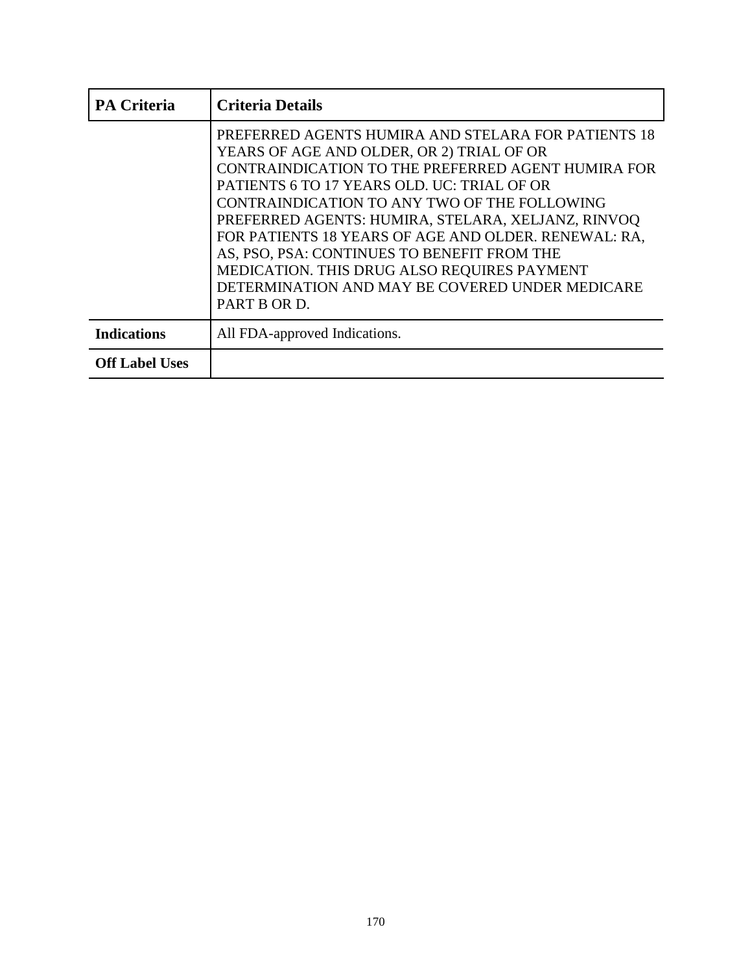| <b>PA Criteria</b>    | <b>Criteria Details</b>                                                                                                                                                                                                                                                                                                                                                                                                                                                                                                              |
|-----------------------|--------------------------------------------------------------------------------------------------------------------------------------------------------------------------------------------------------------------------------------------------------------------------------------------------------------------------------------------------------------------------------------------------------------------------------------------------------------------------------------------------------------------------------------|
|                       | PREFERRED AGENTS HUMIRA AND STELARA FOR PATIENTS 18<br>YEARS OF AGE AND OLDER, OR 2) TRIAL OF OR<br>CONTRAINDICATION TO THE PREFERRED AGENT HUMIRA FOR<br>PATIENTS 6 TO 17 YEARS OLD. UC: TRIAL OF OR<br>CONTRAINDICATION TO ANY TWO OF THE FOLLOWING<br>PREFERRED AGENTS: HUMIRA, STELARA, XELJANZ, RINVOQ<br>FOR PATIENTS 18 YEARS OF AGE AND OLDER. RENEWAL: RA,<br>AS, PSO, PSA: CONTINUES TO BENEFIT FROM THE<br>MEDICATION. THIS DRUG ALSO REQUIRES PAYMENT<br>DETERMINATION AND MAY BE COVERED UNDER MEDICARE<br>PART B OR D. |
| <b>Indications</b>    | All FDA-approved Indications.                                                                                                                                                                                                                                                                                                                                                                                                                                                                                                        |
| <b>Off Label Uses</b> |                                                                                                                                                                                                                                                                                                                                                                                                                                                                                                                                      |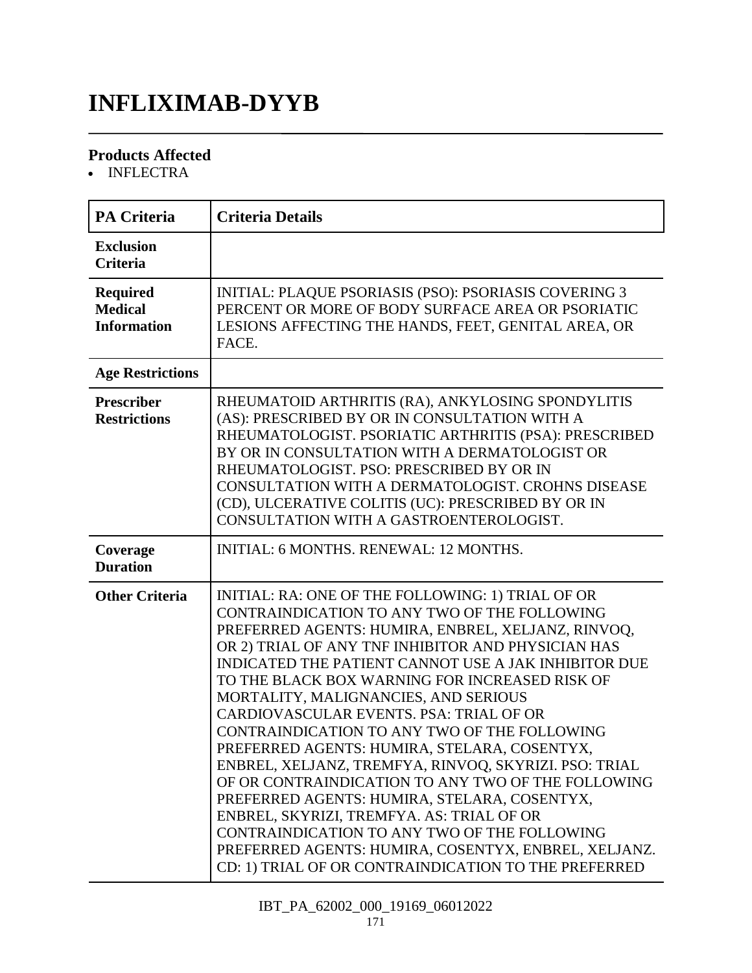### **INFLIXIMAB-DYYB**

#### **Products Affected**

• INFLECTRA

| <b>PA Criteria</b>                                      | <b>Criteria Details</b>                                                                                                                                                                                                                                                                                                                                                                                                                                                                                                                                                                                                                                                                                                                                                                                                                                                                |
|---------------------------------------------------------|----------------------------------------------------------------------------------------------------------------------------------------------------------------------------------------------------------------------------------------------------------------------------------------------------------------------------------------------------------------------------------------------------------------------------------------------------------------------------------------------------------------------------------------------------------------------------------------------------------------------------------------------------------------------------------------------------------------------------------------------------------------------------------------------------------------------------------------------------------------------------------------|
| <b>Exclusion</b><br><b>Criteria</b>                     |                                                                                                                                                                                                                                                                                                                                                                                                                                                                                                                                                                                                                                                                                                                                                                                                                                                                                        |
| <b>Required</b><br><b>Medical</b><br><b>Information</b> | <b>INITIAL: PLAQUE PSORIASIS (PSO): PSORIASIS COVERING 3</b><br>PERCENT OR MORE OF BODY SURFACE AREA OR PSORIATIC<br>LESIONS AFFECTING THE HANDS, FEET, GENITAL AREA, OR<br>FACE.                                                                                                                                                                                                                                                                                                                                                                                                                                                                                                                                                                                                                                                                                                      |
| <b>Age Restrictions</b>                                 |                                                                                                                                                                                                                                                                                                                                                                                                                                                                                                                                                                                                                                                                                                                                                                                                                                                                                        |
| <b>Prescriber</b><br><b>Restrictions</b>                | RHEUMATOID ARTHRITIS (RA), ANKYLOSING SPONDYLITIS<br>(AS): PRESCRIBED BY OR IN CONSULTATION WITH A<br>RHEUMATOLOGIST. PSORIATIC ARTHRITIS (PSA): PRESCRIBED<br>BY OR IN CONSULTATION WITH A DERMATOLOGIST OR<br>RHEUMATOLOGIST. PSO: PRESCRIBED BY OR IN<br><b>CONSULTATION WITH A DERMATOLOGIST. CROHNS DISEASE</b><br>(CD), ULCERATIVE COLITIS (UC): PRESCRIBED BY OR IN<br>CONSULTATION WITH A GASTROENTEROLOGIST.                                                                                                                                                                                                                                                                                                                                                                                                                                                                  |
| Coverage<br><b>Duration</b>                             | INITIAL: 6 MONTHS. RENEWAL: 12 MONTHS.                                                                                                                                                                                                                                                                                                                                                                                                                                                                                                                                                                                                                                                                                                                                                                                                                                                 |
| <b>Other Criteria</b>                                   | INITIAL: RA: ONE OF THE FOLLOWING: 1) TRIAL OF OR<br>CONTRAINDICATION TO ANY TWO OF THE FOLLOWING<br>PREFERRED AGENTS: HUMIRA, ENBREL, XELJANZ, RINVOQ,<br>OR 2) TRIAL OF ANY TNF INHIBITOR AND PHYSICIAN HAS<br>INDICATED THE PATIENT CANNOT USE A JAK INHIBITOR DUE<br>TO THE BLACK BOX WARNING FOR INCREASED RISK OF<br>MORTALITY, MALIGNANCIES, AND SERIOUS<br>CARDIOVASCULAR EVENTS. PSA: TRIAL OF OR<br>CONTRAINDICATION TO ANY TWO OF THE FOLLOWING<br>PREFERRED AGENTS: HUMIRA, STELARA, COSENTYX,<br>ENBREL, XELJANZ, TREMFYA, RINVOQ, SKYRIZI. PSO: TRIAL<br>OF OR CONTRAINDICATION TO ANY TWO OF THE FOLLOWING<br>PREFERRED AGENTS: HUMIRA, STELARA, COSENTYX,<br>ENBREL, SKYRIZI, TREMFYA. AS: TRIAL OF OR<br>CONTRAINDICATION TO ANY TWO OF THE FOLLOWING<br>PREFERRED AGENTS: HUMIRA, COSENTYX, ENBREL, XELJANZ.<br>CD: 1) TRIAL OF OR CONTRAINDICATION TO THE PREFERRED |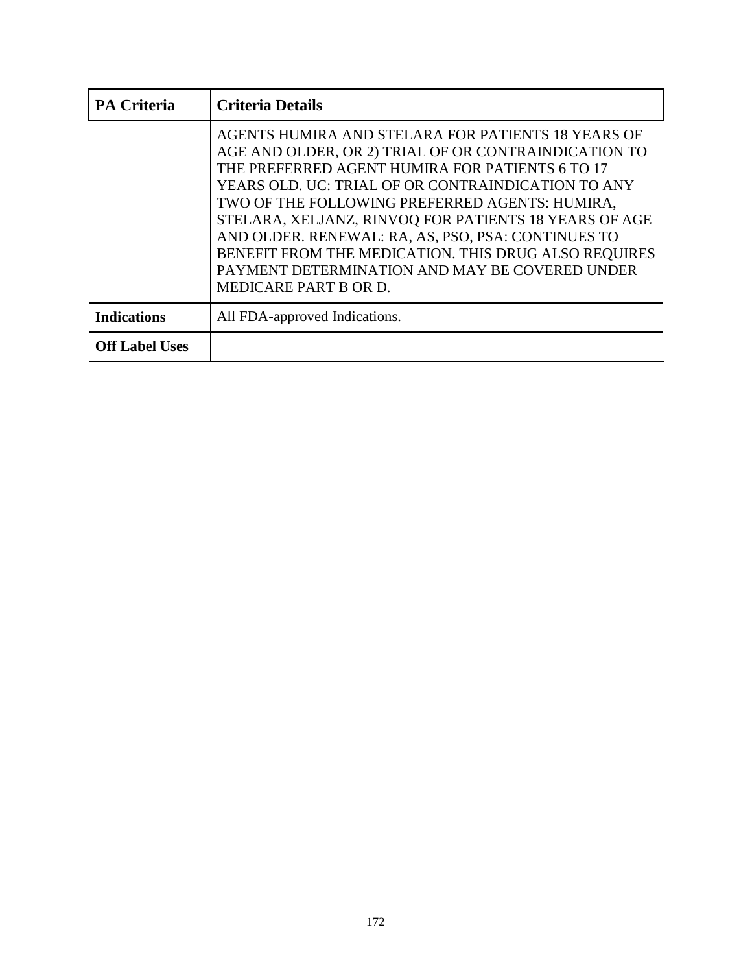| <b>PA Criteria</b>    | <b>Criteria Details</b>                                                                                                                                                                                                                                                                                                                                                                                                                                                                                                 |
|-----------------------|-------------------------------------------------------------------------------------------------------------------------------------------------------------------------------------------------------------------------------------------------------------------------------------------------------------------------------------------------------------------------------------------------------------------------------------------------------------------------------------------------------------------------|
|                       | AGENTS HUMIRA AND STELARA FOR PATIENTS 18 YEARS OF<br>AGE AND OLDER, OR 2) TRIAL OF OR CONTRAINDICATION TO<br>THE PREFERRED AGENT HUMIRA FOR PATIENTS 6 TO 17<br>YEARS OLD. UC: TRIAL OF OR CONTRAINDICATION TO ANY<br>TWO OF THE FOLLOWING PREFERRED AGENTS: HUMIRA,<br>STELARA, XELJANZ, RINVOQ FOR PATIENTS 18 YEARS OF AGE<br>AND OLDER. RENEWAL: RA, AS, PSO, PSA: CONTINUES TO<br>BENEFIT FROM THE MEDICATION. THIS DRUG ALSO REQUIRES<br>PAYMENT DETERMINATION AND MAY BE COVERED UNDER<br>MEDICARE PART B OR D. |
| <b>Indications</b>    | All FDA-approved Indications.                                                                                                                                                                                                                                                                                                                                                                                                                                                                                           |
| <b>Off Label Uses</b> |                                                                                                                                                                                                                                                                                                                                                                                                                                                                                                                         |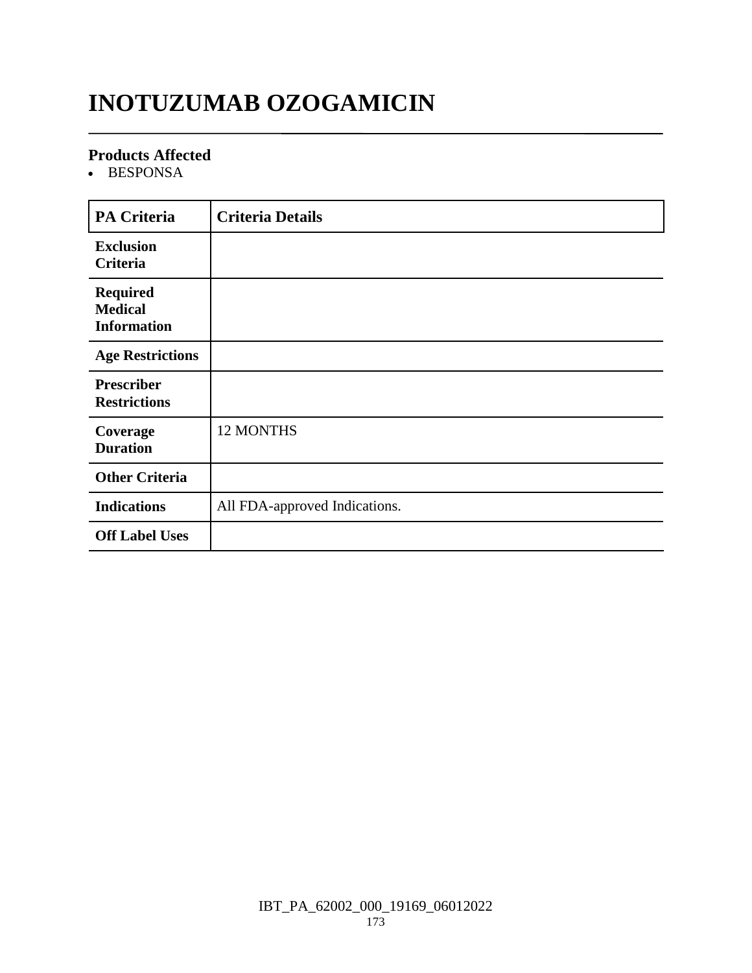# **INOTUZUMAB OZOGAMICIN**

#### **Products Affected**

• BESPONSA

| <b>PA Criteria</b>                                      | <b>Criteria Details</b>       |
|---------------------------------------------------------|-------------------------------|
| <b>Exclusion</b><br><b>Criteria</b>                     |                               |
| <b>Required</b><br><b>Medical</b><br><b>Information</b> |                               |
| <b>Age Restrictions</b>                                 |                               |
| <b>Prescriber</b><br><b>Restrictions</b>                |                               |
| Coverage<br><b>Duration</b>                             | 12 MONTHS                     |
| <b>Other Criteria</b>                                   |                               |
| <b>Indications</b>                                      | All FDA-approved Indications. |
| <b>Off Label Uses</b>                                   |                               |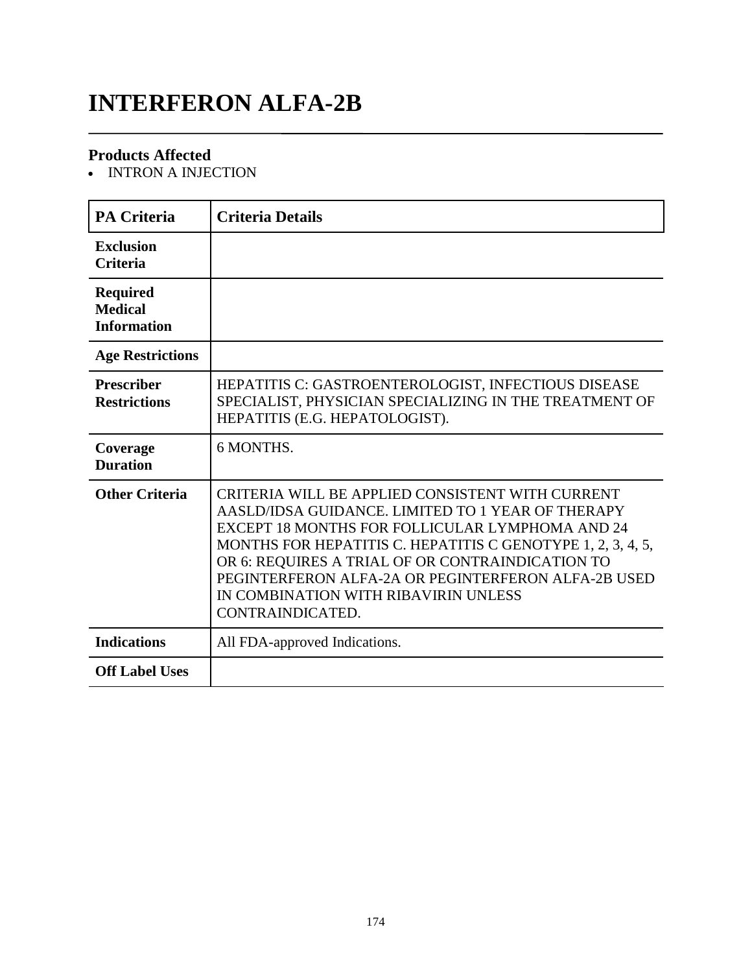### **INTERFERON ALFA-2B**

#### **Products Affected**

• INTRON A INJECTION

| <b>PA Criteria</b>                                      | <b>Criteria Details</b>                                                                                                                                                                                                                                                                                                                                                                        |
|---------------------------------------------------------|------------------------------------------------------------------------------------------------------------------------------------------------------------------------------------------------------------------------------------------------------------------------------------------------------------------------------------------------------------------------------------------------|
| <b>Exclusion</b><br><b>Criteria</b>                     |                                                                                                                                                                                                                                                                                                                                                                                                |
| <b>Required</b><br><b>Medical</b><br><b>Information</b> |                                                                                                                                                                                                                                                                                                                                                                                                |
| <b>Age Restrictions</b>                                 |                                                                                                                                                                                                                                                                                                                                                                                                |
| <b>Prescriber</b><br><b>Restrictions</b>                | HEPATITIS C: GASTROENTEROLOGIST, INFECTIOUS DISEASE<br>SPECIALIST, PHYSICIAN SPECIALIZING IN THE TREATMENT OF<br>HEPATITIS (E.G. HEPATOLOGIST).                                                                                                                                                                                                                                                |
| Coverage<br><b>Duration</b>                             | 6 MONTHS.                                                                                                                                                                                                                                                                                                                                                                                      |
| <b>Other Criteria</b>                                   | CRITERIA WILL BE APPLIED CONSISTENT WITH CURRENT<br>AASLD/IDSA GUIDANCE. LIMITED TO 1 YEAR OF THERAPY<br>EXCEPT 18 MONTHS FOR FOLLICULAR LYMPHOMA AND 24<br>MONTHS FOR HEPATITIS C. HEPATITIS C GENOTYPE 1, 2, 3, 4, 5,<br>OR 6: REQUIRES A TRIAL OF OR CONTRAINDICATION TO<br>PEGINTERFERON ALFA-2A OR PEGINTERFERON ALFA-2B USED<br>IN COMBINATION WITH RIBAVIRIN UNLESS<br>CONTRAINDICATED. |
| <b>Indications</b>                                      | All FDA-approved Indications.                                                                                                                                                                                                                                                                                                                                                                  |
| <b>Off Label Uses</b>                                   |                                                                                                                                                                                                                                                                                                                                                                                                |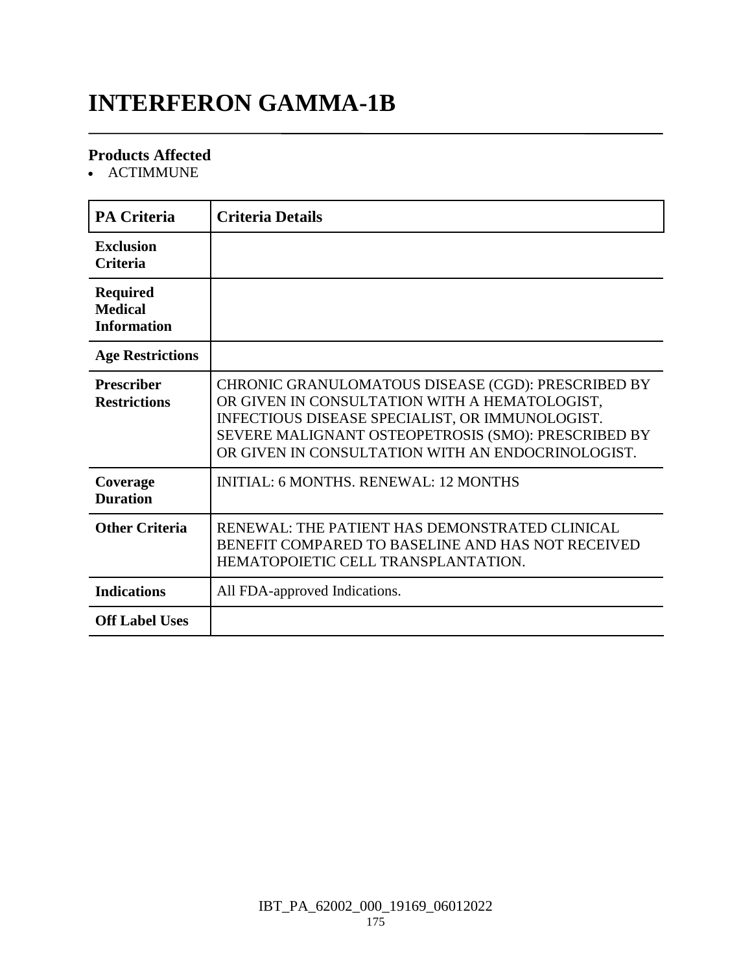# **INTERFERON GAMMA-1B**

#### **Products Affected**

ACTIMMUNE

| <b>PA Criteria</b>                                      | <b>Criteria Details</b>                                                                                                                                                                                                                                            |
|---------------------------------------------------------|--------------------------------------------------------------------------------------------------------------------------------------------------------------------------------------------------------------------------------------------------------------------|
| <b>Exclusion</b><br><b>Criteria</b>                     |                                                                                                                                                                                                                                                                    |
| <b>Required</b><br><b>Medical</b><br><b>Information</b> |                                                                                                                                                                                                                                                                    |
| <b>Age Restrictions</b>                                 |                                                                                                                                                                                                                                                                    |
| <b>Prescriber</b><br><b>Restrictions</b>                | CHRONIC GRANULOMATOUS DISEASE (CGD): PRESCRIBED BY<br>OR GIVEN IN CONSULTATION WITH A HEMATOLOGIST,<br>INFECTIOUS DISEASE SPECIALIST, OR IMMUNOLOGIST.<br>SEVERE MALIGNANT OSTEOPETROSIS (SMO): PRESCRIBED BY<br>OR GIVEN IN CONSULTATION WITH AN ENDOCRINOLOGIST. |
| Coverage<br><b>Duration</b>                             | <b>INITIAL: 6 MONTHS, RENEWAL: 12 MONTHS</b>                                                                                                                                                                                                                       |
| <b>Other Criteria</b>                                   | RENEWAL: THE PATIENT HAS DEMONSTRATED CLINICAL<br>BENEFIT COMPARED TO BASELINE AND HAS NOT RECEIVED<br>HEMATOPOIETIC CELL TRANSPLANTATION.                                                                                                                         |
| <b>Indications</b>                                      | All FDA-approved Indications.                                                                                                                                                                                                                                      |
| <b>Off Label Uses</b>                                   |                                                                                                                                                                                                                                                                    |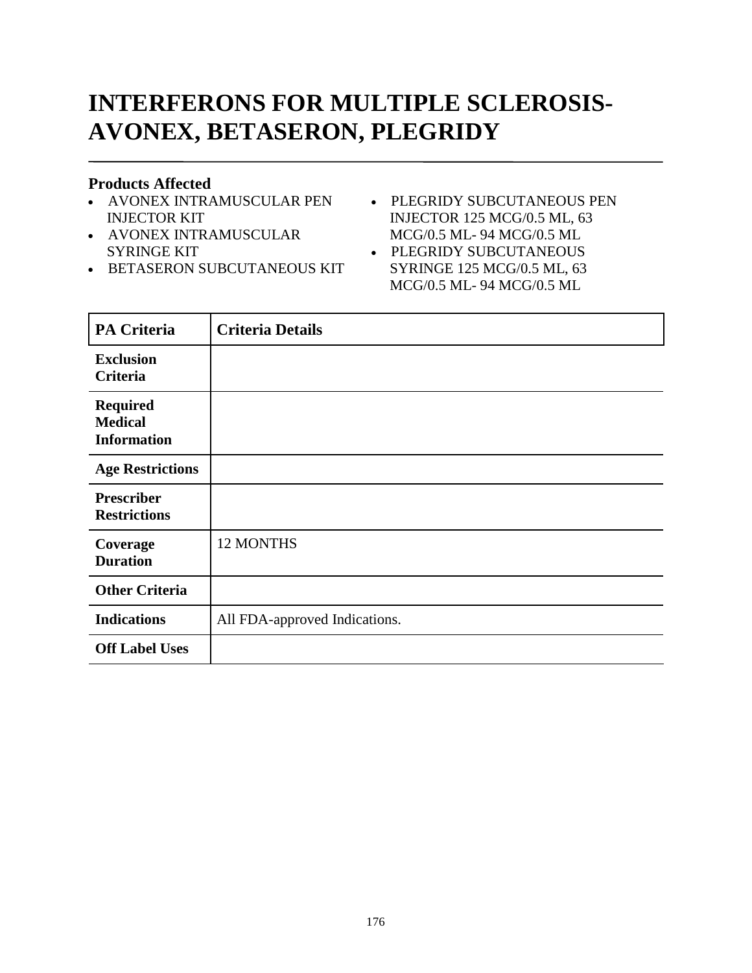# **INTERFERONS FOR MULTIPLE SCLEROSIS-AVONEX, BETASERON, PLEGRIDY**

#### **Products Affected**

- AVONEX INTRAMUSCULAR PEN INJECTOR KIT
- AVONEX INTRAMUSCULAR SYRINGE KIT
- **BETASERON SUBCUTANEOUS KIT**
- PLEGRIDY SUBCUTANEOUS PEN INJECTOR 125 MCG/0.5 ML, 63 MCG/0.5 ML- 94 MCG/0.5 ML
- PLEGRIDY SUBCUTANEOUS SYRINGE 125 MCG/0.5 ML, 63 MCG/0.5 ML- 94 MCG/0.5 ML

| <b>PA Criteria</b>                                      | <b>Criteria Details</b>       |
|---------------------------------------------------------|-------------------------------|
| <b>Exclusion</b><br>Criteria                            |                               |
| <b>Required</b><br><b>Medical</b><br><b>Information</b> |                               |
| <b>Age Restrictions</b>                                 |                               |
| <b>Prescriber</b><br><b>Restrictions</b>                |                               |
| Coverage<br><b>Duration</b>                             | 12 MONTHS                     |
| <b>Other Criteria</b>                                   |                               |
| <b>Indications</b>                                      | All FDA-approved Indications. |
| <b>Off Label Uses</b>                                   |                               |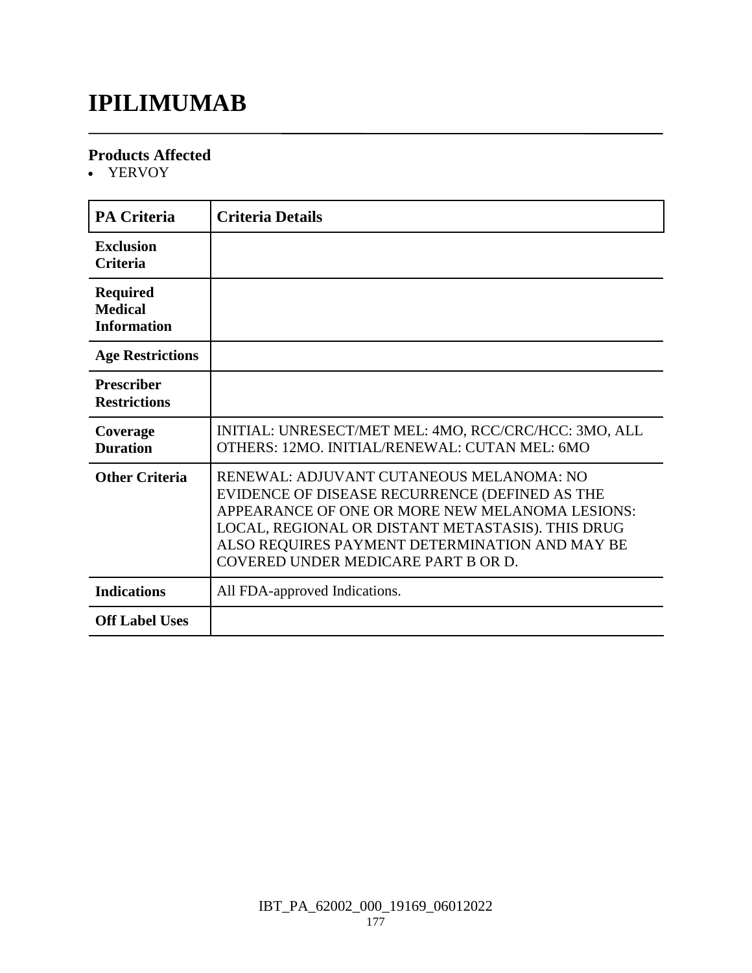### **IPILIMUMAB**

#### **Products Affected**

• YERVOY

| <b>PA Criteria</b>                                      | <b>Criteria Details</b>                                                                                                                                                                                                                                                                     |
|---------------------------------------------------------|---------------------------------------------------------------------------------------------------------------------------------------------------------------------------------------------------------------------------------------------------------------------------------------------|
| <b>Exclusion</b><br><b>Criteria</b>                     |                                                                                                                                                                                                                                                                                             |
| <b>Required</b><br><b>Medical</b><br><b>Information</b> |                                                                                                                                                                                                                                                                                             |
| <b>Age Restrictions</b>                                 |                                                                                                                                                                                                                                                                                             |
| <b>Prescriber</b><br><b>Restrictions</b>                |                                                                                                                                                                                                                                                                                             |
| Coverage<br><b>Duration</b>                             | INITIAL: UNRESECT/MET MEL: 4MO, RCC/CRC/HCC: 3MO, ALL<br>OTHERS: 12MO. INITIAL/RENEWAL: CUTAN MEL: 6MO                                                                                                                                                                                      |
| <b>Other Criteria</b>                                   | RENEWAL: ADJUVANT CUTANEOUS MELANOMA: NO<br>EVIDENCE OF DISEASE RECURRENCE (DEFINED AS THE<br>APPEARANCE OF ONE OR MORE NEW MELANOMA LESIONS:<br>LOCAL, REGIONAL OR DISTANT METASTASIS). THIS DRUG<br>ALSO REQUIRES PAYMENT DETERMINATION AND MAY BE<br>COVERED UNDER MEDICARE PART B OR D. |
| <b>Indications</b>                                      | All FDA-approved Indications.                                                                                                                                                                                                                                                               |
| <b>Off Label Uses</b>                                   |                                                                                                                                                                                                                                                                                             |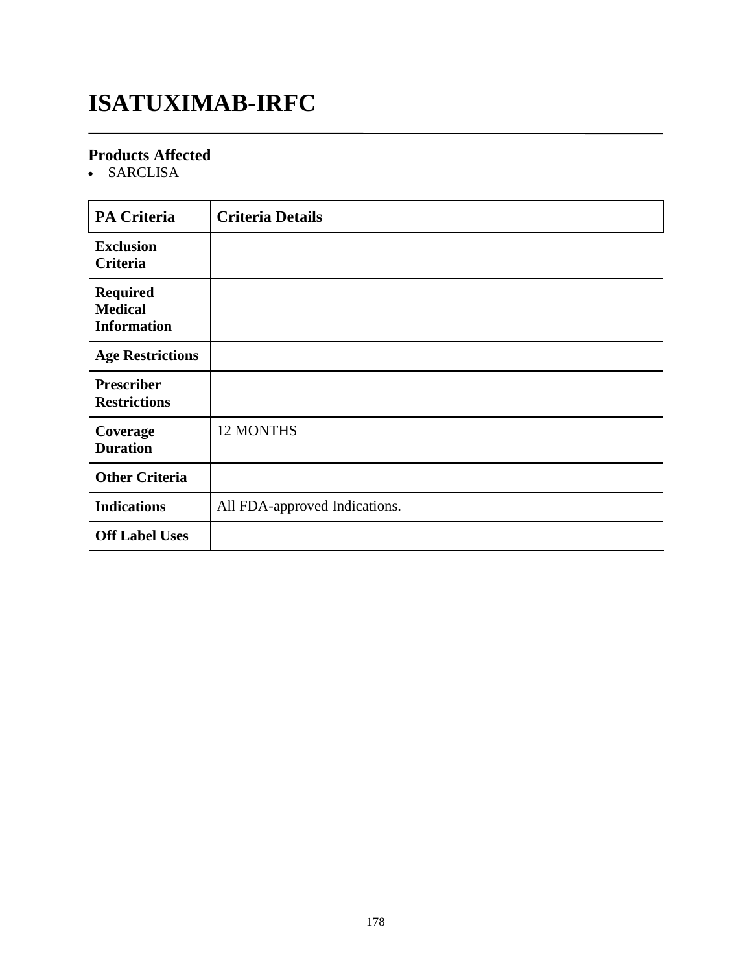### **ISATUXIMAB-IRFC**

#### **Products Affected**

SARCLISA

| <b>PA Criteria</b>                                      | <b>Criteria Details</b>       |
|---------------------------------------------------------|-------------------------------|
| <b>Exclusion</b><br>Criteria                            |                               |
| <b>Required</b><br><b>Medical</b><br><b>Information</b> |                               |
| <b>Age Restrictions</b>                                 |                               |
| <b>Prescriber</b><br><b>Restrictions</b>                |                               |
| Coverage<br><b>Duration</b>                             | 12 MONTHS                     |
| <b>Other Criteria</b>                                   |                               |
| <b>Indications</b>                                      | All FDA-approved Indications. |
| <b>Off Label Uses</b>                                   |                               |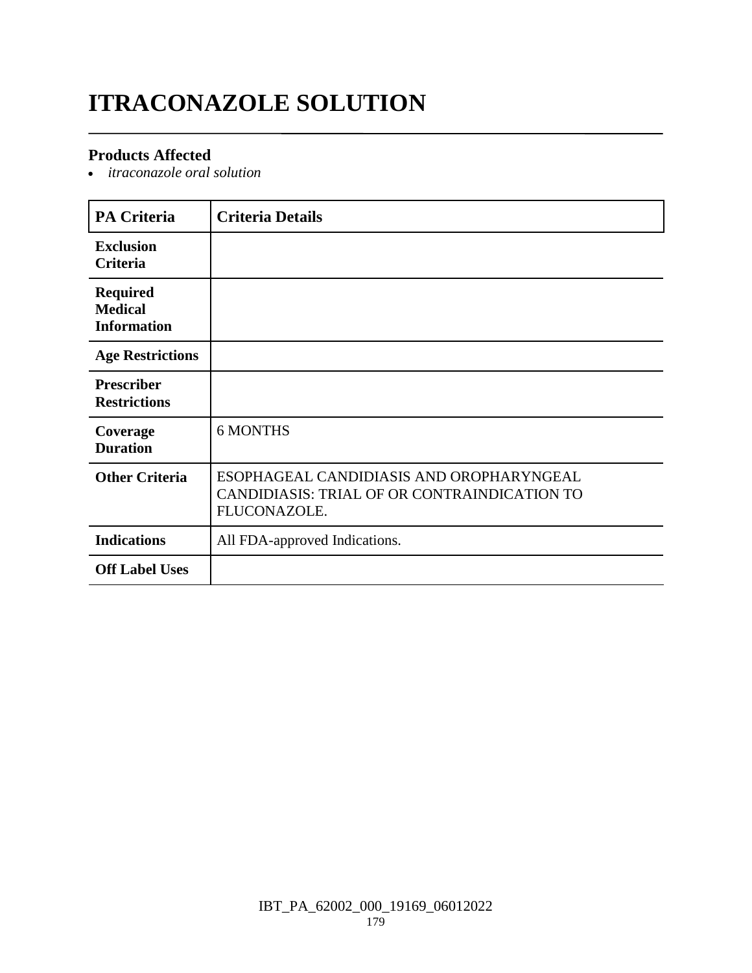# **ITRACONAZOLE SOLUTION**

#### **Products Affected**

*itraconazole oral solution*

| <b>PA Criteria</b>                                      | <b>Criteria Details</b>                                                                                  |
|---------------------------------------------------------|----------------------------------------------------------------------------------------------------------|
| <b>Exclusion</b><br><b>Criteria</b>                     |                                                                                                          |
| <b>Required</b><br><b>Medical</b><br><b>Information</b> |                                                                                                          |
| <b>Age Restrictions</b>                                 |                                                                                                          |
| <b>Prescriber</b><br><b>Restrictions</b>                |                                                                                                          |
| Coverage<br><b>Duration</b>                             | <b>6 MONTHS</b>                                                                                          |
| <b>Other Criteria</b>                                   | ESOPHAGEAL CANDIDIASIS AND OROPHARYNGEAL<br>CANDIDIASIS: TRIAL OF OR CONTRAINDICATION TO<br>FLUCONAZOLE. |
| <b>Indications</b>                                      | All FDA-approved Indications.                                                                            |
| <b>Off Label Uses</b>                                   |                                                                                                          |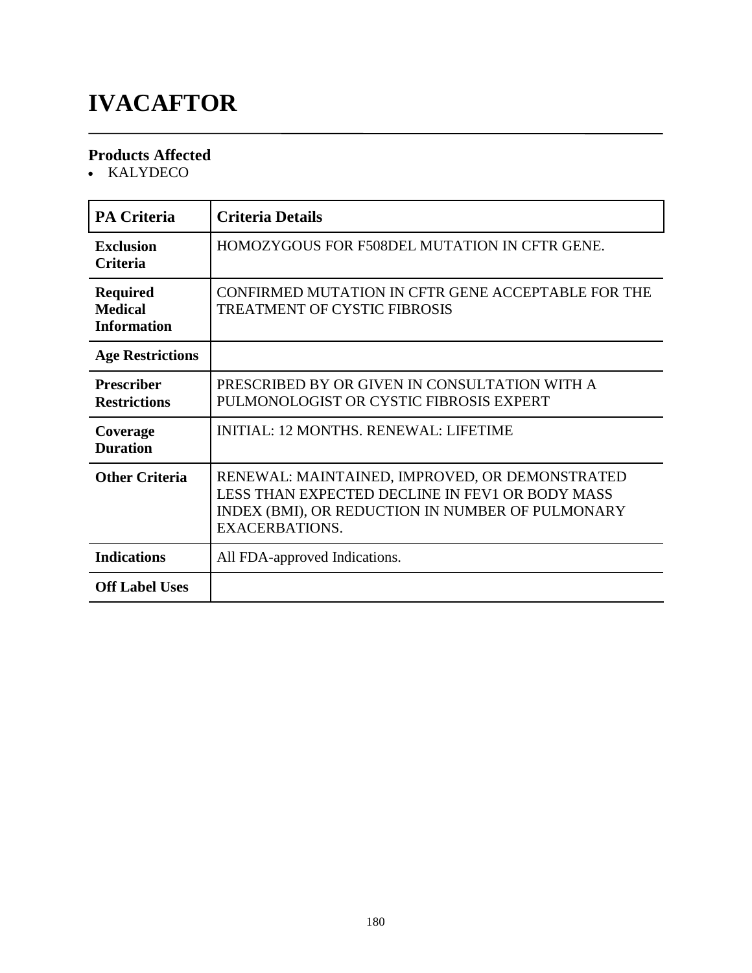# **IVACAFTOR**

#### **Products Affected**

• KALYDECO

| <b>PA Criteria</b>                                      | <b>Criteria Details</b>                                                                                                                                                        |
|---------------------------------------------------------|--------------------------------------------------------------------------------------------------------------------------------------------------------------------------------|
| <b>Exclusion</b><br>Criteria                            | HOMOZYGOUS FOR F508DEL MUTATION IN CFTR GENE.                                                                                                                                  |
| <b>Required</b><br><b>Medical</b><br><b>Information</b> | CONFIRMED MUTATION IN CFTR GENE ACCEPTABLE FOR THE<br>TREATMENT OF CYSTIC FIBROSIS                                                                                             |
| <b>Age Restrictions</b>                                 |                                                                                                                                                                                |
| <b>Prescriber</b><br><b>Restrictions</b>                | PRESCRIBED BY OR GIVEN IN CONSULTATION WITH A<br>PULMONOLOGIST OR CYSTIC FIBROSIS EXPERT                                                                                       |
| Coverage<br><b>Duration</b>                             | <b>INITIAL: 12 MONTHS. RENEWAL: LIFETIME</b>                                                                                                                                   |
| <b>Other Criteria</b>                                   | RENEWAL: MAINTAINED, IMPROVED, OR DEMONSTRATED<br>LESS THAN EXPECTED DECLINE IN FEV1 OR BODY MASS<br>INDEX (BMI), OR REDUCTION IN NUMBER OF PULMONARY<br><b>EXACERBATIONS.</b> |
| <b>Indications</b>                                      | All FDA-approved Indications.                                                                                                                                                  |
| <b>Off Label Uses</b>                                   |                                                                                                                                                                                |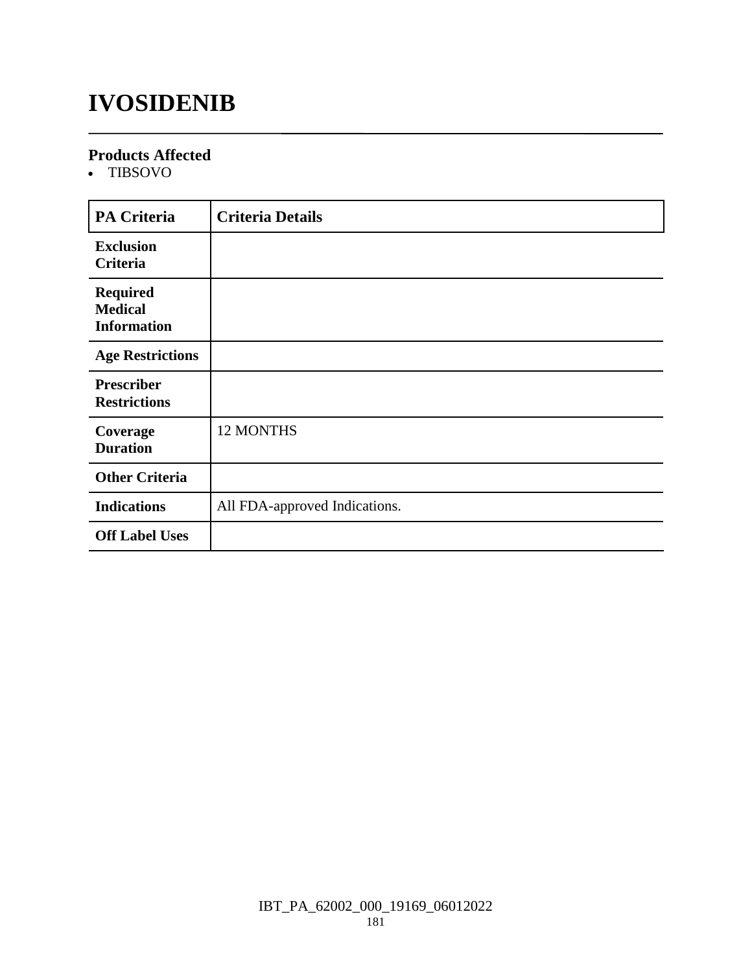### **IVOSIDENIB**

#### **Products Affected**

TIBSOVO

| <b>PA Criteria</b>                                      | <b>Criteria Details</b>       |
|---------------------------------------------------------|-------------------------------|
| <b>Exclusion</b><br>Criteria                            |                               |
| <b>Required</b><br><b>Medical</b><br><b>Information</b> |                               |
| <b>Age Restrictions</b>                                 |                               |
| <b>Prescriber</b><br><b>Restrictions</b>                |                               |
| Coverage<br><b>Duration</b>                             | <b>12 MONTHS</b>              |
| <b>Other Criteria</b>                                   |                               |
| <b>Indications</b>                                      | All FDA-approved Indications. |
| <b>Off Label Uses</b>                                   |                               |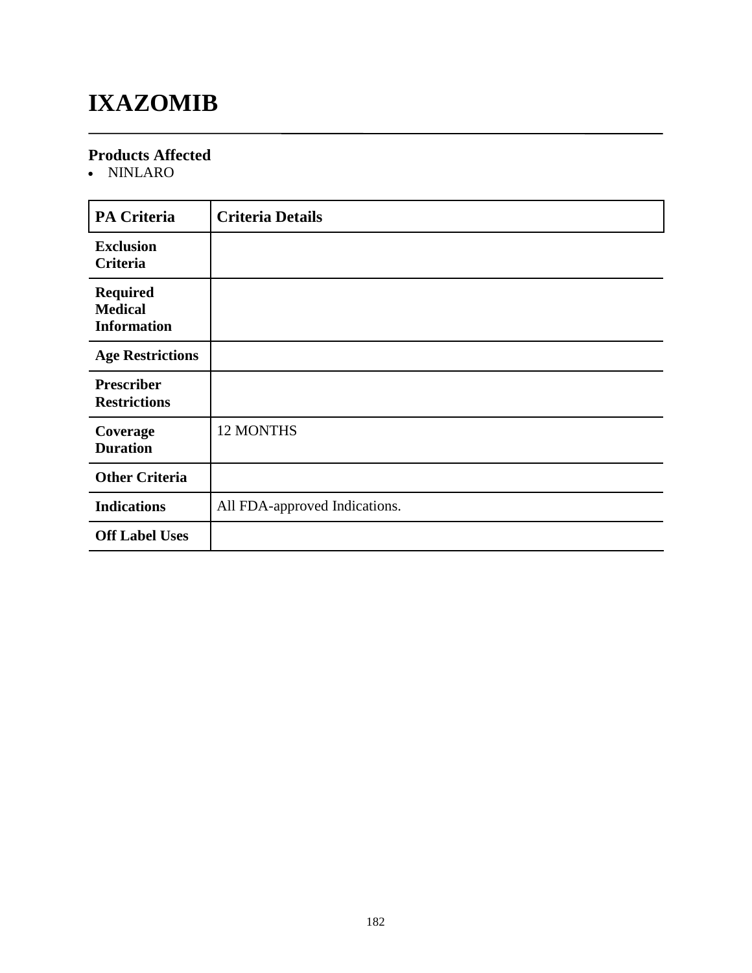## **IXAZOMIB**

### **Products Affected**

• NINLARO

| <b>PA Criteria</b>                                      | <b>Criteria Details</b>       |
|---------------------------------------------------------|-------------------------------|
| <b>Exclusion</b><br>Criteria                            |                               |
| <b>Required</b><br><b>Medical</b><br><b>Information</b> |                               |
| <b>Age Restrictions</b>                                 |                               |
| <b>Prescriber</b><br><b>Restrictions</b>                |                               |
| Coverage<br><b>Duration</b>                             | <b>12 MONTHS</b>              |
| <b>Other Criteria</b>                                   |                               |
| <b>Indications</b>                                      | All FDA-approved Indications. |
| <b>Off Label Uses</b>                                   |                               |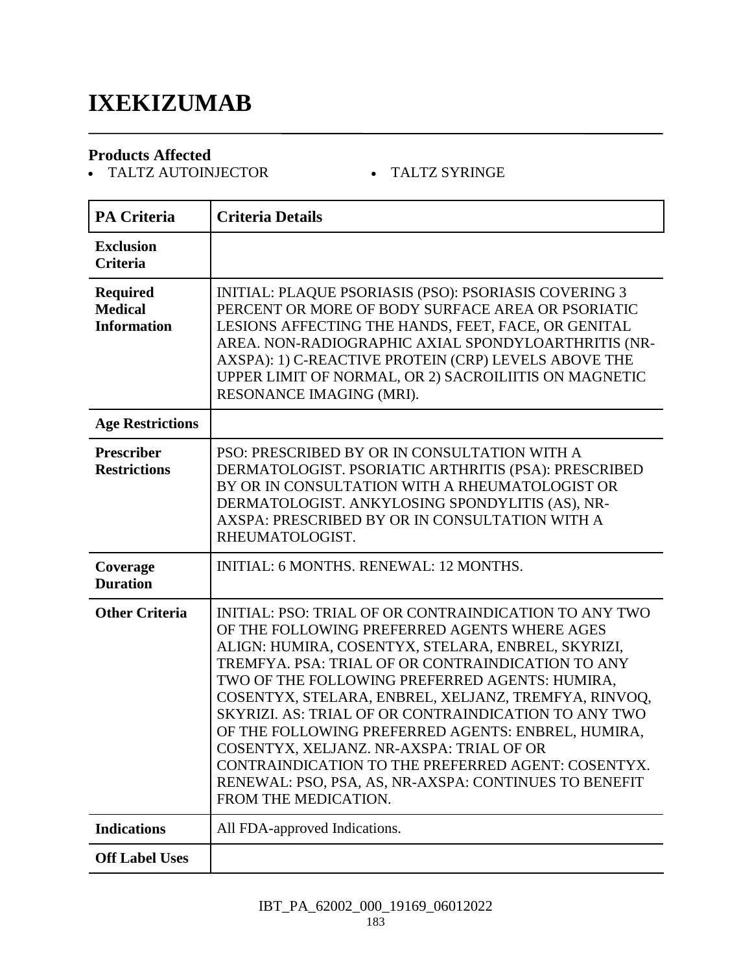### **IXEKIZUMAB**

#### **Products Affected**

• TALTZ AUTOINJECTOR TALTZ SYRINGE

| <b>PA Criteria</b>                                      | <b>Criteria Details</b>                                                                                                                                                                                                                                                                                                                                                                                                                                                                                                                                                                                                     |
|---------------------------------------------------------|-----------------------------------------------------------------------------------------------------------------------------------------------------------------------------------------------------------------------------------------------------------------------------------------------------------------------------------------------------------------------------------------------------------------------------------------------------------------------------------------------------------------------------------------------------------------------------------------------------------------------------|
| <b>Exclusion</b><br><b>Criteria</b>                     |                                                                                                                                                                                                                                                                                                                                                                                                                                                                                                                                                                                                                             |
| <b>Required</b><br><b>Medical</b><br><b>Information</b> | <b>INITIAL: PLAQUE PSORIASIS (PSO): PSORIASIS COVERING 3</b><br>PERCENT OR MORE OF BODY SURFACE AREA OR PSORIATIC<br>LESIONS AFFECTING THE HANDS, FEET, FACE, OR GENITAL<br>AREA. NON-RADIOGRAPHIC AXIAL SPONDYLOARTHRITIS (NR-<br>AXSPA): 1) C-REACTIVE PROTEIN (CRP) LEVELS ABOVE THE<br>UPPER LIMIT OF NORMAL, OR 2) SACROILIITIS ON MAGNETIC<br>RESONANCE IMAGING (MRI).                                                                                                                                                                                                                                                |
| <b>Age Restrictions</b>                                 |                                                                                                                                                                                                                                                                                                                                                                                                                                                                                                                                                                                                                             |
| <b>Prescriber</b><br><b>Restrictions</b>                | PSO: PRESCRIBED BY OR IN CONSULTATION WITH A<br>DERMATOLOGIST. PSORIATIC ARTHRITIS (PSA): PRESCRIBED<br>BY OR IN CONSULTATION WITH A RHEUMATOLOGIST OR<br>DERMATOLOGIST. ANKYLOSING SPONDYLITIS (AS), NR-<br>AXSPA: PRESCRIBED BY OR IN CONSULTATION WITH A<br>RHEUMATOLOGIST.                                                                                                                                                                                                                                                                                                                                              |
| Coverage<br><b>Duration</b>                             | <b>INITIAL: 6 MONTHS. RENEWAL: 12 MONTHS.</b>                                                                                                                                                                                                                                                                                                                                                                                                                                                                                                                                                                               |
| <b>Other Criteria</b>                                   | INITIAL: PSO: TRIAL OF OR CONTRAINDICATION TO ANY TWO<br>OF THE FOLLOWING PREFERRED AGENTS WHERE AGES<br>ALIGN: HUMIRA, COSENTYX, STELARA, ENBREL, SKYRIZI,<br>TREMFYA. PSA: TRIAL OF OR CONTRAINDICATION TO ANY<br>TWO OF THE FOLLOWING PREFERRED AGENTS: HUMIRA,<br>COSENTYX, STELARA, ENBREL, XELJANZ, TREMFYA, RINVOQ,<br>SKYRIZI. AS: TRIAL OF OR CONTRAINDICATION TO ANY TWO<br>OF THE FOLLOWING PREFERRED AGENTS: ENBREL, HUMIRA,<br>COSENTYX, XELJANZ, NR-AXSPA: TRIAL OF OR<br>CONTRAINDICATION TO THE PREFERRED AGENT: COSENTYX.<br>RENEWAL: PSO, PSA, AS, NR-AXSPA: CONTINUES TO BENEFIT<br>FROM THE MEDICATION. |
| <b>Indications</b>                                      | All FDA-approved Indications.                                                                                                                                                                                                                                                                                                                                                                                                                                                                                                                                                                                               |
| <b>Off Label Uses</b>                                   |                                                                                                                                                                                                                                                                                                                                                                                                                                                                                                                                                                                                                             |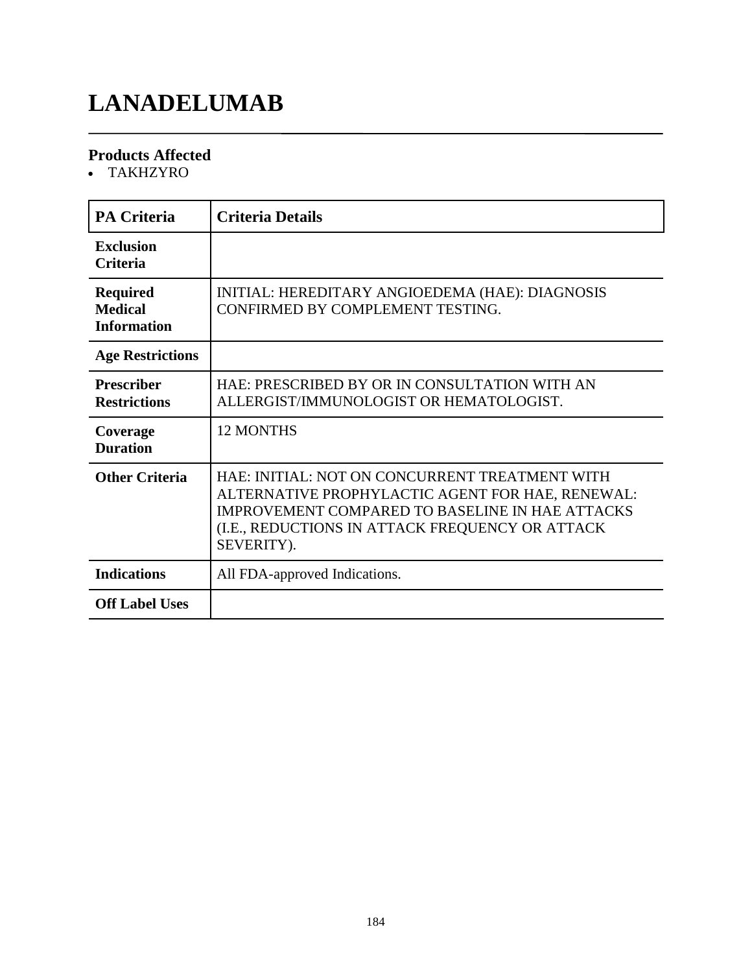# **LANADELUMAB**

### **Products Affected**

TAKHZYRO

| <b>PA Criteria</b>                                      | <b>Criteria Details</b>                                                                                                                                                                                                       |
|---------------------------------------------------------|-------------------------------------------------------------------------------------------------------------------------------------------------------------------------------------------------------------------------------|
| <b>Exclusion</b><br>Criteria                            |                                                                                                                                                                                                                               |
| <b>Required</b><br><b>Medical</b><br><b>Information</b> | INITIAL: HEREDITARY ANGIOEDEMA (HAE): DIAGNOSIS<br>CONFIRMED BY COMPLEMENT TESTING.                                                                                                                                           |
| <b>Age Restrictions</b>                                 |                                                                                                                                                                                                                               |
| <b>Prescriber</b><br><b>Restrictions</b>                | HAE: PRESCRIBED BY OR IN CONSULTATION WITH AN<br>ALLERGIST/IMMUNOLOGIST OR HEMATOLOGIST.                                                                                                                                      |
| Coverage<br><b>Duration</b>                             | <b>12 MONTHS</b>                                                                                                                                                                                                              |
| <b>Other Criteria</b>                                   | HAE: INITIAL: NOT ON CONCURRENT TREATMENT WITH<br>ALTERNATIVE PROPHYLACTIC AGENT FOR HAE, RENEWAL:<br><b>IMPROVEMENT COMPARED TO BASELINE IN HAE ATTACKS</b><br>(I.E., REDUCTIONS IN ATTACK FREQUENCY OR ATTACK<br>SEVERITY). |
| <b>Indications</b>                                      | All FDA-approved Indications.                                                                                                                                                                                                 |
| <b>Off Label Uses</b>                                   |                                                                                                                                                                                                                               |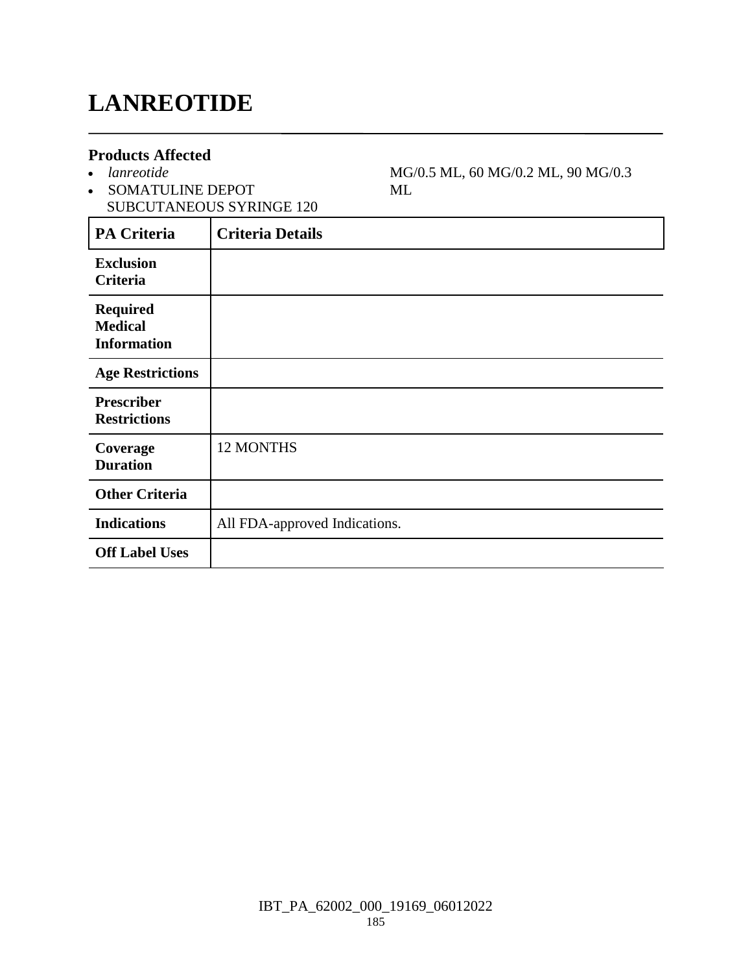### **LANREOTIDE**

#### **Products Affected**

- *lanreotide*
- SOMATULINE DEPOT SUBCUTANEOUS SYRINGE 120

MG/0.5 ML, 60 MG/0.2 ML, 90 MG/0.3 ML

| <b>PA Criteria</b>                                      | <b>Criteria Details</b>       |
|---------------------------------------------------------|-------------------------------|
| <b>Exclusion</b><br>Criteria                            |                               |
| <b>Required</b><br><b>Medical</b><br><b>Information</b> |                               |
| <b>Age Restrictions</b>                                 |                               |
| <b>Prescriber</b><br><b>Restrictions</b>                |                               |
| Coverage<br><b>Duration</b>                             | 12 MONTHS                     |
| <b>Other Criteria</b>                                   |                               |
| <b>Indications</b>                                      | All FDA-approved Indications. |
| <b>Off Label Uses</b>                                   |                               |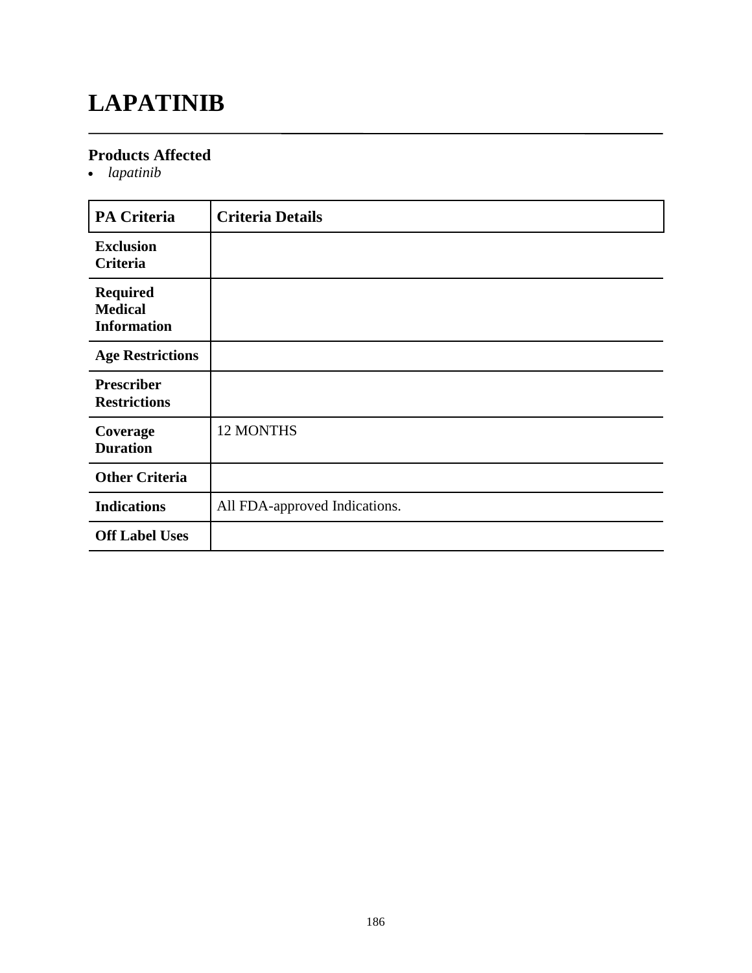### **LAPATINIB**

### **Products Affected**

*lapatinib*

| <b>PA Criteria</b>                                      | <b>Criteria Details</b>       |
|---------------------------------------------------------|-------------------------------|
| <b>Exclusion</b><br><b>Criteria</b>                     |                               |
| <b>Required</b><br><b>Medical</b><br><b>Information</b> |                               |
| <b>Age Restrictions</b>                                 |                               |
| <b>Prescriber</b><br><b>Restrictions</b>                |                               |
| Coverage<br><b>Duration</b>                             | <b>12 MONTHS</b>              |
| <b>Other Criteria</b>                                   |                               |
| <b>Indications</b>                                      | All FDA-approved Indications. |
| <b>Off Label Uses</b>                                   |                               |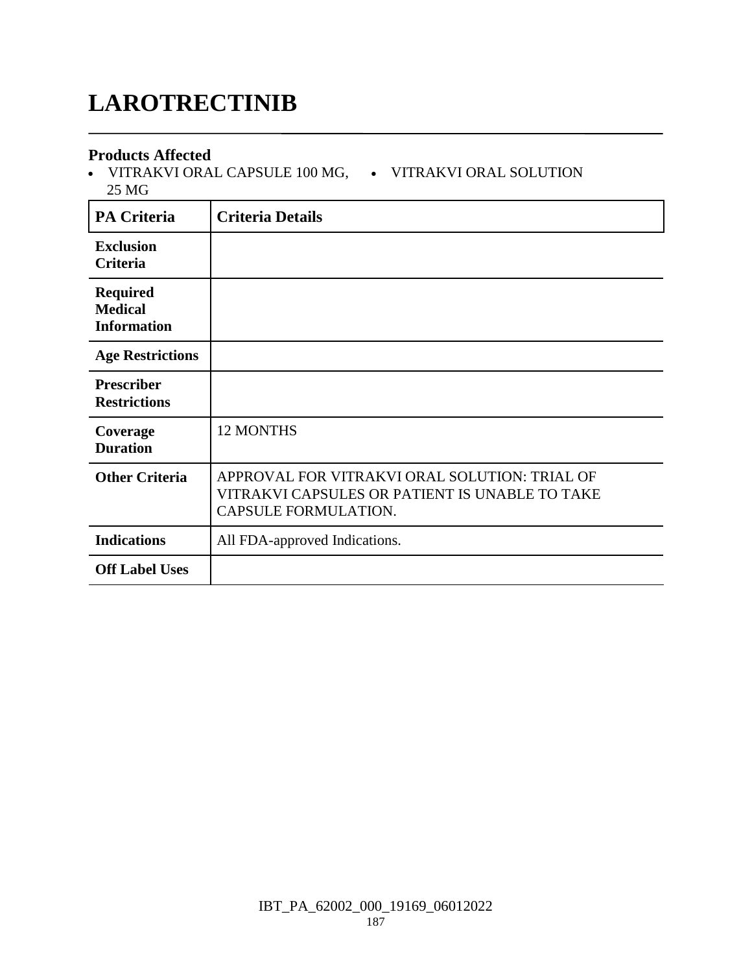# **LAROTRECTINIB**

#### **Products Affected**

• VITRAKVI ORAL CAPSULE 100 MG, • VITRAKVI ORAL SOLUTION 25 MG

| <b>PA Criteria</b>                                      | <b>Criteria Details</b>                                                                                                 |
|---------------------------------------------------------|-------------------------------------------------------------------------------------------------------------------------|
| <b>Exclusion</b><br><b>Criteria</b>                     |                                                                                                                         |
| <b>Required</b><br><b>Medical</b><br><b>Information</b> |                                                                                                                         |
| <b>Age Restrictions</b>                                 |                                                                                                                         |
| <b>Prescriber</b><br><b>Restrictions</b>                |                                                                                                                         |
| Coverage<br><b>Duration</b>                             | <b>12 MONTHS</b>                                                                                                        |
| <b>Other Criteria</b>                                   | APPROVAL FOR VITRAKVI ORAL SOLUTION: TRIAL OF<br>VITRAKVI CAPSULES OR PATIENT IS UNABLE TO TAKE<br>CAPSULE FORMULATION. |
| <b>Indications</b>                                      | All FDA-approved Indications.                                                                                           |
| <b>Off Label Uses</b>                                   |                                                                                                                         |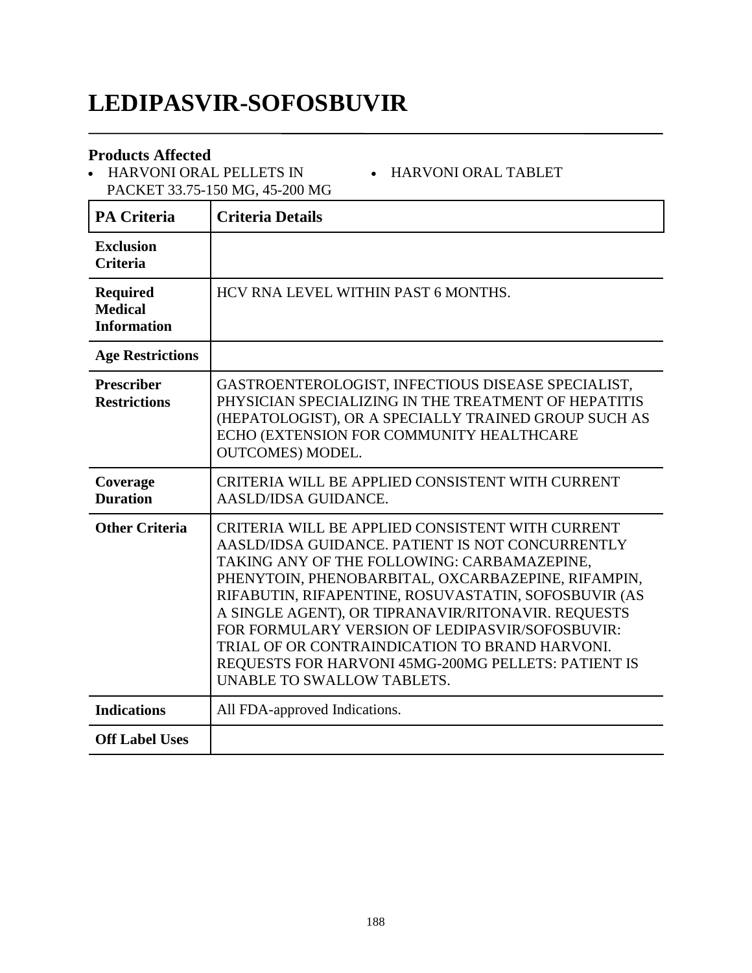### **LEDIPASVIR-SOFOSBUVIR**

#### **Products Affected**

 HARVONI ORAL PELLETS IN PACKET 33.75-150 MG, 45-200 MG

#### HARVONI ORAL TABLET

| <b>PA Criteria</b>                                      | <b>Criteria Details</b>                                                                                                                                                                                                                                                                                                                                                                                                                                                                                           |
|---------------------------------------------------------|-------------------------------------------------------------------------------------------------------------------------------------------------------------------------------------------------------------------------------------------------------------------------------------------------------------------------------------------------------------------------------------------------------------------------------------------------------------------------------------------------------------------|
| <b>Exclusion</b><br><b>Criteria</b>                     |                                                                                                                                                                                                                                                                                                                                                                                                                                                                                                                   |
| <b>Required</b><br><b>Medical</b><br><b>Information</b> | HCV RNA LEVEL WITHIN PAST 6 MONTHS.                                                                                                                                                                                                                                                                                                                                                                                                                                                                               |
| <b>Age Restrictions</b>                                 |                                                                                                                                                                                                                                                                                                                                                                                                                                                                                                                   |
| <b>Prescriber</b><br><b>Restrictions</b>                | GASTROENTEROLOGIST, INFECTIOUS DISEASE SPECIALIST,<br>PHYSICIAN SPECIALIZING IN THE TREATMENT OF HEPATITIS<br>(HEPATOLOGIST), OR A SPECIALLY TRAINED GROUP SUCH AS<br>ECHO (EXTENSION FOR COMMUNITY HEALTHCARE<br><b>OUTCOMES) MODEL.</b>                                                                                                                                                                                                                                                                         |
| Coverage<br><b>Duration</b>                             | CRITERIA WILL BE APPLIED CONSISTENT WITH CURRENT<br><b>AASLD/IDSA GUIDANCE.</b>                                                                                                                                                                                                                                                                                                                                                                                                                                   |
| <b>Other Criteria</b>                                   | CRITERIA WILL BE APPLIED CONSISTENT WITH CURRENT<br>AASLD/IDSA GUIDANCE. PATIENT IS NOT CONCURRENTLY<br>TAKING ANY OF THE FOLLOWING: CARBAMAZEPINE,<br>PHENYTOIN, PHENOBARBITAL, OXCARBAZEPINE, RIFAMPIN,<br>RIFABUTIN, RIFAPENTINE, ROSUVASTATIN, SOFOSBUVIR (AS<br>A SINGLE AGENT), OR TIPRANAVIR/RITONAVIR. REQUESTS<br>FOR FORMULARY VERSION OF LEDIPASVIR/SOFOSBUVIR:<br>TRIAL OF OR CONTRAINDICATION TO BRAND HARVONI.<br>REQUESTS FOR HARVONI 45MG-200MG PELLETS: PATIENT IS<br>UNABLE TO SWALLOW TABLETS. |
| <b>Indications</b>                                      | All FDA-approved Indications.                                                                                                                                                                                                                                                                                                                                                                                                                                                                                     |
| <b>Off Label Uses</b>                                   |                                                                                                                                                                                                                                                                                                                                                                                                                                                                                                                   |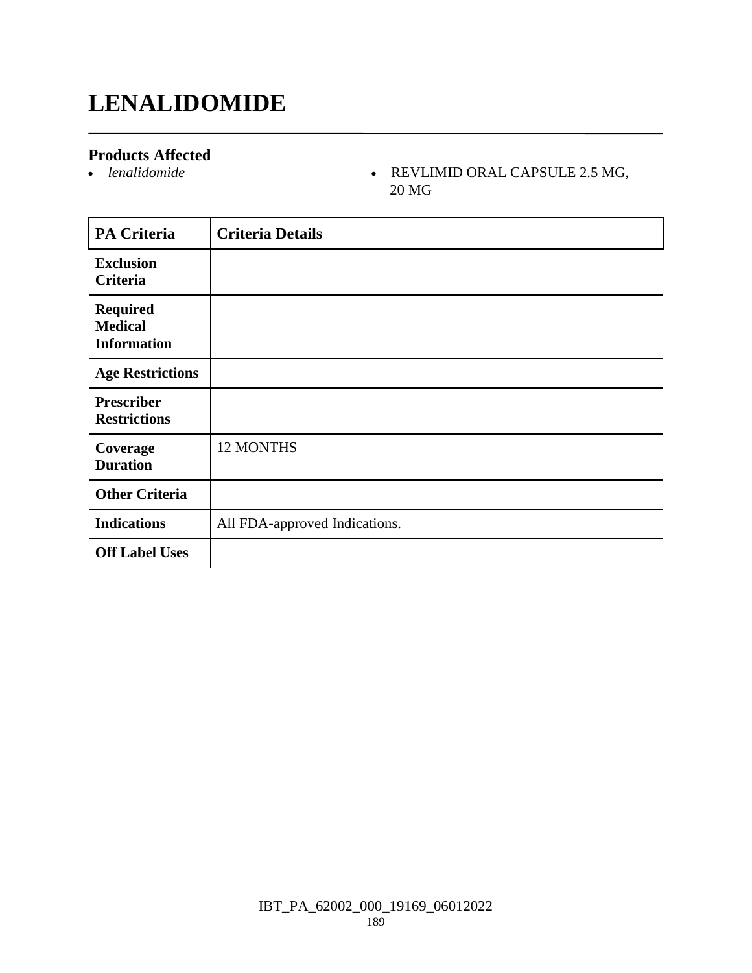### **LENALIDOMIDE**

#### **Products Affected**

#### *lenalidomide* REVLIMID ORAL CAPSULE 2.5 MG, 20 MG

| <b>PA Criteria</b>                                      | <b>Criteria Details</b>       |
|---------------------------------------------------------|-------------------------------|
| <b>Exclusion</b><br>Criteria                            |                               |
| <b>Required</b><br><b>Medical</b><br><b>Information</b> |                               |
| <b>Age Restrictions</b>                                 |                               |
| <b>Prescriber</b><br><b>Restrictions</b>                |                               |
| Coverage<br><b>Duration</b>                             | 12 MONTHS                     |
| <b>Other Criteria</b>                                   |                               |
| <b>Indications</b>                                      | All FDA-approved Indications. |
| <b>Off Label Uses</b>                                   |                               |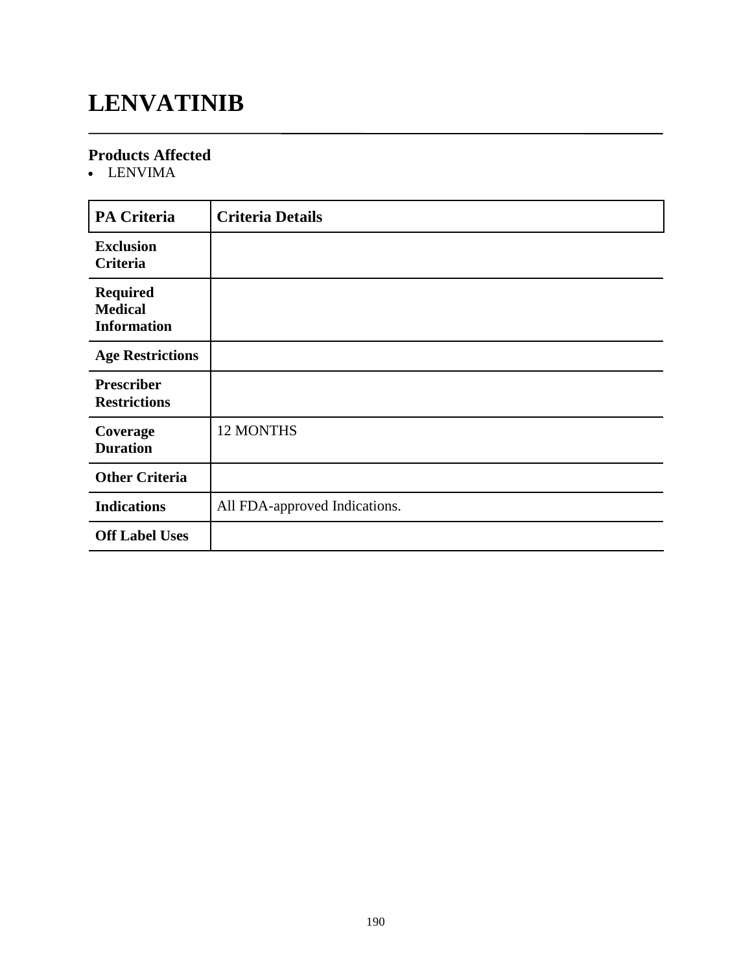### **LENVATINIB**

### **Products Affected**

• LENVIMA

| <b>PA Criteria</b>                                      | <b>Criteria Details</b>       |
|---------------------------------------------------------|-------------------------------|
| <b>Exclusion</b><br>Criteria                            |                               |
| <b>Required</b><br><b>Medical</b><br><b>Information</b> |                               |
| <b>Age Restrictions</b>                                 |                               |
| <b>Prescriber</b><br><b>Restrictions</b>                |                               |
| Coverage<br><b>Duration</b>                             | <b>12 MONTHS</b>              |
| <b>Other Criteria</b>                                   |                               |
| <b>Indications</b>                                      | All FDA-approved Indications. |
| <b>Off Label Uses</b>                                   |                               |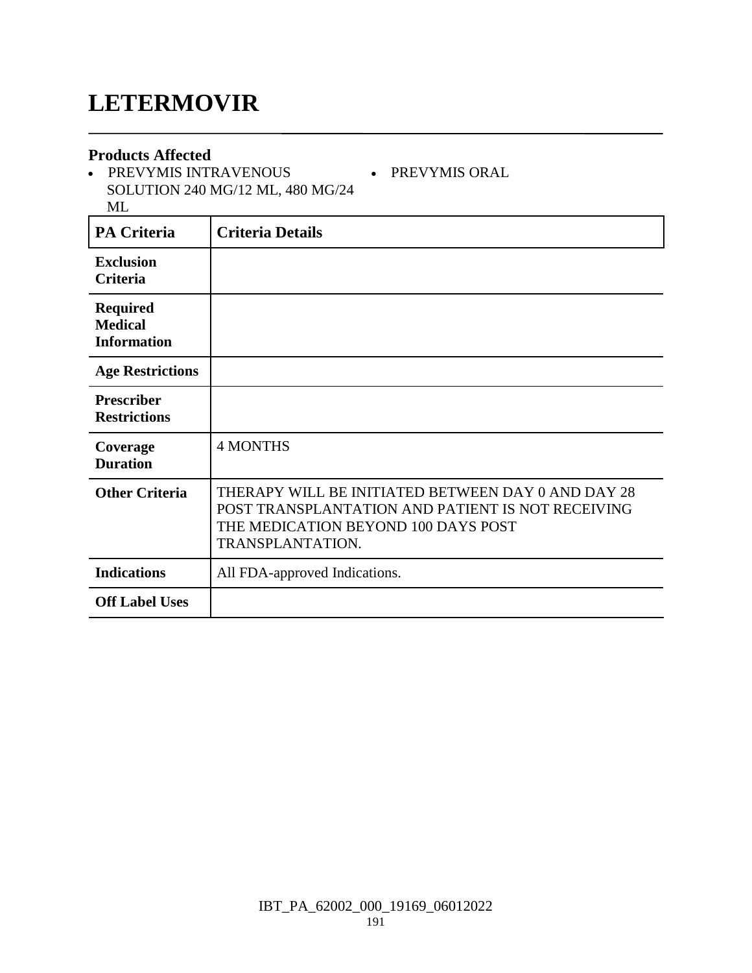### **LETERMOVIR**

#### **Products Affected**

• PREVYMIS INTRAVENOUS SOLUTION 240 MG/12 ML, 480 MG/24 ML

PREVYMIS ORAL

| <b>PA Criteria</b>                                      | <b>Criteria Details</b>                                                                                                                                            |
|---------------------------------------------------------|--------------------------------------------------------------------------------------------------------------------------------------------------------------------|
| <b>Exclusion</b><br>Criteria                            |                                                                                                                                                                    |
| <b>Required</b><br><b>Medical</b><br><b>Information</b> |                                                                                                                                                                    |
| <b>Age Restrictions</b>                                 |                                                                                                                                                                    |
| <b>Prescriber</b><br><b>Restrictions</b>                |                                                                                                                                                                    |
| Coverage<br><b>Duration</b>                             | <b>4 MONTHS</b>                                                                                                                                                    |
| <b>Other Criteria</b>                                   | THERAPY WILL BE INITIATED BETWEEN DAY 0 AND DAY 28<br>POST TRANSPLANTATION AND PATIENT IS NOT RECEIVING<br>THE MEDICATION BEYOND 100 DAYS POST<br>TRANSPLANTATION. |
| <b>Indications</b>                                      | All FDA-approved Indications.                                                                                                                                      |
| <b>Off Label Uses</b>                                   |                                                                                                                                                                    |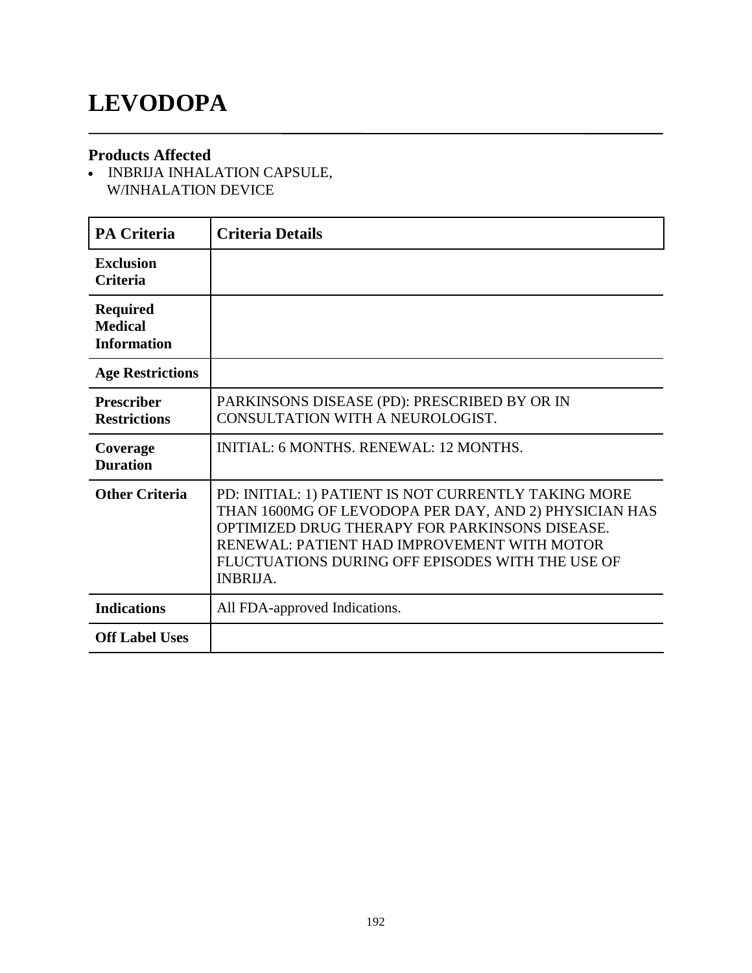### **LEVODOPA**

#### **Products Affected**

• INBRIJA INHALATION CAPSULE, W/INHALATION DEVICE

| <b>PA Criteria</b>                                      | <b>Criteria Details</b>                                                                                                                                                                                                                                                               |
|---------------------------------------------------------|---------------------------------------------------------------------------------------------------------------------------------------------------------------------------------------------------------------------------------------------------------------------------------------|
| <b>Exclusion</b><br><b>Criteria</b>                     |                                                                                                                                                                                                                                                                                       |
| <b>Required</b><br><b>Medical</b><br><b>Information</b> |                                                                                                                                                                                                                                                                                       |
| <b>Age Restrictions</b>                                 |                                                                                                                                                                                                                                                                                       |
| <b>Prescriber</b><br><b>Restrictions</b>                | PARKINSONS DISEASE (PD): PRESCRIBED BY OR IN<br>CONSULTATION WITH A NEUROLOGIST.                                                                                                                                                                                                      |
| Coverage<br><b>Duration</b>                             | <b>INITIAL: 6 MONTHS, RENEWAL: 12 MONTHS.</b>                                                                                                                                                                                                                                         |
| <b>Other Criteria</b>                                   | PD: INITIAL: 1) PATIENT IS NOT CURRENTLY TAKING MORE<br>THAN 1600MG OF LEVODOPA PER DAY, AND 2) PHYSICIAN HAS<br>OPTIMIZED DRUG THERAPY FOR PARKINSONS DISEASE.<br>RENEWAL: PATIENT HAD IMPROVEMENT WITH MOTOR<br>FLUCTUATIONS DURING OFF EPISODES WITH THE USE OF<br><b>INBRIJA.</b> |
| <b>Indications</b>                                      | All FDA-approved Indications.                                                                                                                                                                                                                                                         |
| <b>Off Label Uses</b>                                   |                                                                                                                                                                                                                                                                                       |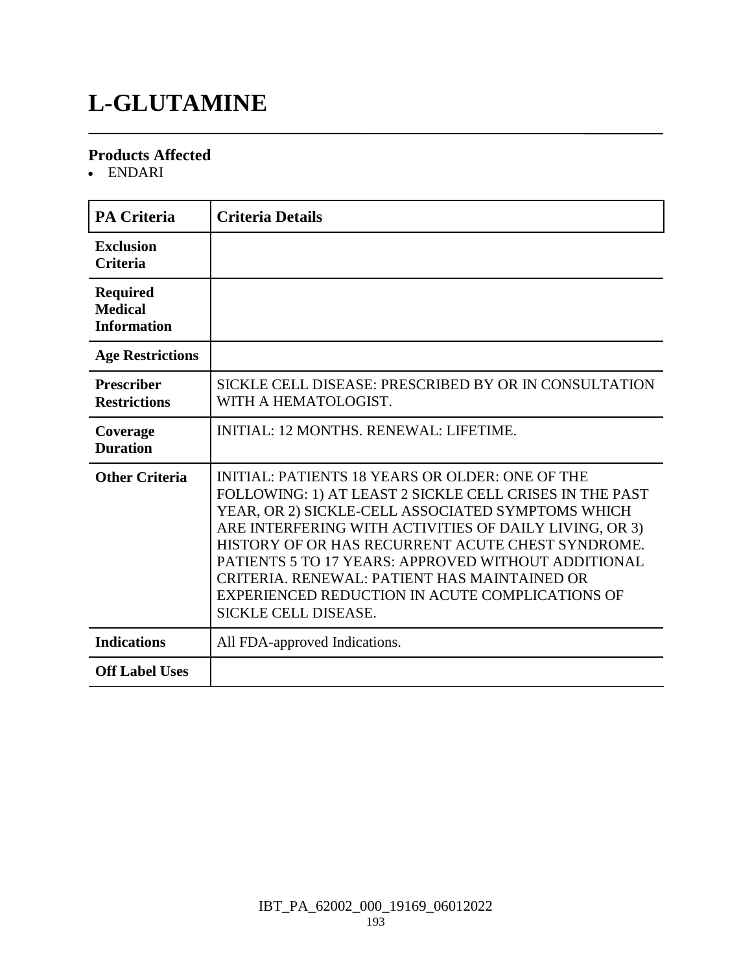# **L-GLUTAMINE**

#### **Products Affected**

ENDARI

| <b>PA Criteria</b>                                      | <b>Criteria Details</b>                                                                                                                                                                                                                                                                                                                                                                                                                                                        |
|---------------------------------------------------------|--------------------------------------------------------------------------------------------------------------------------------------------------------------------------------------------------------------------------------------------------------------------------------------------------------------------------------------------------------------------------------------------------------------------------------------------------------------------------------|
| <b>Exclusion</b><br><b>Criteria</b>                     |                                                                                                                                                                                                                                                                                                                                                                                                                                                                                |
| <b>Required</b><br><b>Medical</b><br><b>Information</b> |                                                                                                                                                                                                                                                                                                                                                                                                                                                                                |
| <b>Age Restrictions</b>                                 |                                                                                                                                                                                                                                                                                                                                                                                                                                                                                |
| <b>Prescriber</b><br><b>Restrictions</b>                | SICKLE CELL DISEASE: PRESCRIBED BY OR IN CONSULTATION<br>WITH A HEMATOLOGIST.                                                                                                                                                                                                                                                                                                                                                                                                  |
| Coverage<br><b>Duration</b>                             | <b>INITIAL: 12 MONTHS, RENEWAL: LIFETIME.</b>                                                                                                                                                                                                                                                                                                                                                                                                                                  |
| <b>Other Criteria</b>                                   | <b>INITIAL: PATIENTS 18 YEARS OR OLDER: ONE OF THE</b><br>FOLLOWING: 1) AT LEAST 2 SICKLE CELL CRISES IN THE PAST<br>YEAR, OR 2) SICKLE-CELL ASSOCIATED SYMPTOMS WHICH<br>ARE INTERFERING WITH ACTIVITIES OF DAILY LIVING, OR 3)<br>HISTORY OF OR HAS RECURRENT ACUTE CHEST SYNDROME.<br>PATIENTS 5 TO 17 YEARS: APPROVED WITHOUT ADDITIONAL<br>CRITERIA. RENEWAL: PATIENT HAS MAINTAINED OR<br>EXPERIENCED REDUCTION IN ACUTE COMPLICATIONS OF<br><b>SICKLE CELL DISEASE.</b> |
| <b>Indications</b>                                      | All FDA-approved Indications.                                                                                                                                                                                                                                                                                                                                                                                                                                                  |
| <b>Off Label Uses</b>                                   |                                                                                                                                                                                                                                                                                                                                                                                                                                                                                |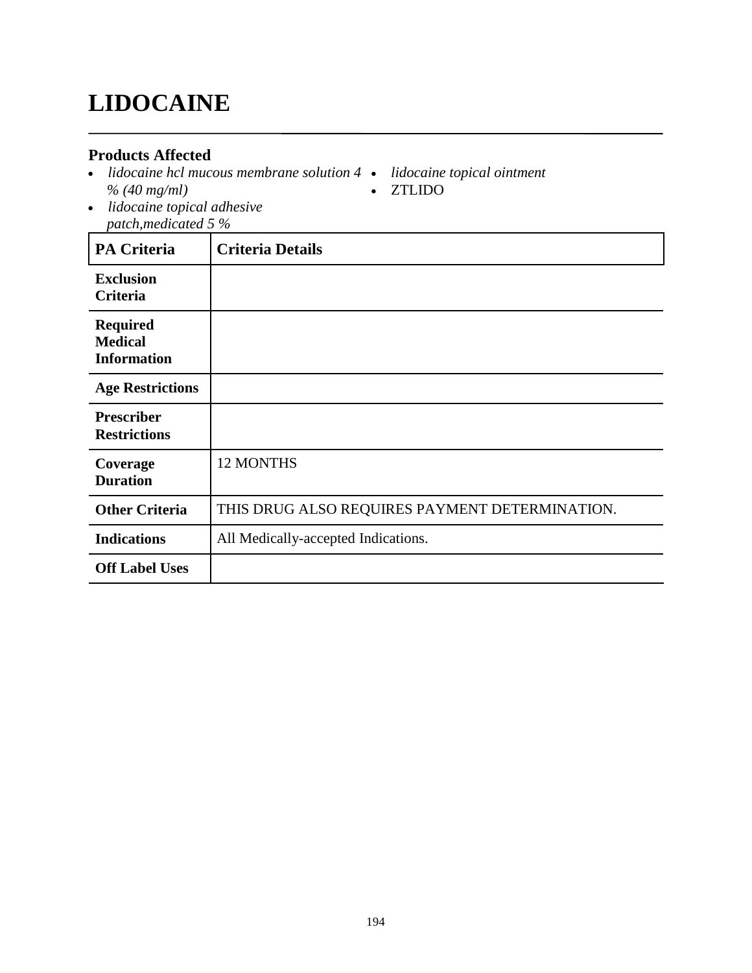# **LIDOCAINE**

#### **Products Affected**

- *lidocaine hcl mucous membrane solution 4 % (40 mg/ml)*
- *lidocaine topical ointment* ZTLIDO
- *lidocaine topical adhesive patch,medicated 5 %*

| <b>PA Criteria</b>                                      | <b>Criteria Details</b>                        |
|---------------------------------------------------------|------------------------------------------------|
| <b>Exclusion</b><br>Criteria                            |                                                |
| <b>Required</b><br><b>Medical</b><br><b>Information</b> |                                                |
| <b>Age Restrictions</b>                                 |                                                |
| <b>Prescriber</b><br><b>Restrictions</b>                |                                                |
| Coverage<br><b>Duration</b>                             | <b>12 MONTHS</b>                               |
| <b>Other Criteria</b>                                   | THIS DRUG ALSO REQUIRES PAYMENT DETERMINATION. |
| <b>Indications</b>                                      | All Medically-accepted Indications.            |
| <b>Off Label Uses</b>                                   |                                                |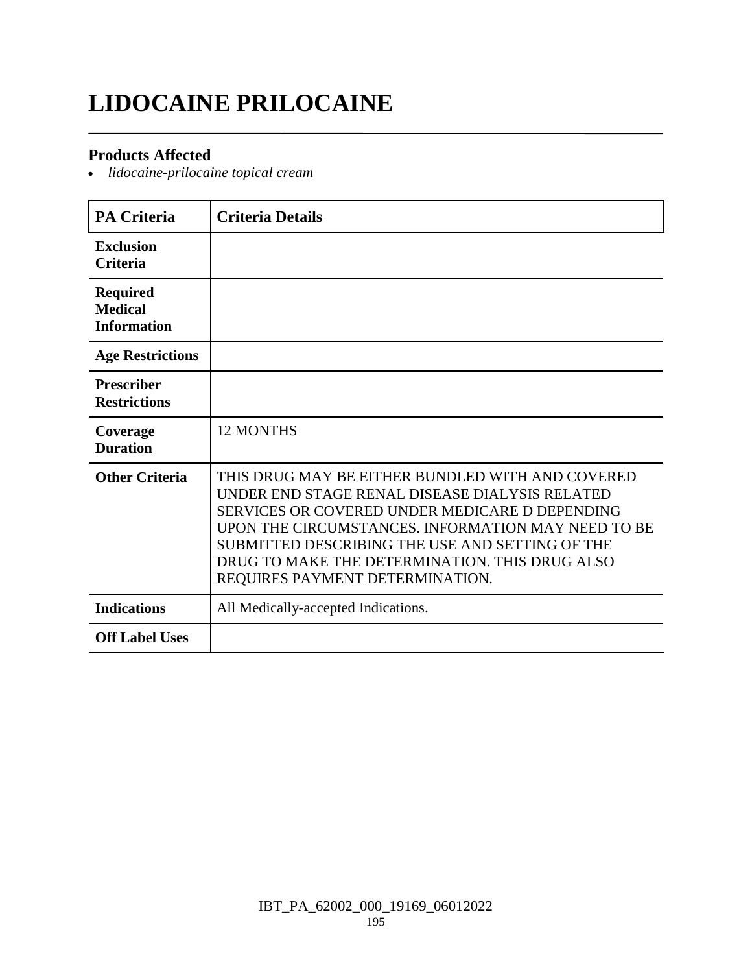# **LIDOCAINE PRILOCAINE**

#### **Products Affected**

*lidocaine-prilocaine topical cream*

| <b>PA Criteria</b>                                      | <b>Criteria Details</b>                                                                                                                                                                                                                                                                                                                            |
|---------------------------------------------------------|----------------------------------------------------------------------------------------------------------------------------------------------------------------------------------------------------------------------------------------------------------------------------------------------------------------------------------------------------|
| <b>Exclusion</b><br><b>Criteria</b>                     |                                                                                                                                                                                                                                                                                                                                                    |
| <b>Required</b><br><b>Medical</b><br><b>Information</b> |                                                                                                                                                                                                                                                                                                                                                    |
| <b>Age Restrictions</b>                                 |                                                                                                                                                                                                                                                                                                                                                    |
| <b>Prescriber</b><br><b>Restrictions</b>                |                                                                                                                                                                                                                                                                                                                                                    |
| Coverage<br><b>Duration</b>                             | <b>12 MONTHS</b>                                                                                                                                                                                                                                                                                                                                   |
| <b>Other Criteria</b>                                   | THIS DRUG MAY BE EITHER BUNDLED WITH AND COVERED<br>UNDER END STAGE RENAL DISEASE DIALYSIS RELATED<br>SERVICES OR COVERED UNDER MEDICARE D DEPENDING<br>UPON THE CIRCUMSTANCES. INFORMATION MAY NEED TO BE<br>SUBMITTED DESCRIBING THE USE AND SETTING OF THE<br>DRUG TO MAKE THE DETERMINATION. THIS DRUG ALSO<br>REQUIRES PAYMENT DETERMINATION. |
| <b>Indications</b>                                      | All Medically-accepted Indications.                                                                                                                                                                                                                                                                                                                |
| <b>Off Label Uses</b>                                   |                                                                                                                                                                                                                                                                                                                                                    |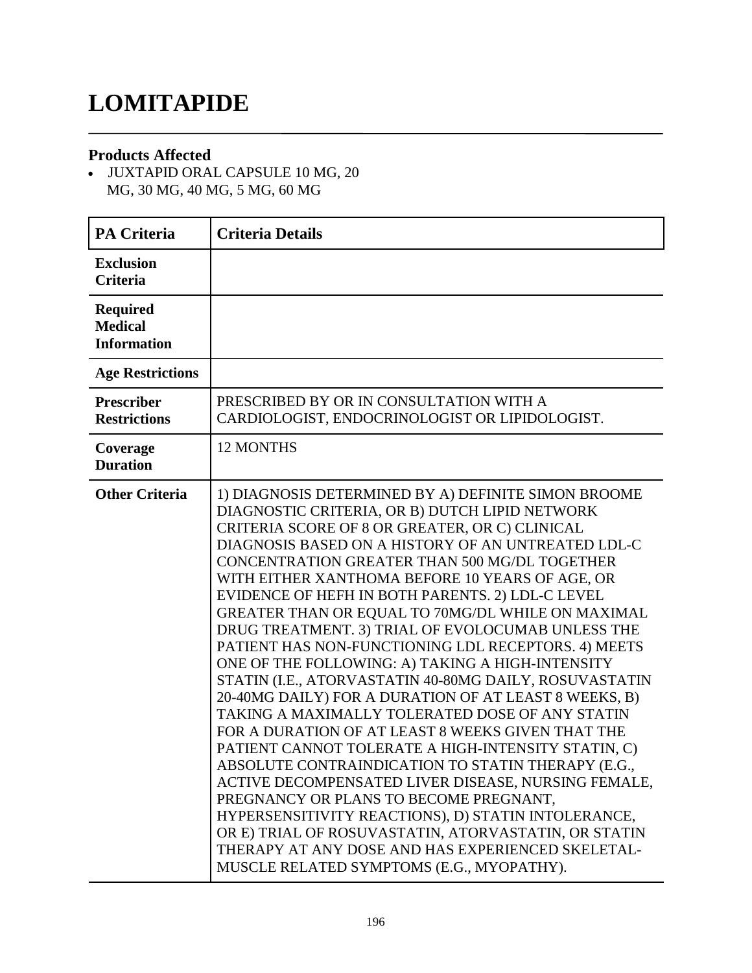### **LOMITAPIDE**

#### **Products Affected**

 JUXTAPID ORAL CAPSULE 10 MG, 20 MG, 30 MG, 40 MG, 5 MG, 60 MG

| <b>PA Criteria</b>                                      | <b>Criteria Details</b>                                                                                                                                                                                                                                                                                                                                                                                                                                                                                                                                                                                                                                                                                                                                                                                                                                                                                                                                                                                                                                                                                                                                                                                                                            |
|---------------------------------------------------------|----------------------------------------------------------------------------------------------------------------------------------------------------------------------------------------------------------------------------------------------------------------------------------------------------------------------------------------------------------------------------------------------------------------------------------------------------------------------------------------------------------------------------------------------------------------------------------------------------------------------------------------------------------------------------------------------------------------------------------------------------------------------------------------------------------------------------------------------------------------------------------------------------------------------------------------------------------------------------------------------------------------------------------------------------------------------------------------------------------------------------------------------------------------------------------------------------------------------------------------------------|
| <b>Exclusion</b><br><b>Criteria</b>                     |                                                                                                                                                                                                                                                                                                                                                                                                                                                                                                                                                                                                                                                                                                                                                                                                                                                                                                                                                                                                                                                                                                                                                                                                                                                    |
| <b>Required</b><br><b>Medical</b><br><b>Information</b> |                                                                                                                                                                                                                                                                                                                                                                                                                                                                                                                                                                                                                                                                                                                                                                                                                                                                                                                                                                                                                                                                                                                                                                                                                                                    |
| <b>Age Restrictions</b>                                 |                                                                                                                                                                                                                                                                                                                                                                                                                                                                                                                                                                                                                                                                                                                                                                                                                                                                                                                                                                                                                                                                                                                                                                                                                                                    |
| <b>Prescriber</b><br><b>Restrictions</b>                | PRESCRIBED BY OR IN CONSULTATION WITH A<br>CARDIOLOGIST, ENDOCRINOLOGIST OR LIPIDOLOGIST.                                                                                                                                                                                                                                                                                                                                                                                                                                                                                                                                                                                                                                                                                                                                                                                                                                                                                                                                                                                                                                                                                                                                                          |
| Coverage<br><b>Duration</b>                             | <b>12 MONTHS</b>                                                                                                                                                                                                                                                                                                                                                                                                                                                                                                                                                                                                                                                                                                                                                                                                                                                                                                                                                                                                                                                                                                                                                                                                                                   |
| <b>Other Criteria</b>                                   | 1) DIAGNOSIS DETERMINED BY A) DEFINITE SIMON BROOME<br>DIAGNOSTIC CRITERIA, OR B) DUTCH LIPID NETWORK<br>CRITERIA SCORE OF 8 OR GREATER, OR C) CLINICAL<br>DIAGNOSIS BASED ON A HISTORY OF AN UNTREATED LDL-C<br>CONCENTRATION GREATER THAN 500 MG/DL TOGETHER<br>WITH EITHER XANTHOMA BEFORE 10 YEARS OF AGE, OR<br>EVIDENCE OF HEFH IN BOTH PARENTS. 2) LDL-C LEVEL<br>GREATER THAN OR EQUAL TO 70MG/DL WHILE ON MAXIMAL<br>DRUG TREATMENT. 3) TRIAL OF EVOLOCUMAB UNLESS THE<br>PATIENT HAS NON-FUNCTIONING LDL RECEPTORS. 4) MEETS<br>ONE OF THE FOLLOWING: A) TAKING A HIGH-INTENSITY<br>STATIN (I.E., ATORVASTATIN 40-80MG DAILY, ROSUVASTATIN<br>20-40MG DAILY) FOR A DURATION OF AT LEAST 8 WEEKS, B)<br>TAKING A MAXIMALLY TOLERATED DOSE OF ANY STATIN<br>FOR A DURATION OF AT LEAST 8 WEEKS GIVEN THAT THE<br>PATIENT CANNOT TOLERATE A HIGH-INTENSITY STATIN, C)<br>ABSOLUTE CONTRAINDICATION TO STATIN THERAPY (E.G<br>ACTIVE DECOMPENSATED LIVER DISEASE, NURSING FEMALE,<br>PREGNANCY OR PLANS TO BECOME PREGNANT,<br>HYPERSENSITIVITY REACTIONS), D) STATIN INTOLERANCE,<br>OR E) TRIAL OF ROSUVASTATIN, ATORVASTATIN, OR STATIN<br>THERAPY AT ANY DOSE AND HAS EXPERIENCED SKELETAL-<br>MUSCLE RELATED SYMPTOMS (E.G., MYOPATHY). |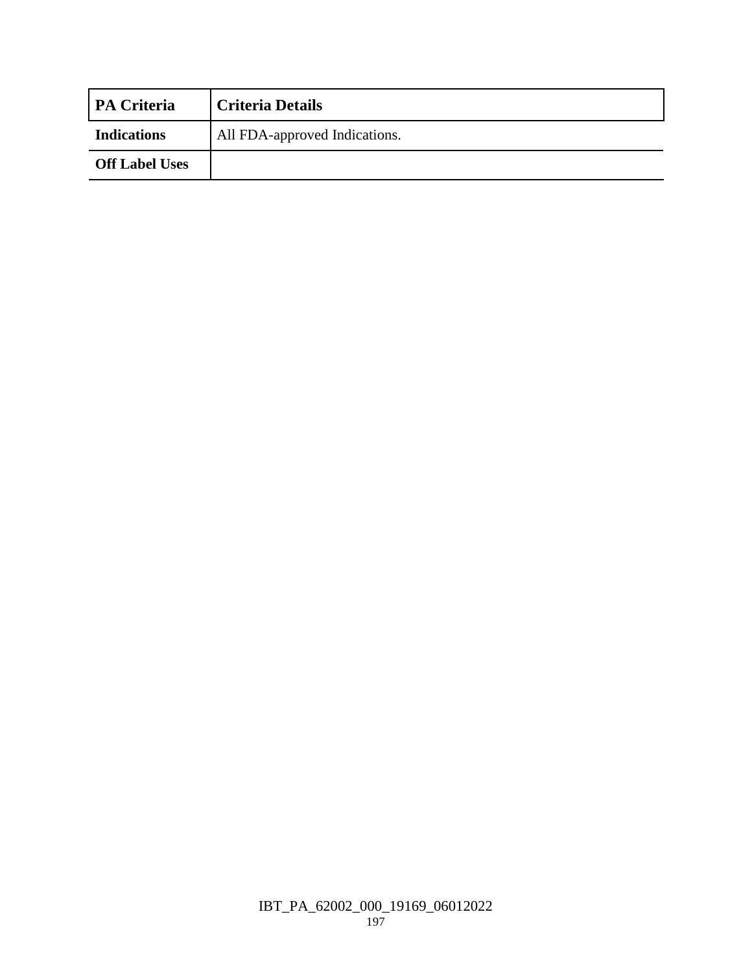| <b>PA Criteria</b>    | <b>Criteria Details</b>       |
|-----------------------|-------------------------------|
| <b>Indications</b>    | All FDA-approved Indications. |
| <b>Off Label Uses</b> |                               |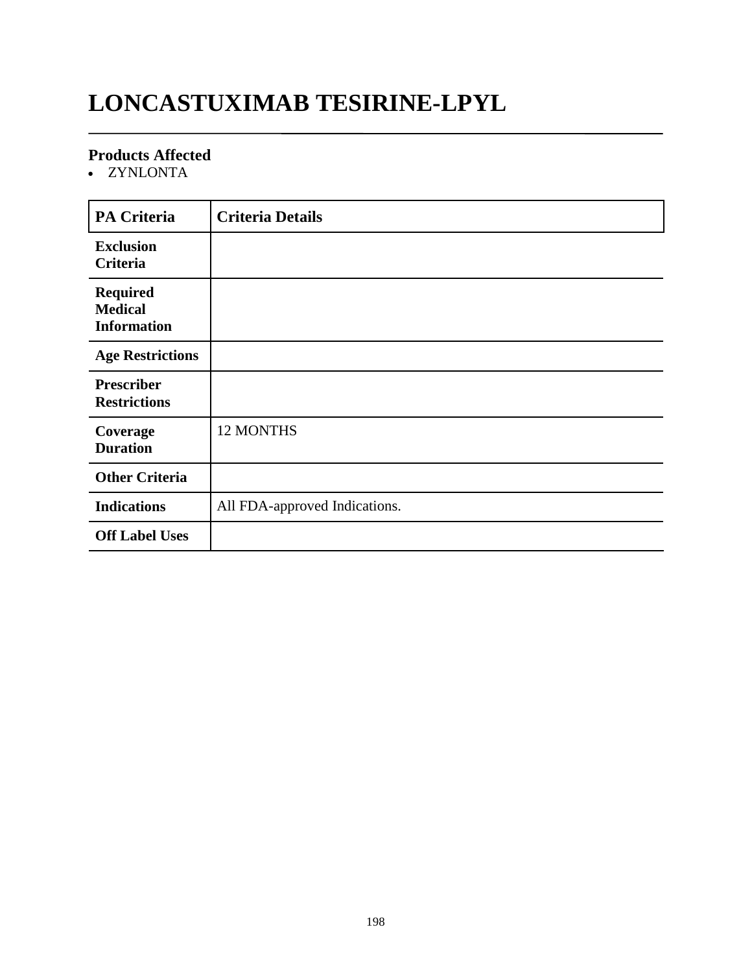# **LONCASTUXIMAB TESIRINE-LPYL**

#### **Products Affected**

• ZYNLONTA

| <b>PA Criteria</b>                                      | <b>Criteria Details</b>       |
|---------------------------------------------------------|-------------------------------|
| <b>Exclusion</b><br>Criteria                            |                               |
| <b>Required</b><br><b>Medical</b><br><b>Information</b> |                               |
| <b>Age Restrictions</b>                                 |                               |
| <b>Prescriber</b><br><b>Restrictions</b>                |                               |
| Coverage<br><b>Duration</b>                             | 12 MONTHS                     |
| <b>Other Criteria</b>                                   |                               |
| <b>Indications</b>                                      | All FDA-approved Indications. |
| <b>Off Label Uses</b>                                   |                               |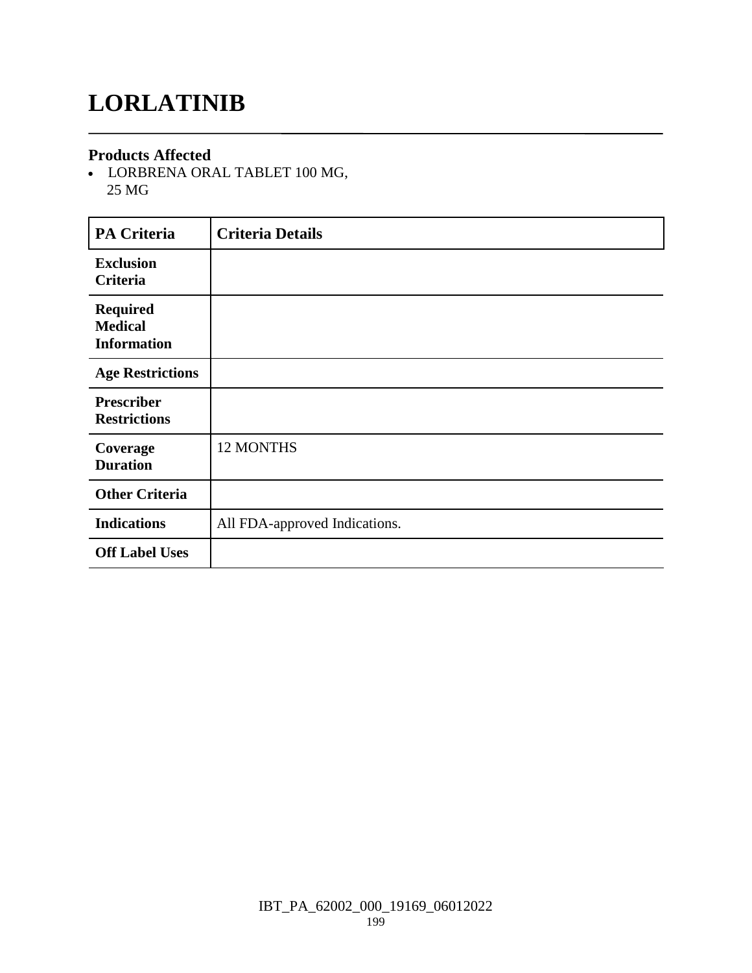# **LORLATINIB**

#### **Products Affected**

 LORBRENA ORAL TABLET 100 MG, 25 MG

| <b>PA Criteria</b>                                      | <b>Criteria Details</b>       |
|---------------------------------------------------------|-------------------------------|
| <b>Exclusion</b><br>Criteria                            |                               |
| <b>Required</b><br><b>Medical</b><br><b>Information</b> |                               |
| <b>Age Restrictions</b>                                 |                               |
| <b>Prescriber</b><br><b>Restrictions</b>                |                               |
| Coverage<br><b>Duration</b>                             | 12 MONTHS                     |
| <b>Other Criteria</b>                                   |                               |
| <b>Indications</b>                                      | All FDA-approved Indications. |
| <b>Off Label Uses</b>                                   |                               |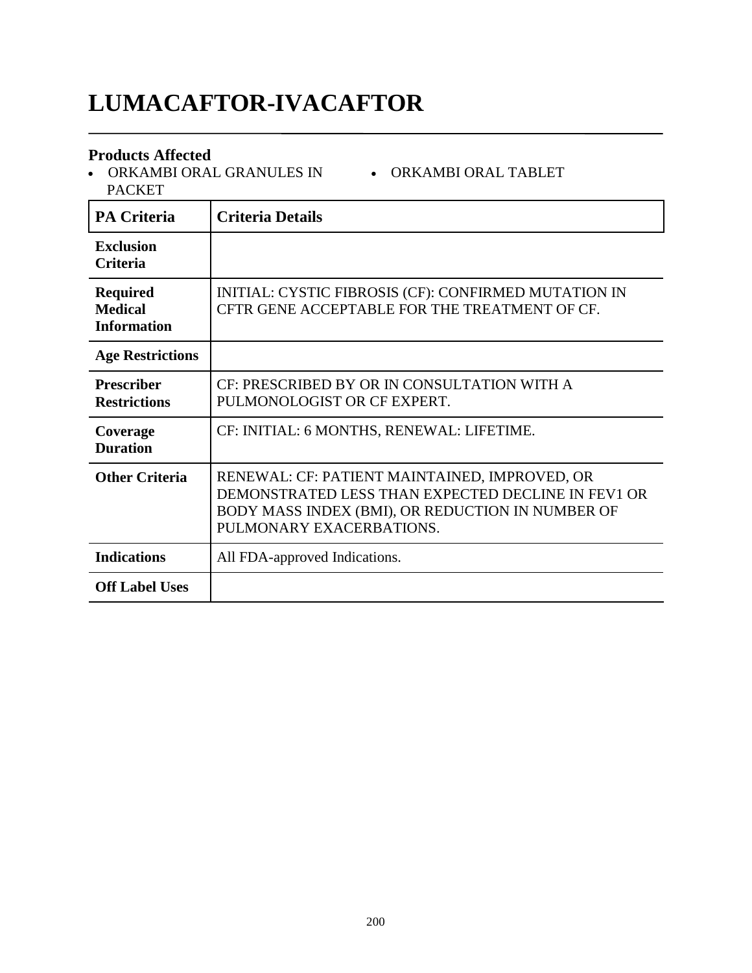# **LUMACAFTOR-IVACAFTOR**

#### **Products Affected**

 ORKAMBI ORAL GRANULES IN ORKAMBI ORAL TABLET PACKET

| <b>PA Criteria</b>                                      | <b>Criteria Details</b>                                                                                                                                                             |
|---------------------------------------------------------|-------------------------------------------------------------------------------------------------------------------------------------------------------------------------------------|
| <b>Exclusion</b><br><b>Criteria</b>                     |                                                                                                                                                                                     |
| <b>Required</b><br><b>Medical</b><br><b>Information</b> | INITIAL: CYSTIC FIBROSIS (CF): CONFIRMED MUTATION IN<br>CFTR GENE ACCEPTABLE FOR THE TREATMENT OF CF.                                                                               |
| <b>Age Restrictions</b>                                 |                                                                                                                                                                                     |
| <b>Prescriber</b><br><b>Restrictions</b>                | CF: PRESCRIBED BY OR IN CONSULTATION WITH A<br>PULMONOLOGIST OR CF EXPERT.                                                                                                          |
| Coverage<br><b>Duration</b>                             | CF: INITIAL: 6 MONTHS, RENEWAL: LIFETIME.                                                                                                                                           |
| <b>Other Criteria</b>                                   | RENEWAL: CF: PATIENT MAINTAINED, IMPROVED, OR<br>DEMONSTRATED LESS THAN EXPECTED DECLINE IN FEV1 OR<br>BODY MASS INDEX (BMI), OR REDUCTION IN NUMBER OF<br>PULMONARY EXACERBATIONS. |
| <b>Indications</b>                                      | All FDA-approved Indications.                                                                                                                                                       |
| <b>Off Label Uses</b>                                   |                                                                                                                                                                                     |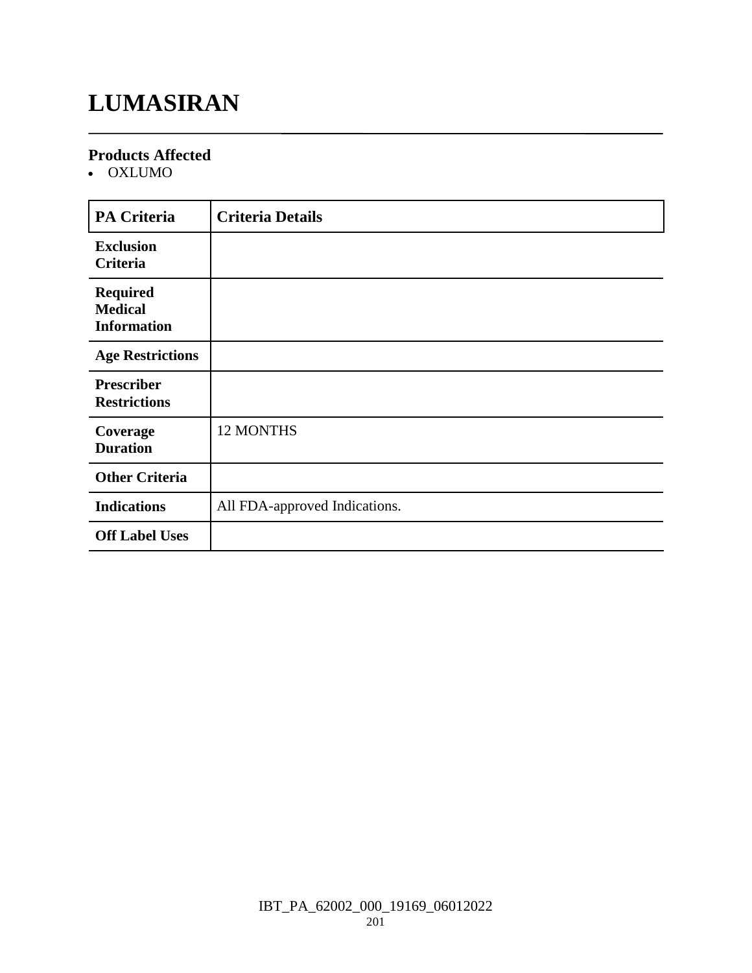# **LUMASIRAN**

#### **Products Affected**

OXLUMO

| <b>PA Criteria</b>                                      | <b>Criteria Details</b>       |
|---------------------------------------------------------|-------------------------------|
| <b>Exclusion</b><br>Criteria                            |                               |
| <b>Required</b><br><b>Medical</b><br><b>Information</b> |                               |
| <b>Age Restrictions</b>                                 |                               |
| <b>Prescriber</b><br><b>Restrictions</b>                |                               |
| Coverage<br><b>Duration</b>                             | 12 MONTHS                     |
| <b>Other Criteria</b>                                   |                               |
| <b>Indications</b>                                      | All FDA-approved Indications. |
| <b>Off Label Uses</b>                                   |                               |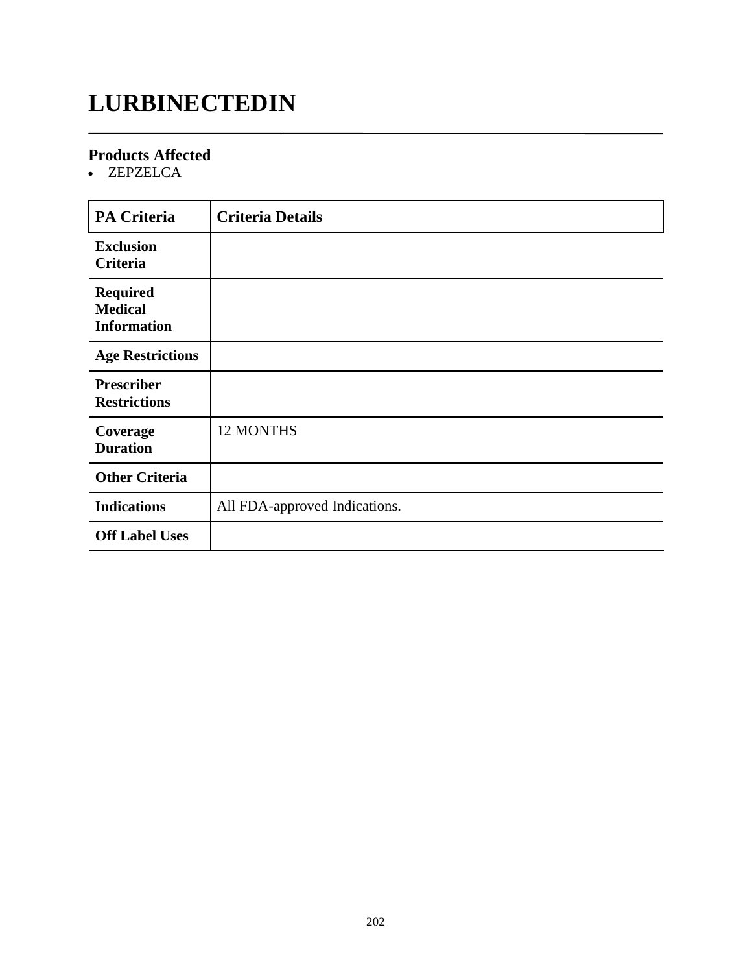# **LURBINECTEDIN**

### **Products Affected**

ZEPZELCA

| <b>PA Criteria</b>                                      | <b>Criteria Details</b>       |
|---------------------------------------------------------|-------------------------------|
| <b>Exclusion</b><br><b>Criteria</b>                     |                               |
| <b>Required</b><br><b>Medical</b><br><b>Information</b> |                               |
| <b>Age Restrictions</b>                                 |                               |
| <b>Prescriber</b><br><b>Restrictions</b>                |                               |
| Coverage<br><b>Duration</b>                             | <b>12 MONTHS</b>              |
| <b>Other Criteria</b>                                   |                               |
| <b>Indications</b>                                      | All FDA-approved Indications. |
| <b>Off Label Uses</b>                                   |                               |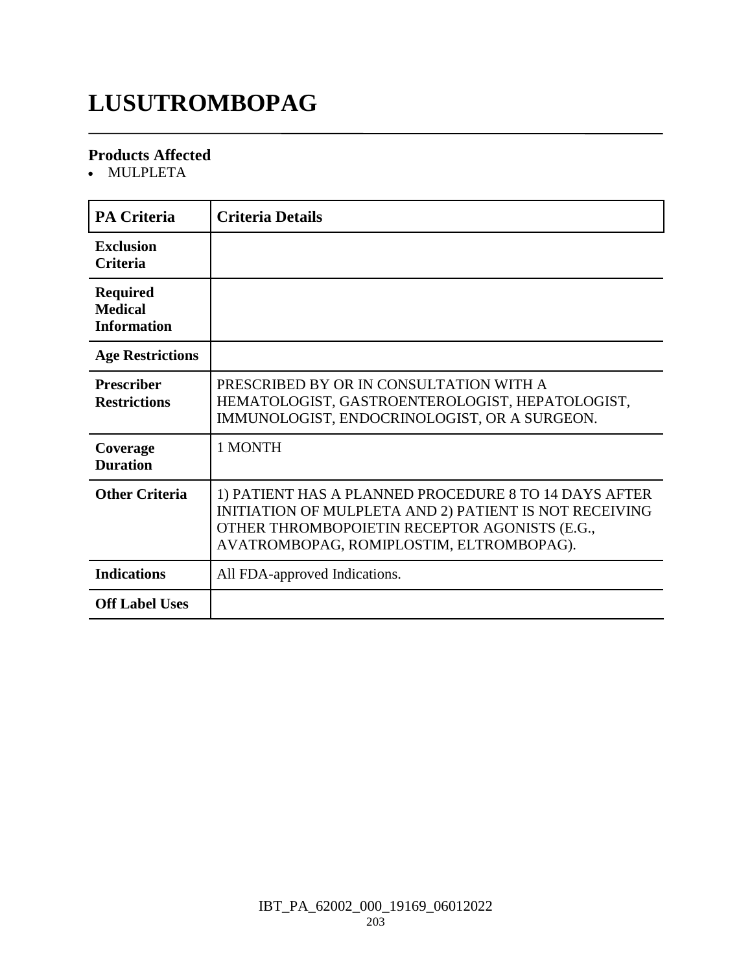### **LUSUTROMBOPAG**

#### **Products Affected**

MULPLETA

| <b>PA Criteria</b>                                      | <b>Criteria Details</b>                                                                                                                                                                                      |
|---------------------------------------------------------|--------------------------------------------------------------------------------------------------------------------------------------------------------------------------------------------------------------|
| <b>Exclusion</b><br><b>Criteria</b>                     |                                                                                                                                                                                                              |
| <b>Required</b><br><b>Medical</b><br><b>Information</b> |                                                                                                                                                                                                              |
| <b>Age Restrictions</b>                                 |                                                                                                                                                                                                              |
| <b>Prescriber</b><br><b>Restrictions</b>                | PRESCRIBED BY OR IN CONSULTATION WITH A<br>HEMATOLOGIST, GASTROENTEROLOGIST, HEPATOLOGIST,<br>IMMUNOLOGIST, ENDOCRINOLOGIST, OR A SURGEON.                                                                   |
| Coverage<br><b>Duration</b>                             | 1 MONTH                                                                                                                                                                                                      |
| <b>Other Criteria</b>                                   | 1) PATIENT HAS A PLANNED PROCEDURE 8 TO 14 DAYS AFTER<br>INITIATION OF MULPLETA AND 2) PATIENT IS NOT RECEIVING<br>OTHER THROMBOPOIETIN RECEPTOR AGONISTS (E.G.,<br>AVATROMBOPAG, ROMIPLOSTIM, ELTROMBOPAG). |
| <b>Indications</b>                                      | All FDA-approved Indications.                                                                                                                                                                                |
| <b>Off Label Uses</b>                                   |                                                                                                                                                                                                              |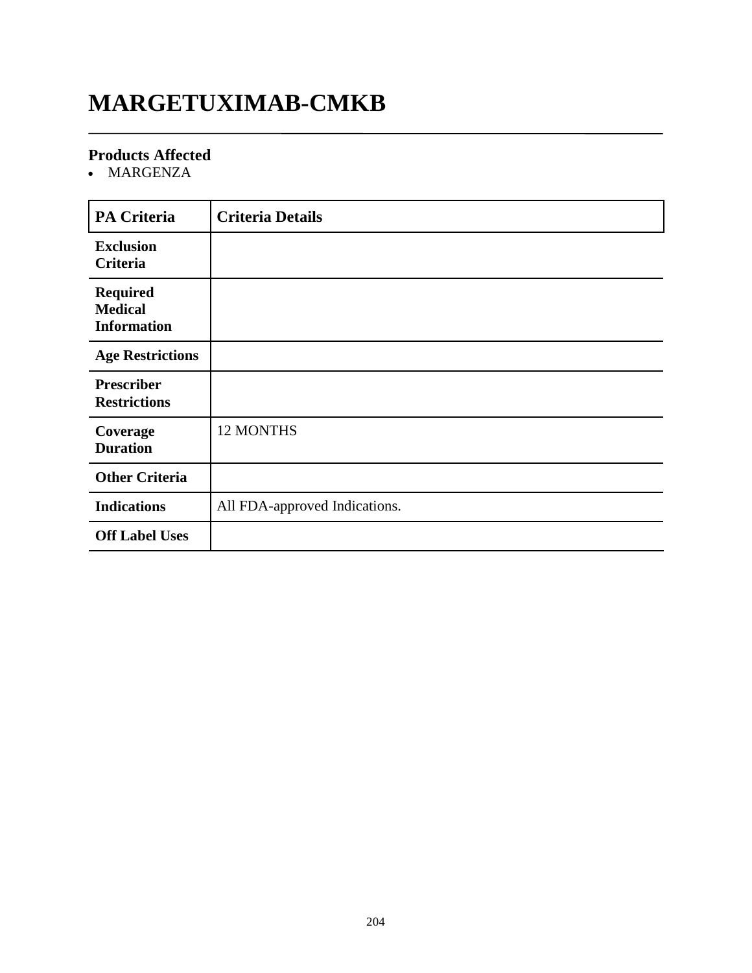### **MARGETUXIMAB-CMKB**

### **Products Affected**

• MARGENZA

| <b>PA Criteria</b>                                      | <b>Criteria Details</b>       |
|---------------------------------------------------------|-------------------------------|
| <b>Exclusion</b><br>Criteria                            |                               |
| <b>Required</b><br><b>Medical</b><br><b>Information</b> |                               |
| <b>Age Restrictions</b>                                 |                               |
| <b>Prescriber</b><br><b>Restrictions</b>                |                               |
| Coverage<br><b>Duration</b>                             | 12 MONTHS                     |
| <b>Other Criteria</b>                                   |                               |
| <b>Indications</b>                                      | All FDA-approved Indications. |
| <b>Off Label Uses</b>                                   |                               |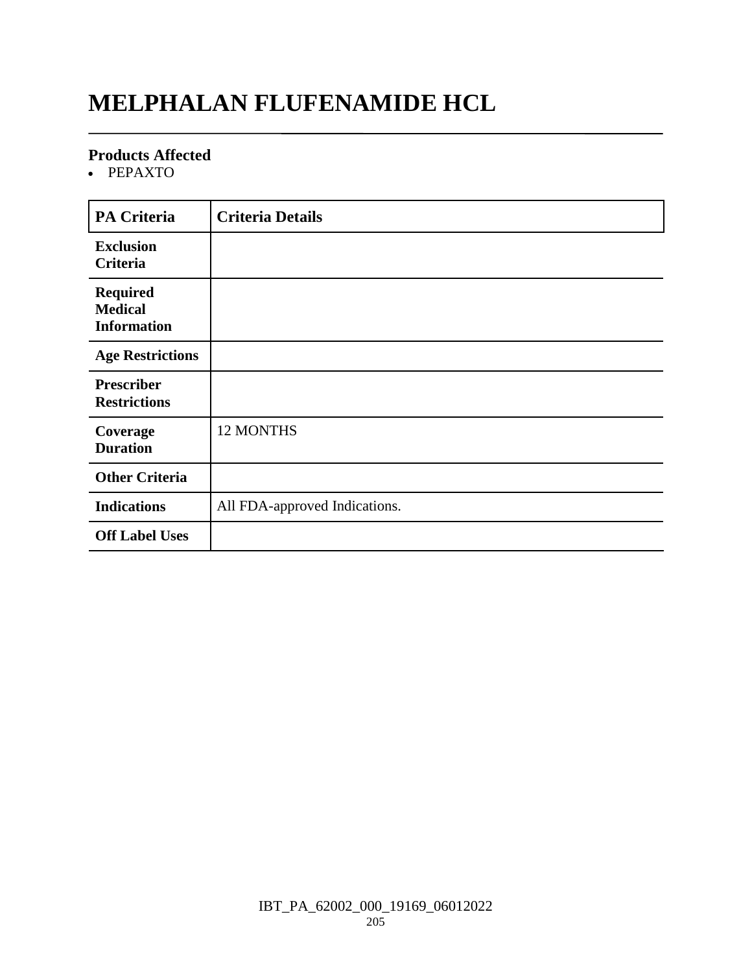### **MELPHALAN FLUFENAMIDE HCL**

#### **Products Affected**

• PEPAXTO

| <b>PA Criteria</b>                                      | <b>Criteria Details</b>       |
|---------------------------------------------------------|-------------------------------|
| <b>Exclusion</b><br><b>Criteria</b>                     |                               |
| <b>Required</b><br><b>Medical</b><br><b>Information</b> |                               |
| <b>Age Restrictions</b>                                 |                               |
| <b>Prescriber</b><br><b>Restrictions</b>                |                               |
| Coverage<br><b>Duration</b>                             | 12 MONTHS                     |
| <b>Other Criteria</b>                                   |                               |
| <b>Indications</b>                                      | All FDA-approved Indications. |
| <b>Off Label Uses</b>                                   |                               |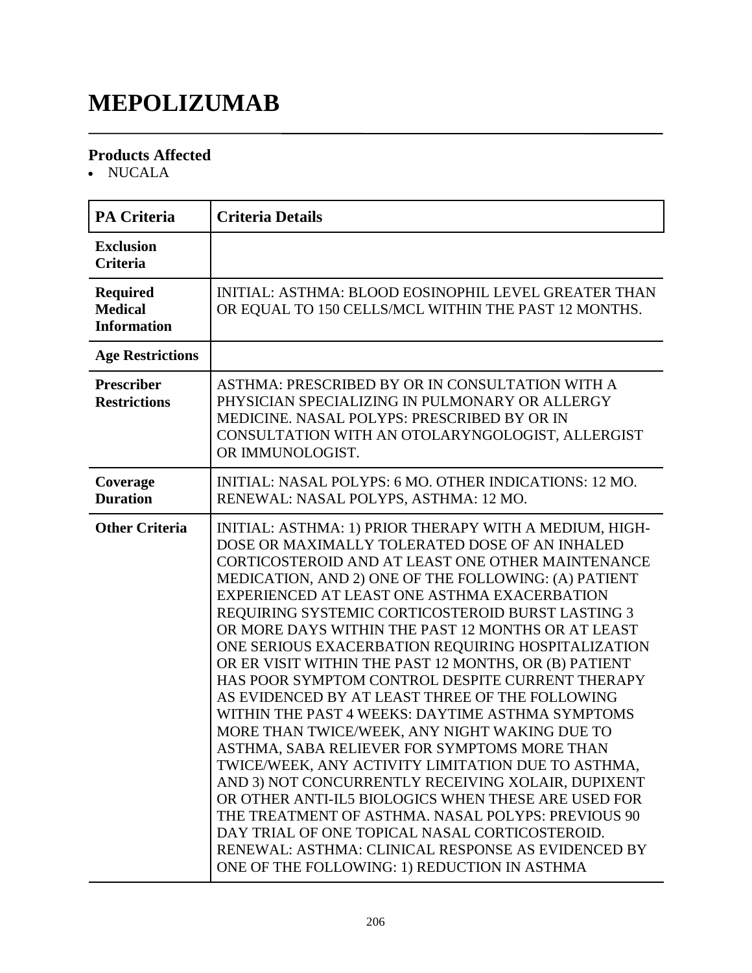# **MEPOLIZUMAB**

#### **Products Affected**

• NUCALA

| <b>PA Criteria</b>                                      | <b>Criteria Details</b>                                                                                                                                                                                                                                                                                                                                                                                                                                                                                                                                                                                                                                                                                                                                                                                                                                                                                                                                                                                                                                                                                                                      |
|---------------------------------------------------------|----------------------------------------------------------------------------------------------------------------------------------------------------------------------------------------------------------------------------------------------------------------------------------------------------------------------------------------------------------------------------------------------------------------------------------------------------------------------------------------------------------------------------------------------------------------------------------------------------------------------------------------------------------------------------------------------------------------------------------------------------------------------------------------------------------------------------------------------------------------------------------------------------------------------------------------------------------------------------------------------------------------------------------------------------------------------------------------------------------------------------------------------|
| <b>Exclusion</b><br><b>Criteria</b>                     |                                                                                                                                                                                                                                                                                                                                                                                                                                                                                                                                                                                                                                                                                                                                                                                                                                                                                                                                                                                                                                                                                                                                              |
| <b>Required</b><br><b>Medical</b><br><b>Information</b> | INITIAL: ASTHMA: BLOOD EOSINOPHIL LEVEL GREATER THAN<br>OR EQUAL TO 150 CELLS/MCL WITHIN THE PAST 12 MONTHS.                                                                                                                                                                                                                                                                                                                                                                                                                                                                                                                                                                                                                                                                                                                                                                                                                                                                                                                                                                                                                                 |
| <b>Age Restrictions</b>                                 |                                                                                                                                                                                                                                                                                                                                                                                                                                                                                                                                                                                                                                                                                                                                                                                                                                                                                                                                                                                                                                                                                                                                              |
| <b>Prescriber</b><br><b>Restrictions</b>                | ASTHMA: PRESCRIBED BY OR IN CONSULTATION WITH A<br>PHYSICIAN SPECIALIZING IN PULMONARY OR ALLERGY<br>MEDICINE. NASAL POLYPS: PRESCRIBED BY OR IN<br>CONSULTATION WITH AN OTOLARYNGOLOGIST, ALLERGIST<br>OR IMMUNOLOGIST.                                                                                                                                                                                                                                                                                                                                                                                                                                                                                                                                                                                                                                                                                                                                                                                                                                                                                                                     |
| Coverage<br><b>Duration</b>                             | INITIAL: NASAL POLYPS: 6 MO. OTHER INDICATIONS: 12 MO.<br>RENEWAL: NASAL POLYPS, ASTHMA: 12 MO.                                                                                                                                                                                                                                                                                                                                                                                                                                                                                                                                                                                                                                                                                                                                                                                                                                                                                                                                                                                                                                              |
| <b>Other Criteria</b>                                   | INITIAL: ASTHMA: 1) PRIOR THERAPY WITH A MEDIUM, HIGH-<br>DOSE OR MAXIMALLY TOLERATED DOSE OF AN INHALED<br>CORTICOSTEROID AND AT LEAST ONE OTHER MAINTENANCE<br>MEDICATION, AND 2) ONE OF THE FOLLOWING: (A) PATIENT<br>EXPERIENCED AT LEAST ONE ASTHMA EXACERBATION<br>REQUIRING SYSTEMIC CORTICOSTEROID BURST LASTING 3<br>OR MORE DAYS WITHIN THE PAST 12 MONTHS OR AT LEAST<br>ONE SERIOUS EXACERBATION REQUIRING HOSPITALIZATION<br>OR ER VISIT WITHIN THE PAST 12 MONTHS, OR (B) PATIENT<br>HAS POOR SYMPTOM CONTROL DESPITE CURRENT THERAPY<br>AS EVIDENCED BY AT LEAST THREE OF THE FOLLOWING<br>WITHIN THE PAST 4 WEEKS: DAYTIME ASTHMA SYMPTOMS<br>MORE THAN TWICE/WEEK, ANY NIGHT WAKING DUE TO<br>ASTHMA, SABA RELIEVER FOR SYMPTOMS MORE THAN<br>TWICE/WEEK, ANY ACTIVITY LIMITATION DUE TO ASTHMA,<br>AND 3) NOT CONCURRENTLY RECEIVING XOLAIR, DUPIXENT<br>OR OTHER ANTI-IL5 BIOLOGICS WHEN THESE ARE USED FOR<br>THE TREATMENT OF ASTHMA. NASAL POLYPS: PREVIOUS 90<br>DAY TRIAL OF ONE TOPICAL NASAL CORTICOSTEROID.<br>RENEWAL: ASTHMA: CLINICAL RESPONSE AS EVIDENCED BY<br>ONE OF THE FOLLOWING: 1) REDUCTION IN ASTHMA |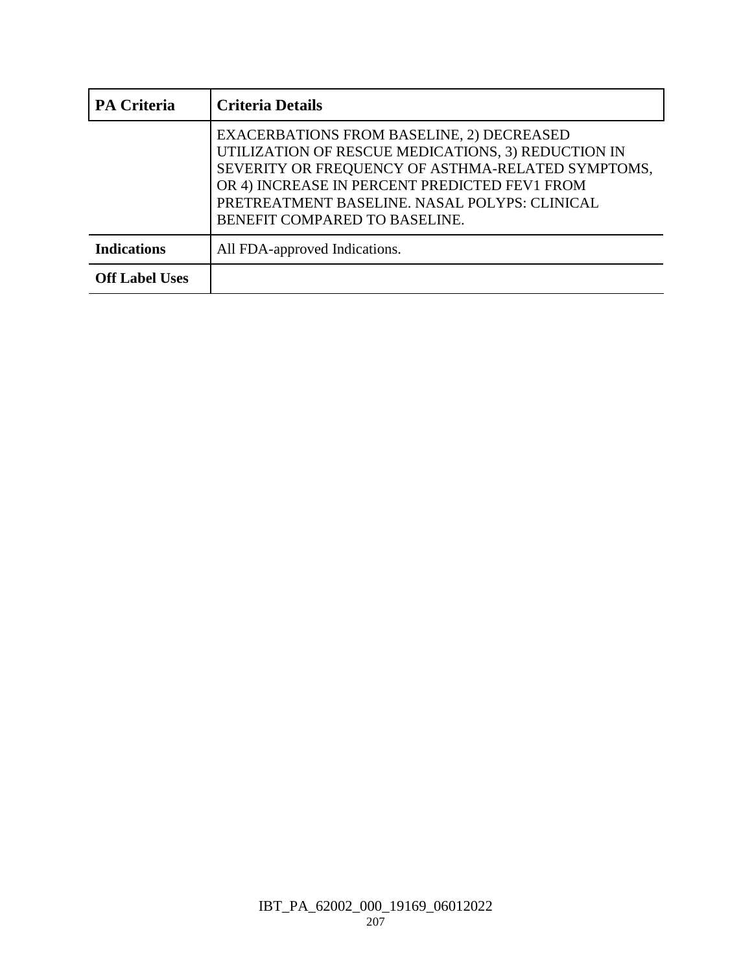| <b>PA Criteria</b>    | <b>Criteria Details</b>                                                                                                                                                                                                                                                                        |
|-----------------------|------------------------------------------------------------------------------------------------------------------------------------------------------------------------------------------------------------------------------------------------------------------------------------------------|
|                       | <b>EXACERBATIONS FROM BASELINE, 2) DECREASED</b><br>UTILIZATION OF RESCUE MEDICATIONS, 3) REDUCTION IN<br>SEVERITY OR FREQUENCY OF ASTHMA-RELATED SYMPTOMS,<br>OR 4) INCREASE IN PERCENT PREDICTED FEV1 FROM<br>PRETREATMENT BASELINE. NASAL POLYPS: CLINICAL<br>BENEFIT COMPARED TO BASELINE. |
| <b>Indications</b>    | All FDA-approved Indications.                                                                                                                                                                                                                                                                  |
| <b>Off Label Uses</b> |                                                                                                                                                                                                                                                                                                |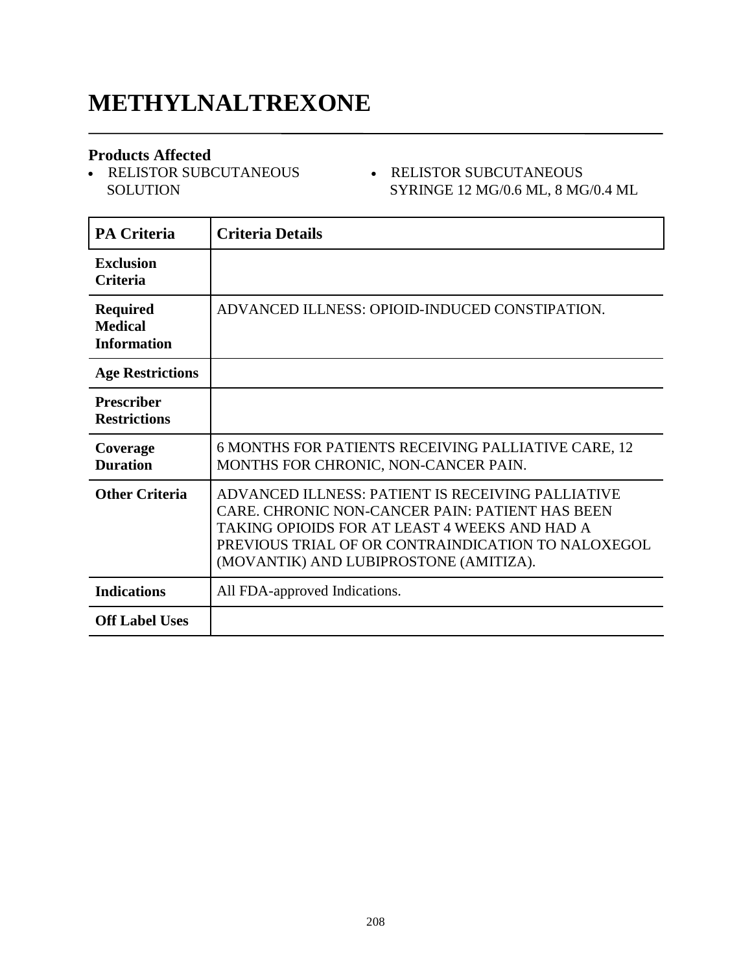### **METHYLNALTREXONE**

#### **Products Affected**

• RELISTOR SUBCUTANEOUS **SOLUTION** 

#### RELISTOR SUBCUTANEOUS SYRINGE 12 MG/0.6 ML, 8 MG/0.4 ML

| PA Criteria                                             | <b>Criteria Details</b>                                                                                                                                                                                                                               |
|---------------------------------------------------------|-------------------------------------------------------------------------------------------------------------------------------------------------------------------------------------------------------------------------------------------------------|
| <b>Exclusion</b><br><b>Criteria</b>                     |                                                                                                                                                                                                                                                       |
| <b>Required</b><br><b>Medical</b><br><b>Information</b> | ADVANCED ILLNESS: OPIOID-INDUCED CONSTIPATION.                                                                                                                                                                                                        |
| <b>Age Restrictions</b>                                 |                                                                                                                                                                                                                                                       |
| <b>Prescriber</b><br><b>Restrictions</b>                |                                                                                                                                                                                                                                                       |
| Coverage<br><b>Duration</b>                             | 6 MONTHS FOR PATIENTS RECEIVING PALLIATIVE CARE, 12<br>MONTHS FOR CHRONIC, NON-CANCER PAIN.                                                                                                                                                           |
| <b>Other Criteria</b>                                   | ADVANCED ILLNESS: PATIENT IS RECEIVING PALLIATIVE<br>CARE. CHRONIC NON-CANCER PAIN: PATIENT HAS BEEN<br>TAKING OPIOIDS FOR AT LEAST 4 WEEKS AND HAD A<br>PREVIOUS TRIAL OF OR CONTRAINDICATION TO NALOXEGOL<br>(MOVANTIK) AND LUBIPROSTONE (AMITIZA). |
| <b>Indications</b>                                      | All FDA-approved Indications.                                                                                                                                                                                                                         |
| <b>Off Label Uses</b>                                   |                                                                                                                                                                                                                                                       |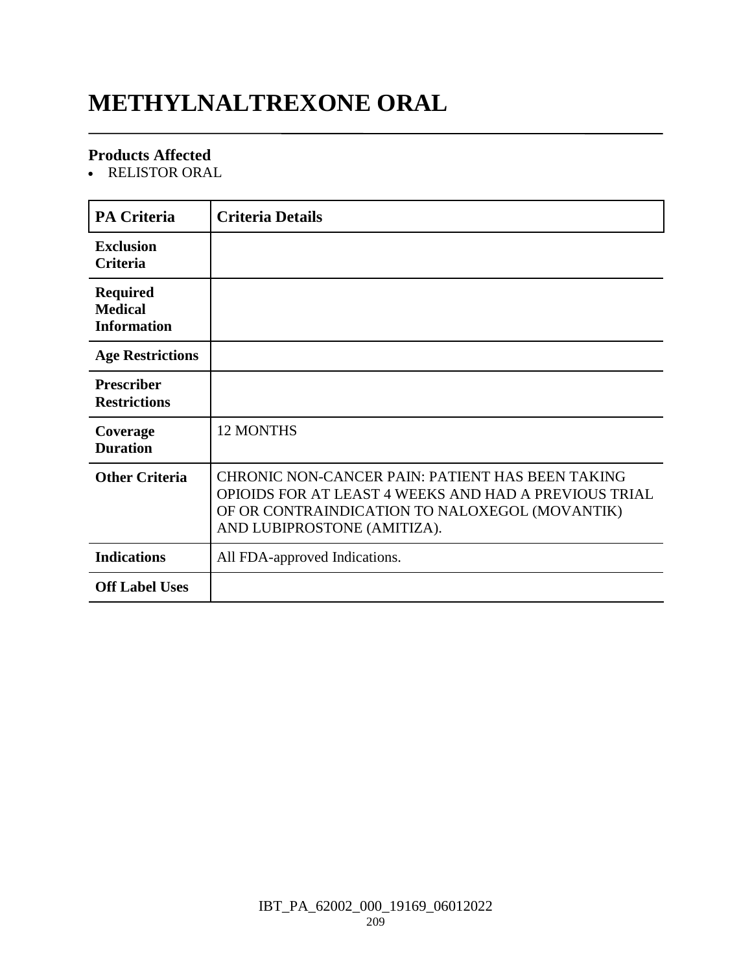# **METHYLNALTREXONE ORAL**

#### **Products Affected**

RELISTOR ORAL

| <b>PA Criteria</b>                                      | <b>Criteria Details</b>                                                                                                                                                                    |
|---------------------------------------------------------|--------------------------------------------------------------------------------------------------------------------------------------------------------------------------------------------|
| <b>Exclusion</b><br><b>Criteria</b>                     |                                                                                                                                                                                            |
| <b>Required</b><br><b>Medical</b><br><b>Information</b> |                                                                                                                                                                                            |
| <b>Age Restrictions</b>                                 |                                                                                                                                                                                            |
| <b>Prescriber</b><br><b>Restrictions</b>                |                                                                                                                                                                                            |
| Coverage<br><b>Duration</b>                             | <b>12 MONTHS</b>                                                                                                                                                                           |
| <b>Other Criteria</b>                                   | CHRONIC NON-CANCER PAIN: PATIENT HAS BEEN TAKING<br>OPIOIDS FOR AT LEAST 4 WEEKS AND HAD A PREVIOUS TRIAL<br>OF OR CONTRAINDICATION TO NALOXEGOL (MOVANTIK)<br>AND LUBIPROSTONE (AMITIZA). |
| <b>Indications</b>                                      | All FDA-approved Indications.                                                                                                                                                              |
| <b>Off Label Uses</b>                                   |                                                                                                                                                                                            |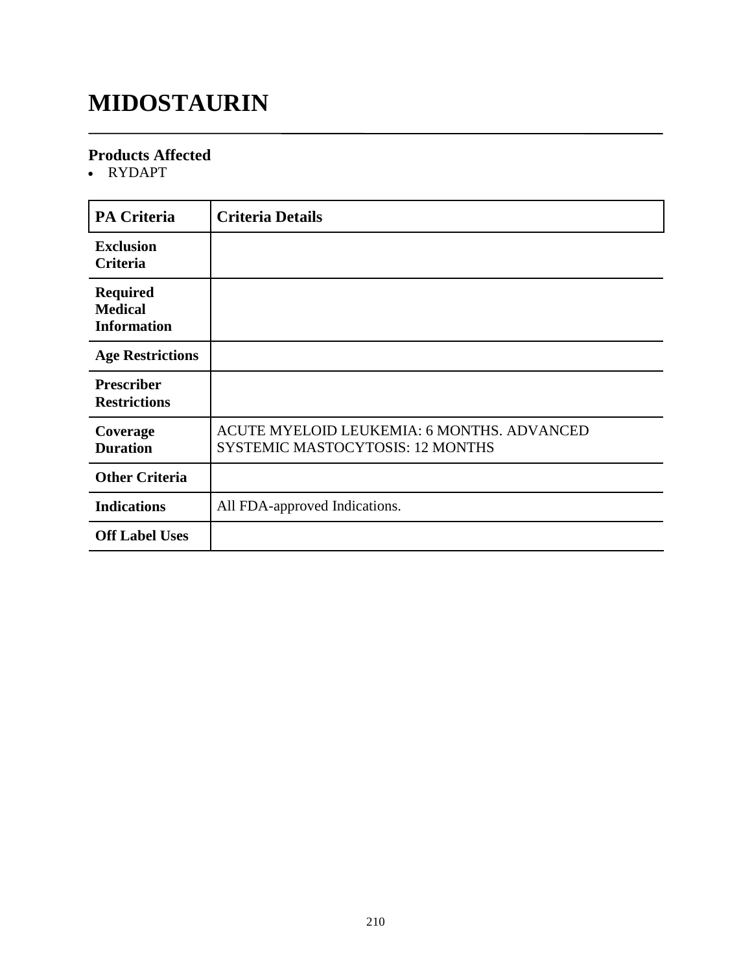## **MIDOSTAURIN**

#### **Products Affected**

RYDAPT

| <b>PA Criteria</b>                                      | <b>Criteria Details</b>                                                        |
|---------------------------------------------------------|--------------------------------------------------------------------------------|
| <b>Exclusion</b><br>Criteria                            |                                                                                |
| <b>Required</b><br><b>Medical</b><br><b>Information</b> |                                                                                |
| <b>Age Restrictions</b>                                 |                                                                                |
| <b>Prescriber</b><br><b>Restrictions</b>                |                                                                                |
| Coverage<br><b>Duration</b>                             | ACUTE MYELOID LEUKEMIA: 6 MONTHS. ADVANCED<br>SYSTEMIC MASTOCYTOSIS: 12 MONTHS |
| <b>Other Criteria</b>                                   |                                                                                |
| <b>Indications</b>                                      | All FDA-approved Indications.                                                  |
| <b>Off Label Uses</b>                                   |                                                                                |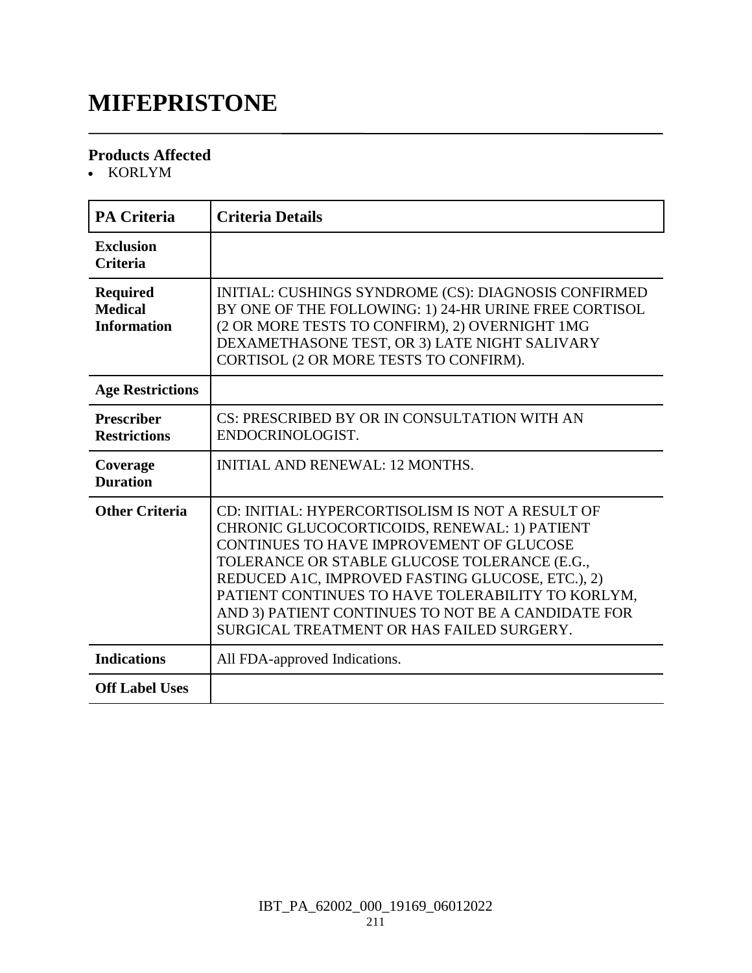### **MIFEPRISTONE**

#### **Products Affected**

• KORLYM

| <b>PA Criteria</b>                                      | <b>Criteria Details</b>                                                                                                                                                                                                                                                                                                                                                                                  |
|---------------------------------------------------------|----------------------------------------------------------------------------------------------------------------------------------------------------------------------------------------------------------------------------------------------------------------------------------------------------------------------------------------------------------------------------------------------------------|
| <b>Exclusion</b><br><b>Criteria</b>                     |                                                                                                                                                                                                                                                                                                                                                                                                          |
| <b>Required</b><br><b>Medical</b><br><b>Information</b> | INITIAL: CUSHINGS SYNDROME (CS): DIAGNOSIS CONFIRMED<br>BY ONE OF THE FOLLOWING: 1) 24-HR URINE FREE CORTISOL<br>(2 OR MORE TESTS TO CONFIRM), 2) OVERNIGHT 1MG<br>DEXAMETHASONE TEST, OR 3) LATE NIGHT SALIVARY<br>CORTISOL (2 OR MORE TESTS TO CONFIRM).                                                                                                                                               |
| <b>Age Restrictions</b>                                 |                                                                                                                                                                                                                                                                                                                                                                                                          |
| <b>Prescriber</b><br><b>Restrictions</b>                | CS: PRESCRIBED BY OR IN CONSULTATION WITH AN<br>ENDOCRINOLOGIST.                                                                                                                                                                                                                                                                                                                                         |
| Coverage<br><b>Duration</b>                             | <b>INITIAL AND RENEWAL: 12 MONTHS.</b>                                                                                                                                                                                                                                                                                                                                                                   |
| <b>Other Criteria</b>                                   | CD: INITIAL: HYPERCORTISOLISM IS NOT A RESULT OF<br>CHRONIC GLUCOCORTICOIDS, RENEWAL: 1) PATIENT<br>CONTINUES TO HAVE IMPROVEMENT OF GLUCOSE<br>TOLERANCE OR STABLE GLUCOSE TOLERANCE (E.G.,<br>REDUCED A1C, IMPROVED FASTING GLUCOSE, ETC.), 2)<br>PATIENT CONTINUES TO HAVE TOLERABILITY TO KORLYM,<br>AND 3) PATIENT CONTINUES TO NOT BE A CANDIDATE FOR<br>SURGICAL TREATMENT OR HAS FAILED SURGERY. |
| <b>Indications</b>                                      | All FDA-approved Indications.                                                                                                                                                                                                                                                                                                                                                                            |
| <b>Off Label Uses</b>                                   |                                                                                                                                                                                                                                                                                                                                                                                                          |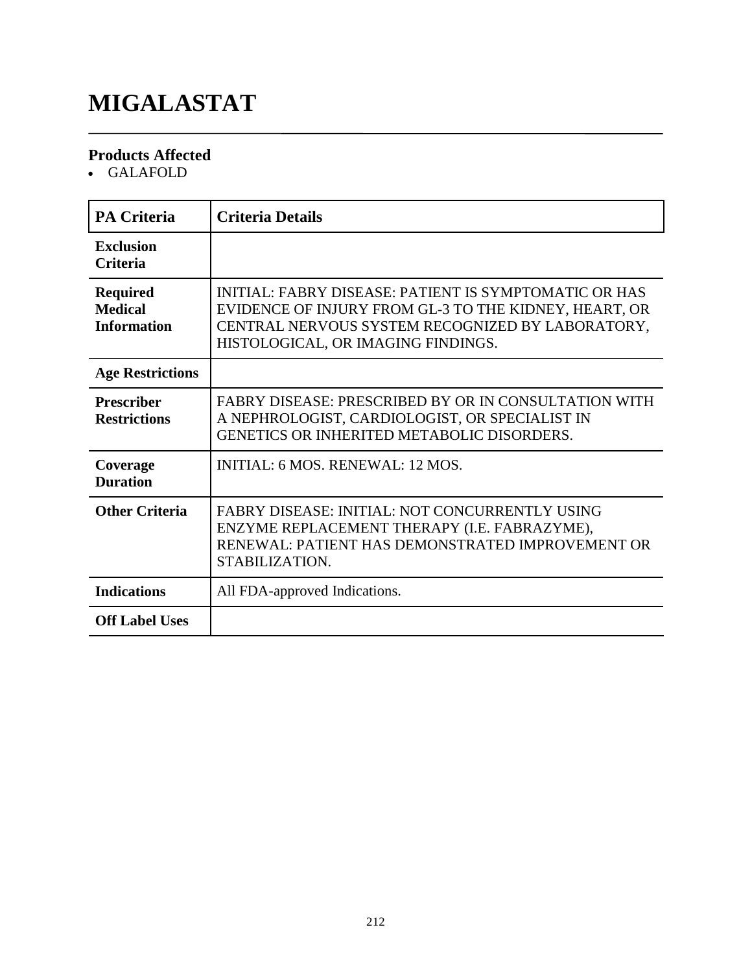# **MIGALASTAT**

### **Products Affected**

GALAFOLD

| <b>PA Criteria</b>                                      | <b>Criteria Details</b>                                                                                                                                                                                  |
|---------------------------------------------------------|----------------------------------------------------------------------------------------------------------------------------------------------------------------------------------------------------------|
| <b>Exclusion</b><br><b>Criteria</b>                     |                                                                                                                                                                                                          |
| <b>Required</b><br><b>Medical</b><br><b>Information</b> | INITIAL: FABRY DISEASE: PATIENT IS SYMPTOMATIC OR HAS<br>EVIDENCE OF INJURY FROM GL-3 TO THE KIDNEY, HEART, OR<br>CENTRAL NERVOUS SYSTEM RECOGNIZED BY LABORATORY,<br>HISTOLOGICAL, OR IMAGING FINDINGS. |
| <b>Age Restrictions</b>                                 |                                                                                                                                                                                                          |
| <b>Prescriber</b><br><b>Restrictions</b>                | FABRY DISEASE: PRESCRIBED BY OR IN CONSULTATION WITH<br>A NEPHROLOGIST, CARDIOLOGIST, OR SPECIALIST IN<br>GENETICS OR INHERITED METABOLIC DISORDERS.                                                     |
| Coverage<br><b>Duration</b>                             | INITIAL: 6 MOS. RENEWAL: 12 MOS.                                                                                                                                                                         |
| <b>Other Criteria</b>                                   | FABRY DISEASE: INITIAL: NOT CONCURRENTLY USING<br>ENZYME REPLACEMENT THERAPY (I.E. FABRAZYME),<br>RENEWAL: PATIENT HAS DEMONSTRATED IMPROVEMENT OR<br>STABILIZATION.                                     |
| <b>Indications</b>                                      | All FDA-approved Indications.                                                                                                                                                                            |
| <b>Off Label Uses</b>                                   |                                                                                                                                                                                                          |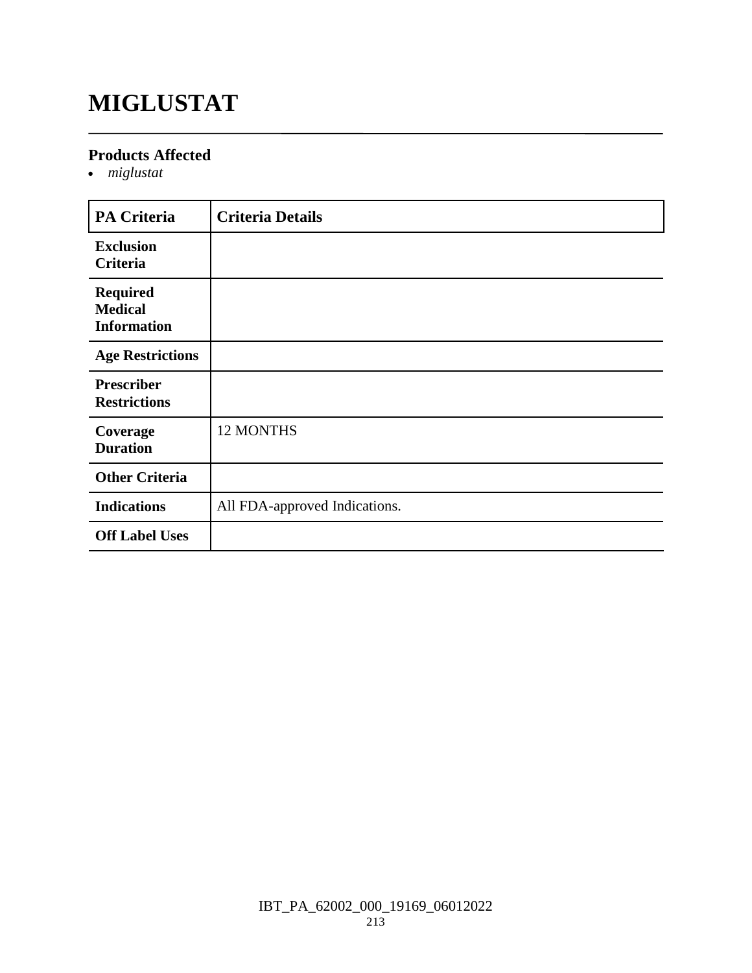# **MIGLUSTAT**

#### **Products Affected**

*miglustat*

| <b>PA Criteria</b>                                      | <b>Criteria Details</b>       |
|---------------------------------------------------------|-------------------------------|
| <b>Exclusion</b><br>Criteria                            |                               |
| <b>Required</b><br><b>Medical</b><br><b>Information</b> |                               |
| <b>Age Restrictions</b>                                 |                               |
| <b>Prescriber</b><br><b>Restrictions</b>                |                               |
| Coverage<br><b>Duration</b>                             | <b>12 MONTHS</b>              |
| <b>Other Criteria</b>                                   |                               |
| <b>Indications</b>                                      | All FDA-approved Indications. |
| <b>Off Label Uses</b>                                   |                               |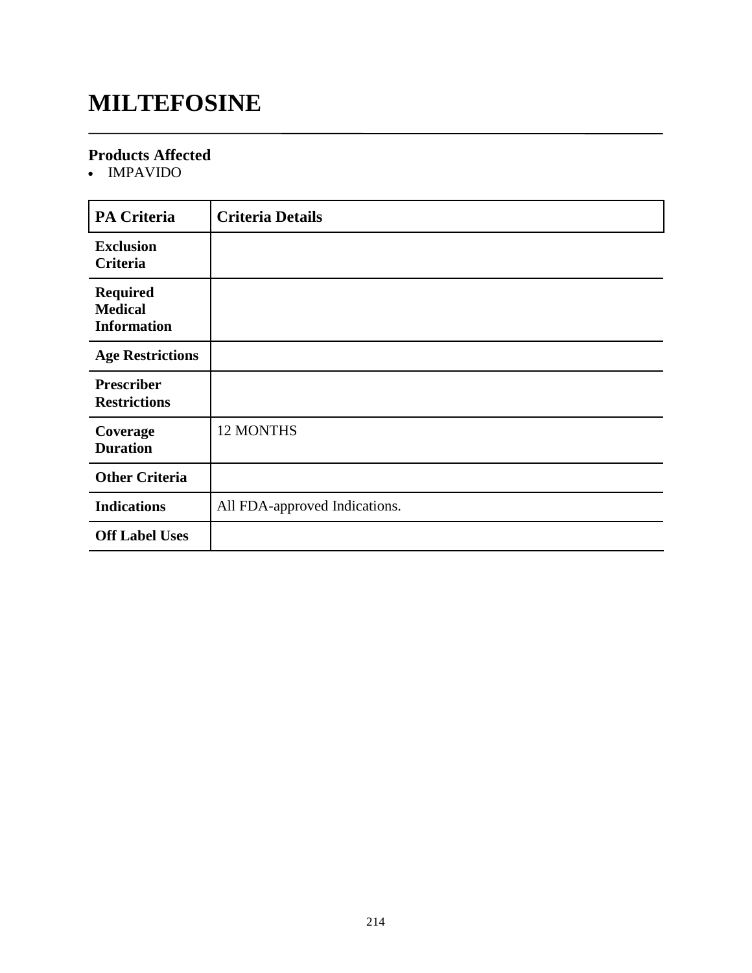### **MILTEFOSINE**

#### **Products Affected**

• IMPAVIDO

| <b>PA Criteria</b>                                      | <b>Criteria Details</b>       |
|---------------------------------------------------------|-------------------------------|
| <b>Exclusion</b><br>Criteria                            |                               |
| <b>Required</b><br><b>Medical</b><br><b>Information</b> |                               |
| <b>Age Restrictions</b>                                 |                               |
| <b>Prescriber</b><br><b>Restrictions</b>                |                               |
| Coverage<br><b>Duration</b>                             | 12 MONTHS                     |
| <b>Other Criteria</b>                                   |                               |
| <b>Indications</b>                                      | All FDA-approved Indications. |
| <b>Off Label Uses</b>                                   |                               |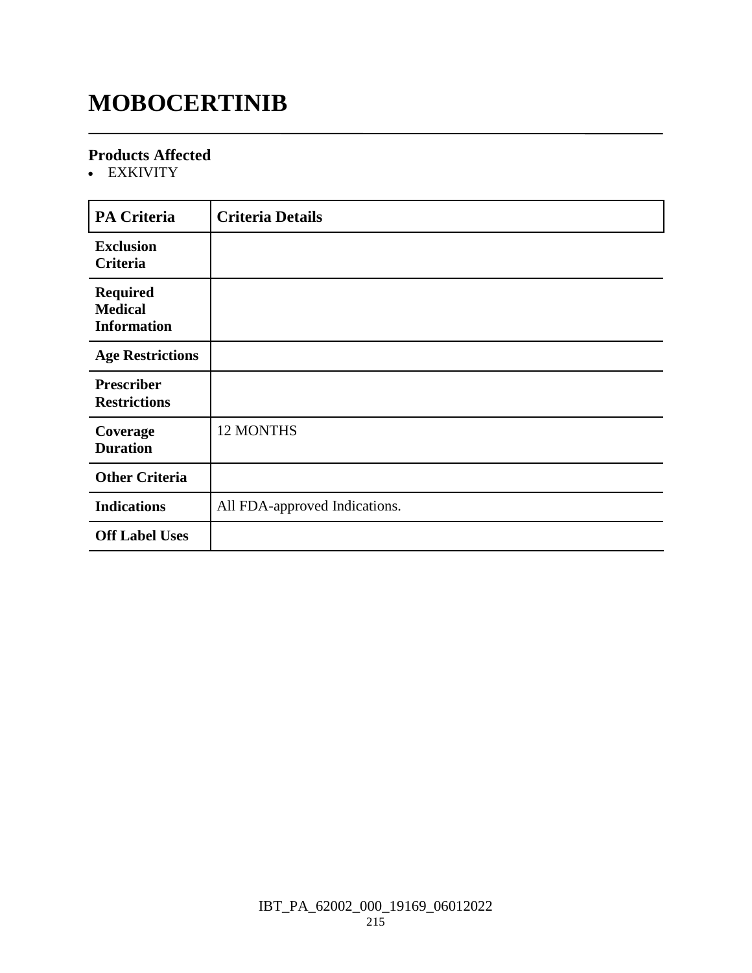### **MOBOCERTINIB**

#### **Products Affected**

EXKIVITY

| <b>PA Criteria</b>                                      | <b>Criteria Details</b>       |
|---------------------------------------------------------|-------------------------------|
| <b>Exclusion</b><br>Criteria                            |                               |
| <b>Required</b><br><b>Medical</b><br><b>Information</b> |                               |
| <b>Age Restrictions</b>                                 |                               |
| <b>Prescriber</b><br><b>Restrictions</b>                |                               |
| Coverage<br><b>Duration</b>                             | 12 MONTHS                     |
| <b>Other Criteria</b>                                   |                               |
| <b>Indications</b>                                      | All FDA-approved Indications. |
| <b>Off Label Uses</b>                                   |                               |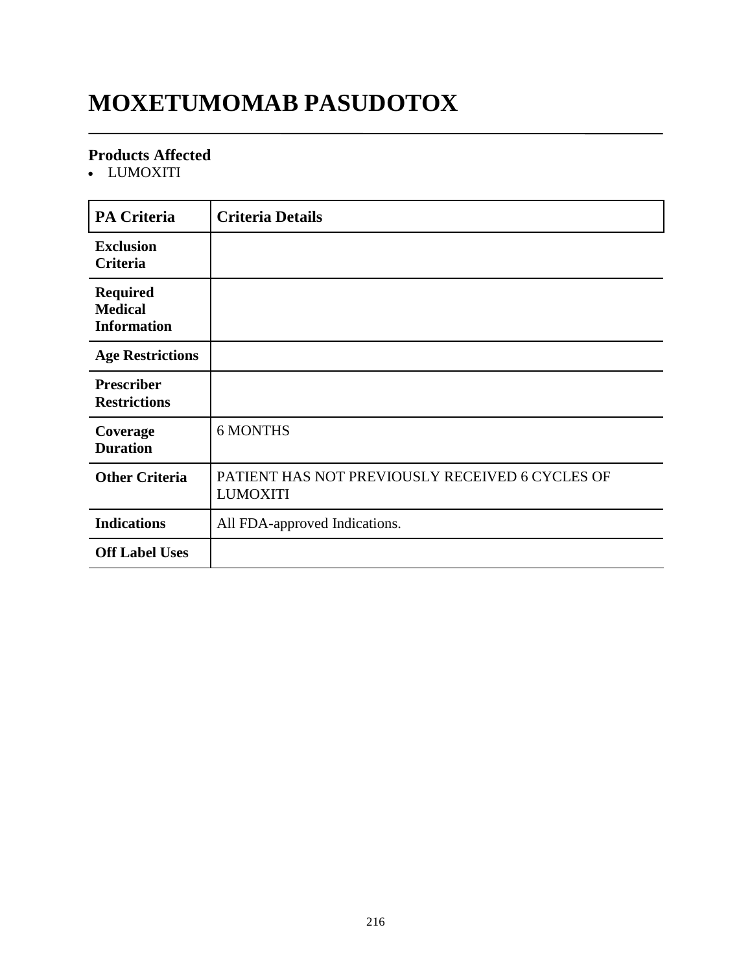# **MOXETUMOMAB PASUDOTOX**

#### **Products Affected**

LUMOXITI

| <b>PA Criteria</b>                                      | <b>Criteria Details</b>                                            |
|---------------------------------------------------------|--------------------------------------------------------------------|
| <b>Exclusion</b><br><b>Criteria</b>                     |                                                                    |
| <b>Required</b><br><b>Medical</b><br><b>Information</b> |                                                                    |
| <b>Age Restrictions</b>                                 |                                                                    |
| <b>Prescriber</b><br><b>Restrictions</b>                |                                                                    |
| Coverage<br><b>Duration</b>                             | <b>6 MONTHS</b>                                                    |
| <b>Other Criteria</b>                                   | PATIENT HAS NOT PREVIOUSLY RECEIVED 6 CYCLES OF<br><b>LUMOXITI</b> |
| <b>Indications</b>                                      | All FDA-approved Indications.                                      |
| <b>Off Label Uses</b>                                   |                                                                    |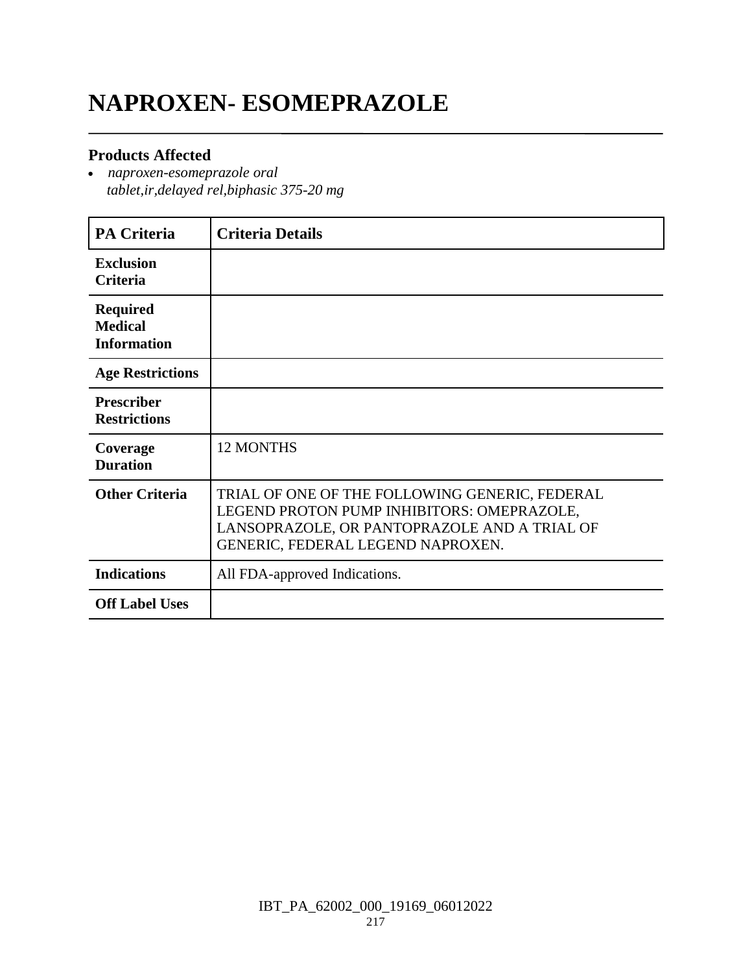# **NAPROXEN- ESOMEPRAZOLE**

#### **Products Affected**

 *naproxen-esomeprazole oral tablet,ir,delayed rel,biphasic 375-20 mg*

| <b>PA Criteria</b>                                      | <b>Criteria Details</b>                                                                                                                                                           |
|---------------------------------------------------------|-----------------------------------------------------------------------------------------------------------------------------------------------------------------------------------|
| <b>Exclusion</b><br><b>Criteria</b>                     |                                                                                                                                                                                   |
| <b>Required</b><br><b>Medical</b><br><b>Information</b> |                                                                                                                                                                                   |
| <b>Age Restrictions</b>                                 |                                                                                                                                                                                   |
| <b>Prescriber</b><br><b>Restrictions</b>                |                                                                                                                                                                                   |
| Coverage<br><b>Duration</b>                             | <b>12 MONTHS</b>                                                                                                                                                                  |
| <b>Other Criteria</b>                                   | TRIAL OF ONE OF THE FOLLOWING GENERIC, FEDERAL<br>LEGEND PROTON PUMP INHIBITORS: OMEPRAZOLE,<br>LANSOPRAZOLE, OR PANTOPRAZOLE AND A TRIAL OF<br>GENERIC, FEDERAL LEGEND NAPROXEN. |
| <b>Indications</b>                                      | All FDA-approved Indications.                                                                                                                                                     |
| <b>Off Label Uses</b>                                   |                                                                                                                                                                                   |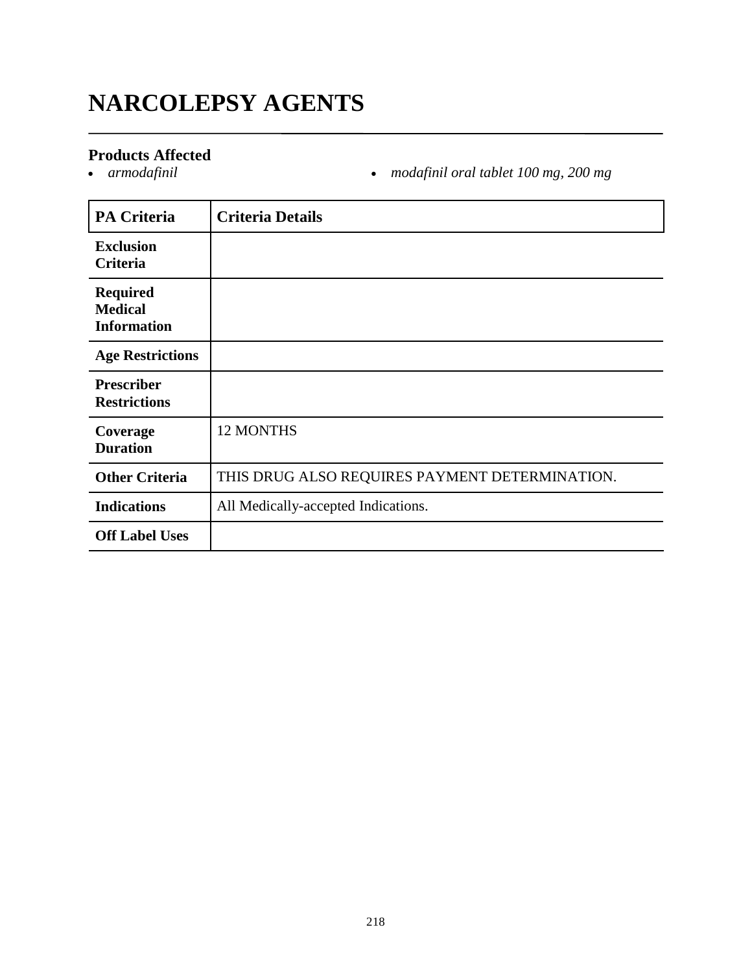# **NARCOLEPSY AGENTS**

# **Products Affected**

*armodafinil modafinil oral tablet 100 mg, 200 mg*

| <b>PA Criteria</b>                                      | <b>Criteria Details</b>                        |
|---------------------------------------------------------|------------------------------------------------|
| <b>Exclusion</b><br>Criteria                            |                                                |
| <b>Required</b><br><b>Medical</b><br><b>Information</b> |                                                |
| <b>Age Restrictions</b>                                 |                                                |
| <b>Prescriber</b><br><b>Restrictions</b>                |                                                |
| Coverage<br><b>Duration</b>                             | <b>12 MONTHS</b>                               |
| <b>Other Criteria</b>                                   | THIS DRUG ALSO REQUIRES PAYMENT DETERMINATION. |
| <b>Indications</b>                                      | All Medically-accepted Indications.            |
| <b>Off Label Uses</b>                                   |                                                |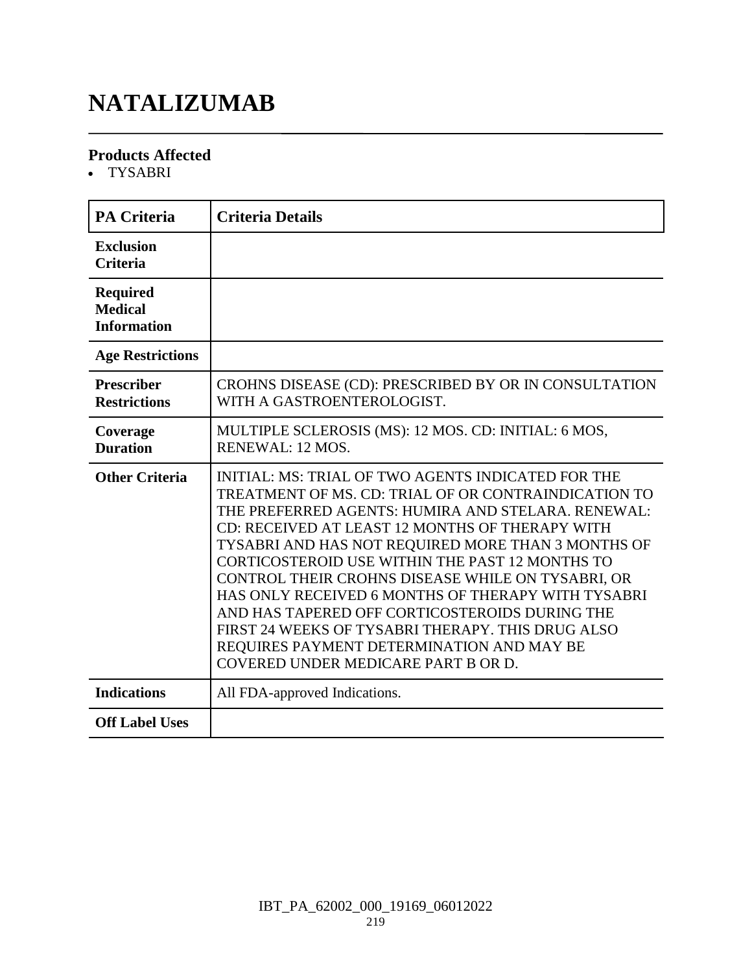# **NATALIZUMAB**

#### **Products Affected**

TYSABRI

| <b>PA Criteria</b>                                      | <b>Criteria Details</b>                                                                                                                                                                                                                                                                                                                                                                                                                                                                                                                                                                                                                   |
|---------------------------------------------------------|-------------------------------------------------------------------------------------------------------------------------------------------------------------------------------------------------------------------------------------------------------------------------------------------------------------------------------------------------------------------------------------------------------------------------------------------------------------------------------------------------------------------------------------------------------------------------------------------------------------------------------------------|
| <b>Exclusion</b><br><b>Criteria</b>                     |                                                                                                                                                                                                                                                                                                                                                                                                                                                                                                                                                                                                                                           |
| <b>Required</b><br><b>Medical</b><br><b>Information</b> |                                                                                                                                                                                                                                                                                                                                                                                                                                                                                                                                                                                                                                           |
| <b>Age Restrictions</b>                                 |                                                                                                                                                                                                                                                                                                                                                                                                                                                                                                                                                                                                                                           |
| <b>Prescriber</b><br><b>Restrictions</b>                | CROHNS DISEASE (CD): PRESCRIBED BY OR IN CONSULTATION<br>WITH A GASTROENTEROLOGIST.                                                                                                                                                                                                                                                                                                                                                                                                                                                                                                                                                       |
| Coverage<br><b>Duration</b>                             | MULTIPLE SCLEROSIS (MS): 12 MOS. CD: INITIAL: 6 MOS,<br><b>RENEWAL: 12 MOS.</b>                                                                                                                                                                                                                                                                                                                                                                                                                                                                                                                                                           |
| <b>Other Criteria</b>                                   | <b>INITIAL: MS: TRIAL OF TWO AGENTS INDICATED FOR THE</b><br>TREATMENT OF MS. CD: TRIAL OF OR CONTRAINDICATION TO<br>THE PREFERRED AGENTS: HUMIRA AND STELARA. RENEWAL:<br>CD: RECEIVED AT LEAST 12 MONTHS OF THERAPY WITH<br>TYSABRI AND HAS NOT REQUIRED MORE THAN 3 MONTHS OF<br>CORTICOSTEROID USE WITHIN THE PAST 12 MONTHS TO<br>CONTROL THEIR CROHNS DISEASE WHILE ON TYSABRI, OR<br>HAS ONLY RECEIVED 6 MONTHS OF THERAPY WITH TYSABRI<br>AND HAS TAPERED OFF CORTICOSTEROIDS DURING THE<br>FIRST 24 WEEKS OF TYSABRI THERAPY. THIS DRUG ALSO<br>REQUIRES PAYMENT DETERMINATION AND MAY BE<br>COVERED UNDER MEDICARE PART B OR D. |
| <b>Indications</b>                                      | All FDA-approved Indications.                                                                                                                                                                                                                                                                                                                                                                                                                                                                                                                                                                                                             |
| <b>Off Label Uses</b>                                   |                                                                                                                                                                                                                                                                                                                                                                                                                                                                                                                                                                                                                                           |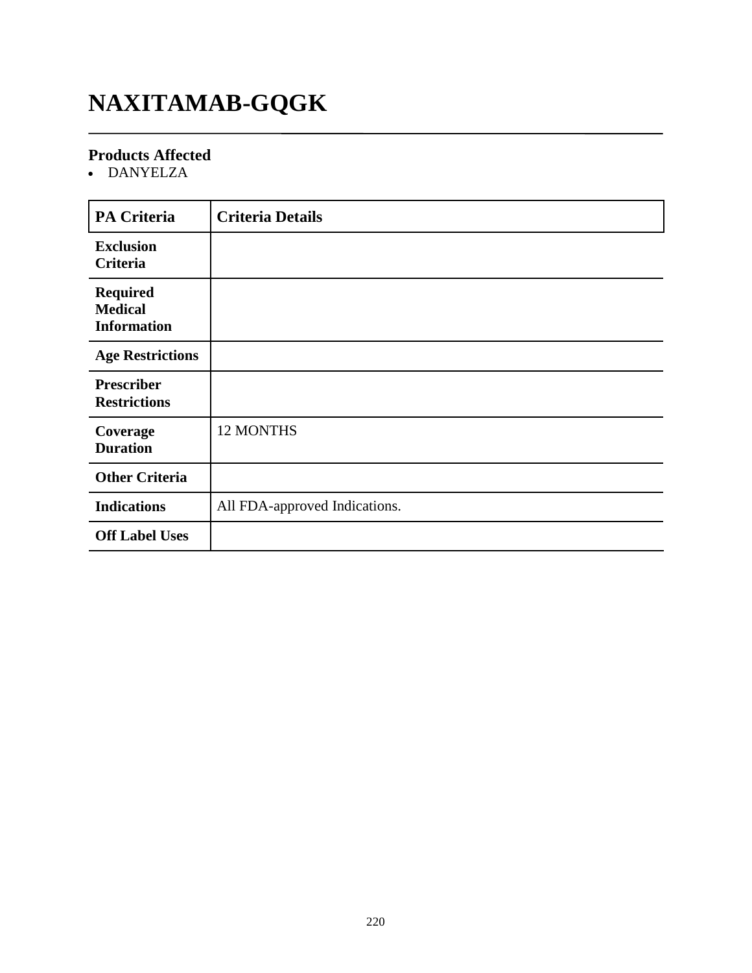# **NAXITAMAB-GQGK**

#### **Products Affected**

DANYELZA

| <b>PA Criteria</b>                                      | <b>Criteria Details</b>       |
|---------------------------------------------------------|-------------------------------|
| <b>Exclusion</b><br>Criteria                            |                               |
| <b>Required</b><br><b>Medical</b><br><b>Information</b> |                               |
| <b>Age Restrictions</b>                                 |                               |
| <b>Prescriber</b><br><b>Restrictions</b>                |                               |
| Coverage<br><b>Duration</b>                             | 12 MONTHS                     |
| <b>Other Criteria</b>                                   |                               |
| <b>Indications</b>                                      | All FDA-approved Indications. |
| <b>Off Label Uses</b>                                   |                               |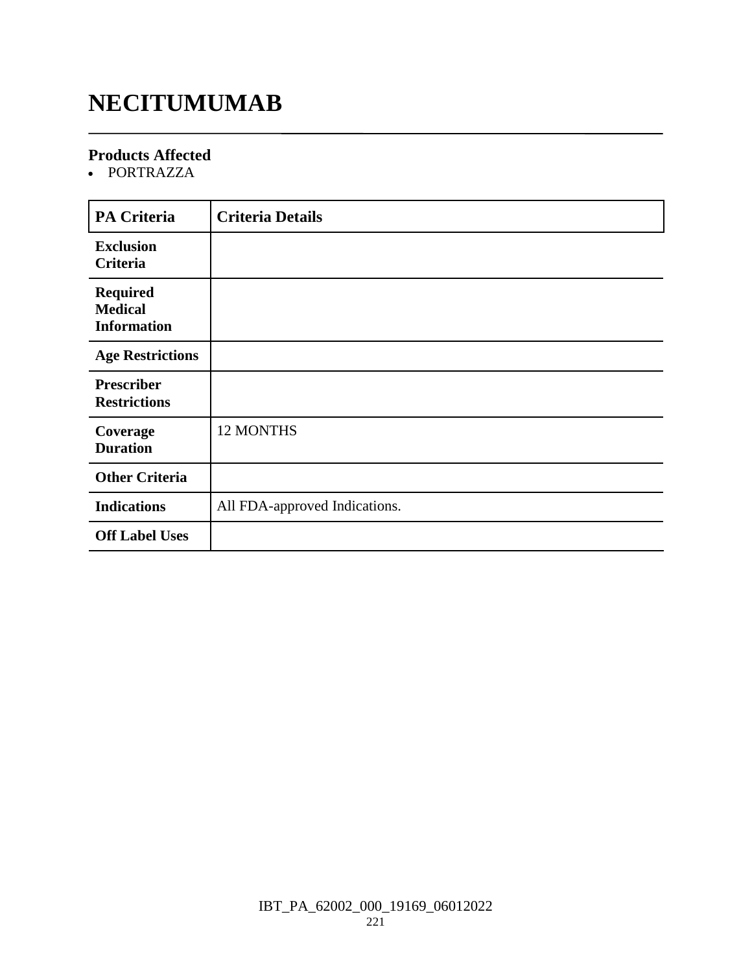### **NECITUMUMAB**

#### **Products Affected**

PORTRAZZA

| <b>PA Criteria</b>                                      | <b>Criteria Details</b>       |
|---------------------------------------------------------|-------------------------------|
| <b>Exclusion</b><br>Criteria                            |                               |
| <b>Required</b><br><b>Medical</b><br><b>Information</b> |                               |
| <b>Age Restrictions</b>                                 |                               |
| <b>Prescriber</b><br><b>Restrictions</b>                |                               |
| Coverage<br><b>Duration</b>                             | <b>12 MONTHS</b>              |
| <b>Other Criteria</b>                                   |                               |
| <b>Indications</b>                                      | All FDA-approved Indications. |
| <b>Off Label Uses</b>                                   |                               |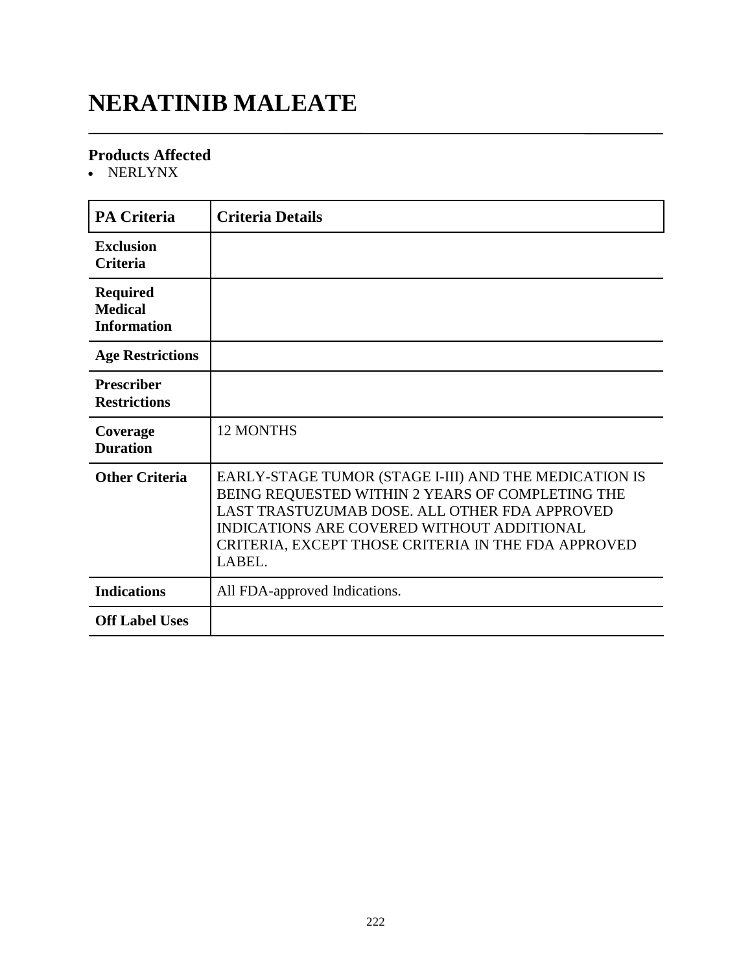### **NERATINIB MALEATE**

#### **Products Affected**

NERLYNX

| <b>PA Criteria</b>                                      | <b>Criteria Details</b>                                                                                                                                                                                                                                                   |
|---------------------------------------------------------|---------------------------------------------------------------------------------------------------------------------------------------------------------------------------------------------------------------------------------------------------------------------------|
| <b>Exclusion</b><br><b>Criteria</b>                     |                                                                                                                                                                                                                                                                           |
| <b>Required</b><br><b>Medical</b><br><b>Information</b> |                                                                                                                                                                                                                                                                           |
| <b>Age Restrictions</b>                                 |                                                                                                                                                                                                                                                                           |
| <b>Prescriber</b><br><b>Restrictions</b>                |                                                                                                                                                                                                                                                                           |
| Coverage<br><b>Duration</b>                             | <b>12 MONTHS</b>                                                                                                                                                                                                                                                          |
| <b>Other Criteria</b>                                   | EARLY-STAGE TUMOR (STAGE I-III) AND THE MEDICATION IS<br>BEING REQUESTED WITHIN 2 YEARS OF COMPLETING THE<br>LAST TRASTUZUMAB DOSE. ALL OTHER FDA APPROVED<br>INDICATIONS ARE COVERED WITHOUT ADDITIONAL<br>CRITERIA, EXCEPT THOSE CRITERIA IN THE FDA APPROVED<br>LABEL. |
| <b>Indications</b>                                      | All FDA-approved Indications.                                                                                                                                                                                                                                             |
| <b>Off Label Uses</b>                                   |                                                                                                                                                                                                                                                                           |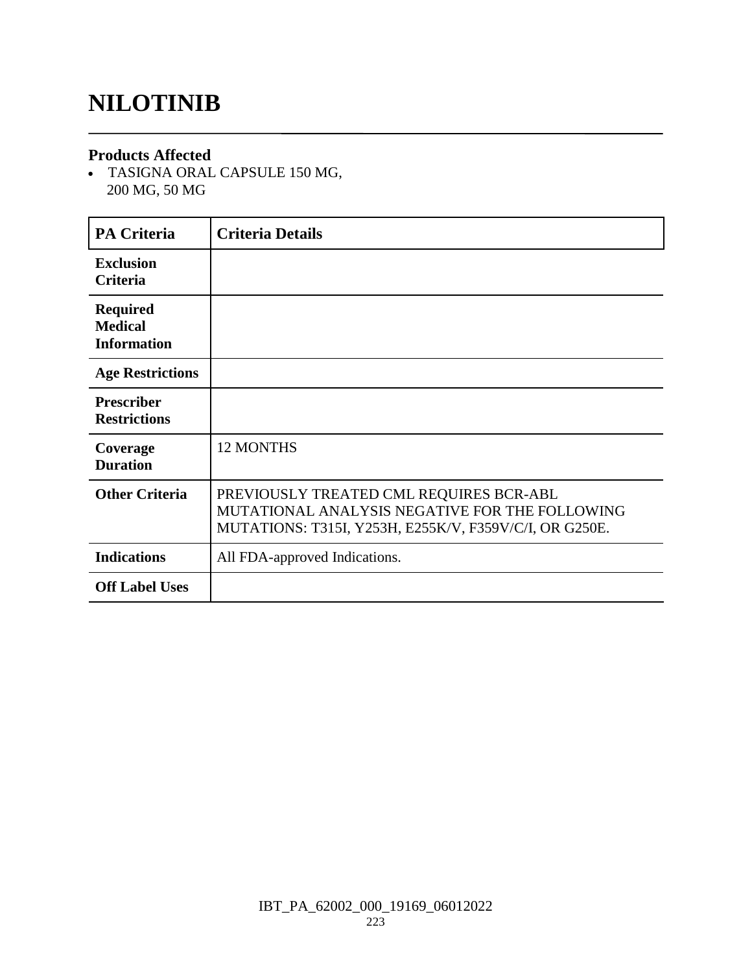### **NILOTINIB**

#### **Products Affected**

 TASIGNA ORAL CAPSULE 150 MG, 200 MG, 50 MG

| <b>PA Criteria</b>                                      | <b>Criteria Details</b>                                                                                                                             |
|---------------------------------------------------------|-----------------------------------------------------------------------------------------------------------------------------------------------------|
| <b>Exclusion</b><br><b>Criteria</b>                     |                                                                                                                                                     |
| <b>Required</b><br><b>Medical</b><br><b>Information</b> |                                                                                                                                                     |
| <b>Age Restrictions</b>                                 |                                                                                                                                                     |
| <b>Prescriber</b><br><b>Restrictions</b>                |                                                                                                                                                     |
| Coverage<br><b>Duration</b>                             | <b>12 MONTHS</b>                                                                                                                                    |
| <b>Other Criteria</b>                                   | PREVIOUSLY TREATED CML REQUIRES BCR-ABL<br>MUTATIONAL ANALYSIS NEGATIVE FOR THE FOLLOWING<br>MUTATIONS: T315I, Y253H, E255K/V, F359V/C/I, OR G250E. |
| <b>Indications</b>                                      | All FDA-approved Indications.                                                                                                                       |
| <b>Off Label Uses</b>                                   |                                                                                                                                                     |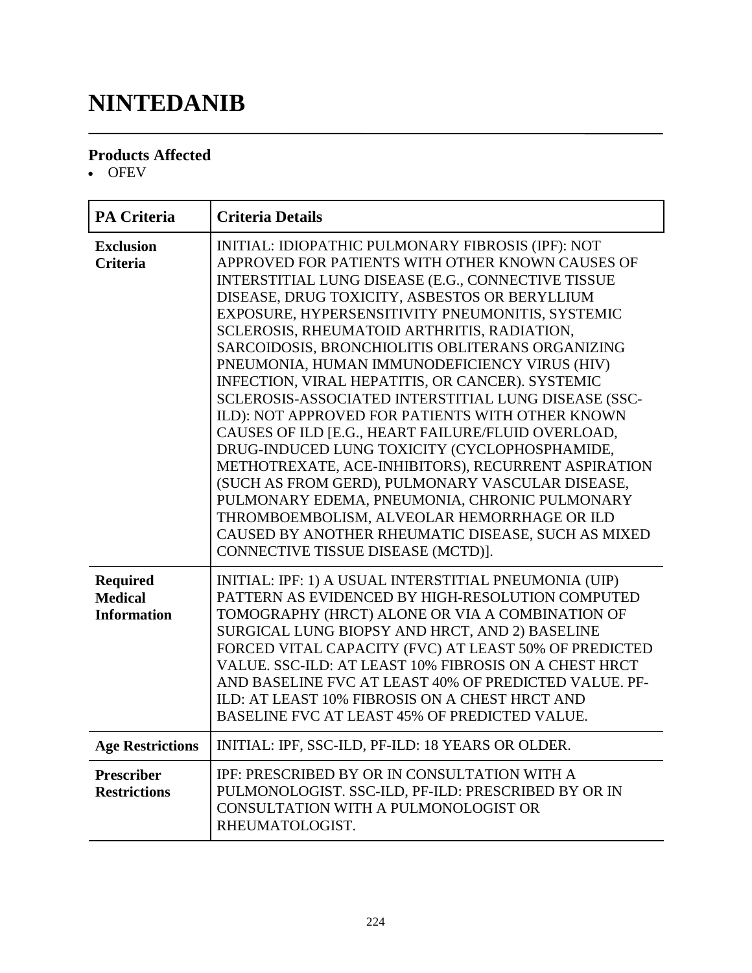# **NINTEDANIB**

#### **Products Affected**

• OFEV

| <b>PA Criteria</b>                                      | <b>Criteria Details</b>                                                                                                                                                                                                                                                                                                                                                                                                                                                                                                                                                                                                                                                                                                                                                                                                                                                                                                                                                                            |
|---------------------------------------------------------|----------------------------------------------------------------------------------------------------------------------------------------------------------------------------------------------------------------------------------------------------------------------------------------------------------------------------------------------------------------------------------------------------------------------------------------------------------------------------------------------------------------------------------------------------------------------------------------------------------------------------------------------------------------------------------------------------------------------------------------------------------------------------------------------------------------------------------------------------------------------------------------------------------------------------------------------------------------------------------------------------|
| <b>Exclusion</b><br><b>Criteria</b>                     | INITIAL: IDIOPATHIC PULMONARY FIBROSIS (IPF): NOT<br>APPROVED FOR PATIENTS WITH OTHER KNOWN CAUSES OF<br>INTERSTITIAL LUNG DISEASE (E.G., CONNECTIVE TISSUE<br>DISEASE, DRUG TOXICITY, ASBESTOS OR BERYLLIUM<br>EXPOSURE, HYPERSENSITIVITY PNEUMONITIS, SYSTEMIC<br>SCLEROSIS, RHEUMATOID ARTHRITIS, RADIATION,<br>SARCOIDOSIS, BRONCHIOLITIS OBLITERANS ORGANIZING<br>PNEUMONIA, HUMAN IMMUNODEFICIENCY VIRUS (HIV)<br>INFECTION, VIRAL HEPATITIS, OR CANCER). SYSTEMIC<br>SCLEROSIS-ASSOCIATED INTERSTITIAL LUNG DISEASE (SSC-<br>ILD): NOT APPROVED FOR PATIENTS WITH OTHER KNOWN<br>CAUSES OF ILD [E.G., HEART FAILURE/FLUID OVERLOAD,<br>DRUG-INDUCED LUNG TOXICITY (CYCLOPHOSPHAMIDE,<br>METHOTREXATE, ACE-INHIBITORS), RECURRENT ASPIRATION<br>(SUCH AS FROM GERD), PULMONARY VASCULAR DISEASE,<br>PULMONARY EDEMA, PNEUMONIA, CHRONIC PULMONARY<br>THROMBOEMBOLISM, ALVEOLAR HEMORRHAGE OR ILD<br>CAUSED BY ANOTHER RHEUMATIC DISEASE, SUCH AS MIXED<br>CONNECTIVE TISSUE DISEASE (MCTD)]. |
| <b>Required</b><br><b>Medical</b><br><b>Information</b> | INITIAL: IPF: 1) A USUAL INTERSTITIAL PNEUMONIA (UIP)<br>PATTERN AS EVIDENCED BY HIGH-RESOLUTION COMPUTED<br>TOMOGRAPHY (HRCT) ALONE OR VIA A COMBINATION OF<br>SURGICAL LUNG BIOPSY AND HRCT, AND 2) BASELINE<br>FORCED VITAL CAPACITY (FVC) AT LEAST 50% OF PREDICTED<br>VALUE. SSC-ILD: AT LEAST 10% FIBROSIS ON A CHEST HRCT<br>AND BASELINE FVC AT LEAST 40% OF PREDICTED VALUE. PF-<br>ILD: AT LEAST 10% FIBROSIS ON A CHEST HRCT AND<br>BASELINE FVC AT LEAST 45% OF PREDICTED VALUE.                                                                                                                                                                                                                                                                                                                                                                                                                                                                                                       |
| <b>Age Restrictions</b>                                 | INITIAL: IPF, SSC-ILD, PF-ILD: 18 YEARS OR OLDER.                                                                                                                                                                                                                                                                                                                                                                                                                                                                                                                                                                                                                                                                                                                                                                                                                                                                                                                                                  |
| <b>Prescriber</b><br><b>Restrictions</b>                | IPF: PRESCRIBED BY OR IN CONSULTATION WITH A<br>PULMONOLOGIST. SSC-ILD, PF-ILD: PRESCRIBED BY OR IN<br>CONSULTATION WITH A PULMONOLOGIST OR<br>RHEUMATOLOGIST.                                                                                                                                                                                                                                                                                                                                                                                                                                                                                                                                                                                                                                                                                                                                                                                                                                     |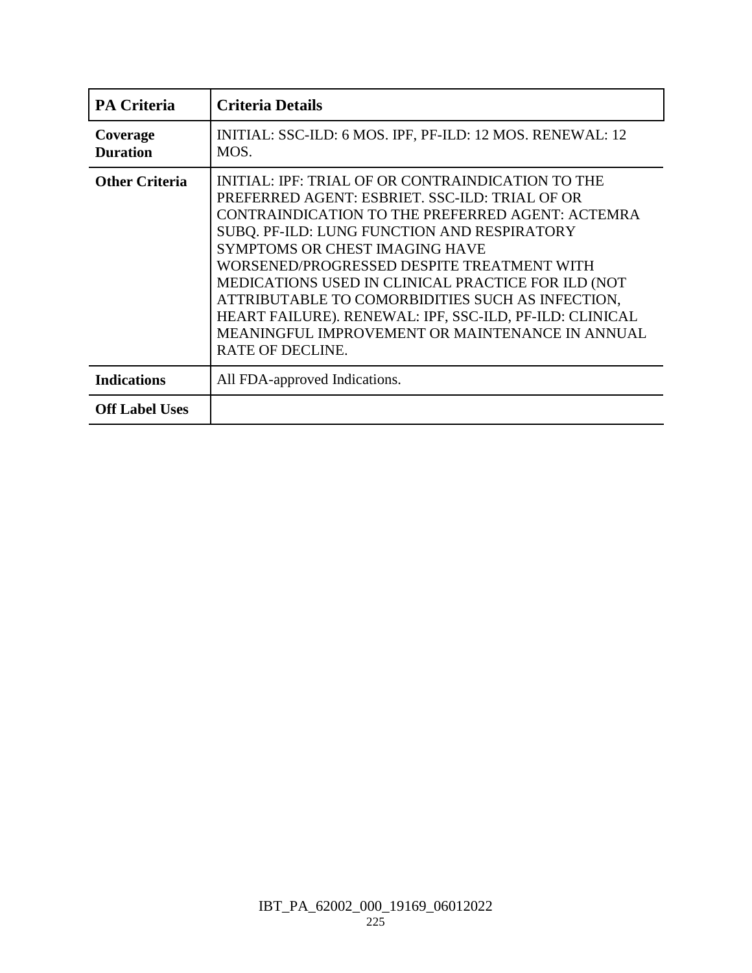| PA Criteria                 | <b>Criteria Details</b>                                                                                                                                                                                                                                                                                                                                                                                                                                                                                                                          |
|-----------------------------|--------------------------------------------------------------------------------------------------------------------------------------------------------------------------------------------------------------------------------------------------------------------------------------------------------------------------------------------------------------------------------------------------------------------------------------------------------------------------------------------------------------------------------------------------|
| Coverage<br><b>Duration</b> | INITIAL: SSC-ILD: 6 MOS. IPF, PF-ILD: 12 MOS. RENEWAL: 12<br>MOS.                                                                                                                                                                                                                                                                                                                                                                                                                                                                                |
| <b>Other Criteria</b>       | INITIAL: IPF: TRIAL OF OR CONTRAINDICATION TO THE<br>PREFERRED AGENT: ESBRIET. SSC-ILD: TRIAL OF OR<br>CONTRAINDICATION TO THE PREFERRED AGENT: ACTEMRA<br>SUBQ. PF-ILD: LUNG FUNCTION AND RESPIRATORY<br><b>SYMPTOMS OR CHEST IMAGING HAVE</b><br>WORSENED/PROGRESSED DESPITE TREATMENT WITH<br>MEDICATIONS USED IN CLINICAL PRACTICE FOR ILD (NOT<br>ATTRIBUTABLE TO COMORBIDITIES SUCH AS INFECTION,<br>HEART FAILURE). RENEWAL: IPF, SSC-ILD, PF-ILD: CLINICAL<br>MEANINGFUL IMPROVEMENT OR MAINTENANCE IN ANNUAL<br><b>RATE OF DECLINE.</b> |
| <b>Indications</b>          | All FDA-approved Indications.                                                                                                                                                                                                                                                                                                                                                                                                                                                                                                                    |
| <b>Off Label Uses</b>       |                                                                                                                                                                                                                                                                                                                                                                                                                                                                                                                                                  |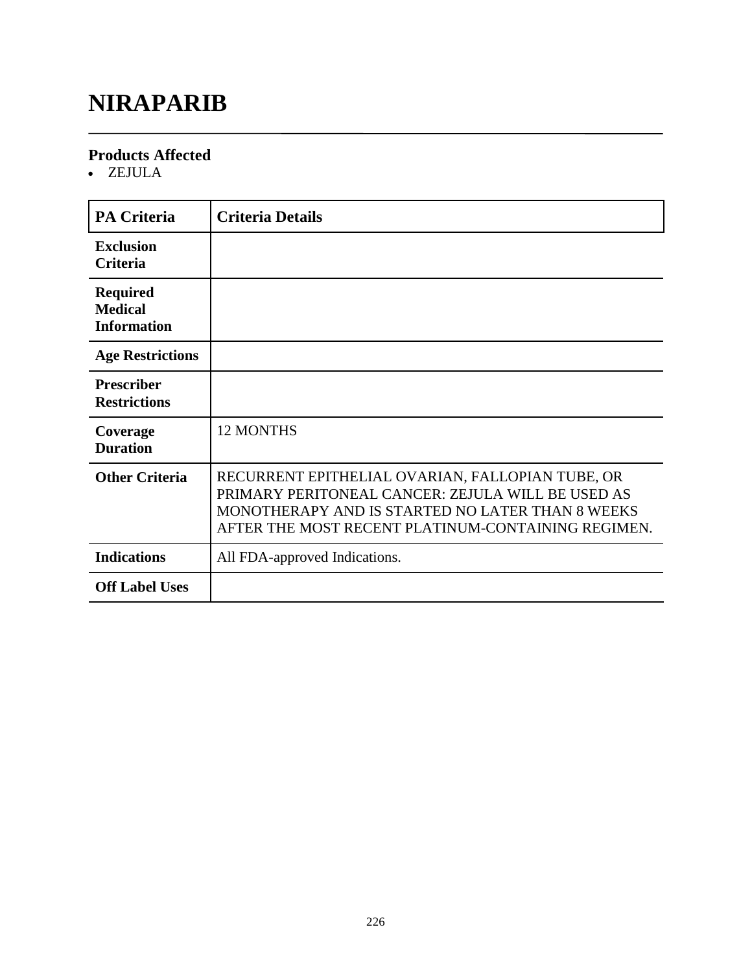# **NIRAPARIB**

#### **Products Affected**

ZEJULA

| <b>PA Criteria</b>                                      | <b>Criteria Details</b>                                                                                                                                                                                         |
|---------------------------------------------------------|-----------------------------------------------------------------------------------------------------------------------------------------------------------------------------------------------------------------|
| <b>Exclusion</b><br><b>Criteria</b>                     |                                                                                                                                                                                                                 |
| <b>Required</b><br><b>Medical</b><br><b>Information</b> |                                                                                                                                                                                                                 |
| <b>Age Restrictions</b>                                 |                                                                                                                                                                                                                 |
| <b>Prescriber</b><br><b>Restrictions</b>                |                                                                                                                                                                                                                 |
| Coverage<br><b>Duration</b>                             | <b>12 MONTHS</b>                                                                                                                                                                                                |
| <b>Other Criteria</b>                                   | RECURRENT EPITHELIAL OVARIAN, FALLOPIAN TUBE, OR<br>PRIMARY PERITONEAL CANCER: ZEJULA WILL BE USED AS<br>MONOTHERAPY AND IS STARTED NO LATER THAN 8 WEEKS<br>AFTER THE MOST RECENT PLATINUM-CONTAINING REGIMEN. |
| <b>Indications</b>                                      | All FDA-approved Indications.                                                                                                                                                                                   |
| <b>Off Label Uses</b>                                   |                                                                                                                                                                                                                 |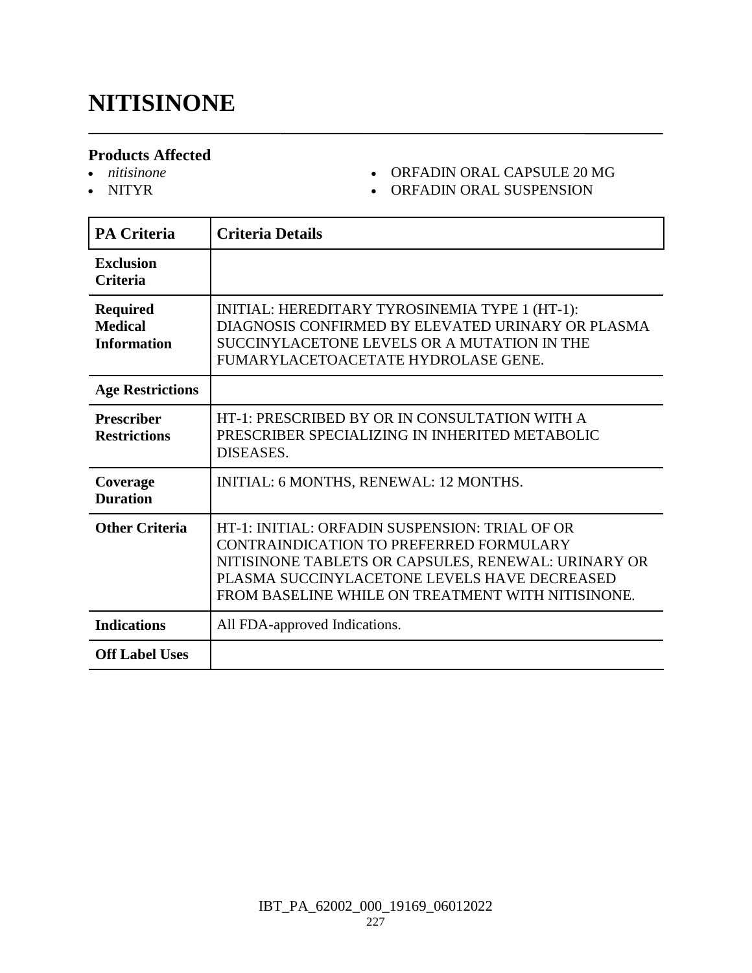### **NITISINONE**

#### **Products Affected**

- *nitisinone*
- NITYR

#### ORFADIN ORAL CAPSULE 20 MG

ORFADIN ORAL SUSPENSION

| <b>PA Criteria</b>                                      | <b>Criteria Details</b>                                                                                                                                                                                                                               |
|---------------------------------------------------------|-------------------------------------------------------------------------------------------------------------------------------------------------------------------------------------------------------------------------------------------------------|
| <b>Exclusion</b><br><b>Criteria</b>                     |                                                                                                                                                                                                                                                       |
| <b>Required</b><br><b>Medical</b><br><b>Information</b> | INITIAL: HEREDITARY TYROSINEMIA TYPE 1 (HT-1):<br>DIAGNOSIS CONFIRMED BY ELEVATED URINARY OR PLASMA<br>SUCCINYLACETONE LEVELS OR A MUTATION IN THE<br>FUMARYLACETOACETATE HYDROLASE GENE.                                                             |
| <b>Age Restrictions</b>                                 |                                                                                                                                                                                                                                                       |
| <b>Prescriber</b><br><b>Restrictions</b>                | HT-1: PRESCRIBED BY OR IN CONSULTATION WITH A<br>PRESCRIBER SPECIALIZING IN INHERITED METABOLIC<br>DISEASES.                                                                                                                                          |
| Coverage<br><b>Duration</b>                             | INITIAL: 6 MONTHS, RENEWAL: 12 MONTHS.                                                                                                                                                                                                                |
| <b>Other Criteria</b>                                   | HT-1: INITIAL: ORFADIN SUSPENSION: TRIAL OF OR<br>CONTRAINDICATION TO PREFERRED FORMULARY<br>NITISINONE TABLETS OR CAPSULES, RENEWAL: URINARY OR<br>PLASMA SUCCINYLACETONE LEVELS HAVE DECREASED<br>FROM BASELINE WHILE ON TREATMENT WITH NITISINONE. |
| <b>Indications</b>                                      | All FDA-approved Indications.                                                                                                                                                                                                                         |
| <b>Off Label Uses</b>                                   |                                                                                                                                                                                                                                                       |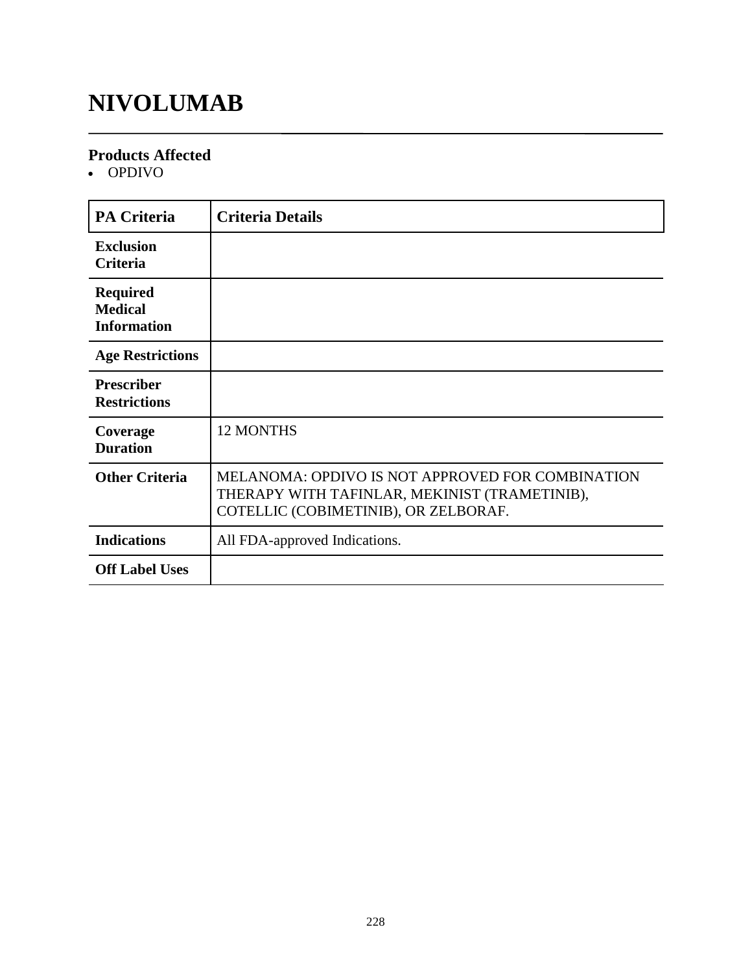# **NIVOLUMAB**

#### **Products Affected**

OPDIVO

| <b>PA Criteria</b>                                      | <b>Criteria Details</b>                                                                                                                   |
|---------------------------------------------------------|-------------------------------------------------------------------------------------------------------------------------------------------|
| <b>Exclusion</b><br><b>Criteria</b>                     |                                                                                                                                           |
| <b>Required</b><br><b>Medical</b><br><b>Information</b> |                                                                                                                                           |
| <b>Age Restrictions</b>                                 |                                                                                                                                           |
| <b>Prescriber</b><br><b>Restrictions</b>                |                                                                                                                                           |
| Coverage<br><b>Duration</b>                             | <b>12 MONTHS</b>                                                                                                                          |
| <b>Other Criteria</b>                                   | MELANOMA: OPDIVO IS NOT APPROVED FOR COMBINATION<br>THERAPY WITH TAFINLAR, MEKINIST (TRAMETINIB),<br>COTELLIC (COBIMETINIB), OR ZELBORAF. |
| <b>Indications</b>                                      | All FDA-approved Indications.                                                                                                             |
| <b>Off Label Uses</b>                                   |                                                                                                                                           |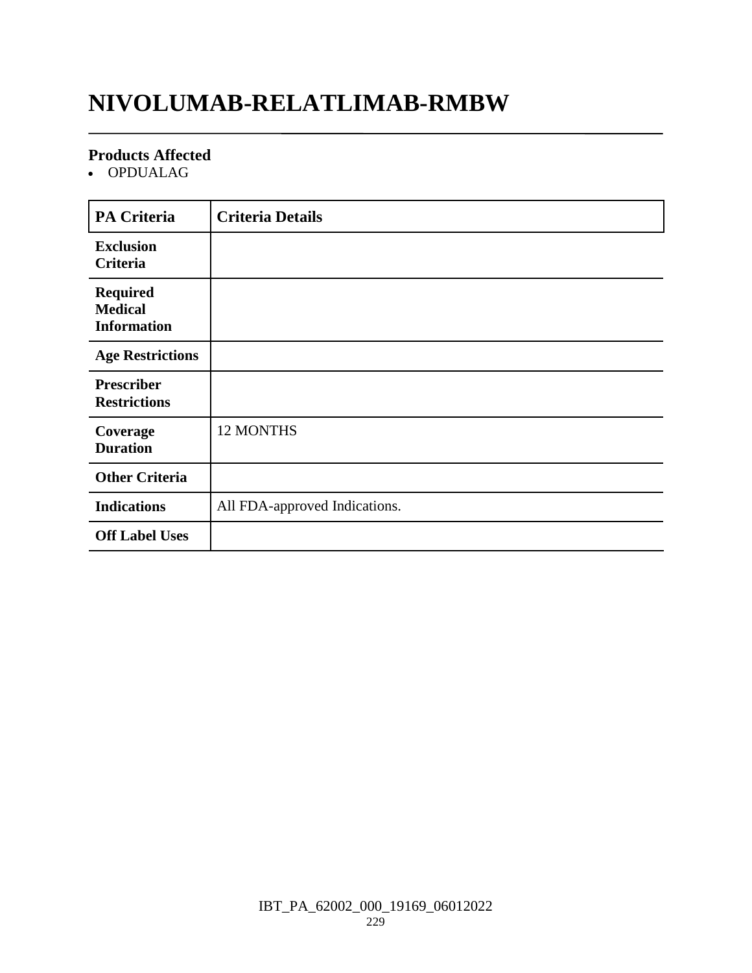# **NIVOLUMAB-RELATLIMAB-RMBW**

#### **Products Affected**

OPDUALAG

| <b>PA Criteria</b>                                      | <b>Criteria Details</b>       |
|---------------------------------------------------------|-------------------------------|
| <b>Exclusion</b><br>Criteria                            |                               |
| <b>Required</b><br><b>Medical</b><br><b>Information</b> |                               |
| <b>Age Restrictions</b>                                 |                               |
| <b>Prescriber</b><br><b>Restrictions</b>                |                               |
| Coverage<br><b>Duration</b>                             | 12 MONTHS                     |
| <b>Other Criteria</b>                                   |                               |
| <b>Indications</b>                                      | All FDA-approved Indications. |
| <b>Off Label Uses</b>                                   |                               |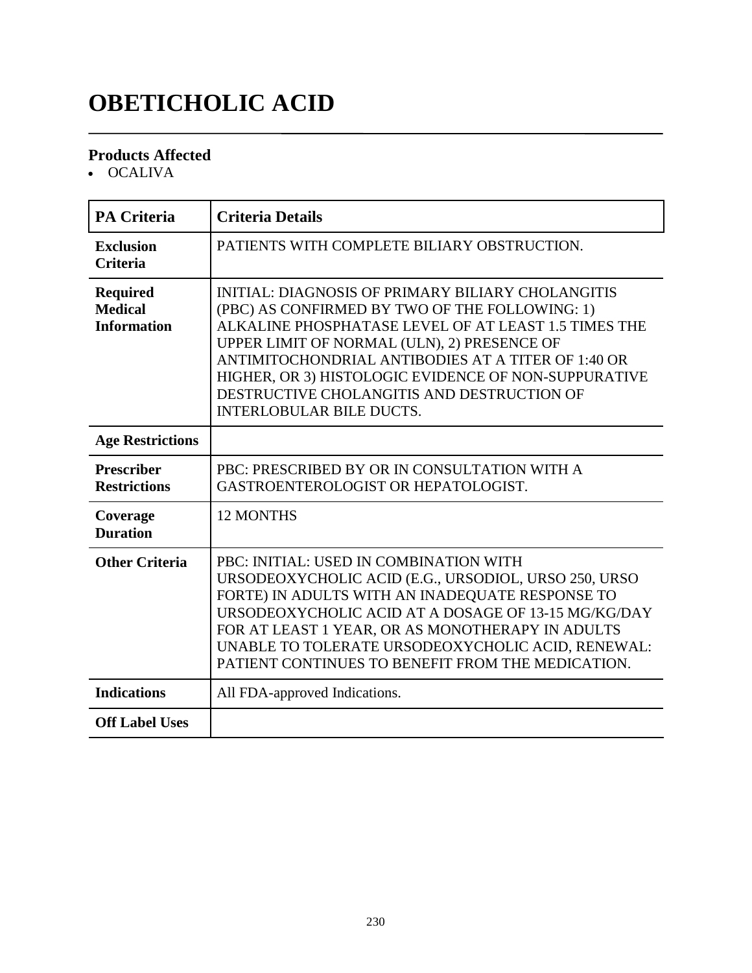# **OBETICHOLIC ACID**

#### **Products Affected**

• OCALIVA

| <b>PA Criteria</b>                                      | <b>Criteria Details</b>                                                                                                                                                                                                                                                                                                                                                                                          |
|---------------------------------------------------------|------------------------------------------------------------------------------------------------------------------------------------------------------------------------------------------------------------------------------------------------------------------------------------------------------------------------------------------------------------------------------------------------------------------|
| <b>Exclusion</b><br><b>Criteria</b>                     | PATIENTS WITH COMPLETE BILIARY OBSTRUCTION.                                                                                                                                                                                                                                                                                                                                                                      |
| <b>Required</b><br><b>Medical</b><br><b>Information</b> | <b>INITIAL: DIAGNOSIS OF PRIMARY BILIARY CHOLANGITIS</b><br>(PBC) AS CONFIRMED BY TWO OF THE FOLLOWING: 1)<br>ALKALINE PHOSPHATASE LEVEL OF AT LEAST 1.5 TIMES THE<br>UPPER LIMIT OF NORMAL (ULN), 2) PRESENCE OF<br>ANTIMITOCHONDRIAL ANTIBODIES AT A TITER OF 1:40 OR<br>HIGHER, OR 3) HISTOLOGIC EVIDENCE OF NON-SUPPURATIVE<br>DESTRUCTIVE CHOLANGITIS AND DESTRUCTION OF<br><b>INTERLOBULAR BILE DUCTS.</b> |
| <b>Age Restrictions</b>                                 |                                                                                                                                                                                                                                                                                                                                                                                                                  |
| <b>Prescriber</b><br><b>Restrictions</b>                | PBC: PRESCRIBED BY OR IN CONSULTATION WITH A<br>GASTROENTEROLOGIST OR HEPATOLOGIST.                                                                                                                                                                                                                                                                                                                              |
| Coverage<br><b>Duration</b>                             | 12 MONTHS                                                                                                                                                                                                                                                                                                                                                                                                        |
| <b>Other Criteria</b>                                   | PBC: INITIAL: USED IN COMBINATION WITH<br>URSODEOXYCHOLIC ACID (E.G., URSODIOL, URSO 250, URSO<br>FORTE) IN ADULTS WITH AN INADEQUATE RESPONSE TO<br>URSODEOXYCHOLIC ACID AT A DOSAGE OF 13-15 MG/KG/DAY<br>FOR AT LEAST 1 YEAR, OR AS MONOTHERAPY IN ADULTS<br>UNABLE TO TOLERATE URSODEOXYCHOLIC ACID, RENEWAL:<br>PATIENT CONTINUES TO BENEFIT FROM THE MEDICATION.                                           |
| <b>Indications</b>                                      | All FDA-approved Indications.                                                                                                                                                                                                                                                                                                                                                                                    |
| <b>Off Label Uses</b>                                   |                                                                                                                                                                                                                                                                                                                                                                                                                  |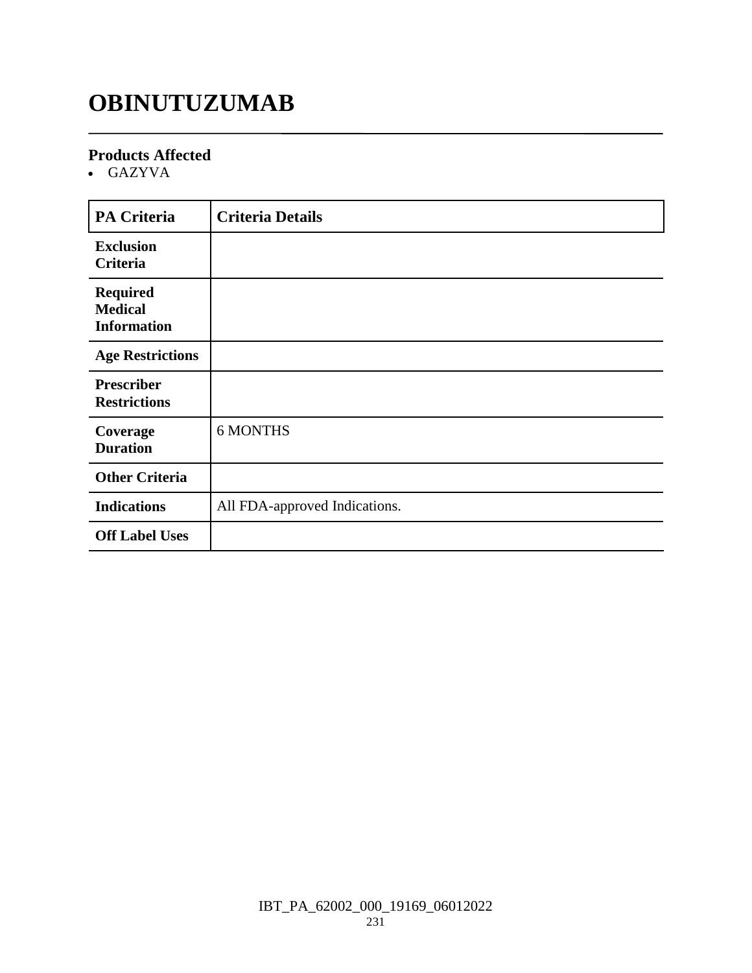### **OBINUTUZUMAB**

#### **Products Affected**

GAZYVA

| <b>PA Criteria</b>                                      | <b>Criteria Details</b>       |
|---------------------------------------------------------|-------------------------------|
| <b>Exclusion</b><br>Criteria                            |                               |
| <b>Required</b><br><b>Medical</b><br><b>Information</b> |                               |
| <b>Age Restrictions</b>                                 |                               |
| <b>Prescriber</b><br><b>Restrictions</b>                |                               |
| Coverage<br><b>Duration</b>                             | <b>6 MONTHS</b>               |
| <b>Other Criteria</b>                                   |                               |
| <b>Indications</b>                                      | All FDA-approved Indications. |
| <b>Off Label Uses</b>                                   |                               |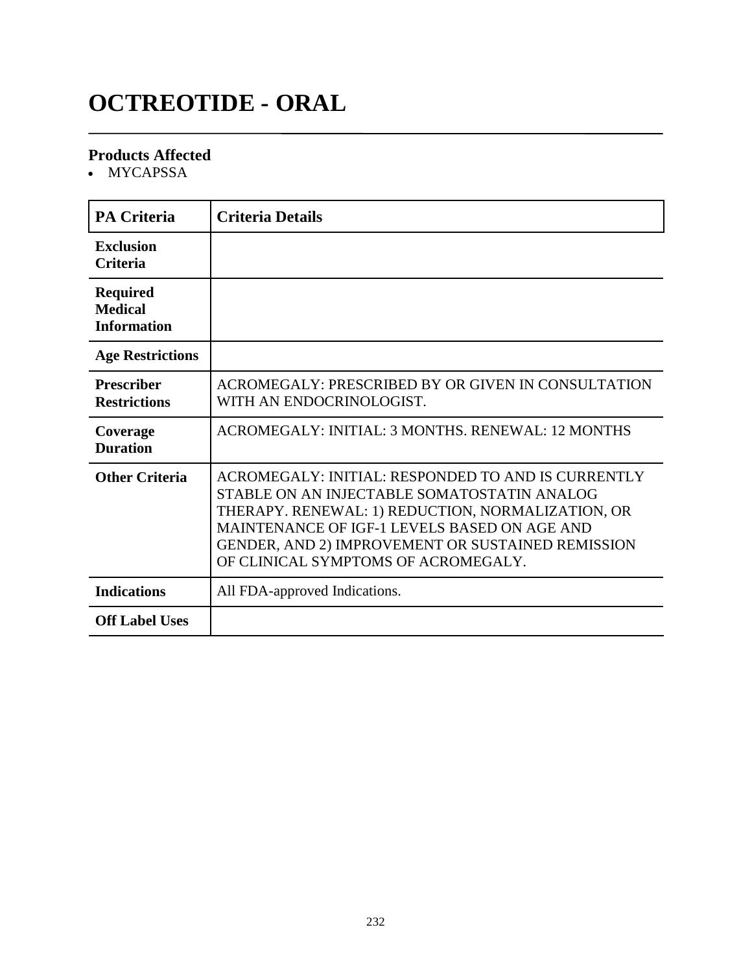# **OCTREOTIDE - ORAL**

#### **Products Affected**

• MYCAPSSA

| <b>PA Criteria</b>                                      | <b>Criteria Details</b>                                                                                                                                                                                                                                                                            |
|---------------------------------------------------------|----------------------------------------------------------------------------------------------------------------------------------------------------------------------------------------------------------------------------------------------------------------------------------------------------|
| Exclusion<br><b>Criteria</b>                            |                                                                                                                                                                                                                                                                                                    |
| <b>Required</b><br><b>Medical</b><br><b>Information</b> |                                                                                                                                                                                                                                                                                                    |
| <b>Age Restrictions</b>                                 |                                                                                                                                                                                                                                                                                                    |
| <b>Prescriber</b><br><b>Restrictions</b>                | ACROMEGALY: PRESCRIBED BY OR GIVEN IN CONSULTATION<br>WITH AN ENDOCRINOLOGIST.                                                                                                                                                                                                                     |
| Coverage<br><b>Duration</b>                             | ACROMEGALY: INITIAL: 3 MONTHS, RENEWAL: 12 MONTHS                                                                                                                                                                                                                                                  |
| <b>Other Criteria</b>                                   | ACROMEGALY: INITIAL: RESPONDED TO AND IS CURRENTLY<br>STABLE ON AN INJECTABLE SOMATOSTATIN ANALOG<br>THERAPY. RENEWAL: 1) REDUCTION, NORMALIZATION, OR<br>MAINTENANCE OF IGF-1 LEVELS BASED ON AGE AND<br>GENDER, AND 2) IMPROVEMENT OR SUSTAINED REMISSION<br>OF CLINICAL SYMPTOMS OF ACROMEGALY. |
| <b>Indications</b>                                      | All FDA-approved Indications.                                                                                                                                                                                                                                                                      |
| <b>Off Label Uses</b>                                   |                                                                                                                                                                                                                                                                                                    |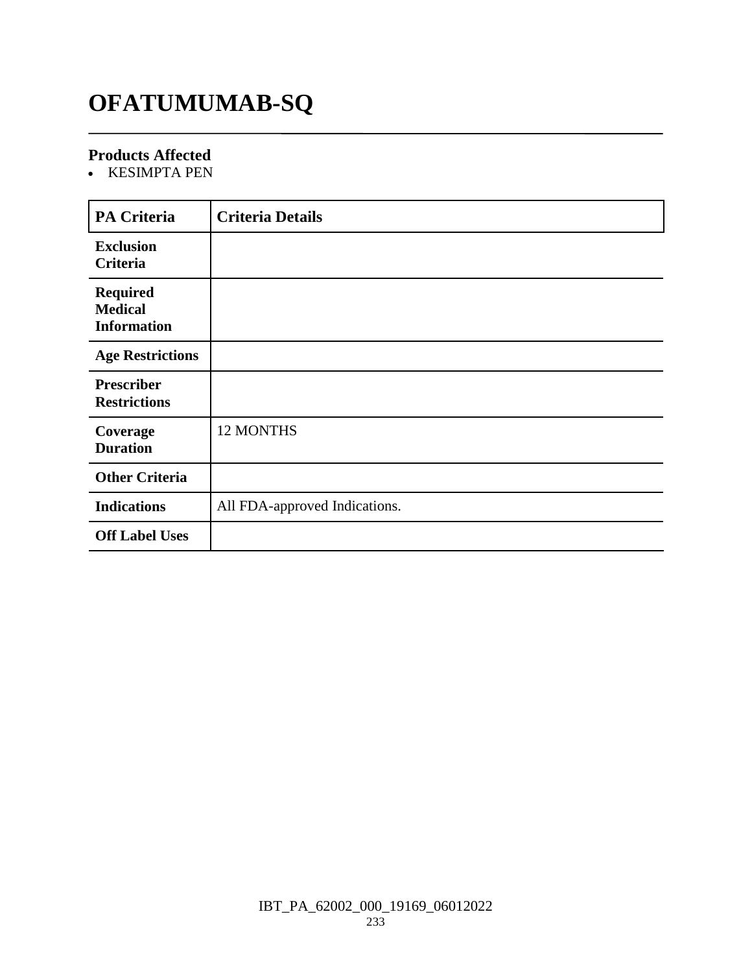# **OFATUMUMAB-SQ**

#### **Products Affected**

• KESIMPTA PEN

| PA Criteria             | <b>Criteria Details</b>       |
|-------------------------|-------------------------------|
| <b>Exclusion</b>        |                               |
| Criteria                |                               |
| <b>Required</b>         |                               |
| <b>Medical</b>          |                               |
| <b>Information</b>      |                               |
|                         |                               |
| <b>Age Restrictions</b> |                               |
| <b>Prescriber</b>       |                               |
| <b>Restrictions</b>     |                               |
|                         |                               |
| Coverage                | 12 MONTHS                     |
| <b>Duration</b>         |                               |
|                         |                               |
| <b>Other Criteria</b>   |                               |
| <b>Indications</b>      | All FDA-approved Indications. |
|                         |                               |
| <b>Off Label Uses</b>   |                               |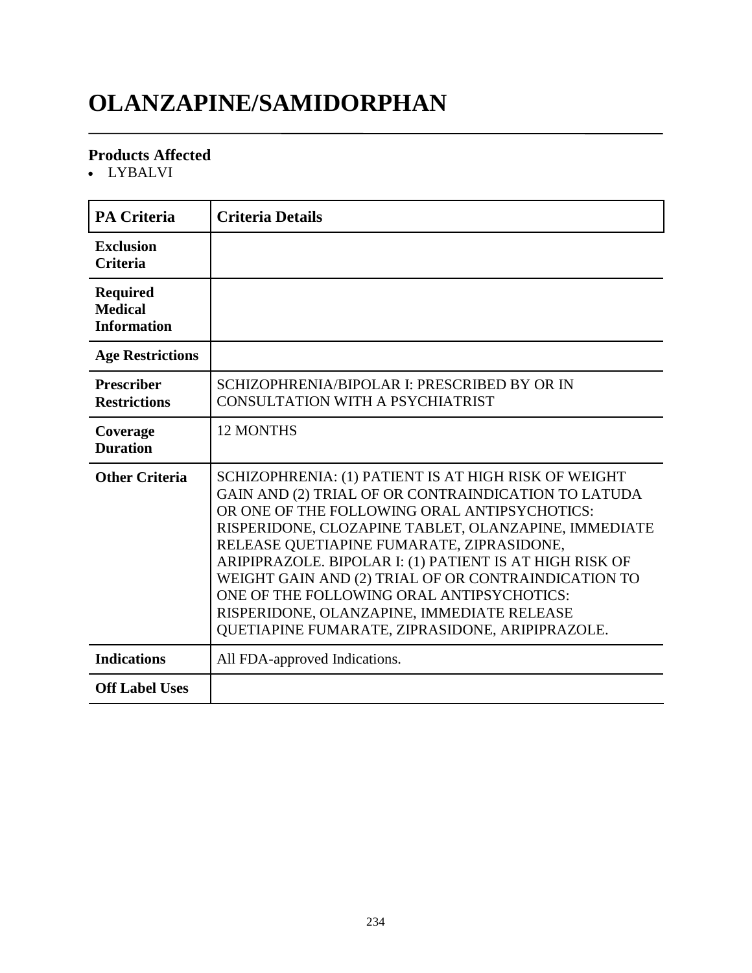# **OLANZAPINE/SAMIDORPHAN**

#### **Products Affected**

LYBALVI

| <b>PA Criteria</b>                                      | <b>Criteria Details</b>                                                                                                                                                                                                                                                                                                                                                                                                                                                                                                          |
|---------------------------------------------------------|----------------------------------------------------------------------------------------------------------------------------------------------------------------------------------------------------------------------------------------------------------------------------------------------------------------------------------------------------------------------------------------------------------------------------------------------------------------------------------------------------------------------------------|
| <b>Exclusion</b><br><b>Criteria</b>                     |                                                                                                                                                                                                                                                                                                                                                                                                                                                                                                                                  |
| <b>Required</b><br><b>Medical</b><br><b>Information</b> |                                                                                                                                                                                                                                                                                                                                                                                                                                                                                                                                  |
| <b>Age Restrictions</b>                                 |                                                                                                                                                                                                                                                                                                                                                                                                                                                                                                                                  |
| <b>Prescriber</b><br><b>Restrictions</b>                | SCHIZOPHRENIA/BIPOLAR I: PRESCRIBED BY OR IN<br>CONSULTATION WITH A PSYCHIATRIST                                                                                                                                                                                                                                                                                                                                                                                                                                                 |
| Coverage<br><b>Duration</b>                             | <b>12 MONTHS</b>                                                                                                                                                                                                                                                                                                                                                                                                                                                                                                                 |
| <b>Other Criteria</b>                                   | SCHIZOPHRENIA: (1) PATIENT IS AT HIGH RISK OF WEIGHT<br>GAIN AND (2) TRIAL OF OR CONTRAINDICATION TO LATUDA<br>OR ONE OF THE FOLLOWING ORAL ANTIPSYCHOTICS:<br>RISPERIDONE, CLOZAPINE TABLET, OLANZAPINE, IMMEDIATE<br>RELEASE QUETIAPINE FUMARATE, ZIPRASIDONE,<br>ARIPIPRAZOLE. BIPOLAR I: (1) PATIENT IS AT HIGH RISK OF<br>WEIGHT GAIN AND (2) TRIAL OF OR CONTRAINDICATION TO<br>ONE OF THE FOLLOWING ORAL ANTIPSYCHOTICS:<br>RISPERIDONE, OLANZAPINE, IMMEDIATE RELEASE<br>QUETIAPINE FUMARATE, ZIPRASIDONE, ARIPIPRAZOLE. |
| <b>Indications</b>                                      | All FDA-approved Indications.                                                                                                                                                                                                                                                                                                                                                                                                                                                                                                    |
| <b>Off Label Uses</b>                                   |                                                                                                                                                                                                                                                                                                                                                                                                                                                                                                                                  |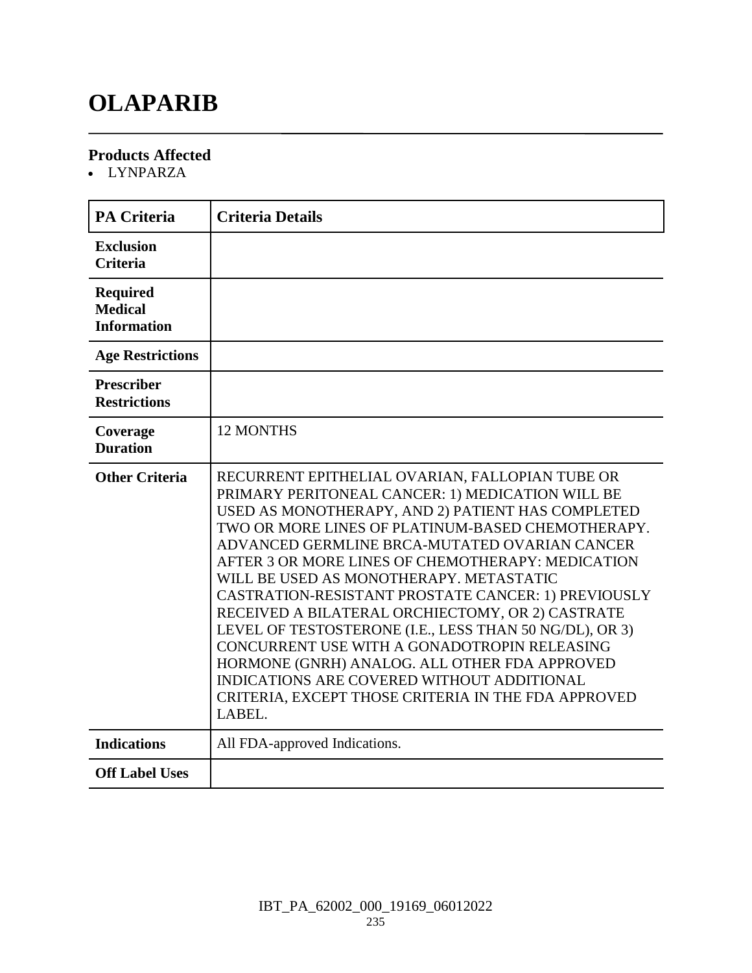### **OLAPARIB**

#### **Products Affected**

LYNPARZA

| <b>PA Criteria</b>                                      | <b>Criteria Details</b>                                                                                                                                                                                                                                                                                                                                                                                                                                                                                                                                                                                                                                                                                                                              |
|---------------------------------------------------------|------------------------------------------------------------------------------------------------------------------------------------------------------------------------------------------------------------------------------------------------------------------------------------------------------------------------------------------------------------------------------------------------------------------------------------------------------------------------------------------------------------------------------------------------------------------------------------------------------------------------------------------------------------------------------------------------------------------------------------------------------|
| <b>Exclusion</b><br><b>Criteria</b>                     |                                                                                                                                                                                                                                                                                                                                                                                                                                                                                                                                                                                                                                                                                                                                                      |
| <b>Required</b><br><b>Medical</b><br><b>Information</b> |                                                                                                                                                                                                                                                                                                                                                                                                                                                                                                                                                                                                                                                                                                                                                      |
| <b>Age Restrictions</b>                                 |                                                                                                                                                                                                                                                                                                                                                                                                                                                                                                                                                                                                                                                                                                                                                      |
| <b>Prescriber</b><br><b>Restrictions</b>                |                                                                                                                                                                                                                                                                                                                                                                                                                                                                                                                                                                                                                                                                                                                                                      |
| Coverage<br><b>Duration</b>                             | 12 MONTHS                                                                                                                                                                                                                                                                                                                                                                                                                                                                                                                                                                                                                                                                                                                                            |
| <b>Other Criteria</b>                                   | RECURRENT EPITHELIAL OVARIAN, FALLOPIAN TUBE OR<br>PRIMARY PERITONEAL CANCER: 1) MEDICATION WILL BE<br>USED AS MONOTHERAPY, AND 2) PATIENT HAS COMPLETED<br>TWO OR MORE LINES OF PLATINUM-BASED CHEMOTHERAPY.<br>ADVANCED GERMLINE BRCA-MUTATED OVARIAN CANCER<br>AFTER 3 OR MORE LINES OF CHEMOTHERAPY: MEDICATION<br>WILL BE USED AS MONOTHERAPY. METASTATIC<br>CASTRATION-RESISTANT PROSTATE CANCER: 1) PREVIOUSLY<br>RECEIVED A BILATERAL ORCHIECTOMY, OR 2) CASTRATE<br>LEVEL OF TESTOSTERONE (I.E., LESS THAN 50 NG/DL), OR 3)<br>CONCURRENT USE WITH A GONADOTROPIN RELEASING<br>HORMONE (GNRH) ANALOG. ALL OTHER FDA APPROVED<br>INDICATIONS ARE COVERED WITHOUT ADDITIONAL<br>CRITERIA, EXCEPT THOSE CRITERIA IN THE FDA APPROVED<br>LABEL. |
| <b>Indications</b>                                      | All FDA-approved Indications.                                                                                                                                                                                                                                                                                                                                                                                                                                                                                                                                                                                                                                                                                                                        |
| <b>Off Label Uses</b>                                   |                                                                                                                                                                                                                                                                                                                                                                                                                                                                                                                                                                                                                                                                                                                                                      |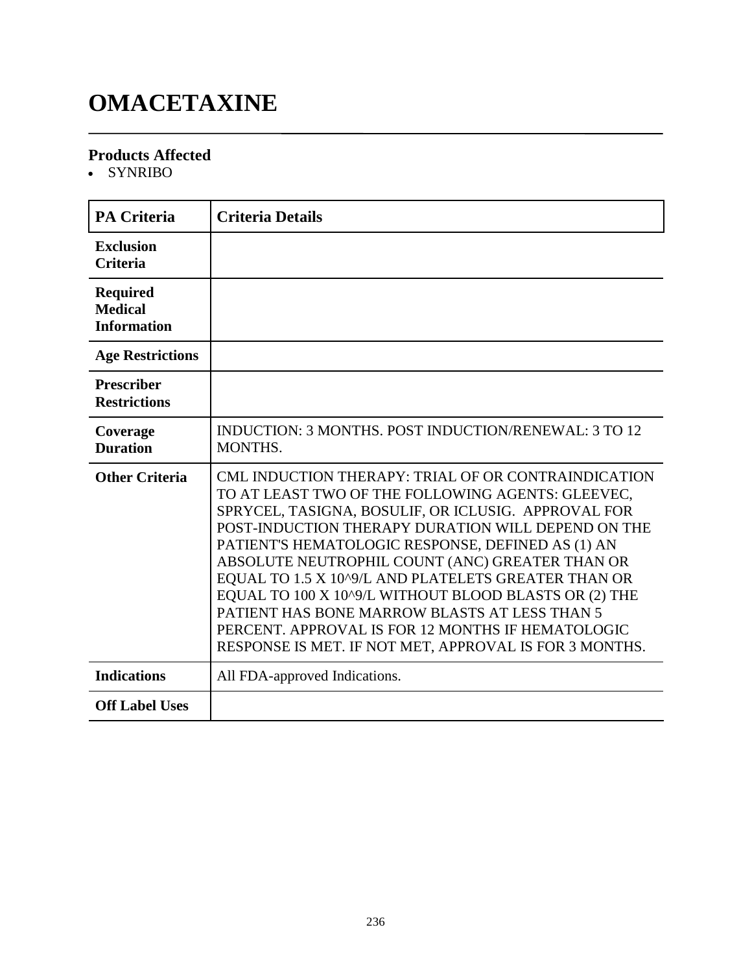# **OMACETAXINE**

#### **Products Affected**

• SYNRIBO

| <b>PA Criteria</b>                                      | <b>Criteria Details</b>                                                                                                                                                                                                                                                                                                                                                                                                                                                                                                                                                                                       |
|---------------------------------------------------------|---------------------------------------------------------------------------------------------------------------------------------------------------------------------------------------------------------------------------------------------------------------------------------------------------------------------------------------------------------------------------------------------------------------------------------------------------------------------------------------------------------------------------------------------------------------------------------------------------------------|
| <b>Exclusion</b><br><b>Criteria</b>                     |                                                                                                                                                                                                                                                                                                                                                                                                                                                                                                                                                                                                               |
| <b>Required</b><br><b>Medical</b><br><b>Information</b> |                                                                                                                                                                                                                                                                                                                                                                                                                                                                                                                                                                                                               |
| <b>Age Restrictions</b>                                 |                                                                                                                                                                                                                                                                                                                                                                                                                                                                                                                                                                                                               |
| <b>Prescriber</b><br><b>Restrictions</b>                |                                                                                                                                                                                                                                                                                                                                                                                                                                                                                                                                                                                                               |
| Coverage<br><b>Duration</b>                             | INDUCTION: 3 MONTHS, POST INDUCTION/RENEWAL: 3 TO 12<br>MONTHS.                                                                                                                                                                                                                                                                                                                                                                                                                                                                                                                                               |
| <b>Other Criteria</b>                                   | CML INDUCTION THERAPY: TRIAL OF OR CONTRAINDICATION<br>TO AT LEAST TWO OF THE FOLLOWING AGENTS: GLEEVEC,<br>SPRYCEL, TASIGNA, BOSULIF, OR ICLUSIG. APPROVAL FOR<br>POST-INDUCTION THERAPY DURATION WILL DEPEND ON THE<br>PATIENT'S HEMATOLOGIC RESPONSE, DEFINED AS (1) AN<br>ABSOLUTE NEUTROPHIL COUNT (ANC) GREATER THAN OR<br>EQUAL TO 1.5 X 10^9/L AND PLATELETS GREATER THAN OR<br>EQUAL TO 100 X 10^9/L WITHOUT BLOOD BLASTS OR (2) THE<br>PATIENT HAS BONE MARROW BLASTS AT LESS THAN 5<br>PERCENT. APPROVAL IS FOR 12 MONTHS IF HEMATOLOGIC<br>RESPONSE IS MET. IF NOT MET, APPROVAL IS FOR 3 MONTHS. |
| <b>Indications</b>                                      | All FDA-approved Indications.                                                                                                                                                                                                                                                                                                                                                                                                                                                                                                                                                                                 |
| <b>Off Label Uses</b>                                   |                                                                                                                                                                                                                                                                                                                                                                                                                                                                                                                                                                                                               |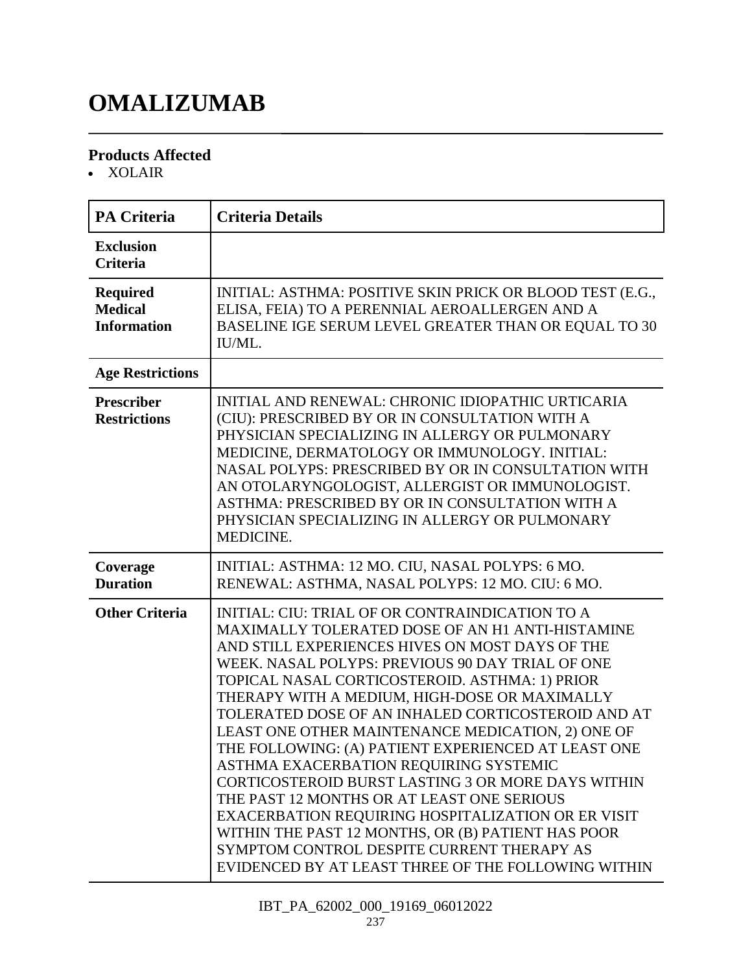# **OMALIZUMAB**

#### **Products Affected**

XOLAIR

| <b>PA Criteria</b>                                      | <b>Criteria Details</b>                                                                                                                                                                                                                                                                                                                                                                                                                                                                                                                                                                                                                                                                                                                                                                                                                               |
|---------------------------------------------------------|-------------------------------------------------------------------------------------------------------------------------------------------------------------------------------------------------------------------------------------------------------------------------------------------------------------------------------------------------------------------------------------------------------------------------------------------------------------------------------------------------------------------------------------------------------------------------------------------------------------------------------------------------------------------------------------------------------------------------------------------------------------------------------------------------------------------------------------------------------|
| <b>Exclusion</b><br><b>Criteria</b>                     |                                                                                                                                                                                                                                                                                                                                                                                                                                                                                                                                                                                                                                                                                                                                                                                                                                                       |
| <b>Required</b><br><b>Medical</b><br><b>Information</b> | INITIAL: ASTHMA: POSITIVE SKIN PRICK OR BLOOD TEST (E.G.,<br>ELISA, FEIA) TO A PERENNIAL AEROALLERGEN AND A<br>BASELINE IGE SERUM LEVEL GREATER THAN OR EQUAL TO 30<br>IU/ML.                                                                                                                                                                                                                                                                                                                                                                                                                                                                                                                                                                                                                                                                         |
| <b>Age Restrictions</b>                                 |                                                                                                                                                                                                                                                                                                                                                                                                                                                                                                                                                                                                                                                                                                                                                                                                                                                       |
| <b>Prescriber</b><br><b>Restrictions</b>                | INITIAL AND RENEWAL: CHRONIC IDIOPATHIC URTICARIA<br>(CIU): PRESCRIBED BY OR IN CONSULTATION WITH A<br>PHYSICIAN SPECIALIZING IN ALLERGY OR PULMONARY<br>MEDICINE, DERMATOLOGY OR IMMUNOLOGY. INITIAL:<br>NASAL POLYPS: PRESCRIBED BY OR IN CONSULTATION WITH<br>AN OTOLARYNGOLOGIST, ALLERGIST OR IMMUNOLOGIST.<br>ASTHMA: PRESCRIBED BY OR IN CONSULTATION WITH A<br>PHYSICIAN SPECIALIZING IN ALLERGY OR PULMONARY<br>MEDICINE.                                                                                                                                                                                                                                                                                                                                                                                                                    |
| Coverage<br><b>Duration</b>                             | INITIAL: ASTHMA: 12 MO. CIU, NASAL POLYPS: 6 MO.<br>RENEWAL: ASTHMA, NASAL POLYPS: 12 MO. CIU: 6 MO.                                                                                                                                                                                                                                                                                                                                                                                                                                                                                                                                                                                                                                                                                                                                                  |
| <b>Other Criteria</b>                                   | <b>INITIAL: CIU: TRIAL OF OR CONTRAINDICATION TO A</b><br>MAXIMALLY TOLERATED DOSE OF AN H1 ANTI-HISTAMINE<br>AND STILL EXPERIENCES HIVES ON MOST DAYS OF THE<br>WEEK. NASAL POLYPS: PREVIOUS 90 DAY TRIAL OF ONE<br>TOPICAL NASAL CORTICOSTEROID. ASTHMA: 1) PRIOR<br>THERAPY WITH A MEDIUM, HIGH-DOSE OR MAXIMALLY<br>TOLERATED DOSE OF AN INHALED CORTICOSTEROID AND AT<br>LEAST ONE OTHER MAINTENANCE MEDICATION, 2) ONE OF<br>THE FOLLOWING: (A) PATIENT EXPERIENCED AT LEAST ONE<br>ASTHMA EXACERBATION REQUIRING SYSTEMIC<br>CORTICOSTEROID BURST LASTING 3 OR MORE DAYS WITHIN<br>THE PAST 12 MONTHS OR AT LEAST ONE SERIOUS<br>EXACERBATION REQUIRING HOSPITALIZATION OR ER VISIT<br>WITHIN THE PAST 12 MONTHS, OR (B) PATIENT HAS POOR<br>SYMPTOM CONTROL DESPITE CURRENT THERAPY AS<br>EVIDENCED BY AT LEAST THREE OF THE FOLLOWING WITHIN |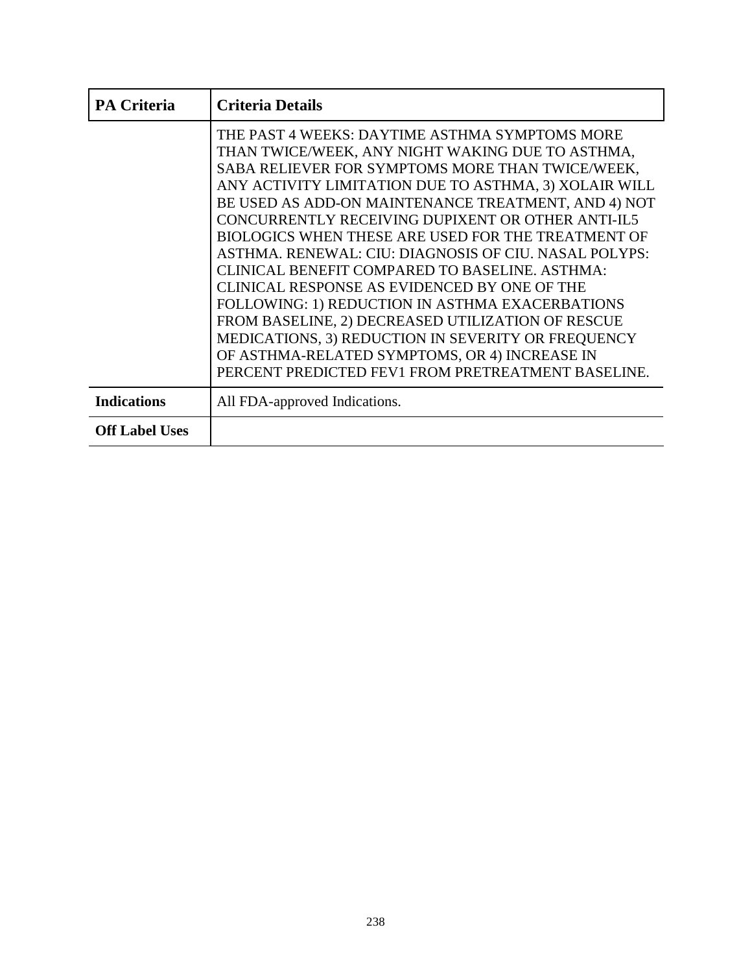| <b>PA Criteria</b>    | <b>Criteria Details</b>                                                                                                                                                                                                                                                                                                                                                                                                                                                                                                                                                                                                                                                                                                                                                                                                  |
|-----------------------|--------------------------------------------------------------------------------------------------------------------------------------------------------------------------------------------------------------------------------------------------------------------------------------------------------------------------------------------------------------------------------------------------------------------------------------------------------------------------------------------------------------------------------------------------------------------------------------------------------------------------------------------------------------------------------------------------------------------------------------------------------------------------------------------------------------------------|
|                       | THE PAST 4 WEEKS: DAYTIME ASTHMA SYMPTOMS MORE<br>THAN TWICE/WEEK, ANY NIGHT WAKING DUE TO ASTHMA,<br>SABA RELIEVER FOR SYMPTOMS MORE THAN TWICE/WEEK,<br>ANY ACTIVITY LIMITATION DUE TO ASTHMA, 3) XOLAIR WILL<br>BE USED AS ADD-ON MAINTENANCE TREATMENT, AND 4) NOT<br>CONCURRENTLY RECEIVING DUPIXENT OR OTHER ANTI-IL5<br><b>BIOLOGICS WHEN THESE ARE USED FOR THE TREATMENT OF</b><br>ASTHMA. RENEWAL: CIU: DIAGNOSIS OF CIU. NASAL POLYPS:<br>CLINICAL BENEFIT COMPARED TO BASELINE. ASTHMA:<br>CLINICAL RESPONSE AS EVIDENCED BY ONE OF THE<br>FOLLOWING: 1) REDUCTION IN ASTHMA EXACERBATIONS<br>FROM BASELINE, 2) DECREASED UTILIZATION OF RESCUE<br>MEDICATIONS, 3) REDUCTION IN SEVERITY OR FREQUENCY<br>OF ASTHMA-RELATED SYMPTOMS, OR 4) INCREASE IN<br>PERCENT PREDICTED FEV1 FROM PRETREATMENT BASELINE. |
| <b>Indications</b>    | All FDA-approved Indications.                                                                                                                                                                                                                                                                                                                                                                                                                                                                                                                                                                                                                                                                                                                                                                                            |
| <b>Off Label Uses</b> |                                                                                                                                                                                                                                                                                                                                                                                                                                                                                                                                                                                                                                                                                                                                                                                                                          |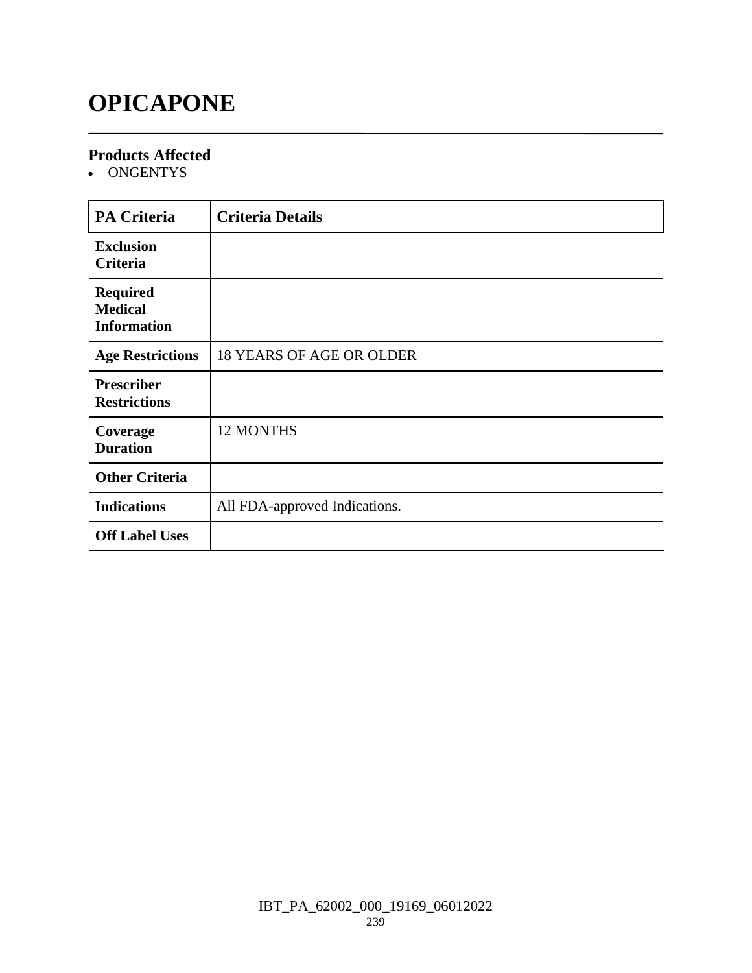### **OPICAPONE**

#### **Products Affected**

• ONGENTYS

| <b>PA Criteria</b>                                      | <b>Criteria Details</b>         |
|---------------------------------------------------------|---------------------------------|
| <b>Exclusion</b><br><b>Criteria</b>                     |                                 |
| <b>Required</b><br><b>Medical</b><br><b>Information</b> |                                 |
| <b>Age Restrictions</b>                                 | <b>18 YEARS OF AGE OR OLDER</b> |
| <b>Prescriber</b><br><b>Restrictions</b>                |                                 |
| Coverage<br><b>Duration</b>                             | <b>12 MONTHS</b>                |
| <b>Other Criteria</b>                                   |                                 |
| <b>Indications</b>                                      | All FDA-approved Indications.   |
| <b>Off Label Uses</b>                                   |                                 |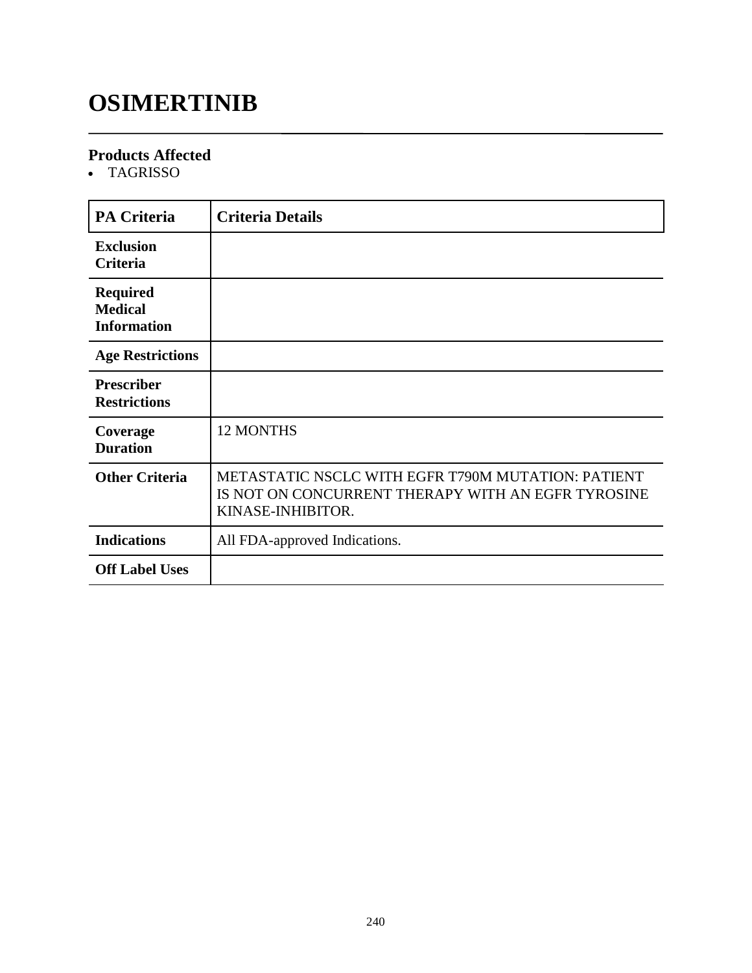# **OSIMERTINIB**

#### **Products Affected**

TAGRISSO

| <b>PA Criteria</b>                                      | <b>Criteria Details</b>                                                                                                       |
|---------------------------------------------------------|-------------------------------------------------------------------------------------------------------------------------------|
| <b>Exclusion</b><br><b>Criteria</b>                     |                                                                                                                               |
| <b>Required</b><br><b>Medical</b><br><b>Information</b> |                                                                                                                               |
| <b>Age Restrictions</b>                                 |                                                                                                                               |
| <b>Prescriber</b><br><b>Restrictions</b>                |                                                                                                                               |
| Coverage<br><b>Duration</b>                             | <b>12 MONTHS</b>                                                                                                              |
| <b>Other Criteria</b>                                   | METASTATIC NSCLC WITH EGFR T790M MUTATION: PATIENT<br>IS NOT ON CONCURRENT THERAPY WITH AN EGFR TYROSINE<br>KINASE-INHIBITOR. |
| <b>Indications</b>                                      | All FDA-approved Indications.                                                                                                 |
| <b>Off Label Uses</b>                                   |                                                                                                                               |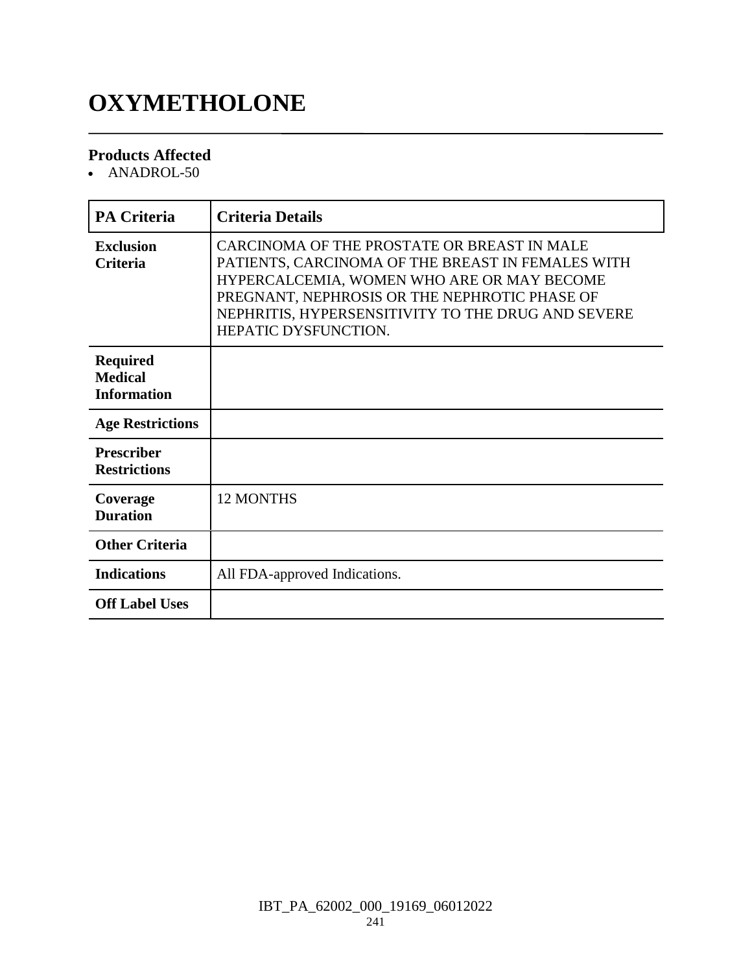# **OXYMETHOLONE**

#### **Products Affected**

• ANADROL-50

| <b>PA Criteria</b>                                      | <b>Criteria Details</b>                                                                                                                                                                                                                                                       |
|---------------------------------------------------------|-------------------------------------------------------------------------------------------------------------------------------------------------------------------------------------------------------------------------------------------------------------------------------|
| <b>Exclusion</b><br><b>Criteria</b>                     | CARCINOMA OF THE PROSTATE OR BREAST IN MALE<br>PATIENTS, CARCINOMA OF THE BREAST IN FEMALES WITH<br>HYPERCALCEMIA, WOMEN WHO ARE OR MAY BECOME<br>PREGNANT, NEPHROSIS OR THE NEPHROTIC PHASE OF<br>NEPHRITIS, HYPERSENSITIVITY TO THE DRUG AND SEVERE<br>HEPATIC DYSFUNCTION. |
| <b>Required</b><br><b>Medical</b><br><b>Information</b> |                                                                                                                                                                                                                                                                               |
| <b>Age Restrictions</b>                                 |                                                                                                                                                                                                                                                                               |
| <b>Prescriber</b><br><b>Restrictions</b>                |                                                                                                                                                                                                                                                                               |
| Coverage<br><b>Duration</b>                             | <b>12 MONTHS</b>                                                                                                                                                                                                                                                              |
| <b>Other Criteria</b>                                   |                                                                                                                                                                                                                                                                               |
| <b>Indications</b>                                      | All FDA-approved Indications.                                                                                                                                                                                                                                                 |
| <b>Off Label Uses</b>                                   |                                                                                                                                                                                                                                                                               |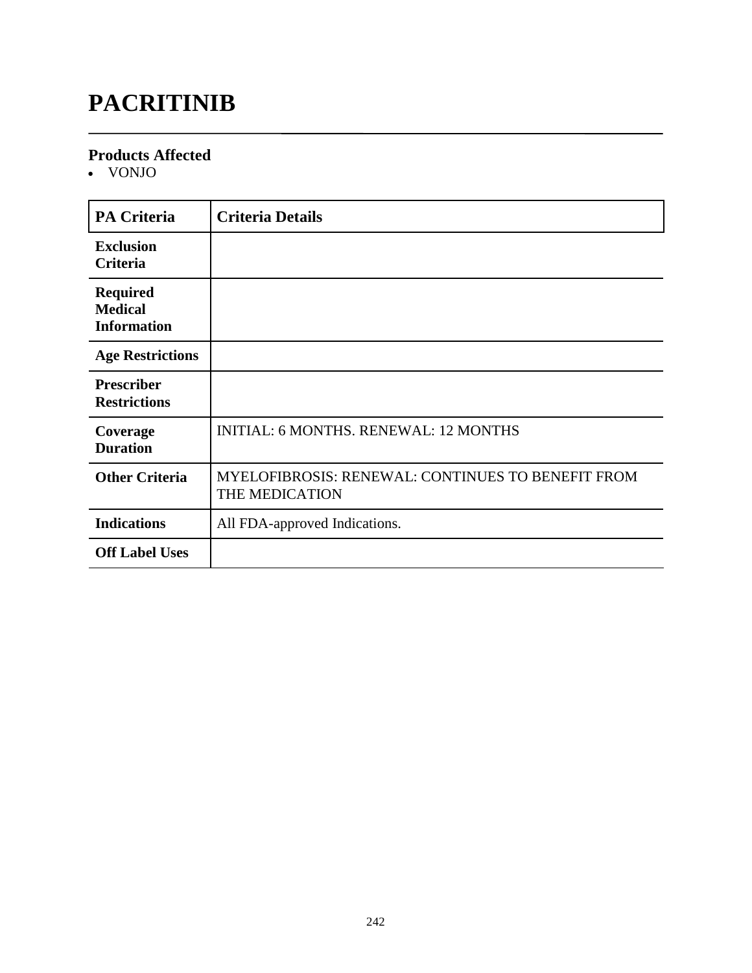# **PACRITINIB**

#### **Products Affected**

VONJO

| <b>PA Criteria</b>                                      | <b>Criteria Details</b>                                                    |
|---------------------------------------------------------|----------------------------------------------------------------------------|
| <b>Exclusion</b><br><b>Criteria</b>                     |                                                                            |
| <b>Required</b><br><b>Medical</b><br><b>Information</b> |                                                                            |
| <b>Age Restrictions</b>                                 |                                                                            |
| <b>Prescriber</b><br><b>Restrictions</b>                |                                                                            |
| Coverage<br><b>Duration</b>                             | <b>INITIAL: 6 MONTHS. RENEWAL: 12 MONTHS</b>                               |
| <b>Other Criteria</b>                                   | <b>MYELOFIBROSIS: RENEWAL: CONTINUES TO BENEFIT FROM</b><br>THE MEDICATION |
| <b>Indications</b>                                      | All FDA-approved Indications.                                              |
| <b>Off Label Uses</b>                                   |                                                                            |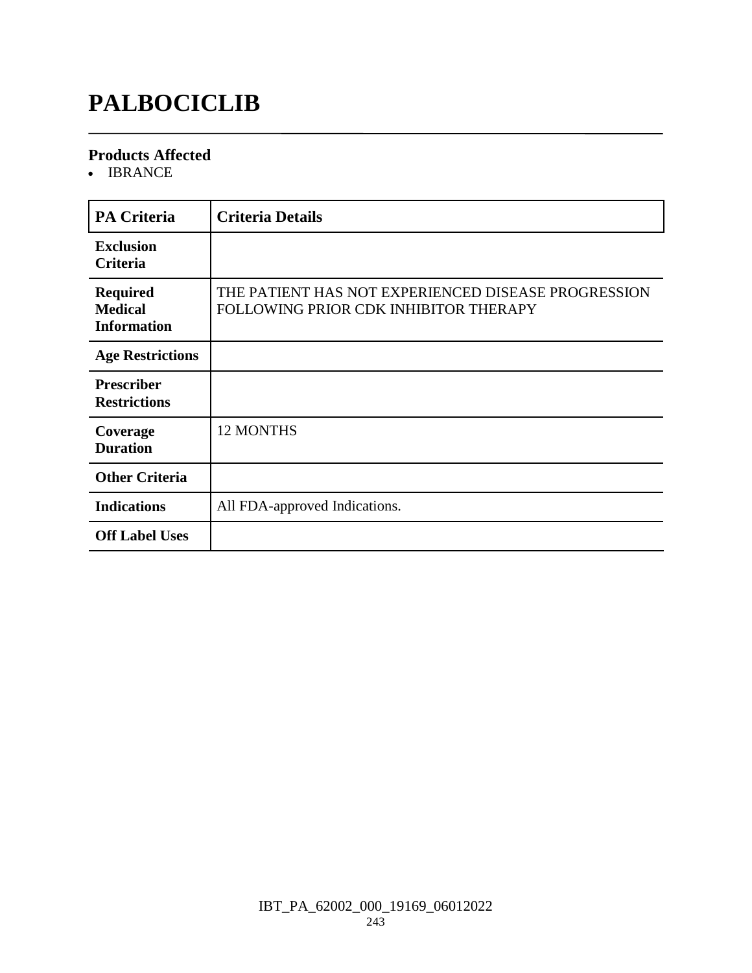# **PALBOCICLIB**

#### **Products Affected**

• IBRANCE

| <b>PA Criteria</b>                                      | <b>Criteria Details</b>                                                                      |
|---------------------------------------------------------|----------------------------------------------------------------------------------------------|
| <b>Exclusion</b><br><b>Criteria</b>                     |                                                                                              |
| <b>Required</b><br><b>Medical</b><br><b>Information</b> | THE PATIENT HAS NOT EXPERIENCED DISEASE PROGRESSION<br>FOLLOWING PRIOR CDK INHIBITOR THERAPY |
| <b>Age Restrictions</b>                                 |                                                                                              |
| <b>Prescriber</b><br><b>Restrictions</b>                |                                                                                              |
| Coverage<br><b>Duration</b>                             | 12 MONTHS                                                                                    |
| <b>Other Criteria</b>                                   |                                                                                              |
| <b>Indications</b>                                      | All FDA-approved Indications.                                                                |
| <b>Off Label Uses</b>                                   |                                                                                              |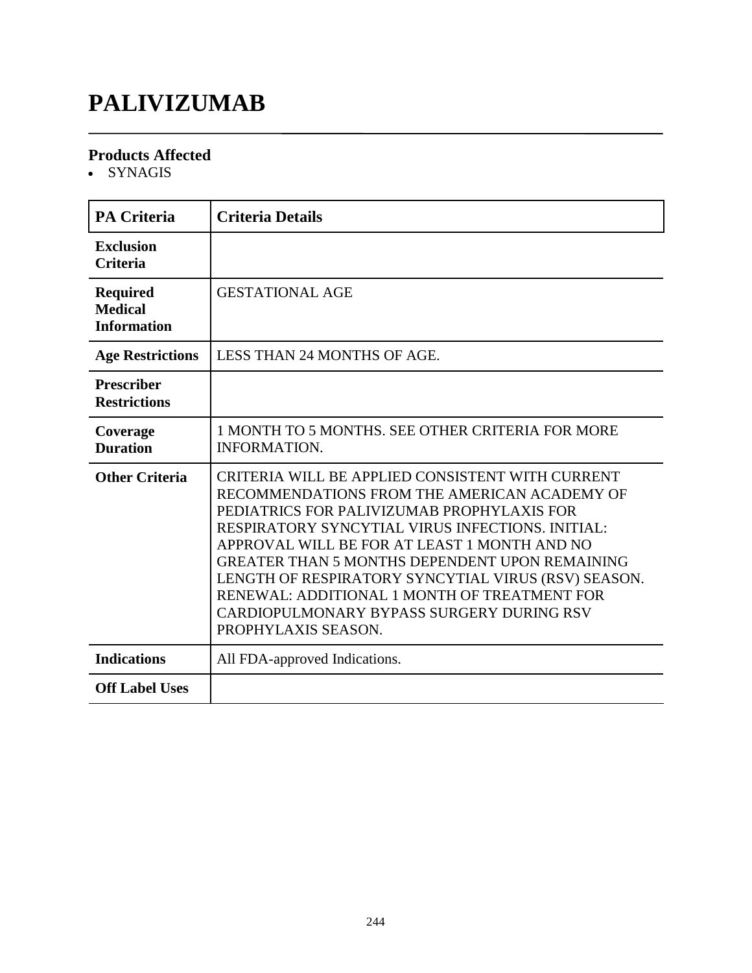# **PALIVIZUMAB**

#### **Products Affected**

• SYNAGIS

| <b>PA Criteria</b>                                      | <b>Criteria Details</b>                                                                                                                                                                                                                                                                                                                                                                                                                                                                |
|---------------------------------------------------------|----------------------------------------------------------------------------------------------------------------------------------------------------------------------------------------------------------------------------------------------------------------------------------------------------------------------------------------------------------------------------------------------------------------------------------------------------------------------------------------|
| <b>Exclusion</b><br><b>Criteria</b>                     |                                                                                                                                                                                                                                                                                                                                                                                                                                                                                        |
| <b>Required</b><br><b>Medical</b><br><b>Information</b> | <b>GESTATIONAL AGE</b>                                                                                                                                                                                                                                                                                                                                                                                                                                                                 |
| <b>Age Restrictions</b>                                 | <b>LESS THAN 24 MONTHS OF AGE.</b>                                                                                                                                                                                                                                                                                                                                                                                                                                                     |
| <b>Prescriber</b><br><b>Restrictions</b>                |                                                                                                                                                                                                                                                                                                                                                                                                                                                                                        |
| Coverage<br><b>Duration</b>                             | 1 MONTH TO 5 MONTHS. SEE OTHER CRITERIA FOR MORE<br><b>INFORMATION.</b>                                                                                                                                                                                                                                                                                                                                                                                                                |
| <b>Other Criteria</b>                                   | CRITERIA WILL BE APPLIED CONSISTENT WITH CURRENT<br>RECOMMENDATIONS FROM THE AMERICAN ACADEMY OF<br>PEDIATRICS FOR PALIVIZUMAB PROPHYLAXIS FOR<br>RESPIRATORY SYNCYTIAL VIRUS INFECTIONS. INITIAL:<br>APPROVAL WILL BE FOR AT LEAST 1 MONTH AND NO<br><b>GREATER THAN 5 MONTHS DEPENDENT UPON REMAINING</b><br>LENGTH OF RESPIRATORY SYNCYTIAL VIRUS (RSV) SEASON.<br>RENEWAL: ADDITIONAL 1 MONTH OF TREATMENT FOR<br>CARDIOPULMONARY BYPASS SURGERY DURING RSV<br>PROPHYLAXIS SEASON. |
| <b>Indications</b>                                      | All FDA-approved Indications.                                                                                                                                                                                                                                                                                                                                                                                                                                                          |
| <b>Off Label Uses</b>                                   |                                                                                                                                                                                                                                                                                                                                                                                                                                                                                        |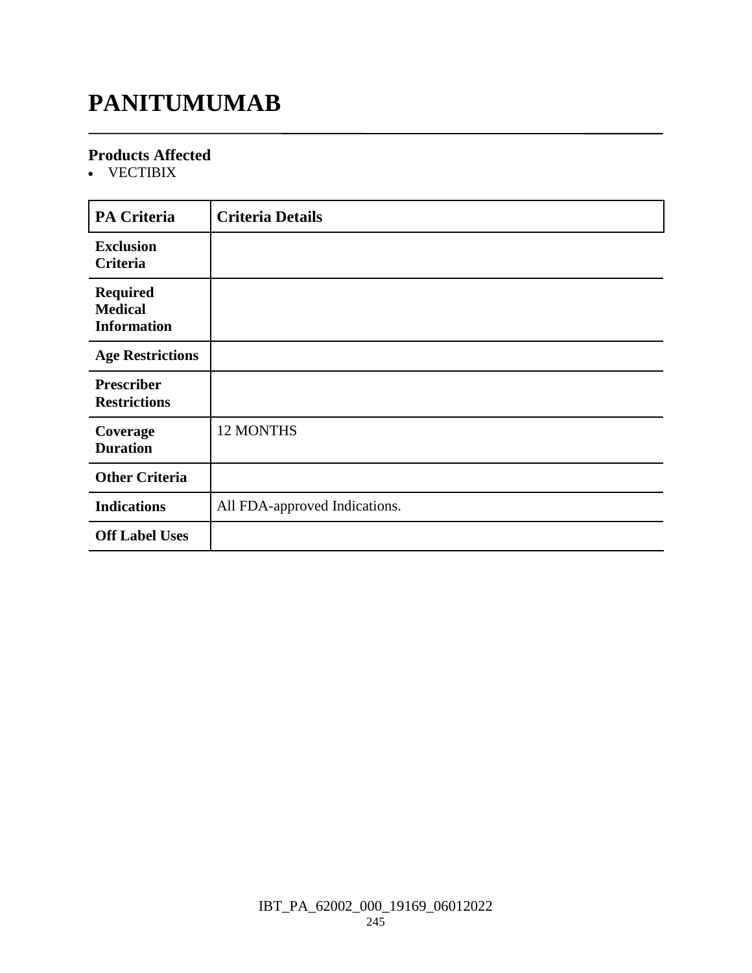### **PANITUMUMAB**

#### **Products Affected**

VECTIBIX

| <b>PA Criteria</b>                                      | <b>Criteria Details</b>       |
|---------------------------------------------------------|-------------------------------|
| <b>Exclusion</b><br>Criteria                            |                               |
| <b>Required</b><br><b>Medical</b><br><b>Information</b> |                               |
| <b>Age Restrictions</b>                                 |                               |
| <b>Prescriber</b><br><b>Restrictions</b>                |                               |
| Coverage<br><b>Duration</b>                             | <b>12 MONTHS</b>              |
| <b>Other Criteria</b>                                   |                               |
| <b>Indications</b>                                      | All FDA-approved Indications. |
| <b>Off Label Uses</b>                                   |                               |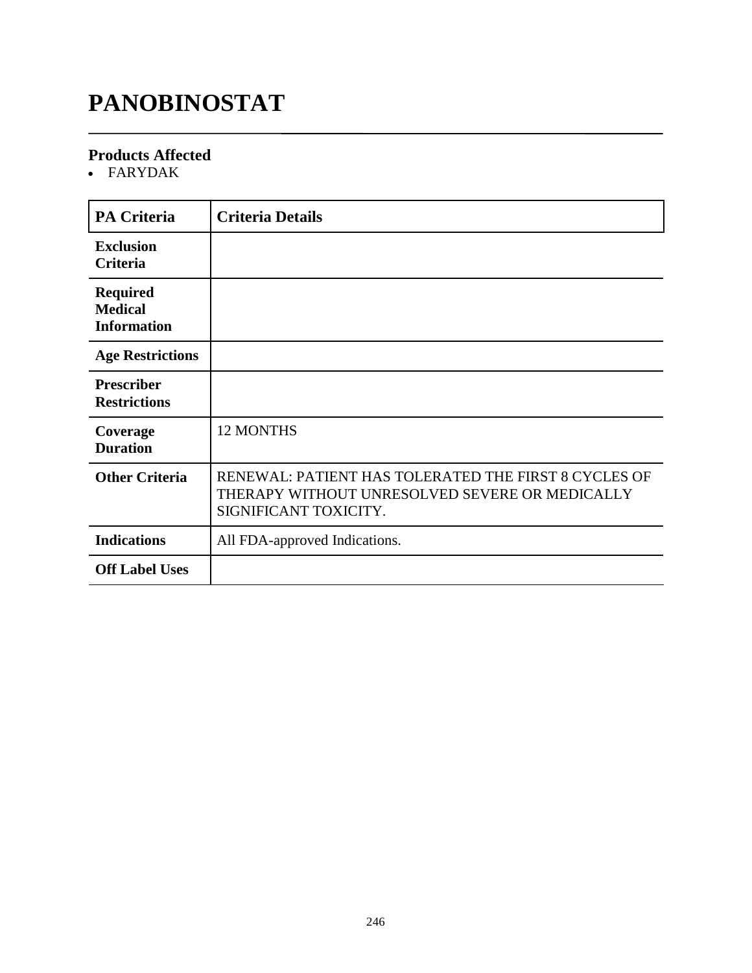# **PANOBINOSTAT**

#### **Products Affected**

FARYDAK

| <b>PA Criteria</b>                                      | <b>Criteria Details</b>                                                                                                         |
|---------------------------------------------------------|---------------------------------------------------------------------------------------------------------------------------------|
| <b>Exclusion</b><br><b>Criteria</b>                     |                                                                                                                                 |
| <b>Required</b><br><b>Medical</b><br><b>Information</b> |                                                                                                                                 |
| <b>Age Restrictions</b>                                 |                                                                                                                                 |
| <b>Prescriber</b><br><b>Restrictions</b>                |                                                                                                                                 |
| Coverage<br><b>Duration</b>                             | 12 MONTHS                                                                                                                       |
| <b>Other Criteria</b>                                   | RENEWAL: PATIENT HAS TOLERATED THE FIRST 8 CYCLES OF<br>THERAPY WITHOUT UNRESOLVED SEVERE OR MEDICALLY<br>SIGNIFICANT TOXICITY. |
| <b>Indications</b>                                      | All FDA-approved Indications.                                                                                                   |
| <b>Off Label Uses</b>                                   |                                                                                                                                 |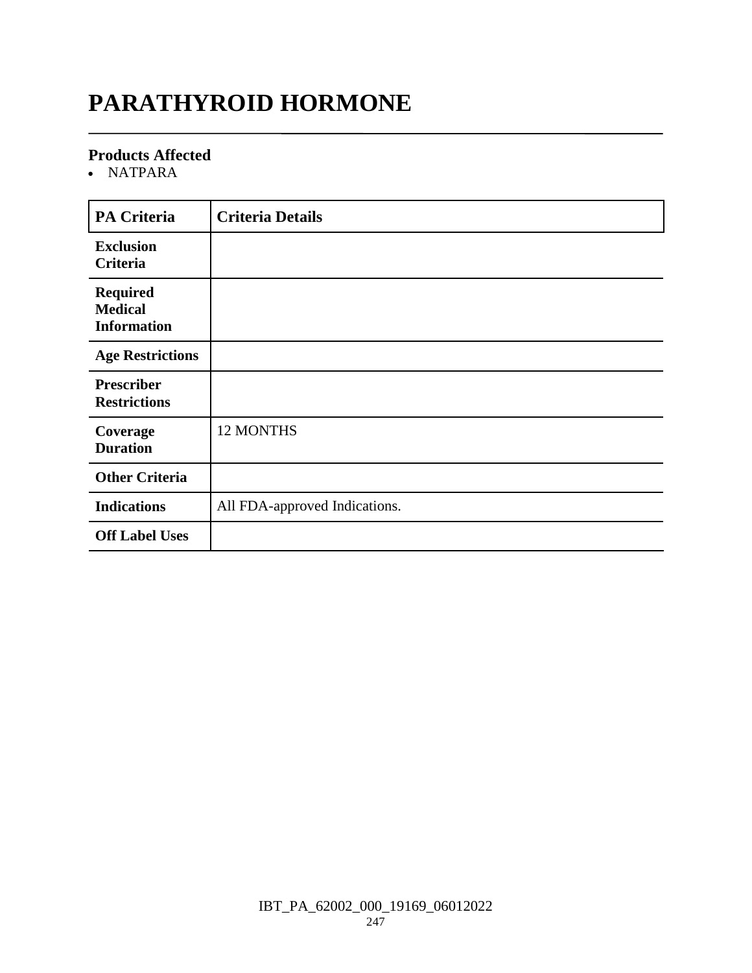# **PARATHYROID HORMONE**

#### **Products Affected**

NATPARA

| PA Criteria                                             | <b>Criteria Details</b>       |
|---------------------------------------------------------|-------------------------------|
| <b>Exclusion</b><br>Criteria                            |                               |
| <b>Required</b><br><b>Medical</b><br><b>Information</b> |                               |
| <b>Age Restrictions</b>                                 |                               |
| <b>Prescriber</b><br><b>Restrictions</b>                |                               |
| Coverage<br><b>Duration</b>                             | 12 MONTHS                     |
| <b>Other Criteria</b>                                   |                               |
| <b>Indications</b>                                      | All FDA-approved Indications. |
| <b>Off Label Uses</b>                                   |                               |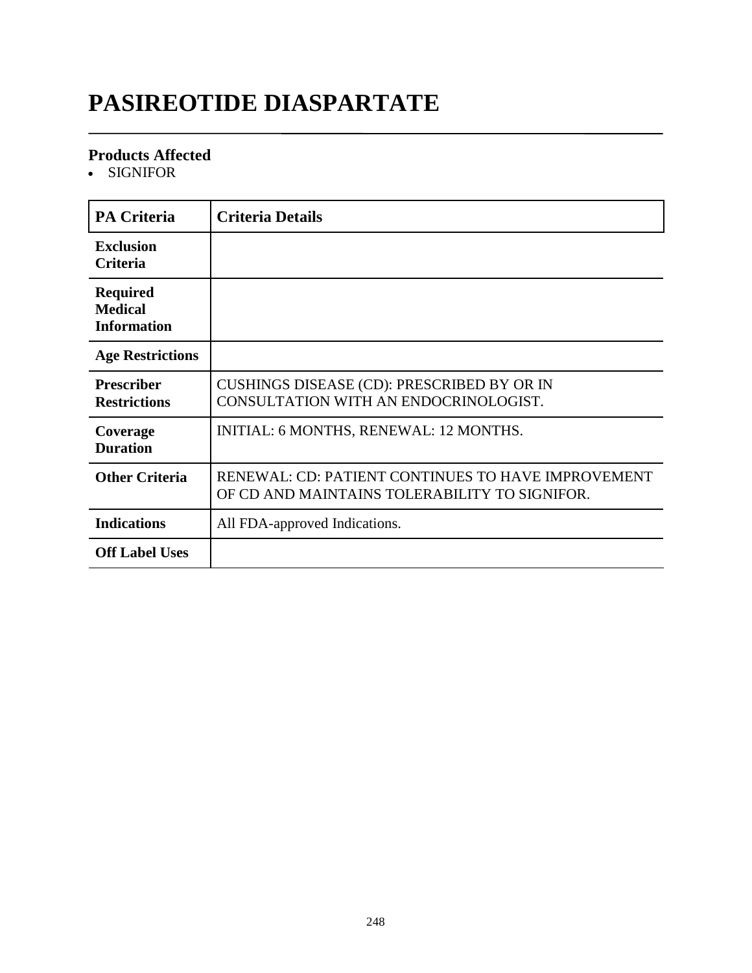# **PASIREOTIDE DIASPARTATE**

#### **Products Affected**

SIGNIFOR

| <b>PA Criteria</b>                                      | <b>Criteria Details</b>                                                                             |
|---------------------------------------------------------|-----------------------------------------------------------------------------------------------------|
| <b>Exclusion</b><br>Criteria                            |                                                                                                     |
| <b>Required</b><br><b>Medical</b><br><b>Information</b> |                                                                                                     |
| <b>Age Restrictions</b>                                 |                                                                                                     |
| <b>Prescriber</b><br><b>Restrictions</b>                | CUSHINGS DISEASE (CD): PRESCRIBED BY OR IN<br>CONSULTATION WITH AN ENDOCRINOLOGIST.                 |
| Coverage<br><b>Duration</b>                             | INITIAL: 6 MONTHS, RENEWAL: 12 MONTHS.                                                              |
| <b>Other Criteria</b>                                   | RENEWAL: CD: PATIENT CONTINUES TO HAVE IMPROVEMENT<br>OF CD AND MAINTAINS TOLERABILITY TO SIGNIFOR. |
| <b>Indications</b>                                      | All FDA-approved Indications.                                                                       |
| <b>Off Label Uses</b>                                   |                                                                                                     |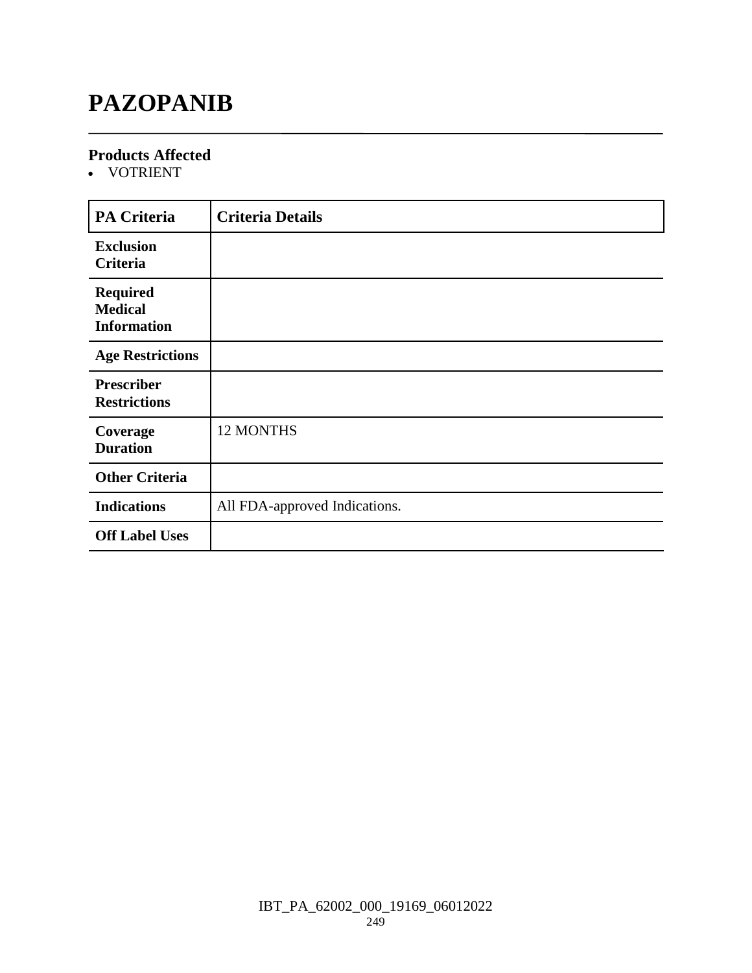### **PAZOPANIB**

#### **Products Affected**

VOTRIENT

| <b>PA Criteria</b>                                      | <b>Criteria Details</b>       |
|---------------------------------------------------------|-------------------------------|
| <b>Exclusion</b><br>Criteria                            |                               |
| <b>Required</b><br><b>Medical</b><br><b>Information</b> |                               |
| <b>Age Restrictions</b>                                 |                               |
| <b>Prescriber</b><br><b>Restrictions</b>                |                               |
| Coverage<br><b>Duration</b>                             | 12 MONTHS                     |
| <b>Other Criteria</b>                                   |                               |
| <b>Indications</b>                                      | All FDA-approved Indications. |
| <b>Off Label Uses</b>                                   |                               |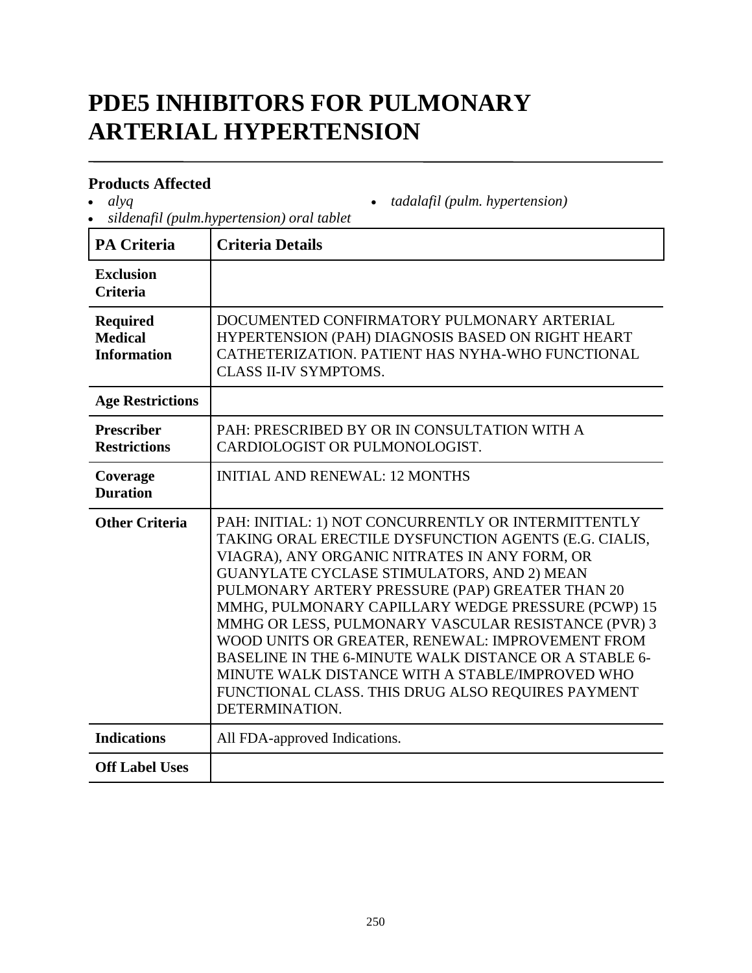# **PDE5 INHIBITORS FOR PULMONARY ARTERIAL HYPERTENSION**

#### **Products Affected**

*alyq*

*sildenafil (pulm.hypertension) oral tablet*

| <b>PA Criteria</b>                                      | <b>Criteria Details</b>                                                                                                                                                                                                                                                                                                                                                                                                                                                                                                                                                                                            |
|---------------------------------------------------------|--------------------------------------------------------------------------------------------------------------------------------------------------------------------------------------------------------------------------------------------------------------------------------------------------------------------------------------------------------------------------------------------------------------------------------------------------------------------------------------------------------------------------------------------------------------------------------------------------------------------|
| <b>Exclusion</b><br><b>Criteria</b>                     |                                                                                                                                                                                                                                                                                                                                                                                                                                                                                                                                                                                                                    |
| <b>Required</b><br><b>Medical</b><br><b>Information</b> | DOCUMENTED CONFIRMATORY PULMONARY ARTERIAL<br>HYPERTENSION (PAH) DIAGNOSIS BASED ON RIGHT HEART<br>CATHETERIZATION. PATIENT HAS NYHA-WHO FUNCTIONAL<br><b>CLASS II-IV SYMPTOMS.</b>                                                                                                                                                                                                                                                                                                                                                                                                                                |
| <b>Age Restrictions</b>                                 |                                                                                                                                                                                                                                                                                                                                                                                                                                                                                                                                                                                                                    |
| <b>Prescriber</b><br><b>Restrictions</b>                | PAH: PRESCRIBED BY OR IN CONSULTATION WITH A<br>CARDIOLOGIST OR PULMONOLOGIST.                                                                                                                                                                                                                                                                                                                                                                                                                                                                                                                                     |
| Coverage<br><b>Duration</b>                             | <b>INITIAL AND RENEWAL: 12 MONTHS</b>                                                                                                                                                                                                                                                                                                                                                                                                                                                                                                                                                                              |
| <b>Other Criteria</b>                                   | PAH: INITIAL: 1) NOT CONCURRENTLY OR INTERMITTENTLY<br>TAKING ORAL ERECTILE DYSFUNCTION AGENTS (E.G. CIALIS,<br>VIAGRA), ANY ORGANIC NITRATES IN ANY FORM, OR<br>GUANYLATE CYCLASE STIMULATORS, AND 2) MEAN<br>PULMONARY ARTERY PRESSURE (PAP) GREATER THAN 20<br>MMHG, PULMONARY CAPILLARY WEDGE PRESSURE (PCWP) 15<br>MMHG OR LESS, PULMONARY VASCULAR RESISTANCE (PVR) 3<br>WOOD UNITS OR GREATER, RENEWAL: IMPROVEMENT FROM<br>BASELINE IN THE 6-MINUTE WALK DISTANCE OR A STABLE 6-<br>MINUTE WALK DISTANCE WITH A STABLE/IMPROVED WHO<br>FUNCTIONAL CLASS. THIS DRUG ALSO REQUIRES PAYMENT<br>DETERMINATION. |
| <b>Indications</b>                                      | All FDA-approved Indications.                                                                                                                                                                                                                                                                                                                                                                                                                                                                                                                                                                                      |
| <b>Off Label Uses</b>                                   |                                                                                                                                                                                                                                                                                                                                                                                                                                                                                                                                                                                                                    |

*tadalafil (pulm. hypertension)*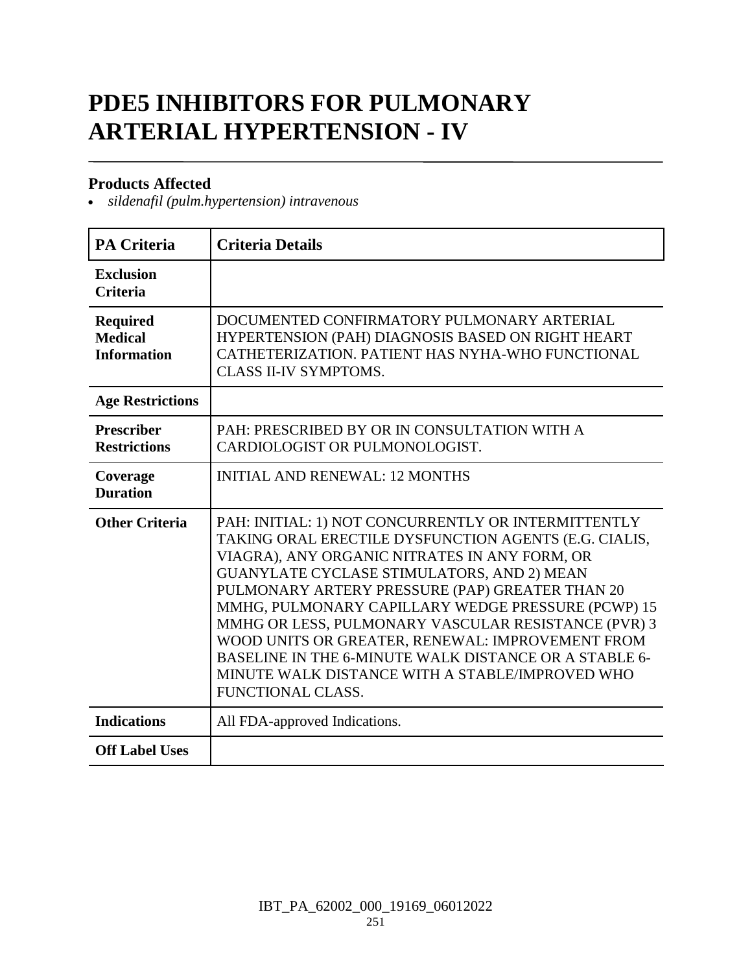# **PDE5 INHIBITORS FOR PULMONARY ARTERIAL HYPERTENSION - IV**

#### **Products Affected**

*sildenafil (pulm.hypertension) intravenous*

| <b>PA Criteria</b>                               | <b>Criteria Details</b>                                                                                                                                                                                                                                                                                                                                                                                                                                                                                                                                          |
|--------------------------------------------------|------------------------------------------------------------------------------------------------------------------------------------------------------------------------------------------------------------------------------------------------------------------------------------------------------------------------------------------------------------------------------------------------------------------------------------------------------------------------------------------------------------------------------------------------------------------|
| <b>Exclusion</b><br><b>Criteria</b>              |                                                                                                                                                                                                                                                                                                                                                                                                                                                                                                                                                                  |
| Required<br><b>Medical</b><br><b>Information</b> | DOCUMENTED CONFIRMATORY PULMONARY ARTERIAL<br>HYPERTENSION (PAH) DIAGNOSIS BASED ON RIGHT HEART<br>CATHETERIZATION. PATIENT HAS NYHA-WHO FUNCTIONAL<br><b>CLASS II-IV SYMPTOMS.</b>                                                                                                                                                                                                                                                                                                                                                                              |
| <b>Age Restrictions</b>                          |                                                                                                                                                                                                                                                                                                                                                                                                                                                                                                                                                                  |
| <b>Prescriber</b><br><b>Restrictions</b>         | PAH: PRESCRIBED BY OR IN CONSULTATION WITH A<br>CARDIOLOGIST OR PULMONOLOGIST.                                                                                                                                                                                                                                                                                                                                                                                                                                                                                   |
| Coverage<br><b>Duration</b>                      | <b>INITIAL AND RENEWAL: 12 MONTHS</b>                                                                                                                                                                                                                                                                                                                                                                                                                                                                                                                            |
| <b>Other Criteria</b>                            | PAH: INITIAL: 1) NOT CONCURRENTLY OR INTERMITTENTLY<br>TAKING ORAL ERECTILE DYSFUNCTION AGENTS (E.G. CIALIS,<br>VIAGRA), ANY ORGANIC NITRATES IN ANY FORM, OR<br>GUANYLATE CYCLASE STIMULATORS, AND 2) MEAN<br>PULMONARY ARTERY PRESSURE (PAP) GREATER THAN 20<br>MMHG, PULMONARY CAPILLARY WEDGE PRESSURE (PCWP) 15<br>MMHG OR LESS, PULMONARY VASCULAR RESISTANCE (PVR) 3<br>WOOD UNITS OR GREATER, RENEWAL: IMPROVEMENT FROM<br>BASELINE IN THE 6-MINUTE WALK DISTANCE OR A STABLE 6-<br>MINUTE WALK DISTANCE WITH A STABLE/IMPROVED WHO<br>FUNCTIONAL CLASS. |
| <b>Indications</b>                               | All FDA-approved Indications.                                                                                                                                                                                                                                                                                                                                                                                                                                                                                                                                    |
| <b>Off Label Uses</b>                            |                                                                                                                                                                                                                                                                                                                                                                                                                                                                                                                                                                  |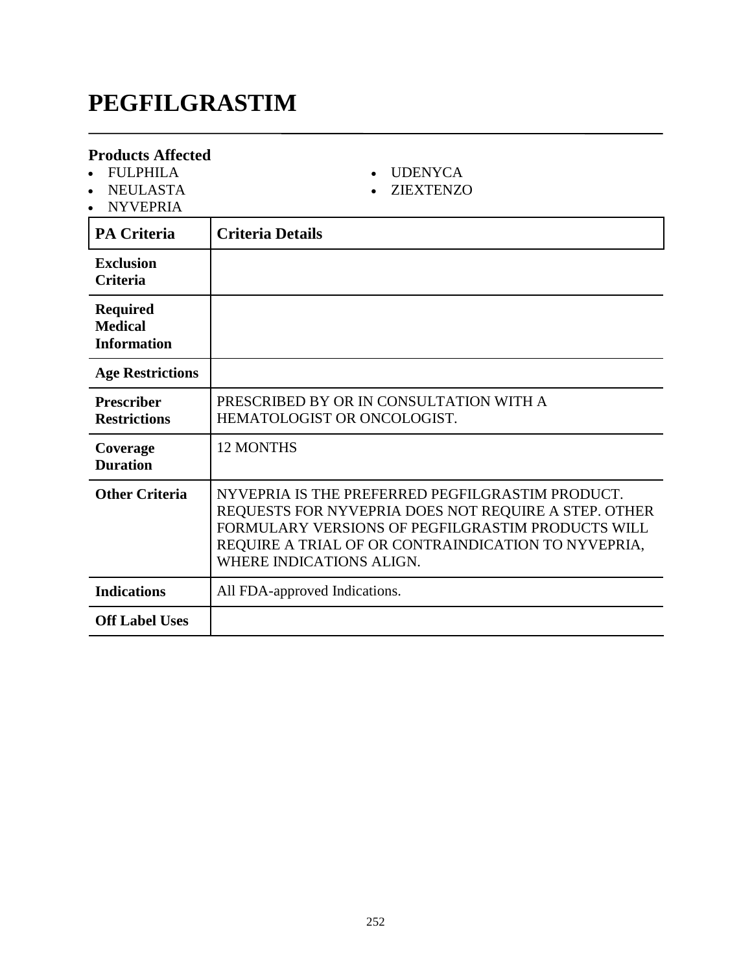# **PEGFILGRASTIM**

| <b>Products Affected</b><br><b>FULPHILA</b><br>$\bullet$<br><b>NEULASTA</b><br><b>NYVEPRIA</b><br>$\bullet$ | <b>UDENYCA</b><br><b>ZIEXTENZO</b>                                                                                                                                                                                                               |
|-------------------------------------------------------------------------------------------------------------|--------------------------------------------------------------------------------------------------------------------------------------------------------------------------------------------------------------------------------------------------|
| <b>PA Criteria</b>                                                                                          | <b>Criteria Details</b>                                                                                                                                                                                                                          |
| <b>Exclusion</b><br><b>Criteria</b>                                                                         |                                                                                                                                                                                                                                                  |
| <b>Required</b><br><b>Medical</b><br><b>Information</b>                                                     |                                                                                                                                                                                                                                                  |
| <b>Age Restrictions</b>                                                                                     |                                                                                                                                                                                                                                                  |
| <b>Prescriber</b><br><b>Restrictions</b>                                                                    | PRESCRIBED BY OR IN CONSULTATION WITH A<br>HEMATOLOGIST OR ONCOLOGIST.                                                                                                                                                                           |
| Coverage<br><b>Duration</b>                                                                                 | 12 MONTHS                                                                                                                                                                                                                                        |
| <b>Other Criteria</b>                                                                                       | NYVEPRIA IS THE PREFERRED PEGFILGRASTIM PRODUCT.<br>REQUESTS FOR NYVEPRIA DOES NOT REQUIRE A STEP. OTHER<br>FORMULARY VERSIONS OF PEGFILGRASTIM PRODUCTS WILL<br>REQUIRE A TRIAL OF OR CONTRAINDICATION TO NYVEPRIA,<br>WHERE INDICATIONS ALIGN. |
| <b>Indications</b>                                                                                          | All FDA-approved Indications.                                                                                                                                                                                                                    |
| <b>Off Label Uses</b>                                                                                       |                                                                                                                                                                                                                                                  |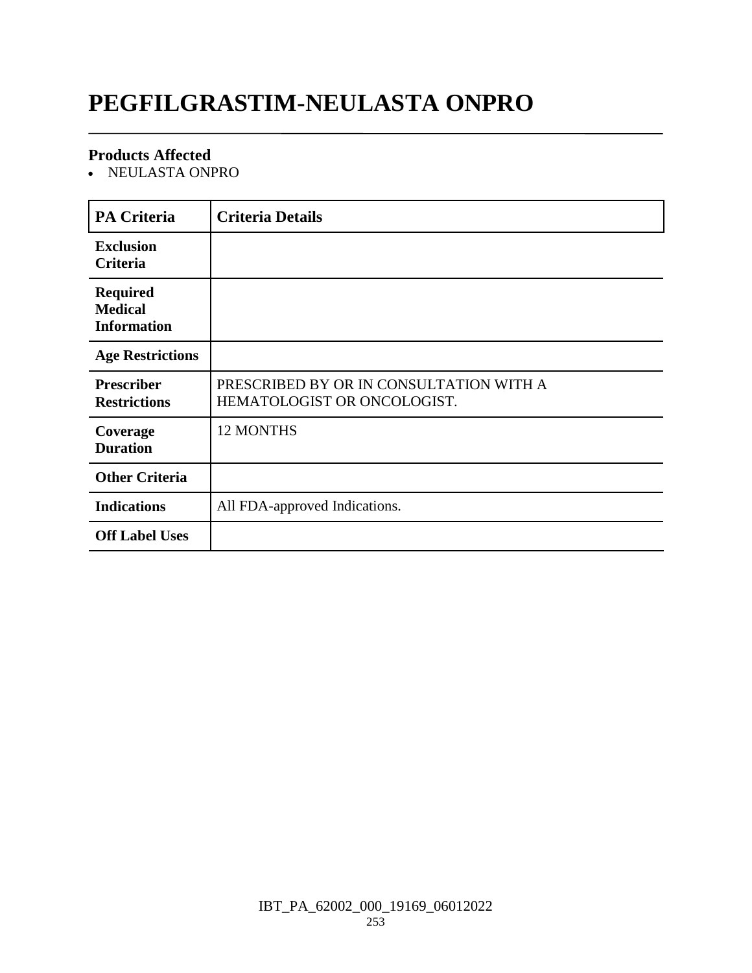# **PEGFILGRASTIM-NEULASTA ONPRO**

### **Products Affected**

NEULASTA ONPRO

| <b>PA Criteria</b>                                      | <b>Criteria Details</b>                                                |
|---------------------------------------------------------|------------------------------------------------------------------------|
| <b>Exclusion</b><br><b>Criteria</b>                     |                                                                        |
| <b>Required</b><br><b>Medical</b><br><b>Information</b> |                                                                        |
| <b>Age Restrictions</b>                                 |                                                                        |
| <b>Prescriber</b><br><b>Restrictions</b>                | PRESCRIBED BY OR IN CONSULTATION WITH A<br>HEMATOLOGIST OR ONCOLOGIST. |
| Coverage<br><b>Duration</b>                             | <b>12 MONTHS</b>                                                       |
| <b>Other Criteria</b>                                   |                                                                        |
| <b>Indications</b>                                      | All FDA-approved Indications.                                          |
| <b>Off Label Uses</b>                                   |                                                                        |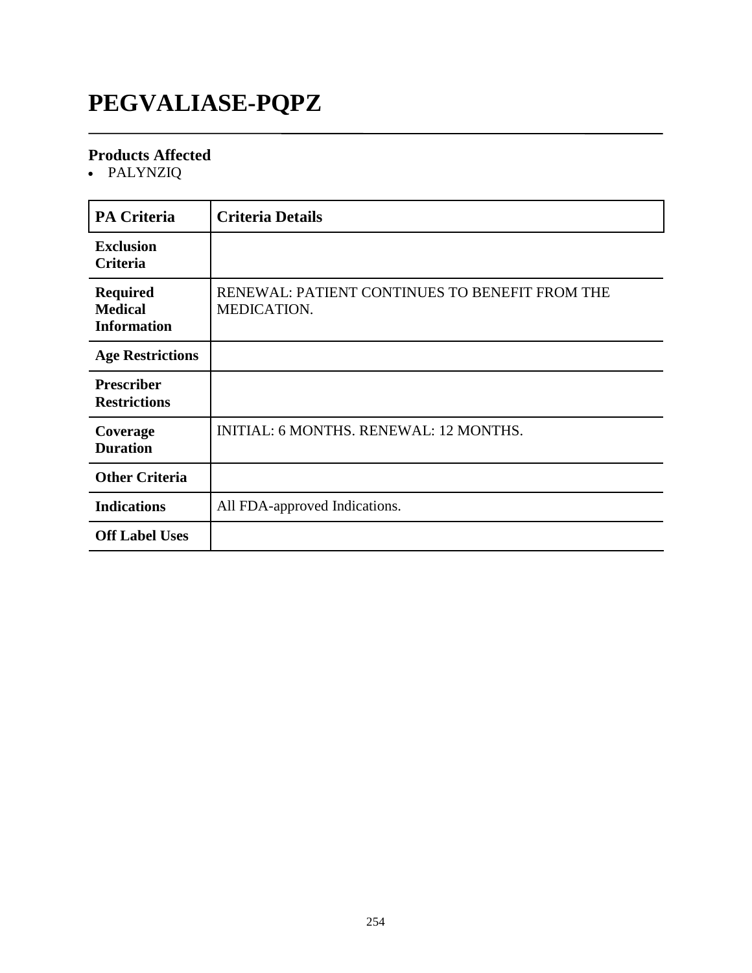# **PEGVALIASE-PQPZ**

### **Products Affected**

PALYNZIQ

| <b>PA Criteria</b>                                      | <b>Criteria Details</b>                                       |
|---------------------------------------------------------|---------------------------------------------------------------|
| <b>Exclusion</b><br>Criteria                            |                                                               |
| <b>Required</b><br><b>Medical</b><br><b>Information</b> | RENEWAL: PATIENT CONTINUES TO BENEFIT FROM THE<br>MEDICATION. |
| <b>Age Restrictions</b>                                 |                                                               |
| <b>Prescriber</b><br><b>Restrictions</b>                |                                                               |
| Coverage<br><b>Duration</b>                             | <b>INITIAL: 6 MONTHS. RENEWAL: 12 MONTHS.</b>                 |
| <b>Other Criteria</b>                                   |                                                               |
| <b>Indications</b>                                      | All FDA-approved Indications.                                 |
| <b>Off Label Uses</b>                                   |                                                               |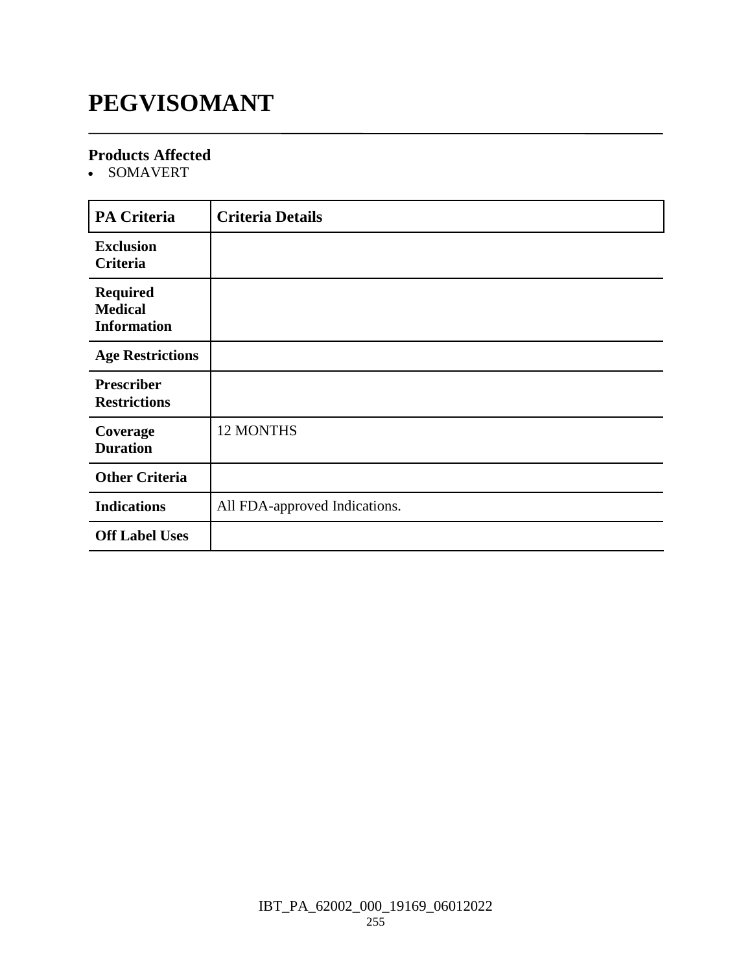# **PEGVISOMANT**

### **Products Affected**

SOMAVERT

| <b>PA Criteria</b>                                      | <b>Criteria Details</b>       |
|---------------------------------------------------------|-------------------------------|
| <b>Exclusion</b><br>Criteria                            |                               |
| <b>Required</b><br><b>Medical</b><br><b>Information</b> |                               |
| <b>Age Restrictions</b>                                 |                               |
| <b>Prescriber</b><br><b>Restrictions</b>                |                               |
| Coverage<br><b>Duration</b>                             | 12 MONTHS                     |
| <b>Other Criteria</b>                                   |                               |
| <b>Indications</b>                                      | All FDA-approved Indications. |
| <b>Off Label Uses</b>                                   |                               |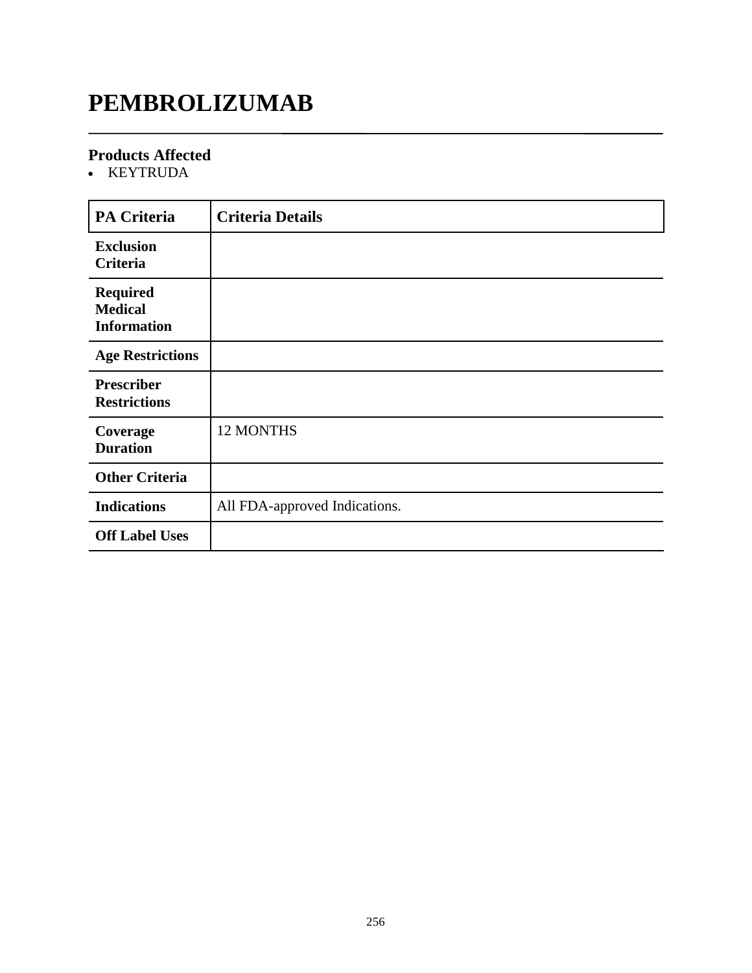# **PEMBROLIZUMAB**

### **Products Affected**

KEYTRUDA

| <b>PA Criteria</b>                                      | <b>Criteria Details</b>       |
|---------------------------------------------------------|-------------------------------|
| <b>Exclusion</b><br>Criteria                            |                               |
| <b>Required</b><br><b>Medical</b><br><b>Information</b> |                               |
| <b>Age Restrictions</b>                                 |                               |
| <b>Prescriber</b><br><b>Restrictions</b>                |                               |
| Coverage<br><b>Duration</b>                             | <b>12 MONTHS</b>              |
| <b>Other Criteria</b>                                   |                               |
| <b>Indications</b>                                      | All FDA-approved Indications. |
| <b>Off Label Uses</b>                                   |                               |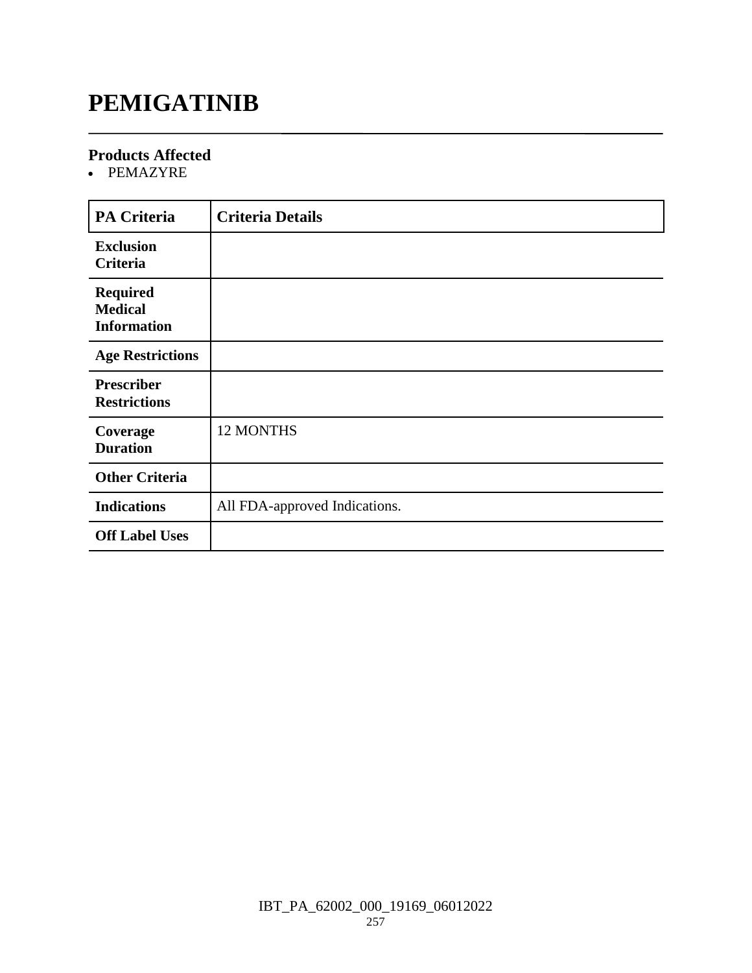# **PEMIGATINIB**

### **Products Affected**

PEMAZYRE

| <b>PA Criteria</b>                                      | <b>Criteria Details</b>       |
|---------------------------------------------------------|-------------------------------|
| <b>Exclusion</b><br>Criteria                            |                               |
| <b>Required</b><br><b>Medical</b><br><b>Information</b> |                               |
| <b>Age Restrictions</b>                                 |                               |
| <b>Prescriber</b><br><b>Restrictions</b>                |                               |
| Coverage<br><b>Duration</b>                             | <b>12 MONTHS</b>              |
| <b>Other Criteria</b>                                   |                               |
| <b>Indications</b>                                      | All FDA-approved Indications. |
| <b>Off Label Uses</b>                                   |                               |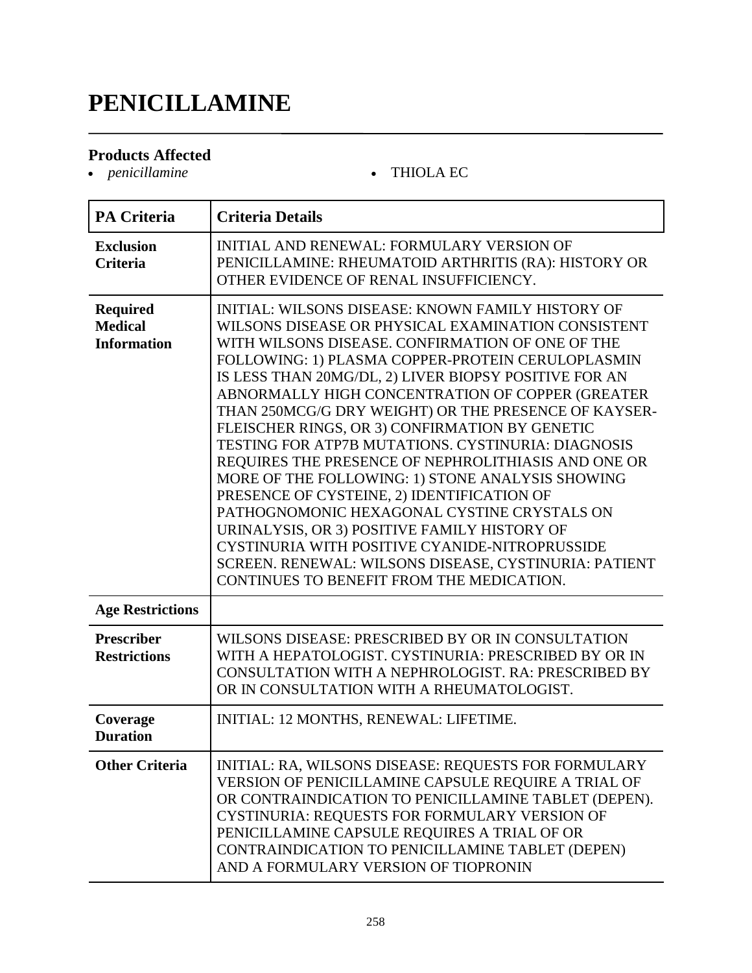# **PENICILLAMINE**

### **Products Affected**

*penicillamine* THIOLA EC

| <b>PA Criteria</b>                                      | <b>Criteria Details</b>                                                                                                                                                                                                                                                                                                                                                                                                                                                                                                                                                                                                                                                                                                                                                                                                                                                                                       |
|---------------------------------------------------------|---------------------------------------------------------------------------------------------------------------------------------------------------------------------------------------------------------------------------------------------------------------------------------------------------------------------------------------------------------------------------------------------------------------------------------------------------------------------------------------------------------------------------------------------------------------------------------------------------------------------------------------------------------------------------------------------------------------------------------------------------------------------------------------------------------------------------------------------------------------------------------------------------------------|
| <b>Exclusion</b><br><b>Criteria</b>                     | INITIAL AND RENEWAL: FORMULARY VERSION OF<br>PENICILLAMINE: RHEUMATOID ARTHRITIS (RA): HISTORY OR<br>OTHER EVIDENCE OF RENAL INSUFFICIENCY.                                                                                                                                                                                                                                                                                                                                                                                                                                                                                                                                                                                                                                                                                                                                                                   |
| <b>Required</b><br><b>Medical</b><br><b>Information</b> | INITIAL: WILSONS DISEASE: KNOWN FAMILY HISTORY OF<br>WILSONS DISEASE OR PHYSICAL EXAMINATION CONSISTENT<br>WITH WILSONS DISEASE. CONFIRMATION OF ONE OF THE<br>FOLLOWING: 1) PLASMA COPPER-PROTEIN CERULOPLASMIN<br>IS LESS THAN 20MG/DL, 2) LIVER BIOPSY POSITIVE FOR AN<br>ABNORMALLY HIGH CONCENTRATION OF COPPER (GREATER<br>THAN 250MCG/G DRY WEIGHT) OR THE PRESENCE OF KAYSER-<br>FLEISCHER RINGS, OR 3) CONFIRMATION BY GENETIC<br>TESTING FOR ATP7B MUTATIONS. CYSTINURIA: DIAGNOSIS<br>REQUIRES THE PRESENCE OF NEPHROLITHIASIS AND ONE OR<br>MORE OF THE FOLLOWING: 1) STONE ANALYSIS SHOWING<br>PRESENCE OF CYSTEINE, 2) IDENTIFICATION OF<br>PATHOGNOMONIC HEXAGONAL CYSTINE CRYSTALS ON<br>URINALYSIS, OR 3) POSITIVE FAMILY HISTORY OF<br>CYSTINURIA WITH POSITIVE CYANIDE-NITROPRUSSIDE<br>SCREEN. RENEWAL: WILSONS DISEASE, CYSTINURIA: PATIENT<br>CONTINUES TO BENEFIT FROM THE MEDICATION. |
| <b>Age Restrictions</b>                                 |                                                                                                                                                                                                                                                                                                                                                                                                                                                                                                                                                                                                                                                                                                                                                                                                                                                                                                               |
| <b>Prescriber</b><br><b>Restrictions</b>                | WILSONS DISEASE: PRESCRIBED BY OR IN CONSULTATION<br>WITH A HEPATOLOGIST. CYSTINURIA: PRESCRIBED BY OR IN<br>CONSULTATION WITH A NEPHROLOGIST. RA: PRESCRIBED BY<br>OR IN CONSULTATION WITH A RHEUMATOLOGIST.                                                                                                                                                                                                                                                                                                                                                                                                                                                                                                                                                                                                                                                                                                 |
| Coverage<br><b>Duration</b>                             | INITIAL: 12 MONTHS, RENEWAL: LIFETIME.                                                                                                                                                                                                                                                                                                                                                                                                                                                                                                                                                                                                                                                                                                                                                                                                                                                                        |
| <b>Other Criteria</b>                                   | INITIAL: RA, WILSONS DISEASE: REQUESTS FOR FORMULARY<br>VERSION OF PENICILLAMINE CAPSULE REQUIRE A TRIAL OF<br>OR CONTRAINDICATION TO PENICILLAMINE TABLET (DEPEN).<br>CYSTINURIA: REQUESTS FOR FORMULARY VERSION OF<br>PENICILLAMINE CAPSULE REQUIRES A TRIAL OF OR<br>CONTRAINDICATION TO PENICILLAMINE TABLET (DEPEN)<br>AND A FORMULARY VERSION OF TIOPRONIN                                                                                                                                                                                                                                                                                                                                                                                                                                                                                                                                              |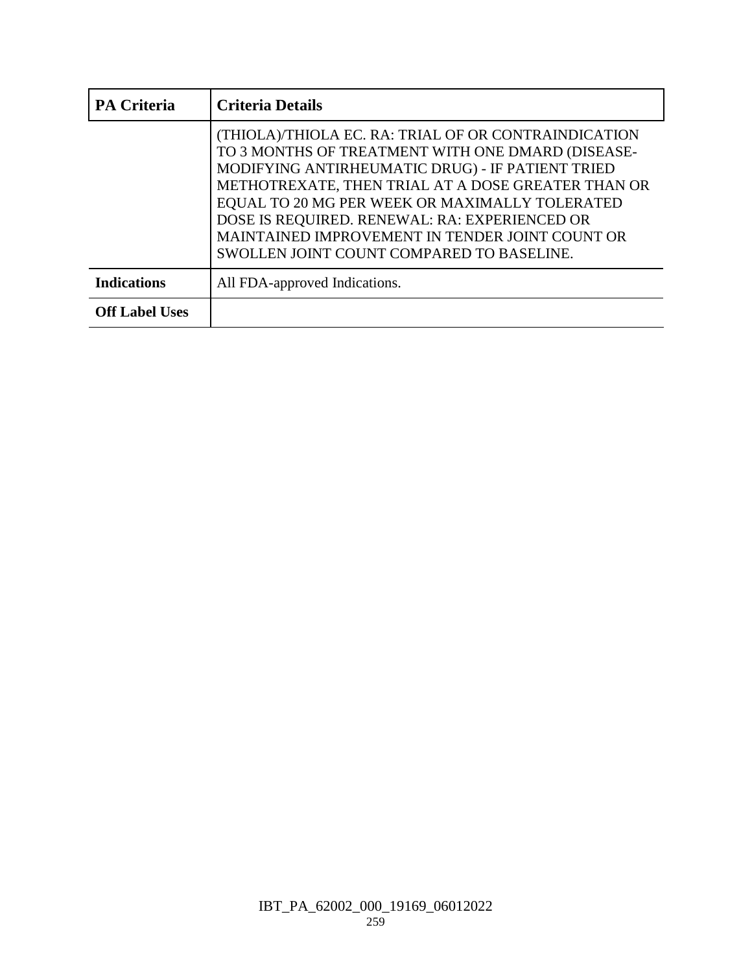| <b>PA Criteria</b>    | <b>Criteria Details</b>                                                                                                                                                                                                                                                                                                                                                                                                |
|-----------------------|------------------------------------------------------------------------------------------------------------------------------------------------------------------------------------------------------------------------------------------------------------------------------------------------------------------------------------------------------------------------------------------------------------------------|
|                       | (THIOLA)/THIOLA EC. RA: TRIAL OF OR CONTRAINDICATION<br>TO 3 MONTHS OF TREATMENT WITH ONE DMARD (DISEASE-<br>MODIFYING ANTIRHEUMATIC DRUG) - IF PATIENT TRIED<br>METHOTREXATE, THEN TRIAL AT A DOSE GREATER THAN OR<br>EQUAL TO 20 MG PER WEEK OR MAXIMALLY TOLERATED<br>DOSE IS REQUIRED. RENEWAL: RA: EXPERIENCED OR<br>MAINTAINED IMPROVEMENT IN TENDER JOINT COUNT OR<br>SWOLLEN JOINT COUNT COMPARED TO BASELINE. |
| <b>Indications</b>    | All FDA-approved Indications.                                                                                                                                                                                                                                                                                                                                                                                          |
| <b>Off Label Uses</b> |                                                                                                                                                                                                                                                                                                                                                                                                                        |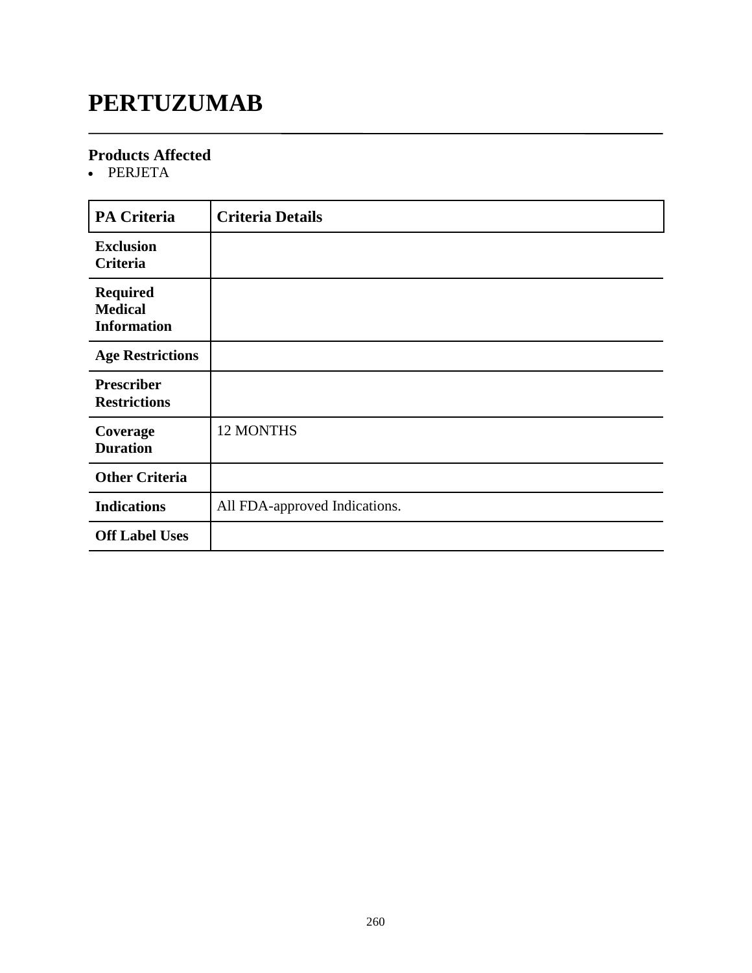# **PERTUZUMAB**

### **Products Affected**

• PERJETA

| <b>PA Criteria</b>                                      | <b>Criteria Details</b>       |
|---------------------------------------------------------|-------------------------------|
| <b>Exclusion</b><br><b>Criteria</b>                     |                               |
| <b>Required</b><br><b>Medical</b><br><b>Information</b> |                               |
| <b>Age Restrictions</b>                                 |                               |
| <b>Prescriber</b><br><b>Restrictions</b>                |                               |
| Coverage<br><b>Duration</b>                             | <b>12 MONTHS</b>              |
| <b>Other Criteria</b>                                   |                               |
| <b>Indications</b>                                      | All FDA-approved Indications. |
| <b>Off Label Uses</b>                                   |                               |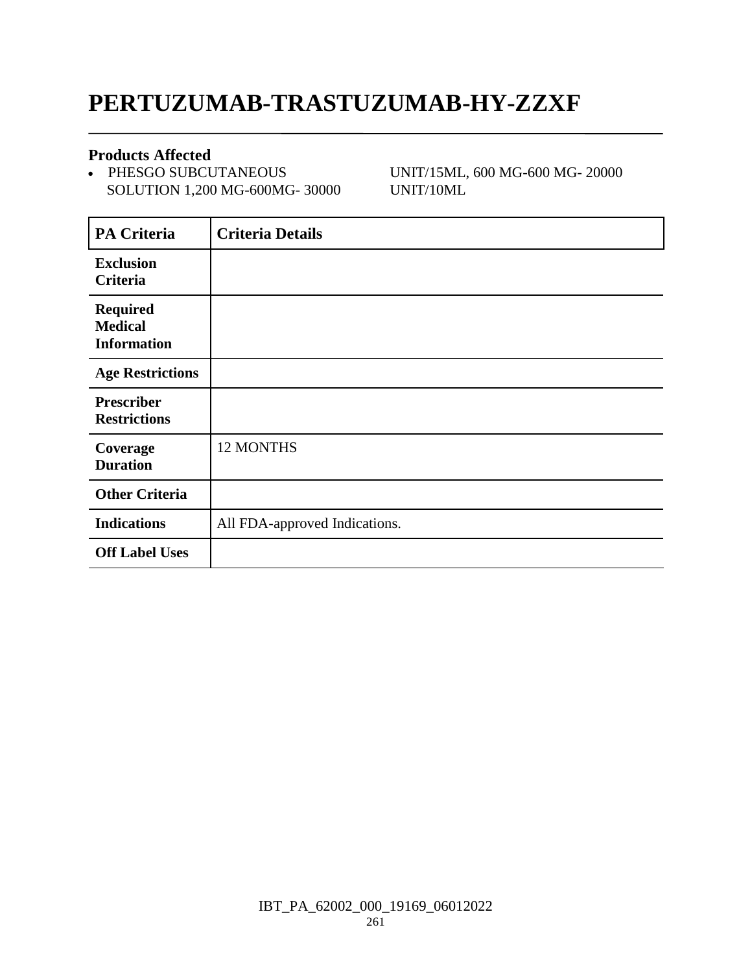## **PERTUZUMAB-TRASTUZUMAB-HY-ZZXF**

### **Products Affected**

• PHESGO SUBCUTANEOUS SOLUTION 1,200 MG-600MG- 30000 UNIT/15ML, 600 MG-600 MG- 20000 UNIT/10ML

| <b>PA Criteria</b>                                      | <b>Criteria Details</b>       |
|---------------------------------------------------------|-------------------------------|
| <b>Exclusion</b><br><b>Criteria</b>                     |                               |
| <b>Required</b><br><b>Medical</b><br><b>Information</b> |                               |
| <b>Age Restrictions</b>                                 |                               |
| <b>Prescriber</b><br><b>Restrictions</b>                |                               |
| Coverage<br><b>Duration</b>                             | <b>12 MONTHS</b>              |
| <b>Other Criteria</b>                                   |                               |
| <b>Indications</b>                                      | All FDA-approved Indications. |
| <b>Off Label Uses</b>                                   |                               |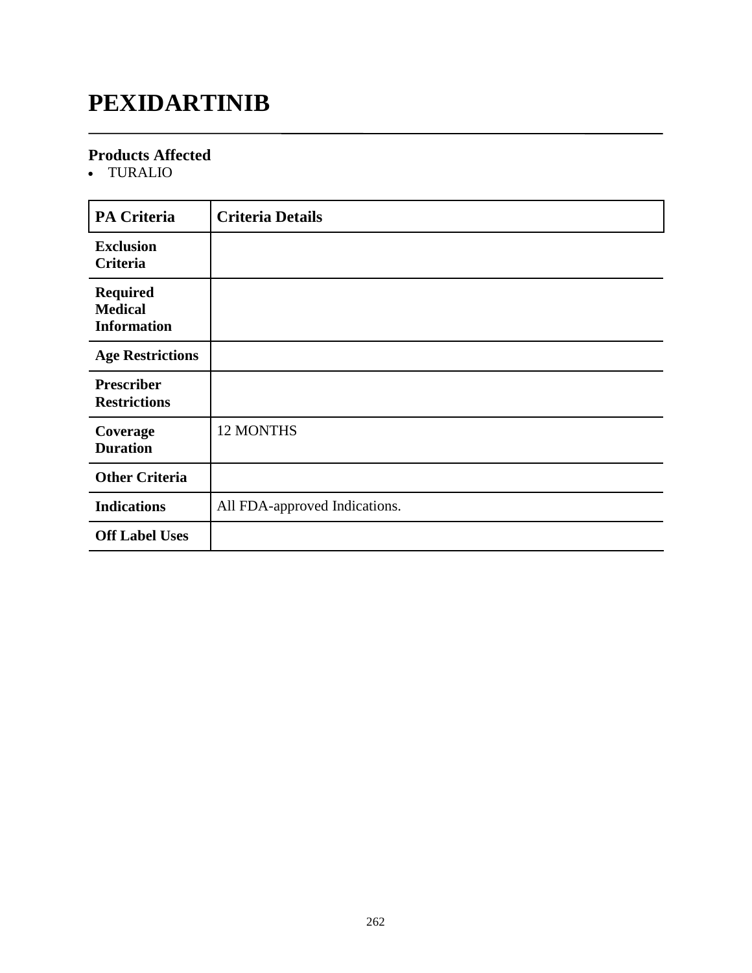# **PEXIDARTINIB**

### **Products Affected**

TURALIO

| <b>PA Criteria</b>                                      | <b>Criteria Details</b>       |
|---------------------------------------------------------|-------------------------------|
| <b>Exclusion</b><br>Criteria                            |                               |
| <b>Required</b><br><b>Medical</b><br><b>Information</b> |                               |
| <b>Age Restrictions</b>                                 |                               |
| <b>Prescriber</b><br><b>Restrictions</b>                |                               |
| Coverage<br><b>Duration</b>                             | <b>12 MONTHS</b>              |
| <b>Other Criteria</b>                                   |                               |
| <b>Indications</b>                                      | All FDA-approved Indications. |
| <b>Off Label Uses</b>                                   |                               |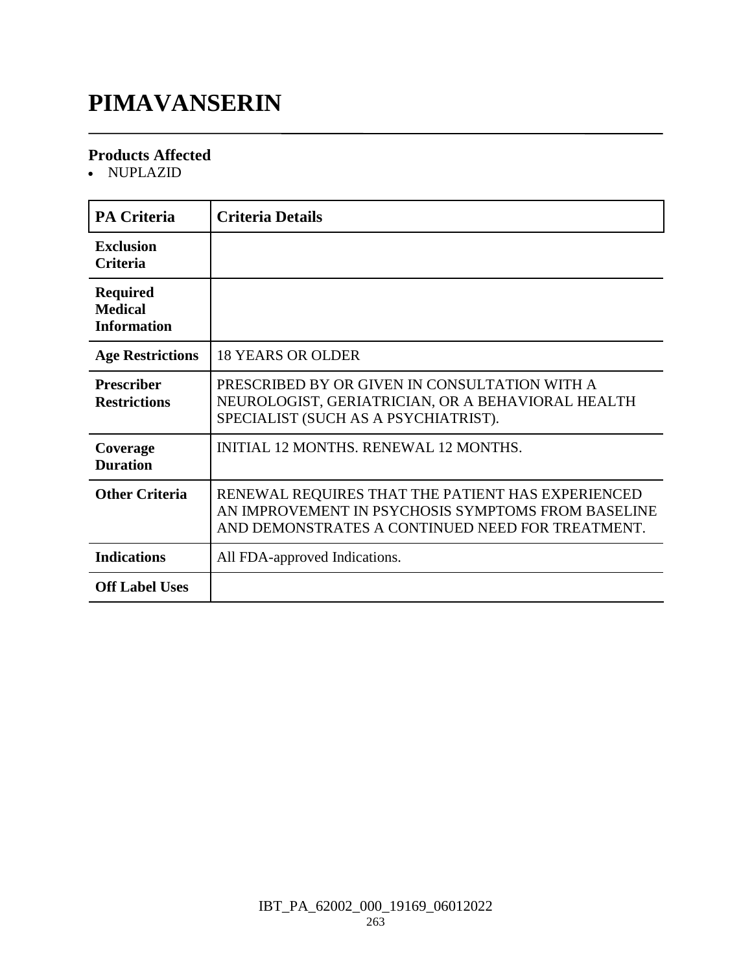# **PIMAVANSERIN**

### **Products Affected**

• NUPLAZID

| <b>PA Criteria</b>                                      | <b>Criteria Details</b>                                                                                                                                     |
|---------------------------------------------------------|-------------------------------------------------------------------------------------------------------------------------------------------------------------|
| <b>Exclusion</b><br><b>Criteria</b>                     |                                                                                                                                                             |
| <b>Required</b><br><b>Medical</b><br><b>Information</b> |                                                                                                                                                             |
| <b>Age Restrictions</b>                                 | <b>18 YEARS OR OLDER</b>                                                                                                                                    |
| <b>Prescriber</b><br><b>Restrictions</b>                | PRESCRIBED BY OR GIVEN IN CONSULTATION WITH A<br>NEUROLOGIST, GERIATRICIAN, OR A BEHAVIORAL HEALTH<br>SPECIALIST (SUCH AS A PSYCHIATRIST).                  |
| Coverage<br><b>Duration</b>                             | <b>INITIAL 12 MONTHS, RENEWAL 12 MONTHS.</b>                                                                                                                |
| <b>Other Criteria</b>                                   | RENEWAL REQUIRES THAT THE PATIENT HAS EXPERIENCED<br>AN IMPROVEMENT IN PSYCHOSIS SYMPTOMS FROM BASELINE<br>AND DEMONSTRATES A CONTINUED NEED FOR TREATMENT. |
| <b>Indications</b>                                      | All FDA-approved Indications.                                                                                                                               |
| <b>Off Label Uses</b>                                   |                                                                                                                                                             |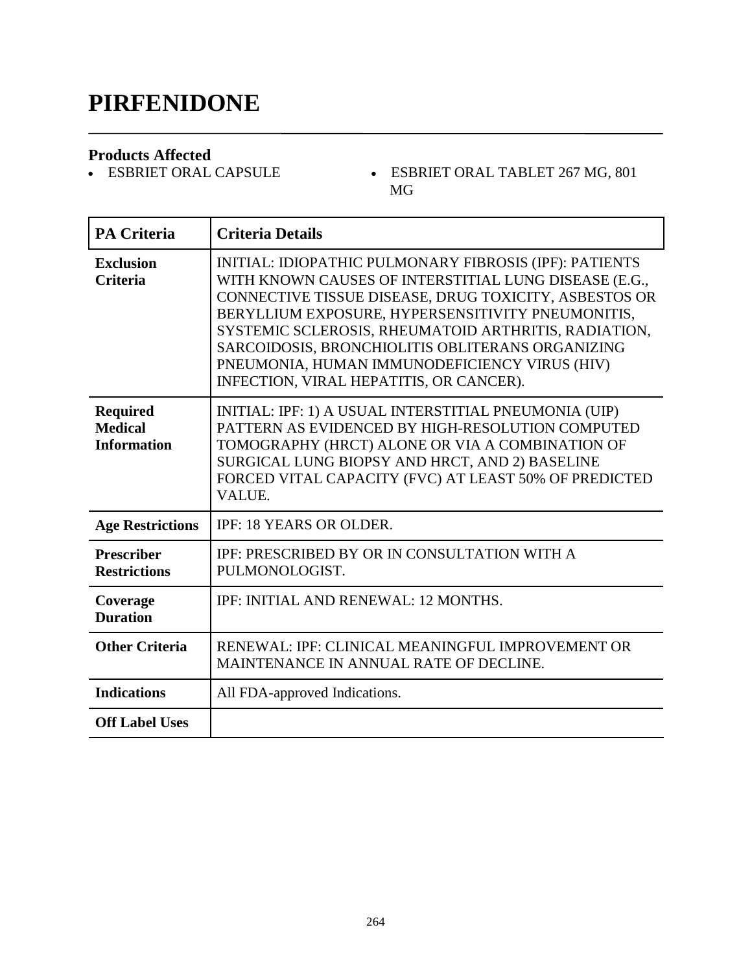### **PIRFENIDONE**

**Products Affected**

- ESBRIET ORAL TABLET  $267$  MG,  $801$ MG

| <b>PA Criteria</b>                                      | <b>Criteria Details</b>                                                                                                                                                                                                                                                                                                                                                                                                               |
|---------------------------------------------------------|---------------------------------------------------------------------------------------------------------------------------------------------------------------------------------------------------------------------------------------------------------------------------------------------------------------------------------------------------------------------------------------------------------------------------------------|
| <b>Exclusion</b><br><b>Criteria</b>                     | INITIAL: IDIOPATHIC PULMONARY FIBROSIS (IPF): PATIENTS<br>WITH KNOWN CAUSES OF INTERSTITIAL LUNG DISEASE (E.G.,<br>CONNECTIVE TISSUE DISEASE, DRUG TOXICITY, ASBESTOS OR<br>BERYLLIUM EXPOSURE, HYPERSENSITIVITY PNEUMONITIS,<br>SYSTEMIC SCLEROSIS, RHEUMATOID ARTHRITIS, RADIATION,<br>SARCOIDOSIS, BRONCHIOLITIS OBLITERANS ORGANIZING<br>PNEUMONIA, HUMAN IMMUNODEFICIENCY VIRUS (HIV)<br>INFECTION, VIRAL HEPATITIS, OR CANCER). |
| <b>Required</b><br><b>Medical</b><br><b>Information</b> | INITIAL: IPF: 1) A USUAL INTERSTITIAL PNEUMONIA (UIP)<br>PATTERN AS EVIDENCED BY HIGH-RESOLUTION COMPUTED<br>TOMOGRAPHY (HRCT) ALONE OR VIA A COMBINATION OF<br>SURGICAL LUNG BIOPSY AND HRCT, AND 2) BASELINE<br>FORCED VITAL CAPACITY (FVC) AT LEAST 50% OF PREDICTED<br><b>VALUE.</b>                                                                                                                                              |
| <b>Age Restrictions</b>                                 | <b>IPF: 18 YEARS OR OLDER.</b>                                                                                                                                                                                                                                                                                                                                                                                                        |
| <b>Prescriber</b><br><b>Restrictions</b>                | IPF: PRESCRIBED BY OR IN CONSULTATION WITH A<br>PULMONOLOGIST.                                                                                                                                                                                                                                                                                                                                                                        |
| Coverage<br><b>Duration</b>                             | <b>IPF: INITIAL AND RENEWAL: 12 MONTHS.</b>                                                                                                                                                                                                                                                                                                                                                                                           |
| <b>Other Criteria</b>                                   | RENEWAL: IPF: CLINICAL MEANINGFUL IMPROVEMENT OR<br>MAINTENANCE IN ANNUAL RATE OF DECLINE.                                                                                                                                                                                                                                                                                                                                            |
| <b>Indications</b>                                      | All FDA-approved Indications.                                                                                                                                                                                                                                                                                                                                                                                                         |
| <b>Off Label Uses</b>                                   |                                                                                                                                                                                                                                                                                                                                                                                                                                       |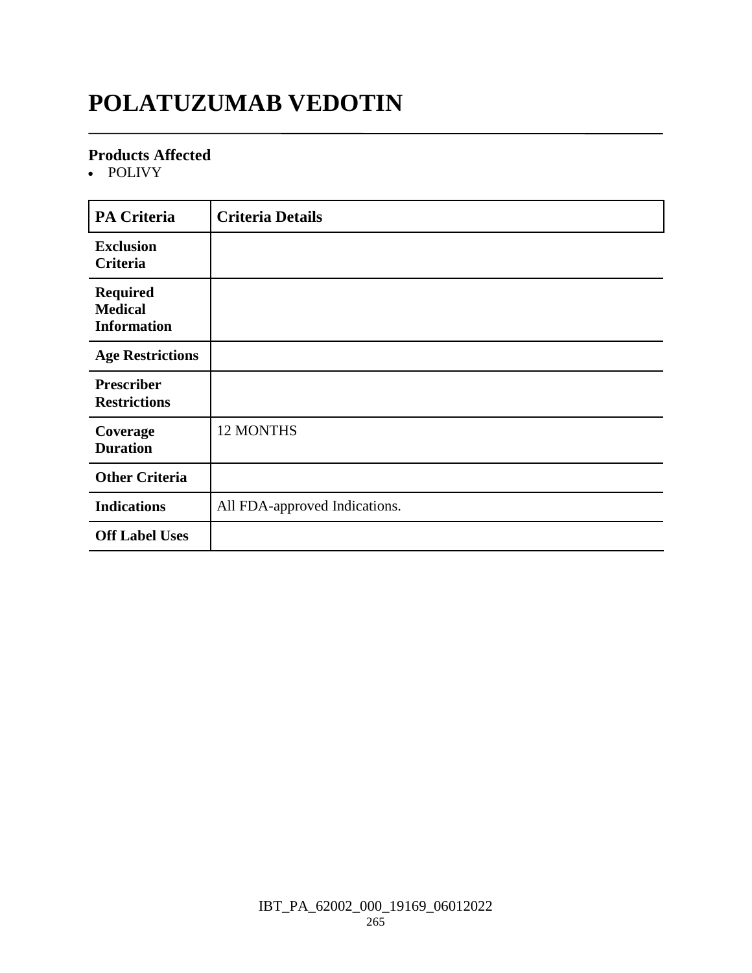# **POLATUZUMAB VEDOTIN**

### **Products Affected**

• POLIVY

| <b>PA Criteria</b>                                      | <b>Criteria Details</b>       |
|---------------------------------------------------------|-------------------------------|
| <b>Exclusion</b><br>Criteria                            |                               |
| <b>Required</b><br><b>Medical</b><br><b>Information</b> |                               |
| <b>Age Restrictions</b>                                 |                               |
| <b>Prescriber</b><br><b>Restrictions</b>                |                               |
| Coverage<br><b>Duration</b>                             | 12 MONTHS                     |
| <b>Other Criteria</b>                                   |                               |
| <b>Indications</b>                                      | All FDA-approved Indications. |
| <b>Off Label Uses</b>                                   |                               |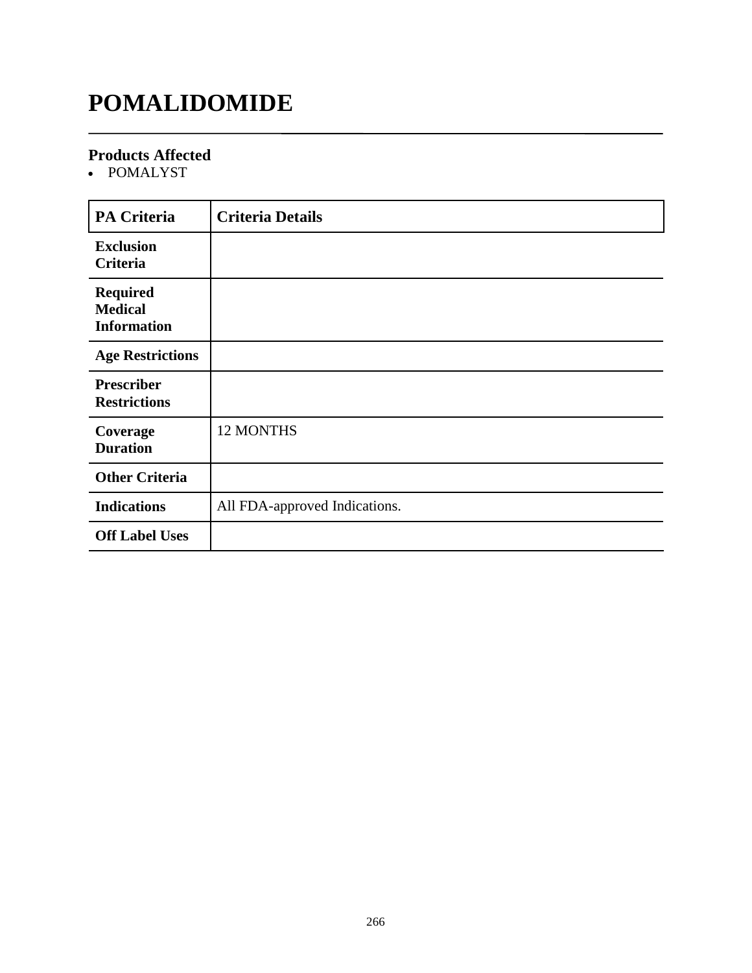# **POMALIDOMIDE**

### **Products Affected**

• POMALYST

| <b>PA Criteria</b>                                      | <b>Criteria Details</b>       |
|---------------------------------------------------------|-------------------------------|
| <b>Exclusion</b><br>Criteria                            |                               |
| <b>Required</b><br><b>Medical</b><br><b>Information</b> |                               |
| <b>Age Restrictions</b>                                 |                               |
| <b>Prescriber</b><br><b>Restrictions</b>                |                               |
| Coverage<br><b>Duration</b>                             | 12 MONTHS                     |
| <b>Other Criteria</b>                                   |                               |
| <b>Indications</b>                                      | All FDA-approved Indications. |
| <b>Off Label Uses</b>                                   |                               |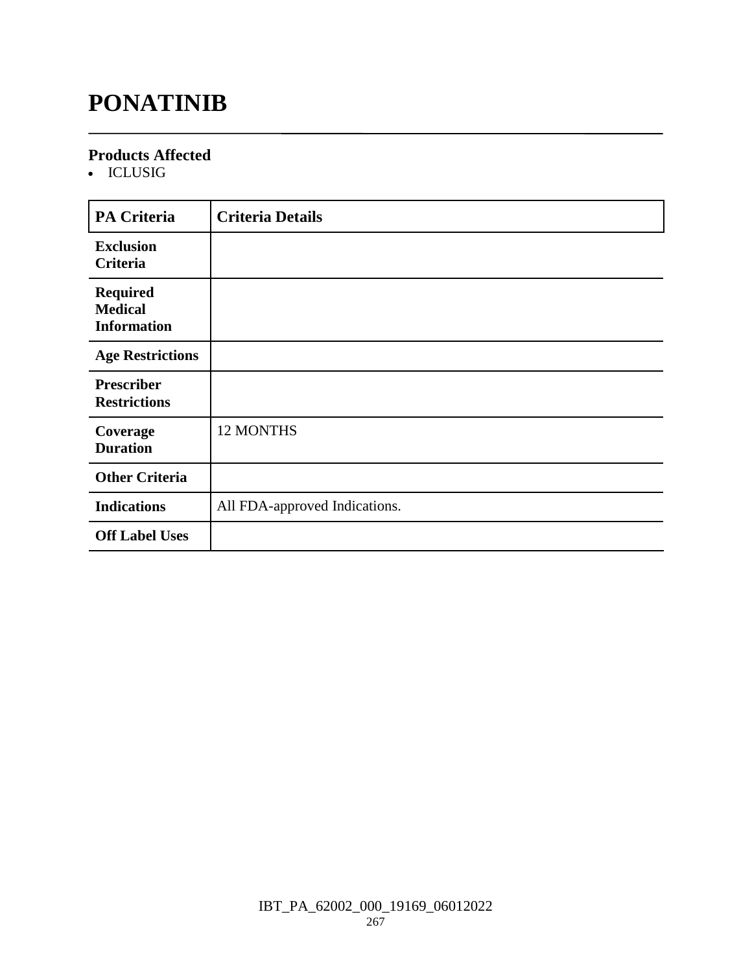# **PONATINIB**

### **Products Affected**

ICLUSIG

| <b>PA Criteria</b>                                      | <b>Criteria Details</b>       |
|---------------------------------------------------------|-------------------------------|
| <b>Exclusion</b><br>Criteria                            |                               |
| <b>Required</b><br><b>Medical</b><br><b>Information</b> |                               |
| <b>Age Restrictions</b>                                 |                               |
| <b>Prescriber</b><br><b>Restrictions</b>                |                               |
| Coverage<br><b>Duration</b>                             | 12 MONTHS                     |
| <b>Other Criteria</b>                                   |                               |
| <b>Indications</b>                                      | All FDA-approved Indications. |
| <b>Off Label Uses</b>                                   |                               |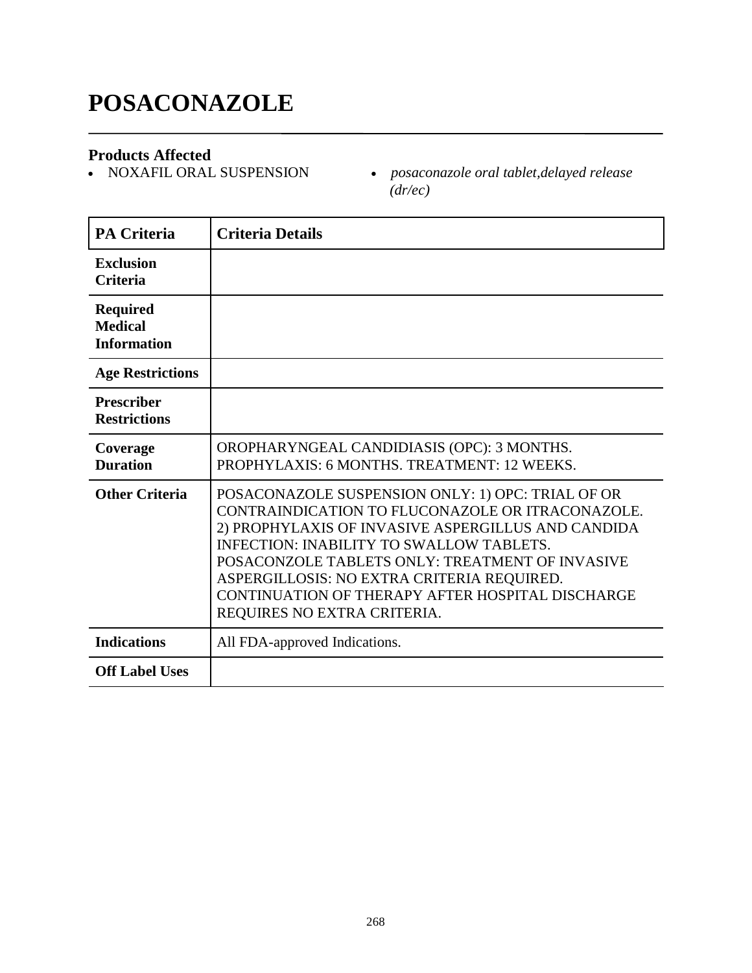# **POSACONAZOLE**

**Products Affected**

 $\bullet$  posaconazole oral tablet,delayed release *(dr/ec)*

| <b>PA Criteria</b>                                      | <b>Criteria Details</b>                                                                                                                                                                                                                                                                                                                                                                            |
|---------------------------------------------------------|----------------------------------------------------------------------------------------------------------------------------------------------------------------------------------------------------------------------------------------------------------------------------------------------------------------------------------------------------------------------------------------------------|
| <b>Exclusion</b><br><b>Criteria</b>                     |                                                                                                                                                                                                                                                                                                                                                                                                    |
| <b>Required</b><br><b>Medical</b><br><b>Information</b> |                                                                                                                                                                                                                                                                                                                                                                                                    |
| <b>Age Restrictions</b>                                 |                                                                                                                                                                                                                                                                                                                                                                                                    |
| <b>Prescriber</b><br><b>Restrictions</b>                |                                                                                                                                                                                                                                                                                                                                                                                                    |
| Coverage<br><b>Duration</b>                             | OROPHARYNGEAL CANDIDIASIS (OPC): 3 MONTHS.<br>PROPHYLAXIS: 6 MONTHS, TREATMENT: 12 WEEKS.                                                                                                                                                                                                                                                                                                          |
| <b>Other Criteria</b>                                   | POSACONAZOLE SUSPENSION ONLY: 1) OPC: TRIAL OF OR<br>CONTRAINDICATION TO FLUCONAZOLE OR ITRACONAZOLE.<br>2) PROPHYLAXIS OF INVASIVE ASPERGILLUS AND CANDIDA<br><b>INFECTION: INABILITY TO SWALLOW TABLETS.</b><br>POSACONZOLE TABLETS ONLY: TREATMENT OF INVASIVE<br>ASPERGILLOSIS: NO EXTRA CRITERIA REQUIRED.<br>CONTINUATION OF THERAPY AFTER HOSPITAL DISCHARGE<br>REQUIRES NO EXTRA CRITERIA. |
| <b>Indications</b>                                      | All FDA-approved Indications.                                                                                                                                                                                                                                                                                                                                                                      |
| <b>Off Label Uses</b>                                   |                                                                                                                                                                                                                                                                                                                                                                                                    |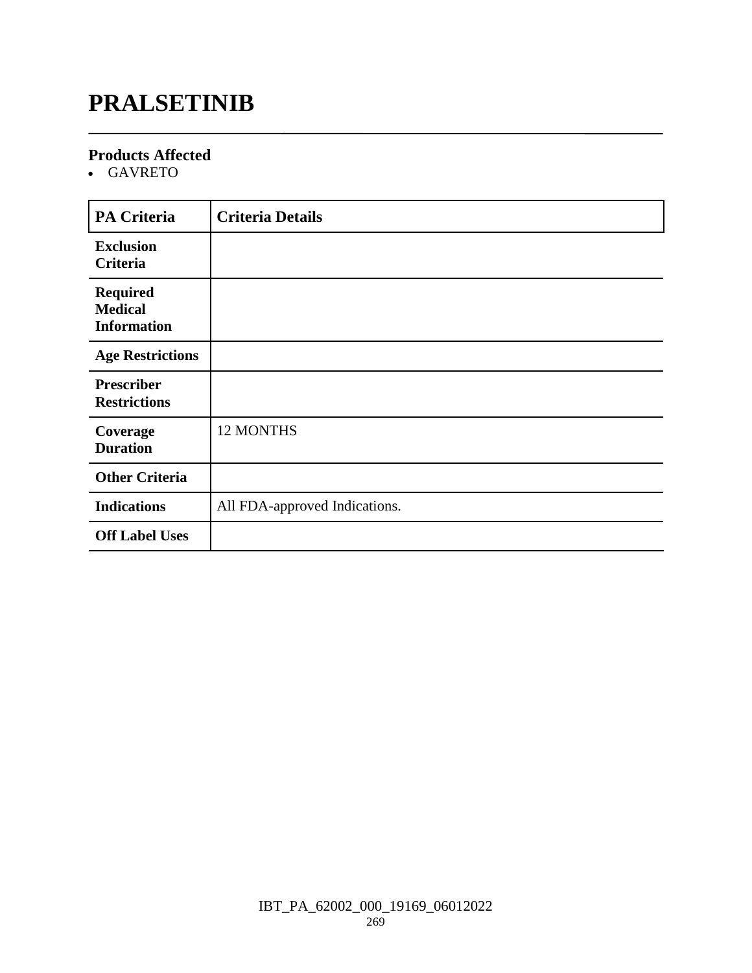# **PRALSETINIB**

### **Products Affected**

GAVRETO

| <b>PA Criteria</b>                                      | <b>Criteria Details</b>       |
|---------------------------------------------------------|-------------------------------|
| <b>Exclusion</b><br>Criteria                            |                               |
| <b>Required</b><br><b>Medical</b><br><b>Information</b> |                               |
| <b>Age Restrictions</b>                                 |                               |
| <b>Prescriber</b><br><b>Restrictions</b>                |                               |
| Coverage<br><b>Duration</b>                             | <b>12 MONTHS</b>              |
| <b>Other Criteria</b>                                   |                               |
| <b>Indications</b>                                      | All FDA-approved Indications. |
| <b>Off Label Uses</b>                                   |                               |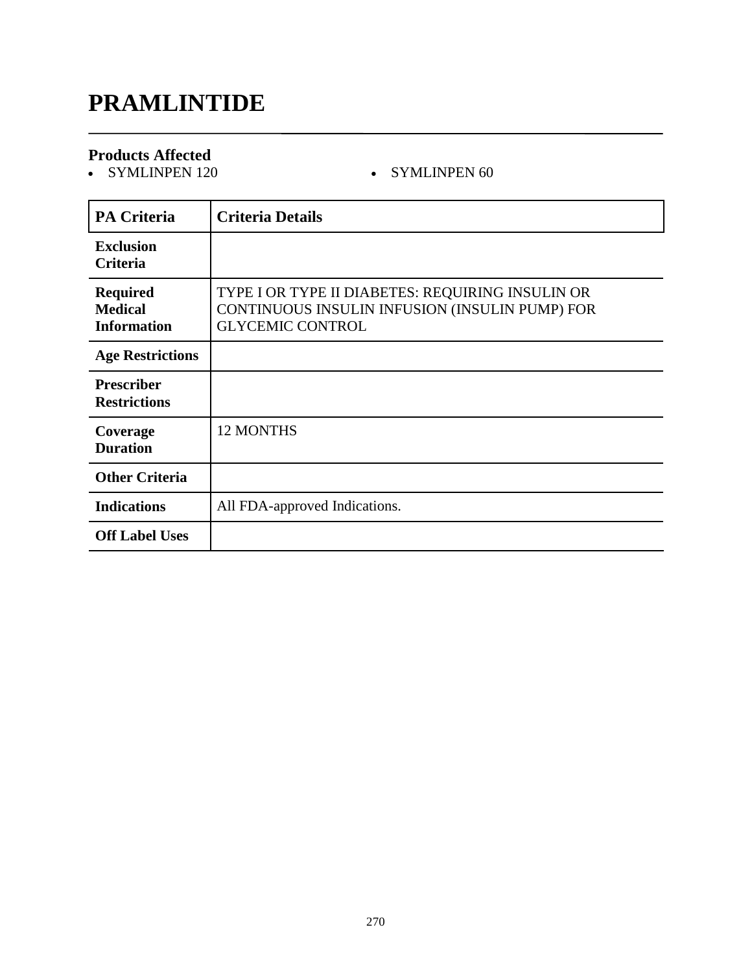# **PRAMLINTIDE**

### **Products Affected**

SYMLINPEN 120 SYMLINPEN 60

| <b>PA Criteria</b>                                      | <b>Criteria Details</b>                                                                                                       |
|---------------------------------------------------------|-------------------------------------------------------------------------------------------------------------------------------|
| <b>Exclusion</b><br>Criteria                            |                                                                                                                               |
| <b>Required</b><br><b>Medical</b><br><b>Information</b> | TYPE I OR TYPE II DIABETES: REQUIRING INSULIN OR<br>CONTINUOUS INSULIN INFUSION (INSULIN PUMP) FOR<br><b>GLYCEMIC CONTROL</b> |
| <b>Age Restrictions</b>                                 |                                                                                                                               |
| <b>Prescriber</b><br><b>Restrictions</b>                |                                                                                                                               |
| Coverage<br><b>Duration</b>                             | <b>12 MONTHS</b>                                                                                                              |
| <b>Other Criteria</b>                                   |                                                                                                                               |
| <b>Indications</b>                                      | All FDA-approved Indications.                                                                                                 |
| <b>Off Label Uses</b>                                   |                                                                                                                               |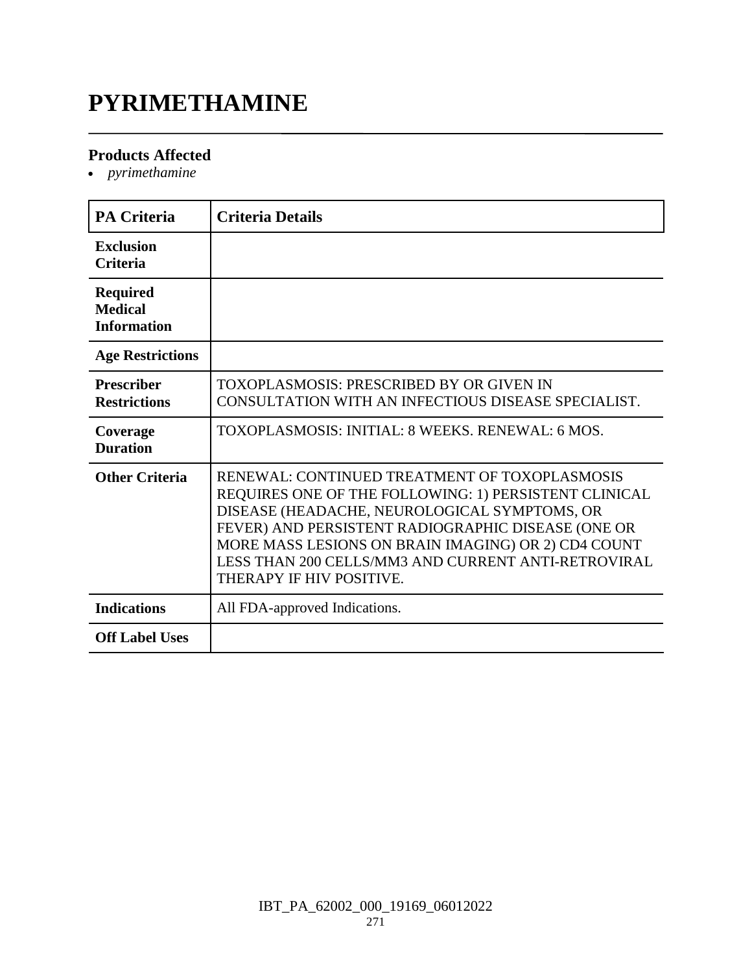# **PYRIMETHAMINE**

### **Products Affected**

*pyrimethamine*

| <b>PA Criteria</b>                                      | <b>Criteria Details</b>                                                                                                                                                                                                                                                                                                                                |
|---------------------------------------------------------|--------------------------------------------------------------------------------------------------------------------------------------------------------------------------------------------------------------------------------------------------------------------------------------------------------------------------------------------------------|
| <b>Exclusion</b><br><b>Criteria</b>                     |                                                                                                                                                                                                                                                                                                                                                        |
| <b>Required</b><br><b>Medical</b><br><b>Information</b> |                                                                                                                                                                                                                                                                                                                                                        |
| <b>Age Restrictions</b>                                 |                                                                                                                                                                                                                                                                                                                                                        |
| <b>Prescriber</b><br><b>Restrictions</b>                | TOXOPLASMOSIS: PRESCRIBED BY OR GIVEN IN<br>CONSULTATION WITH AN INFECTIOUS DISEASE SPECIALIST.                                                                                                                                                                                                                                                        |
| Coverage<br><b>Duration</b>                             | TOXOPLASMOSIS: INITIAL: 8 WEEKS, RENEWAL: 6 MOS.                                                                                                                                                                                                                                                                                                       |
| <b>Other Criteria</b>                                   | RENEWAL: CONTINUED TREATMENT OF TOXOPLASMOSIS<br>REQUIRES ONE OF THE FOLLOWING: 1) PERSISTENT CLINICAL<br>DISEASE (HEADACHE, NEUROLOGICAL SYMPTOMS, OR<br>FEVER) AND PERSISTENT RADIOGRAPHIC DISEASE (ONE OR<br>MORE MASS LESIONS ON BRAIN IMAGING) OR 2) CD4 COUNT<br>LESS THAN 200 CELLS/MM3 AND CURRENT ANTI-RETROVIRAL<br>THERAPY IF HIV POSITIVE. |
| <b>Indications</b>                                      | All FDA-approved Indications.                                                                                                                                                                                                                                                                                                                          |
| <b>Off Label Uses</b>                                   |                                                                                                                                                                                                                                                                                                                                                        |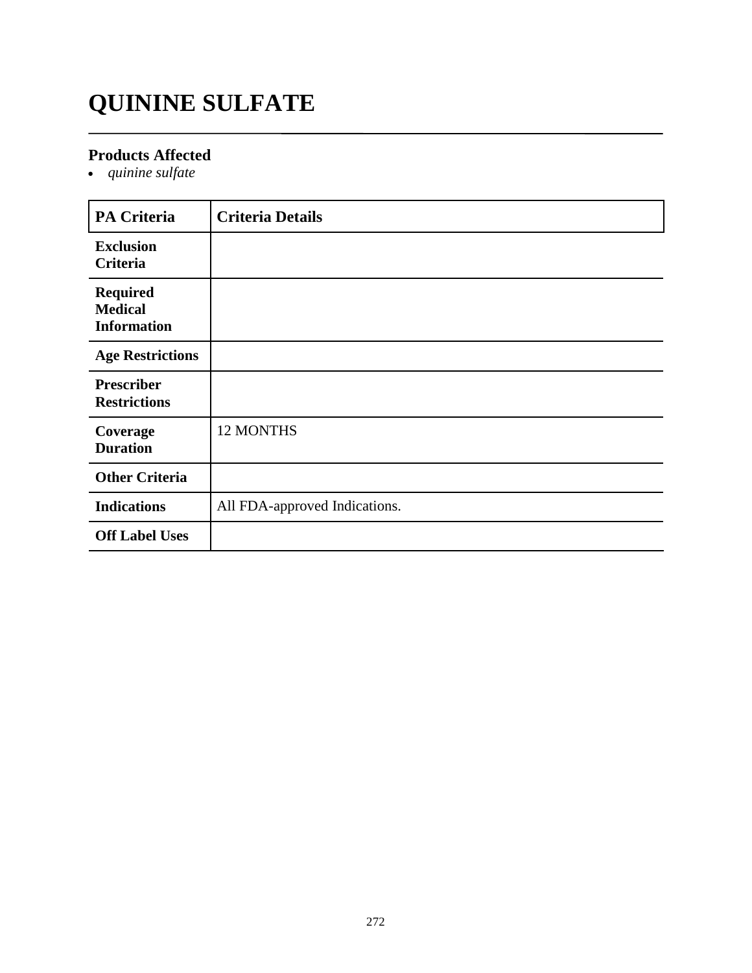# **QUININE SULFATE**

### **Products Affected**

*quinine sulfate*

| <b>PA Criteria</b>                                      | <b>Criteria Details</b>       |
|---------------------------------------------------------|-------------------------------|
| <b>Exclusion</b><br>Criteria                            |                               |
| <b>Required</b><br><b>Medical</b><br><b>Information</b> |                               |
| <b>Age Restrictions</b>                                 |                               |
| <b>Prescriber</b><br><b>Restrictions</b>                |                               |
| Coverage<br><b>Duration</b>                             | 12 MONTHS                     |
| <b>Other Criteria</b>                                   |                               |
| <b>Indications</b>                                      | All FDA-approved Indications. |
| <b>Off Label Uses</b>                                   |                               |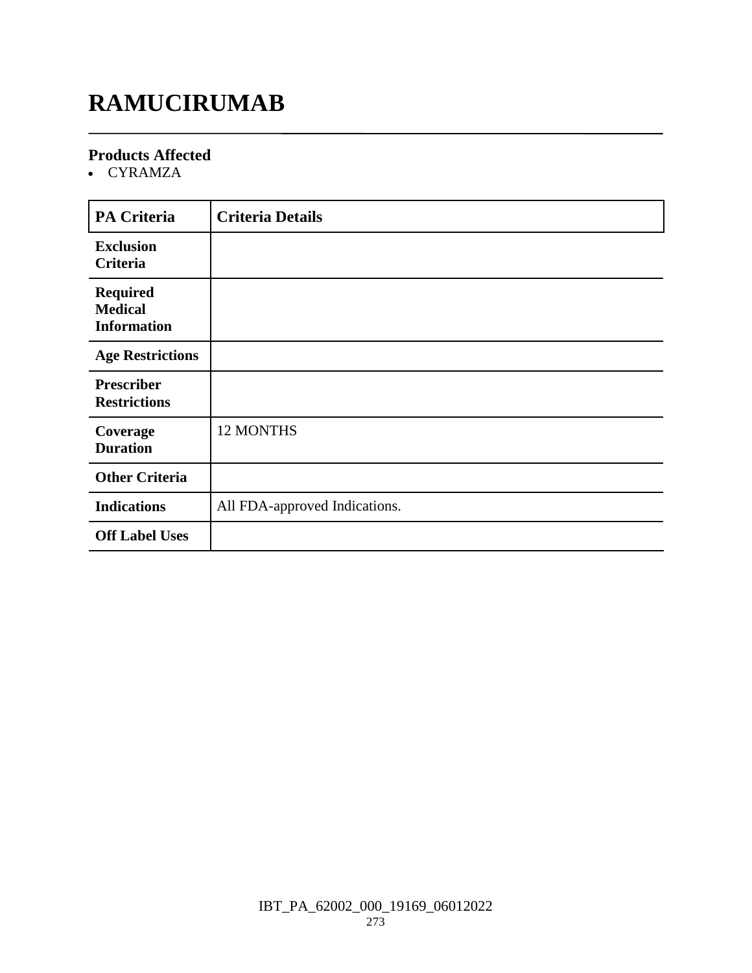# **RAMUCIRUMAB**

### **Products Affected**

CYRAMZA

| <b>PA Criteria</b>                                      | <b>Criteria Details</b>       |
|---------------------------------------------------------|-------------------------------|
| <b>Exclusion</b><br>Criteria                            |                               |
| <b>Required</b><br><b>Medical</b><br><b>Information</b> |                               |
| <b>Age Restrictions</b>                                 |                               |
| <b>Prescriber</b><br><b>Restrictions</b>                |                               |
| Coverage<br><b>Duration</b>                             | 12 MONTHS                     |
| <b>Other Criteria</b>                                   |                               |
| <b>Indications</b>                                      | All FDA-approved Indications. |
| <b>Off Label Uses</b>                                   |                               |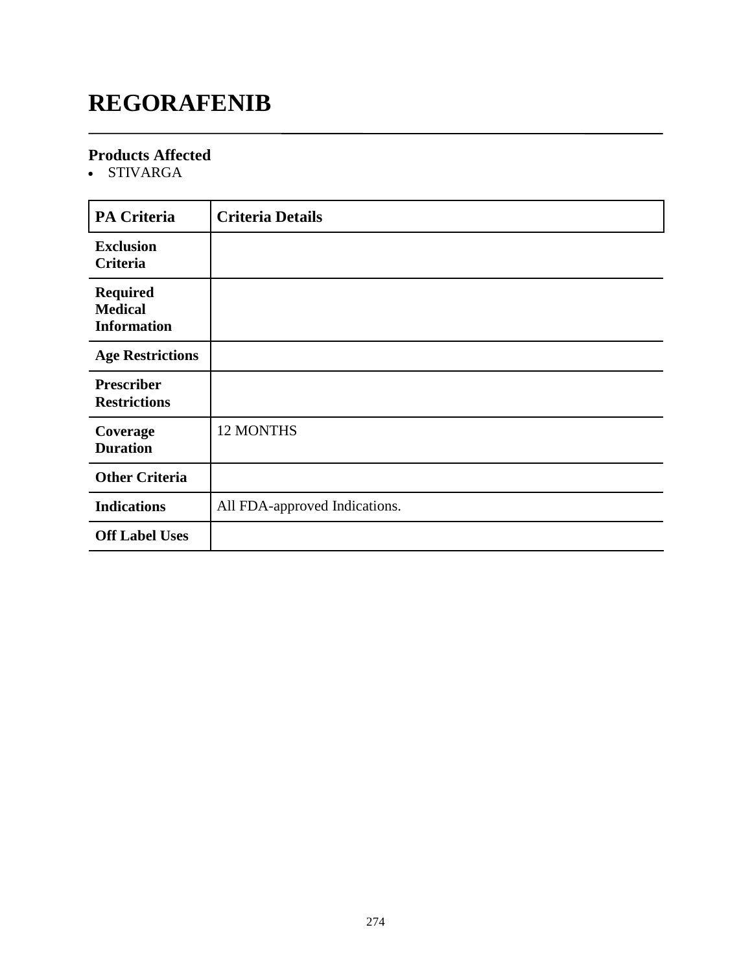# **REGORAFENIB**

### **Products Affected**

• STIVARGA

| <b>PA Criteria</b>                                      | <b>Criteria Details</b>       |
|---------------------------------------------------------|-------------------------------|
| <b>Exclusion</b><br>Criteria                            |                               |
| <b>Required</b><br><b>Medical</b><br><b>Information</b> |                               |
| <b>Age Restrictions</b>                                 |                               |
| <b>Prescriber</b><br><b>Restrictions</b>                |                               |
| Coverage<br><b>Duration</b>                             | <b>12 MONTHS</b>              |
| <b>Other Criteria</b>                                   |                               |
| <b>Indications</b>                                      | All FDA-approved Indications. |
| <b>Off Label Uses</b>                                   |                               |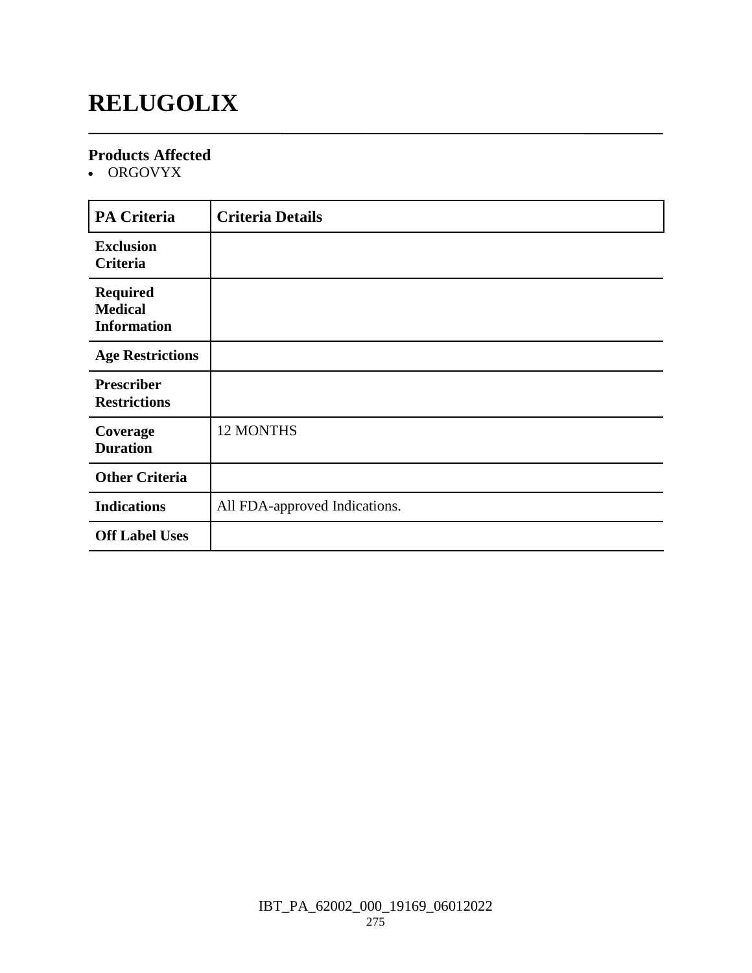# **RELUGOLIX**

### **Products Affected**

• ORGOVYX

| <b>PA Criteria</b>                                      | <b>Criteria Details</b>       |
|---------------------------------------------------------|-------------------------------|
| <b>Exclusion</b><br>Criteria                            |                               |
| <b>Required</b><br><b>Medical</b><br><b>Information</b> |                               |
| <b>Age Restrictions</b>                                 |                               |
| <b>Prescriber</b><br><b>Restrictions</b>                |                               |
| Coverage<br><b>Duration</b>                             | 12 MONTHS                     |
| <b>Other Criteria</b>                                   |                               |
| <b>Indications</b>                                      | All FDA-approved Indications. |
| <b>Off Label Uses</b>                                   |                               |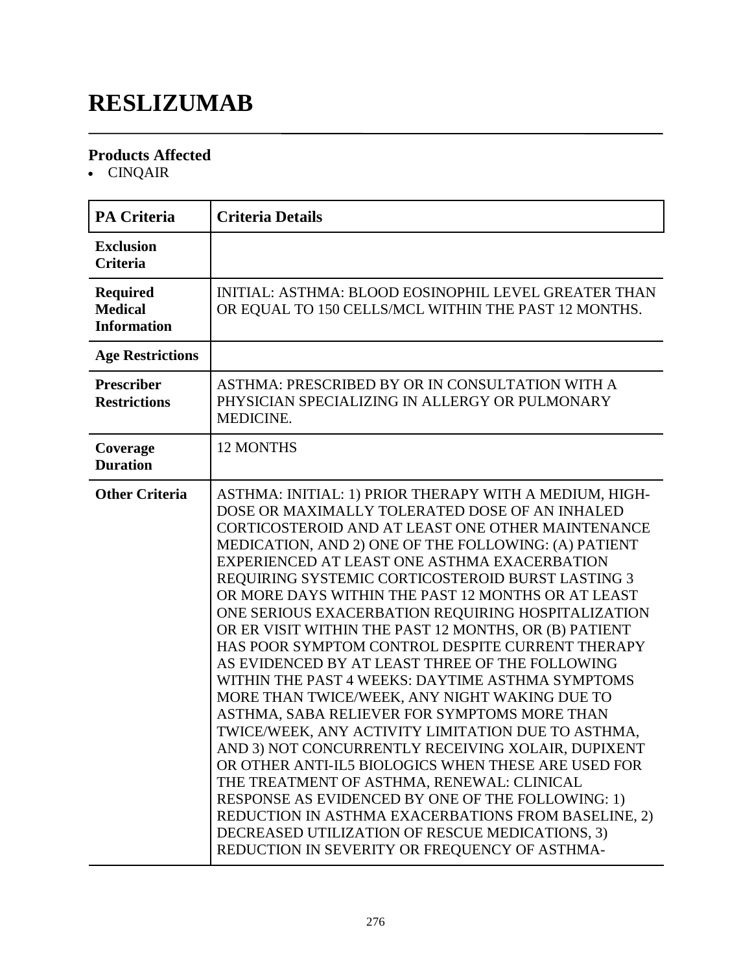# **RESLIZUMAB**

### **Products Affected**

CINQAIR

| <b>PA Criteria</b>                                      | <b>Criteria Details</b>                                                                                                                                                                                                                                                                                                                                                                                                                                                                                                                                                                                                                                                                                                                                                                                                                                                                                                                                                                                                                                                                                                                                                                      |
|---------------------------------------------------------|----------------------------------------------------------------------------------------------------------------------------------------------------------------------------------------------------------------------------------------------------------------------------------------------------------------------------------------------------------------------------------------------------------------------------------------------------------------------------------------------------------------------------------------------------------------------------------------------------------------------------------------------------------------------------------------------------------------------------------------------------------------------------------------------------------------------------------------------------------------------------------------------------------------------------------------------------------------------------------------------------------------------------------------------------------------------------------------------------------------------------------------------------------------------------------------------|
| <b>Exclusion</b><br><b>Criteria</b>                     |                                                                                                                                                                                                                                                                                                                                                                                                                                                                                                                                                                                                                                                                                                                                                                                                                                                                                                                                                                                                                                                                                                                                                                                              |
| <b>Required</b><br><b>Medical</b><br><b>Information</b> | INITIAL: ASTHMA: BLOOD EOSINOPHIL LEVEL GREATER THAN<br>OR EQUAL TO 150 CELLS/MCL WITHIN THE PAST 12 MONTHS.                                                                                                                                                                                                                                                                                                                                                                                                                                                                                                                                                                                                                                                                                                                                                                                                                                                                                                                                                                                                                                                                                 |
| <b>Age Restrictions</b>                                 |                                                                                                                                                                                                                                                                                                                                                                                                                                                                                                                                                                                                                                                                                                                                                                                                                                                                                                                                                                                                                                                                                                                                                                                              |
| <b>Prescriber</b><br><b>Restrictions</b>                | ASTHMA: PRESCRIBED BY OR IN CONSULTATION WITH A<br>PHYSICIAN SPECIALIZING IN ALLERGY OR PULMONARY<br>MEDICINE.                                                                                                                                                                                                                                                                                                                                                                                                                                                                                                                                                                                                                                                                                                                                                                                                                                                                                                                                                                                                                                                                               |
| Coverage<br><b>Duration</b>                             | <b>12 MONTHS</b>                                                                                                                                                                                                                                                                                                                                                                                                                                                                                                                                                                                                                                                                                                                                                                                                                                                                                                                                                                                                                                                                                                                                                                             |
| <b>Other Criteria</b>                                   | ASTHMA: INITIAL: 1) PRIOR THERAPY WITH A MEDIUM, HIGH-<br>DOSE OR MAXIMALLY TOLERATED DOSE OF AN INHALED<br>CORTICOSTEROID AND AT LEAST ONE OTHER MAINTENANCE<br>MEDICATION, AND 2) ONE OF THE FOLLOWING: (A) PATIENT<br>EXPERIENCED AT LEAST ONE ASTHMA EXACERBATION<br>REQUIRING SYSTEMIC CORTICOSTEROID BURST LASTING 3<br>OR MORE DAYS WITHIN THE PAST 12 MONTHS OR AT LEAST<br>ONE SERIOUS EXACERBATION REQUIRING HOSPITALIZATION<br>OR ER VISIT WITHIN THE PAST 12 MONTHS, OR (B) PATIENT<br>HAS POOR SYMPTOM CONTROL DESPITE CURRENT THERAPY<br>AS EVIDENCED BY AT LEAST THREE OF THE FOLLOWING<br>WITHIN THE PAST 4 WEEKS: DAYTIME ASTHMA SYMPTOMS<br>MORE THAN TWICE/WEEK, ANY NIGHT WAKING DUE TO<br>ASTHMA, SABA RELIEVER FOR SYMPTOMS MORE THAN<br>TWICE/WEEK, ANY ACTIVITY LIMITATION DUE TO ASTHMA,<br>AND 3) NOT CONCURRENTLY RECEIVING XOLAIR, DUPIXENT<br>OR OTHER ANTI-IL5 BIOLOGICS WHEN THESE ARE USED FOR<br>THE TREATMENT OF ASTHMA, RENEWAL: CLINICAL<br>RESPONSE AS EVIDENCED BY ONE OF THE FOLLOWING: 1)<br>REDUCTION IN ASTHMA EXACERBATIONS FROM BASELINE, 2)<br>DECREASED UTILIZATION OF RESCUE MEDICATIONS, 3)<br>REDUCTION IN SEVERITY OR FREQUENCY OF ASTHMA- |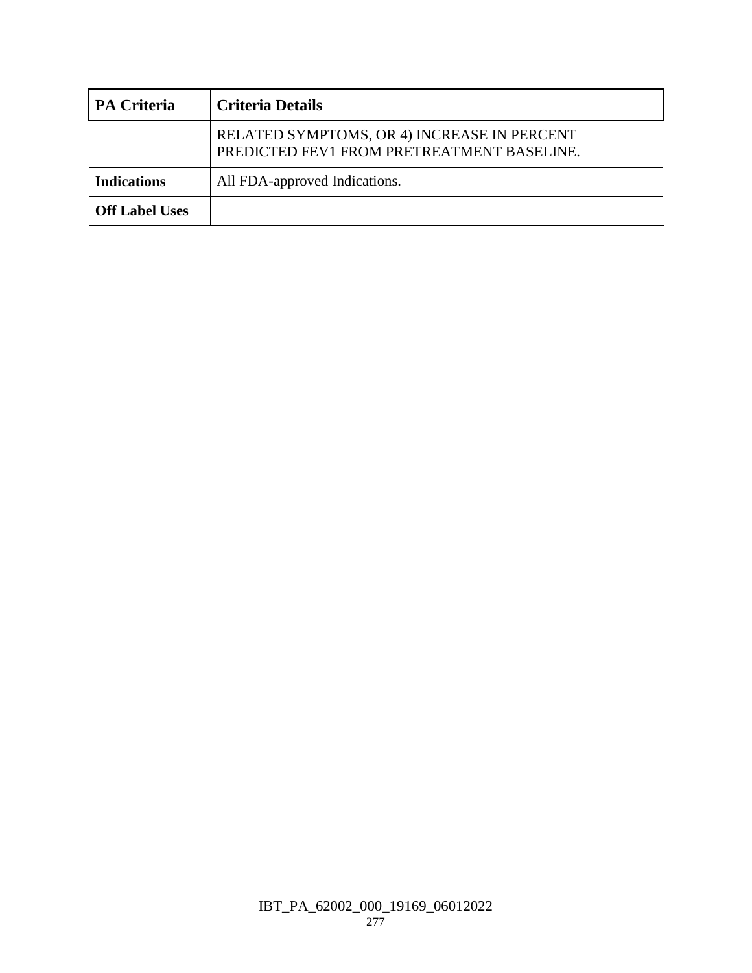| <b>PA Criteria</b>    | <b>Criteria Details</b>                                                                   |
|-----------------------|-------------------------------------------------------------------------------------------|
|                       | RELATED SYMPTOMS, OR 4) INCREASE IN PERCENT<br>PREDICTED FEV1 FROM PRETREATMENT BASELINE. |
| <b>Indications</b>    | All FDA-approved Indications.                                                             |
| <b>Off Label Uses</b> |                                                                                           |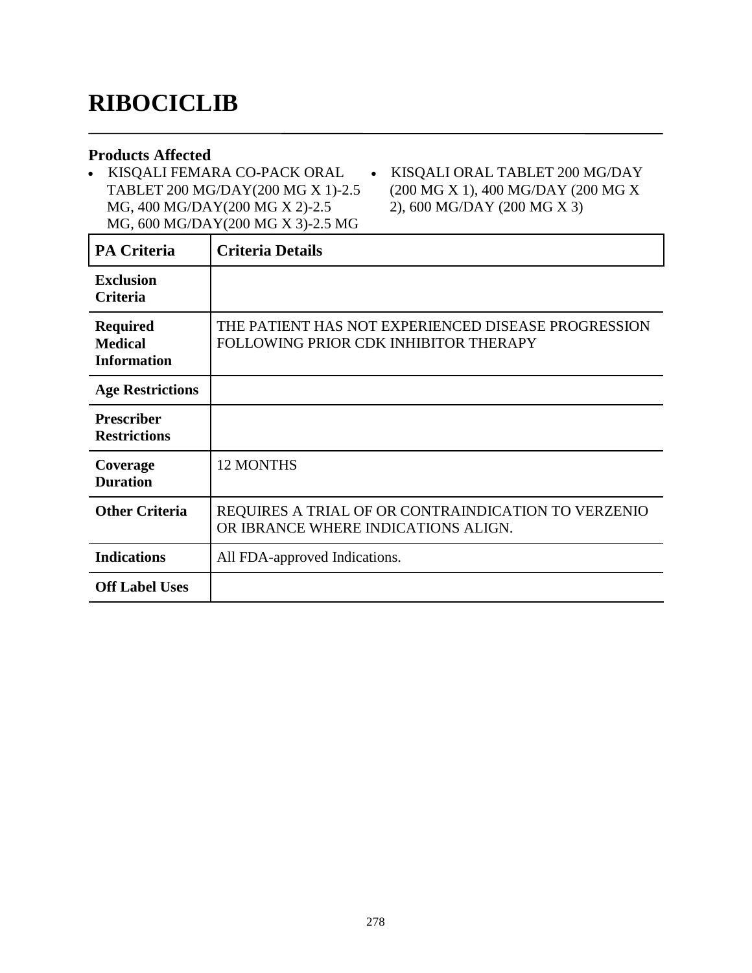# **RIBOCICLIB**

### **Products Affected**

 KISQALI FEMARA CO-PACK ORAL TABLET 200 MG/DAY(200 MG X 1)-2.5 MG, 400 MG/DAY(200 MG X 2)-2.5 MG, 600 MG/DAY(200 MG X 3)-2.5 MG

 KISQALI ORAL TABLET 200 MG/DAY (200 MG X 1), 400 MG/DAY (200 MG X 2), 600 MG/DAY (200 MG X 3)

| <b>PA Criteria</b>                                      | <b>Criteria Details</b>                                                                      |
|---------------------------------------------------------|----------------------------------------------------------------------------------------------|
| <b>Exclusion</b><br><b>Criteria</b>                     |                                                                                              |
| <b>Required</b><br><b>Medical</b><br><b>Information</b> | THE PATIENT HAS NOT EXPERIENCED DISEASE PROGRESSION<br>FOLLOWING PRIOR CDK INHIBITOR THERAPY |
| <b>Age Restrictions</b>                                 |                                                                                              |
| <b>Prescriber</b><br><b>Restrictions</b>                |                                                                                              |
| Coverage<br><b>Duration</b>                             | <b>12 MONTHS</b>                                                                             |
| <b>Other Criteria</b>                                   | REQUIRES A TRIAL OF OR CONTRAINDICATION TO VERZENIO<br>OR IBRANCE WHERE INDICATIONS ALIGN.   |
| <b>Indications</b>                                      | All FDA-approved Indications.                                                                |
| <b>Off Label Uses</b>                                   |                                                                                              |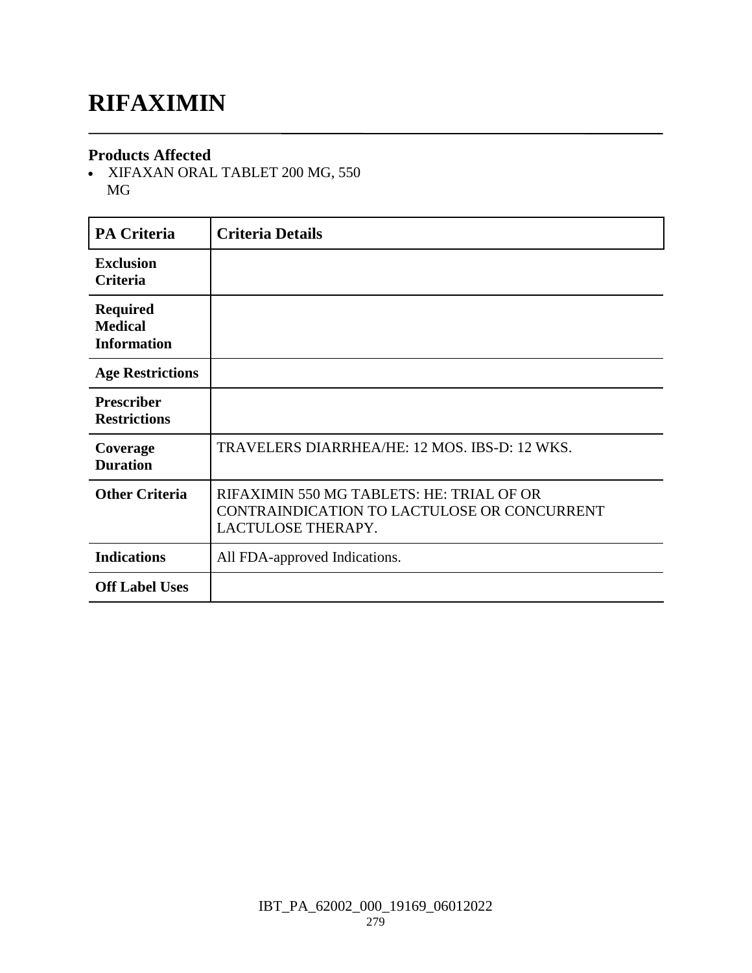## **RIFAXIMIN**

### **Products Affected**

 XIFAXAN ORAL TABLET 200 MG, 550 MG

| <b>PA Criteria</b>                                      | <b>Criteria Details</b>                                                                                        |
|---------------------------------------------------------|----------------------------------------------------------------------------------------------------------------|
| <b>Exclusion</b><br><b>Criteria</b>                     |                                                                                                                |
| <b>Required</b><br><b>Medical</b><br><b>Information</b> |                                                                                                                |
| <b>Age Restrictions</b>                                 |                                                                                                                |
| <b>Prescriber</b><br><b>Restrictions</b>                |                                                                                                                |
| Coverage<br><b>Duration</b>                             | TRAVELERS DIARRHEA/HE: 12 MOS. IBS-D: 12 WKS.                                                                  |
| <b>Other Criteria</b>                                   | RIFAXIMIN 550 MG TABLETS: HE: TRIAL OF OR<br>CONTRAINDICATION TO LACTULOSE OR CONCURRENT<br>LACTULOSE THERAPY. |
| <b>Indications</b>                                      | All FDA-approved Indications.                                                                                  |
| <b>Off Label Uses</b>                                   |                                                                                                                |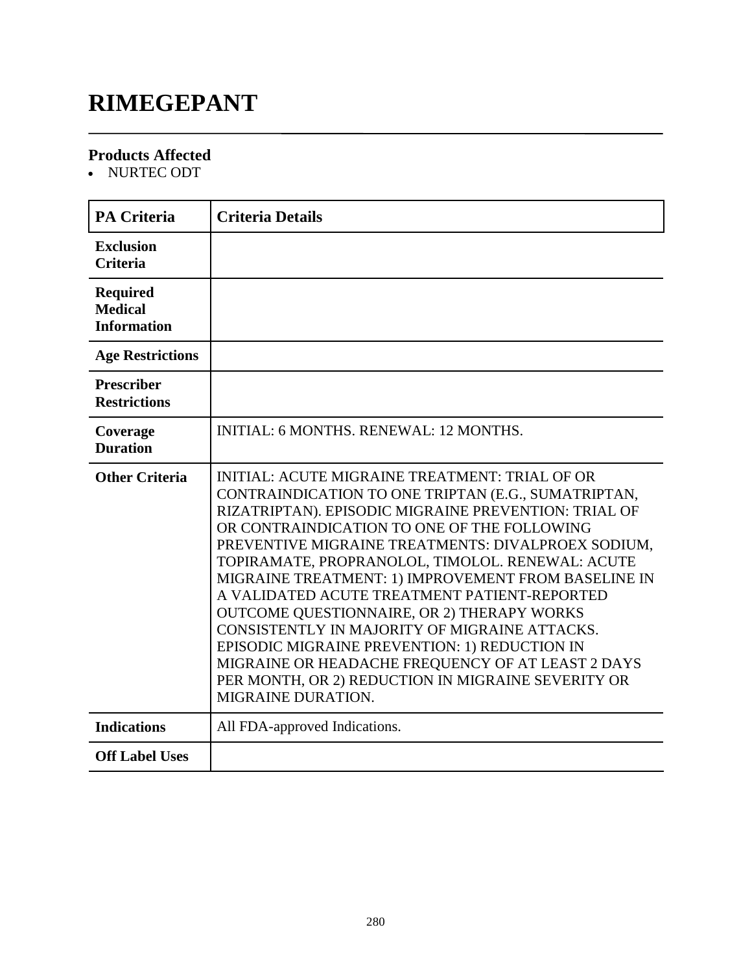# **RIMEGEPANT**

### **Products Affected**

• NURTEC ODT

| <b>PA Criteria</b>                                      | <b>Criteria Details</b>                                                                                                                                                                                                                                                                                                                                                                                                                                                                                                                                                                                                                                                                                               |
|---------------------------------------------------------|-----------------------------------------------------------------------------------------------------------------------------------------------------------------------------------------------------------------------------------------------------------------------------------------------------------------------------------------------------------------------------------------------------------------------------------------------------------------------------------------------------------------------------------------------------------------------------------------------------------------------------------------------------------------------------------------------------------------------|
| <b>Exclusion</b><br><b>Criteria</b>                     |                                                                                                                                                                                                                                                                                                                                                                                                                                                                                                                                                                                                                                                                                                                       |
| <b>Required</b><br><b>Medical</b><br><b>Information</b> |                                                                                                                                                                                                                                                                                                                                                                                                                                                                                                                                                                                                                                                                                                                       |
| <b>Age Restrictions</b>                                 |                                                                                                                                                                                                                                                                                                                                                                                                                                                                                                                                                                                                                                                                                                                       |
| <b>Prescriber</b><br><b>Restrictions</b>                |                                                                                                                                                                                                                                                                                                                                                                                                                                                                                                                                                                                                                                                                                                                       |
| Coverage<br><b>Duration</b>                             | <b>INITIAL: 6 MONTHS, RENEWAL: 12 MONTHS,</b>                                                                                                                                                                                                                                                                                                                                                                                                                                                                                                                                                                                                                                                                         |
| <b>Other Criteria</b>                                   | <b>INITIAL: ACUTE MIGRAINE TREATMENT: TRIAL OF OR</b><br>CONTRAINDICATION TO ONE TRIPTAN (E.G., SUMATRIPTAN,<br>RIZATRIPTAN). EPISODIC MIGRAINE PREVENTION: TRIAL OF<br>OR CONTRAINDICATION TO ONE OF THE FOLLOWING<br>PREVENTIVE MIGRAINE TREATMENTS: DIVALPROEX SODIUM,<br>TOPIRAMATE, PROPRANOLOL, TIMOLOL. RENEWAL: ACUTE<br>MIGRAINE TREATMENT: 1) IMPROVEMENT FROM BASELINE IN<br>A VALIDATED ACUTE TREATMENT PATIENT-REPORTED<br>OUTCOME QUESTIONNAIRE, OR 2) THERAPY WORKS<br>CONSISTENTLY IN MAJORITY OF MIGRAINE ATTACKS.<br>EPISODIC MIGRAINE PREVENTION: 1) REDUCTION IN<br>MIGRAINE OR HEADACHE FREQUENCY OF AT LEAST 2 DAYS<br>PER MONTH, OR 2) REDUCTION IN MIGRAINE SEVERITY OR<br>MIGRAINE DURATION. |
| <b>Indications</b>                                      | All FDA-approved Indications.                                                                                                                                                                                                                                                                                                                                                                                                                                                                                                                                                                                                                                                                                         |
| <b>Off Label Uses</b>                                   |                                                                                                                                                                                                                                                                                                                                                                                                                                                                                                                                                                                                                                                                                                                       |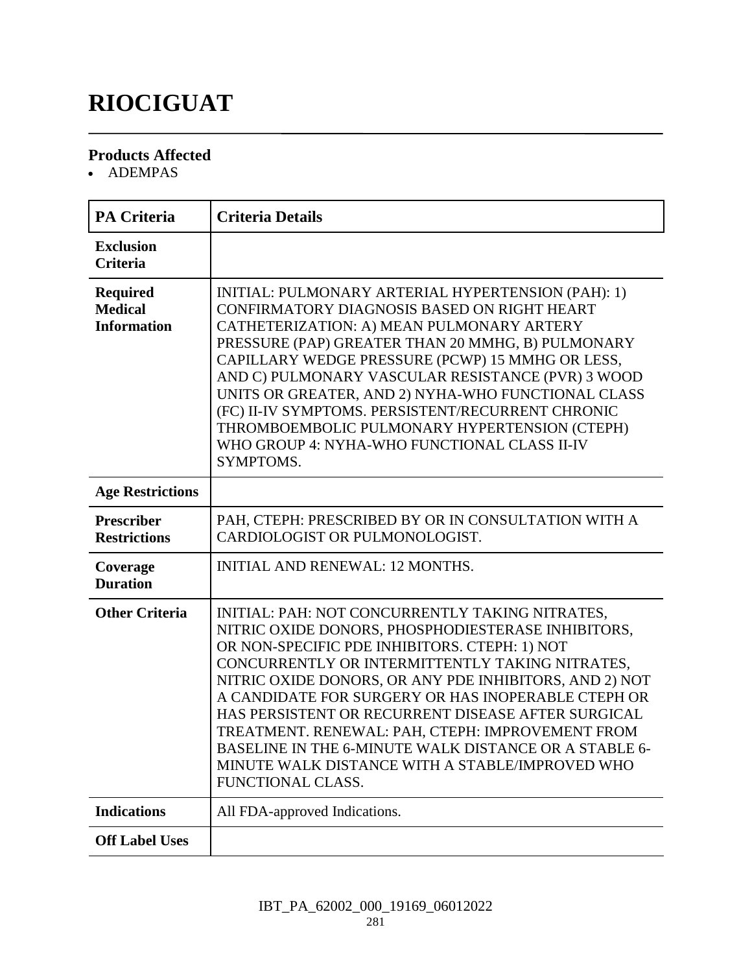# **RIOCIGUAT**

### **Products Affected**

• ADEMPAS

| <b>PA Criteria</b>                                      | <b>Criteria Details</b>                                                                                                                                                                                                                                                                                                                                                                                                                                                                                                                                              |
|---------------------------------------------------------|----------------------------------------------------------------------------------------------------------------------------------------------------------------------------------------------------------------------------------------------------------------------------------------------------------------------------------------------------------------------------------------------------------------------------------------------------------------------------------------------------------------------------------------------------------------------|
| <b>Exclusion</b><br><b>Criteria</b>                     |                                                                                                                                                                                                                                                                                                                                                                                                                                                                                                                                                                      |
| <b>Required</b><br><b>Medical</b><br><b>Information</b> | INITIAL: PULMONARY ARTERIAL HYPERTENSION (PAH): 1)<br>CONFIRMATORY DIAGNOSIS BASED ON RIGHT HEART<br>CATHETERIZATION: A) MEAN PULMONARY ARTERY<br>PRESSURE (PAP) GREATER THAN 20 MMHG, B) PULMONARY<br>CAPILLARY WEDGE PRESSURE (PCWP) 15 MMHG OR LESS,<br>AND C) PULMONARY VASCULAR RESISTANCE (PVR) 3 WOOD<br>UNITS OR GREATER, AND 2) NYHA-WHO FUNCTIONAL CLASS<br>(FC) II-IV SYMPTOMS. PERSISTENT/RECURRENT CHRONIC<br>THROMBOEMBOLIC PULMONARY HYPERTENSION (CTEPH)<br>WHO GROUP 4: NYHA-WHO FUNCTIONAL CLASS II-IV<br>SYMPTOMS.                                |
| <b>Age Restrictions</b>                                 |                                                                                                                                                                                                                                                                                                                                                                                                                                                                                                                                                                      |
| <b>Prescriber</b><br><b>Restrictions</b>                | PAH, CTEPH: PRESCRIBED BY OR IN CONSULTATION WITH A<br>CARDIOLOGIST OR PULMONOLOGIST.                                                                                                                                                                                                                                                                                                                                                                                                                                                                                |
| Coverage<br><b>Duration</b>                             | <b>INITIAL AND RENEWAL: 12 MONTHS.</b>                                                                                                                                                                                                                                                                                                                                                                                                                                                                                                                               |
| <b>Other Criteria</b>                                   | INITIAL: PAH: NOT CONCURRENTLY TAKING NITRATES,<br>NITRIC OXIDE DONORS, PHOSPHODIESTERASE INHIBITORS,<br>OR NON-SPECIFIC PDE INHIBITORS. CTEPH: 1) NOT<br>CONCURRENTLY OR INTERMITTENTLY TAKING NITRATES,<br>NITRIC OXIDE DONORS, OR ANY PDE INHIBITORS, AND 2) NOT<br>A CANDIDATE FOR SURGERY OR HAS INOPERABLE CTEPH OR<br>HAS PERSISTENT OR RECURRENT DISEASE AFTER SURGICAL<br>TREATMENT. RENEWAL: PAH, CTEPH: IMPROVEMENT FROM<br>BASELINE IN THE 6-MINUTE WALK DISTANCE OR A STABLE 6-<br>MINUTE WALK DISTANCE WITH A STABLE/IMPROVED WHO<br>FUNCTIONAL CLASS. |
| <b>Indications</b>                                      | All FDA-approved Indications.                                                                                                                                                                                                                                                                                                                                                                                                                                                                                                                                        |
| <b>Off Label Uses</b>                                   |                                                                                                                                                                                                                                                                                                                                                                                                                                                                                                                                                                      |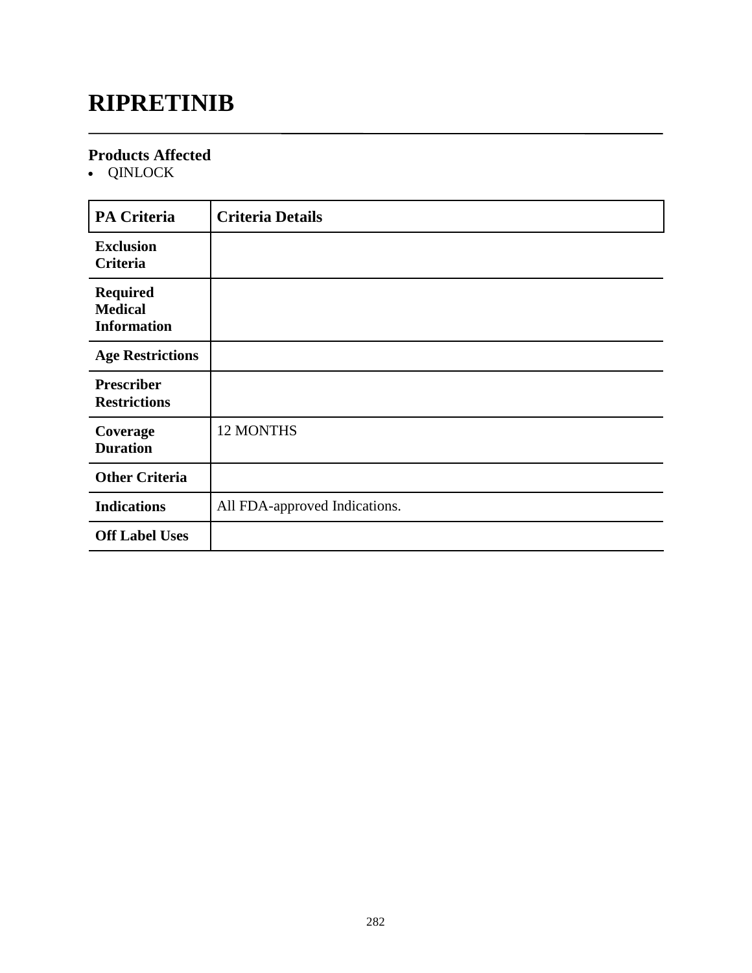# **RIPRETINIB**

### **Products Affected**

QINLOCK

| <b>PA Criteria</b>                                      | <b>Criteria Details</b>       |
|---------------------------------------------------------|-------------------------------|
| <b>Exclusion</b><br>Criteria                            |                               |
| <b>Required</b><br><b>Medical</b><br><b>Information</b> |                               |
| <b>Age Restrictions</b>                                 |                               |
| <b>Prescriber</b><br><b>Restrictions</b>                |                               |
| Coverage<br><b>Duration</b>                             | <b>12 MONTHS</b>              |
| <b>Other Criteria</b>                                   |                               |
| <b>Indications</b>                                      | All FDA-approved Indications. |
| <b>Off Label Uses</b>                                   |                               |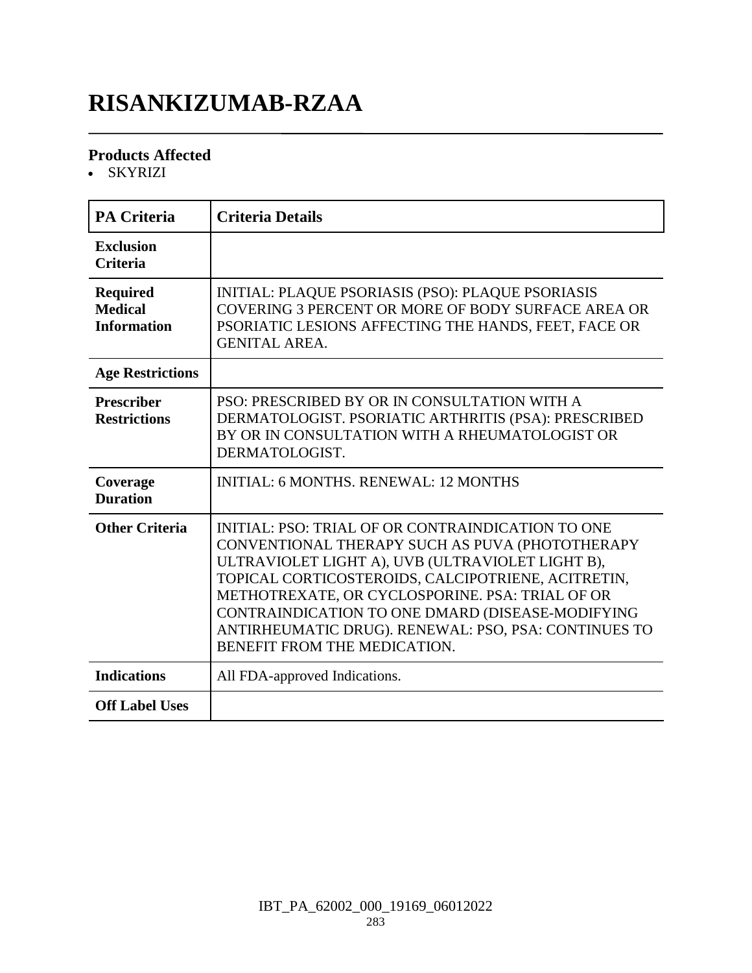# **RISANKIZUMAB-RZAA**

### **Products Affected**

SKYRIZI

| <b>PA Criteria</b>                                      | <b>Criteria Details</b>                                                                                                                                                                                                                                                                                                                                                                                       |
|---------------------------------------------------------|---------------------------------------------------------------------------------------------------------------------------------------------------------------------------------------------------------------------------------------------------------------------------------------------------------------------------------------------------------------------------------------------------------------|
| <b>Exclusion</b><br><b>Criteria</b>                     |                                                                                                                                                                                                                                                                                                                                                                                                               |
| <b>Required</b><br><b>Medical</b><br><b>Information</b> | <b>INITIAL: PLAQUE PSORIASIS (PSO): PLAQUE PSORIASIS</b><br>COVERING 3 PERCENT OR MORE OF BODY SURFACE AREA OR<br>PSORIATIC LESIONS AFFECTING THE HANDS, FEET, FACE OR<br><b>GENITAL AREA.</b>                                                                                                                                                                                                                |
| <b>Age Restrictions</b>                                 |                                                                                                                                                                                                                                                                                                                                                                                                               |
| <b>Prescriber</b><br><b>Restrictions</b>                | PSO: PRESCRIBED BY OR IN CONSULTATION WITH A<br>DERMATOLOGIST. PSORIATIC ARTHRITIS (PSA): PRESCRIBED<br>BY OR IN CONSULTATION WITH A RHEUMATOLOGIST OR<br>DERMATOLOGIST.                                                                                                                                                                                                                                      |
| Coverage<br><b>Duration</b>                             | <b>INITIAL: 6 MONTHS, RENEWAL: 12 MONTHS</b>                                                                                                                                                                                                                                                                                                                                                                  |
| <b>Other Criteria</b>                                   | INITIAL: PSO: TRIAL OF OR CONTRAINDICATION TO ONE<br>CONVENTIONAL THERAPY SUCH AS PUVA (PHOTOTHERAPY<br>ULTRAVIOLET LIGHT A), UVB (ULTRAVIOLET LIGHT B),<br>TOPICAL CORTICOSTEROIDS, CALCIPOTRIENE, ACITRETIN,<br>METHOTREXATE, OR CYCLOSPORINE. PSA: TRIAL OF OR<br>CONTRAINDICATION TO ONE DMARD (DISEASE-MODIFYING<br>ANTIRHEUMATIC DRUG). RENEWAL: PSO, PSA: CONTINUES TO<br>BENEFIT FROM THE MEDICATION. |
| <b>Indications</b>                                      | All FDA-approved Indications.                                                                                                                                                                                                                                                                                                                                                                                 |
| <b>Off Label Uses</b>                                   |                                                                                                                                                                                                                                                                                                                                                                                                               |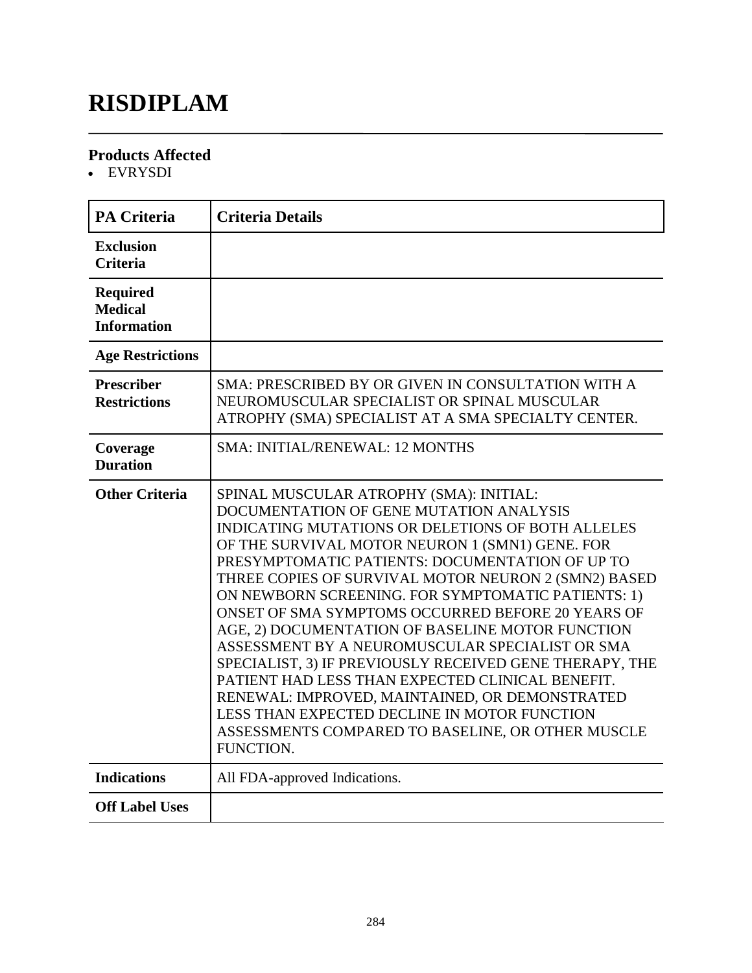# **RISDIPLAM**

### **Products Affected**

EVRYSDI

| <b>PA Criteria</b>                                      | <b>Criteria Details</b>                                                                                                                                                                                                                                                                                                                                                                                                                                                                                                                                                                                                                                                                                                                                                                                           |
|---------------------------------------------------------|-------------------------------------------------------------------------------------------------------------------------------------------------------------------------------------------------------------------------------------------------------------------------------------------------------------------------------------------------------------------------------------------------------------------------------------------------------------------------------------------------------------------------------------------------------------------------------------------------------------------------------------------------------------------------------------------------------------------------------------------------------------------------------------------------------------------|
| <b>Exclusion</b><br><b>Criteria</b>                     |                                                                                                                                                                                                                                                                                                                                                                                                                                                                                                                                                                                                                                                                                                                                                                                                                   |
| <b>Required</b><br><b>Medical</b><br><b>Information</b> |                                                                                                                                                                                                                                                                                                                                                                                                                                                                                                                                                                                                                                                                                                                                                                                                                   |
| <b>Age Restrictions</b>                                 |                                                                                                                                                                                                                                                                                                                                                                                                                                                                                                                                                                                                                                                                                                                                                                                                                   |
| <b>Prescriber</b><br><b>Restrictions</b>                | SMA: PRESCRIBED BY OR GIVEN IN CONSULTATION WITH A<br>NEUROMUSCULAR SPECIALIST OR SPINAL MUSCULAR<br>ATROPHY (SMA) SPECIALIST AT A SMA SPECIALTY CENTER.                                                                                                                                                                                                                                                                                                                                                                                                                                                                                                                                                                                                                                                          |
| Coverage<br><b>Duration</b>                             | <b>SMA: INITIAL/RENEWAL: 12 MONTHS</b>                                                                                                                                                                                                                                                                                                                                                                                                                                                                                                                                                                                                                                                                                                                                                                            |
| <b>Other Criteria</b>                                   | SPINAL MUSCULAR ATROPHY (SMA): INITIAL:<br>DOCUMENTATION OF GENE MUTATION ANALYSIS<br><b>INDICATING MUTATIONS OR DELETIONS OF BOTH ALLELES</b><br>OF THE SURVIVAL MOTOR NEURON 1 (SMN1) GENE. FOR<br>PRESYMPTOMATIC PATIENTS: DOCUMENTATION OF UP TO<br>THREE COPIES OF SURVIVAL MOTOR NEURON 2 (SMN2) BASED<br>ON NEWBORN SCREENING. FOR SYMPTOMATIC PATIENTS: 1)<br>ONSET OF SMA SYMPTOMS OCCURRED BEFORE 20 YEARS OF<br>AGE, 2) DOCUMENTATION OF BASELINE MOTOR FUNCTION<br>ASSESSMENT BY A NEUROMUSCULAR SPECIALIST OR SMA<br>SPECIALIST, 3) IF PREVIOUSLY RECEIVED GENE THERAPY, THE<br>PATIENT HAD LESS THAN EXPECTED CLINICAL BENEFIT.<br>RENEWAL: IMPROVED, MAINTAINED, OR DEMONSTRATED<br>LESS THAN EXPECTED DECLINE IN MOTOR FUNCTION<br>ASSESSMENTS COMPARED TO BASELINE, OR OTHER MUSCLE<br>FUNCTION. |
| <b>Indications</b>                                      | All FDA-approved Indications.                                                                                                                                                                                                                                                                                                                                                                                                                                                                                                                                                                                                                                                                                                                                                                                     |
| <b>Off Label Uses</b>                                   |                                                                                                                                                                                                                                                                                                                                                                                                                                                                                                                                                                                                                                                                                                                                                                                                                   |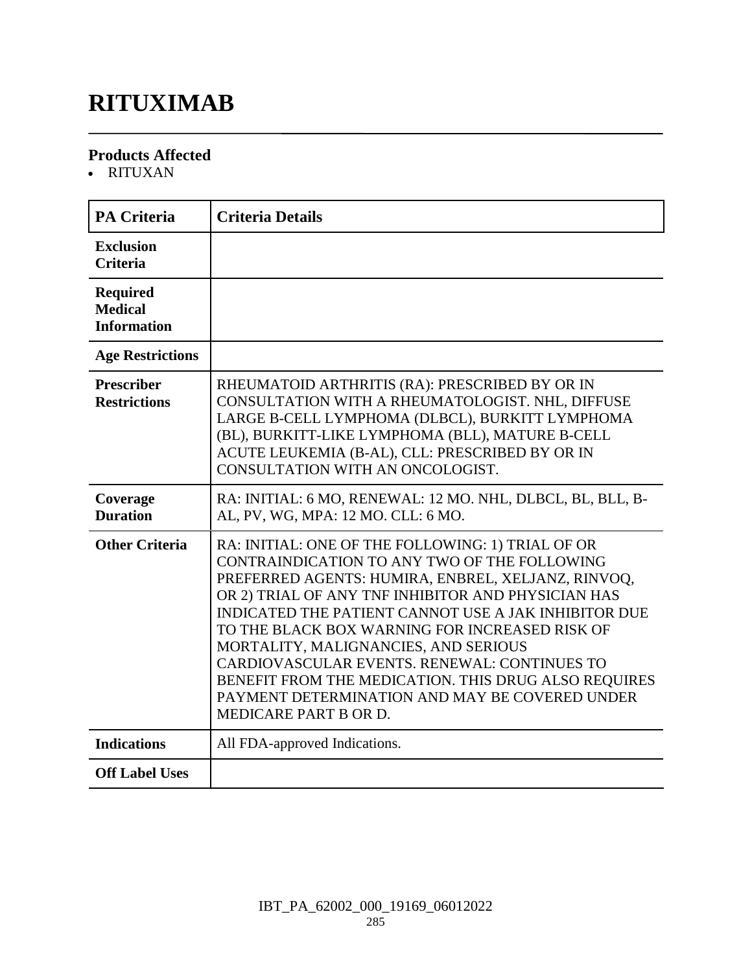# **RITUXIMAB**

### **Products Affected**

RITUXAN

| <b>PA Criteria</b>                                      | <b>Criteria Details</b>                                                                                                                                                                                                                                                                                                                                                                                                                                                                                                                            |
|---------------------------------------------------------|----------------------------------------------------------------------------------------------------------------------------------------------------------------------------------------------------------------------------------------------------------------------------------------------------------------------------------------------------------------------------------------------------------------------------------------------------------------------------------------------------------------------------------------------------|
| <b>Exclusion</b><br><b>Criteria</b>                     |                                                                                                                                                                                                                                                                                                                                                                                                                                                                                                                                                    |
| <b>Required</b><br><b>Medical</b><br><b>Information</b> |                                                                                                                                                                                                                                                                                                                                                                                                                                                                                                                                                    |
| <b>Age Restrictions</b>                                 |                                                                                                                                                                                                                                                                                                                                                                                                                                                                                                                                                    |
| <b>Prescriber</b><br><b>Restrictions</b>                | RHEUMATOID ARTHRITIS (RA): PRESCRIBED BY OR IN<br>CONSULTATION WITH A RHEUMATOLOGIST. NHL, DIFFUSE<br>LARGE B-CELL LYMPHOMA (DLBCL), BURKITT LYMPHOMA<br>(BL), BURKITT-LIKE LYMPHOMA (BLL), MATURE B-CELL<br>ACUTE LEUKEMIA (B-AL), CLL: PRESCRIBED BY OR IN<br>CONSULTATION WITH AN ONCOLOGIST.                                                                                                                                                                                                                                                   |
| Coverage<br><b>Duration</b>                             | RA: INITIAL: 6 MO, RENEWAL: 12 MO. NHL, DLBCL, BL, BLL, B-<br>AL, PV, WG, MPA: 12 MO. CLL: 6 MO.                                                                                                                                                                                                                                                                                                                                                                                                                                                   |
| <b>Other Criteria</b>                                   | RA: INITIAL: ONE OF THE FOLLOWING: 1) TRIAL OF OR<br>CONTRAINDICATION TO ANY TWO OF THE FOLLOWING<br>PREFERRED AGENTS: HUMIRA, ENBREL, XELJANZ, RINVOQ,<br>OR 2) TRIAL OF ANY TNF INHIBITOR AND PHYSICIAN HAS<br>INDICATED THE PATIENT CANNOT USE A JAK INHIBITOR DUE<br>TO THE BLACK BOX WARNING FOR INCREASED RISK OF<br>MORTALITY, MALIGNANCIES, AND SERIOUS<br>CARDIOVASCULAR EVENTS, RENEWAL: CONTINUES TO<br>BENEFIT FROM THE MEDICATION. THIS DRUG ALSO REQUIRES<br>PAYMENT DETERMINATION AND MAY BE COVERED UNDER<br>MEDICARE PART B OR D. |
| <b>Indications</b>                                      | All FDA-approved Indications.                                                                                                                                                                                                                                                                                                                                                                                                                                                                                                                      |
| <b>Off Label Uses</b>                                   |                                                                                                                                                                                                                                                                                                                                                                                                                                                                                                                                                    |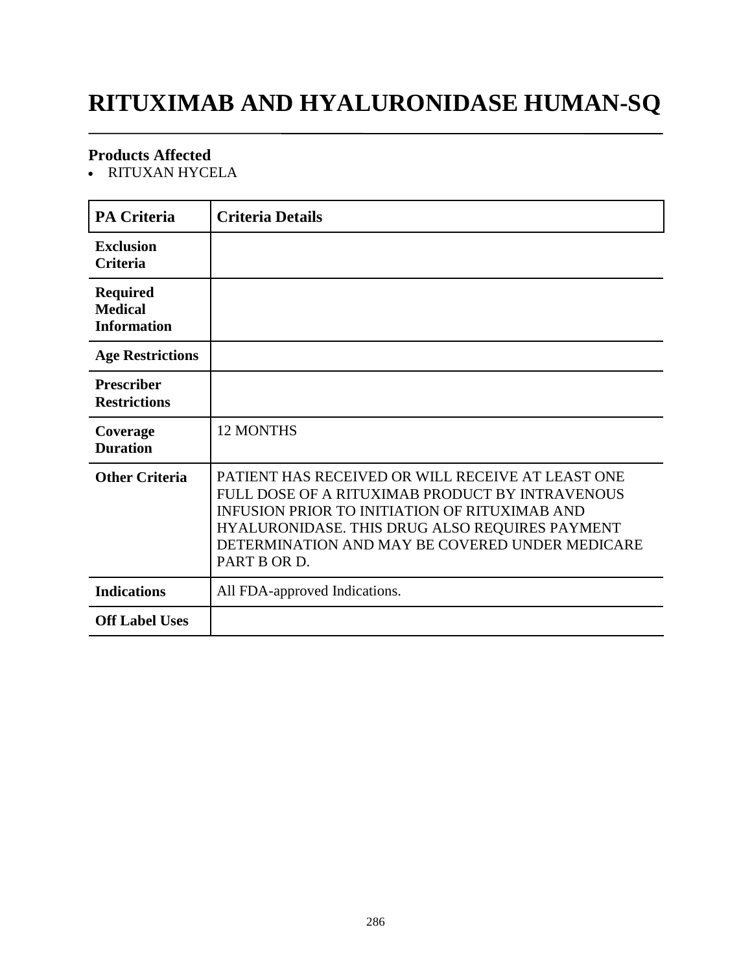# **RITUXIMAB AND HYALURONIDASE HUMAN-SQ**

### **Products Affected**

RITUXAN HYCELA

| <b>PA Criteria</b>                                      | <b>Criteria Details</b>                                                                                                                                                                                                                                                           |
|---------------------------------------------------------|-----------------------------------------------------------------------------------------------------------------------------------------------------------------------------------------------------------------------------------------------------------------------------------|
| <b>Exclusion</b><br><b>Criteria</b>                     |                                                                                                                                                                                                                                                                                   |
| <b>Required</b><br><b>Medical</b><br><b>Information</b> |                                                                                                                                                                                                                                                                                   |
| <b>Age Restrictions</b>                                 |                                                                                                                                                                                                                                                                                   |
| <b>Prescriber</b><br><b>Restrictions</b>                |                                                                                                                                                                                                                                                                                   |
| Coverage<br><b>Duration</b>                             | <b>12 MONTHS</b>                                                                                                                                                                                                                                                                  |
| <b>Other Criteria</b>                                   | PATIENT HAS RECEIVED OR WILL RECEIVE AT LEAST ONE<br>FULL DOSE OF A RITUXIMAB PRODUCT BY INTRAVENOUS<br><b>INFUSION PRIOR TO INITIATION OF RITUXIMAB AND</b><br>HYALURONIDASE. THIS DRUG ALSO REQUIRES PAYMENT<br>DETERMINATION AND MAY BE COVERED UNDER MEDICARE<br>PART B OR D. |
| <b>Indications</b>                                      | All FDA-approved Indications.                                                                                                                                                                                                                                                     |
| <b>Off Label Uses</b>                                   |                                                                                                                                                                                                                                                                                   |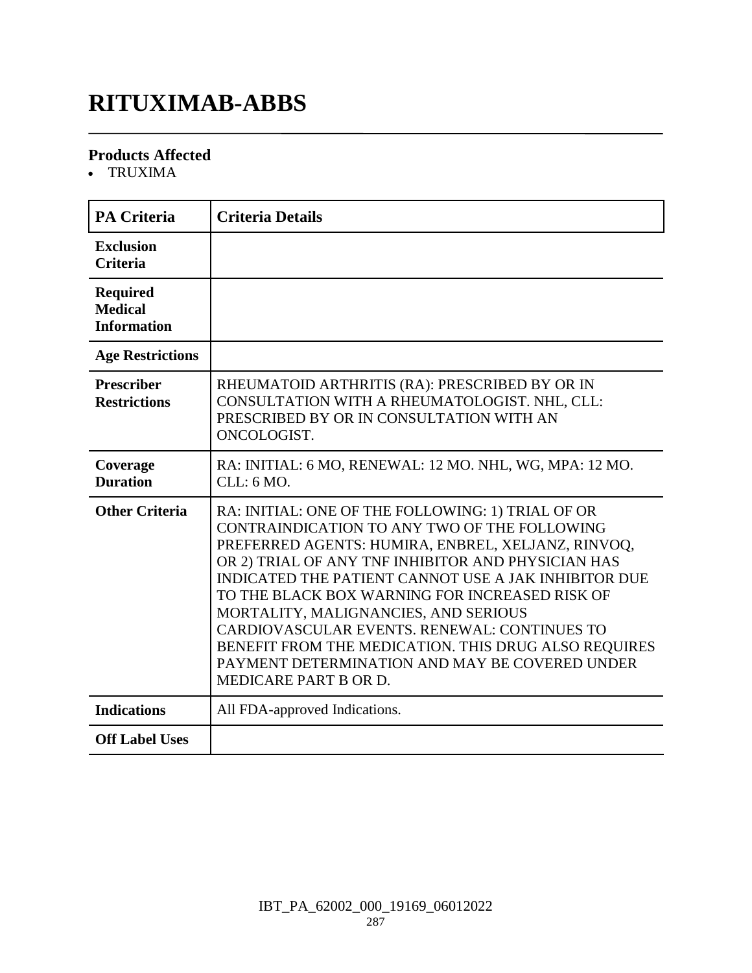# **RITUXIMAB-ABBS**

### **Products Affected**

TRUXIMA

| <b>PA Criteria</b>                                      | <b>Criteria Details</b>                                                                                                                                                                                                                                                                                                                                                                                                                                                                                                                            |
|---------------------------------------------------------|----------------------------------------------------------------------------------------------------------------------------------------------------------------------------------------------------------------------------------------------------------------------------------------------------------------------------------------------------------------------------------------------------------------------------------------------------------------------------------------------------------------------------------------------------|
| <b>Exclusion</b><br><b>Criteria</b>                     |                                                                                                                                                                                                                                                                                                                                                                                                                                                                                                                                                    |
| <b>Required</b><br><b>Medical</b><br><b>Information</b> |                                                                                                                                                                                                                                                                                                                                                                                                                                                                                                                                                    |
| <b>Age Restrictions</b>                                 |                                                                                                                                                                                                                                                                                                                                                                                                                                                                                                                                                    |
| <b>Prescriber</b><br><b>Restrictions</b>                | RHEUMATOID ARTHRITIS (RA): PRESCRIBED BY OR IN<br>CONSULTATION WITH A RHEUMATOLOGIST. NHL, CLL:<br>PRESCRIBED BY OR IN CONSULTATION WITH AN<br>ONCOLOGIST.                                                                                                                                                                                                                                                                                                                                                                                         |
| Coverage<br><b>Duration</b>                             | RA: INITIAL: 6 MO, RENEWAL: 12 MO. NHL, WG, MPA: 12 MO.<br>CLL: 6 MO.                                                                                                                                                                                                                                                                                                                                                                                                                                                                              |
| <b>Other Criteria</b>                                   | RA: INITIAL: ONE OF THE FOLLOWING: 1) TRIAL OF OR<br>CONTRAINDICATION TO ANY TWO OF THE FOLLOWING<br>PREFERRED AGENTS: HUMIRA, ENBREL, XELJANZ, RINVOQ,<br>OR 2) TRIAL OF ANY TNF INHIBITOR AND PHYSICIAN HAS<br>INDICATED THE PATIENT CANNOT USE A JAK INHIBITOR DUE<br>TO THE BLACK BOX WARNING FOR INCREASED RISK OF<br>MORTALITY, MALIGNANCIES, AND SERIOUS<br>CARDIOVASCULAR EVENTS. RENEWAL: CONTINUES TO<br>BENEFIT FROM THE MEDICATION. THIS DRUG ALSO REQUIRES<br>PAYMENT DETERMINATION AND MAY BE COVERED UNDER<br>MEDICARE PART B OR D. |
| <b>Indications</b>                                      | All FDA-approved Indications.                                                                                                                                                                                                                                                                                                                                                                                                                                                                                                                      |
| <b>Off Label Uses</b>                                   |                                                                                                                                                                                                                                                                                                                                                                                                                                                                                                                                                    |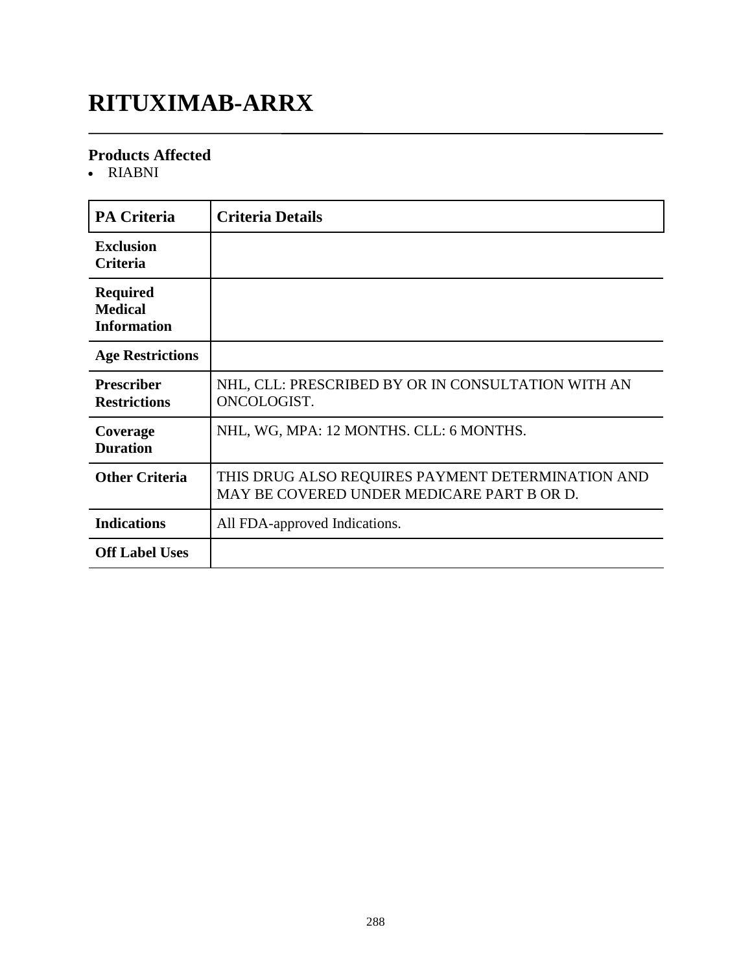# **RITUXIMAB-ARRX**

### **Products Affected**

• RIABNI

| <b>PA Criteria</b>                                      | <b>Criteria Details</b>                                                                         |
|---------------------------------------------------------|-------------------------------------------------------------------------------------------------|
| <b>Exclusion</b><br><b>Criteria</b>                     |                                                                                                 |
| <b>Required</b><br><b>Medical</b><br><b>Information</b> |                                                                                                 |
| <b>Age Restrictions</b>                                 |                                                                                                 |
| <b>Prescriber</b><br><b>Restrictions</b>                | NHL, CLL: PRESCRIBED BY OR IN CONSULTATION WITH AN<br>ONCOLOGIST.                               |
| Coverage<br><b>Duration</b>                             | NHL, WG, MPA: 12 MONTHS. CLL: 6 MONTHS.                                                         |
| <b>Other Criteria</b>                                   | THIS DRUG ALSO REQUIRES PAYMENT DETERMINATION AND<br>MAY BE COVERED UNDER MEDICARE PART B OR D. |
| <b>Indications</b>                                      | All FDA-approved Indications.                                                                   |
| <b>Off Label Uses</b>                                   |                                                                                                 |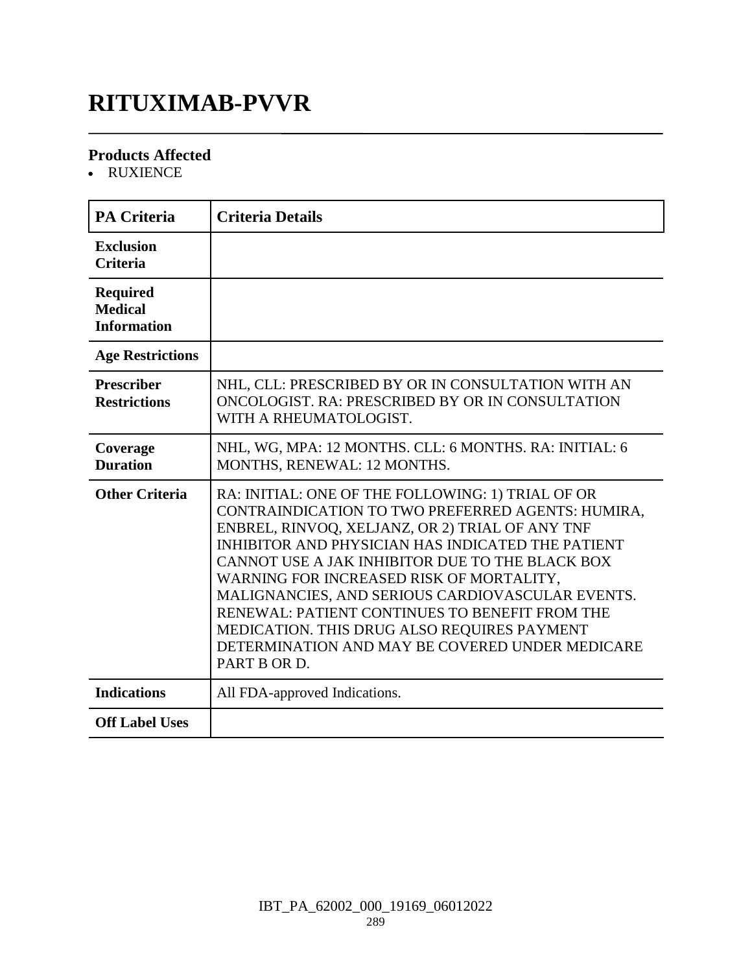### **RITUXIMAB-PVVR**

### **Products Affected**

RUXIENCE

| <b>PA Criteria</b>                                      | <b>Criteria Details</b>                                                                                                                                                                                                                                                                                                                                                                                                                                                                                                               |
|---------------------------------------------------------|---------------------------------------------------------------------------------------------------------------------------------------------------------------------------------------------------------------------------------------------------------------------------------------------------------------------------------------------------------------------------------------------------------------------------------------------------------------------------------------------------------------------------------------|
| <b>Exclusion</b><br><b>Criteria</b>                     |                                                                                                                                                                                                                                                                                                                                                                                                                                                                                                                                       |
| <b>Required</b><br><b>Medical</b><br><b>Information</b> |                                                                                                                                                                                                                                                                                                                                                                                                                                                                                                                                       |
| <b>Age Restrictions</b>                                 |                                                                                                                                                                                                                                                                                                                                                                                                                                                                                                                                       |
| <b>Prescriber</b><br><b>Restrictions</b>                | NHL, CLL: PRESCRIBED BY OR IN CONSULTATION WITH AN<br>ONCOLOGIST. RA: PRESCRIBED BY OR IN CONSULTATION<br>WITH A RHEUMATOLOGIST.                                                                                                                                                                                                                                                                                                                                                                                                      |
| Coverage<br><b>Duration</b>                             | NHL, WG, MPA: 12 MONTHS. CLL: 6 MONTHS. RA: INITIAL: 6<br>MONTHS, RENEWAL: 12 MONTHS.                                                                                                                                                                                                                                                                                                                                                                                                                                                 |
| <b>Other Criteria</b>                                   | RA: INITIAL: ONE OF THE FOLLOWING: 1) TRIAL OF OR<br>CONTRAINDICATION TO TWO PREFERRED AGENTS: HUMIRA,<br>ENBREL, RINVOQ, XELJANZ, OR 2) TRIAL OF ANY TNF<br>INHIBITOR AND PHYSICIAN HAS INDICATED THE PATIENT<br>CANNOT USE A JAK INHIBITOR DUE TO THE BLACK BOX<br>WARNING FOR INCREASED RISK OF MORTALITY,<br>MALIGNANCIES, AND SERIOUS CARDIOVASCULAR EVENTS.<br>RENEWAL: PATIENT CONTINUES TO BENEFIT FROM THE<br>MEDICATION. THIS DRUG ALSO REQUIRES PAYMENT<br>DETERMINATION AND MAY BE COVERED UNDER MEDICARE<br>PART B OR D. |
| <b>Indications</b>                                      | All FDA-approved Indications.                                                                                                                                                                                                                                                                                                                                                                                                                                                                                                         |
| <b>Off Label Uses</b>                                   |                                                                                                                                                                                                                                                                                                                                                                                                                                                                                                                                       |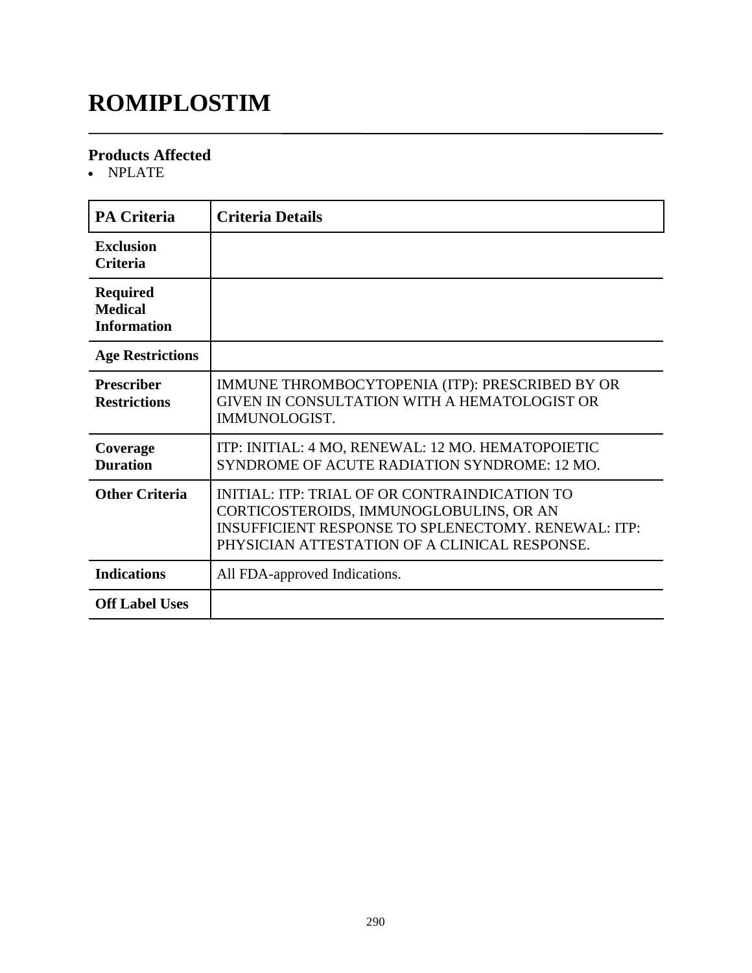# **ROMIPLOSTIM**

#### **Products Affected**

NPLATE

| <b>PA Criteria</b>                                      | <b>Criteria Details</b>                                                                                                                                                                                 |
|---------------------------------------------------------|---------------------------------------------------------------------------------------------------------------------------------------------------------------------------------------------------------|
| <b>Exclusion</b><br>Criteria                            |                                                                                                                                                                                                         |
| <b>Required</b><br><b>Medical</b><br><b>Information</b> |                                                                                                                                                                                                         |
| <b>Age Restrictions</b>                                 |                                                                                                                                                                                                         |
| <b>Prescriber</b><br><b>Restrictions</b>                | IMMUNE THROMBOCYTOPENIA (ITP): PRESCRIBED BY OR<br>GIVEN IN CONSULTATION WITH A HEMATOLOGIST OR<br>IMMUNOLOGIST.                                                                                        |
| Coverage<br><b>Duration</b>                             | ITP: INITIAL: 4 MO, RENEWAL: 12 MO. HEMATOPOIETIC<br>SYNDROME OF ACUTE RADIATION SYNDROME: 12 MO.                                                                                                       |
| <b>Other Criteria</b>                                   | INITIAL: ITP: TRIAL OF OR CONTRAINDICATION TO<br>CORTICOSTEROIDS, IMMUNOGLOBULINS, OR AN<br><b>INSUFFICIENT RESPONSE TO SPLENECTOMY. RENEWAL: ITP:</b><br>PHYSICIAN ATTESTATION OF A CLINICAL RESPONSE. |
| <b>Indications</b>                                      | All FDA-approved Indications.                                                                                                                                                                           |
| <b>Off Label Uses</b>                                   |                                                                                                                                                                                                         |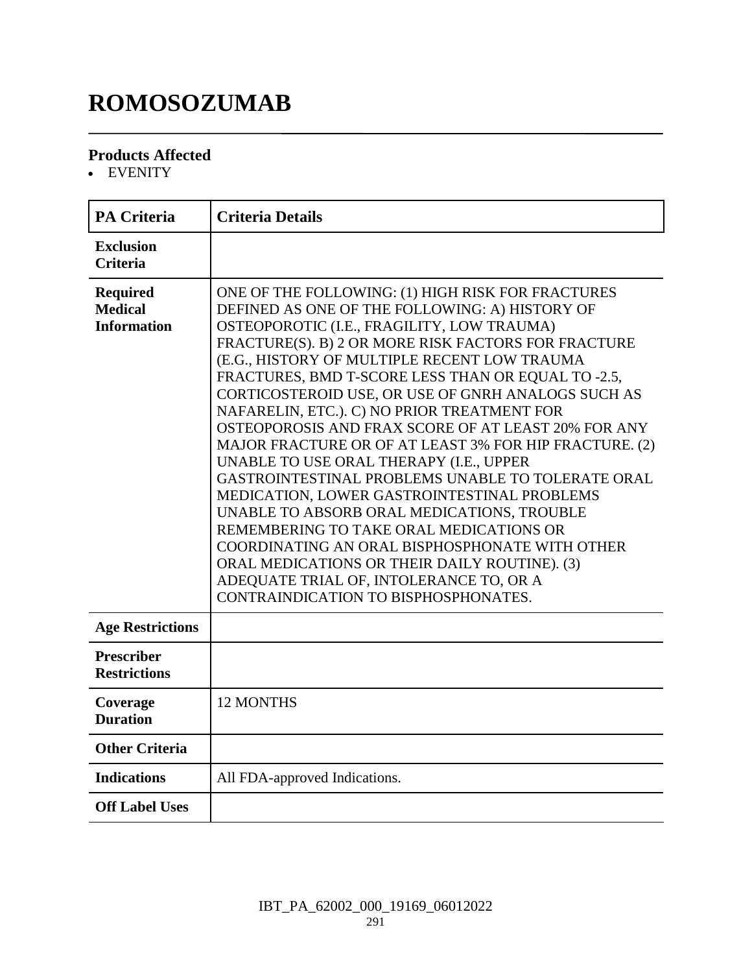# **ROMOSOZUMAB**

### **Products Affected**

EVENITY

| <b>PA Criteria</b>                                      | <b>Criteria Details</b>                                                                                                                                                                                                                                                                                                                                                                                                                                                                                                                                                                                                                                                                                                                                                                                                                                                                                                                                            |
|---------------------------------------------------------|--------------------------------------------------------------------------------------------------------------------------------------------------------------------------------------------------------------------------------------------------------------------------------------------------------------------------------------------------------------------------------------------------------------------------------------------------------------------------------------------------------------------------------------------------------------------------------------------------------------------------------------------------------------------------------------------------------------------------------------------------------------------------------------------------------------------------------------------------------------------------------------------------------------------------------------------------------------------|
| <b>Exclusion</b><br><b>Criteria</b>                     |                                                                                                                                                                                                                                                                                                                                                                                                                                                                                                                                                                                                                                                                                                                                                                                                                                                                                                                                                                    |
| <b>Required</b><br><b>Medical</b><br><b>Information</b> | ONE OF THE FOLLOWING: (1) HIGH RISK FOR FRACTURES<br>DEFINED AS ONE OF THE FOLLOWING: A) HISTORY OF<br>OSTEOPOROTIC (I.E., FRAGILITY, LOW TRAUMA)<br>FRACTURE(S). B) 2 OR MORE RISK FACTORS FOR FRACTURE<br>(E.G., HISTORY OF MULTIPLE RECENT LOW TRAUMA<br>FRACTURES, BMD T-SCORE LESS THAN OR EQUAL TO -2.5,<br>CORTICOSTEROID USE, OR USE OF GNRH ANALOGS SUCH AS<br>NAFARELIN, ETC.). C) NO PRIOR TREATMENT FOR<br>OSTEOPOROSIS AND FRAX SCORE OF AT LEAST 20% FOR ANY<br>MAJOR FRACTURE OR OF AT LEAST 3% FOR HIP FRACTURE. (2)<br>UNABLE TO USE ORAL THERAPY (I.E., UPPER<br>GASTROINTESTINAL PROBLEMS UNABLE TO TOLERATE ORAL<br>MEDICATION, LOWER GASTROINTESTINAL PROBLEMS<br>UNABLE TO ABSORB ORAL MEDICATIONS, TROUBLE<br>REMEMBERING TO TAKE ORAL MEDICATIONS OR<br>COORDINATING AN ORAL BISPHOSPHONATE WITH OTHER<br>ORAL MEDICATIONS OR THEIR DAILY ROUTINE). (3)<br>ADEQUATE TRIAL OF, INTOLERANCE TO, OR A<br>CONTRAINDICATION TO BISPHOSPHONATES. |
| <b>Age Restrictions</b>                                 |                                                                                                                                                                                                                                                                                                                                                                                                                                                                                                                                                                                                                                                                                                                                                                                                                                                                                                                                                                    |
| <b>Prescriber</b><br><b>Restrictions</b>                |                                                                                                                                                                                                                                                                                                                                                                                                                                                                                                                                                                                                                                                                                                                                                                                                                                                                                                                                                                    |
| Coverage<br><b>Duration</b>                             | 12 MONTHS                                                                                                                                                                                                                                                                                                                                                                                                                                                                                                                                                                                                                                                                                                                                                                                                                                                                                                                                                          |
| <b>Other Criteria</b>                                   |                                                                                                                                                                                                                                                                                                                                                                                                                                                                                                                                                                                                                                                                                                                                                                                                                                                                                                                                                                    |
| <b>Indications</b>                                      | All FDA-approved Indications.                                                                                                                                                                                                                                                                                                                                                                                                                                                                                                                                                                                                                                                                                                                                                                                                                                                                                                                                      |
| <b>Off Label Uses</b>                                   |                                                                                                                                                                                                                                                                                                                                                                                                                                                                                                                                                                                                                                                                                                                                                                                                                                                                                                                                                                    |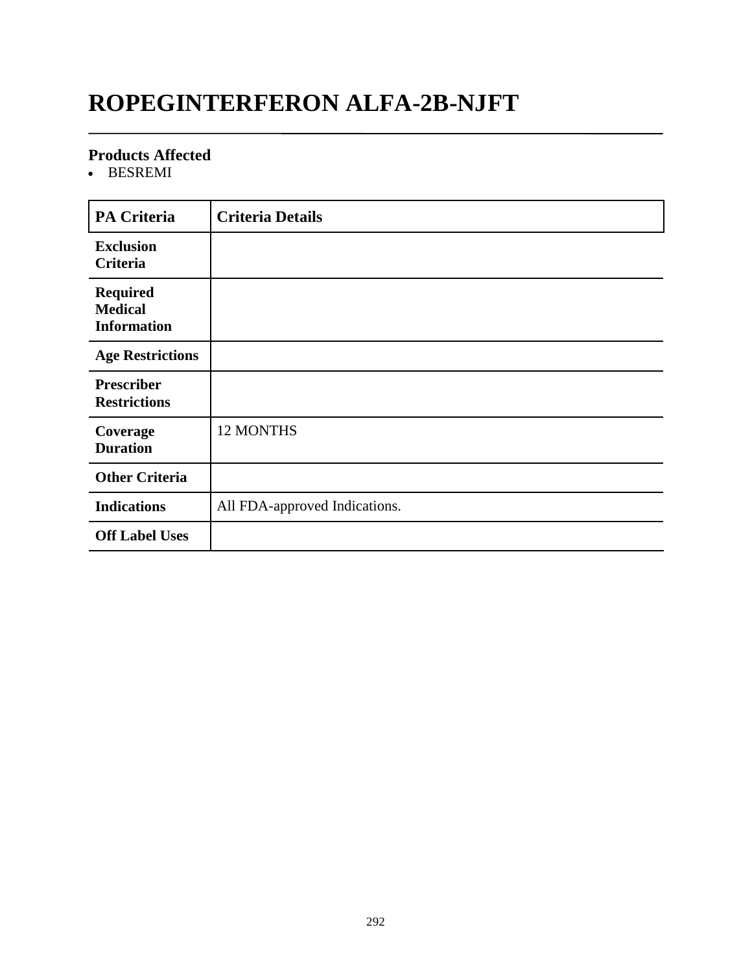### **ROPEGINTERFERON ALFA-2B-NJFT**

#### **Products Affected**

• BESREMI

| <b>PA Criteria</b>                                      | <b>Criteria Details</b>       |
|---------------------------------------------------------|-------------------------------|
| <b>Exclusion</b><br>Criteria                            |                               |
| <b>Required</b><br><b>Medical</b><br><b>Information</b> |                               |
| <b>Age Restrictions</b>                                 |                               |
| <b>Prescriber</b><br><b>Restrictions</b>                |                               |
| Coverage<br><b>Duration</b>                             | <b>12 MONTHS</b>              |
| <b>Other Criteria</b>                                   |                               |
| <b>Indications</b>                                      | All FDA-approved Indications. |
| <b>Off Label Uses</b>                                   |                               |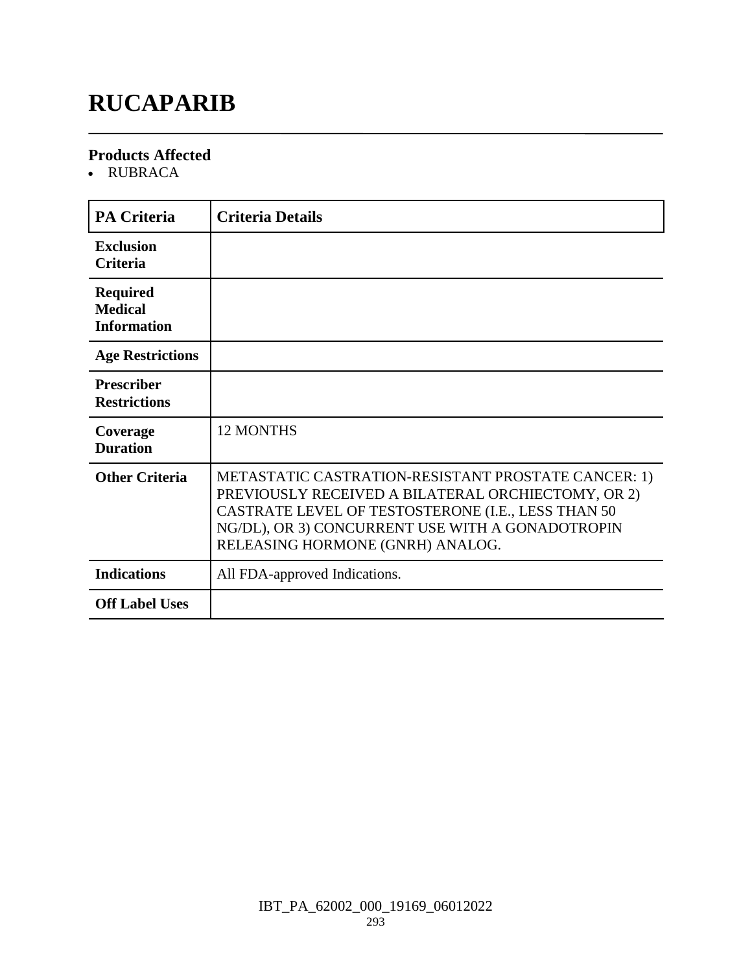### **RUCAPARIB**

#### **Products Affected**

RUBRACA

| <b>PA Criteria</b>                                      | <b>Criteria Details</b>                                                                                                                                                                                                                                 |
|---------------------------------------------------------|---------------------------------------------------------------------------------------------------------------------------------------------------------------------------------------------------------------------------------------------------------|
| <b>Exclusion</b><br><b>Criteria</b>                     |                                                                                                                                                                                                                                                         |
| <b>Required</b><br><b>Medical</b><br><b>Information</b> |                                                                                                                                                                                                                                                         |
| <b>Age Restrictions</b>                                 |                                                                                                                                                                                                                                                         |
| <b>Prescriber</b><br><b>Restrictions</b>                |                                                                                                                                                                                                                                                         |
| Coverage<br><b>Duration</b>                             | <b>12 MONTHS</b>                                                                                                                                                                                                                                        |
| <b>Other Criteria</b>                                   | METASTATIC CASTRATION-RESISTANT PROSTATE CANCER: 1)<br>PREVIOUSLY RECEIVED A BILATERAL ORCHIECTOMY, OR 2)<br>CASTRATE LEVEL OF TESTOSTERONE (I.E., LESS THAN 50<br>NG/DL), OR 3) CONCURRENT USE WITH A GONADOTROPIN<br>RELEASING HORMONE (GNRH) ANALOG. |
| <b>Indications</b>                                      | All FDA-approved Indications.                                                                                                                                                                                                                           |
| <b>Off Label Uses</b>                                   |                                                                                                                                                                                                                                                         |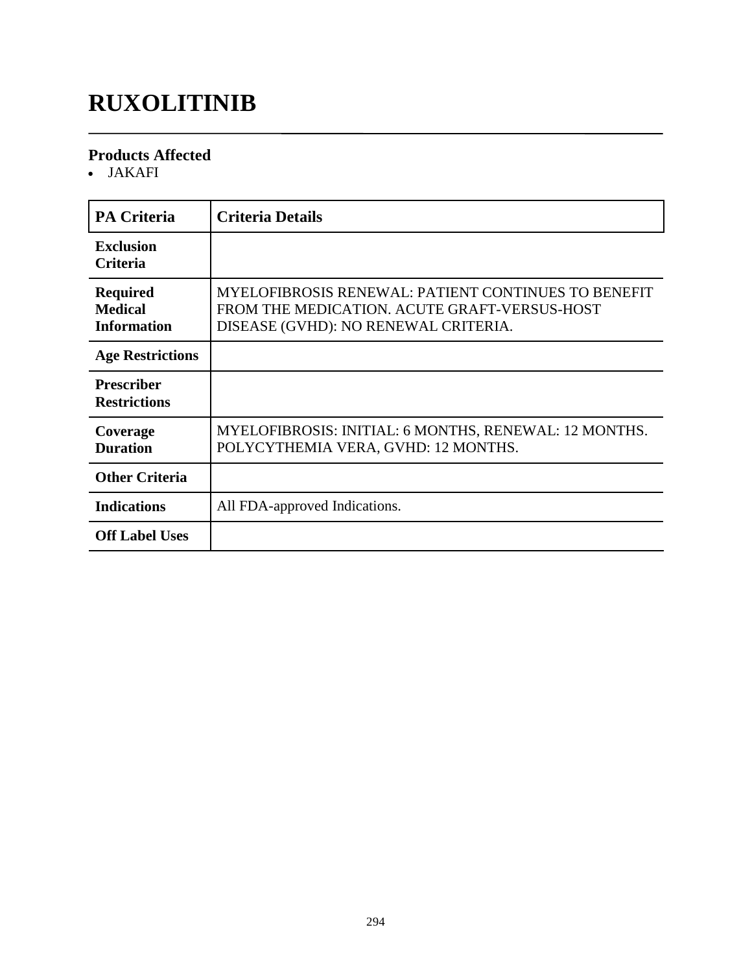### **RUXOLITINIB**

### **Products Affected**

JAKAFI

| <b>PA Criteria</b>                                      | <b>Criteria Details</b>                                                                                                                            |
|---------------------------------------------------------|----------------------------------------------------------------------------------------------------------------------------------------------------|
| <b>Exclusion</b><br><b>Criteria</b>                     |                                                                                                                                                    |
| <b>Required</b><br><b>Medical</b><br><b>Information</b> | <b>MYELOFIBROSIS RENEWAL: PATIENT CONTINUES TO BENEFIT</b><br>FROM THE MEDICATION. ACUTE GRAFT-VERSUS-HOST<br>DISEASE (GVHD): NO RENEWAL CRITERIA. |
| <b>Age Restrictions</b>                                 |                                                                                                                                                    |
| <b>Prescriber</b><br><b>Restrictions</b>                |                                                                                                                                                    |
| Coverage<br><b>Duration</b>                             | MYELOFIBROSIS: INITIAL: 6 MONTHS, RENEWAL: 12 MONTHS.<br>POLYCYTHEMIA VERA, GVHD: 12 MONTHS.                                                       |
| <b>Other Criteria</b>                                   |                                                                                                                                                    |
| <b>Indications</b>                                      | All FDA-approved Indications.                                                                                                                      |
| <b>Off Label Uses</b>                                   |                                                                                                                                                    |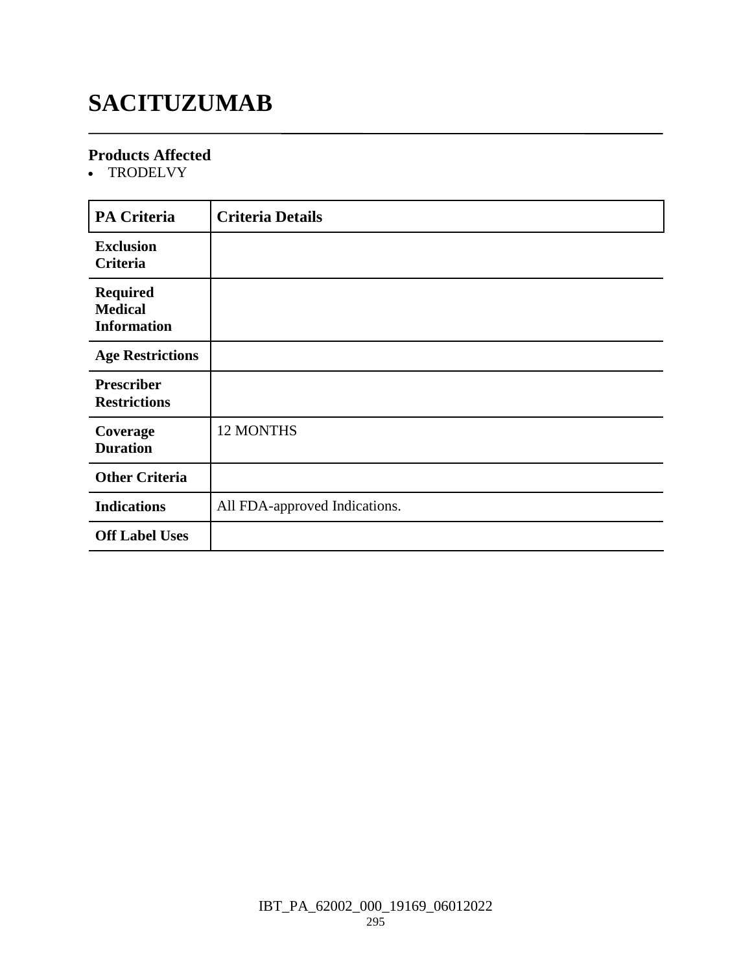# **SACITUZUMAB**

### **Products Affected**

• TRODELVY

| <b>PA Criteria</b>                                      | <b>Criteria Details</b>       |
|---------------------------------------------------------|-------------------------------|
| <b>Exclusion</b><br>Criteria                            |                               |
| <b>Required</b><br><b>Medical</b><br><b>Information</b> |                               |
| <b>Age Restrictions</b>                                 |                               |
| <b>Prescriber</b><br><b>Restrictions</b>                |                               |
| Coverage<br><b>Duration</b>                             | <b>12 MONTHS</b>              |
| <b>Other Criteria</b>                                   |                               |
| <b>Indications</b>                                      | All FDA-approved Indications. |
| <b>Off Label Uses</b>                                   |                               |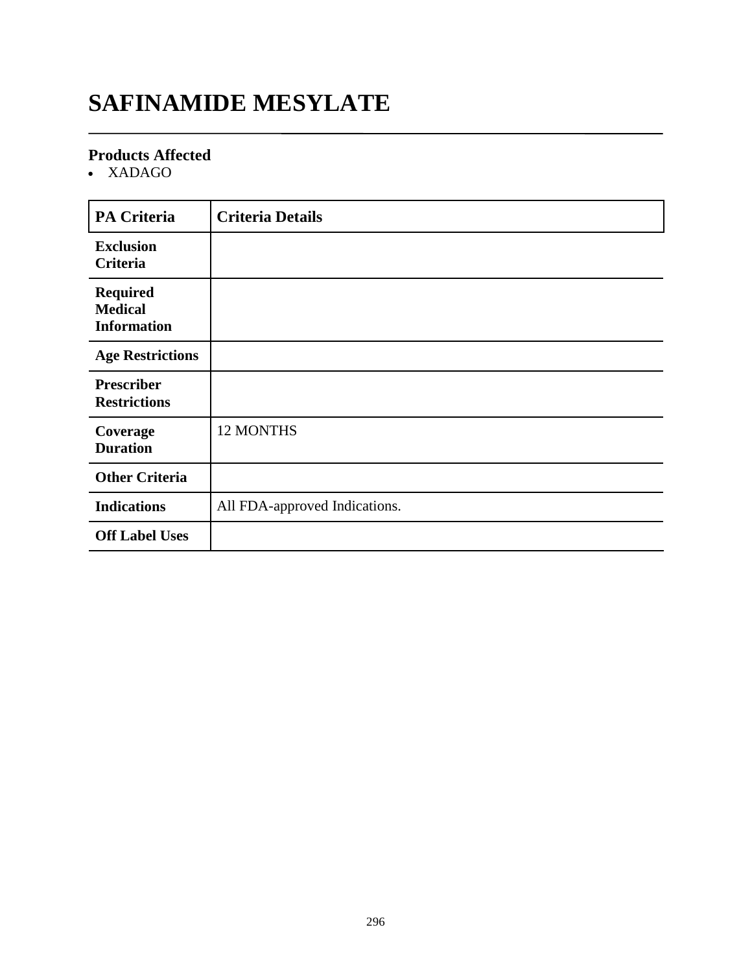### **SAFINAMIDE MESYLATE**

### **Products Affected**

XADAGO

| <b>PA Criteria</b>                                      | <b>Criteria Details</b>       |
|---------------------------------------------------------|-------------------------------|
| <b>Exclusion</b><br><b>Criteria</b>                     |                               |
| <b>Required</b><br><b>Medical</b><br><b>Information</b> |                               |
| <b>Age Restrictions</b>                                 |                               |
| <b>Prescriber</b><br><b>Restrictions</b>                |                               |
| Coverage<br><b>Duration</b>                             | <b>12 MONTHS</b>              |
| <b>Other Criteria</b>                                   |                               |
| <b>Indications</b>                                      | All FDA-approved Indications. |
| <b>Off Label Uses</b>                                   |                               |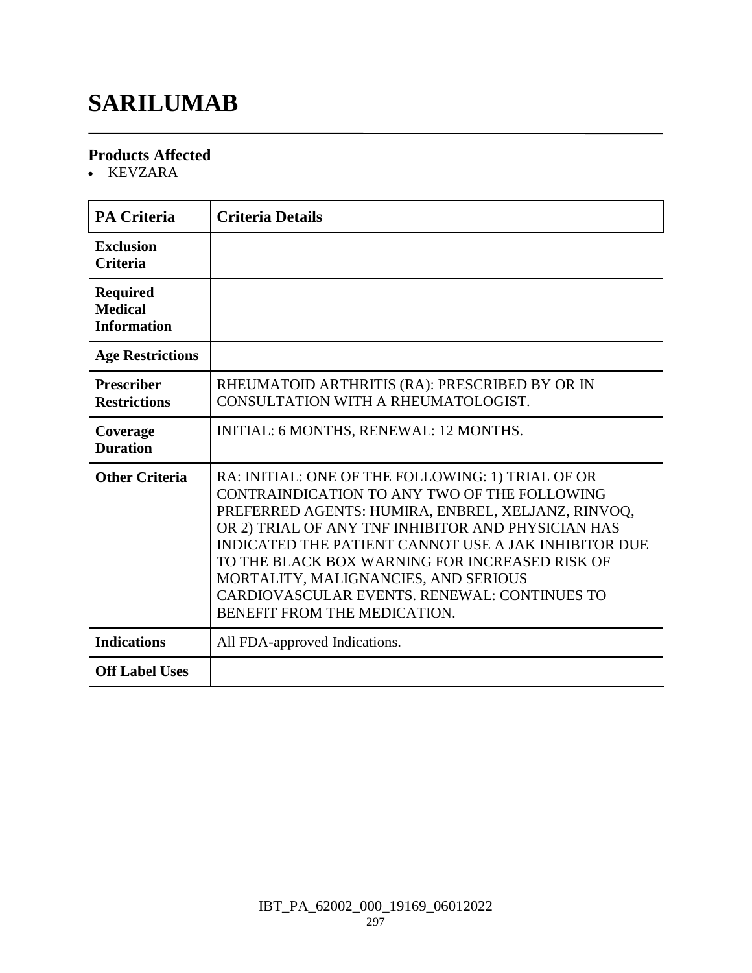# **SARILUMAB**

#### **Products Affected**

KEVZARA

| <b>PA Criteria</b>                                      | <b>Criteria Details</b>                                                                                                                                                                                                                                                                                                                                                                                                                         |
|---------------------------------------------------------|-------------------------------------------------------------------------------------------------------------------------------------------------------------------------------------------------------------------------------------------------------------------------------------------------------------------------------------------------------------------------------------------------------------------------------------------------|
| <b>Exclusion</b><br><b>Criteria</b>                     |                                                                                                                                                                                                                                                                                                                                                                                                                                                 |
| <b>Required</b><br><b>Medical</b><br><b>Information</b> |                                                                                                                                                                                                                                                                                                                                                                                                                                                 |
| <b>Age Restrictions</b>                                 |                                                                                                                                                                                                                                                                                                                                                                                                                                                 |
| <b>Prescriber</b><br><b>Restrictions</b>                | RHEUMATOID ARTHRITIS (RA): PRESCRIBED BY OR IN<br>CONSULTATION WITH A RHEUMATOLOGIST.                                                                                                                                                                                                                                                                                                                                                           |
| Coverage<br><b>Duration</b>                             | INITIAL: 6 MONTHS, RENEWAL: 12 MONTHS.                                                                                                                                                                                                                                                                                                                                                                                                          |
| <b>Other Criteria</b>                                   | RA: INITIAL: ONE OF THE FOLLOWING: 1) TRIAL OF OR<br>CONTRAINDICATION TO ANY TWO OF THE FOLLOWING<br>PREFERRED AGENTS: HUMIRA, ENBREL, XELJANZ, RINVOQ,<br>OR 2) TRIAL OF ANY TNF INHIBITOR AND PHYSICIAN HAS<br>INDICATED THE PATIENT CANNOT USE A JAK INHIBITOR DUE<br>TO THE BLACK BOX WARNING FOR INCREASED RISK OF<br>MORTALITY, MALIGNANCIES, AND SERIOUS<br>CARDIOVASCULAR EVENTS. RENEWAL: CONTINUES TO<br>BENEFIT FROM THE MEDICATION. |
| <b>Indications</b>                                      | All FDA-approved Indications.                                                                                                                                                                                                                                                                                                                                                                                                                   |
| <b>Off Label Uses</b>                                   |                                                                                                                                                                                                                                                                                                                                                                                                                                                 |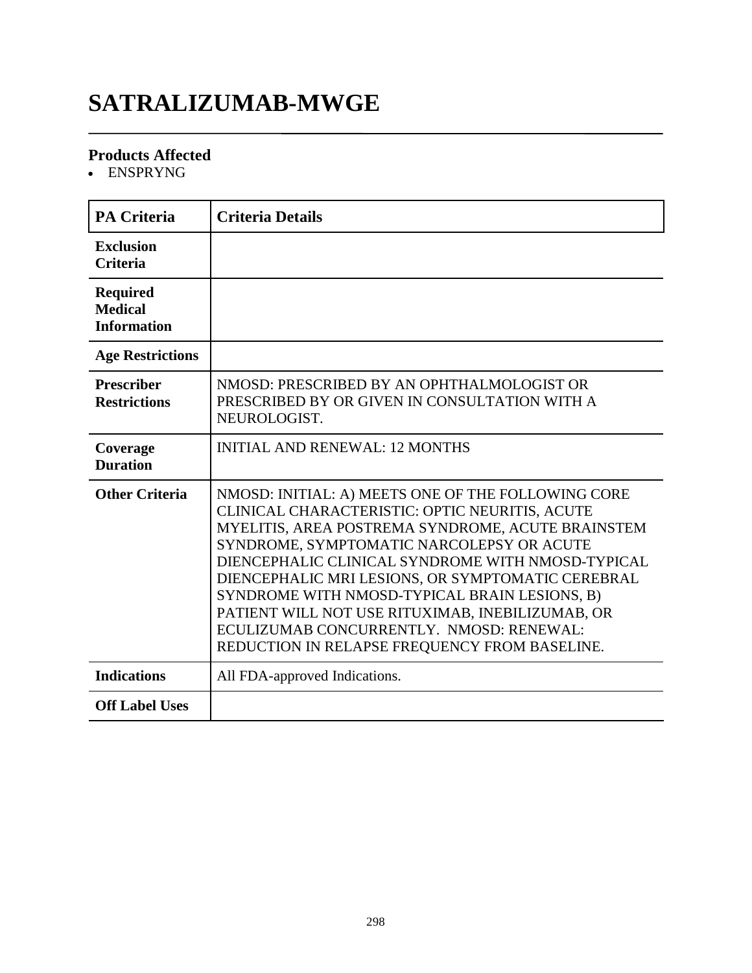# **SATRALIZUMAB-MWGE**

### **Products Affected**

ENSPRYNG

| <b>PA Criteria</b>                                      | <b>Criteria Details</b>                                                                                                                                                                                                                                                                                                                                                                                                                                                                                            |
|---------------------------------------------------------|--------------------------------------------------------------------------------------------------------------------------------------------------------------------------------------------------------------------------------------------------------------------------------------------------------------------------------------------------------------------------------------------------------------------------------------------------------------------------------------------------------------------|
| <b>Exclusion</b><br><b>Criteria</b>                     |                                                                                                                                                                                                                                                                                                                                                                                                                                                                                                                    |
| <b>Required</b><br><b>Medical</b><br><b>Information</b> |                                                                                                                                                                                                                                                                                                                                                                                                                                                                                                                    |
| <b>Age Restrictions</b>                                 |                                                                                                                                                                                                                                                                                                                                                                                                                                                                                                                    |
| <b>Prescriber</b><br><b>Restrictions</b>                | NMOSD: PRESCRIBED BY AN OPHTHALMOLOGIST OR<br>PRESCRIBED BY OR GIVEN IN CONSULTATION WITH A<br>NEUROLOGIST.                                                                                                                                                                                                                                                                                                                                                                                                        |
| Coverage<br><b>Duration</b>                             | <b>INITIAL AND RENEWAL: 12 MONTHS</b>                                                                                                                                                                                                                                                                                                                                                                                                                                                                              |
| <b>Other Criteria</b>                                   | NMOSD: INITIAL: A) MEETS ONE OF THE FOLLOWING CORE<br>CLINICAL CHARACTERISTIC: OPTIC NEURITIS, ACUTE<br>MYELITIS, AREA POSTREMA SYNDROME, ACUTE BRAINSTEM<br>SYNDROME, SYMPTOMATIC NARCOLEPSY OR ACUTE<br>DIENCEPHALIC CLINICAL SYNDROME WITH NMOSD-TYPICAL<br>DIENCEPHALIC MRI LESIONS, OR SYMPTOMATIC CEREBRAL<br>SYNDROME WITH NMOSD-TYPICAL BRAIN LESIONS, B)<br>PATIENT WILL NOT USE RITUXIMAB, INEBILIZUMAB, OR<br>ECULIZUMAB CONCURRENTLY. NMOSD: RENEWAL:<br>REDUCTION IN RELAPSE FREQUENCY FROM BASELINE. |
| <b>Indications</b>                                      | All FDA-approved Indications.                                                                                                                                                                                                                                                                                                                                                                                                                                                                                      |
| <b>Off Label Uses</b>                                   |                                                                                                                                                                                                                                                                                                                                                                                                                                                                                                                    |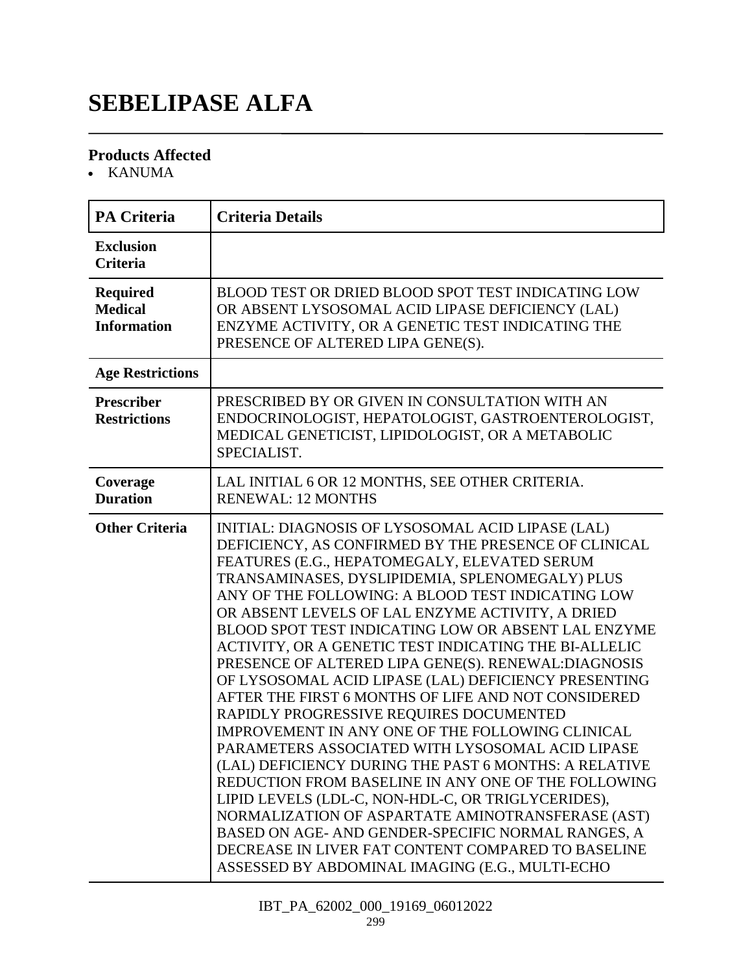## **SEBELIPASE ALFA**

### **Products Affected**

• KANUMA

| <b>PA Criteria</b>                                      | <b>Criteria Details</b>                                                                                                                                                                                                                                                                                                                                                                                                                                                                                                                                                                                                                                                                                                                                                                                                                                                                                                                                                                                                                                                                                                                                   |
|---------------------------------------------------------|-----------------------------------------------------------------------------------------------------------------------------------------------------------------------------------------------------------------------------------------------------------------------------------------------------------------------------------------------------------------------------------------------------------------------------------------------------------------------------------------------------------------------------------------------------------------------------------------------------------------------------------------------------------------------------------------------------------------------------------------------------------------------------------------------------------------------------------------------------------------------------------------------------------------------------------------------------------------------------------------------------------------------------------------------------------------------------------------------------------------------------------------------------------|
| <b>Exclusion</b><br><b>Criteria</b>                     |                                                                                                                                                                                                                                                                                                                                                                                                                                                                                                                                                                                                                                                                                                                                                                                                                                                                                                                                                                                                                                                                                                                                                           |
| <b>Required</b><br><b>Medical</b><br><b>Information</b> | BLOOD TEST OR DRIED BLOOD SPOT TEST INDICATING LOW<br>OR ABSENT LYSOSOMAL ACID LIPASE DEFICIENCY (LAL)<br>ENZYME ACTIVITY, OR A GENETIC TEST INDICATING THE<br>PRESENCE OF ALTERED LIPA GENE(S).                                                                                                                                                                                                                                                                                                                                                                                                                                                                                                                                                                                                                                                                                                                                                                                                                                                                                                                                                          |
| <b>Age Restrictions</b>                                 |                                                                                                                                                                                                                                                                                                                                                                                                                                                                                                                                                                                                                                                                                                                                                                                                                                                                                                                                                                                                                                                                                                                                                           |
| <b>Prescriber</b><br><b>Restrictions</b>                | PRESCRIBED BY OR GIVEN IN CONSULTATION WITH AN<br>ENDOCRINOLOGIST, HEPATOLOGIST, GASTROENTEROLOGIST,<br>MEDICAL GENETICIST, LIPIDOLOGIST, OR A METABOLIC<br>SPECIALIST.                                                                                                                                                                                                                                                                                                                                                                                                                                                                                                                                                                                                                                                                                                                                                                                                                                                                                                                                                                                   |
| Coverage<br><b>Duration</b>                             | LAL INITIAL 6 OR 12 MONTHS, SEE OTHER CRITERIA.<br><b>RENEWAL: 12 MONTHS</b>                                                                                                                                                                                                                                                                                                                                                                                                                                                                                                                                                                                                                                                                                                                                                                                                                                                                                                                                                                                                                                                                              |
| <b>Other Criteria</b>                                   | INITIAL: DIAGNOSIS OF LYSOSOMAL ACID LIPASE (LAL)<br>DEFICIENCY, AS CONFIRMED BY THE PRESENCE OF CLINICAL<br>FEATURES (E.G., HEPATOMEGALY, ELEVATED SERUM<br>TRANSAMINASES, DYSLIPIDEMIA, SPLENOMEGALY) PLUS<br>ANY OF THE FOLLOWING: A BLOOD TEST INDICATING LOW<br>OR ABSENT LEVELS OF LAL ENZYME ACTIVITY, A DRIED<br>BLOOD SPOT TEST INDICATING LOW OR ABSENT LAL ENZYME<br>ACTIVITY, OR A GENETIC TEST INDICATING THE BI-ALLELIC<br>PRESENCE OF ALTERED LIPA GENE(S). RENEWAL: DIAGNOSIS<br>OF LYSOSOMAL ACID LIPASE (LAL) DEFICIENCY PRESENTING<br>AFTER THE FIRST 6 MONTHS OF LIFE AND NOT CONSIDERED<br>RAPIDLY PROGRESSIVE REQUIRES DOCUMENTED<br>IMPROVEMENT IN ANY ONE OF THE FOLLOWING CLINICAL<br>PARAMETERS ASSOCIATED WITH LYSOSOMAL ACID LIPASE<br>(LAL) DEFICIENCY DURING THE PAST 6 MONTHS: A RELATIVE<br>REDUCTION FROM BASELINE IN ANY ONE OF THE FOLLOWING<br>LIPID LEVELS (LDL-C, NON-HDL-C, OR TRIGLYCERIDES),<br>NORMALIZATION OF ASPARTATE AMINOTRANSFERASE (AST)<br>BASED ON AGE- AND GENDER-SPECIFIC NORMAL RANGES, A<br>DECREASE IN LIVER FAT CONTENT COMPARED TO BASELINE<br>ASSESSED BY ABDOMINAL IMAGING (E.G., MULTI-ECHO |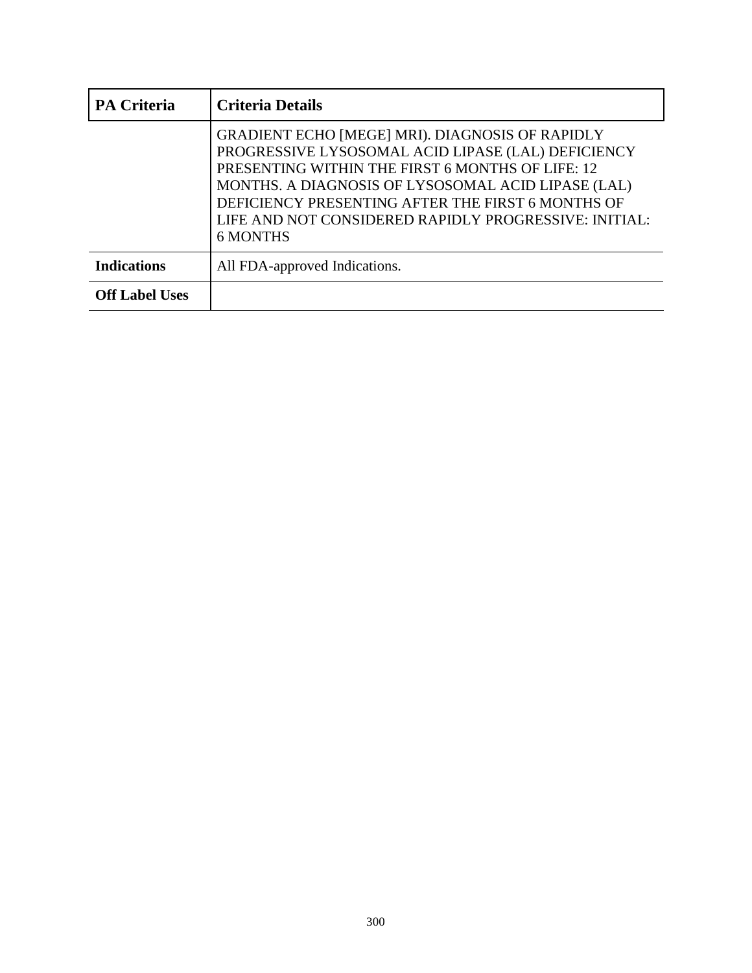| PA Criteria           | <b>Criteria Details</b>                                                                                                                                                                                                                                                                                                                          |
|-----------------------|--------------------------------------------------------------------------------------------------------------------------------------------------------------------------------------------------------------------------------------------------------------------------------------------------------------------------------------------------|
|                       | GRADIENT ECHO [MEGE] MRI). DIAGNOSIS OF RAPIDLY<br>PROGRESSIVE LYSOSOMAL ACID LIPASE (LAL) DEFICIENCY<br>PRESENTING WITHIN THE FIRST 6 MONTHS OF LIFE: 12<br>MONTHS. A DIAGNOSIS OF LYSOSOMAL ACID LIPASE (LAL)<br>DEFICIENCY PRESENTING AFTER THE FIRST 6 MONTHS OF<br>LIFE AND NOT CONSIDERED RAPIDLY PROGRESSIVE: INITIAL:<br><b>6 MONTHS</b> |
| <b>Indications</b>    | All FDA-approved Indications.                                                                                                                                                                                                                                                                                                                    |
| <b>Off Label Uses</b> |                                                                                                                                                                                                                                                                                                                                                  |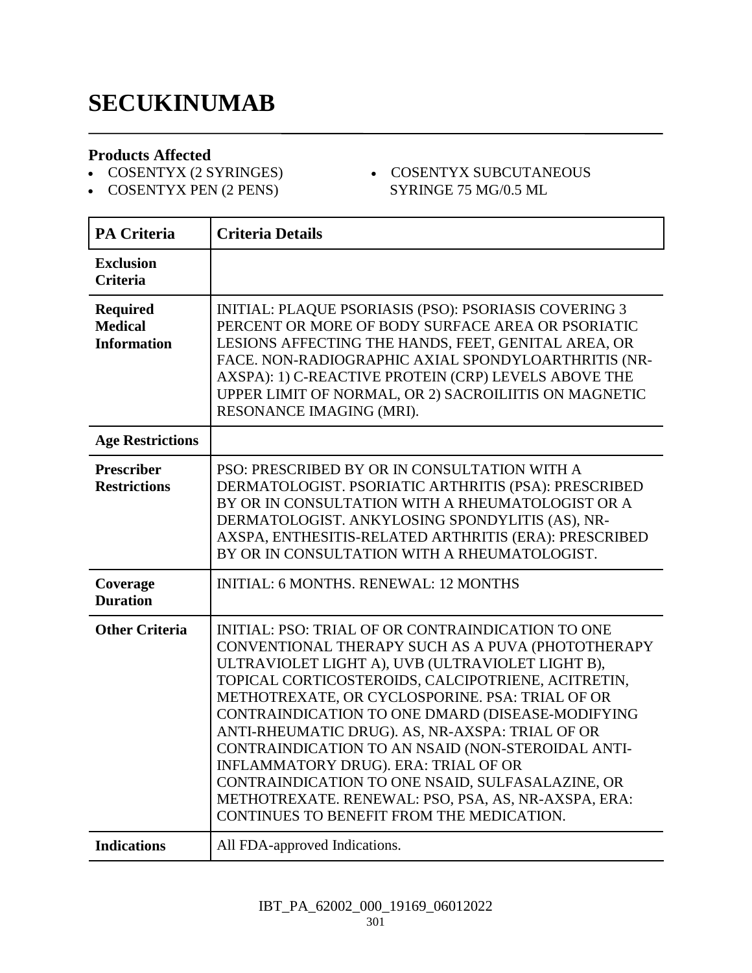### **SECUKINUMAB**

#### **Products Affected**

- COSENTYX (2 SYRINGES) COSENTYX PEN (2 PENS)
- COSENTYX SUBCUTANEOUS SYRINGE 75 MG/0.5 ML
- **PA Criteria Criteria Details Exclusion Criteria Required Medical Information** INITIAL: PLAQUE PSORIASIS (PSO): PSORIASIS COVERING 3 PERCENT OR MORE OF BODY SURFACE AREA OR PSORIATIC LESIONS AFFECTING THE HANDS, FEET, GENITAL AREA, OR FACE. NON-RADIOGRAPHIC AXIAL SPONDYLOARTHRITIS (NR-AXSPA): 1) C-REACTIVE PROTEIN (CRP) LEVELS ABOVE THE UPPER LIMIT OF NORMAL, OR 2) SACROILIITIS ON MAGNETIC RESONANCE IMAGING (MRI). **Age Restrictions Prescriber Restrictions** PSO: PRESCRIBED BY OR IN CONSULTATION WITH A DERMATOLOGIST. PSORIATIC ARTHRITIS (PSA): PRESCRIBED BY OR IN CONSULTATION WITH A RHEUMATOLOGIST OR A DERMATOLOGIST. ANKYLOSING SPONDYLITIS (AS), NR-AXSPA, ENTHESITIS-RELATED ARTHRITIS (ERA): PRESCRIBED BY OR IN CONSULTATION WITH A RHEUMATOLOGIST. **Coverage Duration** INITIAL: 6 MONTHS. RENEWAL: 12 MONTHS **Other Criteria** INITIAL: PSO: TRIAL OF OR CONTRAINDICATION TO ONE CONVENTIONAL THERAPY SUCH AS A PUVA (PHOTOTHERAPY ULTRAVIOLET LIGHT A), UVB (ULTRAVIOLET LIGHT B), TOPICAL CORTICOSTEROIDS, CALCIPOTRIENE, ACITRETIN, METHOTREXATE, OR CYCLOSPORINE. PSA: TRIAL OF OR CONTRAINDICATION TO ONE DMARD (DISEASE-MODIFYING ANTI-RHEUMATIC DRUG). AS, NR-AXSPA: TRIAL OF OR CONTRAINDICATION TO AN NSAID (NON-STEROIDAL ANTI-INFLAMMATORY DRUG). ERA: TRIAL OF OR CONTRAINDICATION TO ONE NSAID, SULFASALAZINE, OR METHOTREXATE. RENEWAL: PSO, PSA, AS, NR-AXSPA, ERA: CONTINUES TO BENEFIT FROM THE MEDICATION. **Indications** All FDA-approved Indications.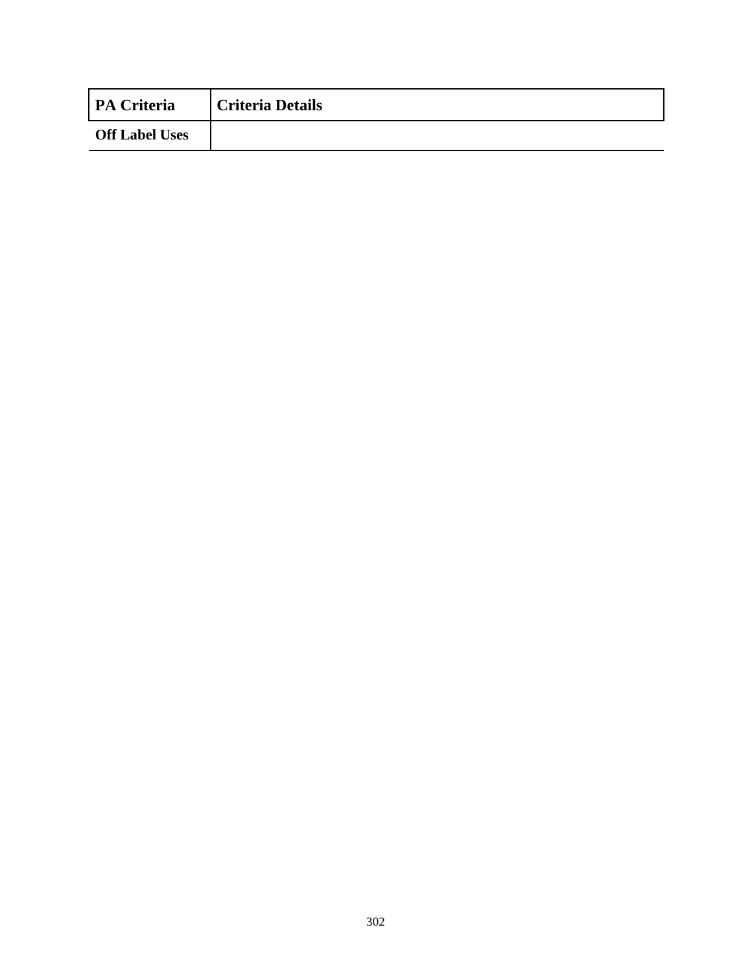| <b>PA Criteria</b>    | <b>Criteria Details</b> |
|-----------------------|-------------------------|
| <b>Off Label Uses</b> |                         |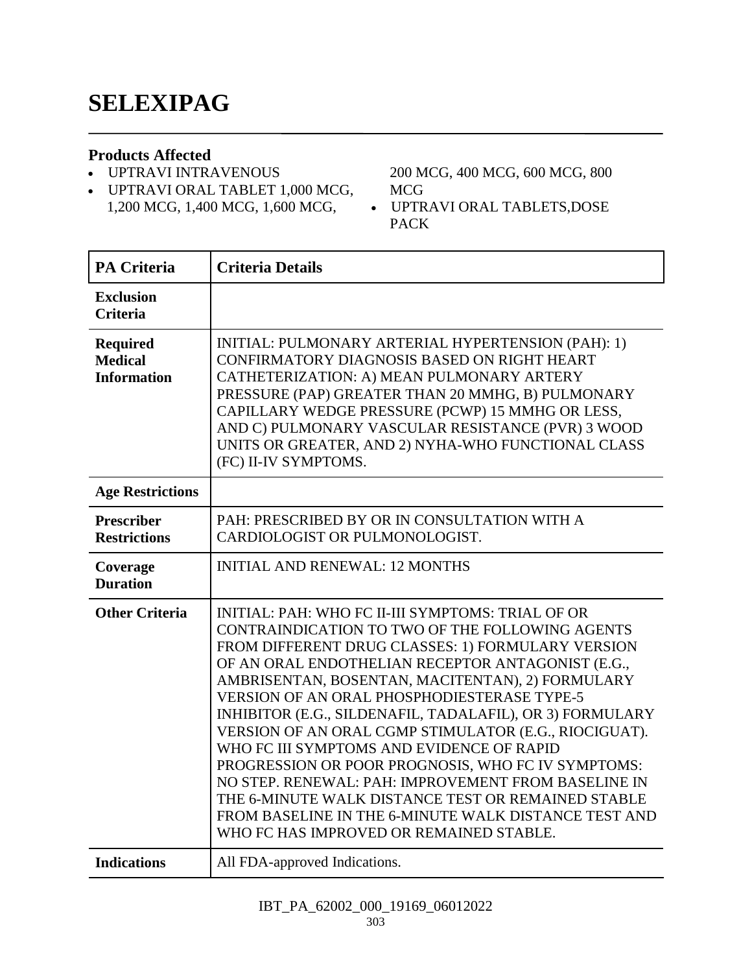#### **Products Affected**

- UPTRAVI INTRAVENOUS
- UPTRAVI ORAL TABLET 1,000 MCG, 1,200 MCG, 1,400 MCG, 1,600 MCG,

200 MCG, 400 MCG, 600 MCG, 800 MCG

 UPTRAVI ORAL TABLETS,DOSE PACK

| <b>PA Criteria</b>                                      | <b>Criteria Details</b>                                                                                                                                                                                                                                                                                                                                                                                                                                                                                                                                                                                                                                                                                                                                          |
|---------------------------------------------------------|------------------------------------------------------------------------------------------------------------------------------------------------------------------------------------------------------------------------------------------------------------------------------------------------------------------------------------------------------------------------------------------------------------------------------------------------------------------------------------------------------------------------------------------------------------------------------------------------------------------------------------------------------------------------------------------------------------------------------------------------------------------|
| <b>Exclusion</b><br><b>Criteria</b>                     |                                                                                                                                                                                                                                                                                                                                                                                                                                                                                                                                                                                                                                                                                                                                                                  |
| <b>Required</b><br><b>Medical</b><br><b>Information</b> | INITIAL: PULMONARY ARTERIAL HYPERTENSION (PAH): 1)<br>CONFIRMATORY DIAGNOSIS BASED ON RIGHT HEART<br>CATHETERIZATION: A) MEAN PULMONARY ARTERY<br>PRESSURE (PAP) GREATER THAN 20 MMHG, B) PULMONARY<br>CAPILLARY WEDGE PRESSURE (PCWP) 15 MMHG OR LESS,<br>AND C) PULMONARY VASCULAR RESISTANCE (PVR) 3 WOOD<br>UNITS OR GREATER, AND 2) NYHA-WHO FUNCTIONAL CLASS<br>(FC) II-IV SYMPTOMS.                                                                                                                                                                                                                                                                                                                                                                       |
| <b>Age Restrictions</b>                                 |                                                                                                                                                                                                                                                                                                                                                                                                                                                                                                                                                                                                                                                                                                                                                                  |
| <b>Prescriber</b><br><b>Restrictions</b>                | PAH: PRESCRIBED BY OR IN CONSULTATION WITH A<br>CARDIOLOGIST OR PULMONOLOGIST.                                                                                                                                                                                                                                                                                                                                                                                                                                                                                                                                                                                                                                                                                   |
| Coverage<br><b>Duration</b>                             | <b>INITIAL AND RENEWAL: 12 MONTHS</b>                                                                                                                                                                                                                                                                                                                                                                                                                                                                                                                                                                                                                                                                                                                            |
| <b>Other Criteria</b>                                   | INITIAL: PAH: WHO FC II-III SYMPTOMS: TRIAL OF OR<br>CONTRAINDICATION TO TWO OF THE FOLLOWING AGENTS<br>FROM DIFFERENT DRUG CLASSES: 1) FORMULARY VERSION<br>OF AN ORAL ENDOTHELIAN RECEPTOR ANTAGONIST (E.G.,<br>AMBRISENTAN, BOSENTAN, MACITENTAN), 2) FORMULARY<br><b>VERSION OF AN ORAL PHOSPHODIESTERASE TYPE-5</b><br>INHIBITOR (E.G., SILDENAFIL, TADALAFIL), OR 3) FORMULARY<br>VERSION OF AN ORAL CGMP STIMULATOR (E.G., RIOCIGUAT).<br>WHO FC III SYMPTOMS AND EVIDENCE OF RAPID<br>PROGRESSION OR POOR PROGNOSIS, WHO FC IV SYMPTOMS:<br>NO STEP. RENEWAL: PAH: IMPROVEMENT FROM BASELINE IN<br>THE 6-MINUTE WALK DISTANCE TEST OR REMAINED STABLE<br>FROM BASELINE IN THE 6-MINUTE WALK DISTANCE TEST AND<br>WHO FC HAS IMPROVED OR REMAINED STABLE. |
| <b>Indications</b>                                      | All FDA-approved Indications.                                                                                                                                                                                                                                                                                                                                                                                                                                                                                                                                                                                                                                                                                                                                    |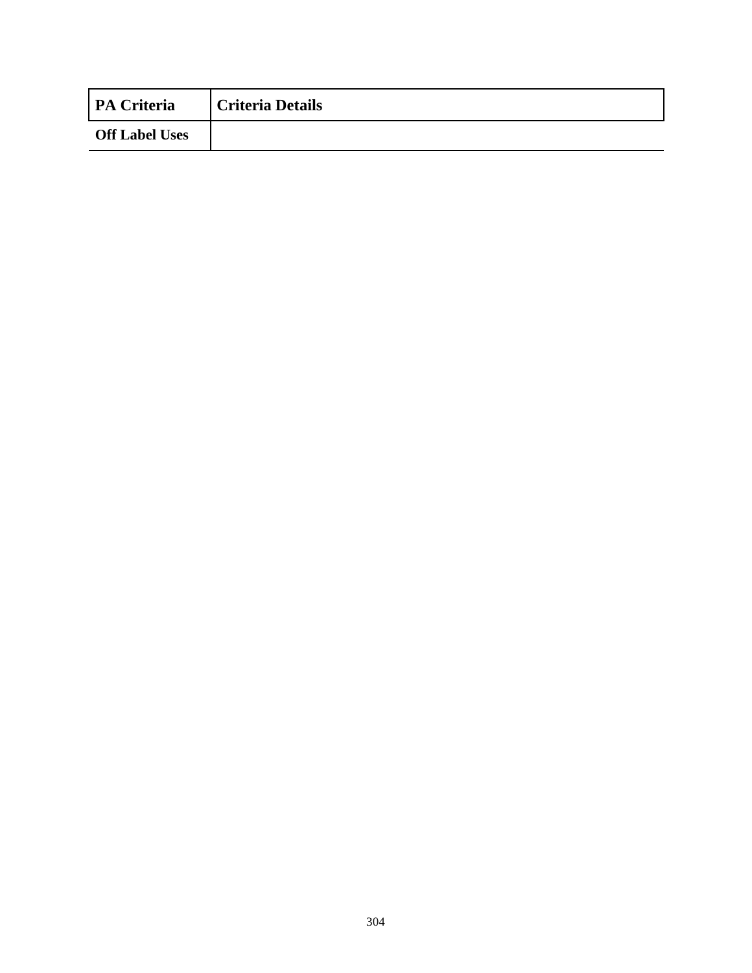| <b>PA Criteria</b>    | <b>Criteria Details</b> |
|-----------------------|-------------------------|
| <b>Off Label Uses</b> |                         |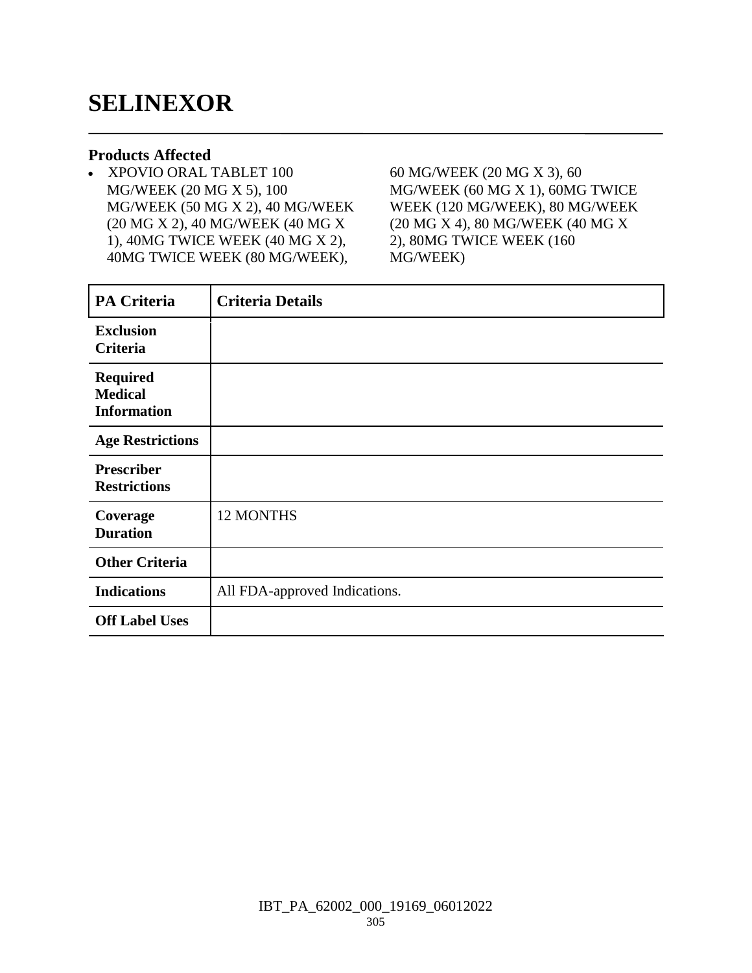### **SELINEXOR**

#### **Products Affected**

 XPOVIO ORAL TABLET 100 MG/WEEK (20 MG X 5), 100 MG/WEEK (50 MG X 2), 40 MG/WEEK (20 MG X 2), 40 MG/WEEK (40 MG X 1), 40MG TWICE WEEK (40 MG X 2), 40MG TWICE WEEK (80 MG/WEEK),

60 MG/WEEK (20 MG X 3), 60 MG/WEEK (60 MG X 1), 60MG TWICE WEEK (120 MG/WEEK), 80 MG/WEEK (20 MG X 4), 80 MG/WEEK (40 MG X 2), 80MG TWICE WEEK (160 MG/WEEK)

| <b>PA Criteria</b>                                      | <b>Criteria Details</b>       |
|---------------------------------------------------------|-------------------------------|
| <b>Exclusion</b><br>Criteria                            |                               |
| <b>Required</b><br><b>Medical</b><br><b>Information</b> |                               |
| <b>Age Restrictions</b>                                 |                               |
| <b>Prescriber</b><br><b>Restrictions</b>                |                               |
| Coverage<br><b>Duration</b>                             | 12 MONTHS                     |
| <b>Other Criteria</b>                                   |                               |
| <b>Indications</b>                                      | All FDA-approved Indications. |
| <b>Off Label Uses</b>                                   |                               |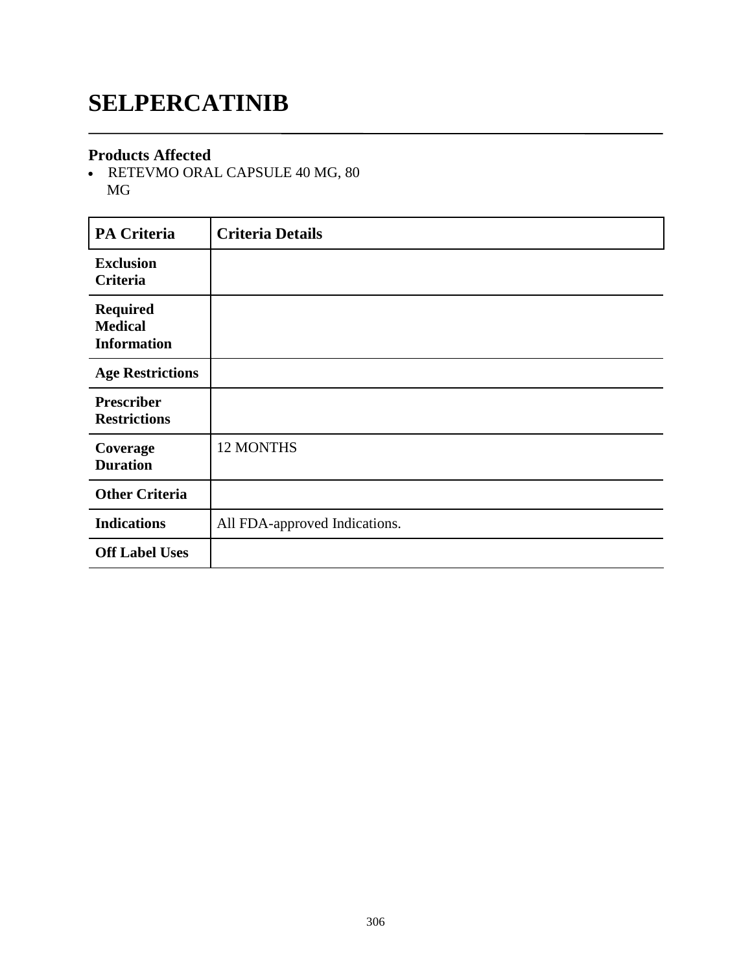# **SELPERCATINIB**

#### **Products Affected**

- RETEVMO ORAL CAPSULE 40 MG, 80 MG

| <b>PA Criteria</b>                                      | <b>Criteria Details</b>       |
|---------------------------------------------------------|-------------------------------|
| <b>Exclusion</b><br><b>Criteria</b>                     |                               |
| <b>Required</b><br><b>Medical</b><br><b>Information</b> |                               |
| <b>Age Restrictions</b>                                 |                               |
| <b>Prescriber</b><br><b>Restrictions</b>                |                               |
| Coverage<br><b>Duration</b>                             | 12 MONTHS                     |
| <b>Other Criteria</b>                                   |                               |
| <b>Indications</b>                                      | All FDA-approved Indications. |
| <b>Off Label Uses</b>                                   |                               |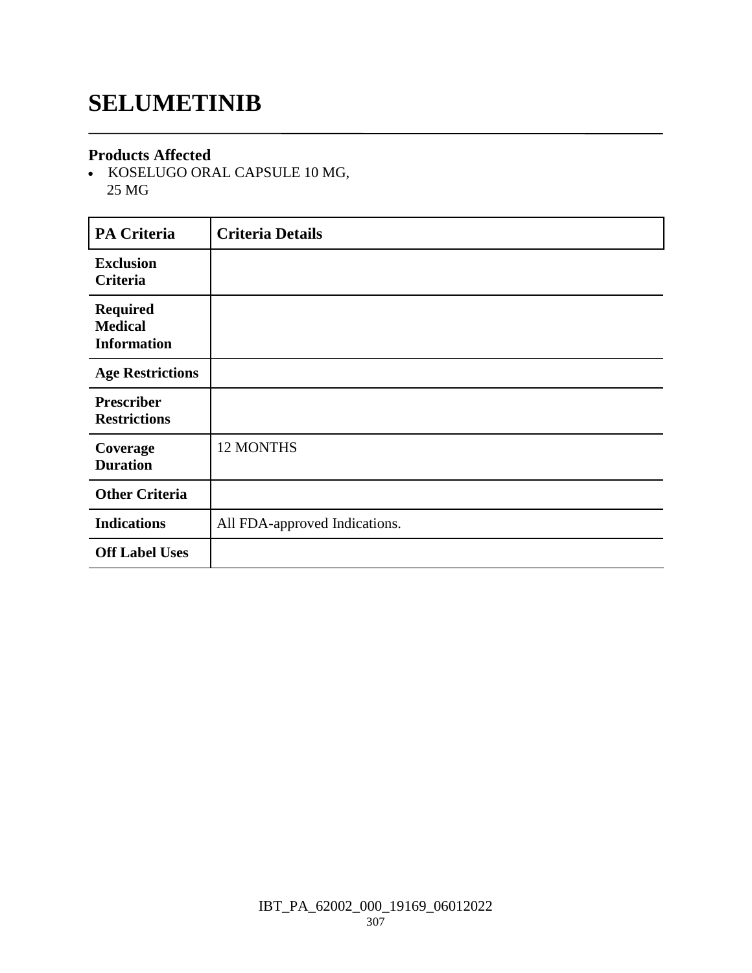### **SELUMETINIB**

#### **Products Affected**

• KOSELUGO ORAL CAPSULE 10 MG, 25 MG

| <b>PA Criteria</b>                                      | <b>Criteria Details</b>       |
|---------------------------------------------------------|-------------------------------|
| <b>Exclusion</b><br>Criteria                            |                               |
| <b>Required</b><br><b>Medical</b><br><b>Information</b> |                               |
| <b>Age Restrictions</b>                                 |                               |
| <b>Prescriber</b><br><b>Restrictions</b>                |                               |
| Coverage<br><b>Duration</b>                             | 12 MONTHS                     |
| <b>Other Criteria</b>                                   |                               |
| <b>Indications</b>                                      | All FDA-approved Indications. |
| <b>Off Label Uses</b>                                   |                               |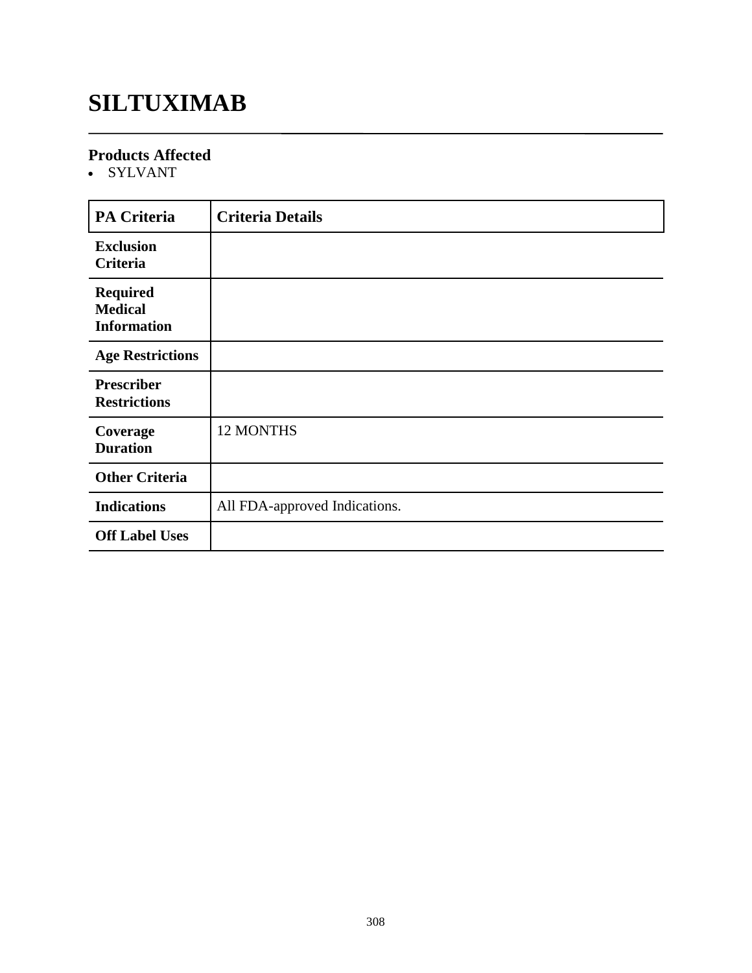### **SILTUXIMAB**

#### **Products Affected**

• SYLVANT

| <b>PA Criteria</b>                                      | <b>Criteria Details</b>       |
|---------------------------------------------------------|-------------------------------|
| <b>Exclusion</b><br>Criteria                            |                               |
| <b>Required</b><br><b>Medical</b><br><b>Information</b> |                               |
| <b>Age Restrictions</b>                                 |                               |
| <b>Prescriber</b><br><b>Restrictions</b>                |                               |
| Coverage<br><b>Duration</b>                             | 12 MONTHS                     |
| <b>Other Criteria</b>                                   |                               |
| <b>Indications</b>                                      | All FDA-approved Indications. |
| <b>Off Label Uses</b>                                   |                               |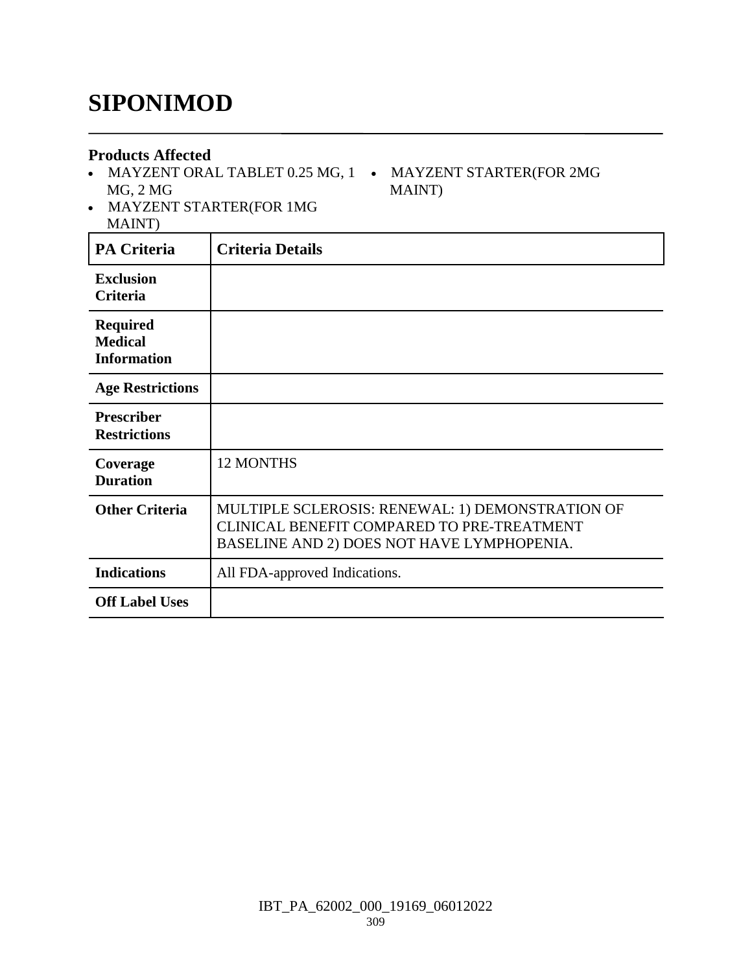### **SIPONIMOD**

#### **Products Affected**

- MAYZENT ORAL TABLET 0.25 MG, 1 MAYZENT STARTER(FOR 2MG MG, 2 MG
- MAYZENT STARTER(FOR 1MG MAINT)

| <b>PA Criteria</b>                                      | <b>Criteria Details</b>                                                                                                                      |
|---------------------------------------------------------|----------------------------------------------------------------------------------------------------------------------------------------------|
| <b>Exclusion</b><br><b>Criteria</b>                     |                                                                                                                                              |
| <b>Required</b><br><b>Medical</b><br><b>Information</b> |                                                                                                                                              |
| <b>Age Restrictions</b>                                 |                                                                                                                                              |
| <b>Prescriber</b><br><b>Restrictions</b>                |                                                                                                                                              |
| Coverage<br><b>Duration</b>                             | <b>12 MONTHS</b>                                                                                                                             |
| <b>Other Criteria</b>                                   | MULTIPLE SCLEROSIS: RENEWAL: 1) DEMONSTRATION OF<br>CLINICAL BENEFIT COMPARED TO PRE-TREATMENT<br>BASELINE AND 2) DOES NOT HAVE LYMPHOPENIA. |
| <b>Indications</b>                                      | All FDA-approved Indications.                                                                                                                |
| <b>Off Label Uses</b>                                   |                                                                                                                                              |

MAINT)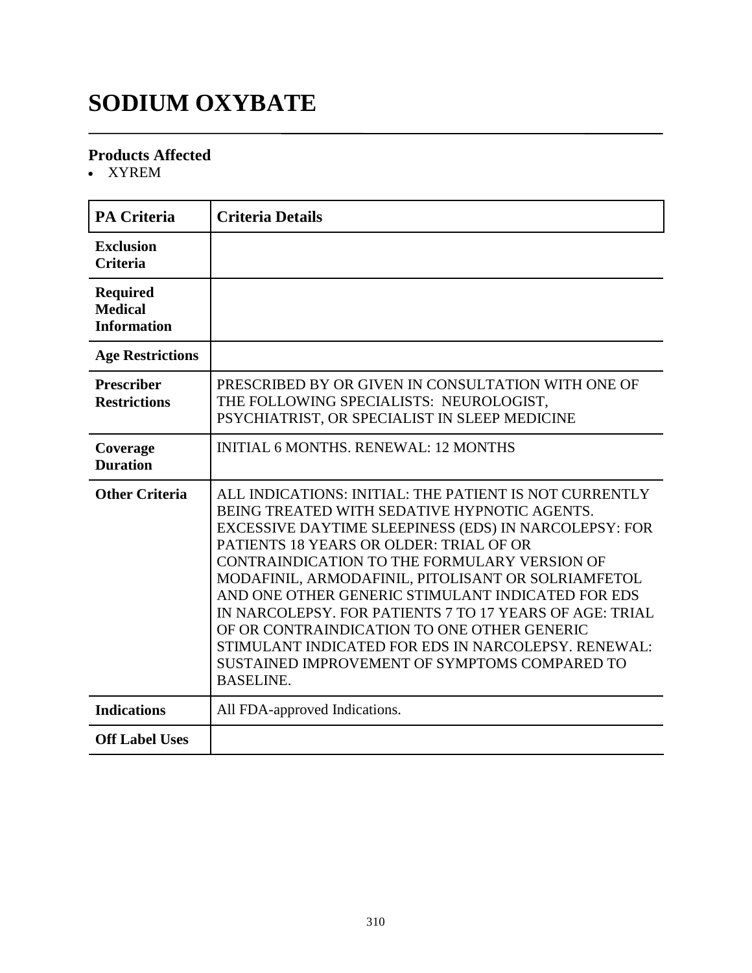### **SODIUM OXYBATE**

#### **Products Affected**

XYREM

| <b>PA Criteria</b>                                      | <b>Criteria Details</b>                                                                                                                                                                                                                                                                                                                                                                                                                                                                                                                                                                                     |
|---------------------------------------------------------|-------------------------------------------------------------------------------------------------------------------------------------------------------------------------------------------------------------------------------------------------------------------------------------------------------------------------------------------------------------------------------------------------------------------------------------------------------------------------------------------------------------------------------------------------------------------------------------------------------------|
| <b>Exclusion</b><br><b>Criteria</b>                     |                                                                                                                                                                                                                                                                                                                                                                                                                                                                                                                                                                                                             |
| <b>Required</b><br><b>Medical</b><br><b>Information</b> |                                                                                                                                                                                                                                                                                                                                                                                                                                                                                                                                                                                                             |
| <b>Age Restrictions</b>                                 |                                                                                                                                                                                                                                                                                                                                                                                                                                                                                                                                                                                                             |
| <b>Prescriber</b><br><b>Restrictions</b>                | PRESCRIBED BY OR GIVEN IN CONSULTATION WITH ONE OF<br>THE FOLLOWING SPECIALISTS: NEUROLOGIST,<br>PSYCHIATRIST, OR SPECIALIST IN SLEEP MEDICINE                                                                                                                                                                                                                                                                                                                                                                                                                                                              |
| Coverage<br><b>Duration</b>                             | <b>INITIAL 6 MONTHS, RENEWAL: 12 MONTHS</b>                                                                                                                                                                                                                                                                                                                                                                                                                                                                                                                                                                 |
| <b>Other Criteria</b>                                   | ALL INDICATIONS: INITIAL: THE PATIENT IS NOT CURRENTLY<br>BEING TREATED WITH SEDATIVE HYPNOTIC AGENTS.<br>EXCESSIVE DAYTIME SLEEPINESS (EDS) IN NARCOLEPSY: FOR<br>PATIENTS 18 YEARS OR OLDER: TRIAL OF OR<br>CONTRAINDICATION TO THE FORMULARY VERSION OF<br>MODAFINIL, ARMODAFINIL, PITOLISANT OR SOLRIAMFETOL<br>AND ONE OTHER GENERIC STIMULANT INDICATED FOR EDS<br>IN NARCOLEPSY. FOR PATIENTS 7 TO 17 YEARS OF AGE: TRIAL<br>OF OR CONTRAINDICATION TO ONE OTHER GENERIC<br>STIMULANT INDICATED FOR EDS IN NARCOLEPSY. RENEWAL:<br>SUSTAINED IMPROVEMENT OF SYMPTOMS COMPARED TO<br><b>BASELINE.</b> |
| <b>Indications</b>                                      | All FDA-approved Indications.                                                                                                                                                                                                                                                                                                                                                                                                                                                                                                                                                                               |
| <b>Off Label Uses</b>                                   |                                                                                                                                                                                                                                                                                                                                                                                                                                                                                                                                                                                                             |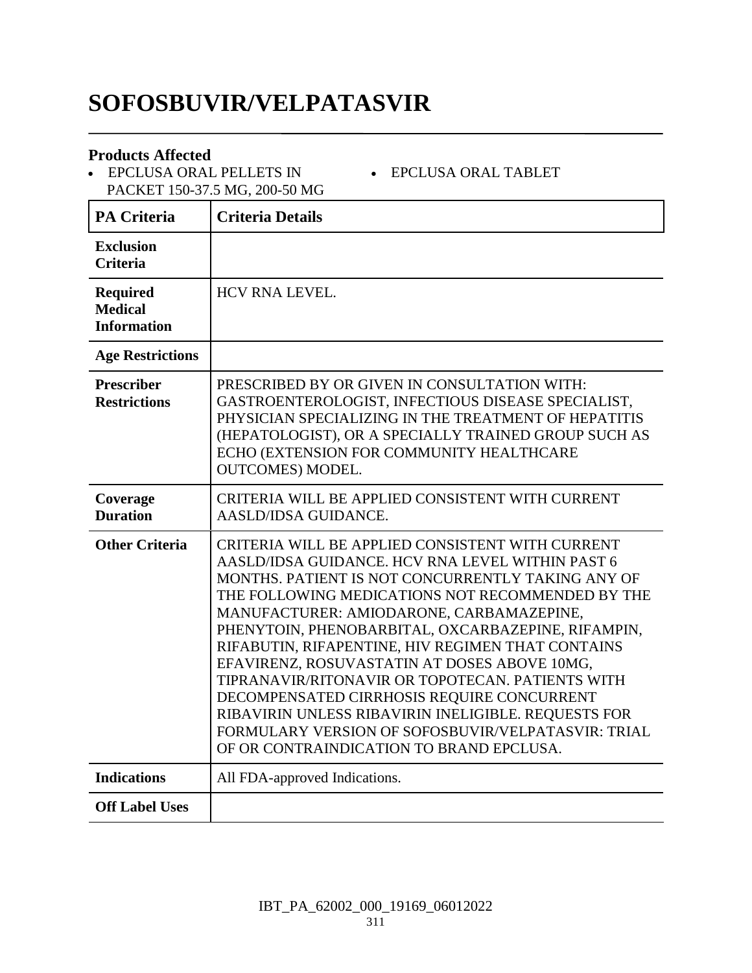### **SOFOSBUVIR/VELPATASVIR**

#### **Products Affected**

 EPCLUSA ORAL PELLETS IN PACKET 150-37.5 MG, 200-50 MG

**PA Criteria Criteria Details Exclusion Criteria Required Medical Information** HCV RNA LEVEL. **Age Restrictions Prescriber Restrictions** PRESCRIBED BY OR GIVEN IN CONSULTATION WITH: GASTROENTEROLOGIST, INFECTIOUS DISEASE SPECIALIST, PHYSICIAN SPECIALIZING IN THE TREATMENT OF HEPATITIS (HEPATOLOGIST), OR A SPECIALLY TRAINED GROUP SUCH AS ECHO (EXTENSION FOR COMMUNITY HEALTHCARE OUTCOMES) MODEL. **Coverage Duration** CRITERIA WILL BE APPLIED CONSISTENT WITH CURRENT AASLD/IDSA GUIDANCE. **Other Criteria** CRITERIA WILL BE APPLIED CONSISTENT WITH CURRENT AASLD/IDSA GUIDANCE. HCV RNA LEVEL WITHIN PAST 6 MONTHS. PATIENT IS NOT CONCURRENTLY TAKING ANY OF THE FOLLOWING MEDICATIONS NOT RECOMMENDED BY THE MANUFACTURER: AMIODARONE, CARBAMAZEPINE, PHENYTOIN, PHENOBARBITAL, OXCARBAZEPINE, RIFAMPIN, RIFABUTIN, RIFAPENTINE, HIV REGIMEN THAT CONTAINS EFAVIRENZ, ROSUVASTATIN AT DOSES ABOVE 10MG, TIPRANAVIR/RITONAVIR OR TOPOTECAN. PATIENTS WITH DECOMPENSATED CIRRHOSIS REQUIRE CONCURRENT RIBAVIRIN UNLESS RIBAVIRIN INELIGIBLE. REQUESTS FOR FORMULARY VERSION OF SOFOSBUVIR/VELPATASVIR: TRIAL OF OR CONTRAINDICATION TO BRAND EPCLUSA. **Indications** All FDA-approved Indications. **Off Label Uses**

EPCLUSA ORAL TABLET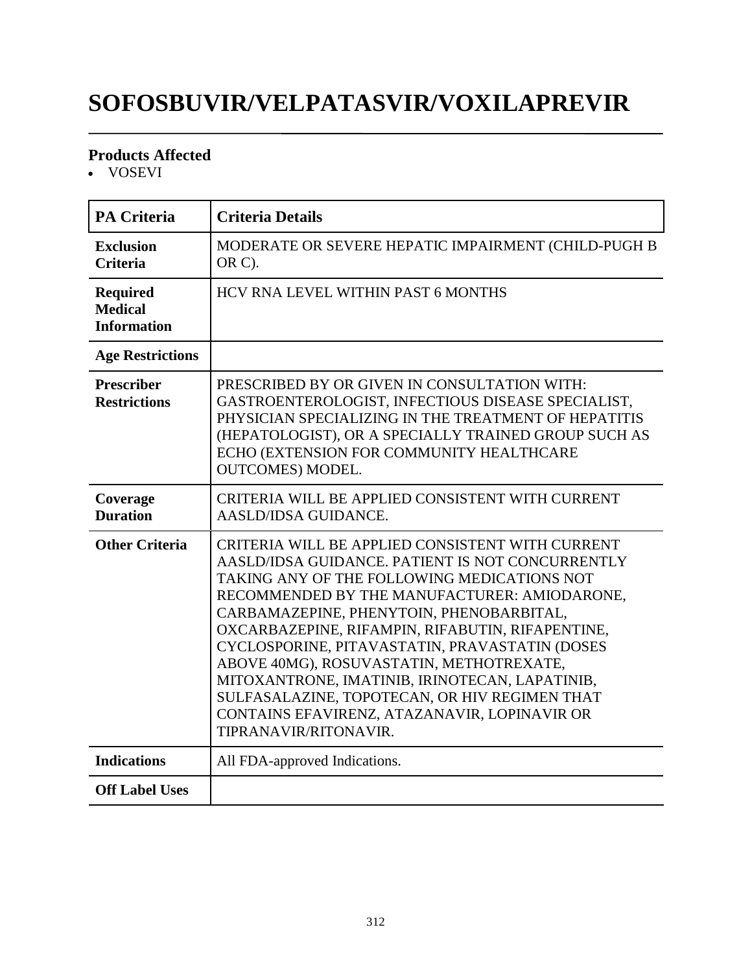# **SOFOSBUVIR/VELPATASVIR/VOXILAPREVIR**

### **Products Affected**

VOSEVI

| <b>PA Criteria</b>                                      | <b>Criteria Details</b>                                                                                                                                                                                                                                                                                                                                                                                                                                                                                                                                                       |
|---------------------------------------------------------|-------------------------------------------------------------------------------------------------------------------------------------------------------------------------------------------------------------------------------------------------------------------------------------------------------------------------------------------------------------------------------------------------------------------------------------------------------------------------------------------------------------------------------------------------------------------------------|
| <b>Exclusion</b><br><b>Criteria</b>                     | MODERATE OR SEVERE HEPATIC IMPAIRMENT (CHILD-PUGH B<br>OR C).                                                                                                                                                                                                                                                                                                                                                                                                                                                                                                                 |
| <b>Required</b><br><b>Medical</b><br><b>Information</b> | HCV RNA LEVEL WITHIN PAST 6 MONTHS                                                                                                                                                                                                                                                                                                                                                                                                                                                                                                                                            |
| <b>Age Restrictions</b>                                 |                                                                                                                                                                                                                                                                                                                                                                                                                                                                                                                                                                               |
| <b>Prescriber</b><br><b>Restrictions</b>                | PRESCRIBED BY OR GIVEN IN CONSULTATION WITH:<br>GASTROENTEROLOGIST, INFECTIOUS DISEASE SPECIALIST,<br>PHYSICIAN SPECIALIZING IN THE TREATMENT OF HEPATITIS<br>(HEPATOLOGIST), OR A SPECIALLY TRAINED GROUP SUCH AS<br>ECHO (EXTENSION FOR COMMUNITY HEALTHCARE<br><b>OUTCOMES) MODEL.</b>                                                                                                                                                                                                                                                                                     |
| Coverage<br><b>Duration</b>                             | CRITERIA WILL BE APPLIED CONSISTENT WITH CURRENT<br>AASLD/IDSA GUIDANCE.                                                                                                                                                                                                                                                                                                                                                                                                                                                                                                      |
| <b>Other Criteria</b>                                   | CRITERIA WILL BE APPLIED CONSISTENT WITH CURRENT<br>AASLD/IDSA GUIDANCE. PATIENT IS NOT CONCURRENTLY<br>TAKING ANY OF THE FOLLOWING MEDICATIONS NOT<br>RECOMMENDED BY THE MANUFACTURER: AMIODARONE,<br>CARBAMAZEPINE, PHENYTOIN, PHENOBARBITAL,<br>OXCARBAZEPINE, RIFAMPIN, RIFABUTIN, RIFAPENTINE,<br>CYCLOSPORINE, PITAVASTATIN, PRAVASTATIN (DOSES<br>ABOVE 40MG), ROSUVASTATIN, METHOTREXATE,<br>MITOXANTRONE, IMATINIB, IRINOTECAN, LAPATINIB,<br>SULFASALAZINE, TOPOTECAN, OR HIV REGIMEN THAT<br>CONTAINS EFAVIRENZ, ATAZANAVIR, LOPINAVIR OR<br>TIPRANAVIR/RITONAVIR. |
| <b>Indications</b>                                      | All FDA-approved Indications.                                                                                                                                                                                                                                                                                                                                                                                                                                                                                                                                                 |
| <b>Off Label Uses</b>                                   |                                                                                                                                                                                                                                                                                                                                                                                                                                                                                                                                                                               |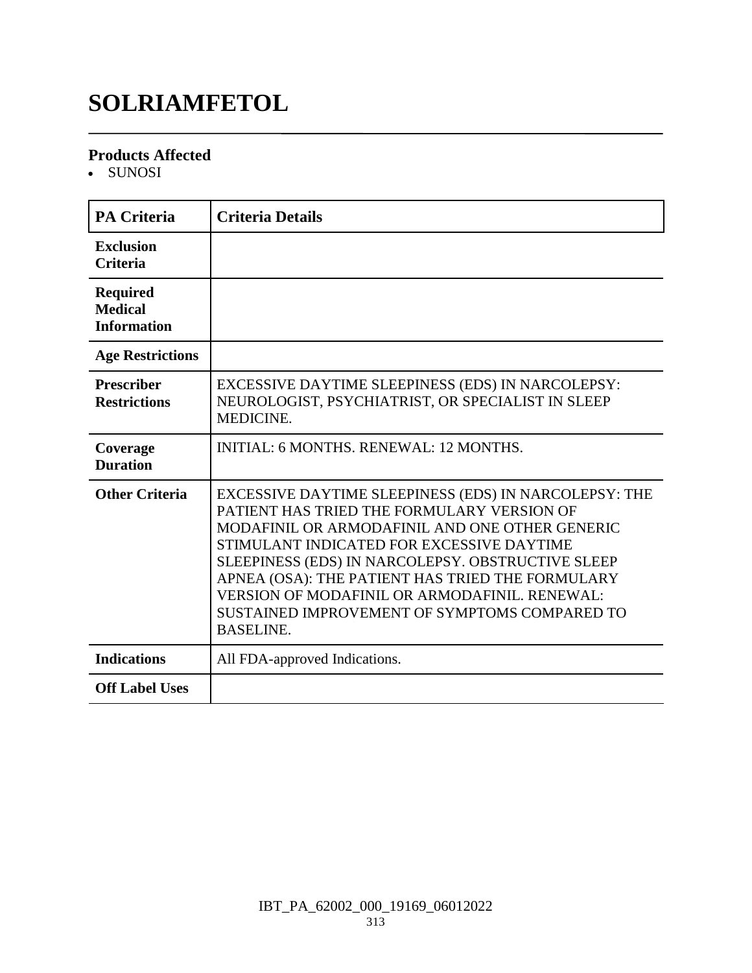### **SOLRIAMFETOL**

#### **Products Affected**

• SUNOSI

| <b>PA Criteria</b>                                      | <b>Criteria Details</b>                                                                                                                                                                                                                                                                                                                                                                                                           |
|---------------------------------------------------------|-----------------------------------------------------------------------------------------------------------------------------------------------------------------------------------------------------------------------------------------------------------------------------------------------------------------------------------------------------------------------------------------------------------------------------------|
| <b>Exclusion</b><br><b>Criteria</b>                     |                                                                                                                                                                                                                                                                                                                                                                                                                                   |
| <b>Required</b><br><b>Medical</b><br><b>Information</b> |                                                                                                                                                                                                                                                                                                                                                                                                                                   |
| <b>Age Restrictions</b>                                 |                                                                                                                                                                                                                                                                                                                                                                                                                                   |
| <b>Prescriber</b><br><b>Restrictions</b>                | EXCESSIVE DAYTIME SLEEPINESS (EDS) IN NARCOLEPSY:<br>NEUROLOGIST, PSYCHIATRIST, OR SPECIALIST IN SLEEP<br>MEDICINE.                                                                                                                                                                                                                                                                                                               |
| Coverage<br><b>Duration</b>                             | INITIAL: 6 MONTHS, RENEWAL: 12 MONTHS.                                                                                                                                                                                                                                                                                                                                                                                            |
| <b>Other Criteria</b>                                   | EXCESSIVE DAYTIME SLEEPINESS (EDS) IN NARCOLEPSY: THE<br>PATIENT HAS TRIED THE FORMULARY VERSION OF<br>MODAFINIL OR ARMODAFINIL AND ONE OTHER GENERIC<br>STIMULANT INDICATED FOR EXCESSIVE DAYTIME<br>SLEEPINESS (EDS) IN NARCOLEPSY. OBSTRUCTIVE SLEEP<br>APNEA (OSA): THE PATIENT HAS TRIED THE FORMULARY<br>VERSION OF MODAFINIL OR ARMODAFINIL. RENEWAL:<br>SUSTAINED IMPROVEMENT OF SYMPTOMS COMPARED TO<br><b>BASELINE.</b> |
| <b>Indications</b>                                      | All FDA-approved Indications.                                                                                                                                                                                                                                                                                                                                                                                                     |
| <b>Off Label Uses</b>                                   |                                                                                                                                                                                                                                                                                                                                                                                                                                   |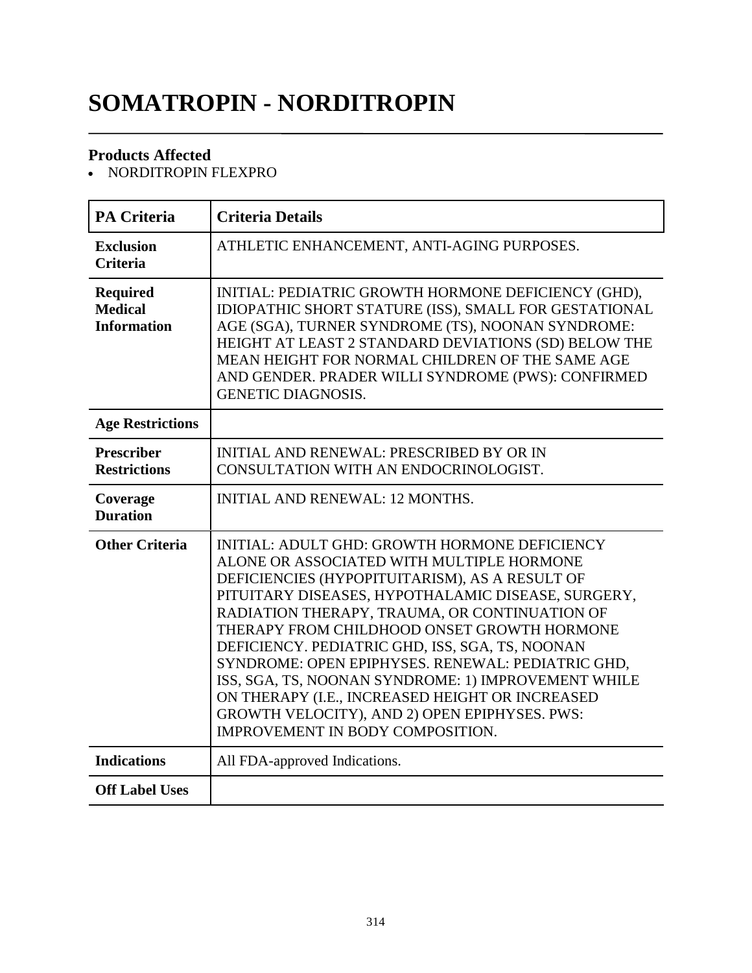# **SOMATROPIN - NORDITROPIN**

### **Products Affected**

• NORDITROPIN FLEXPRO

| <b>PA Criteria</b>                                      | <b>Criteria Details</b>                                                                                                                                                                                                                                                                                                                                                                                                                                                                                                                                                                                   |
|---------------------------------------------------------|-----------------------------------------------------------------------------------------------------------------------------------------------------------------------------------------------------------------------------------------------------------------------------------------------------------------------------------------------------------------------------------------------------------------------------------------------------------------------------------------------------------------------------------------------------------------------------------------------------------|
| <b>Exclusion</b><br><b>Criteria</b>                     | ATHLETIC ENHANCEMENT, ANTI-AGING PURPOSES.                                                                                                                                                                                                                                                                                                                                                                                                                                                                                                                                                                |
| <b>Required</b><br><b>Medical</b><br><b>Information</b> | INITIAL: PEDIATRIC GROWTH HORMONE DEFICIENCY (GHD),<br>IDIOPATHIC SHORT STATURE (ISS), SMALL FOR GESTATIONAL<br>AGE (SGA), TURNER SYNDROME (TS), NOONAN SYNDROME:<br>HEIGHT AT LEAST 2 STANDARD DEVIATIONS (SD) BELOW THE<br>MEAN HEIGHT FOR NORMAL CHILDREN OF THE SAME AGE<br>AND GENDER. PRADER WILLI SYNDROME (PWS): CONFIRMED<br><b>GENETIC DIAGNOSIS.</b>                                                                                                                                                                                                                                           |
| <b>Age Restrictions</b>                                 |                                                                                                                                                                                                                                                                                                                                                                                                                                                                                                                                                                                                           |
| <b>Prescriber</b><br><b>Restrictions</b>                | <b>INITIAL AND RENEWAL: PRESCRIBED BY OR IN</b><br>CONSULTATION WITH AN ENDOCRINOLOGIST.                                                                                                                                                                                                                                                                                                                                                                                                                                                                                                                  |
| Coverage<br><b>Duration</b>                             | <b>INITIAL AND RENEWAL: 12 MONTHS.</b>                                                                                                                                                                                                                                                                                                                                                                                                                                                                                                                                                                    |
| <b>Other Criteria</b>                                   | INITIAL: ADULT GHD: GROWTH HORMONE DEFICIENCY<br>ALONE OR ASSOCIATED WITH MULTIPLE HORMONE<br>DEFICIENCIES (HYPOPITUITARISM), AS A RESULT OF<br>PITUITARY DISEASES, HYPOTHALAMIC DISEASE, SURGERY,<br>RADIATION THERAPY, TRAUMA, OR CONTINUATION OF<br>THERAPY FROM CHILDHOOD ONSET GROWTH HORMONE<br>DEFICIENCY. PEDIATRIC GHD, ISS, SGA, TS, NOONAN<br>SYNDROME: OPEN EPIPHYSES. RENEWAL: PEDIATRIC GHD,<br>ISS, SGA, TS, NOONAN SYNDROME: 1) IMPROVEMENT WHILE<br>ON THERAPY (I.E., INCREASED HEIGHT OR INCREASED<br>GROWTH VELOCITY), AND 2) OPEN EPIPHYSES. PWS:<br>IMPROVEMENT IN BODY COMPOSITION. |
| <b>Indications</b>                                      | All FDA-approved Indications.                                                                                                                                                                                                                                                                                                                                                                                                                                                                                                                                                                             |
| <b>Off Label Uses</b>                                   |                                                                                                                                                                                                                                                                                                                                                                                                                                                                                                                                                                                                           |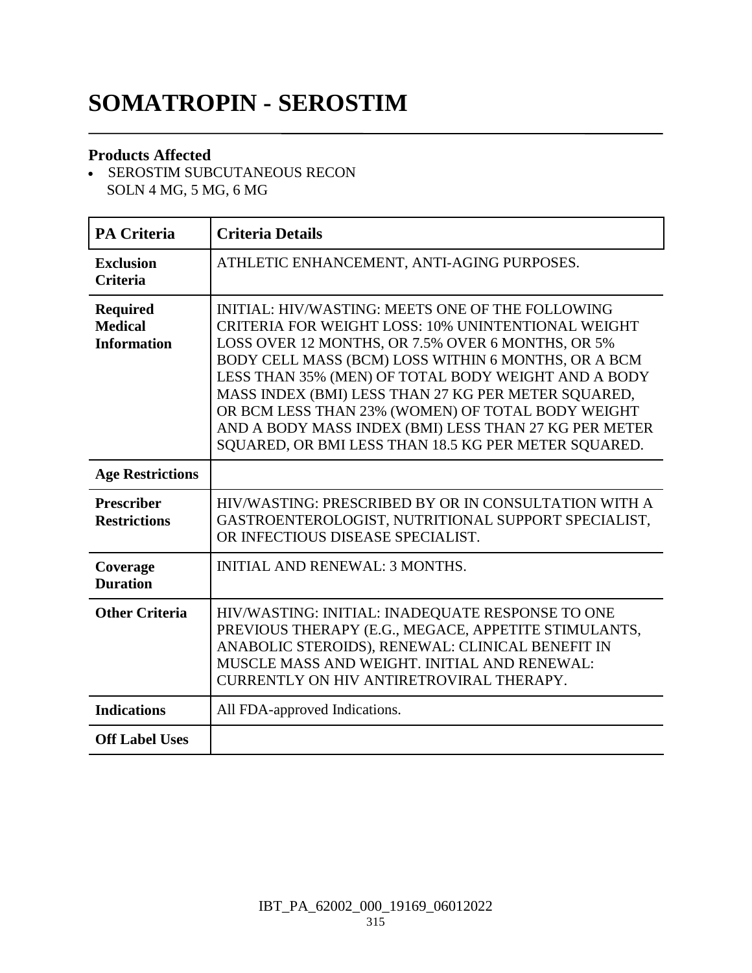# **SOMATROPIN - SEROSTIM**

### **Products Affected**

- SEROSTIM SUBCUTANEOUS RECON SOLN 4 MG, 5 MG, 6 MG

| <b>PA Criteria</b>                                      | <b>Criteria Details</b>                                                                                                                                                                                                                                                                                                                                                                                                                                                                                |
|---------------------------------------------------------|--------------------------------------------------------------------------------------------------------------------------------------------------------------------------------------------------------------------------------------------------------------------------------------------------------------------------------------------------------------------------------------------------------------------------------------------------------------------------------------------------------|
| <b>Exclusion</b><br><b>Criteria</b>                     | ATHLETIC ENHANCEMENT, ANTI-AGING PURPOSES.                                                                                                                                                                                                                                                                                                                                                                                                                                                             |
| <b>Required</b><br><b>Medical</b><br><b>Information</b> | INITIAL: HIV/WASTING: MEETS ONE OF THE FOLLOWING<br>CRITERIA FOR WEIGHT LOSS: 10% UNINTENTIONAL WEIGHT<br>LOSS OVER 12 MONTHS, OR 7.5% OVER 6 MONTHS, OR 5%<br>BODY CELL MASS (BCM) LOSS WITHIN 6 MONTHS, OR A BCM<br>LESS THAN 35% (MEN) OF TOTAL BODY WEIGHT AND A BODY<br>MASS INDEX (BMI) LESS THAN 27 KG PER METER SQUARED,<br>OR BCM LESS THAN 23% (WOMEN) OF TOTAL BODY WEIGHT<br>AND A BODY MASS INDEX (BMI) LESS THAN 27 KG PER METER<br>SQUARED, OR BMI LESS THAN 18.5 KG PER METER SQUARED. |
| <b>Age Restrictions</b>                                 |                                                                                                                                                                                                                                                                                                                                                                                                                                                                                                        |
| <b>Prescriber</b><br><b>Restrictions</b>                | HIV/WASTING: PRESCRIBED BY OR IN CONSULTATION WITH A<br>GASTROENTEROLOGIST, NUTRITIONAL SUPPORT SPECIALIST,<br>OR INFECTIOUS DISEASE SPECIALIST.                                                                                                                                                                                                                                                                                                                                                       |
| Coverage<br><b>Duration</b>                             | <b>INITIAL AND RENEWAL: 3 MONTHS.</b>                                                                                                                                                                                                                                                                                                                                                                                                                                                                  |
| <b>Other Criteria</b>                                   | HIV/WASTING: INITIAL: INADEQUATE RESPONSE TO ONE<br>PREVIOUS THERAPY (E.G., MEGACE, APPETITE STIMULANTS,<br>ANABOLIC STEROIDS), RENEWAL: CLINICAL BENEFIT IN<br>MUSCLE MASS AND WEIGHT. INITIAL AND RENEWAL:<br>CURRENTLY ON HIV ANTIRETROVIRAL THERAPY.                                                                                                                                                                                                                                               |
| <b>Indications</b>                                      | All FDA-approved Indications.                                                                                                                                                                                                                                                                                                                                                                                                                                                                          |
| <b>Off Label Uses</b>                                   |                                                                                                                                                                                                                                                                                                                                                                                                                                                                                                        |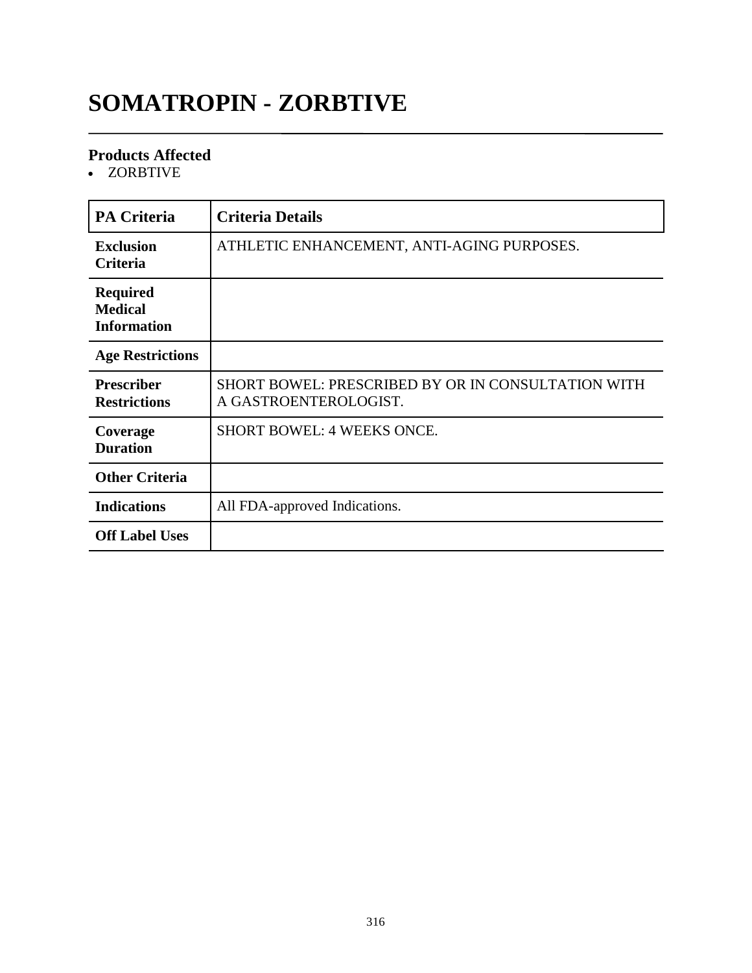### **SOMATROPIN - ZORBTIVE**

#### **Products Affected**

ZORBTIVE

| <b>PA Criteria</b>                                      | <b>Criteria Details</b>                                                     |
|---------------------------------------------------------|-----------------------------------------------------------------------------|
| <b>Exclusion</b><br>Criteria                            | ATHLETIC ENHANCEMENT, ANTI-AGING PURPOSES.                                  |
| <b>Required</b><br><b>Medical</b><br><b>Information</b> |                                                                             |
| <b>Age Restrictions</b>                                 |                                                                             |
| <b>Prescriber</b><br><b>Restrictions</b>                | SHORT BOWEL: PRESCRIBED BY OR IN CONSULTATION WITH<br>A GASTROENTEROLOGIST. |
| Coverage<br><b>Duration</b>                             | <b>SHORT BOWEL: 4 WEEKS ONCE.</b>                                           |
| <b>Other Criteria</b>                                   |                                                                             |
| <b>Indications</b>                                      | All FDA-approved Indications.                                               |
| <b>Off Label Uses</b>                                   |                                                                             |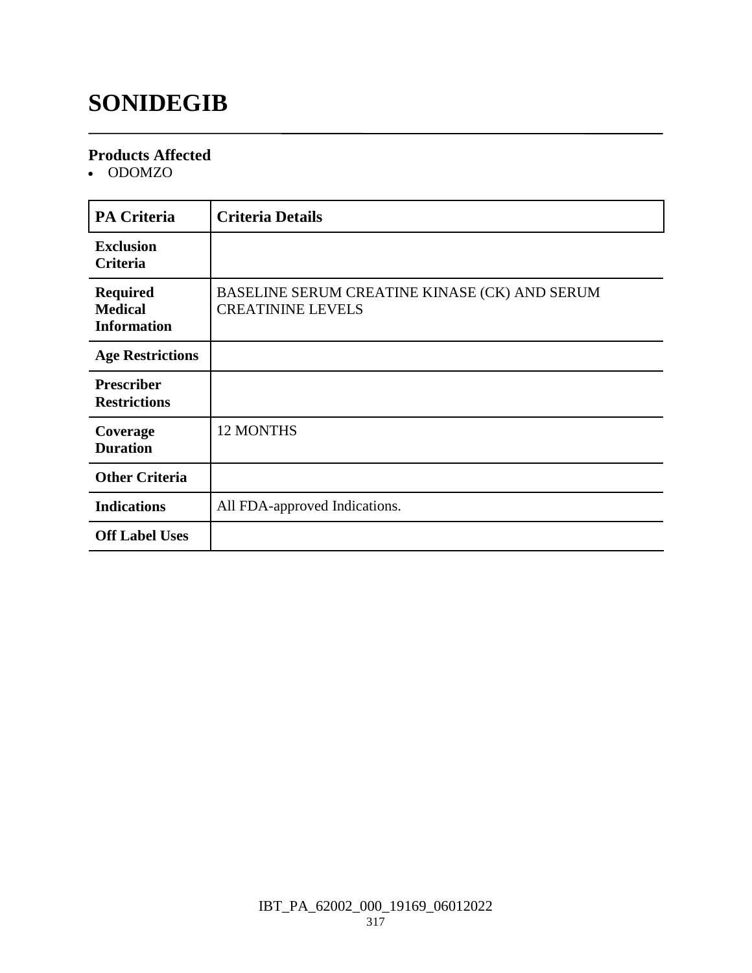### **SONIDEGIB**

#### **Products Affected**

• ODOMZO

| <b>PA Criteria</b>                                      | <b>Criteria Details</b>                                                   |
|---------------------------------------------------------|---------------------------------------------------------------------------|
| <b>Exclusion</b><br><b>Criteria</b>                     |                                                                           |
| <b>Required</b><br><b>Medical</b><br><b>Information</b> | BASELINE SERUM CREATINE KINASE (CK) AND SERUM<br><b>CREATININE LEVELS</b> |
| <b>Age Restrictions</b>                                 |                                                                           |
| <b>Prescriber</b><br><b>Restrictions</b>                |                                                                           |
| Coverage<br><b>Duration</b>                             | 12 MONTHS                                                                 |
| <b>Other Criteria</b>                                   |                                                                           |
| <b>Indications</b>                                      | All FDA-approved Indications.                                             |
| <b>Off Label Uses</b>                                   |                                                                           |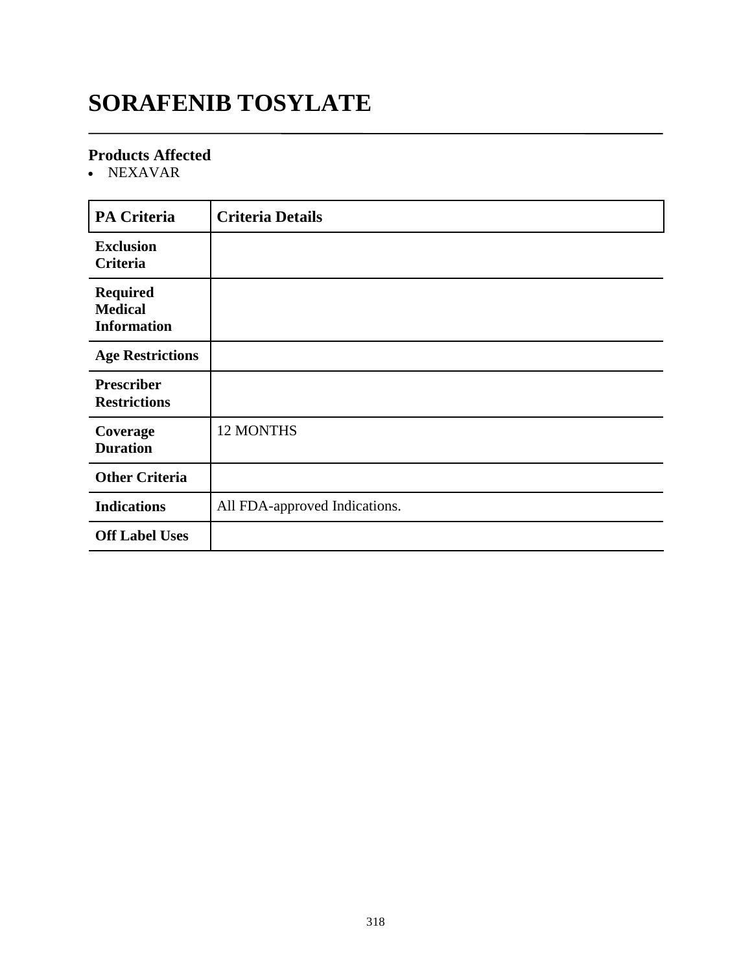### **SORAFENIB TOSYLATE**

#### **Products Affected**

NEXAVAR

| PA Criteria                                             | <b>Criteria Details</b>       |
|---------------------------------------------------------|-------------------------------|
| <b>Exclusion</b><br>Criteria                            |                               |
| <b>Required</b><br><b>Medical</b><br><b>Information</b> |                               |
| <b>Age Restrictions</b>                                 |                               |
| <b>Prescriber</b><br><b>Restrictions</b>                |                               |
| Coverage<br><b>Duration</b>                             | 12 MONTHS                     |
| <b>Other Criteria</b>                                   |                               |
| <b>Indications</b>                                      | All FDA-approved Indications. |
| <b>Off Label Uses</b>                                   |                               |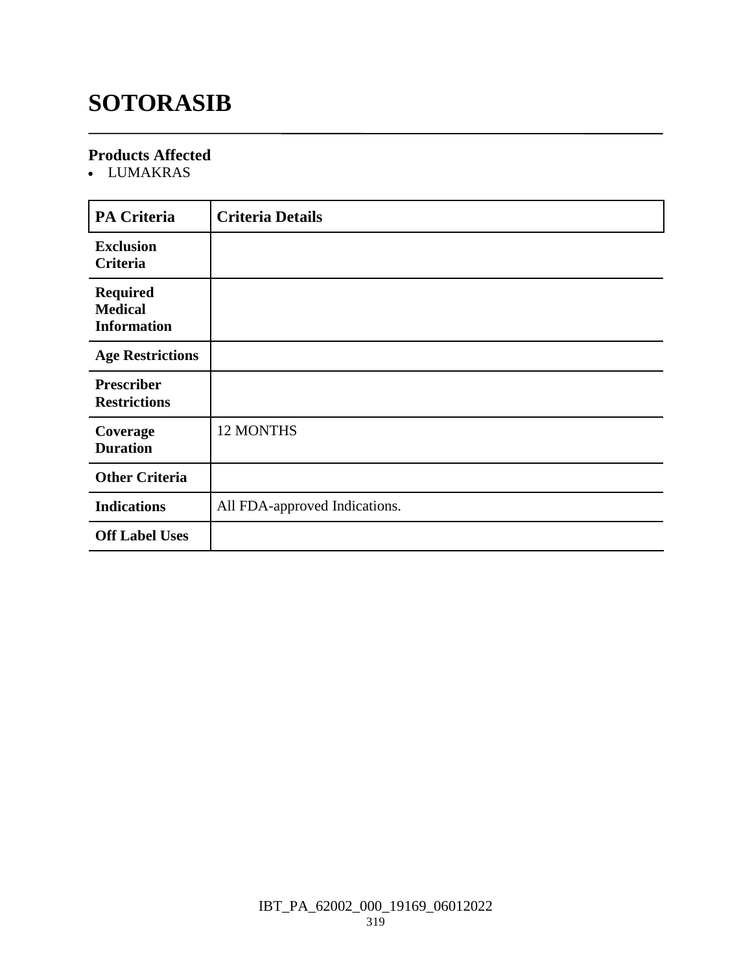## **SOTORASIB**

### **Products Affected**

LUMAKRAS

| <b>PA Criteria</b>                                      | <b>Criteria Details</b>       |
|---------------------------------------------------------|-------------------------------|
| <b>Exclusion</b><br>Criteria                            |                               |
| <b>Required</b><br><b>Medical</b><br><b>Information</b> |                               |
| <b>Age Restrictions</b>                                 |                               |
| <b>Prescriber</b><br><b>Restrictions</b>                |                               |
| Coverage<br><b>Duration</b>                             | <b>12 MONTHS</b>              |
| <b>Other Criteria</b>                                   |                               |
| <b>Indications</b>                                      | All FDA-approved Indications. |
| <b>Off Label Uses</b>                                   |                               |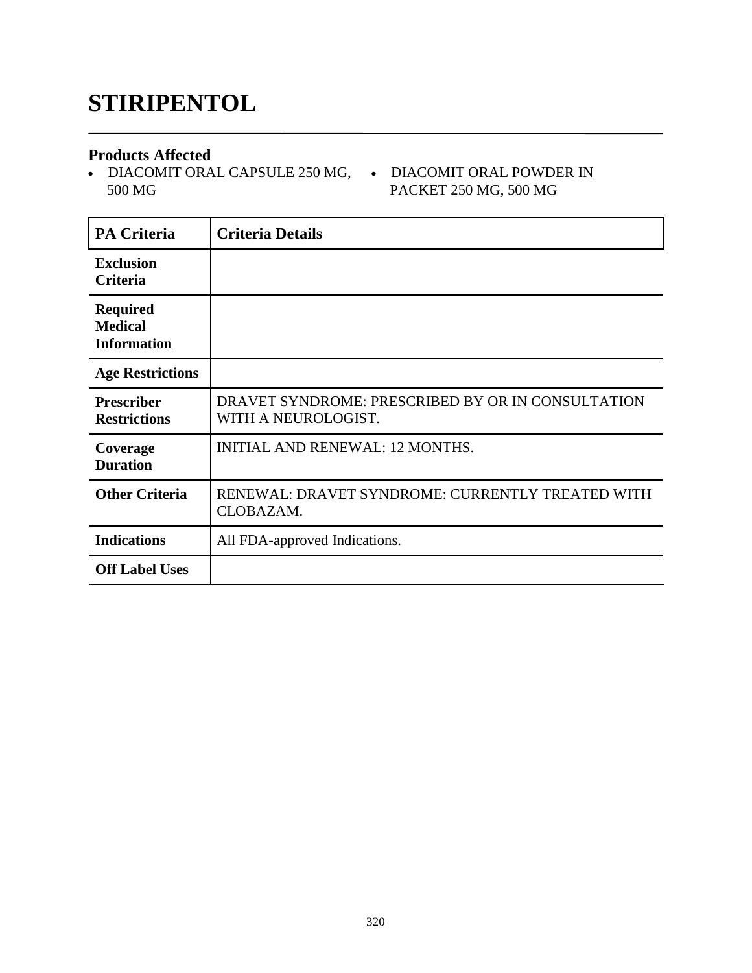### **STIRIPENTOL**

#### **Products Affected**

• DIACOMIT ORAL CAPSULE 250 MG, • DIACOMIT ORAL POWDER IN 500 MG

# PACKET 250 MG, 500 MG

| <b>PA Criteria</b>                                      | <b>Criteria Details</b>                                                  |
|---------------------------------------------------------|--------------------------------------------------------------------------|
| <b>Exclusion</b><br><b>Criteria</b>                     |                                                                          |
| <b>Required</b><br><b>Medical</b><br><b>Information</b> |                                                                          |
| <b>Age Restrictions</b>                                 |                                                                          |
| <b>Prescriber</b><br><b>Restrictions</b>                | DRAVET SYNDROME: PRESCRIBED BY OR IN CONSULTATION<br>WITH A NEUROLOGIST. |
| Coverage<br><b>Duration</b>                             | <b>INITIAL AND RENEWAL: 12 MONTHS.</b>                                   |
| <b>Other Criteria</b>                                   | RENEWAL: DRAVET SYNDROME: CURRENTLY TREATED WITH<br>CLOBAZAM.            |
| <b>Indications</b>                                      | All FDA-approved Indications.                                            |
| <b>Off Label Uses</b>                                   |                                                                          |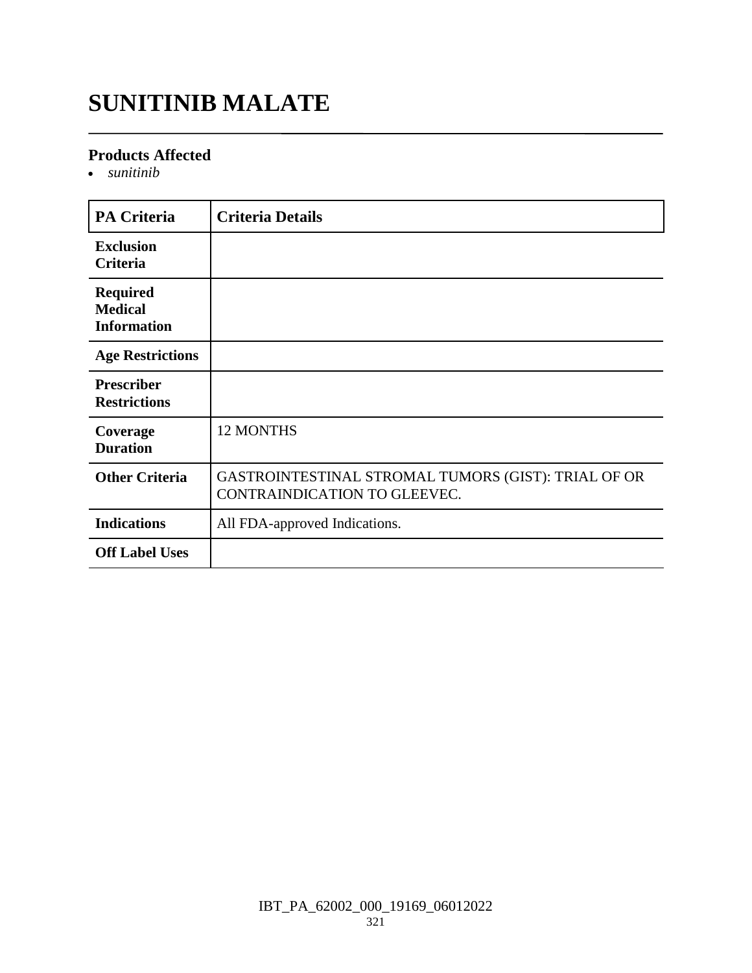### **SUNITINIB MALATE**

#### **Products Affected**

*sunitinib*

| <b>PA Criteria</b>                                      | <b>Criteria Details</b>                                                             |
|---------------------------------------------------------|-------------------------------------------------------------------------------------|
| <b>Exclusion</b><br>Criteria                            |                                                                                     |
| <b>Required</b><br><b>Medical</b><br><b>Information</b> |                                                                                     |
| <b>Age Restrictions</b>                                 |                                                                                     |
| <b>Prescriber</b><br><b>Restrictions</b>                |                                                                                     |
| Coverage<br><b>Duration</b>                             | <b>12 MONTHS</b>                                                                    |
| <b>Other Criteria</b>                                   | GASTROINTESTINAL STROMAL TUMORS (GIST): TRIAL OF OR<br>CONTRAINDICATION TO GLEEVEC. |
| <b>Indications</b>                                      | All FDA-approved Indications.                                                       |
| <b>Off Label Uses</b>                                   |                                                                                     |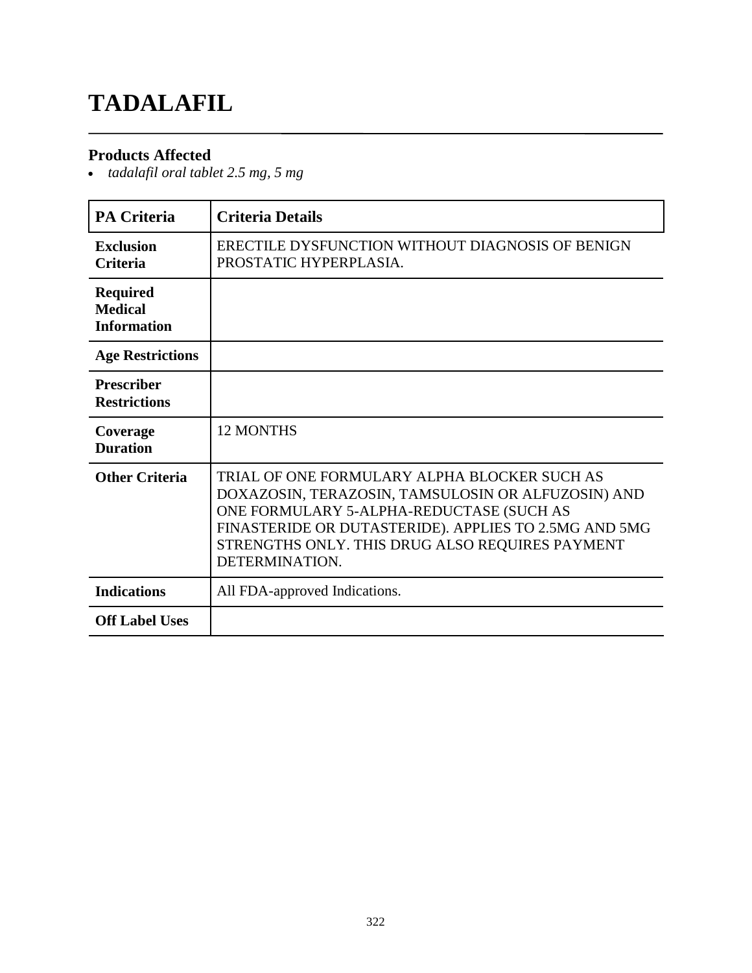### **TADALAFIL**

### **Products Affected**

*tadalafil oral tablet 2.5 mg, 5 mg*

| <b>PA Criteria</b>                                      | <b>Criteria Details</b>                                                                                                                                                                                                                                                      |
|---------------------------------------------------------|------------------------------------------------------------------------------------------------------------------------------------------------------------------------------------------------------------------------------------------------------------------------------|
| <b>Exclusion</b><br><b>Criteria</b>                     | ERECTILE DYSFUNCTION WITHOUT DIAGNOSIS OF BENIGN<br>PROSTATIC HYPERPLASIA.                                                                                                                                                                                                   |
| <b>Required</b><br><b>Medical</b><br><b>Information</b> |                                                                                                                                                                                                                                                                              |
| <b>Age Restrictions</b>                                 |                                                                                                                                                                                                                                                                              |
| <b>Prescriber</b><br><b>Restrictions</b>                |                                                                                                                                                                                                                                                                              |
| Coverage<br><b>Duration</b>                             | <b>12 MONTHS</b>                                                                                                                                                                                                                                                             |
| <b>Other Criteria</b>                                   | TRIAL OF ONE FORMULARY ALPHA BLOCKER SUCH AS<br>DOXAZOSIN, TERAZOSIN, TAMSULOSIN OR ALFUZOSIN) AND<br>ONE FORMULARY 5-ALPHA-REDUCTASE (SUCH AS<br>FINASTERIDE OR DUTASTERIDE). APPLIES TO 2.5MG AND 5MG<br>STRENGTHS ONLY. THIS DRUG ALSO REQUIRES PAYMENT<br>DETERMINATION. |
| <b>Indications</b>                                      | All FDA-approved Indications.                                                                                                                                                                                                                                                |
| <b>Off Label Uses</b>                                   |                                                                                                                                                                                                                                                                              |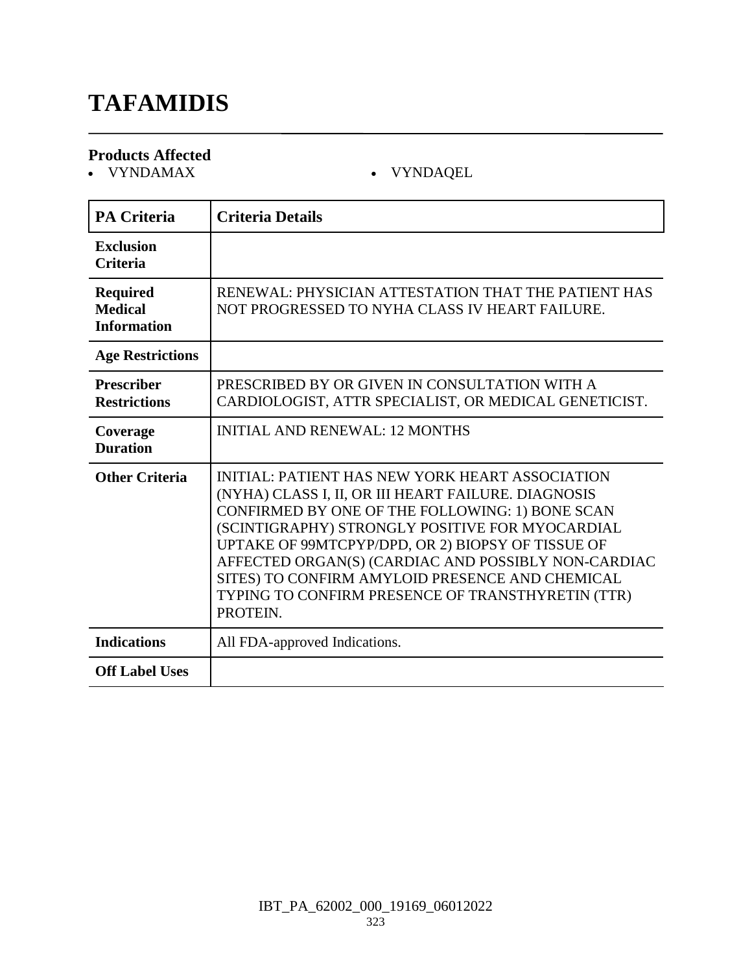### **TAFAMIDIS**

# **Products Affected**

### $\bullet$  VYNDAQEL

| <b>PA Criteria</b>                               | <b>Criteria Details</b>                                                                                                                                                                                                                                                                                                                                                                                                                             |
|--------------------------------------------------|-----------------------------------------------------------------------------------------------------------------------------------------------------------------------------------------------------------------------------------------------------------------------------------------------------------------------------------------------------------------------------------------------------------------------------------------------------|
| <b>Exclusion</b><br><b>Criteria</b>              |                                                                                                                                                                                                                                                                                                                                                                                                                                                     |
| Required<br><b>Medical</b><br><b>Information</b> | RENEWAL: PHYSICIAN ATTESTATION THAT THE PATIENT HAS<br>NOT PROGRESSED TO NYHA CLASS IV HEART FAILURE.                                                                                                                                                                                                                                                                                                                                               |
| <b>Age Restrictions</b>                          |                                                                                                                                                                                                                                                                                                                                                                                                                                                     |
| <b>Prescriber</b><br><b>Restrictions</b>         | PRESCRIBED BY OR GIVEN IN CONSULTATION WITH A<br>CARDIOLOGIST, ATTR SPECIALIST, OR MEDICAL GENETICIST.                                                                                                                                                                                                                                                                                                                                              |
| Coverage<br><b>Duration</b>                      | <b>INITIAL AND RENEWAL: 12 MONTHS</b>                                                                                                                                                                                                                                                                                                                                                                                                               |
| <b>Other Criteria</b>                            | <b>INITIAL: PATIENT HAS NEW YORK HEART ASSOCIATION</b><br>(NYHA) CLASS I, II, OR III HEART FAILURE. DIAGNOSIS<br>CONFIRMED BY ONE OF THE FOLLOWING: 1) BONE SCAN<br>(SCINTIGRAPHY) STRONGLY POSITIVE FOR MYOCARDIAL<br>UPTAKE OF 99MTCPYP/DPD, OR 2) BIOPSY OF TISSUE OF<br>AFFECTED ORGAN(S) (CARDIAC AND POSSIBLY NON-CARDIAC<br>SITES) TO CONFIRM AMYLOID PRESENCE AND CHEMICAL<br>TYPING TO CONFIRM PRESENCE OF TRANSTHYRETIN (TTR)<br>PROTEIN. |
| <b>Indications</b>                               | All FDA-approved Indications.                                                                                                                                                                                                                                                                                                                                                                                                                       |
| <b>Off Label Uses</b>                            |                                                                                                                                                                                                                                                                                                                                                                                                                                                     |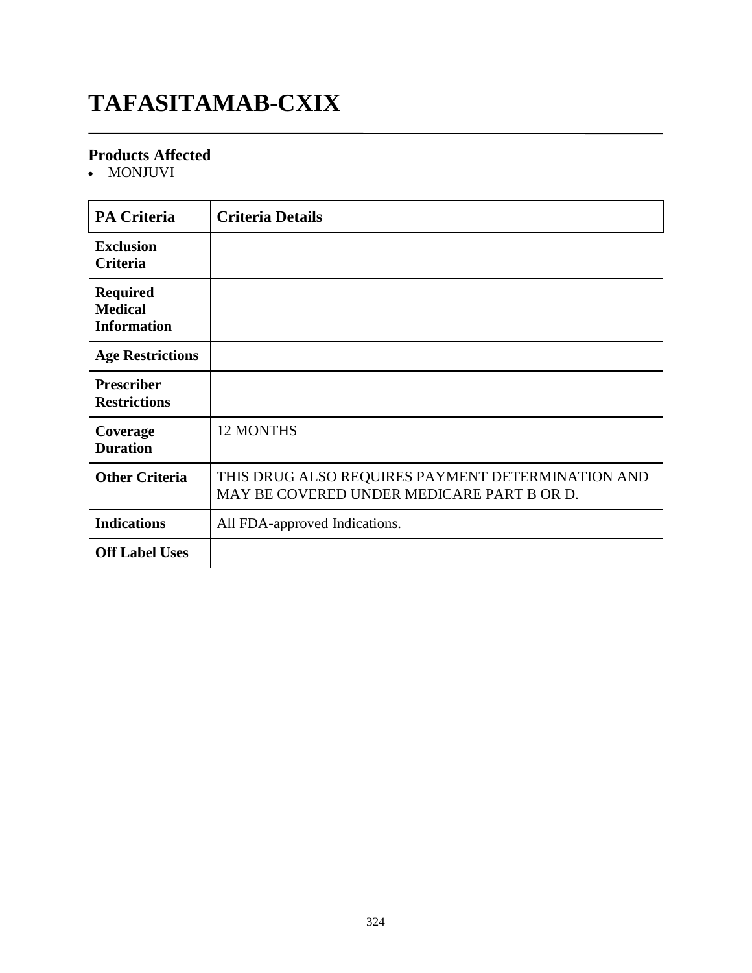### **TAFASITAMAB-CXIX**

### **Products Affected**

• MONJUVI

| <b>PA Criteria</b>                                      | <b>Criteria Details</b>                                                                         |
|---------------------------------------------------------|-------------------------------------------------------------------------------------------------|
| <b>Exclusion</b><br>Criteria                            |                                                                                                 |
| <b>Required</b><br><b>Medical</b><br><b>Information</b> |                                                                                                 |
| <b>Age Restrictions</b>                                 |                                                                                                 |
| <b>Prescriber</b><br><b>Restrictions</b>                |                                                                                                 |
| Coverage<br><b>Duration</b>                             | <b>12 MONTHS</b>                                                                                |
| <b>Other Criteria</b>                                   | THIS DRUG ALSO REQUIRES PAYMENT DETERMINATION AND<br>MAY BE COVERED UNDER MEDICARE PART B OR D. |
| <b>Indications</b>                                      | All FDA-approved Indications.                                                                   |
| <b>Off Label Uses</b>                                   |                                                                                                 |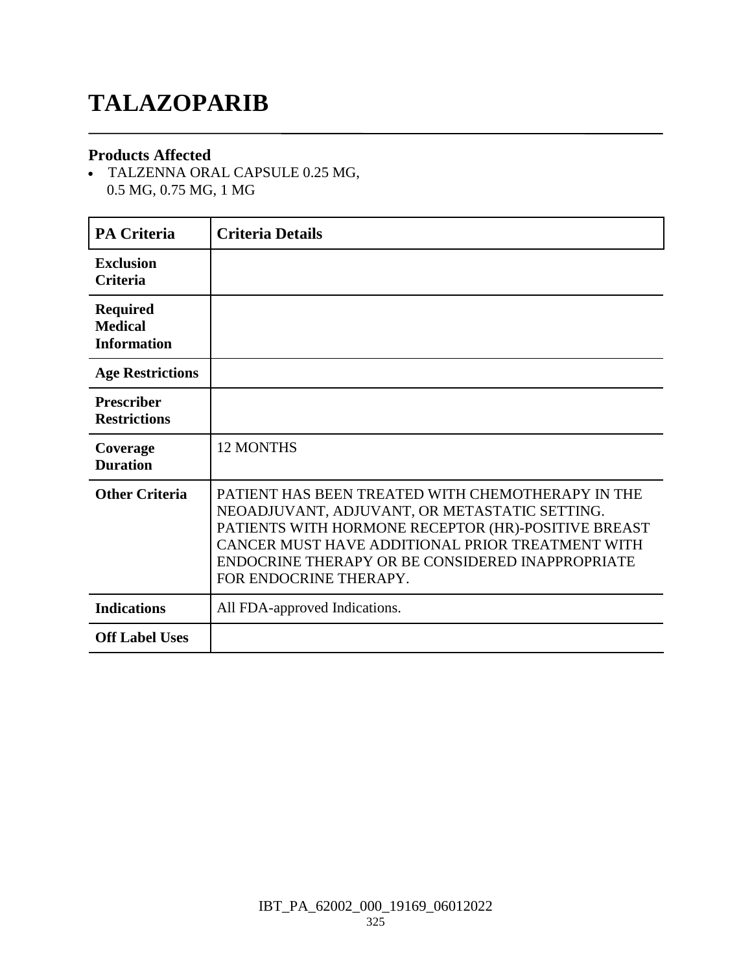# **TALAZOPARIB**

#### **Products Affected**

 TALZENNA ORAL CAPSULE 0.25 MG, 0.5 MG, 0.75 MG, 1 MG

| <b>PA Criteria</b>                                      | <b>Criteria Details</b>                                                                                                                                                                                                                                                                     |
|---------------------------------------------------------|---------------------------------------------------------------------------------------------------------------------------------------------------------------------------------------------------------------------------------------------------------------------------------------------|
| <b>Exclusion</b><br><b>Criteria</b>                     |                                                                                                                                                                                                                                                                                             |
| <b>Required</b><br><b>Medical</b><br><b>Information</b> |                                                                                                                                                                                                                                                                                             |
| <b>Age Restrictions</b>                                 |                                                                                                                                                                                                                                                                                             |
| <b>Prescriber</b><br><b>Restrictions</b>                |                                                                                                                                                                                                                                                                                             |
| Coverage<br><b>Duration</b>                             | <b>12 MONTHS</b>                                                                                                                                                                                                                                                                            |
| <b>Other Criteria</b>                                   | PATIENT HAS BEEN TREATED WITH CHEMOTHERAPY IN THE<br>NEOADJUVANT, ADJUVANT, OR METASTATIC SETTING.<br>PATIENTS WITH HORMONE RECEPTOR (HR)-POSITIVE BREAST<br>CANCER MUST HAVE ADDITIONAL PRIOR TREATMENT WITH<br>ENDOCRINE THERAPY OR BE CONSIDERED INAPPROPRIATE<br>FOR ENDOCRINE THERAPY. |
| <b>Indications</b>                                      | All FDA-approved Indications.                                                                                                                                                                                                                                                               |
| <b>Off Label Uses</b>                                   |                                                                                                                                                                                                                                                                                             |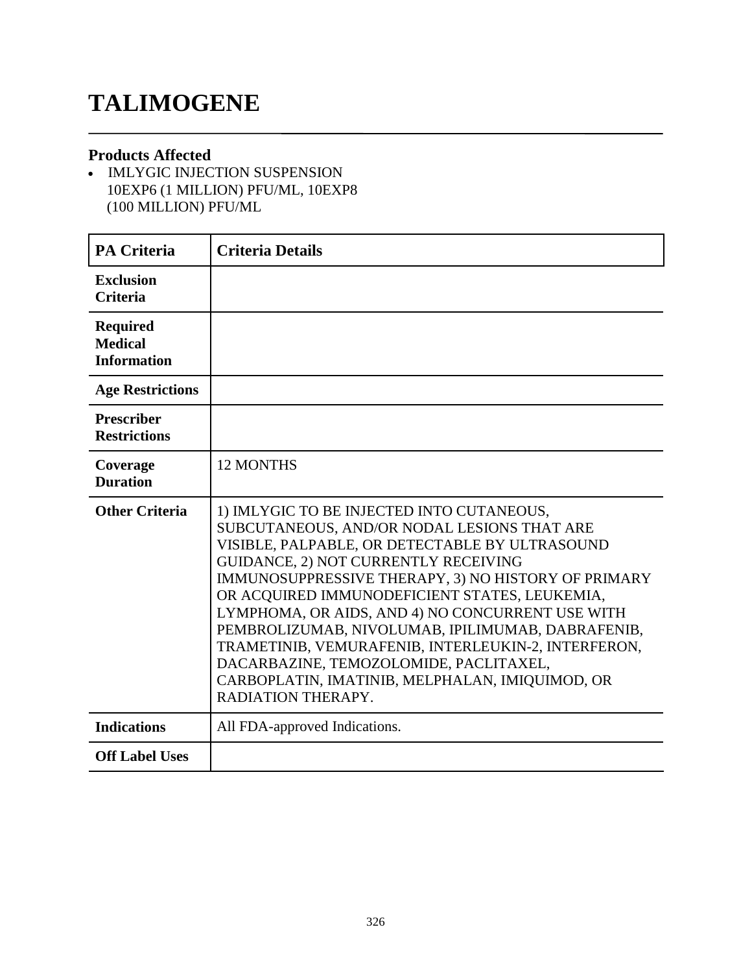# **TALIMOGENE**

#### **Products Affected**

• IMLYGIC INJECTION SUSPENSION 10EXP6 (1 MILLION) PFU/ML, 10EXP8 (100 MILLION) PFU/ML

| <b>PA Criteria</b>                                      | <b>Criteria Details</b>                                                                                                                                                                                                                                                                                                                                                                                                                                                                                                                                                       |
|---------------------------------------------------------|-------------------------------------------------------------------------------------------------------------------------------------------------------------------------------------------------------------------------------------------------------------------------------------------------------------------------------------------------------------------------------------------------------------------------------------------------------------------------------------------------------------------------------------------------------------------------------|
| <b>Exclusion</b><br><b>Criteria</b>                     |                                                                                                                                                                                                                                                                                                                                                                                                                                                                                                                                                                               |
| <b>Required</b><br><b>Medical</b><br><b>Information</b> |                                                                                                                                                                                                                                                                                                                                                                                                                                                                                                                                                                               |
| <b>Age Restrictions</b>                                 |                                                                                                                                                                                                                                                                                                                                                                                                                                                                                                                                                                               |
| <b>Prescriber</b><br><b>Restrictions</b>                |                                                                                                                                                                                                                                                                                                                                                                                                                                                                                                                                                                               |
| Coverage<br><b>Duration</b>                             | <b>12 MONTHS</b>                                                                                                                                                                                                                                                                                                                                                                                                                                                                                                                                                              |
| <b>Other Criteria</b>                                   | 1) IMLYGIC TO BE INJECTED INTO CUTANEOUS,<br>SUBCUTANEOUS, AND/OR NODAL LESIONS THAT ARE<br>VISIBLE, PALPABLE, OR DETECTABLE BY ULTRASOUND<br>GUIDANCE, 2) NOT CURRENTLY RECEIVING<br>IMMUNOSUPPRESSIVE THERAPY, 3) NO HISTORY OF PRIMARY<br>OR ACQUIRED IMMUNODEFICIENT STATES, LEUKEMIA,<br>LYMPHOMA, OR AIDS, AND 4) NO CONCURRENT USE WITH<br>PEMBROLIZUMAB, NIVOLUMAB, IPILIMUMAB, DABRAFENIB,<br>TRAMETINIB, VEMURAFENIB, INTERLEUKIN-2, INTERFERON,<br>DACARBAZINE, TEMOZOLOMIDE, PACLITAXEL,<br>CARBOPLATIN, IMATINIB, MELPHALAN, IMIQUIMOD, OR<br>RADIATION THERAPY. |
| <b>Indications</b>                                      | All FDA-approved Indications.                                                                                                                                                                                                                                                                                                                                                                                                                                                                                                                                                 |
| <b>Off Label Uses</b>                                   |                                                                                                                                                                                                                                                                                                                                                                                                                                                                                                                                                                               |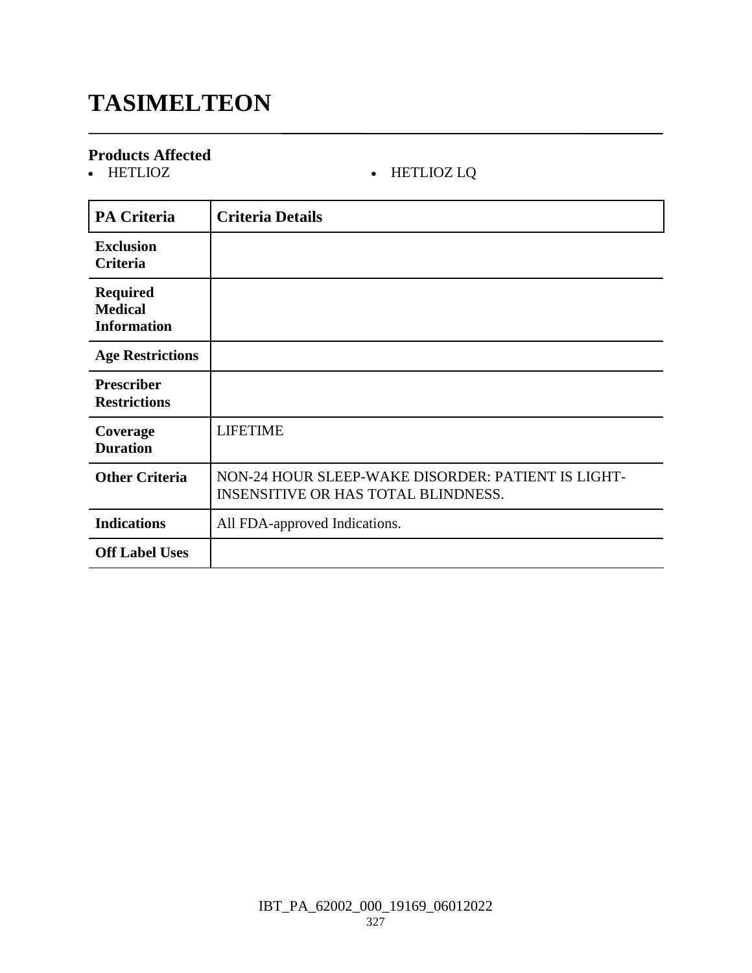# **TASIMELTEON**

# **Products Affected**

#### • HETLIOZ LQ

| <b>PA Criteria</b>                                      | <b>Criteria Details</b>                                                                          |
|---------------------------------------------------------|--------------------------------------------------------------------------------------------------|
| <b>Exclusion</b><br>Criteria                            |                                                                                                  |
| <b>Required</b><br><b>Medical</b><br><b>Information</b> |                                                                                                  |
| <b>Age Restrictions</b>                                 |                                                                                                  |
| <b>Prescriber</b><br><b>Restrictions</b>                |                                                                                                  |
| Coverage<br><b>Duration</b>                             | <b>LIFETIME</b>                                                                                  |
| <b>Other Criteria</b>                                   | NON-24 HOUR SLEEP-WAKE DISORDER: PATIENT IS LIGHT-<br><b>INSENSITIVE OR HAS TOTAL BLINDNESS.</b> |
| <b>Indications</b>                                      | All FDA-approved Indications.                                                                    |
| <b>Off Label Uses</b>                                   |                                                                                                  |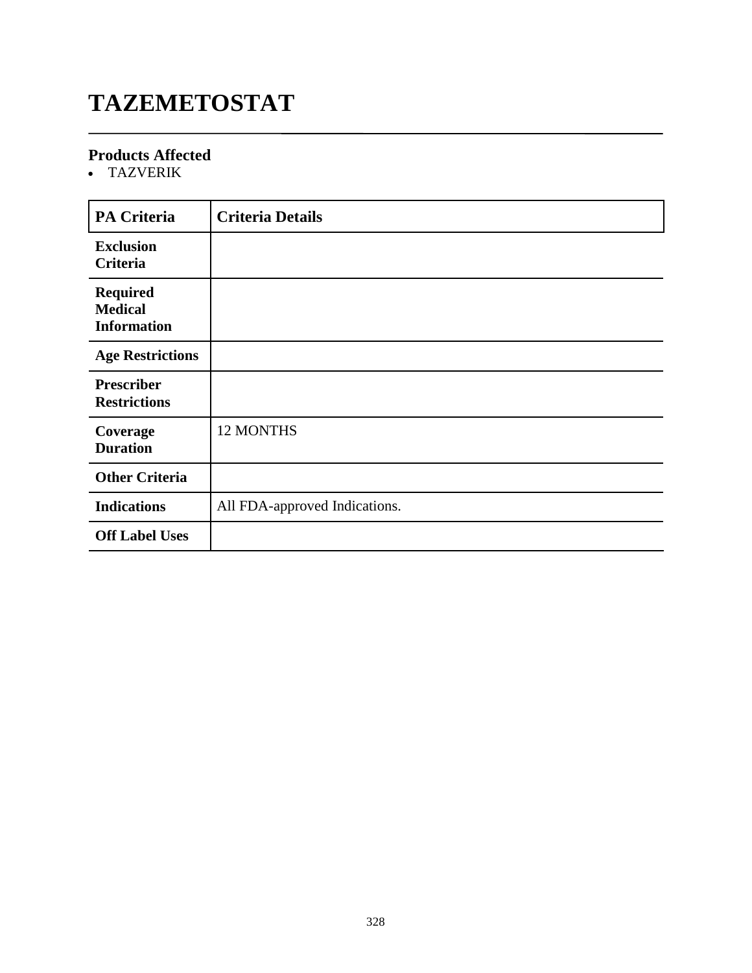# **TAZEMETOSTAT**

#### **Products Affected**

TAZVERIK

| <b>PA Criteria</b>                                      | <b>Criteria Details</b>       |
|---------------------------------------------------------|-------------------------------|
| <b>Exclusion</b><br>Criteria                            |                               |
| <b>Required</b><br><b>Medical</b><br><b>Information</b> |                               |
| <b>Age Restrictions</b>                                 |                               |
| <b>Prescriber</b><br><b>Restrictions</b>                |                               |
| Coverage<br><b>Duration</b>                             | 12 MONTHS                     |
| <b>Other Criteria</b>                                   |                               |
| <b>Indications</b>                                      | All FDA-approved Indications. |
| <b>Off Label Uses</b>                                   |                               |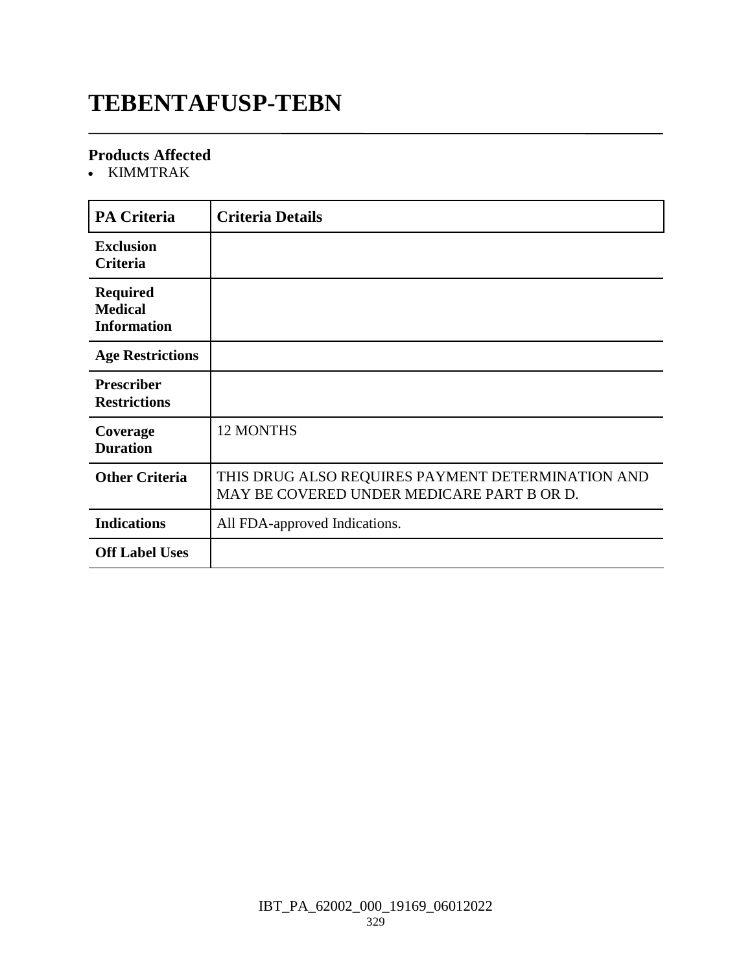### **TEBENTAFUSP-TEBN**

#### **Products Affected**

KIMMTRAK

| <b>PA Criteria</b>                                      | <b>Criteria Details</b>                                                                         |
|---------------------------------------------------------|-------------------------------------------------------------------------------------------------|
| <b>Exclusion</b><br>Criteria                            |                                                                                                 |
| <b>Required</b><br><b>Medical</b><br><b>Information</b> |                                                                                                 |
| <b>Age Restrictions</b>                                 |                                                                                                 |
| <b>Prescriber</b><br><b>Restrictions</b>                |                                                                                                 |
| Coverage<br><b>Duration</b>                             | <b>12 MONTHS</b>                                                                                |
| <b>Other Criteria</b>                                   | THIS DRUG ALSO REQUIRES PAYMENT DETERMINATION AND<br>MAY BE COVERED UNDER MEDICARE PART B OR D. |
| <b>Indications</b>                                      | All FDA-approved Indications.                                                                   |
| <b>Off Label Uses</b>                                   |                                                                                                 |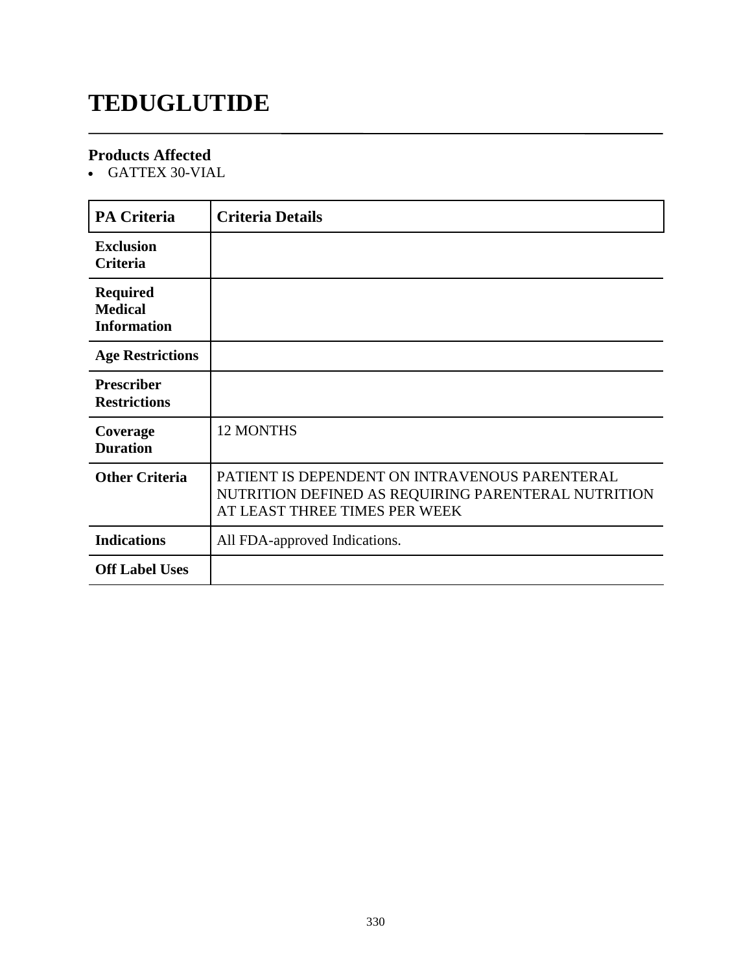# **TEDUGLUTIDE**

#### **Products Affected**

GATTEX 30-VIAL

| <b>PA Criteria</b>                                      | <b>Criteria Details</b>                                                                                                                |
|---------------------------------------------------------|----------------------------------------------------------------------------------------------------------------------------------------|
| <b>Exclusion</b><br><b>Criteria</b>                     |                                                                                                                                        |
| <b>Required</b><br><b>Medical</b><br><b>Information</b> |                                                                                                                                        |
| <b>Age Restrictions</b>                                 |                                                                                                                                        |
| <b>Prescriber</b><br><b>Restrictions</b>                |                                                                                                                                        |
| Coverage<br><b>Duration</b>                             | <b>12 MONTHS</b>                                                                                                                       |
| <b>Other Criteria</b>                                   | PATIENT IS DEPENDENT ON INTRAVENOUS PARENTERAL<br>NUTRITION DEFINED AS REQUIRING PARENTERAL NUTRITION<br>AT LEAST THREE TIMES PER WEEK |
| <b>Indications</b>                                      | All FDA-approved Indications.                                                                                                          |
| <b>Off Label Uses</b>                                   |                                                                                                                                        |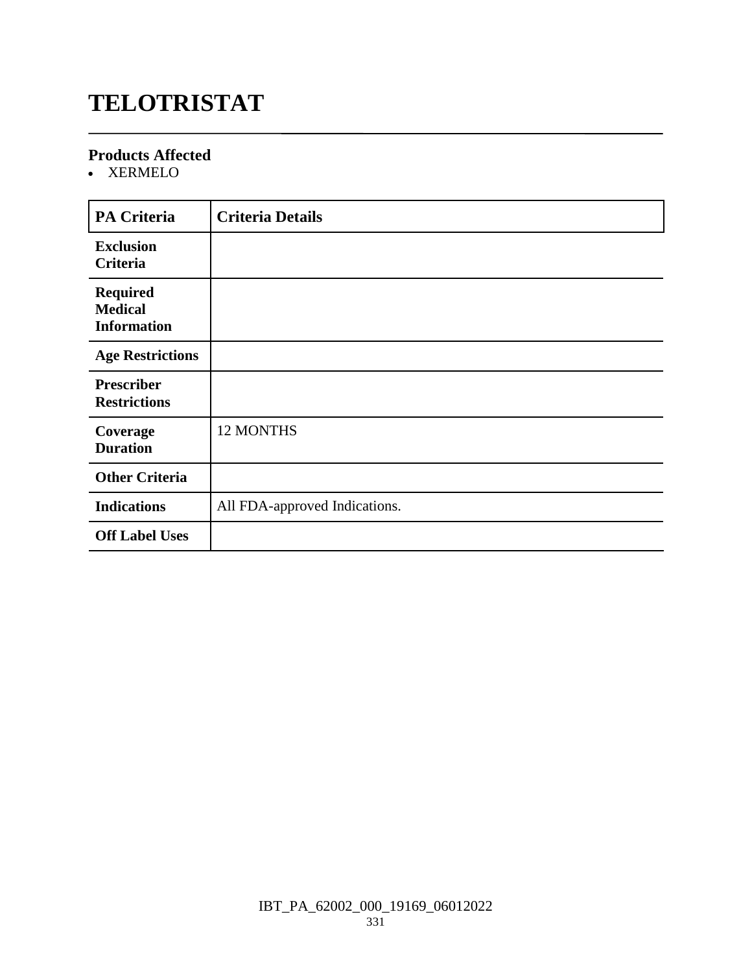# **TELOTRISTAT**

#### **Products Affected**

XERMELO

| <b>PA Criteria</b>                                      | <b>Criteria Details</b>       |
|---------------------------------------------------------|-------------------------------|
| <b>Exclusion</b><br><b>Criteria</b>                     |                               |
| <b>Required</b><br><b>Medical</b><br><b>Information</b> |                               |
| <b>Age Restrictions</b>                                 |                               |
| <b>Prescriber</b><br><b>Restrictions</b>                |                               |
| Coverage<br><b>Duration</b>                             | 12 MONTHS                     |
| <b>Other Criteria</b>                                   |                               |
| <b>Indications</b>                                      | All FDA-approved Indications. |
| <b>Off Label Uses</b>                                   |                               |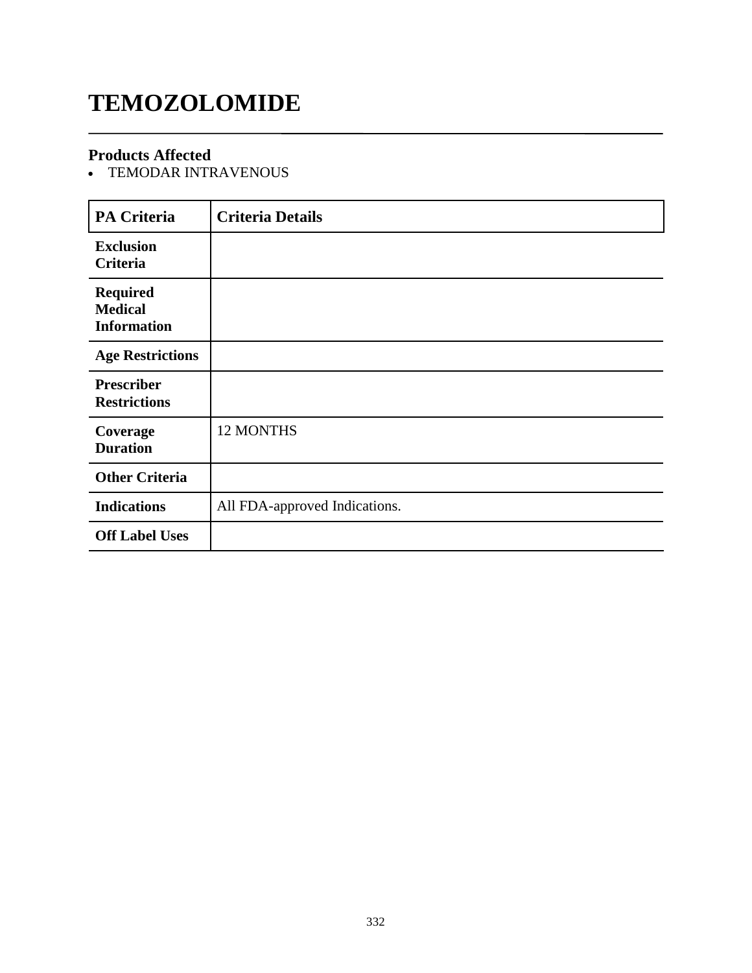# **TEMOZOLOMIDE**

#### **Products Affected**

TEMODAR INTRAVENOUS

| <b>PA Criteria</b>                                      | <b>Criteria Details</b>       |
|---------------------------------------------------------|-------------------------------|
| <b>Exclusion</b><br>Criteria                            |                               |
| <b>Required</b><br><b>Medical</b><br><b>Information</b> |                               |
| <b>Age Restrictions</b>                                 |                               |
| <b>Prescriber</b><br><b>Restrictions</b>                |                               |
| Coverage<br><b>Duration</b>                             | 12 MONTHS                     |
| <b>Other Criteria</b>                                   |                               |
| <b>Indications</b>                                      | All FDA-approved Indications. |
| <b>Off Label Uses</b>                                   |                               |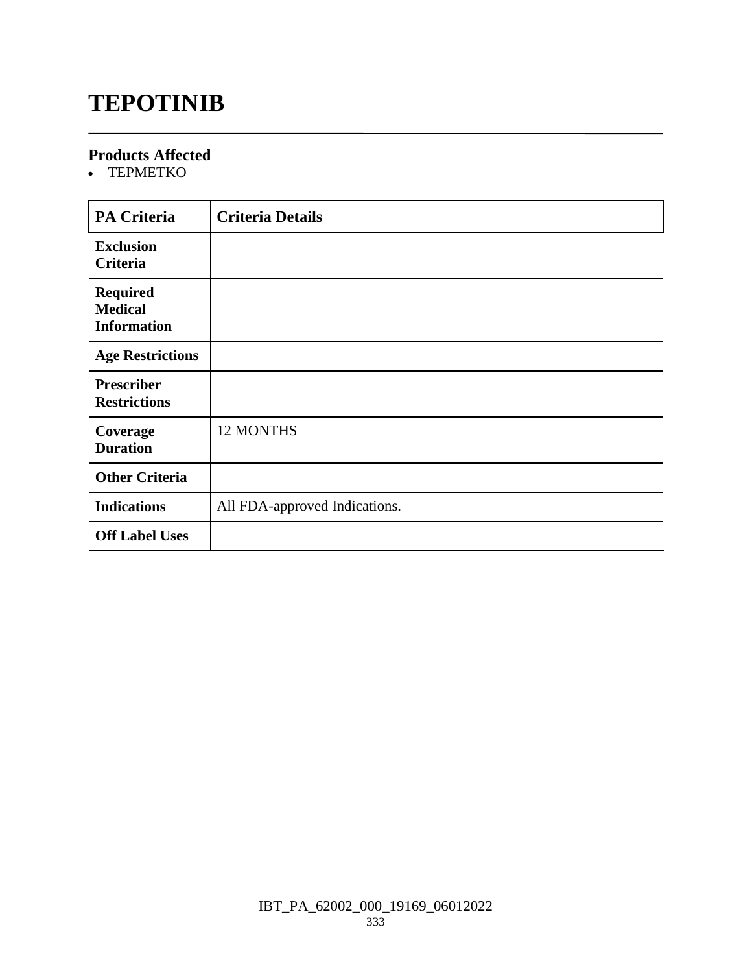## **TEPOTINIB**

#### **Products Affected**

• TEPMETKO

| <b>PA Criteria</b>                                      | <b>Criteria Details</b>       |
|---------------------------------------------------------|-------------------------------|
| <b>Exclusion</b><br>Criteria                            |                               |
| <b>Required</b><br><b>Medical</b><br><b>Information</b> |                               |
| <b>Age Restrictions</b>                                 |                               |
| <b>Prescriber</b><br><b>Restrictions</b>                |                               |
| Coverage<br><b>Duration</b>                             | 12 MONTHS                     |
| <b>Other Criteria</b>                                   |                               |
| <b>Indications</b>                                      | All FDA-approved Indications. |
| <b>Off Label Uses</b>                                   |                               |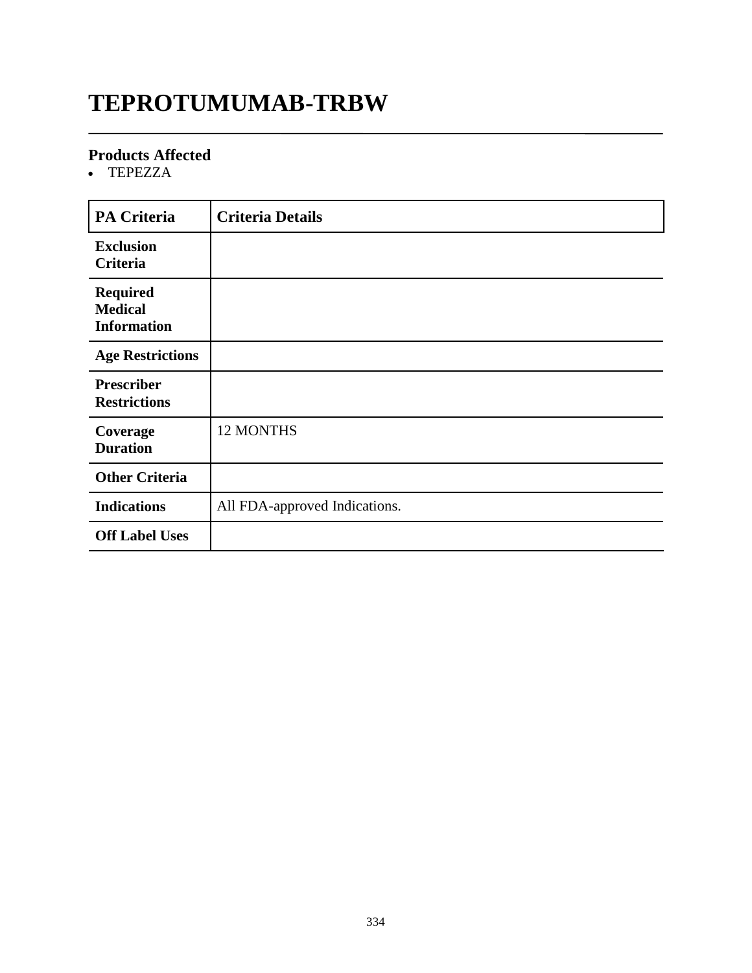# **TEPROTUMUMAB-TRBW**

#### **Products Affected**

• TEPEZZA

| <b>PA Criteria</b>                                      | <b>Criteria Details</b>       |
|---------------------------------------------------------|-------------------------------|
| <b>Exclusion</b><br>Criteria                            |                               |
| <b>Required</b><br><b>Medical</b><br><b>Information</b> |                               |
| <b>Age Restrictions</b>                                 |                               |
| <b>Prescriber</b><br><b>Restrictions</b>                |                               |
| Coverage<br><b>Duration</b>                             | 12 MONTHS                     |
| <b>Other Criteria</b>                                   |                               |
| <b>Indications</b>                                      | All FDA-approved Indications. |
| <b>Off Label Uses</b>                                   |                               |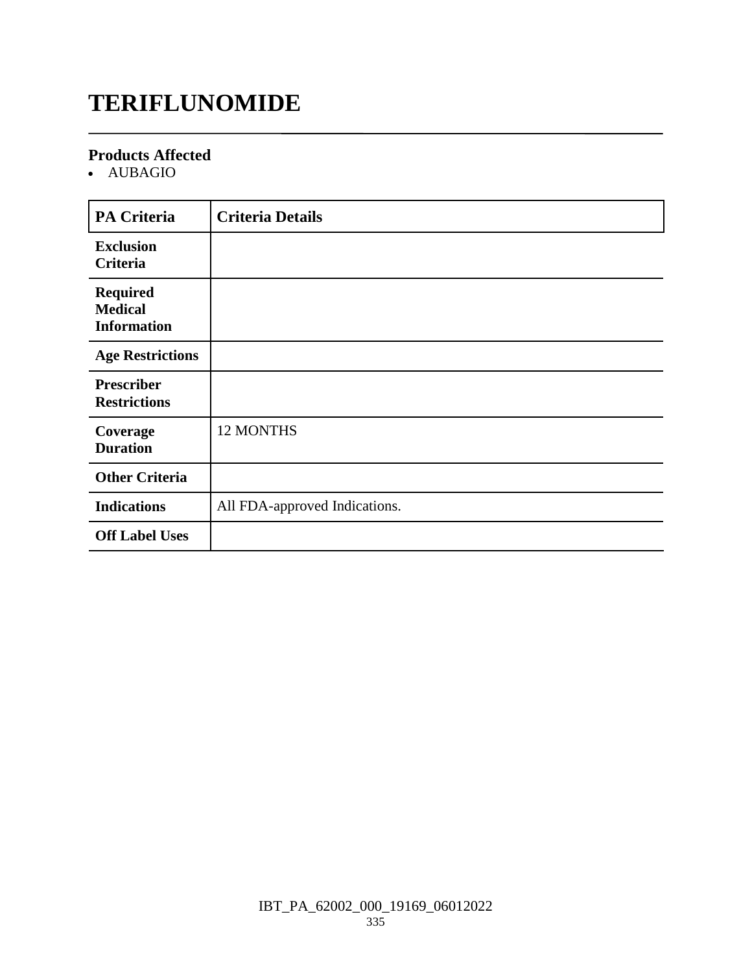# **TERIFLUNOMIDE**

#### **Products Affected**

AUBAGIO

| <b>PA Criteria</b>                                      | <b>Criteria Details</b>       |
|---------------------------------------------------------|-------------------------------|
| <b>Exclusion</b><br>Criteria                            |                               |
| <b>Required</b><br><b>Medical</b><br><b>Information</b> |                               |
| <b>Age Restrictions</b>                                 |                               |
| <b>Prescriber</b><br><b>Restrictions</b>                |                               |
| Coverage<br><b>Duration</b>                             | 12 MONTHS                     |
| <b>Other Criteria</b>                                   |                               |
| <b>Indications</b>                                      | All FDA-approved Indications. |
| <b>Off Label Uses</b>                                   |                               |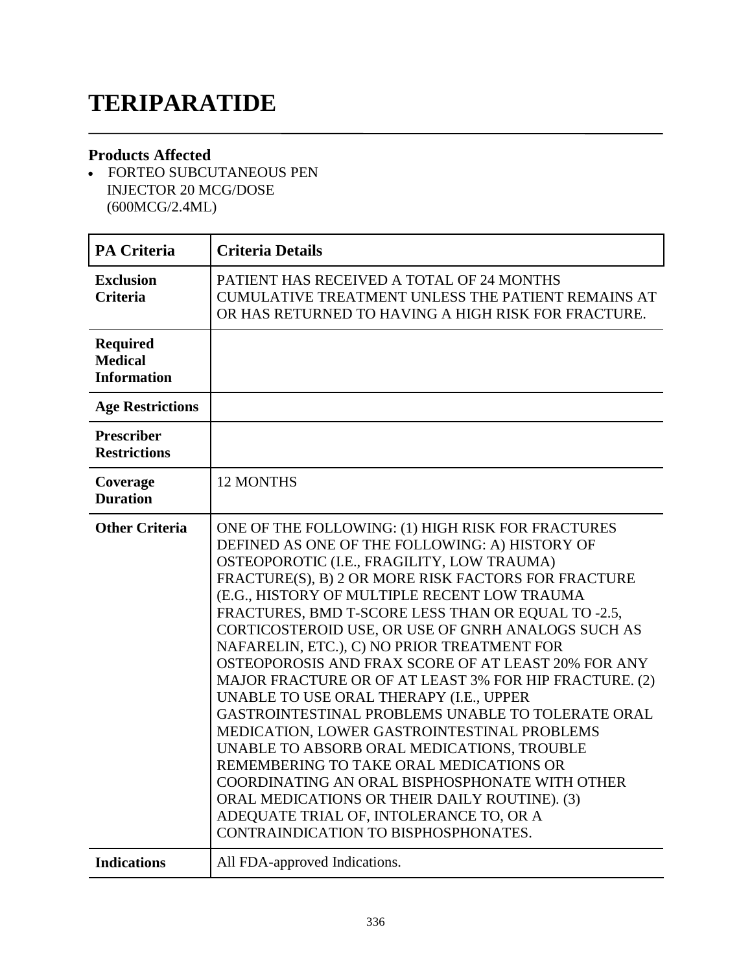# **TERIPARATIDE**

#### **Products Affected**

 FORTEO SUBCUTANEOUS PEN INJECTOR 20 MCG/DOSE (600MCG/2.4ML)

| <b>PA Criteria</b>                                      | <b>Criteria Details</b>                                                                                                                                                                                                                                                                                                                                                                                                                                                                                                                                                                                                                                                                                                                                                                                                                                                                                                                                                   |
|---------------------------------------------------------|---------------------------------------------------------------------------------------------------------------------------------------------------------------------------------------------------------------------------------------------------------------------------------------------------------------------------------------------------------------------------------------------------------------------------------------------------------------------------------------------------------------------------------------------------------------------------------------------------------------------------------------------------------------------------------------------------------------------------------------------------------------------------------------------------------------------------------------------------------------------------------------------------------------------------------------------------------------------------|
| <b>Exclusion</b><br><b>Criteria</b>                     | PATIENT HAS RECEIVED A TOTAL OF 24 MONTHS<br><b>CUMULATIVE TREATMENT UNLESS THE PATIENT REMAINS AT</b><br>OR HAS RETURNED TO HAVING A HIGH RISK FOR FRACTURE.                                                                                                                                                                                                                                                                                                                                                                                                                                                                                                                                                                                                                                                                                                                                                                                                             |
| <b>Required</b><br><b>Medical</b><br><b>Information</b> |                                                                                                                                                                                                                                                                                                                                                                                                                                                                                                                                                                                                                                                                                                                                                                                                                                                                                                                                                                           |
| <b>Age Restrictions</b>                                 |                                                                                                                                                                                                                                                                                                                                                                                                                                                                                                                                                                                                                                                                                                                                                                                                                                                                                                                                                                           |
| <b>Prescriber</b><br><b>Restrictions</b>                |                                                                                                                                                                                                                                                                                                                                                                                                                                                                                                                                                                                                                                                                                                                                                                                                                                                                                                                                                                           |
| Coverage<br><b>Duration</b>                             | 12 MONTHS                                                                                                                                                                                                                                                                                                                                                                                                                                                                                                                                                                                                                                                                                                                                                                                                                                                                                                                                                                 |
| <b>Other Criteria</b>                                   | ONE OF THE FOLLOWING: (1) HIGH RISK FOR FRACTURES<br>DEFINED AS ONE OF THE FOLLOWING: A) HISTORY OF<br>OSTEOPOROTIC (I.E., FRAGILITY, LOW TRAUMA)<br>FRACTURE(S), B) 2 OR MORE RISK FACTORS FOR FRACTURE<br>(E.G., HISTORY OF MULTIPLE RECENT LOW TRAUMA<br>FRACTURES, BMD T-SCORE LESS THAN OR EQUAL TO -2.5,<br>CORTICOSTEROID USE, OR USE OF GNRH ANALOGS SUCH AS<br>NAFARELIN, ETC.), C) NO PRIOR TREATMENT FOR<br>OSTEOPOROSIS AND FRAX SCORE OF AT LEAST 20% FOR ANY<br>MAJOR FRACTURE OR OF AT LEAST 3% FOR HIP FRACTURE. (2)<br>UNABLE TO USE ORAL THERAPY (I.E., UPPER<br><b>GASTROINTESTINAL PROBLEMS UNABLE TO TOLERATE ORAL</b><br>MEDICATION, LOWER GASTROINTESTINAL PROBLEMS<br>UNABLE TO ABSORB ORAL MEDICATIONS, TROUBLE<br>REMEMBERING TO TAKE ORAL MEDICATIONS OR<br>COORDINATING AN ORAL BISPHOSPHONATE WITH OTHER<br>ORAL MEDICATIONS OR THEIR DAILY ROUTINE). (3)<br>ADEQUATE TRIAL OF, INTOLERANCE TO, OR A<br>CONTRAINDICATION TO BISPHOSPHONATES. |
| <b>Indications</b>                                      | All FDA-approved Indications.                                                                                                                                                                                                                                                                                                                                                                                                                                                                                                                                                                                                                                                                                                                                                                                                                                                                                                                                             |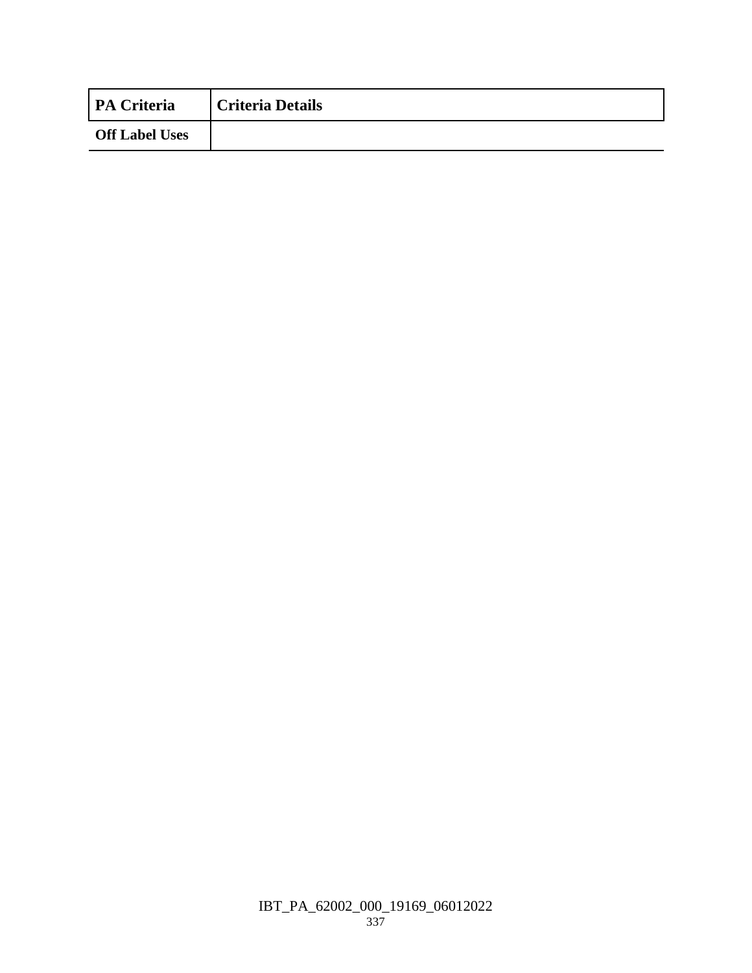| <b>PA Criteria</b>    | <b>Criteria Details</b> |
|-----------------------|-------------------------|
| <b>Off Label Uses</b> |                         |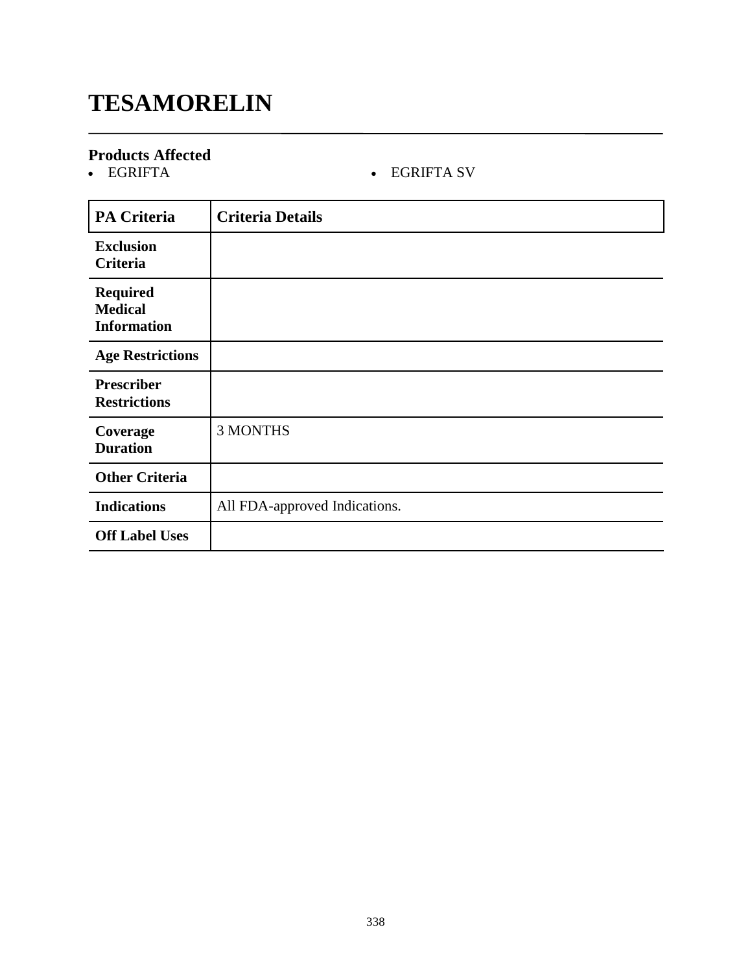# **TESAMORELIN**

# **Products Affected**

### • EGRIFTA SV

| <b>PA Criteria</b>                                      | <b>Criteria Details</b>       |
|---------------------------------------------------------|-------------------------------|
| <b>Exclusion</b><br>Criteria                            |                               |
| <b>Required</b><br><b>Medical</b><br><b>Information</b> |                               |
| <b>Age Restrictions</b>                                 |                               |
| <b>Prescriber</b><br><b>Restrictions</b>                |                               |
| Coverage<br><b>Duration</b>                             | <b>3 MONTHS</b>               |
| <b>Other Criteria</b>                                   |                               |
| <b>Indications</b>                                      | All FDA-approved Indications. |
| <b>Off Label Uses</b>                                   |                               |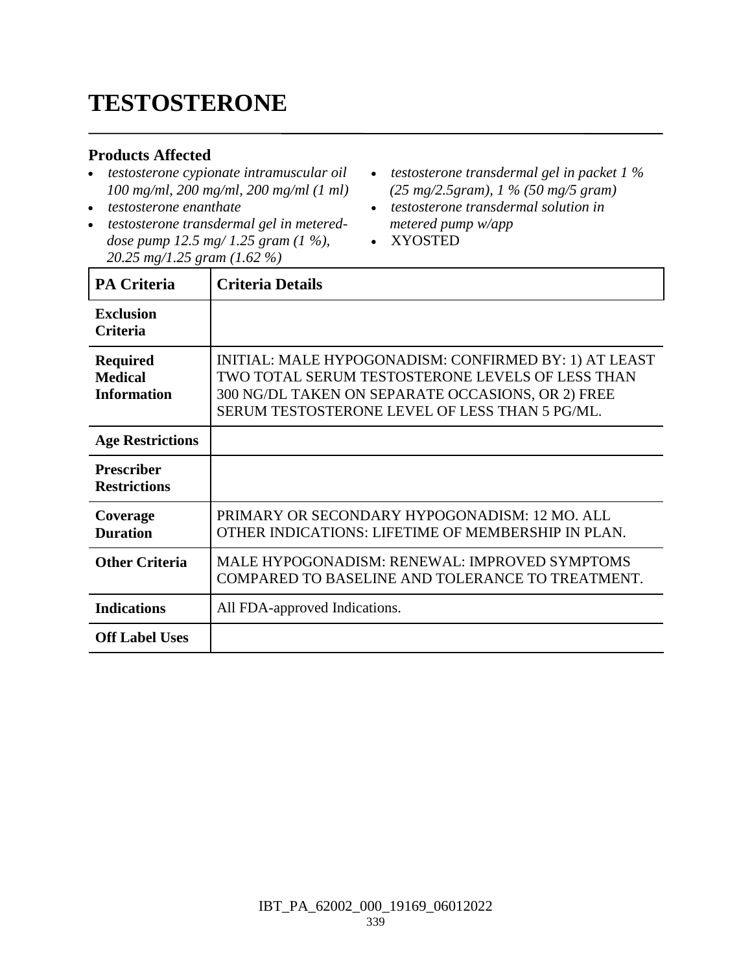# **TESTOSTERONE**

#### **Products Affected**

- *testosterone cypionate intramuscular oil 100 mg/ml, 200 mg/ml, 200 mg/ml (1 ml)*
- *testosterone enanthate*
- *testosterone transdermal gel in metereddose pump 12.5 mg/ 1.25 gram (1 %), 20.25 mg/1.25 gram (1.62 %)*
- *testosterone transdermal gel in packet 1 % (25 mg/2.5gram), 1 % (50 mg/5 gram)*
- *testosterone transdermal solution in metered pump w/app*
- XYOSTED

| <b>PA Criteria</b>                                      | <b>Criteria Details</b>                                                                                                                                                                                          |
|---------------------------------------------------------|------------------------------------------------------------------------------------------------------------------------------------------------------------------------------------------------------------------|
| <b>Exclusion</b><br><b>Criteria</b>                     |                                                                                                                                                                                                                  |
| <b>Required</b><br><b>Medical</b><br><b>Information</b> | INITIAL: MALE HYPOGONADISM: CONFIRMED BY: 1) AT LEAST<br>TWO TOTAL SERUM TESTOSTERONE LEVELS OF LESS THAN<br>300 NG/DL TAKEN ON SEPARATE OCCASIONS, OR 2) FREE<br>SERUM TESTOSTERONE LEVEL OF LESS THAN 5 PG/ML. |
| <b>Age Restrictions</b>                                 |                                                                                                                                                                                                                  |
| <b>Prescriber</b><br><b>Restrictions</b>                |                                                                                                                                                                                                                  |
| Coverage<br><b>Duration</b>                             | PRIMARY OR SECONDARY HYPOGONADISM: 12 MO. ALL<br>OTHER INDICATIONS: LIFETIME OF MEMBERSHIP IN PLAN.                                                                                                              |
| <b>Other Criteria</b>                                   | MALE HYPOGONADISM: RENEWAL: IMPROVED SYMPTOMS<br>COMPARED TO BASELINE AND TOLERANCE TO TREATMENT.                                                                                                                |
| <b>Indications</b>                                      | All FDA-approved Indications.                                                                                                                                                                                    |
| <b>Off Label Uses</b>                                   |                                                                                                                                                                                                                  |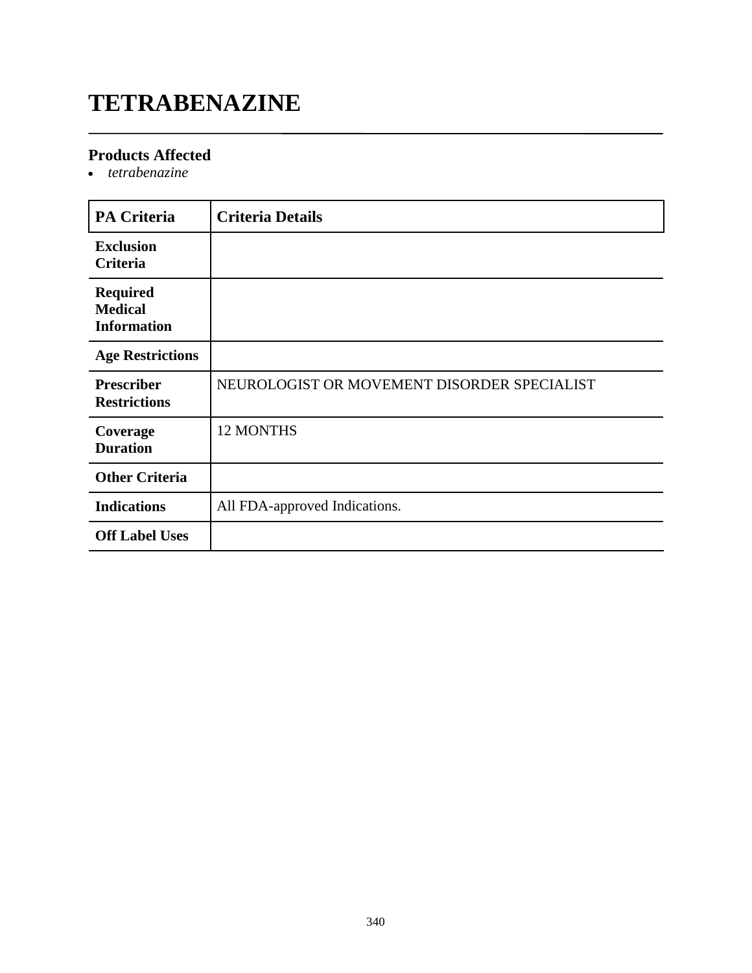# **TETRABENAZINE**

### **Products Affected**

*tetrabenazine*

| <b>PA Criteria</b>                                      | <b>Criteria Details</b>                     |
|---------------------------------------------------------|---------------------------------------------|
| <b>Exclusion</b><br>Criteria                            |                                             |
| <b>Required</b><br><b>Medical</b><br><b>Information</b> |                                             |
| <b>Age Restrictions</b>                                 |                                             |
| <b>Prescriber</b><br><b>Restrictions</b>                | NEUROLOGIST OR MOVEMENT DISORDER SPECIALIST |
| Coverage<br><b>Duration</b>                             | 12 MONTHS                                   |
| <b>Other Criteria</b>                                   |                                             |
| <b>Indications</b>                                      | All FDA-approved Indications.               |
| <b>Off Label Uses</b>                                   |                                             |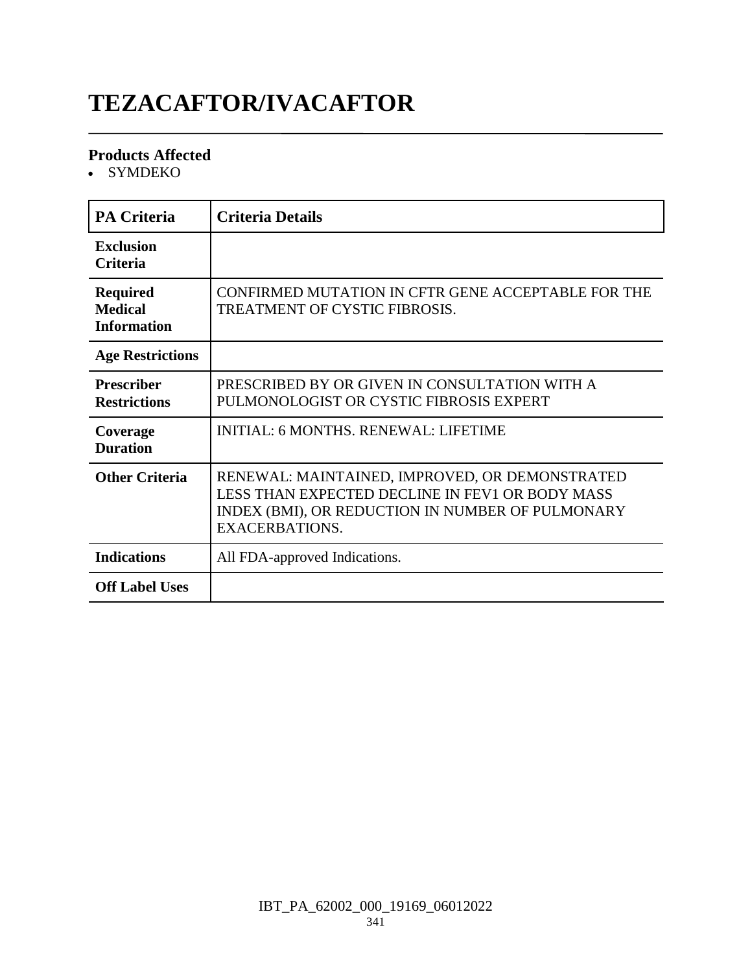# **TEZACAFTOR/IVACAFTOR**

#### **Products Affected**

• SYMDEKO

| <b>PA Criteria</b>                                      | <b>Criteria Details</b>                                                                                                                                                        |
|---------------------------------------------------------|--------------------------------------------------------------------------------------------------------------------------------------------------------------------------------|
| <b>Exclusion</b><br><b>Criteria</b>                     |                                                                                                                                                                                |
| <b>Required</b><br><b>Medical</b><br><b>Information</b> | CONFIRMED MUTATION IN CFTR GENE ACCEPTABLE FOR THE<br>TREATMENT OF CYSTIC FIBROSIS.                                                                                            |
| <b>Age Restrictions</b>                                 |                                                                                                                                                                                |
| <b>Prescriber</b><br><b>Restrictions</b>                | PRESCRIBED BY OR GIVEN IN CONSULTATION WITH A<br>PULMONOLOGIST OR CYSTIC FIBROSIS EXPERT                                                                                       |
| Coverage<br><b>Duration</b>                             | <b>INITIAL: 6 MONTHS. RENEWAL: LIFETIME</b>                                                                                                                                    |
| <b>Other Criteria</b>                                   | RENEWAL: MAINTAINED, IMPROVED, OR DEMONSTRATED<br>LESS THAN EXPECTED DECLINE IN FEV1 OR BODY MASS<br>INDEX (BMI), OR REDUCTION IN NUMBER OF PULMONARY<br><b>EXACERBATIONS.</b> |
| <b>Indications</b>                                      | All FDA-approved Indications.                                                                                                                                                  |
| <b>Off Label Uses</b>                                   |                                                                                                                                                                                |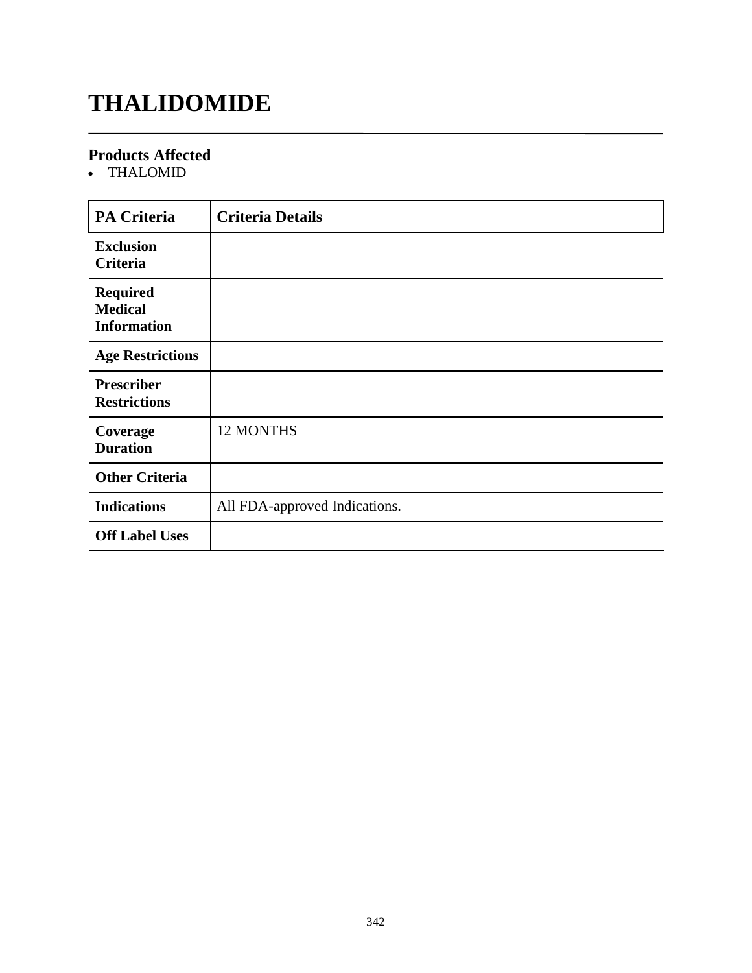# **THALIDOMIDE**

#### **Products Affected**

THALOMID

| <b>PA Criteria</b>                                      | <b>Criteria Details</b>       |
|---------------------------------------------------------|-------------------------------|
| <b>Exclusion</b><br>Criteria                            |                               |
| <b>Required</b><br><b>Medical</b><br><b>Information</b> |                               |
| <b>Age Restrictions</b>                                 |                               |
| <b>Prescriber</b><br><b>Restrictions</b>                |                               |
| Coverage<br><b>Duration</b>                             | 12 MONTHS                     |
| <b>Other Criteria</b>                                   |                               |
| <b>Indications</b>                                      | All FDA-approved Indications. |
| <b>Off Label Uses</b>                                   |                               |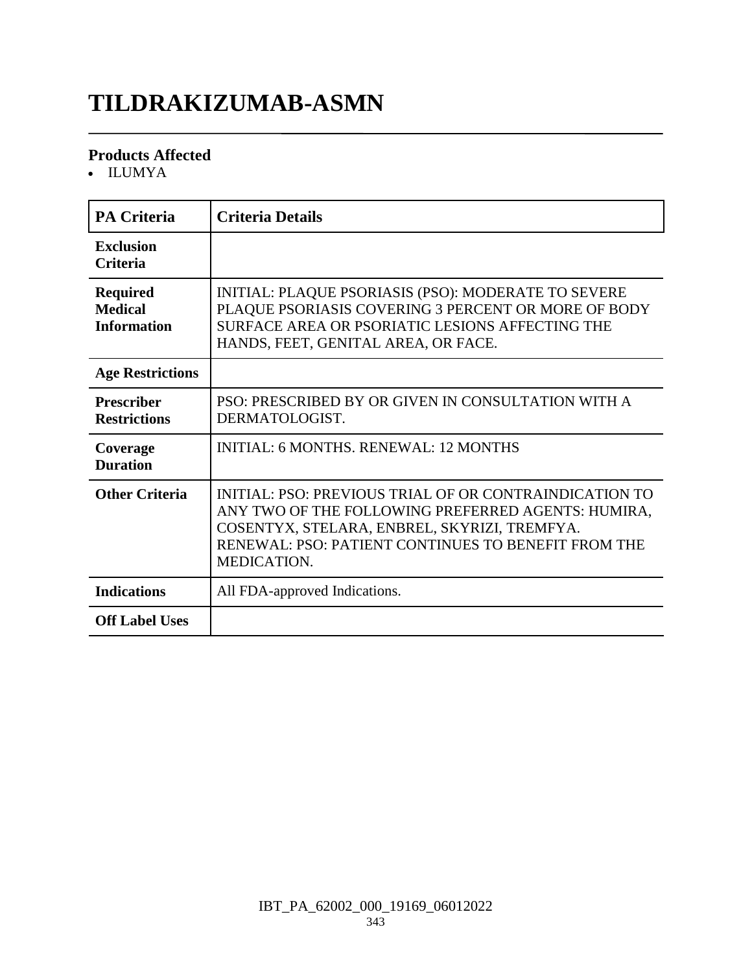# **TILDRAKIZUMAB-ASMN**

#### **Products Affected**

ILUMYA

| <b>PA Criteria</b>                                      | <b>Criteria Details</b>                                                                                                                                                                                                            |
|---------------------------------------------------------|------------------------------------------------------------------------------------------------------------------------------------------------------------------------------------------------------------------------------------|
| <b>Exclusion</b><br><b>Criteria</b>                     |                                                                                                                                                                                                                                    |
| <b>Required</b><br><b>Medical</b><br><b>Information</b> | INITIAL: PLAQUE PSORIASIS (PSO): MODERATE TO SEVERE<br>PLAQUE PSORIASIS COVERING 3 PERCENT OR MORE OF BODY<br>SURFACE AREA OR PSORIATIC LESIONS AFFECTING THE<br>HANDS, FEET, GENITAL AREA, OR FACE.                               |
| <b>Age Restrictions</b>                                 |                                                                                                                                                                                                                                    |
| <b>Prescriber</b><br><b>Restrictions</b>                | PSO: PRESCRIBED BY OR GIVEN IN CONSULTATION WITH A<br>DERMATOLOGIST.                                                                                                                                                               |
| Coverage<br><b>Duration</b>                             | <b>INITIAL: 6 MONTHS, RENEWAL: 12 MONTHS</b>                                                                                                                                                                                       |
| <b>Other Criteria</b>                                   | INITIAL: PSO: PREVIOUS TRIAL OF OR CONTRAINDICATION TO<br>ANY TWO OF THE FOLLOWING PREFERRED AGENTS: HUMIRA,<br>COSENTYX, STELARA, ENBREL, SKYRIZI, TREMFYA.<br>RENEWAL: PSO: PATIENT CONTINUES TO BENEFIT FROM THE<br>MEDICATION. |
| <b>Indications</b>                                      | All FDA-approved Indications.                                                                                                                                                                                                      |
| <b>Off Label Uses</b>                                   |                                                                                                                                                                                                                                    |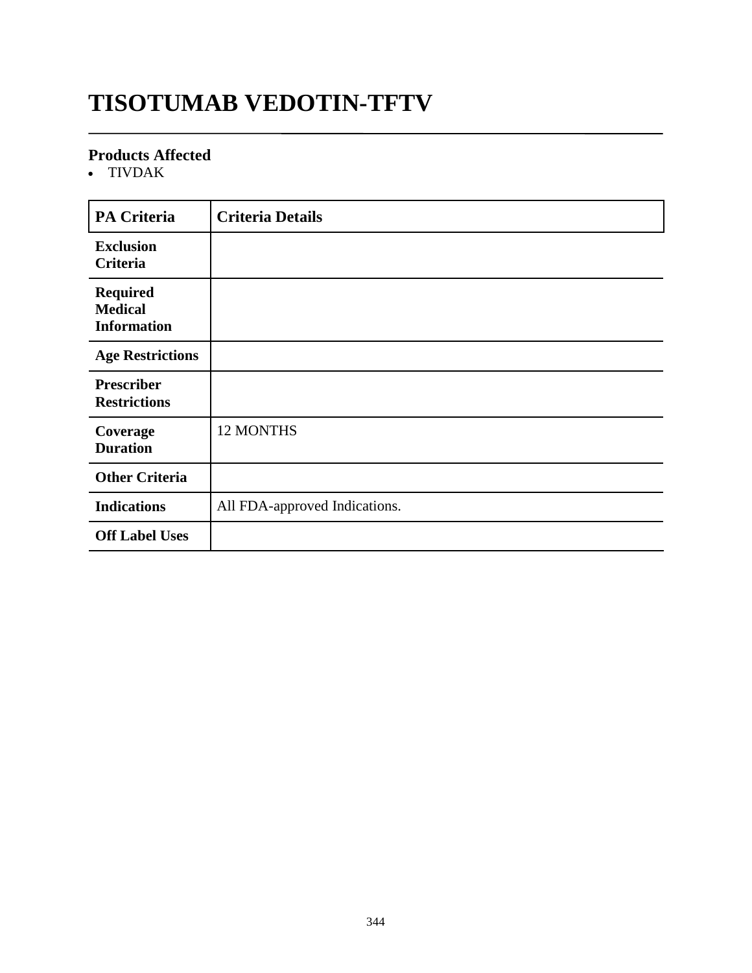# **TISOTUMAB VEDOTIN-TFTV**

#### **Products Affected**

TIVDAK

| <b>PA Criteria</b>                                      | <b>Criteria Details</b>       |
|---------------------------------------------------------|-------------------------------|
| <b>Exclusion</b><br>Criteria                            |                               |
| <b>Required</b><br><b>Medical</b><br><b>Information</b> |                               |
| <b>Age Restrictions</b>                                 |                               |
| <b>Prescriber</b><br><b>Restrictions</b>                |                               |
| Coverage<br><b>Duration</b>                             | 12 MONTHS                     |
| <b>Other Criteria</b>                                   |                               |
| <b>Indications</b>                                      | All FDA-approved Indications. |
| <b>Off Label Uses</b>                                   |                               |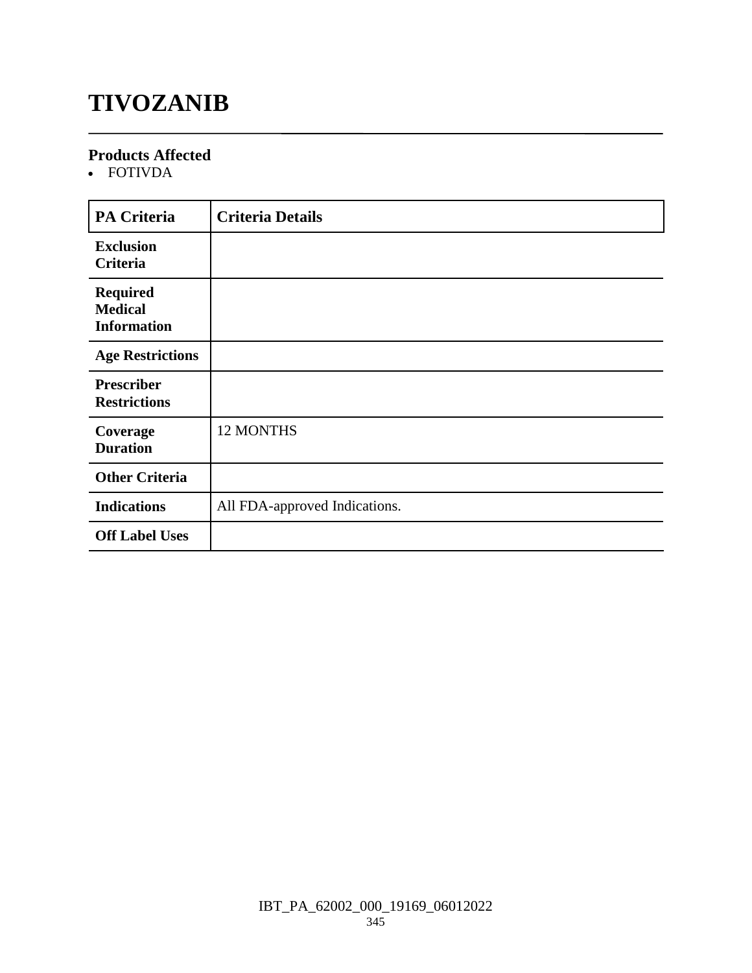# **TIVOZANIB**

#### **Products Affected**

FOTIVDA

| <b>PA Criteria</b>                                      | <b>Criteria Details</b>       |
|---------------------------------------------------------|-------------------------------|
| <b>Exclusion</b><br>Criteria                            |                               |
| <b>Required</b><br><b>Medical</b><br><b>Information</b> |                               |
| <b>Age Restrictions</b>                                 |                               |
| <b>Prescriber</b><br><b>Restrictions</b>                |                               |
| Coverage<br><b>Duration</b>                             | 12 MONTHS                     |
| <b>Other Criteria</b>                                   |                               |
| <b>Indications</b>                                      | All FDA-approved Indications. |
| <b>Off Label Uses</b>                                   |                               |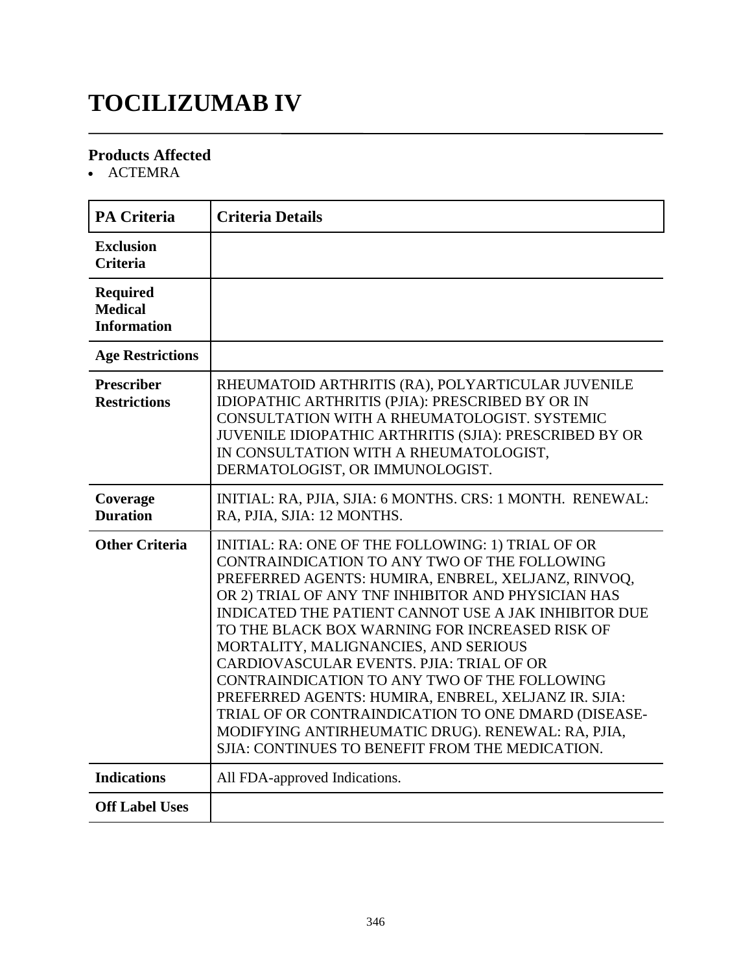# **TOCILIZUMAB IV**

### **Products Affected**

• ACTEMRA

| <b>PA Criteria</b>                                      | <b>Criteria Details</b>                                                                                                                                                                                                                                                                                                                                                                                                                                                                                                                                                                                                                                                           |
|---------------------------------------------------------|-----------------------------------------------------------------------------------------------------------------------------------------------------------------------------------------------------------------------------------------------------------------------------------------------------------------------------------------------------------------------------------------------------------------------------------------------------------------------------------------------------------------------------------------------------------------------------------------------------------------------------------------------------------------------------------|
| <b>Exclusion</b><br><b>Criteria</b>                     |                                                                                                                                                                                                                                                                                                                                                                                                                                                                                                                                                                                                                                                                                   |
| <b>Required</b><br><b>Medical</b><br><b>Information</b> |                                                                                                                                                                                                                                                                                                                                                                                                                                                                                                                                                                                                                                                                                   |
| <b>Age Restrictions</b>                                 |                                                                                                                                                                                                                                                                                                                                                                                                                                                                                                                                                                                                                                                                                   |
| <b>Prescriber</b><br><b>Restrictions</b>                | RHEUMATOID ARTHRITIS (RA), POLYARTICULAR JUVENILE<br>IDIOPATHIC ARTHRITIS (PJIA): PRESCRIBED BY OR IN<br>CONSULTATION WITH A RHEUMATOLOGIST. SYSTEMIC<br>JUVENILE IDIOPATHIC ARTHRITIS (SJIA): PRESCRIBED BY OR<br>IN CONSULTATION WITH A RHEUMATOLOGIST,<br>DERMATOLOGIST, OR IMMUNOLOGIST.                                                                                                                                                                                                                                                                                                                                                                                      |
| Coverage<br><b>Duration</b>                             | INITIAL: RA, PJIA, SJIA: 6 MONTHS. CRS: 1 MONTH. RENEWAL:<br>RA, PJIA, SJIA: 12 MONTHS.                                                                                                                                                                                                                                                                                                                                                                                                                                                                                                                                                                                           |
| <b>Other Criteria</b>                                   | INITIAL: RA: ONE OF THE FOLLOWING: 1) TRIAL OF OR<br>CONTRAINDICATION TO ANY TWO OF THE FOLLOWING<br>PREFERRED AGENTS: HUMIRA, ENBREL, XELJANZ, RINVOQ,<br>OR 2) TRIAL OF ANY TNF INHIBITOR AND PHYSICIAN HAS<br>INDICATED THE PATIENT CANNOT USE A JAK INHIBITOR DUE<br>TO THE BLACK BOX WARNING FOR INCREASED RISK OF<br>MORTALITY, MALIGNANCIES, AND SERIOUS<br>CARDIOVASCULAR EVENTS. PJIA: TRIAL OF OR<br>CONTRAINDICATION TO ANY TWO OF THE FOLLOWING<br>PREFERRED AGENTS: HUMIRA, ENBREL, XELJANZ IR. SJIA:<br>TRIAL OF OR CONTRAINDICATION TO ONE DMARD (DISEASE-<br>MODIFYING ANTIRHEUMATIC DRUG). RENEWAL: RA, PJIA,<br>SJIA: CONTINUES TO BENEFIT FROM THE MEDICATION. |
| <b>Indications</b>                                      | All FDA-approved Indications.                                                                                                                                                                                                                                                                                                                                                                                                                                                                                                                                                                                                                                                     |
| <b>Off Label Uses</b>                                   |                                                                                                                                                                                                                                                                                                                                                                                                                                                                                                                                                                                                                                                                                   |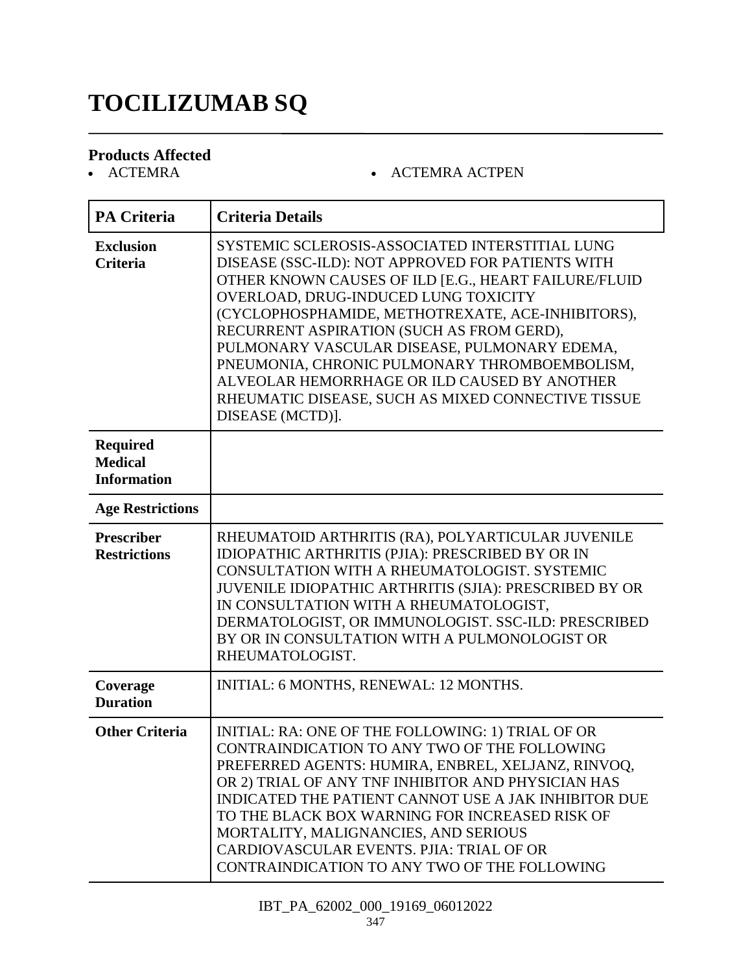# **TOCILIZUMAB SQ**

# **Products Affected**

#### • ACTEMRA ACTPEN

| <b>PA Criteria</b>                                      | <b>Criteria Details</b>                                                                                                                                                                                                                                                                                                                                                                                                                                                                                                           |
|---------------------------------------------------------|-----------------------------------------------------------------------------------------------------------------------------------------------------------------------------------------------------------------------------------------------------------------------------------------------------------------------------------------------------------------------------------------------------------------------------------------------------------------------------------------------------------------------------------|
| <b>Exclusion</b><br><b>Criteria</b>                     | SYSTEMIC SCLEROSIS-ASSOCIATED INTERSTITIAL LUNG<br>DISEASE (SSC-ILD): NOT APPROVED FOR PATIENTS WITH<br>OTHER KNOWN CAUSES OF ILD [E.G., HEART FAILURE/FLUID<br>OVERLOAD, DRUG-INDUCED LUNG TOXICITY<br>(CYCLOPHOSPHAMIDE, METHOTREXATE, ACE-INHIBITORS),<br>RECURRENT ASPIRATION (SUCH AS FROM GERD),<br>PULMONARY VASCULAR DISEASE, PULMONARY EDEMA,<br>PNEUMONIA, CHRONIC PULMONARY THROMBOEMBOLISM,<br>ALVEOLAR HEMORRHAGE OR ILD CAUSED BY ANOTHER<br>RHEUMATIC DISEASE, SUCH AS MIXED CONNECTIVE TISSUE<br>DISEASE (MCTD)]. |
| <b>Required</b><br><b>Medical</b><br><b>Information</b> |                                                                                                                                                                                                                                                                                                                                                                                                                                                                                                                                   |
| <b>Age Restrictions</b>                                 |                                                                                                                                                                                                                                                                                                                                                                                                                                                                                                                                   |
| <b>Prescriber</b><br><b>Restrictions</b>                | RHEUMATOID ARTHRITIS (RA), POLYARTICULAR JUVENILE<br>IDIOPATHIC ARTHRITIS (PJIA): PRESCRIBED BY OR IN<br>CONSULTATION WITH A RHEUMATOLOGIST. SYSTEMIC<br>JUVENILE IDIOPATHIC ARTHRITIS (SJIA): PRESCRIBED BY OR<br>IN CONSULTATION WITH A RHEUMATOLOGIST,<br>DERMATOLOGIST, OR IMMUNOLOGIST. SSC-ILD: PRESCRIBED<br>BY OR IN CONSULTATION WITH A PULMONOLOGIST OR<br>RHEUMATOLOGIST.                                                                                                                                              |
| Coverage<br><b>Duration</b>                             | INITIAL: 6 MONTHS, RENEWAL: 12 MONTHS.                                                                                                                                                                                                                                                                                                                                                                                                                                                                                            |
| <b>Other Criteria</b>                                   | INITIAL: RA: ONE OF THE FOLLOWING: 1) TRIAL OF OR<br>CONTRAINDICATION TO ANY TWO OF THE FOLLOWING<br>PREFERRED AGENTS: HUMIRA, ENBREL, XELJANZ, RINVOQ,<br>OR 2) TRIAL OF ANY TNF INHIBITOR AND PHYSICIAN HAS<br>INDICATED THE PATIENT CANNOT USE A JAK INHIBITOR DUE<br>TO THE BLACK BOX WARNING FOR INCREASED RISK OF<br>MORTALITY, MALIGNANCIES, AND SERIOUS<br>CARDIOVASCULAR EVENTS. PJIA: TRIAL OF OR<br>CONTRAINDICATION TO ANY TWO OF THE FOLLOWING                                                                       |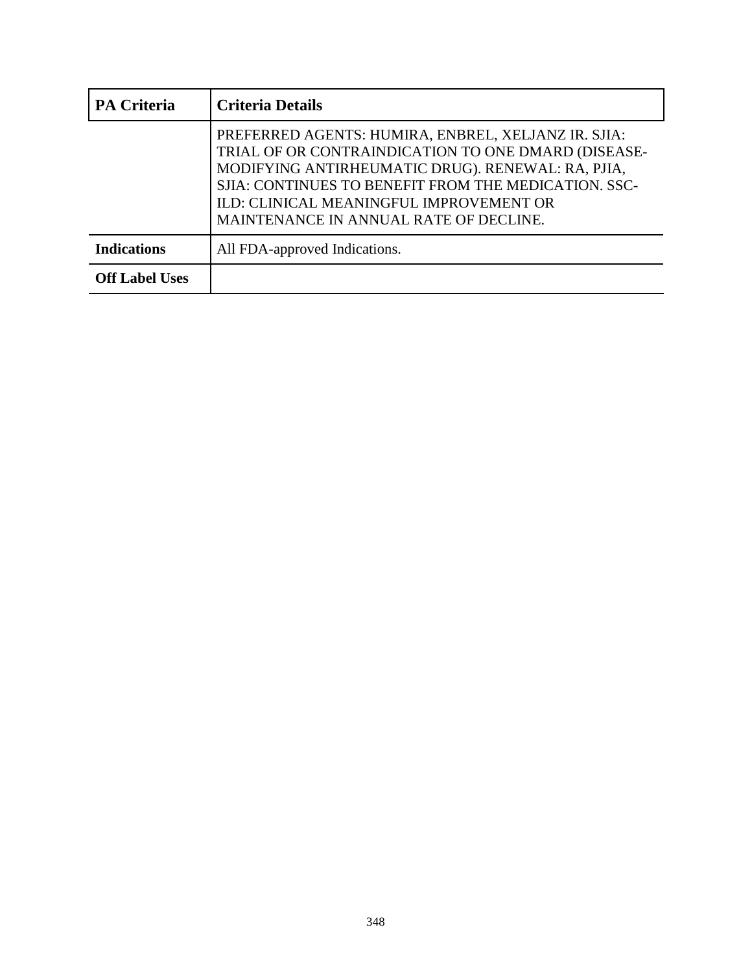| <b>PA Criteria</b>    | <b>Criteria Details</b>                                                                                                                                                                                                                                                                                      |
|-----------------------|--------------------------------------------------------------------------------------------------------------------------------------------------------------------------------------------------------------------------------------------------------------------------------------------------------------|
|                       | PREFERRED AGENTS: HUMIRA, ENBREL, XELJANZ IR. SJIA:<br>TRIAL OF OR CONTRAINDICATION TO ONE DMARD (DISEASE-<br>MODIFYING ANTIRHEUMATIC DRUG). RENEWAL: RA, PJIA,<br>SJIA: CONTINUES TO BENEFIT FROM THE MEDICATION. SSC-<br>ILD: CLINICAL MEANINGFUL IMPROVEMENT OR<br>MAINTENANCE IN ANNUAL RATE OF DECLINE. |
| <b>Indications</b>    | All FDA-approved Indications.                                                                                                                                                                                                                                                                                |
| <b>Off Label Uses</b> |                                                                                                                                                                                                                                                                                                              |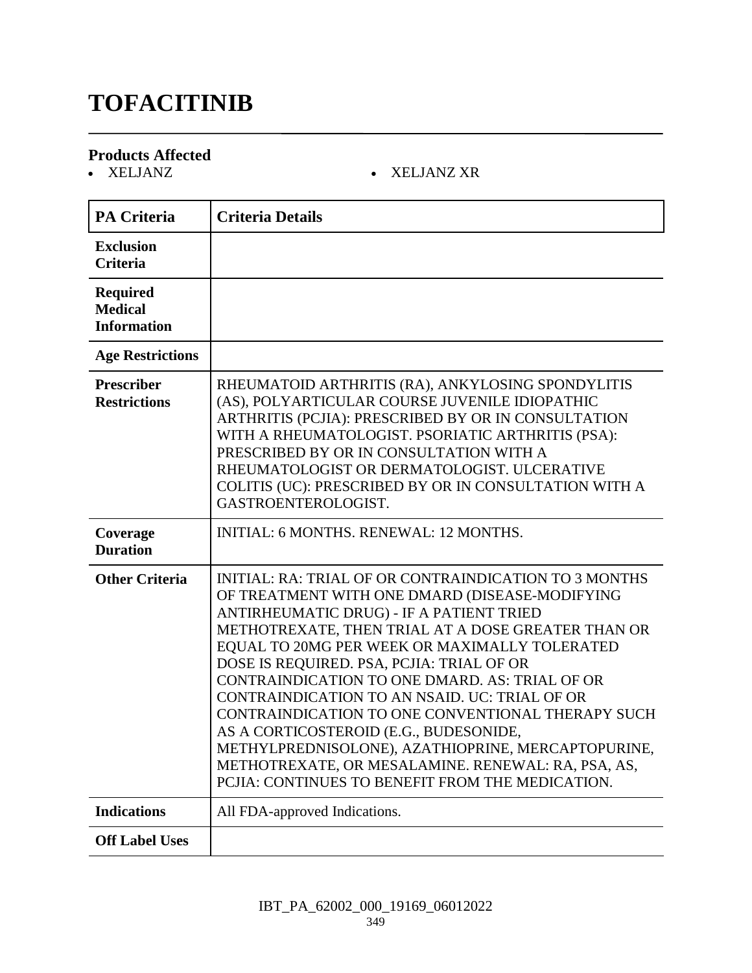# **TOFACITINIB**

# **Products Affected**

#### XELJANZ XELJANZ XR

| <b>PA Criteria</b>                                      | <b>Criteria Details</b>                                                                                                                                                                                                                                                                                                                                                                                                                                                                                                                                                                                                                                                   |
|---------------------------------------------------------|---------------------------------------------------------------------------------------------------------------------------------------------------------------------------------------------------------------------------------------------------------------------------------------------------------------------------------------------------------------------------------------------------------------------------------------------------------------------------------------------------------------------------------------------------------------------------------------------------------------------------------------------------------------------------|
| <b>Exclusion</b><br><b>Criteria</b>                     |                                                                                                                                                                                                                                                                                                                                                                                                                                                                                                                                                                                                                                                                           |
| <b>Required</b><br><b>Medical</b><br><b>Information</b> |                                                                                                                                                                                                                                                                                                                                                                                                                                                                                                                                                                                                                                                                           |
| <b>Age Restrictions</b>                                 |                                                                                                                                                                                                                                                                                                                                                                                                                                                                                                                                                                                                                                                                           |
| Prescriber<br><b>Restrictions</b>                       | RHEUMATOID ARTHRITIS (RA), ANKYLOSING SPONDYLITIS<br>(AS), POLYARTICULAR COURSE JUVENILE IDIOPATHIC<br>ARTHRITIS (PCJIA): PRESCRIBED BY OR IN CONSULTATION<br>WITH A RHEUMATOLOGIST. PSORIATIC ARTHRITIS (PSA):<br>PRESCRIBED BY OR IN CONSULTATION WITH A<br>RHEUMATOLOGIST OR DERMATOLOGIST. ULCERATIVE<br>COLITIS (UC): PRESCRIBED BY OR IN CONSULTATION WITH A<br>GASTROENTEROLOGIST.                                                                                                                                                                                                                                                                                 |
| Coverage<br><b>Duration</b>                             | <b>INITIAL: 6 MONTHS, RENEWAL: 12 MONTHS.</b>                                                                                                                                                                                                                                                                                                                                                                                                                                                                                                                                                                                                                             |
| <b>Other Criteria</b>                                   | INITIAL: RA: TRIAL OF OR CONTRAINDICATION TO 3 MONTHS<br>OF TREATMENT WITH ONE DMARD (DISEASE-MODIFYING<br>ANTIRHEUMATIC DRUG) - IF A PATIENT TRIED<br>METHOTREXATE, THEN TRIAL AT A DOSE GREATER THAN OR<br>EQUAL TO 20MG PER WEEK OR MAXIMALLY TOLERATED<br>DOSE IS REQUIRED. PSA, PCJIA: TRIAL OF OR<br>CONTRAINDICATION TO ONE DMARD. AS: TRIAL OF OR<br>CONTRAINDICATION TO AN NSAID. UC: TRIAL OF OR<br>CONTRAINDICATION TO ONE CONVENTIONAL THERAPY SUCH<br>AS A CORTICOSTEROID (E.G., BUDESONIDE,<br>METHYLPREDNISOLONE), AZATHIOPRINE, MERCAPTOPURINE,<br>METHOTREXATE, OR MESALAMINE. RENEWAL: RA, PSA, AS,<br>PCJIA: CONTINUES TO BENEFIT FROM THE MEDICATION. |
| <b>Indications</b>                                      | All FDA-approved Indications.                                                                                                                                                                                                                                                                                                                                                                                                                                                                                                                                                                                                                                             |
| <b>Off Label Uses</b>                                   |                                                                                                                                                                                                                                                                                                                                                                                                                                                                                                                                                                                                                                                                           |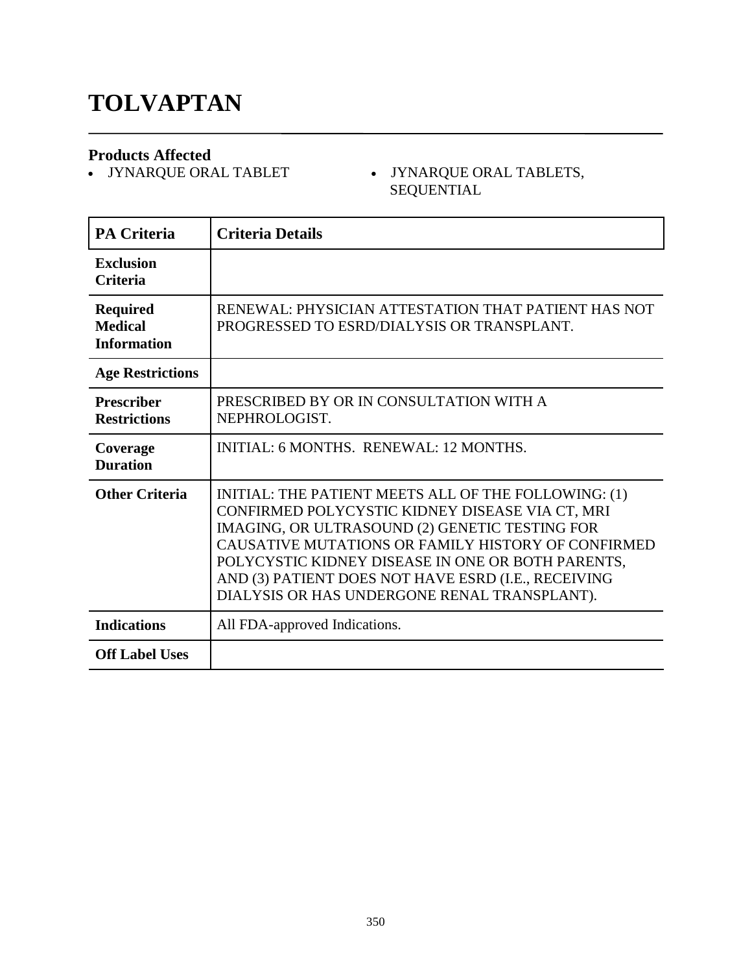# **TOLVAPTAN**

**Products Affected**

 JYNARQUE ORAL TABLET JYNARQUE ORAL TABLETS, SEQUENTIAL

| <b>PA Criteria</b>                                      | <b>Criteria Details</b>                                                                                                                                                                                                                                                                                                                                                     |
|---------------------------------------------------------|-----------------------------------------------------------------------------------------------------------------------------------------------------------------------------------------------------------------------------------------------------------------------------------------------------------------------------------------------------------------------------|
| <b>Exclusion</b><br><b>Criteria</b>                     |                                                                                                                                                                                                                                                                                                                                                                             |
| <b>Required</b><br><b>Medical</b><br><b>Information</b> | RENEWAL: PHYSICIAN ATTESTATION THAT PATIENT HAS NOT<br>PROGRESSED TO ESRD/DIALYSIS OR TRANSPLANT.                                                                                                                                                                                                                                                                           |
| <b>Age Restrictions</b>                                 |                                                                                                                                                                                                                                                                                                                                                                             |
| <b>Prescriber</b><br><b>Restrictions</b>                | PRESCRIBED BY OR IN CONSULTATION WITH A<br>NEPHROLOGIST.                                                                                                                                                                                                                                                                                                                    |
| Coverage<br><b>Duration</b>                             | INITIAL: 6 MONTHS, RENEWAL: 12 MONTHS,                                                                                                                                                                                                                                                                                                                                      |
| <b>Other Criteria</b>                                   | INITIAL: THE PATIENT MEETS ALL OF THE FOLLOWING: (1)<br>CONFIRMED POLYCYSTIC KIDNEY DISEASE VIA CT, MRI<br>IMAGING, OR ULTRASOUND (2) GENETIC TESTING FOR<br>CAUSATIVE MUTATIONS OR FAMILY HISTORY OF CONFIRMED<br>POLYCYSTIC KIDNEY DISEASE IN ONE OR BOTH PARENTS,<br>AND (3) PATIENT DOES NOT HAVE ESRD (I.E., RECEIVING<br>DIALYSIS OR HAS UNDERGONE RENAL TRANSPLANT). |
| <b>Indications</b>                                      | All FDA-approved Indications.                                                                                                                                                                                                                                                                                                                                               |
| <b>Off Label Uses</b>                                   |                                                                                                                                                                                                                                                                                                                                                                             |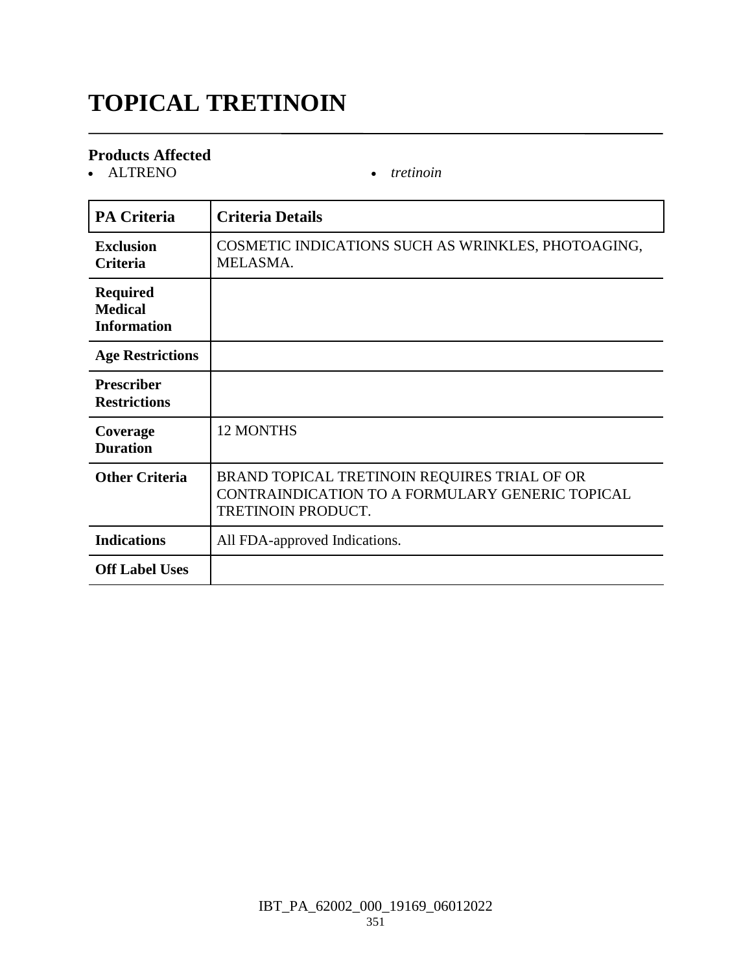# **TOPICAL TRETINOIN**

#### **Products Affected**

ALTRENO *tretinoin*

| <b>PA Criteria</b>                                      | <b>Criteria Details</b>                                                                                                      |
|---------------------------------------------------------|------------------------------------------------------------------------------------------------------------------------------|
| <b>Exclusion</b><br><b>Criteria</b>                     | COSMETIC INDICATIONS SUCH AS WRINKLES, PHOTOAGING,<br>MELASMA.                                                               |
| <b>Required</b><br><b>Medical</b><br><b>Information</b> |                                                                                                                              |
| <b>Age Restrictions</b>                                 |                                                                                                                              |
| <b>Prescriber</b><br><b>Restrictions</b>                |                                                                                                                              |
| Coverage<br><b>Duration</b>                             | <b>12 MONTHS</b>                                                                                                             |
| <b>Other Criteria</b>                                   | BRAND TOPICAL TRETINOIN REQUIRES TRIAL OF OR<br>CONTRAINDICATION TO A FORMULARY GENERIC TOPICAL<br><b>TRETINOIN PRODUCT.</b> |
| <b>Indications</b>                                      | All FDA-approved Indications.                                                                                                |
| <b>Off Label Uses</b>                                   |                                                                                                                              |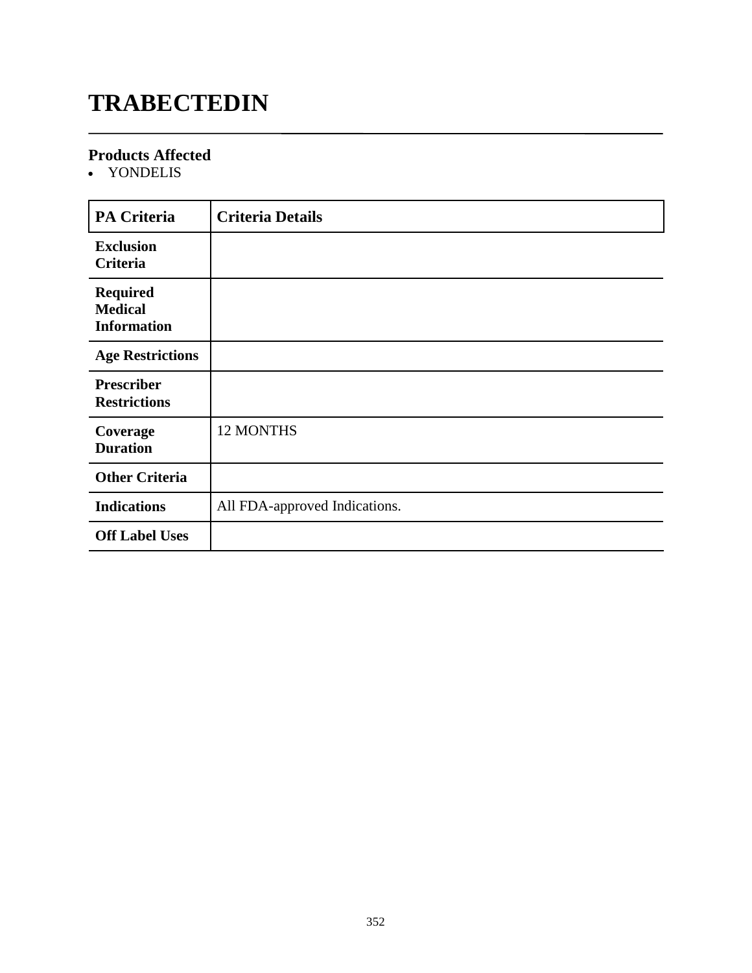# **TRABECTEDIN**

#### **Products Affected**

YONDELIS

| <b>PA Criteria</b>                                      | <b>Criteria Details</b>       |
|---------------------------------------------------------|-------------------------------|
| <b>Exclusion</b><br>Criteria                            |                               |
| <b>Required</b><br><b>Medical</b><br><b>Information</b> |                               |
| <b>Age Restrictions</b>                                 |                               |
| <b>Prescriber</b><br><b>Restrictions</b>                |                               |
| Coverage<br><b>Duration</b>                             | 12 MONTHS                     |
| <b>Other Criteria</b>                                   |                               |
| <b>Indications</b>                                      | All FDA-approved Indications. |
| <b>Off Label Uses</b>                                   |                               |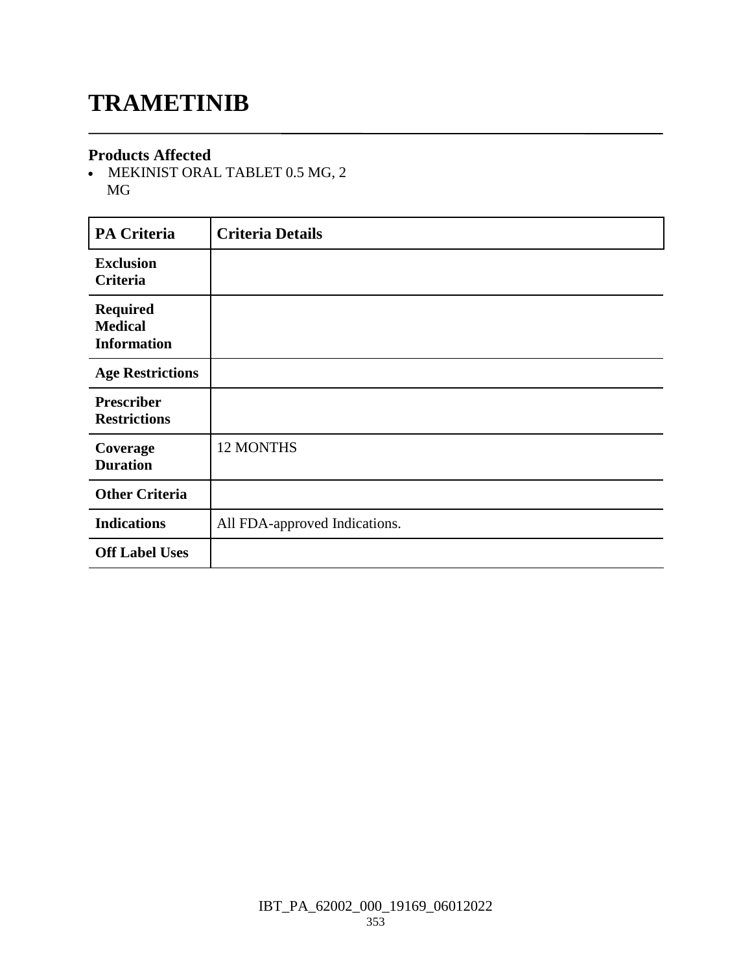## **TRAMETINIB**

#### **Products Affected**

 MEKINIST ORAL TABLET 0.5 MG, 2 MG

| <b>PA Criteria</b>                                      | <b>Criteria Details</b>       |
|---------------------------------------------------------|-------------------------------|
| <b>Exclusion</b><br>Criteria                            |                               |
| <b>Required</b><br><b>Medical</b><br><b>Information</b> |                               |
| <b>Age Restrictions</b>                                 |                               |
| <b>Prescriber</b><br><b>Restrictions</b>                |                               |
| Coverage<br><b>Duration</b>                             | 12 MONTHS                     |
| <b>Other Criteria</b>                                   |                               |
| <b>Indications</b>                                      | All FDA-approved Indications. |
| <b>Off Label Uses</b>                                   |                               |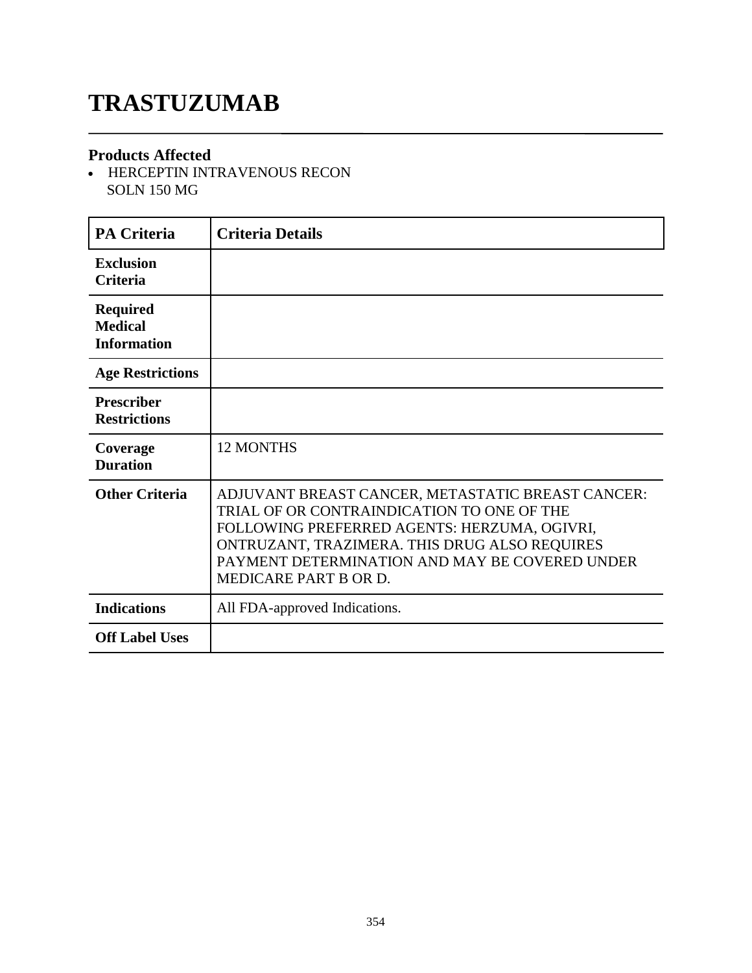# **TRASTUZUMAB**

#### **Products Affected**

• HERCEPTIN INTRAVENOUS RECON SOLN 150 MG

| <b>PA Criteria</b>                                      | <b>Criteria Details</b>                                                                                                                                                                                                                                                            |
|---------------------------------------------------------|------------------------------------------------------------------------------------------------------------------------------------------------------------------------------------------------------------------------------------------------------------------------------------|
| <b>Exclusion</b><br><b>Criteria</b>                     |                                                                                                                                                                                                                                                                                    |
| <b>Required</b><br><b>Medical</b><br><b>Information</b> |                                                                                                                                                                                                                                                                                    |
| <b>Age Restrictions</b>                                 |                                                                                                                                                                                                                                                                                    |
| <b>Prescriber</b><br><b>Restrictions</b>                |                                                                                                                                                                                                                                                                                    |
| Coverage<br><b>Duration</b>                             | <b>12 MONTHS</b>                                                                                                                                                                                                                                                                   |
| <b>Other Criteria</b>                                   | ADJUVANT BREAST CANCER, METASTATIC BREAST CANCER:<br>TRIAL OF OR CONTRAINDICATION TO ONE OF THE<br>FOLLOWING PREFERRED AGENTS: HERZUMA, OGIVRI,<br>ONTRUZANT, TRAZIMERA. THIS DRUG ALSO REQUIRES<br>PAYMENT DETERMINATION AND MAY BE COVERED UNDER<br><b>MEDICARE PART B OR D.</b> |
| <b>Indications</b>                                      | All FDA-approved Indications.                                                                                                                                                                                                                                                      |
| <b>Off Label Uses</b>                                   |                                                                                                                                                                                                                                                                                    |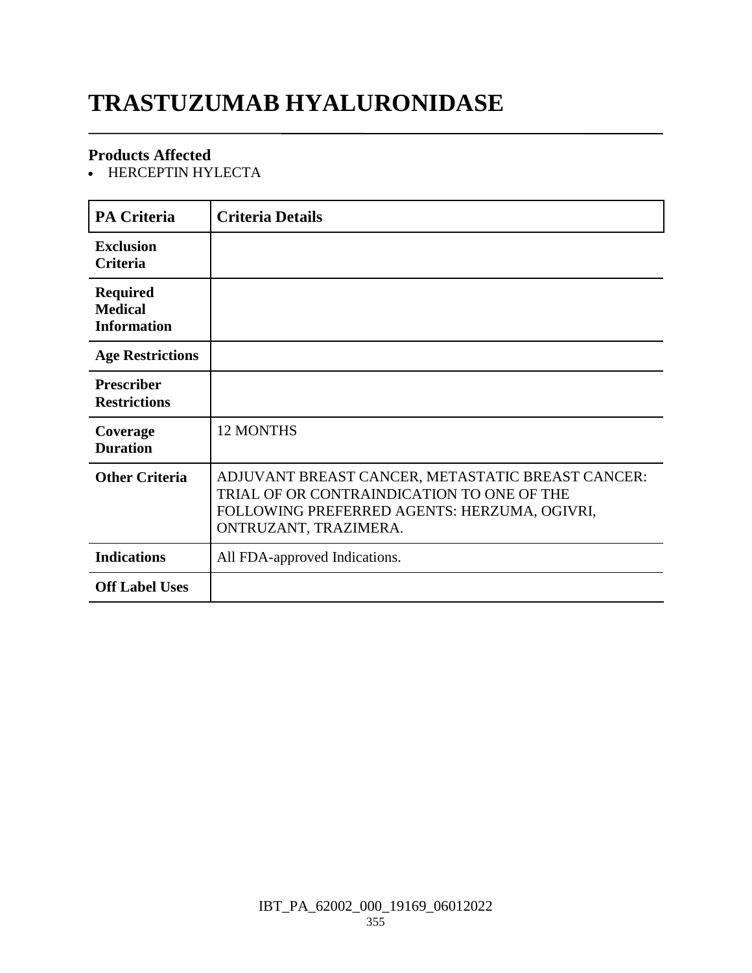# **TRASTUZUMAB HYALURONIDASE**

#### **Products Affected**

• HERCEPTIN HYLECTA

| <b>PA Criteria</b>                                      | <b>Criteria Details</b>                                                                                                                                                  |
|---------------------------------------------------------|--------------------------------------------------------------------------------------------------------------------------------------------------------------------------|
| <b>Exclusion</b><br>Criteria                            |                                                                                                                                                                          |
| <b>Required</b><br><b>Medical</b><br><b>Information</b> |                                                                                                                                                                          |
| <b>Age Restrictions</b>                                 |                                                                                                                                                                          |
| <b>Prescriber</b><br><b>Restrictions</b>                |                                                                                                                                                                          |
| Coverage<br><b>Duration</b>                             | <b>12 MONTHS</b>                                                                                                                                                         |
| <b>Other Criteria</b>                                   | ADJUVANT BREAST CANCER, METASTATIC BREAST CANCER:<br>TRIAL OF OR CONTRAINDICATION TO ONE OF THE<br>FOLLOWING PREFERRED AGENTS: HERZUMA, OGIVRI,<br>ONTRUZANT, TRAZIMERA. |
| <b>Indications</b>                                      | All FDA-approved Indications.                                                                                                                                            |
| <b>Off Label Uses</b>                                   |                                                                                                                                                                          |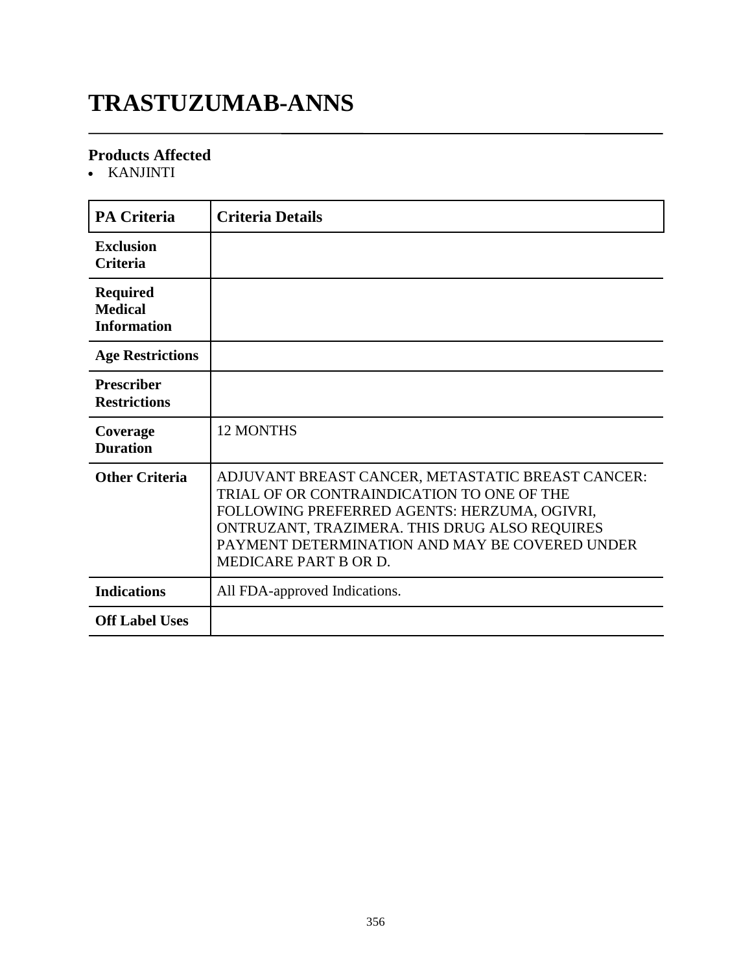# **TRASTUZUMAB-ANNS**

#### **Products Affected**

KANJINTI

| <b>PA Criteria</b>                                      | <b>Criteria Details</b>                                                                                                                                                                                                                                                            |
|---------------------------------------------------------|------------------------------------------------------------------------------------------------------------------------------------------------------------------------------------------------------------------------------------------------------------------------------------|
| <b>Exclusion</b><br><b>Criteria</b>                     |                                                                                                                                                                                                                                                                                    |
| <b>Required</b><br><b>Medical</b><br><b>Information</b> |                                                                                                                                                                                                                                                                                    |
| <b>Age Restrictions</b>                                 |                                                                                                                                                                                                                                                                                    |
| <b>Prescriber</b><br><b>Restrictions</b>                |                                                                                                                                                                                                                                                                                    |
| Coverage<br><b>Duration</b>                             | <b>12 MONTHS</b>                                                                                                                                                                                                                                                                   |
| <b>Other Criteria</b>                                   | ADJUVANT BREAST CANCER, METASTATIC BREAST CANCER:<br>TRIAL OF OR CONTRAINDICATION TO ONE OF THE<br>FOLLOWING PREFERRED AGENTS: HERZUMA, OGIVRI,<br>ONTRUZANT, TRAZIMERA. THIS DRUG ALSO REQUIRES<br>PAYMENT DETERMINATION AND MAY BE COVERED UNDER<br><b>MEDICARE PART B OR D.</b> |
| <b>Indications</b>                                      | All FDA-approved Indications.                                                                                                                                                                                                                                                      |
| <b>Off Label Uses</b>                                   |                                                                                                                                                                                                                                                                                    |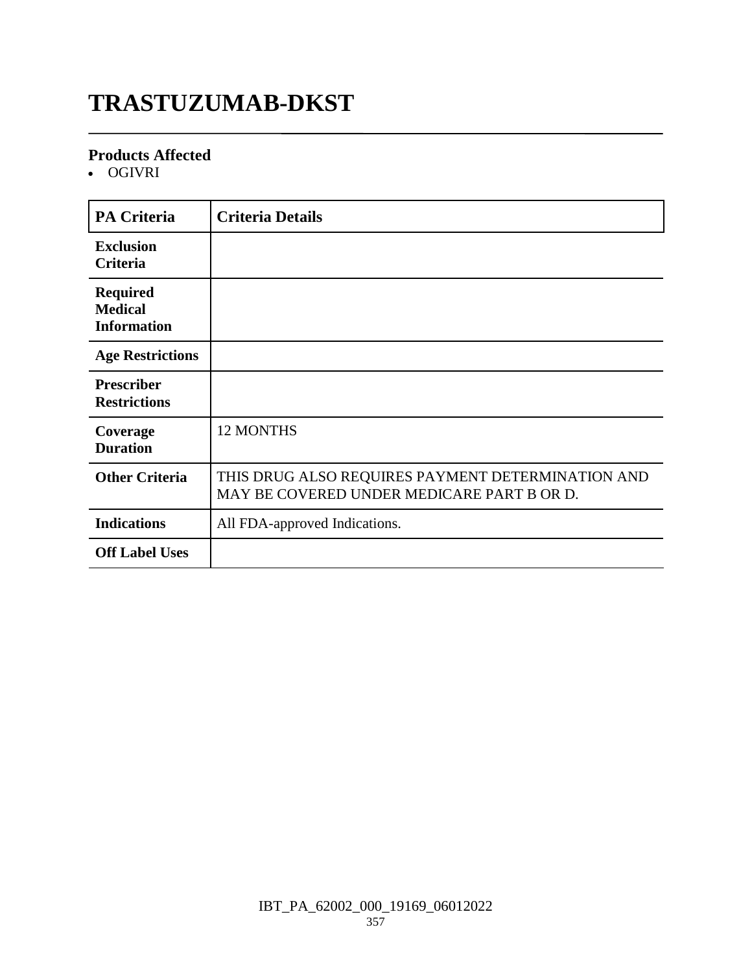# **TRASTUZUMAB-DKST**

#### **Products Affected**

OGIVRI

| <b>PA Criteria</b>                                      | <b>Criteria Details</b>                                                                         |
|---------------------------------------------------------|-------------------------------------------------------------------------------------------------|
| <b>Exclusion</b><br>Criteria                            |                                                                                                 |
| <b>Required</b><br><b>Medical</b><br><b>Information</b> |                                                                                                 |
| <b>Age Restrictions</b>                                 |                                                                                                 |
| <b>Prescriber</b><br><b>Restrictions</b>                |                                                                                                 |
| Coverage<br><b>Duration</b>                             | <b>12 MONTHS</b>                                                                                |
| <b>Other Criteria</b>                                   | THIS DRUG ALSO REQUIRES PAYMENT DETERMINATION AND<br>MAY BE COVERED UNDER MEDICARE PART B OR D. |
| <b>Indications</b>                                      | All FDA-approved Indications.                                                                   |
| <b>Off Label Uses</b>                                   |                                                                                                 |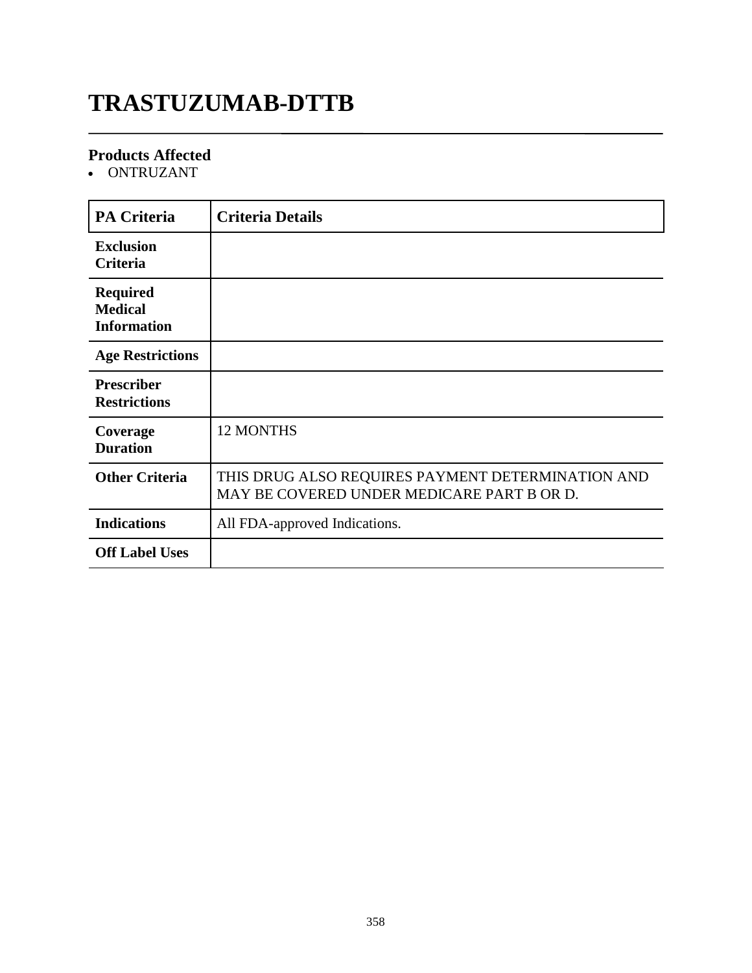# **TRASTUZUMAB-DTTB**

#### **Products Affected**

• ONTRUZANT

| <b>PA Criteria</b>                                      | <b>Criteria Details</b>                                                                         |
|---------------------------------------------------------|-------------------------------------------------------------------------------------------------|
| <b>Exclusion</b><br>Criteria                            |                                                                                                 |
| <b>Required</b><br><b>Medical</b><br><b>Information</b> |                                                                                                 |
| <b>Age Restrictions</b>                                 |                                                                                                 |
| <b>Prescriber</b><br><b>Restrictions</b>                |                                                                                                 |
| Coverage<br><b>Duration</b>                             | <b>12 MONTHS</b>                                                                                |
| <b>Other Criteria</b>                                   | THIS DRUG ALSO REQUIRES PAYMENT DETERMINATION AND<br>MAY BE COVERED UNDER MEDICARE PART B OR D. |
| <b>Indications</b>                                      | All FDA-approved Indications.                                                                   |
| <b>Off Label Uses</b>                                   |                                                                                                 |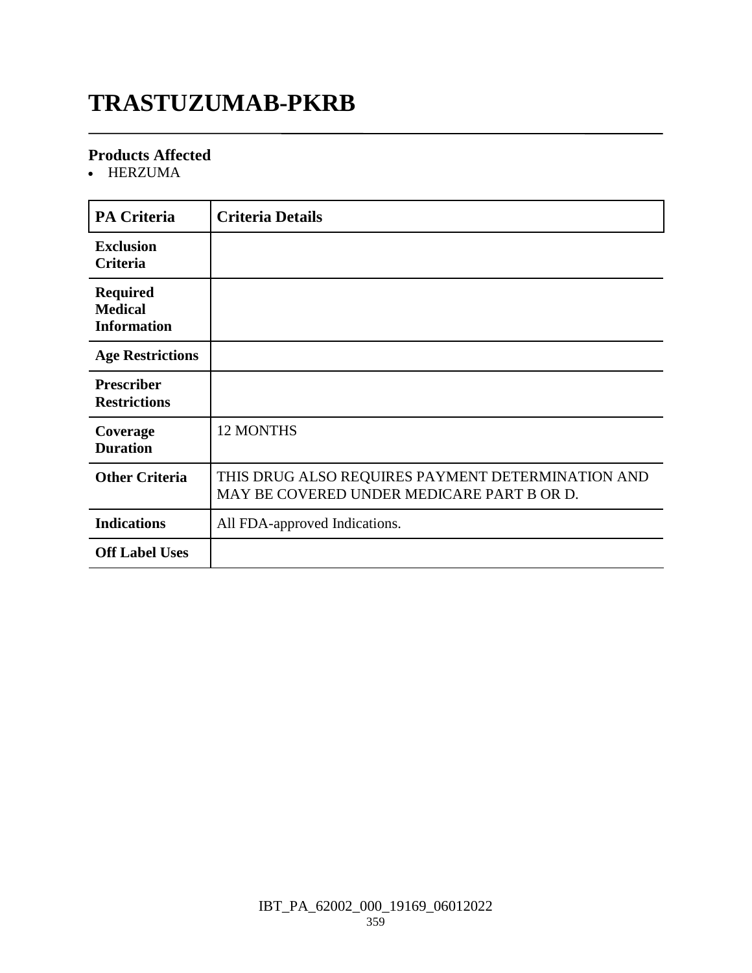# **TRASTUZUMAB-PKRB**

#### **Products Affected**

HERZUMA

| <b>PA Criteria</b>                                      | <b>Criteria Details</b>                                                                         |
|---------------------------------------------------------|-------------------------------------------------------------------------------------------------|
| <b>Exclusion</b><br>Criteria                            |                                                                                                 |
| <b>Required</b><br><b>Medical</b><br><b>Information</b> |                                                                                                 |
| <b>Age Restrictions</b>                                 |                                                                                                 |
| <b>Prescriber</b><br><b>Restrictions</b>                |                                                                                                 |
| Coverage<br><b>Duration</b>                             | <b>12 MONTHS</b>                                                                                |
| <b>Other Criteria</b>                                   | THIS DRUG ALSO REQUIRES PAYMENT DETERMINATION AND<br>MAY BE COVERED UNDER MEDICARE PART B OR D. |
| <b>Indications</b>                                      | All FDA-approved Indications.                                                                   |
| <b>Off Label Uses</b>                                   |                                                                                                 |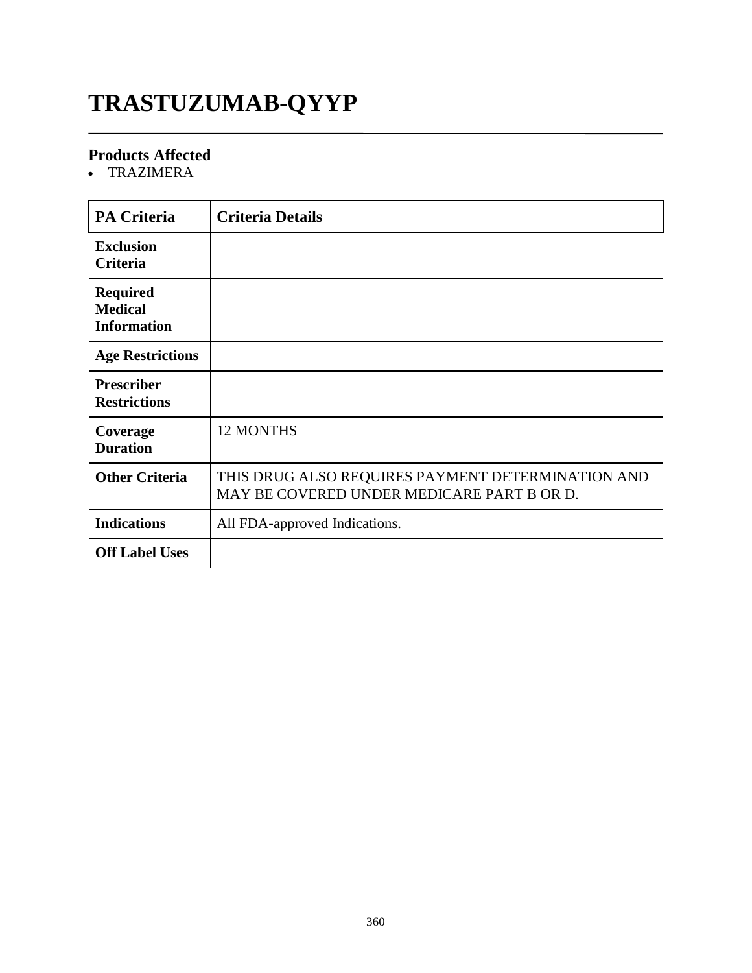# **TRASTUZUMAB-QYYP**

### **Products Affected**

TRAZIMERA

| <b>PA Criteria</b>                                      | <b>Criteria Details</b>                                                                         |
|---------------------------------------------------------|-------------------------------------------------------------------------------------------------|
| <b>Exclusion</b><br><b>Criteria</b>                     |                                                                                                 |
| <b>Required</b><br><b>Medical</b><br><b>Information</b> |                                                                                                 |
| <b>Age Restrictions</b>                                 |                                                                                                 |
| <b>Prescriber</b><br><b>Restrictions</b>                |                                                                                                 |
| Coverage<br><b>Duration</b>                             | <b>12 MONTHS</b>                                                                                |
| <b>Other Criteria</b>                                   | THIS DRUG ALSO REQUIRES PAYMENT DETERMINATION AND<br>MAY BE COVERED UNDER MEDICARE PART B OR D. |
| <b>Indications</b>                                      | All FDA-approved Indications.                                                                   |
| <b>Off Label Uses</b>                                   |                                                                                                 |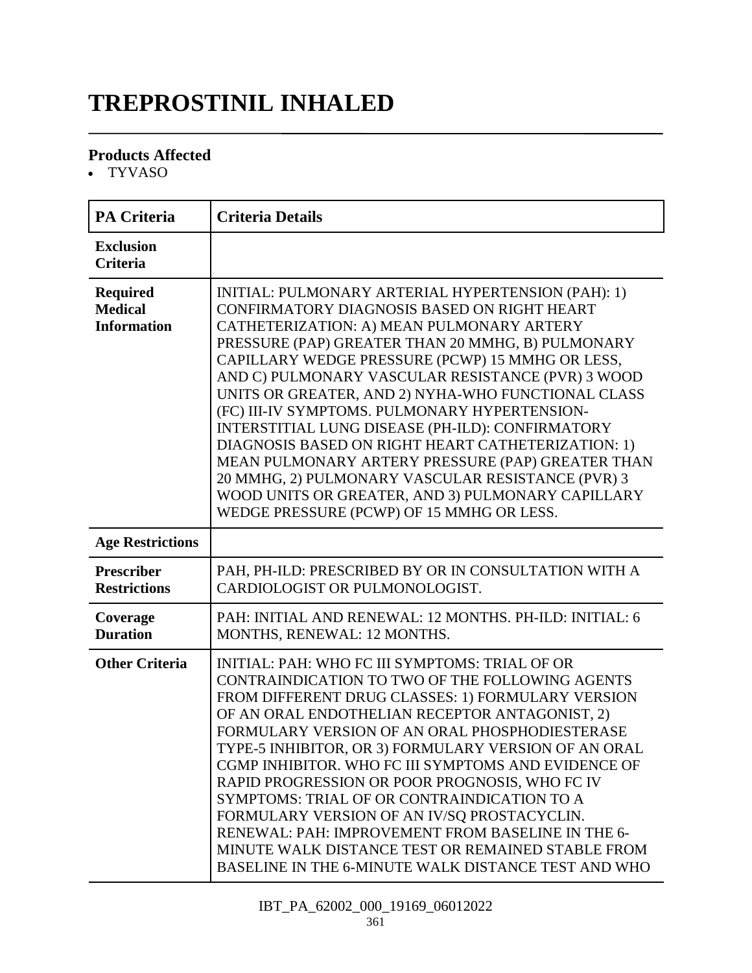# **TREPROSTINIL INHALED**

### **Products Affected**

TYVASO

| <b>PA Criteria</b>                                      | <b>Criteria Details</b>                                                                                                                                                                                                                                                                                                                                                                                                                                                                                                                                                                                                                                                                                                                   |
|---------------------------------------------------------|-------------------------------------------------------------------------------------------------------------------------------------------------------------------------------------------------------------------------------------------------------------------------------------------------------------------------------------------------------------------------------------------------------------------------------------------------------------------------------------------------------------------------------------------------------------------------------------------------------------------------------------------------------------------------------------------------------------------------------------------|
| <b>Exclusion</b><br><b>Criteria</b>                     |                                                                                                                                                                                                                                                                                                                                                                                                                                                                                                                                                                                                                                                                                                                                           |
| <b>Required</b><br><b>Medical</b><br><b>Information</b> | INITIAL: PULMONARY ARTERIAL HYPERTENSION (PAH): 1)<br>CONFIRMATORY DIAGNOSIS BASED ON RIGHT HEART<br>CATHETERIZATION: A) MEAN PULMONARY ARTERY<br>PRESSURE (PAP) GREATER THAN 20 MMHG, B) PULMONARY<br>CAPILLARY WEDGE PRESSURE (PCWP) 15 MMHG OR LESS,<br>AND C) PULMONARY VASCULAR RESISTANCE (PVR) 3 WOOD<br>UNITS OR GREATER, AND 2) NYHA-WHO FUNCTIONAL CLASS<br>(FC) III-IV SYMPTOMS. PULMONARY HYPERTENSION-<br>INTERSTITIAL LUNG DISEASE (PH-ILD): CONFIRMATORY<br>DIAGNOSIS BASED ON RIGHT HEART CATHETERIZATION: 1)<br>MEAN PULMONARY ARTERY PRESSURE (PAP) GREATER THAN<br>20 MMHG, 2) PULMONARY VASCULAR RESISTANCE (PVR) 3<br>WOOD UNITS OR GREATER, AND 3) PULMONARY CAPILLARY<br>WEDGE PRESSURE (PCWP) OF 15 MMHG OR LESS. |
| <b>Age Restrictions</b>                                 |                                                                                                                                                                                                                                                                                                                                                                                                                                                                                                                                                                                                                                                                                                                                           |
| <b>Prescriber</b><br><b>Restrictions</b>                | PAH, PH-ILD: PRESCRIBED BY OR IN CONSULTATION WITH A<br>CARDIOLOGIST OR PULMONOLOGIST.                                                                                                                                                                                                                                                                                                                                                                                                                                                                                                                                                                                                                                                    |
| Coverage<br><b>Duration</b>                             | PAH: INITIAL AND RENEWAL: 12 MONTHS. PH-ILD: INITIAL: 6<br>MONTHS, RENEWAL: 12 MONTHS.                                                                                                                                                                                                                                                                                                                                                                                                                                                                                                                                                                                                                                                    |
| <b>Other Criteria</b>                                   | <b>INITIAL: PAH: WHO FC III SYMPTOMS: TRIAL OF OR</b><br>CONTRAINDICATION TO TWO OF THE FOLLOWING AGENTS<br>FROM DIFFERENT DRUG CLASSES: 1) FORMULARY VERSION<br>OF AN ORAL ENDOTHELIAN RECEPTOR ANTAGONIST, 2)<br>FORMULARY VERSION OF AN ORAL PHOSPHODIESTERASE<br>TYPE-5 INHIBITOR, OR 3) FORMULARY VERSION OF AN ORAL<br>CGMP INHIBITOR. WHO FC III SYMPTOMS AND EVIDENCE OF<br>RAPID PROGRESSION OR POOR PROGNOSIS, WHO FC IV<br>SYMPTOMS: TRIAL OF OR CONTRAINDICATION TO A<br>FORMULARY VERSION OF AN IV/SQ PROSTACYCLIN.<br>RENEWAL: PAH: IMPROVEMENT FROM BASELINE IN THE 6-<br>MINUTE WALK DISTANCE TEST OR REMAINED STABLE FROM<br>BASELINE IN THE 6-MINUTE WALK DISTANCE TEST AND WHO                                         |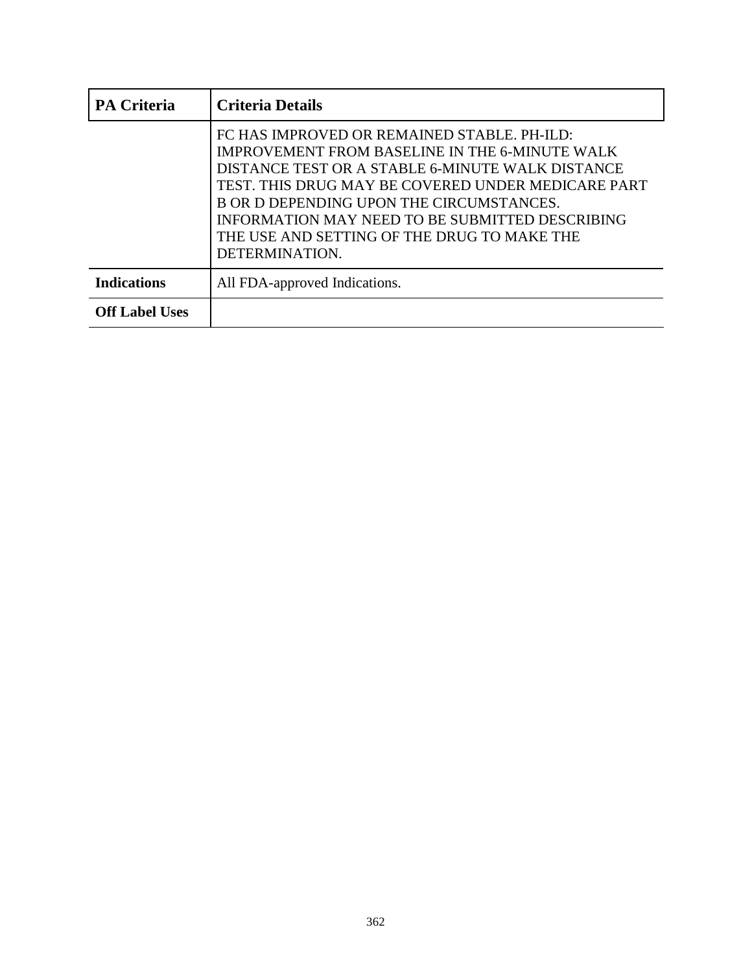| <b>PA Criteria</b>    | <b>Criteria Details</b>                                                                                                                                                                                                                                                                                                                                                        |
|-----------------------|--------------------------------------------------------------------------------------------------------------------------------------------------------------------------------------------------------------------------------------------------------------------------------------------------------------------------------------------------------------------------------|
|                       | FC HAS IMPROVED OR REMAINED STABLE. PH-ILD:<br><b>IMPROVEMENT FROM BASELINE IN THE 6-MINUTE WALK</b><br>DISTANCE TEST OR A STABLE 6-MINUTE WALK DISTANCE<br>TEST. THIS DRUG MAY BE COVERED UNDER MEDICARE PART<br>B OR D DEPENDING UPON THE CIRCUMSTANCES.<br>INFORMATION MAY NEED TO BE SUBMITTED DESCRIBING<br>THE USE AND SETTING OF THE DRUG TO MAKE THE<br>DETERMINATION. |
| <b>Indications</b>    | All FDA-approved Indications.                                                                                                                                                                                                                                                                                                                                                  |
| <b>Off Label Uses</b> |                                                                                                                                                                                                                                                                                                                                                                                |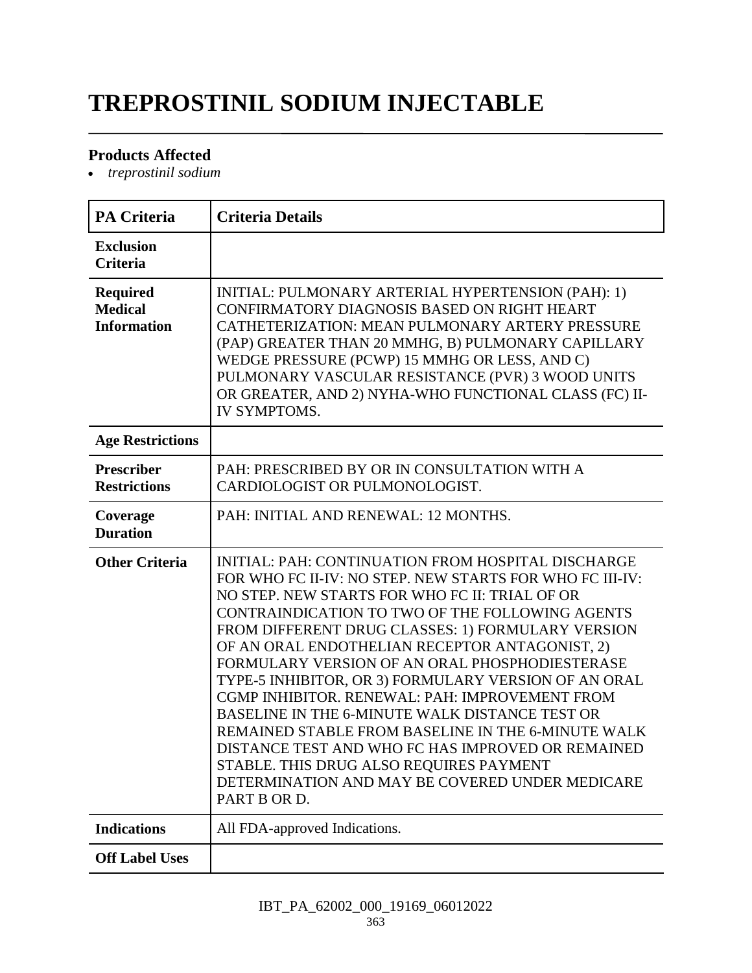# **TREPROSTINIL SODIUM INJECTABLE**

### **Products Affected**

*treprostinil sodium*

| <b>PA Criteria</b>                                      | <b>Criteria Details</b>                                                                                                                                                                                                                                                                                                                                                                                                                                                                                                                                                                                                                                                                                                                                           |
|---------------------------------------------------------|-------------------------------------------------------------------------------------------------------------------------------------------------------------------------------------------------------------------------------------------------------------------------------------------------------------------------------------------------------------------------------------------------------------------------------------------------------------------------------------------------------------------------------------------------------------------------------------------------------------------------------------------------------------------------------------------------------------------------------------------------------------------|
| <b>Exclusion</b><br><b>Criteria</b>                     |                                                                                                                                                                                                                                                                                                                                                                                                                                                                                                                                                                                                                                                                                                                                                                   |
| <b>Required</b><br><b>Medical</b><br><b>Information</b> | INITIAL: PULMONARY ARTERIAL HYPERTENSION (PAH): 1)<br>CONFIRMATORY DIAGNOSIS BASED ON RIGHT HEART<br>CATHETERIZATION: MEAN PULMONARY ARTERY PRESSURE<br>(PAP) GREATER THAN 20 MMHG, B) PULMONARY CAPILLARY<br>WEDGE PRESSURE (PCWP) 15 MMHG OR LESS, AND C)<br>PULMONARY VASCULAR RESISTANCE (PVR) 3 WOOD UNITS<br>OR GREATER, AND 2) NYHA-WHO FUNCTIONAL CLASS (FC) II-<br><b>IV SYMPTOMS.</b>                                                                                                                                                                                                                                                                                                                                                                   |
| <b>Age Restrictions</b>                                 |                                                                                                                                                                                                                                                                                                                                                                                                                                                                                                                                                                                                                                                                                                                                                                   |
| <b>Prescriber</b><br><b>Restrictions</b>                | PAH: PRESCRIBED BY OR IN CONSULTATION WITH A<br>CARDIOLOGIST OR PULMONOLOGIST.                                                                                                                                                                                                                                                                                                                                                                                                                                                                                                                                                                                                                                                                                    |
| Coverage<br><b>Duration</b>                             | PAH: INITIAL AND RENEWAL: 12 MONTHS.                                                                                                                                                                                                                                                                                                                                                                                                                                                                                                                                                                                                                                                                                                                              |
| <b>Other Criteria</b>                                   | INITIAL: PAH: CONTINUATION FROM HOSPITAL DISCHARGE<br>FOR WHO FC II-IV: NO STEP. NEW STARTS FOR WHO FC III-IV:<br>NO STEP. NEW STARTS FOR WHO FC II: TRIAL OF OR<br>CONTRAINDICATION TO TWO OF THE FOLLOWING AGENTS<br>FROM DIFFERENT DRUG CLASSES: 1) FORMULARY VERSION<br>OF AN ORAL ENDOTHELIAN RECEPTOR ANTAGONIST, 2)<br>FORMULARY VERSION OF AN ORAL PHOSPHODIESTERASE<br>TYPE-5 INHIBITOR, OR 3) FORMULARY VERSION OF AN ORAL<br>CGMP INHIBITOR, RENEWAL: PAH: IMPROVEMENT FROM<br>BASELINE IN THE 6-MINUTE WALK DISTANCE TEST OR<br>REMAINED STABLE FROM BASELINE IN THE 6-MINUTE WALK<br>DISTANCE TEST AND WHO FC HAS IMPROVED OR REMAINED<br>STABLE. THIS DRUG ALSO REQUIRES PAYMENT<br>DETERMINATION AND MAY BE COVERED UNDER MEDICARE<br>PART B OR D. |
| <b>Indications</b>                                      | All FDA-approved Indications.                                                                                                                                                                                                                                                                                                                                                                                                                                                                                                                                                                                                                                                                                                                                     |
| <b>Off Label Uses</b>                                   |                                                                                                                                                                                                                                                                                                                                                                                                                                                                                                                                                                                                                                                                                                                                                                   |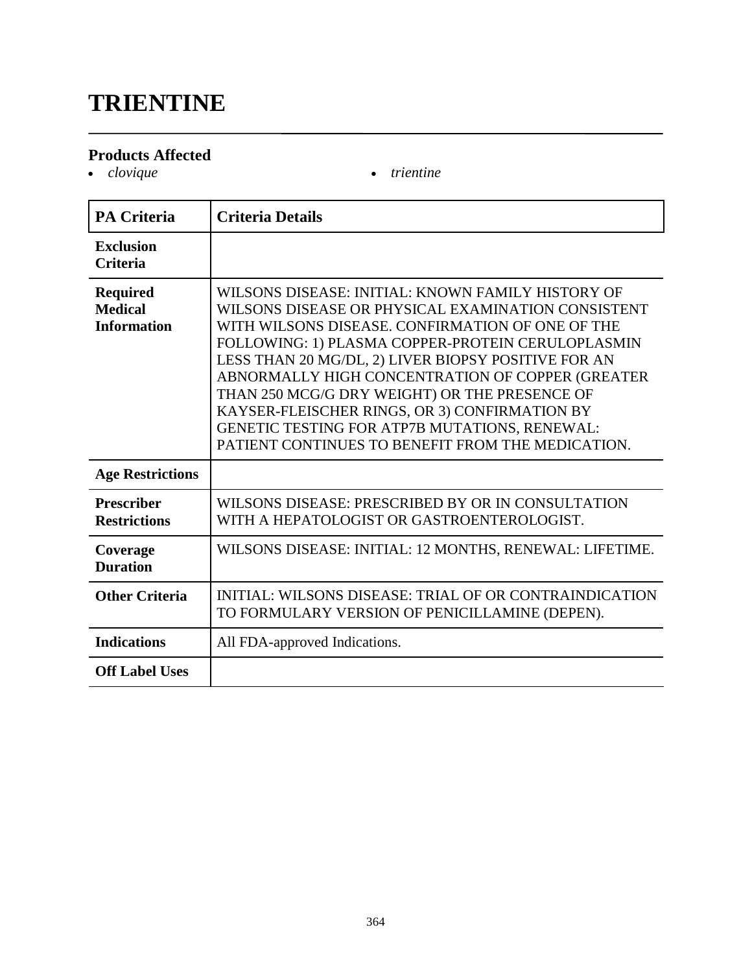### **TRIENTINE**

### **Products Affected**

• *clovique* **•** *trientine* 

| <b>PA Criteria</b>                                      | <b>Criteria Details</b>                                                                                                                                                                                                                                                                                                                                                                                                                                                                                                             |
|---------------------------------------------------------|-------------------------------------------------------------------------------------------------------------------------------------------------------------------------------------------------------------------------------------------------------------------------------------------------------------------------------------------------------------------------------------------------------------------------------------------------------------------------------------------------------------------------------------|
| <b>Exclusion</b><br><b>Criteria</b>                     |                                                                                                                                                                                                                                                                                                                                                                                                                                                                                                                                     |
| <b>Required</b><br><b>Medical</b><br><b>Information</b> | WILSONS DISEASE: INITIAL: KNOWN FAMILY HISTORY OF<br>WILSONS DISEASE OR PHYSICAL EXAMINATION CONSISTENT<br>WITH WILSONS DISEASE. CONFIRMATION OF ONE OF THE<br>FOLLOWING: 1) PLASMA COPPER-PROTEIN CERULOPLASMIN<br>LESS THAN 20 MG/DL, 2) LIVER BIOPSY POSITIVE FOR AN<br>ABNORMALLY HIGH CONCENTRATION OF COPPER (GREATER<br>THAN 250 MCG/G DRY WEIGHT) OR THE PRESENCE OF<br>KAYSER-FLEISCHER RINGS, OR 3) CONFIRMATION BY<br>GENETIC TESTING FOR ATP7B MUTATIONS, RENEWAL:<br>PATIENT CONTINUES TO BENEFIT FROM THE MEDICATION. |
| <b>Age Restrictions</b>                                 |                                                                                                                                                                                                                                                                                                                                                                                                                                                                                                                                     |
| <b>Prescriber</b><br><b>Restrictions</b>                | WILSONS DISEASE: PRESCRIBED BY OR IN CONSULTATION<br>WITH A HEPATOLOGIST OR GASTROENTEROLOGIST.                                                                                                                                                                                                                                                                                                                                                                                                                                     |
| Coverage<br><b>Duration</b>                             | WILSONS DISEASE: INITIAL: 12 MONTHS, RENEWAL: LIFETIME.                                                                                                                                                                                                                                                                                                                                                                                                                                                                             |
| <b>Other Criteria</b>                                   | INITIAL: WILSONS DISEASE: TRIAL OF OR CONTRAINDICATION<br>TO FORMULARY VERSION OF PENICILLAMINE (DEPEN).                                                                                                                                                                                                                                                                                                                                                                                                                            |
| <b>Indications</b>                                      | All FDA-approved Indications.                                                                                                                                                                                                                                                                                                                                                                                                                                                                                                       |
| <b>Off Label Uses</b>                                   |                                                                                                                                                                                                                                                                                                                                                                                                                                                                                                                                     |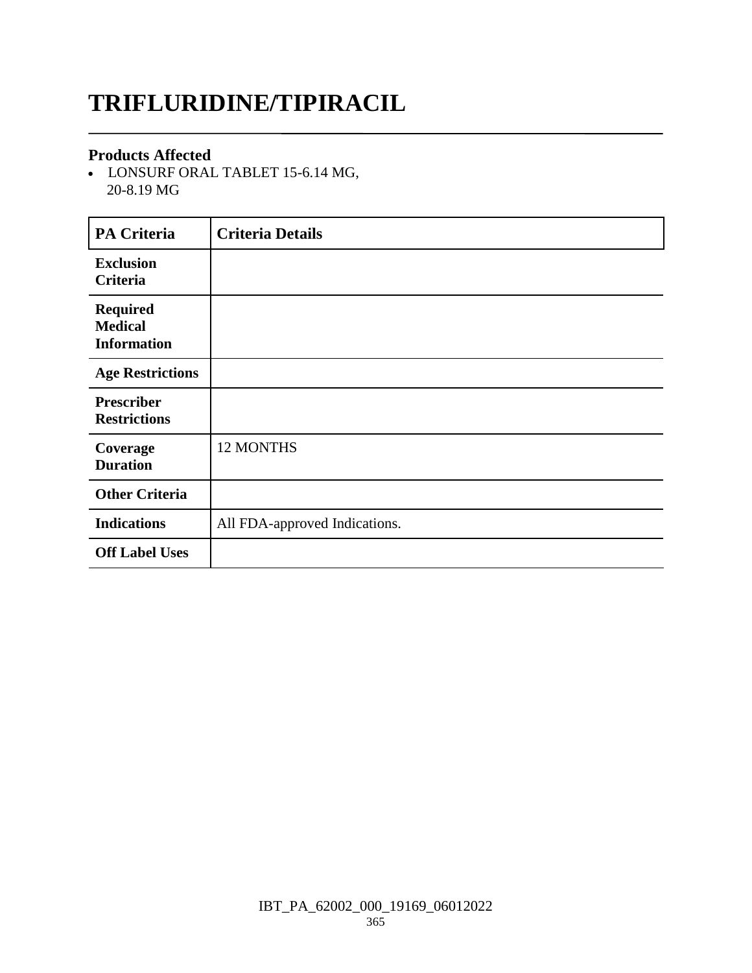# **TRIFLURIDINE/TIPIRACIL**

### **Products Affected**

 LONSURF ORAL TABLET 15-6.14 MG, 20-8.19 MG

| <b>PA Criteria</b>                                      | <b>Criteria Details</b>       |
|---------------------------------------------------------|-------------------------------|
| <b>Exclusion</b><br><b>Criteria</b>                     |                               |
| <b>Required</b><br><b>Medical</b><br><b>Information</b> |                               |
| <b>Age Restrictions</b>                                 |                               |
| <b>Prescriber</b><br><b>Restrictions</b>                |                               |
| Coverage<br><b>Duration</b>                             | 12 MONTHS                     |
| <b>Other Criteria</b>                                   |                               |
| <b>Indications</b>                                      | All FDA-approved Indications. |
| <b>Off Label Uses</b>                                   |                               |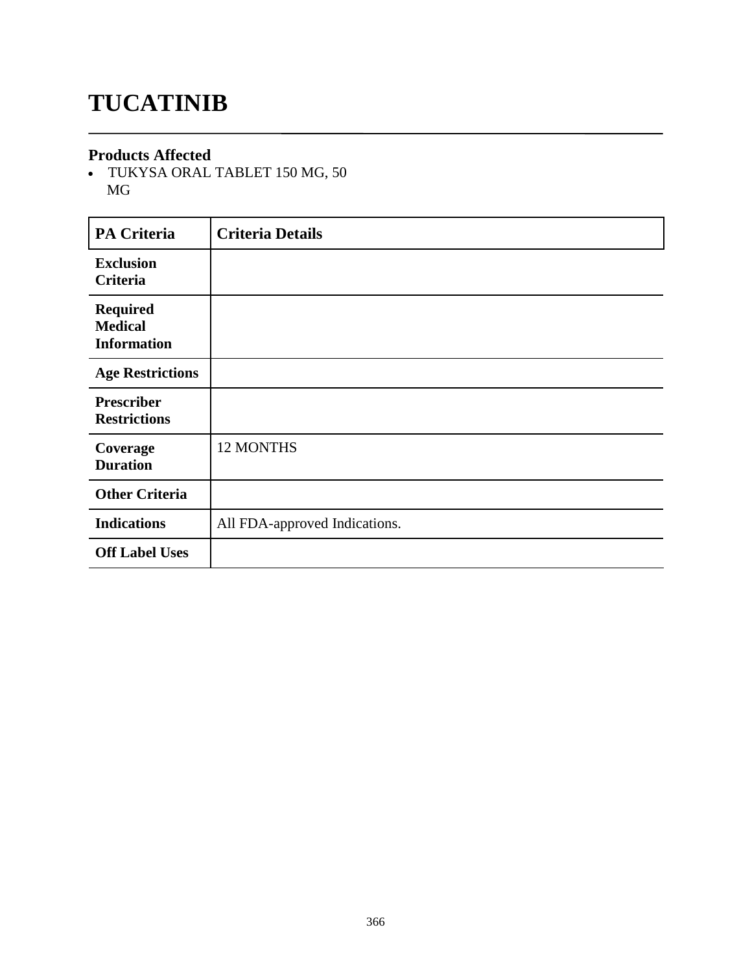# **TUCATINIB**

#### **Products Affected**

 TUKYSA ORAL TABLET 150 MG, 50 MG

| <b>PA Criteria</b>                                      | <b>Criteria Details</b>       |
|---------------------------------------------------------|-------------------------------|
| <b>Exclusion</b><br>Criteria                            |                               |
| <b>Required</b><br><b>Medical</b><br><b>Information</b> |                               |
| <b>Age Restrictions</b>                                 |                               |
| <b>Prescriber</b><br><b>Restrictions</b>                |                               |
| Coverage<br><b>Duration</b>                             | 12 MONTHS                     |
| <b>Other Criteria</b>                                   |                               |
| <b>Indications</b>                                      | All FDA-approved Indications. |
| <b>Off Label Uses</b>                                   |                               |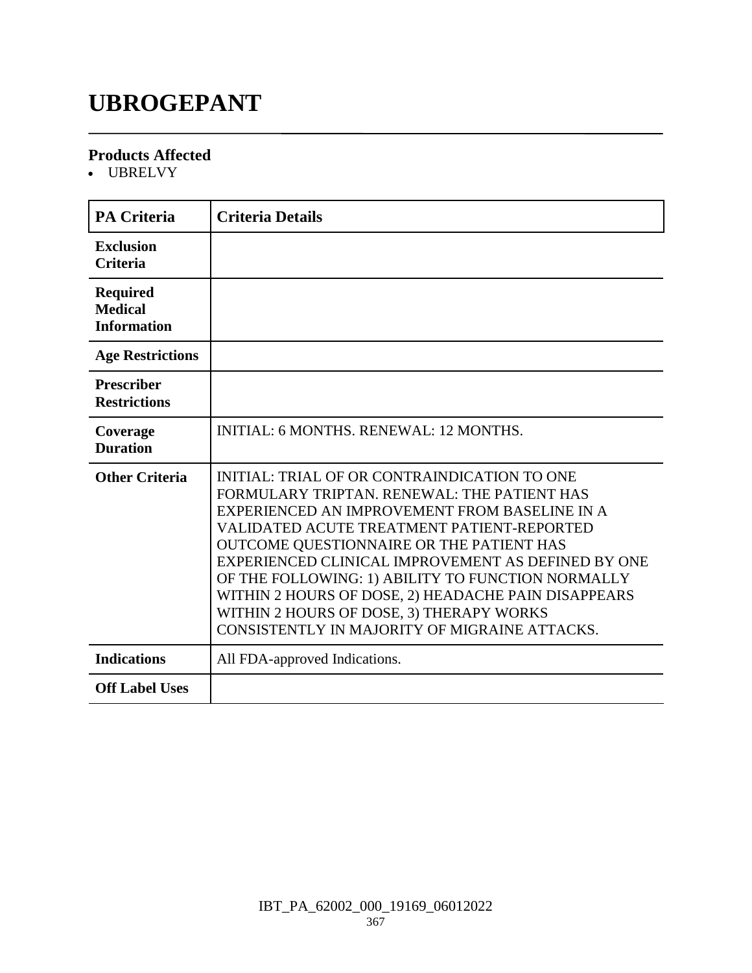# **UBROGEPANT**

### **Products Affected**

UBRELVY

| <b>PA Criteria</b>                                      | <b>Criteria Details</b>                                                                                                                                                                                                                                                                                                                                                                                                                                                                               |
|---------------------------------------------------------|-------------------------------------------------------------------------------------------------------------------------------------------------------------------------------------------------------------------------------------------------------------------------------------------------------------------------------------------------------------------------------------------------------------------------------------------------------------------------------------------------------|
| <b>Exclusion</b><br><b>Criteria</b>                     |                                                                                                                                                                                                                                                                                                                                                                                                                                                                                                       |
| <b>Required</b><br><b>Medical</b><br><b>Information</b> |                                                                                                                                                                                                                                                                                                                                                                                                                                                                                                       |
| <b>Age Restrictions</b>                                 |                                                                                                                                                                                                                                                                                                                                                                                                                                                                                                       |
| <b>Prescriber</b><br><b>Restrictions</b>                |                                                                                                                                                                                                                                                                                                                                                                                                                                                                                                       |
| Coverage<br><b>Duration</b>                             | INITIAL: 6 MONTHS, RENEWAL: 12 MONTHS,                                                                                                                                                                                                                                                                                                                                                                                                                                                                |
| <b>Other Criteria</b>                                   | INITIAL: TRIAL OF OR CONTRAINDICATION TO ONE<br>FORMULARY TRIPTAN, RENEWAL: THE PATIENT HAS<br>EXPERIENCED AN IMPROVEMENT FROM BASELINE IN A<br>VALIDATED ACUTE TREATMENT PATIENT-REPORTED<br>OUTCOME QUESTIONNAIRE OR THE PATIENT HAS<br>EXPERIENCED CLINICAL IMPROVEMENT AS DEFINED BY ONE<br>OF THE FOLLOWING: 1) ABILITY TO FUNCTION NORMALLY<br>WITHIN 2 HOURS OF DOSE, 2) HEADACHE PAIN DISAPPEARS<br>WITHIN 2 HOURS OF DOSE, 3) THERAPY WORKS<br>CONSISTENTLY IN MAJORITY OF MIGRAINE ATTACKS. |
| <b>Indications</b>                                      | All FDA-approved Indications.                                                                                                                                                                                                                                                                                                                                                                                                                                                                         |
| <b>Off Label Uses</b>                                   |                                                                                                                                                                                                                                                                                                                                                                                                                                                                                                       |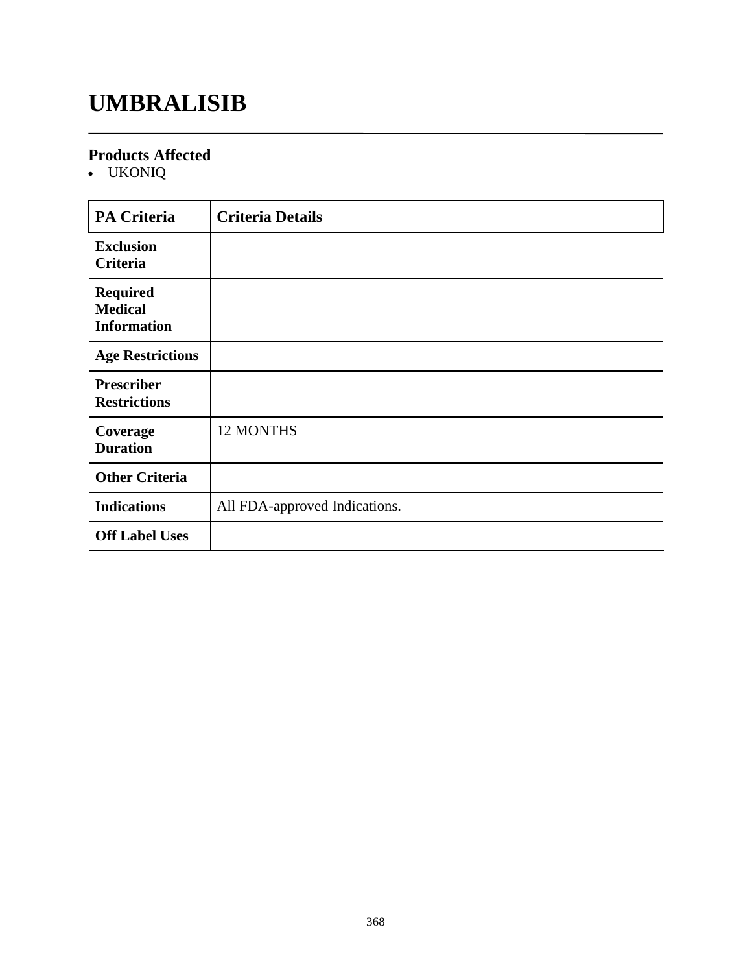## **UMBRALISIB**

### **Products Affected**

UKONIQ

| <b>PA Criteria</b>                                      | <b>Criteria Details</b>       |
|---------------------------------------------------------|-------------------------------|
| <b>Exclusion</b><br>Criteria                            |                               |
| <b>Required</b><br><b>Medical</b><br><b>Information</b> |                               |
| <b>Age Restrictions</b>                                 |                               |
| <b>Prescriber</b><br><b>Restrictions</b>                |                               |
| Coverage<br><b>Duration</b>                             | 12 MONTHS                     |
| <b>Other Criteria</b>                                   |                               |
| <b>Indications</b>                                      | All FDA-approved Indications. |
| <b>Off Label Uses</b>                                   |                               |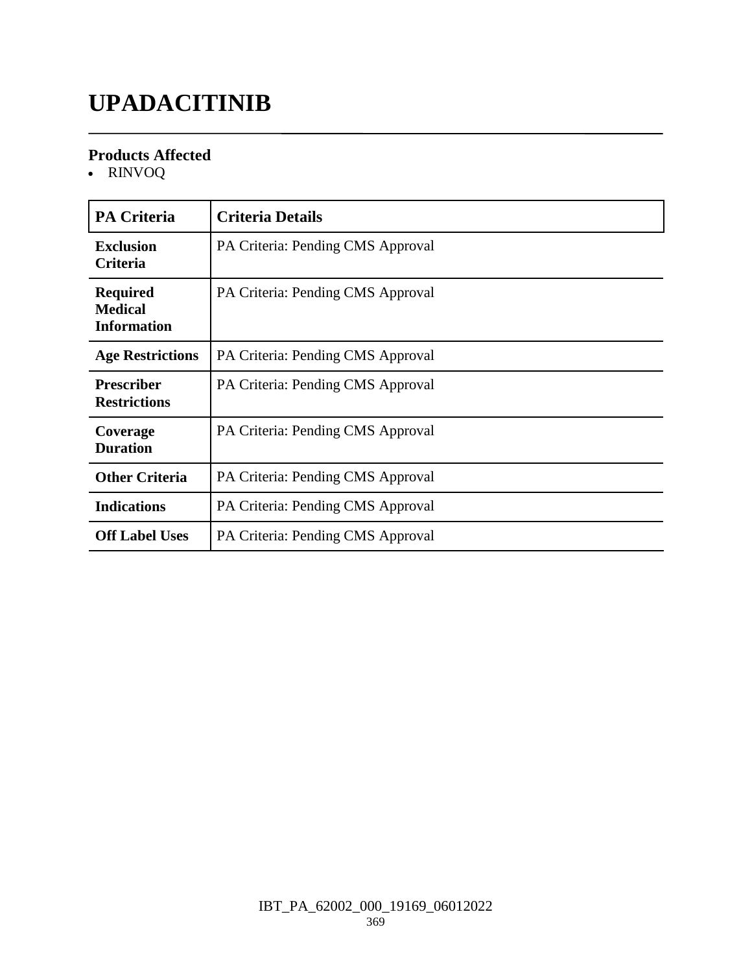# **UPADACITINIB**

### **Products Affected**

RINVOQ

| <b>PA Criteria</b>                                      | <b>Criteria Details</b>           |
|---------------------------------------------------------|-----------------------------------|
| <b>Exclusion</b><br>Criteria                            | PA Criteria: Pending CMS Approval |
| <b>Required</b><br><b>Medical</b><br><b>Information</b> | PA Criteria: Pending CMS Approval |
| <b>Age Restrictions</b>                                 | PA Criteria: Pending CMS Approval |
| <b>Prescriber</b><br><b>Restrictions</b>                | PA Criteria: Pending CMS Approval |
| Coverage<br><b>Duration</b>                             | PA Criteria: Pending CMS Approval |
| <b>Other Criteria</b>                                   | PA Criteria: Pending CMS Approval |
| <b>Indications</b>                                      | PA Criteria: Pending CMS Approval |
| <b>Off Label Uses</b>                                   | PA Criteria: Pending CMS Approval |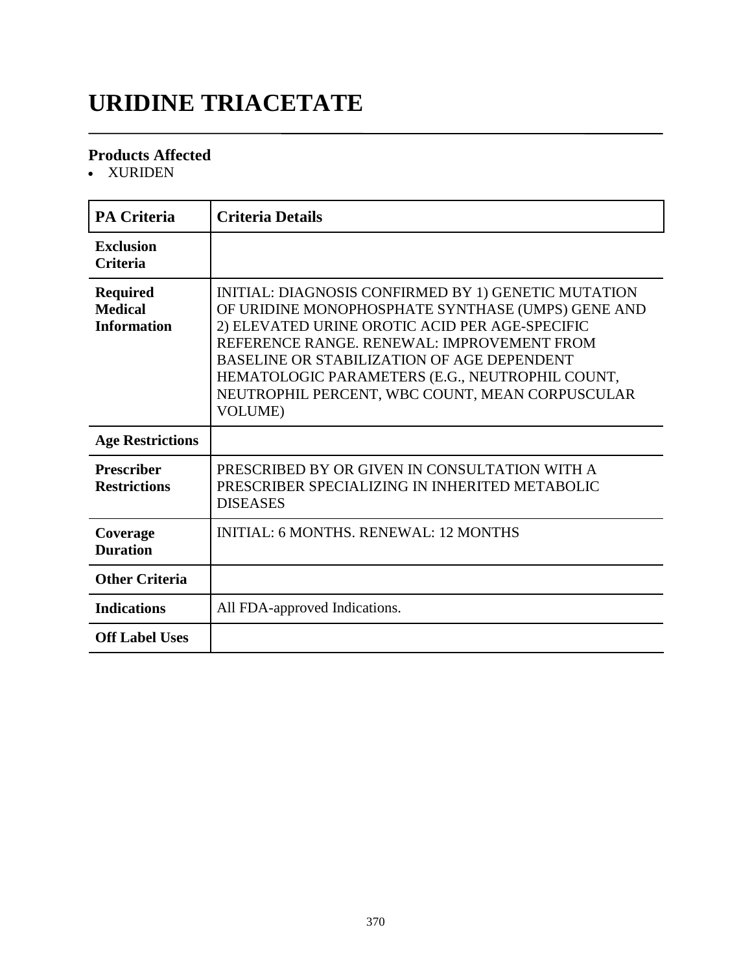# **URIDINE TRIACETATE**

### **Products Affected**

• XURIDEN

| <b>PA Criteria</b>                                      | <b>Criteria Details</b>                                                                                                                                                                                                                                                                                                                                                                |
|---------------------------------------------------------|----------------------------------------------------------------------------------------------------------------------------------------------------------------------------------------------------------------------------------------------------------------------------------------------------------------------------------------------------------------------------------------|
| <b>Exclusion</b><br><b>Criteria</b>                     |                                                                                                                                                                                                                                                                                                                                                                                        |
| <b>Required</b><br><b>Medical</b><br><b>Information</b> | INITIAL: DIAGNOSIS CONFIRMED BY 1) GENETIC MUTATION<br>OF URIDINE MONOPHOSPHATE SYNTHASE (UMPS) GENE AND<br>2) ELEVATED URINE OROTIC ACID PER AGE-SPECIFIC<br>REFERENCE RANGE. RENEWAL: IMPROVEMENT FROM<br><b>BASELINE OR STABILIZATION OF AGE DEPENDENT</b><br>HEMATOLOGIC PARAMETERS (E.G., NEUTROPHIL COUNT,<br>NEUTROPHIL PERCENT, WBC COUNT, MEAN CORPUSCULAR<br><b>VOLUME</b> ) |
| <b>Age Restrictions</b>                                 |                                                                                                                                                                                                                                                                                                                                                                                        |
| <b>Prescriber</b><br><b>Restrictions</b>                | PRESCRIBED BY OR GIVEN IN CONSULTATION WITH A<br>PRESCRIBER SPECIALIZING IN INHERITED METABOLIC<br><b>DISEASES</b>                                                                                                                                                                                                                                                                     |
| Coverage<br><b>Duration</b>                             | <b>INITIAL: 6 MONTHS. RENEWAL: 12 MONTHS</b>                                                                                                                                                                                                                                                                                                                                           |
| <b>Other Criteria</b>                                   |                                                                                                                                                                                                                                                                                                                                                                                        |
| <b>Indications</b>                                      | All FDA-approved Indications.                                                                                                                                                                                                                                                                                                                                                          |
| <b>Off Label Uses</b>                                   |                                                                                                                                                                                                                                                                                                                                                                                        |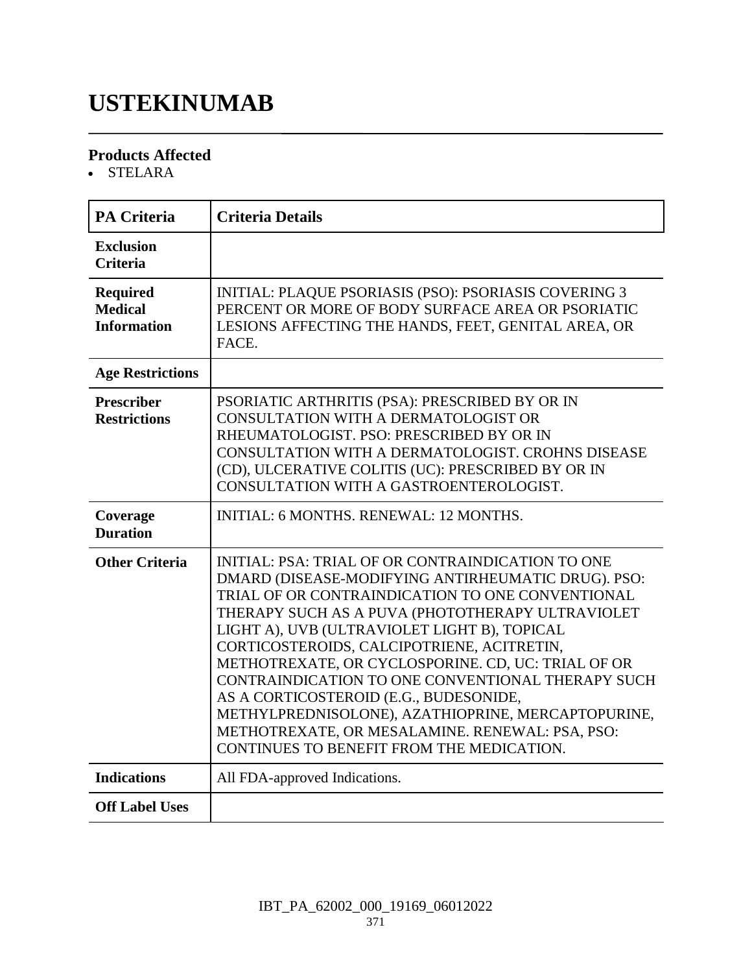## **USTEKINUMAB**

### **Products Affected**

STELARA

| <b>PA Criteria</b>                                      | <b>Criteria Details</b>                                                                                                                                                                                                                                                                                                                                                                                                                                                                                                                                                                                                         |
|---------------------------------------------------------|---------------------------------------------------------------------------------------------------------------------------------------------------------------------------------------------------------------------------------------------------------------------------------------------------------------------------------------------------------------------------------------------------------------------------------------------------------------------------------------------------------------------------------------------------------------------------------------------------------------------------------|
| <b>Exclusion</b><br><b>Criteria</b>                     |                                                                                                                                                                                                                                                                                                                                                                                                                                                                                                                                                                                                                                 |
| <b>Required</b><br><b>Medical</b><br><b>Information</b> | <b>INITIAL: PLAQUE PSORIASIS (PSO): PSORIASIS COVERING 3</b><br>PERCENT OR MORE OF BODY SURFACE AREA OR PSORIATIC<br>LESIONS AFFECTING THE HANDS, FEET, GENITAL AREA, OR<br>FACE.                                                                                                                                                                                                                                                                                                                                                                                                                                               |
| <b>Age Restrictions</b>                                 |                                                                                                                                                                                                                                                                                                                                                                                                                                                                                                                                                                                                                                 |
| <b>Prescriber</b><br><b>Restrictions</b>                | PSORIATIC ARTHRITIS (PSA): PRESCRIBED BY OR IN<br>CONSULTATION WITH A DERMATOLOGIST OR<br>RHEUMATOLOGIST. PSO: PRESCRIBED BY OR IN<br>CONSULTATION WITH A DERMATOLOGIST. CROHNS DISEASE<br>(CD), ULCERATIVE COLITIS (UC): PRESCRIBED BY OR IN<br>CONSULTATION WITH A GASTROENTEROLOGIST.                                                                                                                                                                                                                                                                                                                                        |
| Coverage<br><b>Duration</b>                             | <b>INITIAL: 6 MONTHS, RENEWAL: 12 MONTHS.</b>                                                                                                                                                                                                                                                                                                                                                                                                                                                                                                                                                                                   |
| <b>Other Criteria</b>                                   | <b>INITIAL: PSA: TRIAL OF OR CONTRAINDICATION TO ONE</b><br>DMARD (DISEASE-MODIFYING ANTIRHEUMATIC DRUG). PSO:<br>TRIAL OF OR CONTRAINDICATION TO ONE CONVENTIONAL<br>THERAPY SUCH AS A PUVA (PHOTOTHERAPY ULTRAVIOLET<br>LIGHT A), UVB (ULTRAVIOLET LIGHT B), TOPICAL<br>CORTICOSTEROIDS, CALCIPOTRIENE, ACITRETIN,<br>METHOTREXATE, OR CYCLOSPORINE. CD, UC: TRIAL OF OR<br>CONTRAINDICATION TO ONE CONVENTIONAL THERAPY SUCH<br>AS A CORTICOSTEROID (E.G., BUDESONIDE,<br>METHYLPREDNISOLONE), AZATHIOPRINE, MERCAPTOPURINE,<br>METHOTREXATE, OR MESALAMINE. RENEWAL: PSA, PSO:<br>CONTINUES TO BENEFIT FROM THE MEDICATION. |
| <b>Indications</b>                                      | All FDA-approved Indications.                                                                                                                                                                                                                                                                                                                                                                                                                                                                                                                                                                                                   |
| <b>Off Label Uses</b>                                   |                                                                                                                                                                                                                                                                                                                                                                                                                                                                                                                                                                                                                                 |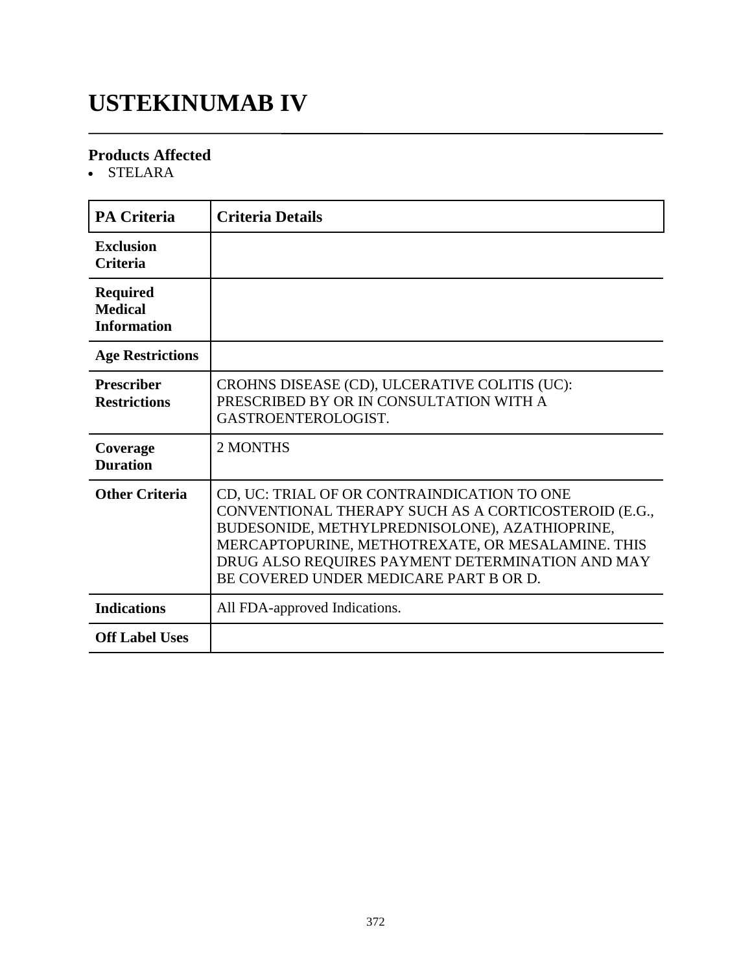# **USTEKINUMAB IV**

### **Products Affected**

• STELARA

| <b>PA Criteria</b>                                      | <b>Criteria Details</b>                                                                                                                                                                                                                                                                                  |
|---------------------------------------------------------|----------------------------------------------------------------------------------------------------------------------------------------------------------------------------------------------------------------------------------------------------------------------------------------------------------|
| <b>Exclusion</b><br><b>Criteria</b>                     |                                                                                                                                                                                                                                                                                                          |
| <b>Required</b><br><b>Medical</b><br><b>Information</b> |                                                                                                                                                                                                                                                                                                          |
| <b>Age Restrictions</b>                                 |                                                                                                                                                                                                                                                                                                          |
| <b>Prescriber</b><br><b>Restrictions</b>                | CROHNS DISEASE (CD), ULCERATIVE COLITIS (UC):<br>PRESCRIBED BY OR IN CONSULTATION WITH A<br>GASTROENTEROLOGIST.                                                                                                                                                                                          |
| Coverage<br><b>Duration</b>                             | 2 MONTHS                                                                                                                                                                                                                                                                                                 |
| <b>Other Criteria</b>                                   | CD, UC: TRIAL OF OR CONTRAINDICATION TO ONE<br>CONVENTIONAL THERAPY SUCH AS A CORTICOSTEROID (E.G.,<br>BUDESONIDE, METHYLPREDNISOLONE), AZATHIOPRINE,<br>MERCAPTOPURINE, METHOTREXATE, OR MESALAMINE. THIS<br>DRUG ALSO REQUIRES PAYMENT DETERMINATION AND MAY<br>BE COVERED UNDER MEDICARE PART B OR D. |
| <b>Indications</b>                                      | All FDA-approved Indications.                                                                                                                                                                                                                                                                            |
| <b>Off Label Uses</b>                                   |                                                                                                                                                                                                                                                                                                          |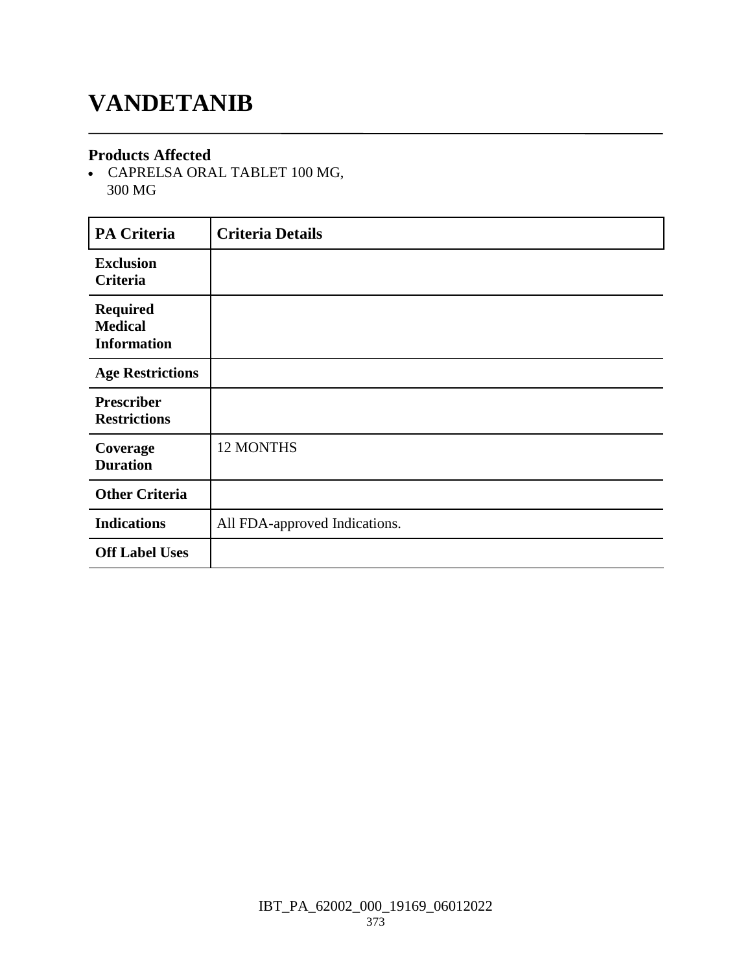### **VANDETANIB**

#### **Products Affected**

 CAPRELSA ORAL TABLET 100 MG, 300 MG

| <b>PA Criteria</b>                                      | <b>Criteria Details</b>       |
|---------------------------------------------------------|-------------------------------|
| <b>Exclusion</b><br>Criteria                            |                               |
| <b>Required</b><br><b>Medical</b><br><b>Information</b> |                               |
| <b>Age Restrictions</b>                                 |                               |
| <b>Prescriber</b><br><b>Restrictions</b>                |                               |
| Coverage<br><b>Duration</b>                             | 12 MONTHS                     |
| <b>Other Criteria</b>                                   |                               |
| <b>Indications</b>                                      | All FDA-approved Indications. |
| <b>Off Label Uses</b>                                   |                               |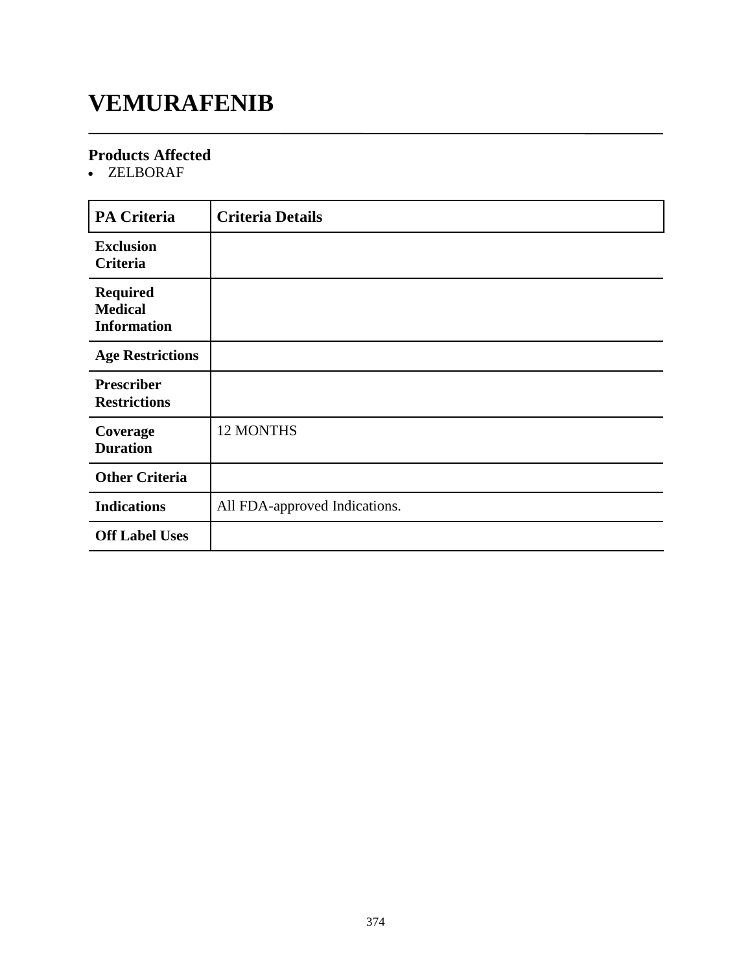### **VEMURAFENIB**

### **Products Affected**

ZELBORAF

| <b>PA Criteria</b>                                      | <b>Criteria Details</b>       |
|---------------------------------------------------------|-------------------------------|
| <b>Exclusion</b><br>Criteria                            |                               |
| <b>Required</b><br><b>Medical</b><br><b>Information</b> |                               |
| <b>Age Restrictions</b>                                 |                               |
| <b>Prescriber</b><br><b>Restrictions</b>                |                               |
| Coverage<br><b>Duration</b>                             | 12 MONTHS                     |
| <b>Other Criteria</b>                                   |                               |
| <b>Indications</b>                                      | All FDA-approved Indications. |
| <b>Off Label Uses</b>                                   |                               |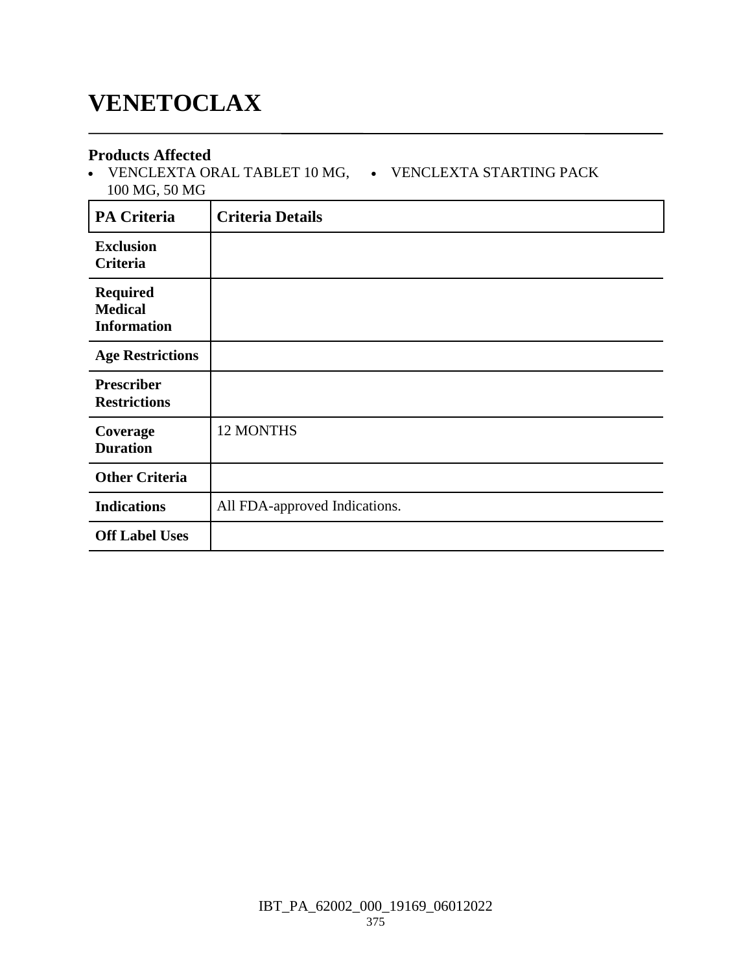## **VENETOCLAX**

### **Products Affected**

 VENCLEXTA ORAL TABLET 10 MG, VENCLEXTA STARTING PACK 100 MG, 50 MG

| <b>PA Criteria</b>                                      | <b>Criteria Details</b>       |
|---------------------------------------------------------|-------------------------------|
| <b>Exclusion</b><br>Criteria                            |                               |
| <b>Required</b><br><b>Medical</b><br><b>Information</b> |                               |
| <b>Age Restrictions</b>                                 |                               |
| <b>Prescriber</b><br><b>Restrictions</b>                |                               |
| Coverage<br><b>Duration</b>                             | <b>12 MONTHS</b>              |
| <b>Other Criteria</b>                                   |                               |
| <b>Indications</b>                                      | All FDA-approved Indications. |
| <b>Off Label Uses</b>                                   |                               |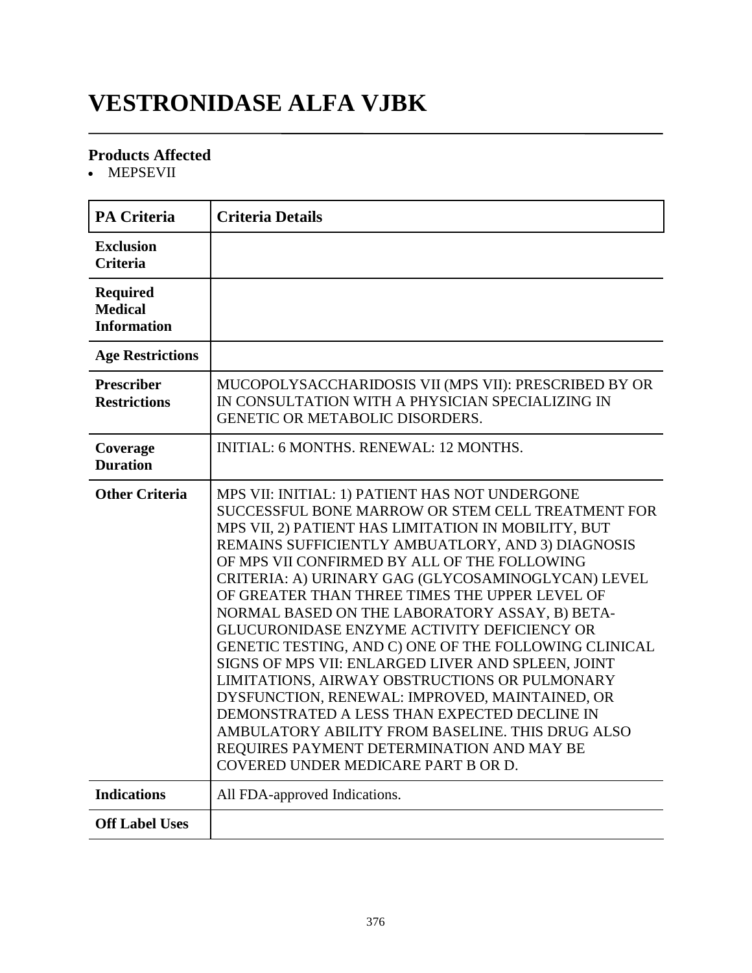# **VESTRONIDASE ALFA VJBK**

### **Products Affected**

• MEPSEVII

| <b>PA Criteria</b>                                      | <b>Criteria Details</b>                                                                                                                                                                                                                                                                                                                                                                                                                                                                                                                                                                                                                                                                                                                                                                                                                                                            |
|---------------------------------------------------------|------------------------------------------------------------------------------------------------------------------------------------------------------------------------------------------------------------------------------------------------------------------------------------------------------------------------------------------------------------------------------------------------------------------------------------------------------------------------------------------------------------------------------------------------------------------------------------------------------------------------------------------------------------------------------------------------------------------------------------------------------------------------------------------------------------------------------------------------------------------------------------|
| <b>Exclusion</b><br><b>Criteria</b>                     |                                                                                                                                                                                                                                                                                                                                                                                                                                                                                                                                                                                                                                                                                                                                                                                                                                                                                    |
| <b>Required</b><br><b>Medical</b><br><b>Information</b> |                                                                                                                                                                                                                                                                                                                                                                                                                                                                                                                                                                                                                                                                                                                                                                                                                                                                                    |
| <b>Age Restrictions</b>                                 |                                                                                                                                                                                                                                                                                                                                                                                                                                                                                                                                                                                                                                                                                                                                                                                                                                                                                    |
| <b>Prescriber</b><br><b>Restrictions</b>                | MUCOPOLYSACCHARIDOSIS VII (MPS VII): PRESCRIBED BY OR<br>IN CONSULTATION WITH A PHYSICIAN SPECIALIZING IN<br>GENETIC OR METABOLIC DISORDERS.                                                                                                                                                                                                                                                                                                                                                                                                                                                                                                                                                                                                                                                                                                                                       |
| Coverage<br><b>Duration</b>                             | <b>INITIAL: 6 MONTHS. RENEWAL: 12 MONTHS.</b>                                                                                                                                                                                                                                                                                                                                                                                                                                                                                                                                                                                                                                                                                                                                                                                                                                      |
| <b>Other Criteria</b>                                   | MPS VII: INITIAL: 1) PATIENT HAS NOT UNDERGONE<br>SUCCESSFUL BONE MARROW OR STEM CELL TREATMENT FOR<br>MPS VII, 2) PATIENT HAS LIMITATION IN MOBILITY, BUT<br>REMAINS SUFFICIENTLY AMBUATLORY, AND 3) DIAGNOSIS<br>OF MPS VII CONFIRMED BY ALL OF THE FOLLOWING<br>CRITERIA: A) URINARY GAG (GLYCOSAMINOGLYCAN) LEVEL<br>OF GREATER THAN THREE TIMES THE UPPER LEVEL OF<br>NORMAL BASED ON THE LABORATORY ASSAY, B) BETA-<br>GLUCURONIDASE ENZYME ACTIVITY DEFICIENCY OR<br>GENETIC TESTING, AND C) ONE OF THE FOLLOWING CLINICAL<br>SIGNS OF MPS VII: ENLARGED LIVER AND SPLEEN, JOINT<br>LIMITATIONS, AIRWAY OBSTRUCTIONS OR PULMONARY<br>DYSFUNCTION, RENEWAL: IMPROVED, MAINTAINED, OR<br>DEMONSTRATED A LESS THAN EXPECTED DECLINE IN<br>AMBULATORY ABILITY FROM BASELINE. THIS DRUG ALSO<br>REQUIRES PAYMENT DETERMINATION AND MAY BE<br>COVERED UNDER MEDICARE PART B OR D. |
| <b>Indications</b>                                      | All FDA-approved Indications.                                                                                                                                                                                                                                                                                                                                                                                                                                                                                                                                                                                                                                                                                                                                                                                                                                                      |
| <b>Off Label Uses</b>                                   |                                                                                                                                                                                                                                                                                                                                                                                                                                                                                                                                                                                                                                                                                                                                                                                                                                                                                    |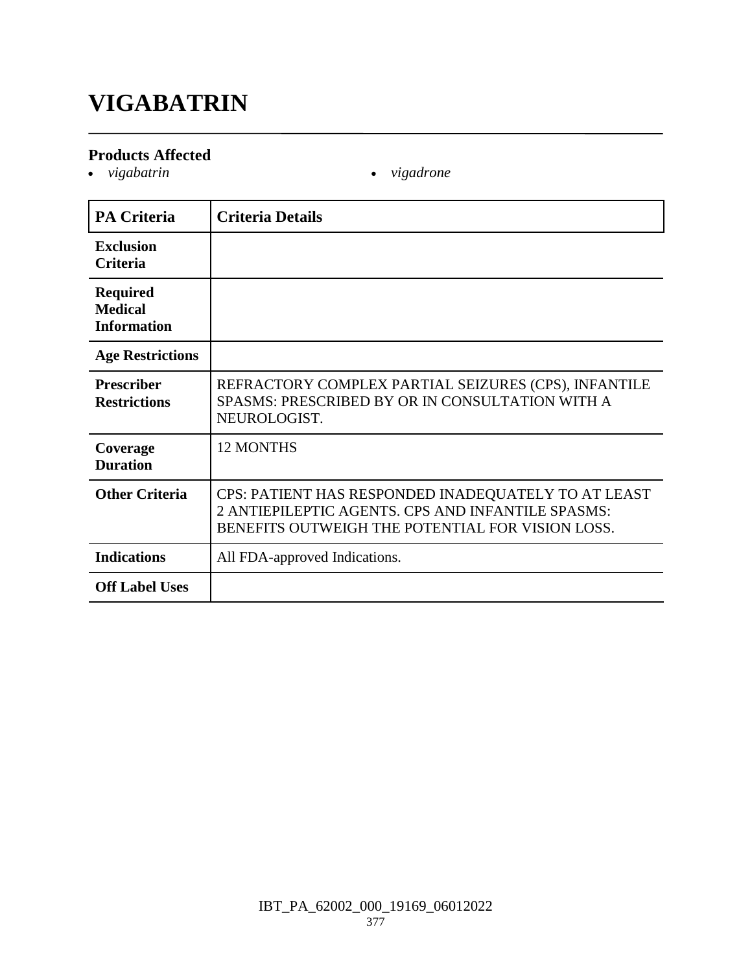# **VIGABATRIN**

### **Products Affected**

- *vigabatrin vigadrone*
	-

| <b>PA Criteria</b>                                      | <b>Criteria Details</b>                                                                                                                                      |
|---------------------------------------------------------|--------------------------------------------------------------------------------------------------------------------------------------------------------------|
| <b>Exclusion</b><br>Criteria                            |                                                                                                                                                              |
| <b>Required</b><br><b>Medical</b><br><b>Information</b> |                                                                                                                                                              |
| <b>Age Restrictions</b>                                 |                                                                                                                                                              |
| <b>Prescriber</b><br><b>Restrictions</b>                | REFRACTORY COMPLEX PARTIAL SEIZURES (CPS), INFANTILE<br>SPASMS: PRESCRIBED BY OR IN CONSULTATION WITH A<br>NEUROLOGIST.                                      |
| Coverage<br><b>Duration</b>                             | <b>12 MONTHS</b>                                                                                                                                             |
| <b>Other Criteria</b>                                   | CPS: PATIENT HAS RESPONDED INADEQUATELY TO AT LEAST<br>2 ANTIEPILEPTIC AGENTS. CPS AND INFANTILE SPASMS:<br>BENEFITS OUTWEIGH THE POTENTIAL FOR VISION LOSS. |
| <b>Indications</b>                                      | All FDA-approved Indications.                                                                                                                                |
| <b>Off Label Uses</b>                                   |                                                                                                                                                              |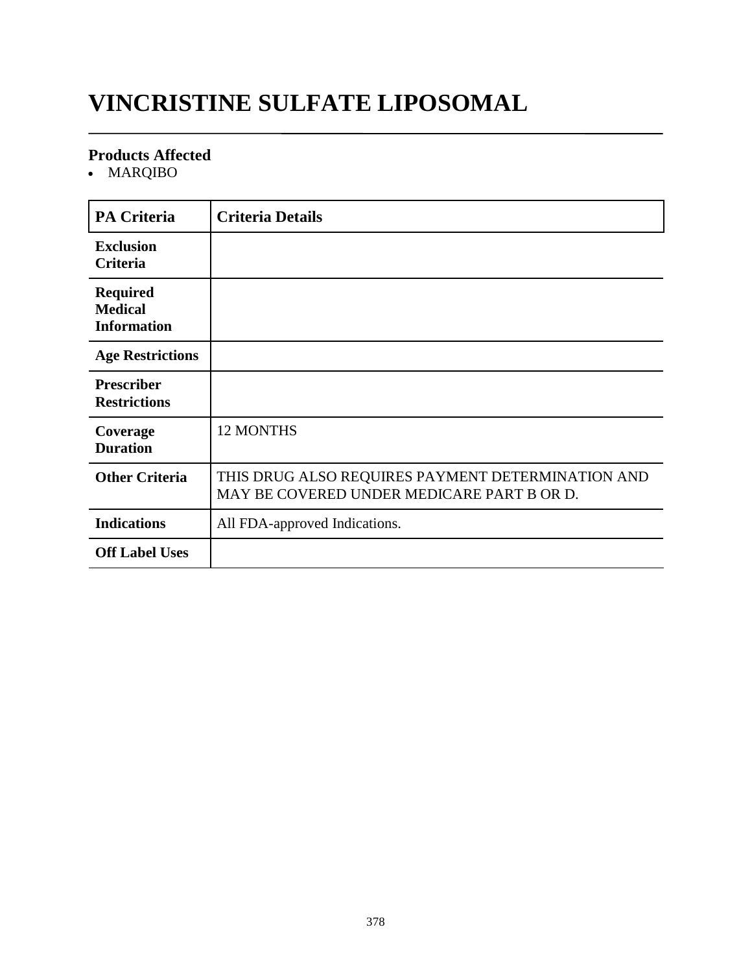# **VINCRISTINE SULFATE LIPOSOMAL**

### **Products Affected**

• MARQIBO

| <b>PA Criteria</b>                                      | <b>Criteria Details</b>                                                                         |
|---------------------------------------------------------|-------------------------------------------------------------------------------------------------|
| <b>Exclusion</b><br>Criteria                            |                                                                                                 |
| <b>Required</b><br><b>Medical</b><br><b>Information</b> |                                                                                                 |
| <b>Age Restrictions</b>                                 |                                                                                                 |
| <b>Prescriber</b><br><b>Restrictions</b>                |                                                                                                 |
| Coverage<br><b>Duration</b>                             | <b>12 MONTHS</b>                                                                                |
| <b>Other Criteria</b>                                   | THIS DRUG ALSO REQUIRES PAYMENT DETERMINATION AND<br>MAY BE COVERED UNDER MEDICARE PART B OR D. |
| <b>Indications</b>                                      | All FDA-approved Indications.                                                                   |
| <b>Off Label Uses</b>                                   |                                                                                                 |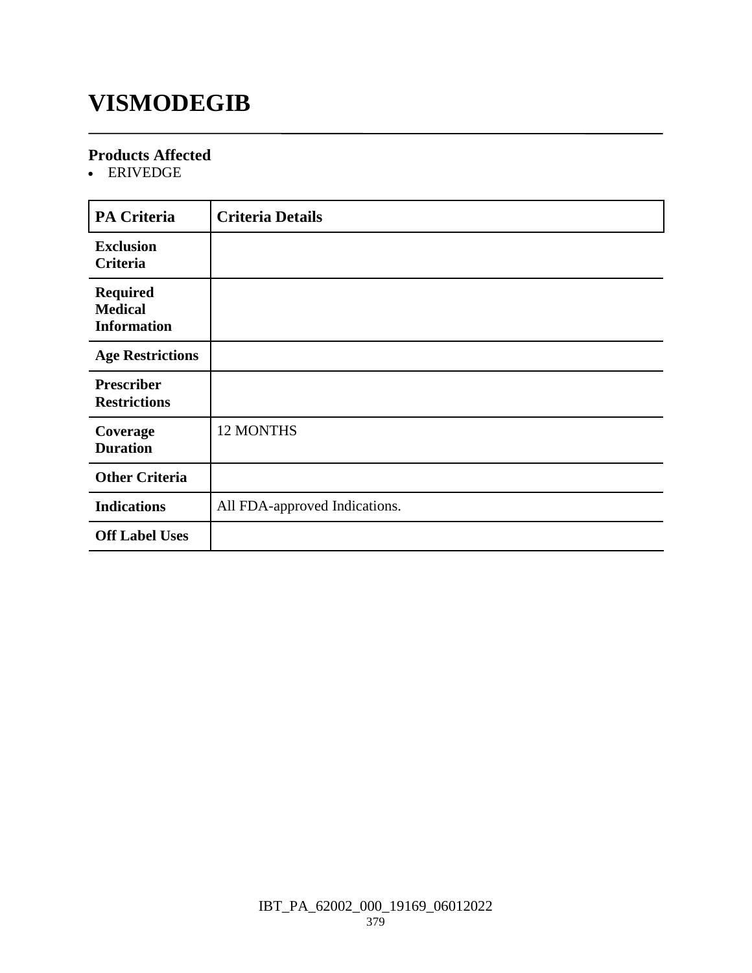## **VISMODEGIB**

### **Products Affected**

ERIVEDGE

| <b>PA Criteria</b>                                      | <b>Criteria Details</b>       |
|---------------------------------------------------------|-------------------------------|
| <b>Exclusion</b><br>Criteria                            |                               |
| <b>Required</b><br><b>Medical</b><br><b>Information</b> |                               |
| <b>Age Restrictions</b>                                 |                               |
| <b>Prescriber</b><br><b>Restrictions</b>                |                               |
| Coverage<br><b>Duration</b>                             | <b>12 MONTHS</b>              |
| <b>Other Criteria</b>                                   |                               |
| <b>Indications</b>                                      | All FDA-approved Indications. |
| <b>Off Label Uses</b>                                   |                               |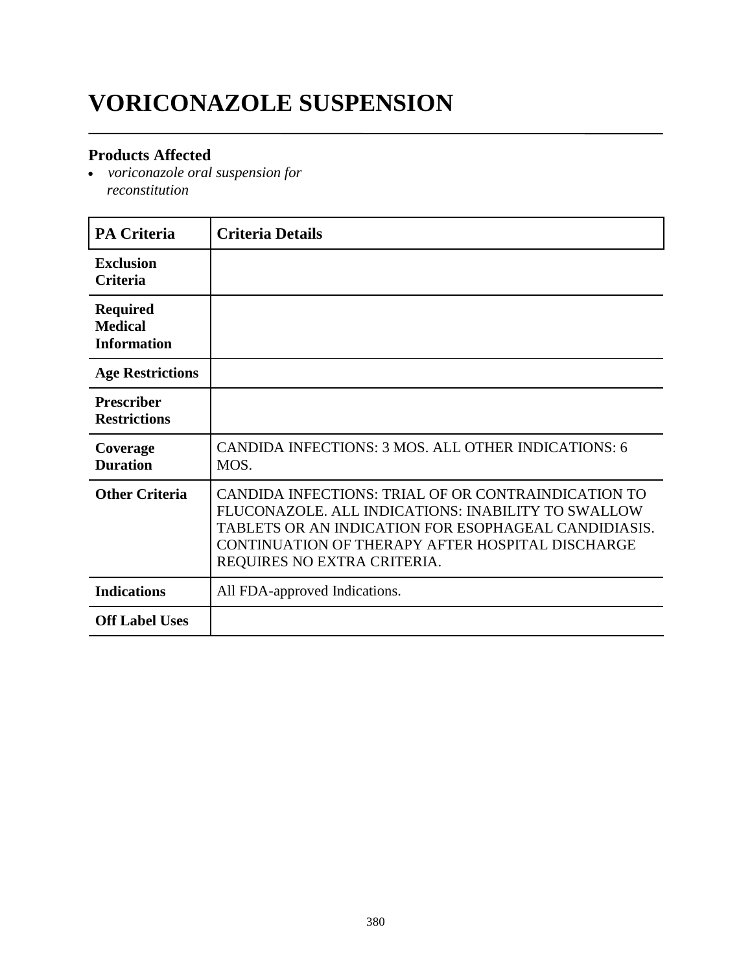# **VORICONAZOLE SUSPENSION**

### **Products Affected**

 *voriconazole oral suspension for reconstitution*

| <b>PA Criteria</b>                                      | <b>Criteria Details</b>                                                                                                                                                                                                                              |
|---------------------------------------------------------|------------------------------------------------------------------------------------------------------------------------------------------------------------------------------------------------------------------------------------------------------|
| <b>Exclusion</b><br><b>Criteria</b>                     |                                                                                                                                                                                                                                                      |
| <b>Required</b><br><b>Medical</b><br><b>Information</b> |                                                                                                                                                                                                                                                      |
| <b>Age Restrictions</b>                                 |                                                                                                                                                                                                                                                      |
| <b>Prescriber</b><br><b>Restrictions</b>                |                                                                                                                                                                                                                                                      |
| Coverage<br><b>Duration</b>                             | CANDIDA INFECTIONS: 3 MOS. ALL OTHER INDICATIONS: 6<br>MOS.                                                                                                                                                                                          |
| <b>Other Criteria</b>                                   | CANDIDA INFECTIONS: TRIAL OF OR CONTRAINDICATION TO<br>FLUCONAZOLE. ALL INDICATIONS: INABILITY TO SWALLOW<br>TABLETS OR AN INDICATION FOR ESOPHAGEAL CANDIDIASIS.<br>CONTINUATION OF THERAPY AFTER HOSPITAL DISCHARGE<br>REQUIRES NO EXTRA CRITERIA. |
| <b>Indications</b>                                      | All FDA-approved Indications.                                                                                                                                                                                                                        |
| <b>Off Label Uses</b>                                   |                                                                                                                                                                                                                                                      |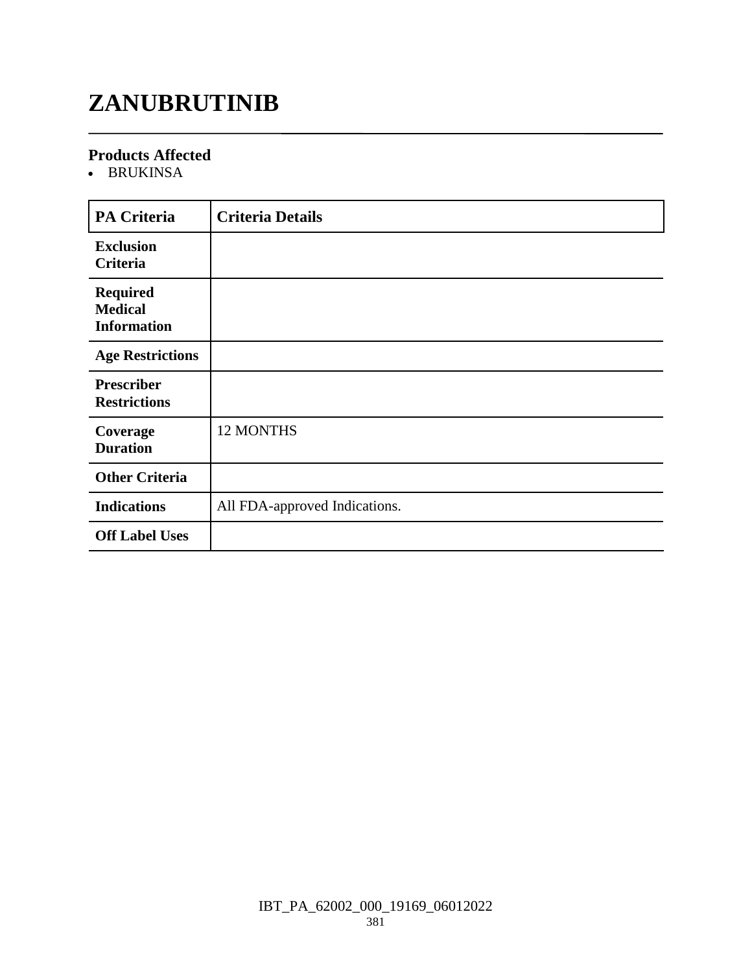# **ZANUBRUTINIB**

### **Products Affected**

• BRUKINSA

| <b>PA Criteria</b>                                      | <b>Criteria Details</b>       |
|---------------------------------------------------------|-------------------------------|
| <b>Exclusion</b><br>Criteria                            |                               |
| <b>Required</b><br><b>Medical</b><br><b>Information</b> |                               |
| <b>Age Restrictions</b>                                 |                               |
| <b>Prescriber</b><br><b>Restrictions</b>                |                               |
| Coverage<br><b>Duration</b>                             | 12 MONTHS                     |
| <b>Other Criteria</b>                                   |                               |
| <b>Indications</b>                                      | All FDA-approved Indications. |
| <b>Off Label Uses</b>                                   |                               |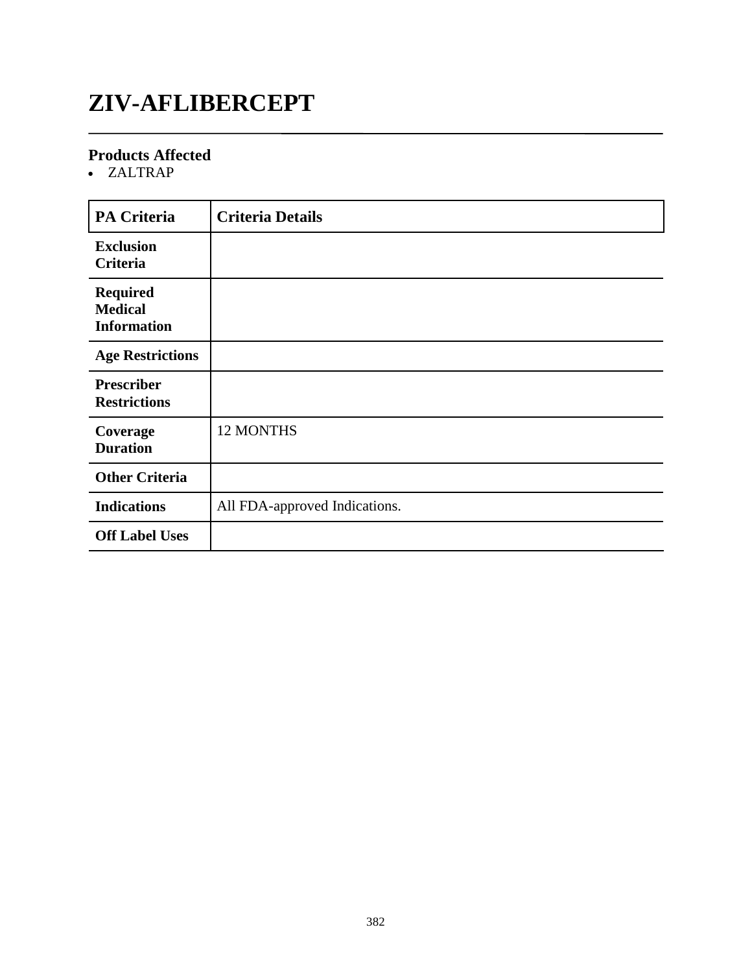# **ZIV-AFLIBERCEPT**

### **Products Affected**

ZALTRAP

| <b>PA Criteria</b>                                      | <b>Criteria Details</b>       |
|---------------------------------------------------------|-------------------------------|
| <b>Exclusion</b><br>Criteria                            |                               |
| <b>Required</b><br><b>Medical</b><br><b>Information</b> |                               |
| <b>Age Restrictions</b>                                 |                               |
| <b>Prescriber</b><br><b>Restrictions</b>                |                               |
| Coverage<br><b>Duration</b>                             | 12 MONTHS                     |
| <b>Other Criteria</b>                                   |                               |
| <b>Indications</b>                                      | All FDA-approved Indications. |
| <b>Off Label Uses</b>                                   |                               |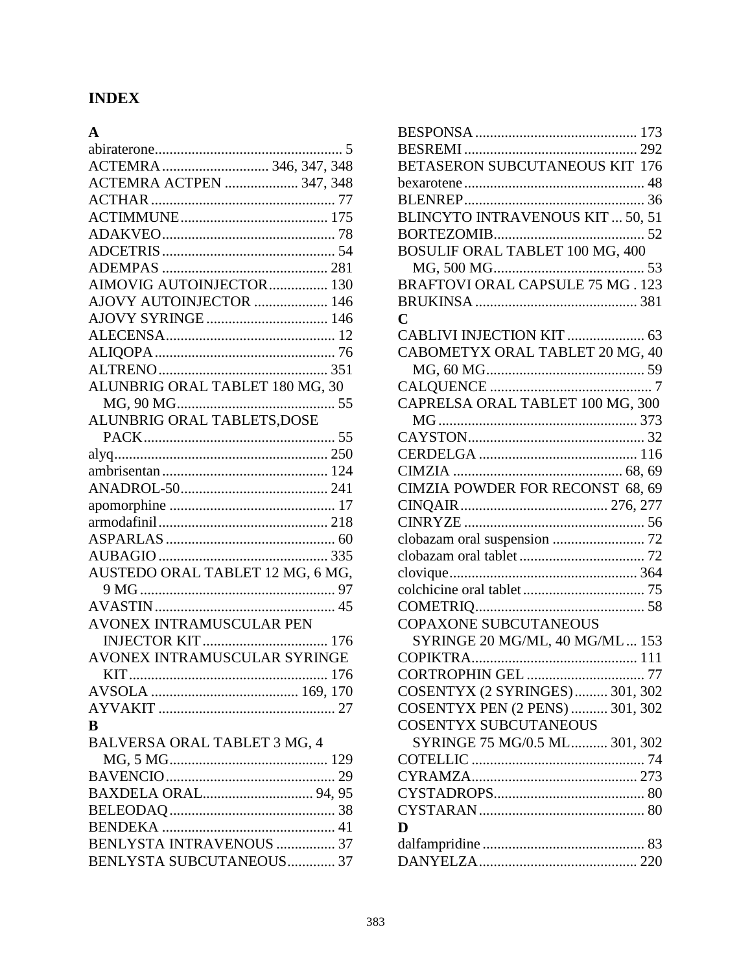### **INDEX**

| $\mathbf{A}$                     |
|----------------------------------|
| . 5                              |
| ACTEMRA  346, 347, 348           |
| ACTEMRA ACTPEN  347, 348         |
|                                  |
|                                  |
|                                  |
|                                  |
|                                  |
| AIMOVIG AUTOINJECTOR 130         |
| AJOVY AUTOINJECTOR  146          |
|                                  |
|                                  |
|                                  |
|                                  |
| ALUNBRIG ORAL TABLET 180 MG, 30  |
|                                  |
| ALUNBRIG ORAL TABLETS, DOSE      |
|                                  |
|                                  |
|                                  |
|                                  |
|                                  |
|                                  |
|                                  |
|                                  |
| AUSTEDO ORAL TABLET 12 MG, 6 MG, |
|                                  |
|                                  |
| <b>AVONEX INTRAMUSCULAR PEN</b>  |
|                                  |
| AVONEX INTRAMUSCULAR SYRINGE     |
|                                  |
|                                  |
|                                  |
| B                                |
| BALVERSA ORAL TABLET 3 MG, 4     |
|                                  |
|                                  |
|                                  |
|                                  |
|                                  |
| BENLYSTA INTRAVENOUS  37         |
| BENLYSTA SUBCUTANEOUS 37         |

| BETASERON SUBCUTANEOUS KIT 176         |
|----------------------------------------|
|                                        |
|                                        |
| BLINCYTO INTRAVENOUS KIT  50, 51       |
|                                        |
| <b>BOSULIF ORAL TABLET 100 MG, 400</b> |
|                                        |
|                                        |
|                                        |
| Ċ                                      |
| CABLIVI INJECTION KIT  63              |
| CABOMETYX ORAL TABLET 20 MG, 40        |
|                                        |
|                                        |
| CAPRELSA ORAL TABLET 100 MG, 300       |
|                                        |
|                                        |
|                                        |
|                                        |
| CIMZIA POWDER FOR RECONST 68, 69       |
|                                        |
|                                        |
|                                        |
|                                        |
|                                        |
|                                        |
|                                        |
| <b>COPAXONE SUBCUTANEOUS</b>           |
| SYRINGE 20 MG/ML, 40 MG/ML 153         |
|                                        |
|                                        |
| COSENTYX (2 SYRINGES) 301, 302         |
| COSENTYX PEN (2 PENS)  301, 302        |
| <b>COSENTYX SUBCUTANEOUS</b>           |
| SYRINGE 75 MG/0.5 ML 301, 302          |
|                                        |
|                                        |
|                                        |
|                                        |
| D                                      |
|                                        |
|                                        |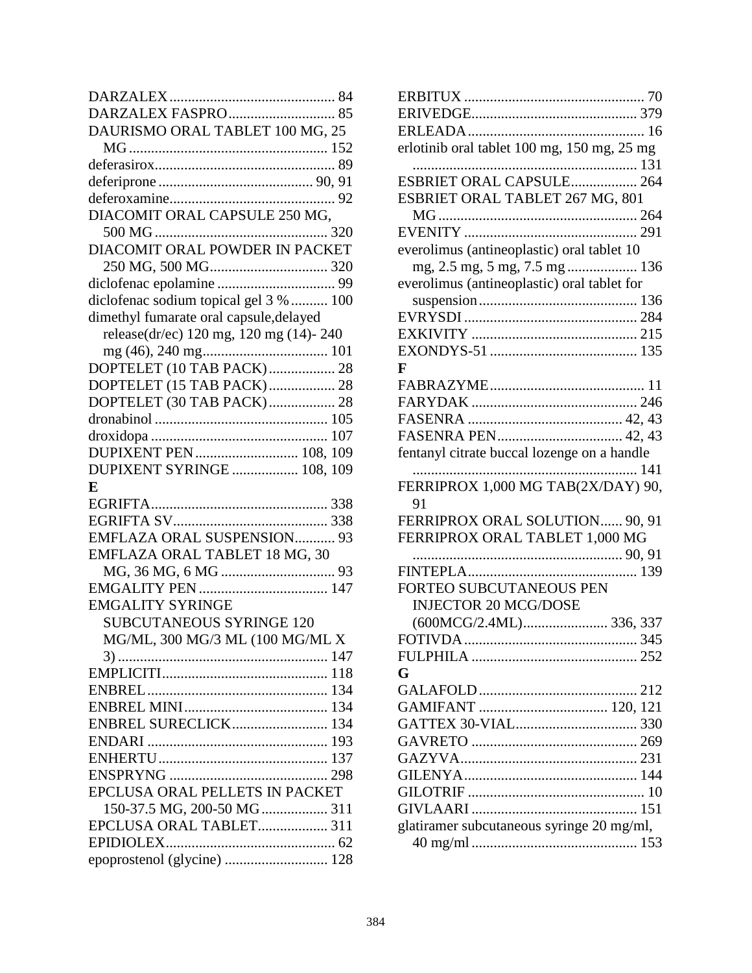| DAURISMO ORAL TABLET 100 MG, 25         |
|-----------------------------------------|
|                                         |
|                                         |
|                                         |
|                                         |
| DIACOMIT ORAL CAPSULE 250 MG,           |
|                                         |
| DIACOMIT ORAL POWDER IN PACKET          |
|                                         |
|                                         |
| diclofenac sodium topical gel 3 %  100  |
| dimethyl fumarate oral capsule, delayed |
| release(dr/ec) 120 mg, 120 mg (14)-240  |
|                                         |
| DOPTELET (10 TAB PACK) 28               |
| DOPTELET (15 TAB PACK) 28               |
| DOPTELET (30 TAB PACK) 28               |
|                                         |
|                                         |
| DUPIXENT PEN  108, 109                  |
| <b>DUPIXENT SYRINGE  108, 109</b>       |
| E                                       |
|                                         |
|                                         |
| EMFLAZA ORAL SUSPENSION 93              |
| EMFLAZA ORAL TABLET 18 MG, 30           |
|                                         |
|                                         |
| <b>EMGALITY SYRINGE</b>                 |
| <b>SUBCUTANEOUS SYRINGE 120</b>         |
| MG/ML, 300 MG/3 ML (100 MG/ML X         |
|                                         |
|                                         |
|                                         |
|                                         |
| ENBREL SURECLICK 134                    |
|                                         |
|                                         |
|                                         |
| EPCLUSA ORAL PELLETS IN PACKET          |
|                                         |
| EPCLUSA ORAL TABLET 311                 |
|                                         |
| epoprostenol (glycine)  128             |
|                                         |

| erlotinib oral tablet 100 mg, 150 mg, 25 mg |
|---------------------------------------------|
|                                             |
|                                             |
| ESBRIET ORAL TABLET 267 MG, 801             |
|                                             |
|                                             |
| everolimus (antineoplastic) oral tablet 10  |
|                                             |
| everolimus (antineoplastic) oral tablet for |
|                                             |
|                                             |
|                                             |
|                                             |
| F                                           |
|                                             |
|                                             |
|                                             |
|                                             |
| fentanyl citrate buccal lozenge on a handle |
|                                             |
| FERRIPROX 1,000 MG TAB(2X/DAY) 90,          |
| 91                                          |
| FERRIPROX ORAL SOLUTION 90, 91              |
| FERRIPROX ORAL TABLET 1,000 MG              |
|                                             |
|                                             |
| FORTEO SUBCUTANEOUS PEN                     |
| <b>INJECTOR 20 MCG/DOSE</b>                 |
|                                             |
| FOTIVDA.                                    |
|                                             |
| G                                           |
|                                             |
|                                             |
|                                             |
|                                             |
|                                             |
|                                             |
|                                             |
|                                             |
| glatiramer subcutaneous syringe 20 mg/ml,   |
|                                             |
|                                             |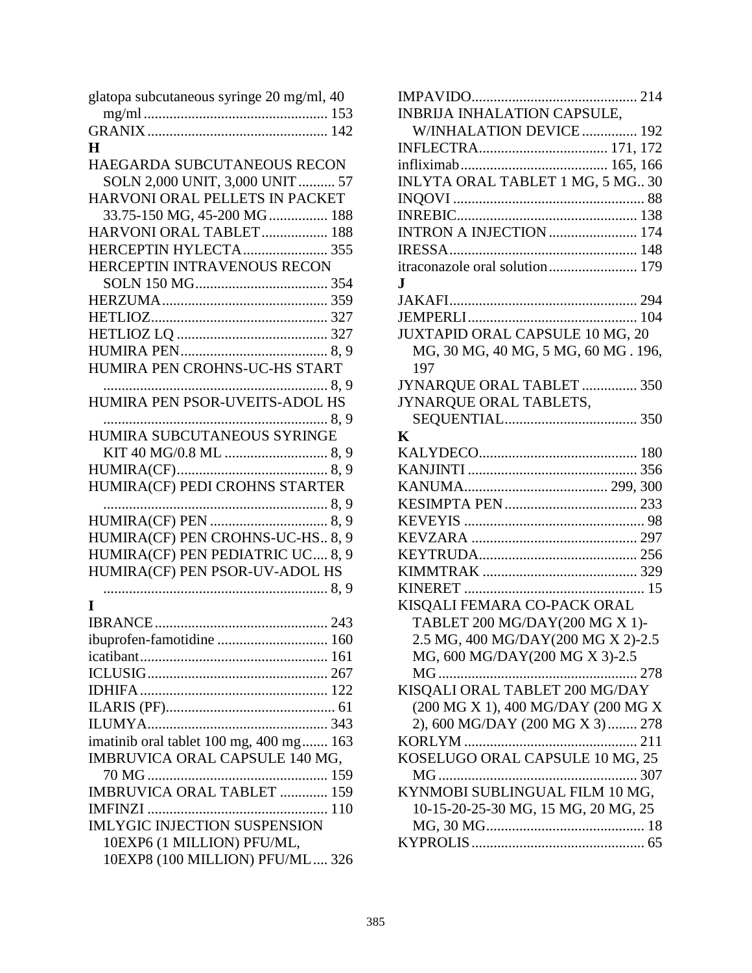| glatopa subcutaneous syringe 20 mg/ml, 40 |
|-------------------------------------------|
|                                           |
|                                           |
| $\bf H$                                   |
| HAEGARDA SUBCUTANEOUS RECON               |
| SOLN 2,000 UNIT, 3,000 UNIT  57           |
| HARVONI ORAL PELLETS IN PACKET            |
| 33.75-150 MG, 45-200 MG 188               |
| HARVONI ORAL TABLET 188                   |
| HERCEPTIN HYLECTA 355                     |
| HERCEPTIN INTRAVENOUS RECON               |
|                                           |
|                                           |
|                                           |
|                                           |
|                                           |
| HUMIRA PEN CROHNS-UC-HS START             |
|                                           |
| HUMIRA PEN PSOR-UVEITS-ADOL HS            |
| 8.9                                       |
| HUMIRA SUBCUTANEOUS SYRINGE               |
| KIT 40 MG/0.8 ML  8, 9                    |
|                                           |
| HUMIRA(CF) PEDI CROHNS STARTER            |
|                                           |
|                                           |
| HUMIRA(CF) PEN CROHNS-UC-HS 8, 9          |
| HUMIRA(CF) PEN PEDIATRIC UC 8, 9          |
| HUMIRA(CF) PEN PSOR-UV-ADOL HS            |
|                                           |
| I                                         |
|                                           |
| ibuprofen-famotidine  160                 |
|                                           |
|                                           |
|                                           |
|                                           |
|                                           |
| imatinib oral tablet 100 mg, 400 mg 163   |
| IMBRUVICA ORAL CAPSULE 140 MG,            |
|                                           |
| <b>IMBRUVICA ORAL TABLET  159</b>         |
|                                           |
| <b>IMLYGIC INJECTION SUSPENSION</b>       |
| 10EXP6 (1 MILLION) PFU/ML,                |
| 10EXP8 (100 MILLION) PFU/ML 326           |
|                                           |

| 3                   | <b>INBRIJA INHALATION CAPSULE,</b>     |
|---------------------|----------------------------------------|
| $\overline{2}$      | W/INHALATION DEVICE 192                |
|                     |                                        |
|                     |                                        |
| 7                   | INLYTA ORAL TABLET 1 MG, 5 MG 30       |
|                     |                                        |
| $\overline{8}$      |                                        |
| 38                  | INTRON A INJECTION  174                |
| $5\,$               |                                        |
|                     | itraconazole oral solution 179         |
| $\frac{1}{4}$       | $\mathbf I$                            |
| 59                  |                                        |
| :7                  |                                        |
| :7                  | <b>JUXTAPID ORAL CAPSULE 10 MG, 20</b> |
| 9                   | MG, 30 MG, 40 MG, 5 MG, 60 MG. 196,    |
|                     | 197                                    |
| 9                   | JYNARQUE ORAL TABLET  350              |
|                     | JYNARQUE ORAL TABLETS,                 |
| 9                   |                                        |
|                     | K                                      |
| 9                   |                                        |
| 9                   |                                        |
|                     |                                        |
| 9                   |                                        |
| 9                   |                                        |
| 9                   |                                        |
| 9                   |                                        |
|                     |                                        |
| 9                   |                                        |
|                     | KISQALI FEMARA CO-PACK ORAL            |
| $\overline{3}$      | TABLET 200 MG/DAY(200 MG X 1)-         |
| $\overline{\bf{0}}$ | 2.5 MG, 400 MG/DAY(200 MG X 2)-2.5     |
| 51                  | MG, 600 MG/DAY(200 MG X 3)-2.5         |
| 57                  |                                        |
| $\frac{2}{51}$      | KISQALI ORAL TABLET 200 MG/DAY         |
|                     | (200 MG X 1), 400 MG/DAY (200 MG X     |
| $\overline{3}$      | 2), 600 MG/DAY (200 MG X 3) 278        |
| 53                  |                                        |
|                     | KOSELUGO ORAL CAPSULE 10 MG, 25        |
| $\overline{9}$      |                                        |
| $\mathfrak{g}$      | KYNMOBI SUBLINGUAL FILM 10 MG,         |
| $\overline{0}$      | 10-15-20-25-30 MG, 15 MG, 20 MG, 25    |
|                     |                                        |
|                     |                                        |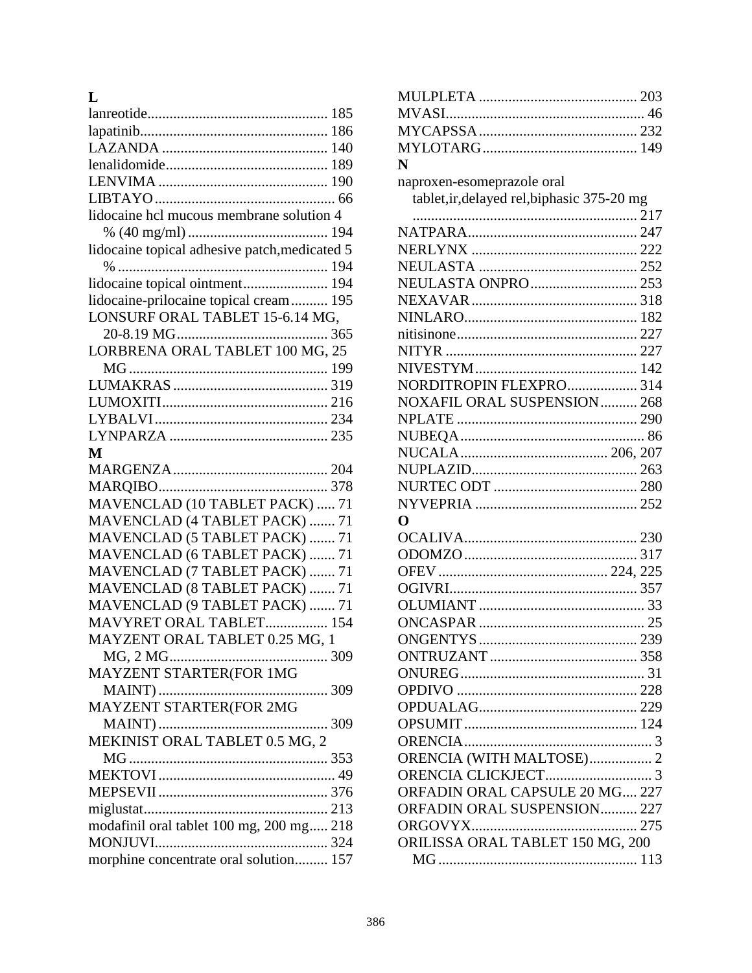### **L**

| lidocaine hcl mucous membrane solution 4      |
|-----------------------------------------------|
|                                               |
| lidocaine topical adhesive patch, medicated 5 |
|                                               |
| lidocaine topical ointment 194                |
| lidocaine-prilocaine topical cream 195        |
| LONSURF ORAL TABLET 15-6.14 MG,               |
|                                               |
| LORBRENA ORAL TABLET 100 MG, 25               |
|                                               |
|                                               |
|                                               |
|                                               |
|                                               |
| M                                             |
|                                               |
|                                               |
| MAVENCLAD (10 TABLET PACK)  71                |
| MAVENCLAD (4 TABLET PACK)  71                 |
| MAVENCLAD (5 TABLET PACK)  71                 |
| MAVENCLAD (6 TABLET PACK)  71                 |
| MAVENCLAD (7 TABLET PACK)  71                 |
| MAVENCLAD (8 TABLET PACK)  71                 |
| MAVENCLAD (9 TABLET PACK)  71                 |
| MAVYRET ORAL TABLET 154                       |
|                                               |
|                                               |
| MAYZENT ORAL TABLET 0.25 MG, 1                |
|                                               |
| MAYZENT STARTER(FOR 1MG                       |
|                                               |
| <b>MAYZENT STARTER(FOR 2MG</b>                |
| 309                                           |
| MEKINIST ORAL TABLET 0.5 MG, 2                |
|                                               |
|                                               |
|                                               |
|                                               |
| modafinil oral tablet 100 mg, 200 mg 218      |
| morphine concentrate oral solution 157        |

| N                                           |  |
|---------------------------------------------|--|
| naproxen-esomeprazole oral                  |  |
| tablet, ir, delayed rel, biphasic 375-20 mg |  |
|                                             |  |
|                                             |  |
|                                             |  |
|                                             |  |
| NEULASTA ONPRO  253                         |  |
|                                             |  |
|                                             |  |
|                                             |  |
|                                             |  |
|                                             |  |
| NORDITROPIN FLEXPRO 314                     |  |
| NOXAFIL ORAL SUSPENSION 268                 |  |
|                                             |  |
|                                             |  |
|                                             |  |
|                                             |  |
|                                             |  |
|                                             |  |
| O                                           |  |
|                                             |  |
|                                             |  |
|                                             |  |
|                                             |  |
|                                             |  |
|                                             |  |
|                                             |  |
|                                             |  |
|                                             |  |
|                                             |  |
|                                             |  |
|                                             |  |
|                                             |  |
|                                             |  |
|                                             |  |
| ORENCIA (WITH MALTOSE) 2                    |  |
|                                             |  |
| ORFADIN ORAL CAPSULE 20 MG 227              |  |
| ORFADIN ORAL SUSPENSION 227                 |  |
|                                             |  |
| ORILISSA ORAL TABLET 150 MG, 200            |  |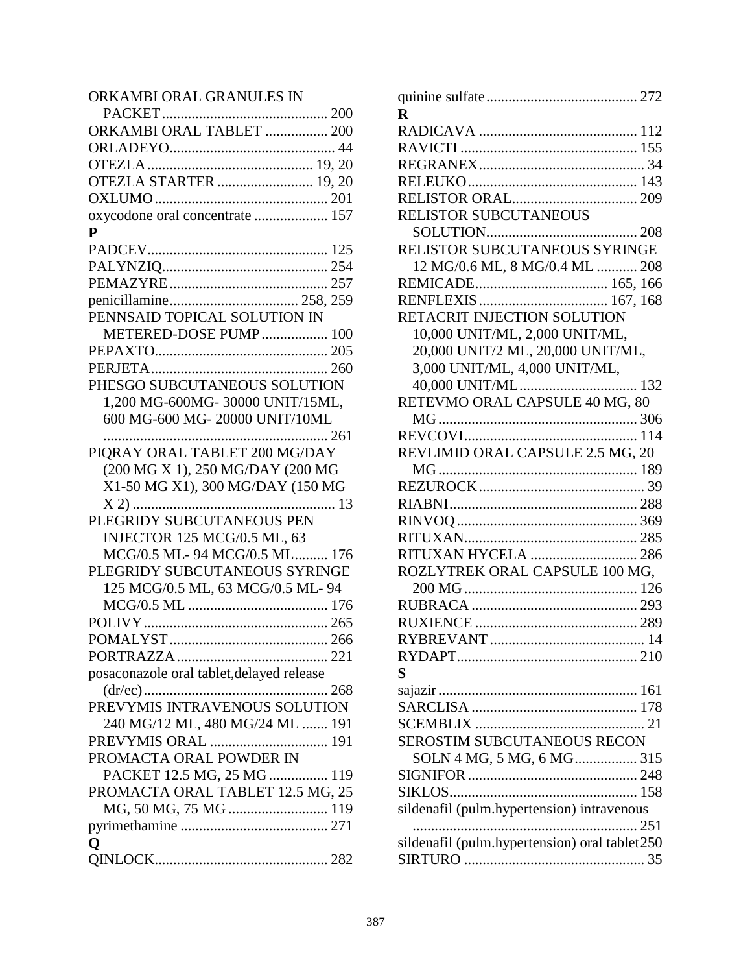### ORKAMBI ORAL GRANULES IN

| ORKAMBI ORAL TABLET  200                  |
|-------------------------------------------|
|                                           |
|                                           |
| OTEZLA STARTER  19, 20                    |
|                                           |
| oxycodone oral concentrate  157           |
| P                                         |
|                                           |
|                                           |
|                                           |
|                                           |
| PENNSAID TOPICAL SOLUTION IN              |
| METERED-DOSE PUMP 100                     |
|                                           |
|                                           |
| PHESGO SUBCUTANEOUS SOLUTION              |
| 1,200 MG-600MG-30000 UNIT/15ML,           |
| 600 MG-600 MG-20000 UNIT/10ML             |
|                                           |
| PIQRAY ORAL TABLET 200 MG/DAY             |
| (200 MG X 1), 250 MG/DAY (200 MG          |
| X1-50 MG X1), 300 MG/DAY (150 MG          |
|                                           |
| PLEGRIDY SUBCUTANEOUS PEN                 |
| <b>INJECTOR 125 MCG/0.5 ML, 63</b>        |
| MCG/0.5 ML-94 MCG/0.5 ML 176              |
| PLEGRIDY SUBCUTANEOUS SYRINGE             |
| 125 MCG/0.5 ML, 63 MCG/0.5 ML-94          |
|                                           |
|                                           |
|                                           |
|                                           |
| posaconazole oral tablet, delayed release |
|                                           |
| PREVYMIS INTRAVENOUS SOLUTION             |
| 240 MG/12 ML, 480 MG/24 ML  191           |
| PREVYMIS ORAL  191                        |
| PROMACTA ORAL POWDER IN                   |
| PACKET 12.5 MG, 25 MG 119                 |
| PROMACTA ORAL TABLET 12.5 MG, 25          |
|                                           |
| MG, 50 MG, 75 MG  119                     |
|                                           |
| O                                         |
|                                           |

| R                                              |
|------------------------------------------------|
|                                                |
|                                                |
|                                                |
|                                                |
|                                                |
| RELISTOR SUBCUTANEOUS                          |
|                                                |
| RELISTOR SUBCUTANEOUS SYRINGE                  |
| 12 MG/0.6 ML, 8 MG/0.4 ML  208                 |
|                                                |
|                                                |
| RETACRIT INJECTION SOLUTION                    |
| 10,000 UNIT/ML, 2,000 UNIT/ML,                 |
| 20,000 UNIT/2 ML, 20,000 UNIT/ML,              |
| 3,000 UNIT/ML, 4,000 UNIT/ML,                  |
|                                                |
| RETEVMO ORAL CAPSULE 40 MG, 80                 |
|                                                |
|                                                |
| REVLIMID ORAL CAPSULE 2.5 MG, 20               |
|                                                |
|                                                |
|                                                |
|                                                |
|                                                |
| RITUXAN HYCELA  286                            |
| ROZLYTREK ORAL CAPSULE 100 MG,                 |
|                                                |
|                                                |
|                                                |
|                                                |
|                                                |
| S                                              |
|                                                |
|                                                |
|                                                |
| SEROSTIM SUBCUTANEOUS RECON                    |
| SOLN 4 MG, 5 MG, 6 MG 315                      |
|                                                |
|                                                |
|                                                |
| sildenafil (pulm.hypertension) intravenous     |
|                                                |
| sildenafil (pulm.hypertension) oral tablet 250 |
|                                                |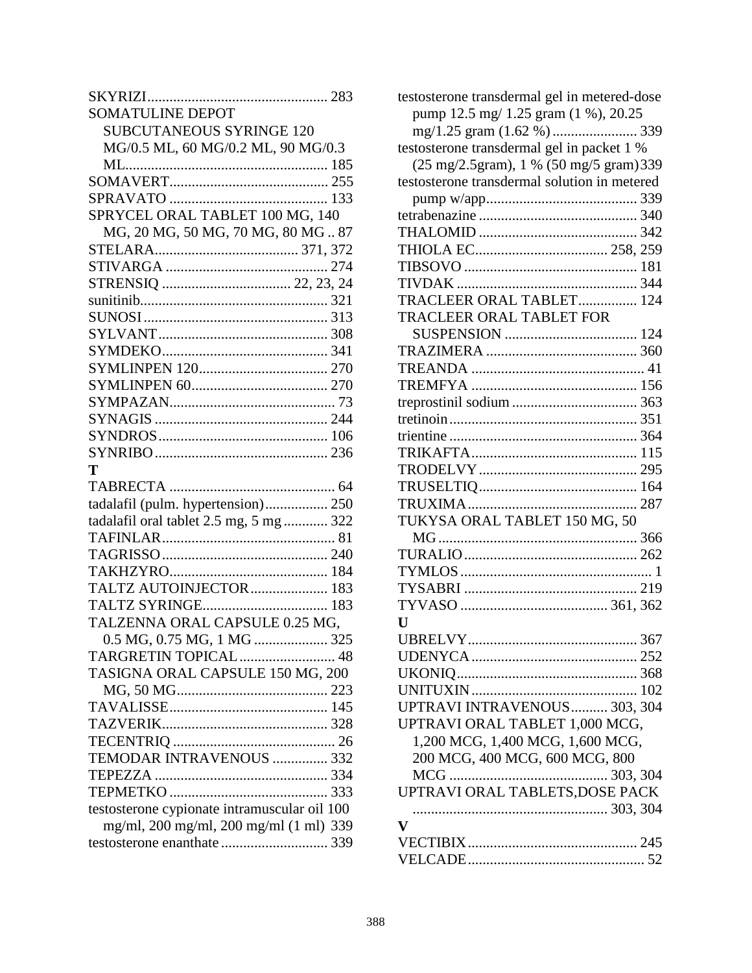| <b>SOMATULINE DEPOT</b>                      |
|----------------------------------------------|
| <b>SUBCUTANEOUS SYRINGE 120</b>              |
| MG/0.5 ML, 60 MG/0.2 ML, 90 MG/0.3           |
|                                              |
|                                              |
|                                              |
| SPRYCEL ORAL TABLET 100 MG, 140              |
| MG, 20 MG, 50 MG, 70 MG, 80 MG 87            |
|                                              |
|                                              |
|                                              |
|                                              |
|                                              |
|                                              |
|                                              |
|                                              |
|                                              |
|                                              |
|                                              |
|                                              |
|                                              |
| T                                            |
|                                              |
| tadalafil (pulm. hypertension) 250           |
| tadalafil oral tablet 2.5 mg, 5 mg  322      |
|                                              |
|                                              |
|                                              |
| TALTZ AUTOINJECTOR 183                       |
|                                              |
| TALZENNA ORAL CAPSULE 0.25 MG,               |
|                                              |
| TARGRETIN TOPICAL 48                         |
| TASIGNA ORAL CAPSULE 150 MG, 200             |
|                                              |
|                                              |
|                                              |
|                                              |
| TEMODAR INTRAVENOUS  332                     |
|                                              |
|                                              |
| testosterone cypionate intramuscular oil 100 |
| mg/ml, 200 mg/ml, 200 mg/ml (1 ml) 339       |
|                                              |
|                                              |

| testosterone transdermal gel in metered-dose<br>pump 12.5 mg/ 1.25 gram (1 %), 20.25<br>testosterone transdermal gel in packet 1 %<br>(25 mg/2.5gram), 1 % (50 mg/5 gram) 339<br>testosterone transdermal solution in metered |
|-------------------------------------------------------------------------------------------------------------------------------------------------------------------------------------------------------------------------------|
| TRACLEER ORAL TABLET 124                                                                                                                                                                                                      |
| TRACLEER ORAL TABLET FOR                                                                                                                                                                                                      |
|                                                                                                                                                                                                                               |
|                                                                                                                                                                                                                               |
|                                                                                                                                                                                                                               |
|                                                                                                                                                                                                                               |
|                                                                                                                                                                                                                               |
|                                                                                                                                                                                                                               |
|                                                                                                                                                                                                                               |
|                                                                                                                                                                                                                               |
|                                                                                                                                                                                                                               |
|                                                                                                                                                                                                                               |
|                                                                                                                                                                                                                               |
| TUKYSA ORAL TABLET 150 MG, 50                                                                                                                                                                                                 |
|                                                                                                                                                                                                                               |
|                                                                                                                                                                                                                               |
|                                                                                                                                                                                                                               |
|                                                                                                                                                                                                                               |
|                                                                                                                                                                                                                               |
| $\mathbf{U}$                                                                                                                                                                                                                  |
|                                                                                                                                                                                                                               |
|                                                                                                                                                                                                                               |
|                                                                                                                                                                                                                               |
|                                                                                                                                                                                                                               |
| UPTRAVI INTRAVENOUS 303, 304                                                                                                                                                                                                  |
| UPTRAVI ORAL TABLET 1,000 MCG,                                                                                                                                                                                                |
| 1,200 MCG, 1,400 MCG, 1,600 MCG,                                                                                                                                                                                              |
| 200 MCG, 400 MCG, 600 MCG, 800                                                                                                                                                                                                |
|                                                                                                                                                                                                                               |
| UPTRAVI ORAL TABLETS, DOSE PACK                                                                                                                                                                                               |
|                                                                                                                                                                                                                               |
| v                                                                                                                                                                                                                             |
|                                                                                                                                                                                                                               |
|                                                                                                                                                                                                                               |
|                                                                                                                                                                                                                               |